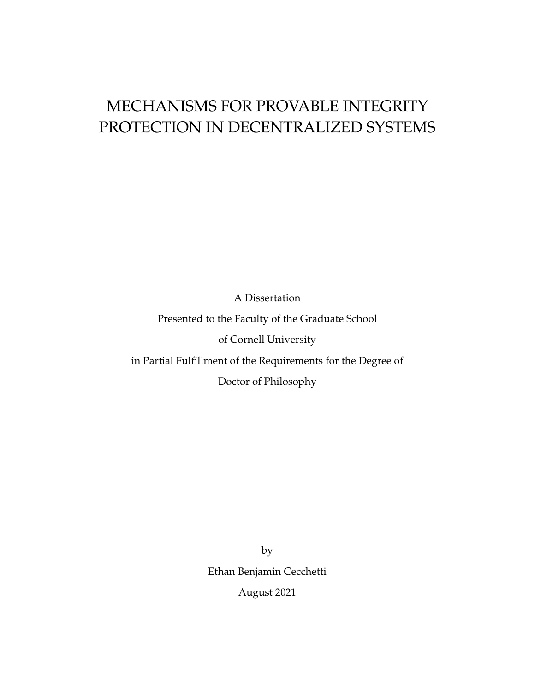# MECHANISMS FOR PROVABLE INTEGRITY PROTECTION IN DECENTRALIZED SYSTEMS

A Dissertation

Presented to the Faculty of the Graduate School

of Cornell University

in Partial Fulfillment of the Requirements for the Degree of

Doctor of Philosophy

by Ethan Benjamin Cecchetti August 2021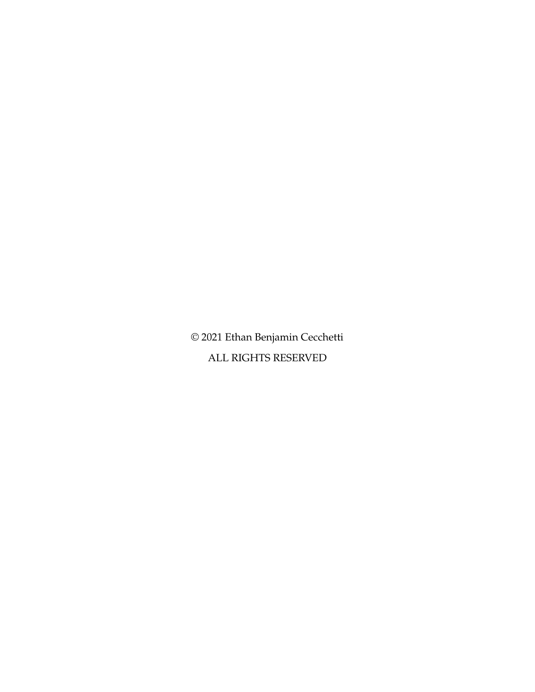© 2021 Ethan Benjamin Cecchetti ALL RIGHTS RESERVED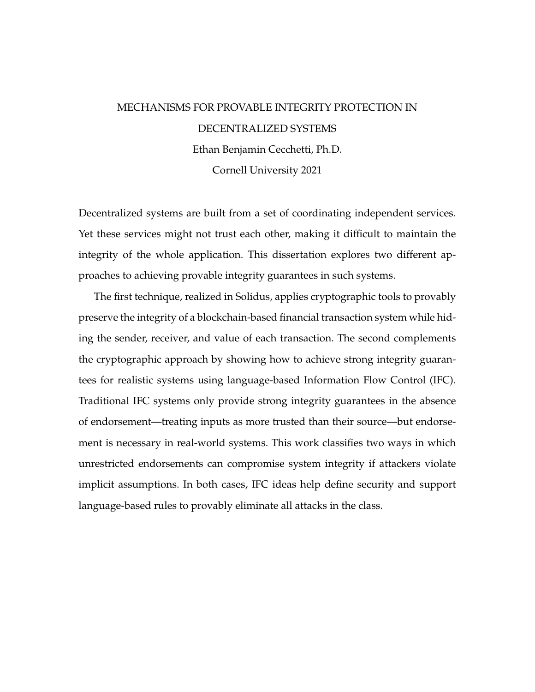# MECHANISMS FOR PROVABLE INTEGRITY PROTECTION IN DECENTRALIZED SYSTEMS Ethan Benjamin Cecchetti, Ph.D. Cornell University 2021

Decentralized systems are built from a set of coordinating independent services. Yet these services might not trust each other, making it difficult to maintain the integrity of the whole application. This dissertation explores two different approaches to achieving provable integrity guarantees in such systems.

The first technique, realized in Solidus, applies cryptographic tools to provably preserve the integrity of a blockchain-based financial transaction system while hiding the sender, receiver, and value of each transaction. The second complements the cryptographic approach by showing how to achieve strong integrity guarantees for realistic systems using language-based Information Flow Control (IFC). Traditional IFC systems only provide strong integrity guarantees in the absence of endorsement—treating inputs as more trusted than their source—but endorsement is necessary in real-world systems. This work classifies two ways in which unrestricted endorsements can compromise system integrity if attackers violate implicit assumptions. In both cases, IFC ideas help define security and support language-based rules to provably eliminate all attacks in the class.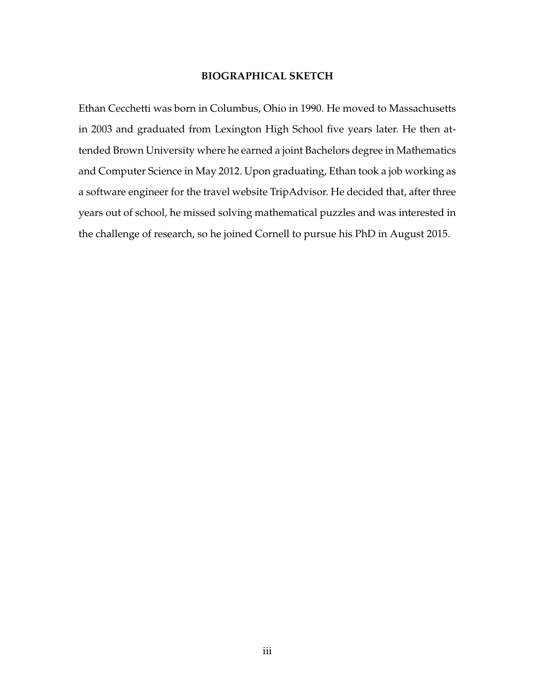#### **BIOGRAPHICAL SKETCH**

<span id="page-3-0"></span>Ethan Cecchetti was born in Columbus, Ohio in 1990. He moved to Massachusetts in 2003 and graduated from Lexington High School five years later. He then attended Brown University where he earned a joint Bachelors degree in Mathematics and Computer Science in May 2012. Upon graduating, Ethan took a job working as a software engineer for the travel website TripAdvisor. He decided that, after three years out of school, he missed solving mathematical puzzles and was interested in the challenge of research, so he joined Cornell to pursue his PhD in August 2015.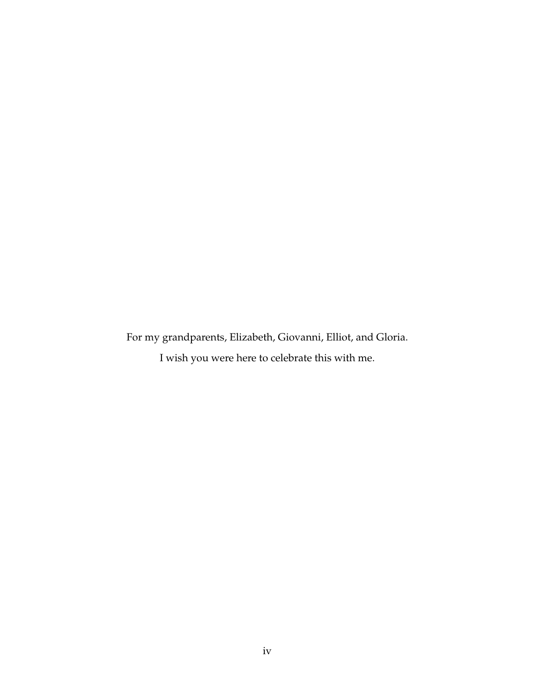<span id="page-4-0"></span>For my grandparents, Elizabeth, Giovanni, Elliot, and Gloria. I wish you were here to celebrate this with me.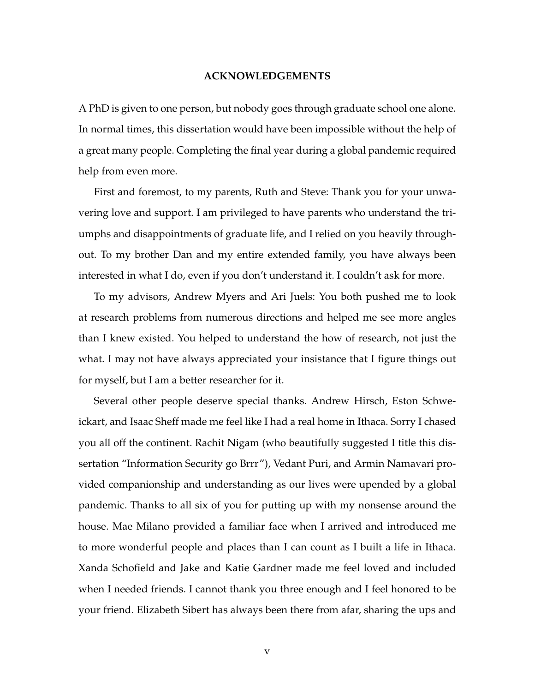#### **ACKNOWLEDGEMENTS**

<span id="page-5-0"></span>A PhD is given to one person, but nobody goes through graduate school one alone. In normal times, this dissertation would have been impossible without the help of a great many people. Completing the final year during a global pandemic required help from even more.

First and foremost, to my parents, Ruth and Steve: Thank you for your unwavering love and support. I am privileged to have parents who understand the triumphs and disappointments of graduate life, and I relied on you heavily throughout. To my brother Dan and my entire extended family, you have always been interested in what I do, even if you don't understand it. I couldn't ask for more.

To my advisors, Andrew Myers and Ari Juels: You both pushed me to look at research problems from numerous directions and helped me see more angles than I knew existed. You helped to understand the how of research, not just the what. I may not have always appreciated your insistance that I figure things out for myself, but I am a better researcher for it.

Several other people deserve special thanks. Andrew Hirsch, Eston Schweickart, and Isaac Sheff made me feel like I had a real home in Ithaca. Sorry I chased you all off the continent. Rachit Nigam (who beautifully suggested I title this dissertation "Information Security go Brrr"), Vedant Puri, and Armin Namavari provided companionship and understanding as our lives were upended by a global pandemic. Thanks to all six of you for putting up with my nonsense around the house. Mae Milano provided a familiar face when I arrived and introduced me to more wonderful people and places than I can count as I built a life in Ithaca. Xanda Schofield and Jake and Katie Gardner made me feel loved and included when I needed friends. I cannot thank you three enough and I feel honored to be your friend. Elizabeth Sibert has always been there from afar, sharing the ups and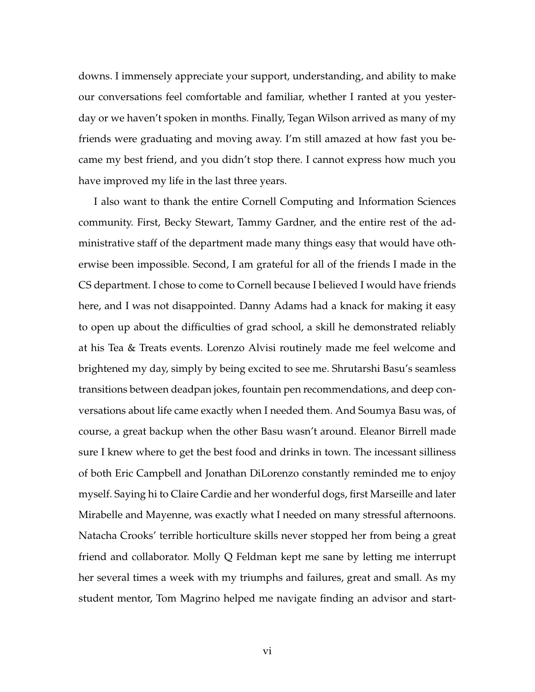downs. I immensely appreciate your support, understanding, and ability to make our conversations feel comfortable and familiar, whether I ranted at you yesterday or we haven't spoken in months. Finally, Tegan Wilson arrived as many of my friends were graduating and moving away. I'm still amazed at how fast you became my best friend, and you didn't stop there. I cannot express how much you have improved my life in the last three years.

I also want to thank the entire Cornell Computing and Information Sciences community. First, Becky Stewart, Tammy Gardner, and the entire rest of the administrative staff of the department made many things easy that would have otherwise been impossible. Second, I am grateful for all of the friends I made in the CS department. I chose to come to Cornell because I believed I would have friends here, and I was not disappointed. Danny Adams had a knack for making it easy to open up about the difficulties of grad school, a skill he demonstrated reliably at his Tea & Treats events. Lorenzo Alvisi routinely made me feel welcome and brightened my day, simply by being excited to see me. Shrutarshi Basu's seamless transitions between deadpan jokes, fountain pen recommendations, and deep conversations about life came exactly when I needed them. And Soumya Basu was, of course, a great backup when the other Basu wasn't around. Eleanor Birrell made sure I knew where to get the best food and drinks in town. The incessant silliness of both Eric Campbell and Jonathan DiLorenzo constantly reminded me to enjoy myself. Saying hi to Claire Cardie and her wonderful dogs, first Marseille and later Mirabelle and Mayenne, was exactly what I needed on many stressful afternoons. Natacha Crooks' terrible horticulture skills never stopped her from being a great friend and collaborator. Molly Q Feldman kept me sane by letting me interrupt her several times a week with my triumphs and failures, great and small. As my student mentor, Tom Magrino helped me navigate finding an advisor and start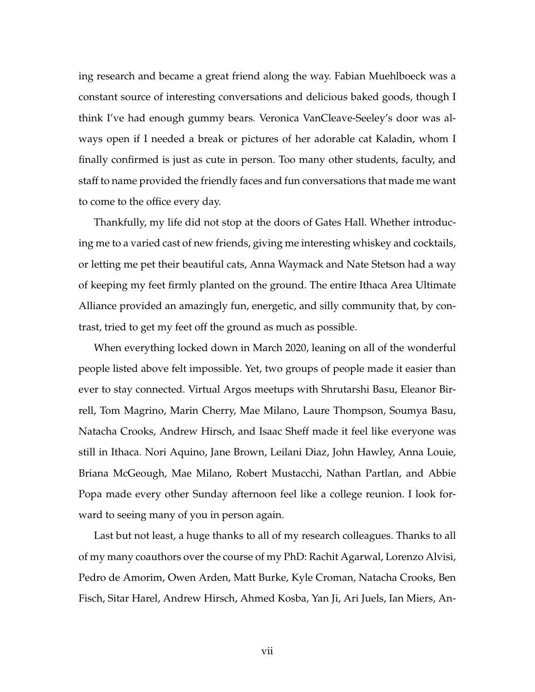ing research and became a great friend along the way. Fabian Muehlboeck was a constant source of interesting conversations and delicious baked goods, though I think I've had enough gummy bears. Veronica VanCleave-Seeley's door was always open if I needed a break or pictures of her adorable cat Kaladin, whom I finally confirmed is just as cute in person. Too many other students, faculty, and staff to name provided the friendly faces and fun conversations that made me want to come to the office every day.

Thankfully, my life did not stop at the doors of Gates Hall. Whether introducing me to a varied cast of new friends, giving me interesting whiskey and cocktails, or letting me pet their beautiful cats, Anna Waymack and Nate Stetson had a way of keeping my feet firmly planted on the ground. The entire Ithaca Area Ultimate Alliance provided an amazingly fun, energetic, and silly community that, by contrast, tried to get my feet off the ground as much as possible.

When everything locked down in March 2020, leaning on all of the wonderful people listed above felt impossible. Yet, two groups of people made it easier than ever to stay connected. Virtual Argos meetups with Shrutarshi Basu, Eleanor Birrell, Tom Magrino, Marin Cherry, Mae Milano, Laure Thompson, Soumya Basu, Natacha Crooks, Andrew Hirsch, and Isaac Sheff made it feel like everyone was still in Ithaca. Nori Aquino, Jane Brown, Leilani Diaz, John Hawley, Anna Louie, Briana McGeough, Mae Milano, Robert Mustacchi, Nathan Partlan, and Abbie Popa made every other Sunday afternoon feel like a college reunion. I look forward to seeing many of you in person again.

Last but not least, a huge thanks to all of my research colleagues. Thanks to all of my many coauthors over the course of my PhD: Rachit Agarwal, Lorenzo Alvisi, Pedro de Amorim, Owen Arden, Matt Burke, Kyle Croman, Natacha Crooks, Ben Fisch, Sitar Harel, Andrew Hirsch, Ahmed Kosba, Yan Ji, Ari Juels, Ian Miers, An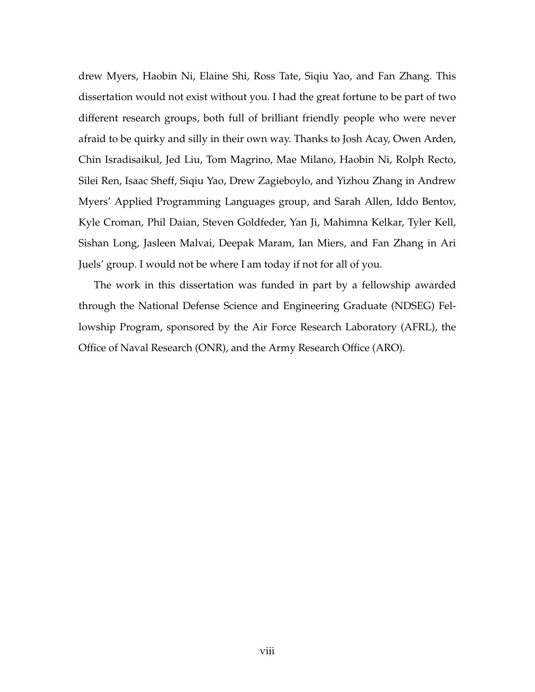drew Myers, Haobin Ni, Elaine Shi, Ross Tate, Siqiu Yao, and Fan Zhang. This dissertation would not exist without you. I had the great fortune to be part of two different research groups, both full of brilliant friendly people who were never afraid to be quirky and silly in their own way. Thanks to Josh Acay, Owen Arden, Chin Isradisaikul, Jed Liu, Tom Magrino, Mae Milano, Haobin Ni, Rolph Recto, Silei Ren, Isaac Sheff, Siqiu Yao, Drew Zagieboylo, and Yizhou Zhang in Andrew Myers' Applied Programming Languages group, and Sarah Allen, Iddo Bentov, Kyle Croman, Phil Daian, Steven Goldfeder, Yan Ji, Mahimna Kelkar, Tyler Kell, Sishan Long, Jasleen Malvai, Deepak Maram, Ian Miers, and Fan Zhang in Ari Juels' group. I would not be where I am today if not for all of you.

The work in this dissertation was funded in part by a fellowship awarded through the National Defense Science and Engineering Graduate (NDSEG) Fellowship Program, sponsored by the Air Force Research Laboratory (AFRL), the Office of Naval Research (ONR), and the Army Research Office (ARO).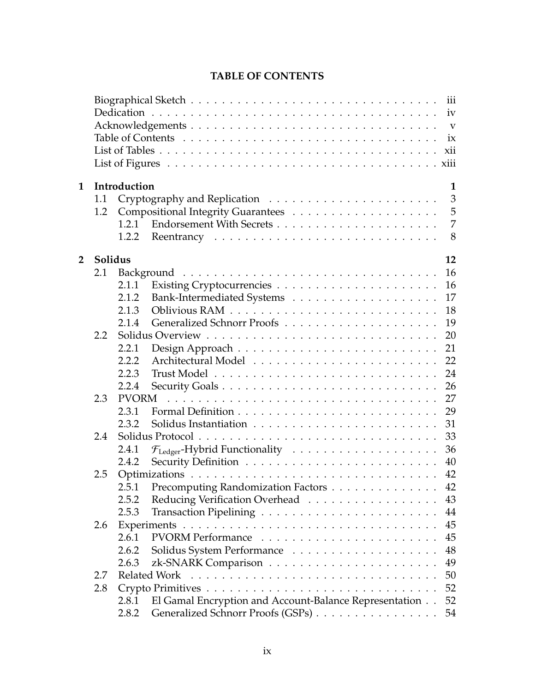<span id="page-9-0"></span>

|                |         |              | iii<br>iv<br>$\mathbf{V}$<br>ix<br>xii                       |
|----------------|---------|--------------|--------------------------------------------------------------|
| $\mathbf 1$    |         | Introduction | $\mathbf{1}$                                                 |
|                | 1.1     |              | 3                                                            |
|                | 1.2     |              | 5                                                            |
|                |         | 1.2.1        | $\overline{7}$                                               |
|                |         | 1.2.2        | 8                                                            |
| $\overline{2}$ | Solidus |              | 12                                                           |
|                | 2.1     |              | 16                                                           |
|                |         | 2.1.1        | 16                                                           |
|                |         | 2.1.2        | 17                                                           |
|                |         | 2.1.3        | 18                                                           |
|                |         | 2.1.4        | 19                                                           |
|                | 2.2     |              | 20                                                           |
|                |         | 2.2.1        | 21                                                           |
|                |         | 2.2.2        | 22                                                           |
|                |         | 2.2.3        | 24                                                           |
|                |         | 2.2.4        | 26                                                           |
|                | 2.3     | <b>PVORM</b> | 27                                                           |
|                |         | 2.3.1        | 29                                                           |
|                |         | 2.3.2        | 31                                                           |
|                | 2.4     |              | 33                                                           |
|                |         | 2.4.1        | 36                                                           |
|                |         | 2.4.2        | 40                                                           |
|                | 2.5     |              | 42                                                           |
|                |         | 2.5.1        | Precomputing Randomization Factors<br>42                     |
|                |         | 2.5.2        | Reducing Verification Overhead<br>43                         |
|                |         | 2.5.3        | 44                                                           |
|                | 2.6     |              | 45                                                           |
|                |         | 2.6.1        | 45                                                           |
|                |         | 2.6.2        | 48                                                           |
|                |         | 2.6.3        | 49                                                           |
|                | 2.7     |              | 50                                                           |
|                | 2.8     |              | 52                                                           |
|                |         | 2.8.1        | El Gamal Encryption and Account-Balance Representation<br>52 |
|                |         | 2.8.2        | Generalized Schnorr Proofs (GSPs)<br>54                      |

# **TABLE OF CONTENTS**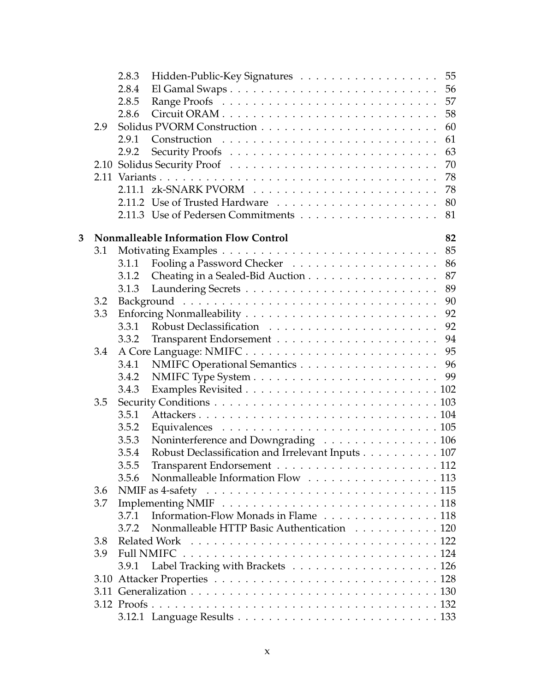|   |     | 2.8.3 | Hidden-Public-Key Signatures 55                   |    |
|---|-----|-------|---------------------------------------------------|----|
|   |     | 2.8.4 |                                                   |    |
|   |     | 2.8.5 |                                                   | 57 |
|   |     | 2.8.6 |                                                   | 58 |
|   | 2.9 |       |                                                   | 60 |
|   |     | 2.9.1 |                                                   | 61 |
|   |     | 2.9.2 |                                                   | 63 |
|   |     |       |                                                   | 70 |
|   |     |       |                                                   | 78 |
|   |     |       |                                                   | 78 |
|   |     |       |                                                   | 80 |
|   |     |       |                                                   | 81 |
| 3 |     |       | <b>Nonmalleable Information Flow Control</b>      | 82 |
|   | 3.1 |       |                                                   | 85 |
|   |     | 3.1.1 |                                                   | 86 |
|   |     | 3.1.2 | Cheating in a Sealed-Bid Auction                  | 87 |
|   |     | 3.1.3 |                                                   | 89 |
|   | 3.2 |       |                                                   | 90 |
|   | 3.3 |       |                                                   | 92 |
|   |     | 3.3.1 |                                                   | 92 |
|   |     | 3.3.2 |                                                   | 94 |
|   | 3.4 |       |                                                   | 95 |
|   |     | 3.4.1 | NMIFC Operational Semantics 96                    |    |
|   |     | 3.4.2 |                                                   | 99 |
|   |     | 3.4.3 |                                                   |    |
|   | 3.5 |       |                                                   |    |
|   |     | 3.5.1 |                                                   |    |
|   |     | 3.5.2 |                                                   |    |
|   |     | 3.5.3 | Noninterference and Downgrading 106               |    |
|   |     | 3.5.4 | Robust Declassification and Irrelevant Inputs 107 |    |
|   |     | 3.5.5 |                                                   |    |
|   |     | 3.5.6 | Nonmalleable Information Flow 113                 |    |
|   | 3.6 |       |                                                   |    |
|   | 3.7 |       |                                                   |    |
|   |     | 3.7.1 | Information-Flow Monads in Flame 118              |    |
|   |     | 3.7.2 | Nonmalleable HTTP Basic Authentication 120        |    |
|   | 3.8 |       |                                                   |    |
|   | 3.9 |       |                                                   |    |
|   |     | 3.9.1 |                                                   |    |
|   |     |       |                                                   |    |
|   |     |       |                                                   |    |
|   |     |       |                                                   |    |
|   |     |       |                                                   |    |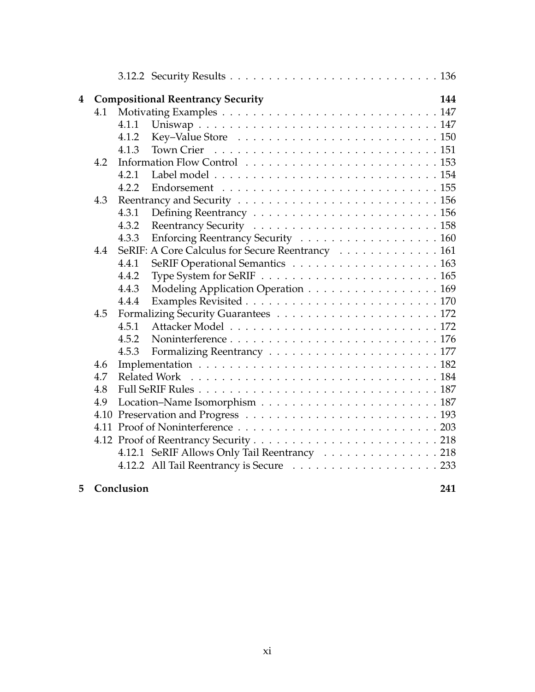| 4 |     |            | <b>Compositional Reentrancy Security</b>         | 144 |
|---|-----|------------|--------------------------------------------------|-----|
|   | 4.1 |            |                                                  |     |
|   |     | 4.1.1      |                                                  |     |
|   |     | 4.1.2      |                                                  |     |
|   |     | 4.1.3      |                                                  |     |
|   | 4.2 |            |                                                  |     |
|   |     | 4.2.1      |                                                  |     |
|   |     | 4.2.2      |                                                  |     |
|   | 4.3 |            |                                                  |     |
|   |     | 4.3.1      |                                                  |     |
|   |     | 4.3.2      |                                                  |     |
|   |     | 4.3.3      | Enforcing Reentrancy Security 160                |     |
|   | 4.4 |            | SeRIF: A Core Calculus for Secure Reentrancy 161 |     |
|   |     | 4.4.1      |                                                  |     |
|   |     | 4.4.2      |                                                  |     |
|   |     | 4.4.3      | Modeling Application Operation 169               |     |
|   |     | 4.4.4      |                                                  |     |
|   | 4.5 |            |                                                  |     |
|   |     | 4.5.1      |                                                  |     |
|   |     | 4.5.2      |                                                  |     |
|   |     | 4.5.3      |                                                  |     |
|   | 4.6 |            |                                                  |     |
|   | 4.7 |            | Related Work                                     |     |
|   | 4.8 |            |                                                  |     |
|   | 4.9 |            |                                                  |     |
|   |     |            |                                                  |     |
|   |     |            |                                                  |     |
|   |     |            |                                                  |     |
|   |     |            | 4.12.1 SeRIF Allows Only Tail Reentrancy 218     |     |
|   |     |            |                                                  |     |
| 5 |     | Conclusion |                                                  | 241 |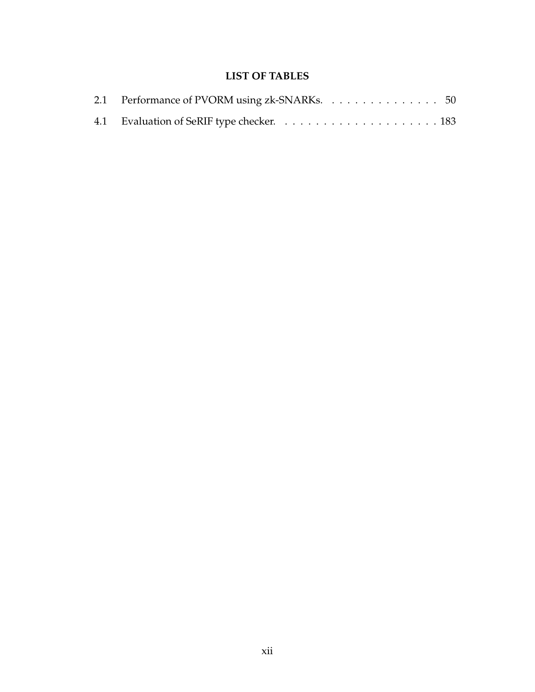# **LIST OF TABLES**

<span id="page-12-0"></span>

| 2.1 Performance of PVORM using zk-SNARKs. 50 |  |  |  |  |  |  |  |  |
|----------------------------------------------|--|--|--|--|--|--|--|--|
|                                              |  |  |  |  |  |  |  |  |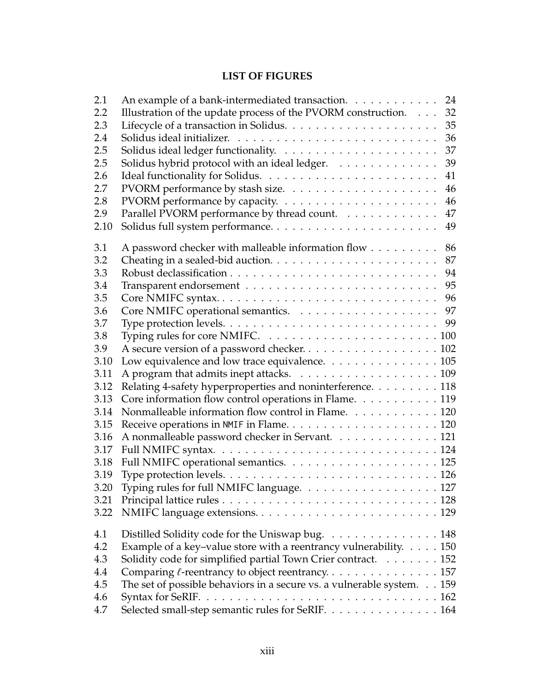# **LIST OF FIGURES**

<span id="page-13-0"></span>

| 2.1  | An example of a bank-intermediated transaction.                             |  | 24 |
|------|-----------------------------------------------------------------------------|--|----|
| 2.2  | Illustration of the update process of the PVORM construction.               |  | 32 |
| 2.3  |                                                                             |  | 35 |
| 2.4  |                                                                             |  | 36 |
| 2.5  |                                                                             |  | 37 |
| 2.5  | Solidus hybrid protocol with an ideal ledger.                               |  | 39 |
| 2.6  |                                                                             |  | 41 |
| 2.7  |                                                                             |  | 46 |
| 2.8  |                                                                             |  | 46 |
| 2.9  | Parallel PVORM performance by thread count.                                 |  | 47 |
| 2.10 |                                                                             |  | 49 |
| 3.1  | A password checker with malleable information flow                          |  | 86 |
| 3.2  |                                                                             |  | 87 |
| 3.3  |                                                                             |  | 94 |
| 3.4  |                                                                             |  | 95 |
| 3.5  | Core NMIFC syntax                                                           |  | 96 |
| 3.6  |                                                                             |  | 97 |
| 3.7  |                                                                             |  | 99 |
| 3.8  |                                                                             |  |    |
| 3.9  |                                                                             |  |    |
| 3.10 | Low equivalence and low trace equivalence. 105                              |  |    |
| 3.11 |                                                                             |  |    |
| 3.12 | Relating 4-safety hyperproperties and noninterference. 118                  |  |    |
| 3.13 | Core information flow control operations in Flame. 119                      |  |    |
| 3.14 | Nonmalleable information flow control in Flame. 120                         |  |    |
| 3.15 |                                                                             |  |    |
| 3.16 | A nonmalleable password checker in Servant. 121                             |  |    |
| 3.17 |                                                                             |  |    |
| 3.18 |                                                                             |  |    |
| 3.19 |                                                                             |  |    |
| 3.20 | Typing rules for full NMIFC language. 127                                   |  |    |
| 3.21 |                                                                             |  |    |
| 3.22 |                                                                             |  |    |
| 4.1  | Distilled Solidity code for the Uniswap bug. 148                            |  |    |
| 4.2  | Example of a key-value store with a reentrancy vulnerability. $\dots$ . 150 |  |    |
| 4.3  | Solidity code for simplified partial Town Crier contract. 152               |  |    |
| 4.4  |                                                                             |  |    |
| 4.5  | The set of possible behaviors in a secure vs. a vulnerable system. 159      |  |    |
| 4.6  |                                                                             |  |    |
| 4.7  | Selected small-step semantic rules for SeRIF. 164                           |  |    |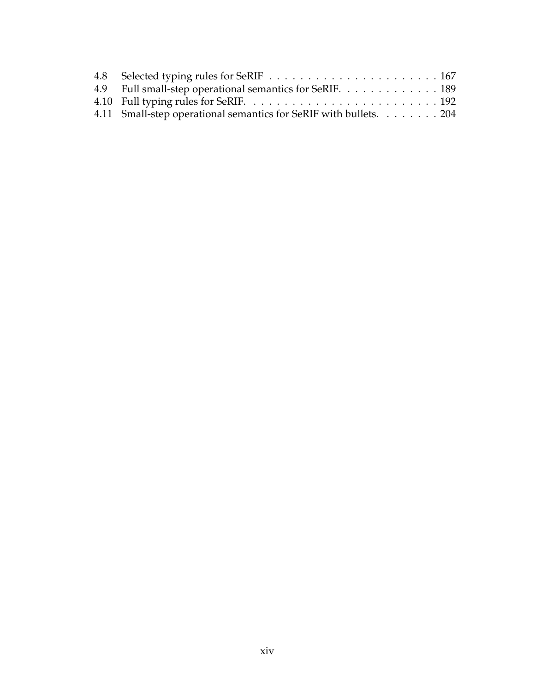| 4.9 Full small-step operational semantics for SeRIF. 189          |  |
|-------------------------------------------------------------------|--|
|                                                                   |  |
| 4.11 Small-step operational semantics for SeRIF with bullets. 204 |  |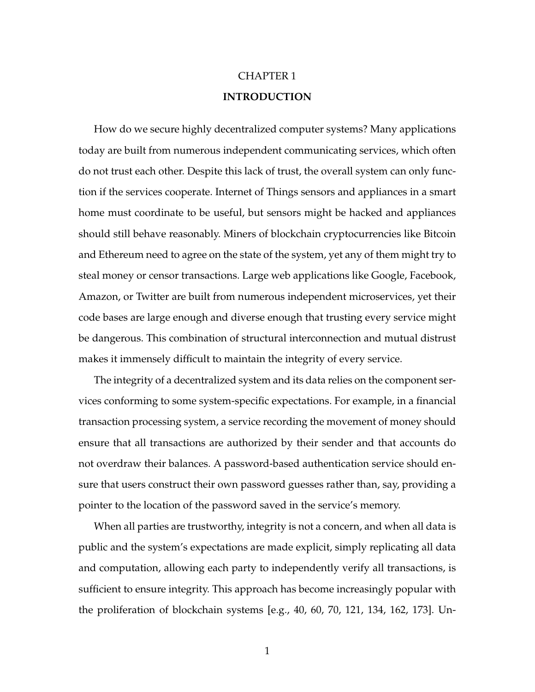# CHAPTER 1 **INTRODUCTION**

<span id="page-15-0"></span>How do we secure highly decentralized computer systems? Many applications today are built from numerous independent communicating services, which often do not trust each other. Despite this lack of trust, the overall system can only function if the services cooperate. Internet of Things sensors and appliances in a smart home must coordinate to be useful, but sensors might be hacked and appliances should still behave reasonably. Miners of blockchain cryptocurrencies like Bitcoin and Ethereum need to agree on the state of the system, yet any of them might try to steal money or censor transactions. Large web applications like Google, Facebook, Amazon, or Twitter are built from numerous independent microservices, yet their code bases are large enough and diverse enough that trusting every service might be dangerous. This combination of structural interconnection and mutual distrust makes it immensely difficult to maintain the integrity of every service.

The integrity of a decentralized system and its data relies on the component services conforming to some system-specific expectations. For example, in a financial transaction processing system, a service recording the movement of money should ensure that all transactions are authorized by their sender and that accounts do not overdraw their balances. A password-based authentication service should ensure that users construct their own password guesses rather than, say, providing a pointer to the location of the password saved in the service's memory.

When all parties are trustworthy, integrity is not a concern, and when all data is public and the system's expectations are made explicit, simply replicating all data and computation, allowing each party to independently verify all transactions, is sufficient to ensure integrity. This approach has become increasingly popular with the proliferation of blockchain systems [e.g., [40,](#page-263-0) [60,](#page-266-0) [70,](#page-267-0) [121,](#page-274-0) [134,](#page-276-0) [162,](#page-280-0) [173\]](#page-281-0). Un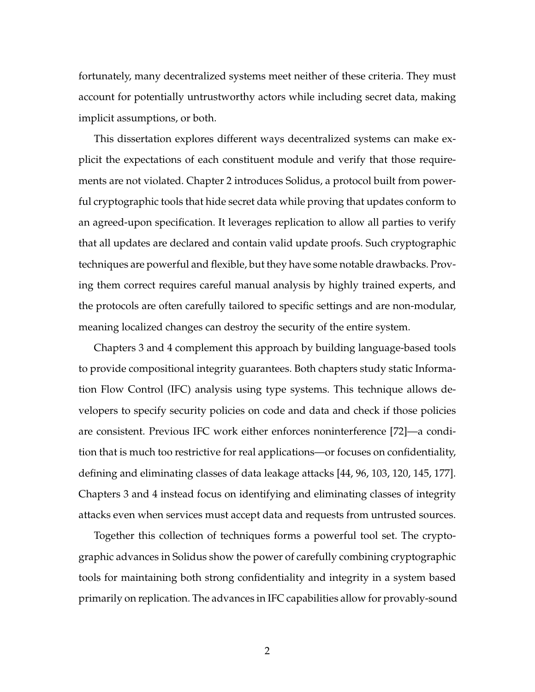fortunately, many decentralized systems meet neither of these criteria. They must account for potentially untrustworthy actors while including secret data, making implicit assumptions, or both.

This dissertation explores different ways decentralized systems can make explicit the expectations of each constituent module and verify that those requirements are not violated. Chapter [2](#page-26-0) introduces Solidus, a protocol built from powerful cryptographic tools that hide secret data while proving that updates conform to an agreed-upon specification. It leverages replication to allow all parties to verify that all updates are declared and contain valid update proofs. Such cryptographic techniques are powerful and flexible, but they have some notable drawbacks. Proving them correct requires careful manual analysis by highly trained experts, and the protocols are often carefully tailored to specific settings and are non-modular, meaning localized changes can destroy the security of the entire system.

Chapters [3](#page-96-0) and [4](#page-158-0) complement this approach by building language-based tools to provide compositional integrity guarantees. Both chapters study static Information Flow Control (IFC) analysis using type systems. This technique allows developers to specify security policies on code and data and check if those policies are consistent. Previous IFC work either enforces noninterference [\[72\]](#page-268-0)—a condition that is much too restrictive for real applications—or focuses on confidentiality, defining and eliminating classes of data leakage attacks [\[44,](#page-264-0) [96,](#page-271-0) [103,](#page-272-0) [120,](#page-274-1) [145,](#page-278-0) [177\]](#page-282-0). Chapters [3](#page-96-0) and [4](#page-158-0) instead focus on identifying and eliminating classes of integrity attacks even when services must accept data and requests from untrusted sources.

Together this collection of techniques forms a powerful tool set. The cryptographic advances in Solidus show the power of carefully combining cryptographic tools for maintaining both strong confidentiality and integrity in a system based primarily on replication. The advances in IFC capabilities allow for provably-sound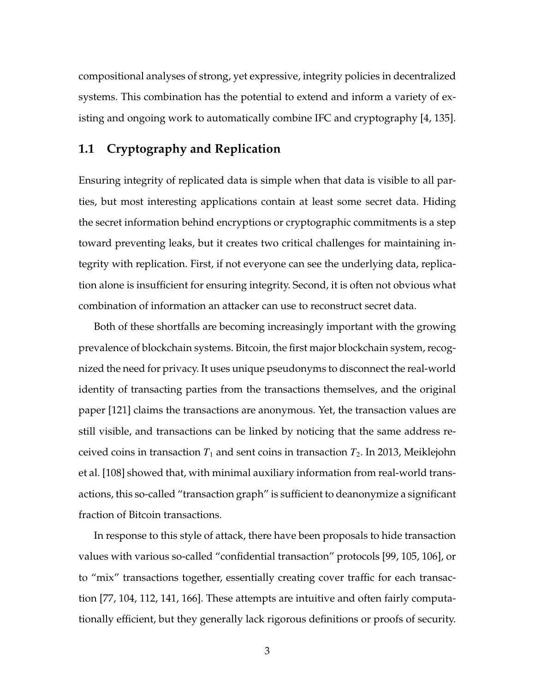compositional analyses of strong, yet expressive, integrity policies in decentralized systems. This combination has the potential to extend and inform a variety of existing and ongoing work to automatically combine IFC and cryptography [\[4,](#page-258-0) [135\]](#page-276-1).

# <span id="page-17-0"></span>**1.1 Cryptography and Replication**

Ensuring integrity of replicated data is simple when that data is visible to all parties, but most interesting applications contain at least some secret data. Hiding the secret information behind encryptions or cryptographic commitments is a step toward preventing leaks, but it creates two critical challenges for maintaining integrity with replication. First, if not everyone can see the underlying data, replication alone is insufficient for ensuring integrity. Second, it is often not obvious what combination of information an attacker can use to reconstruct secret data.

Both of these shortfalls are becoming increasingly important with the growing prevalence of blockchain systems. Bitcoin, the first major blockchain system, recognized the need for privacy. It uses unique pseudonyms to disconnect the real-world identity of transacting parties from the transactions themselves, and the original paper [\[121\]](#page-274-0) claims the transactions are anonymous. Yet, the transaction values are still visible, and transactions can be linked by noticing that the same address received coins in transaction  $T_1$  and sent coins in transaction  $T_2$ . In 2013, Meiklejohn et al. [\[108\]](#page-273-0) showed that, with minimal auxiliary information from real-world transactions, this so-called "transaction graph" is sufficient to deanonymize a significant fraction of Bitcoin transactions.

In response to this style of attack, there have been proposals to hide transaction values with various so-called "confidential transaction" protocols [\[99,](#page-272-1) [105,](#page-272-2) [106\]](#page-272-3), or to "mix" transactions together, essentially creating cover traffic for each transaction [\[77,](#page-268-1) [104,](#page-272-4) [112,](#page-273-1) [141,](#page-277-0) [166\]](#page-280-1). These attempts are intuitive and often fairly computationally efficient, but they generally lack rigorous definitions or proofs of security.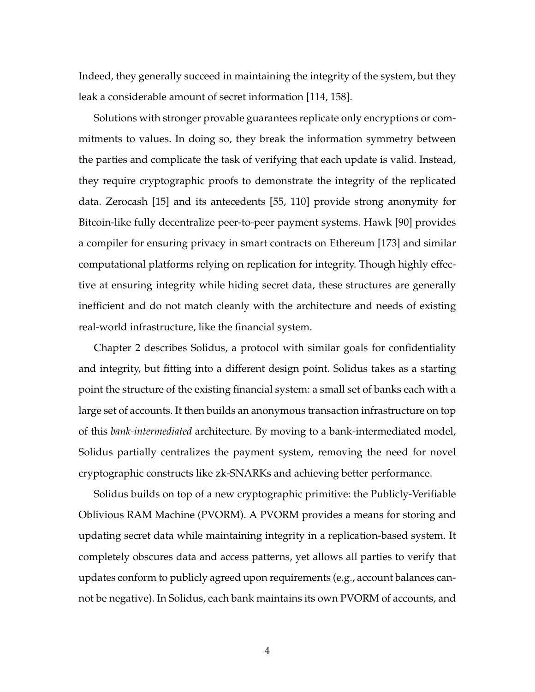Indeed, they generally succeed in maintaining the integrity of the system, but they leak a considerable amount of secret information [\[114,](#page-273-2) [158\]](#page-279-0).

Solutions with stronger provable guarantees replicate only encryptions or commitments to values. In doing so, they break the information symmetry between the parties and complicate the task of verifying that each update is valid. Instead, they require cryptographic proofs to demonstrate the integrity of the replicated data. Zerocash [\[15\]](#page-260-0) and its antecedents [\[55,](#page-265-0) [110\]](#page-273-3) provide strong anonymity for Bitcoin-like fully decentralize peer-to-peer payment systems. Hawk [\[90\]](#page-270-0) provides a compiler for ensuring privacy in smart contracts on Ethereum [\[173\]](#page-281-0) and similar computational platforms relying on replication for integrity. Though highly effective at ensuring integrity while hiding secret data, these structures are generally inefficient and do not match cleanly with the architecture and needs of existing real-world infrastructure, like the financial system.

Chapter [2](#page-26-0) describes Solidus, a protocol with similar goals for confidentiality and integrity, but fitting into a different design point. Solidus takes as a starting point the structure of the existing financial system: a small set of banks each with a large set of accounts. It then builds an anonymous transaction infrastructure on top of this *bank-intermediated* architecture. By moving to a bank-intermediated model, Solidus partially centralizes the payment system, removing the need for novel cryptographic constructs like zk-SNARKs and achieving better performance.

Solidus builds on top of a new cryptographic primitive: the Publicly-Verifiable Oblivious RAM Machine (PVORM). A PVORM provides a means for storing and updating secret data while maintaining integrity in a replication-based system. It completely obscures data and access patterns, yet allows all parties to verify that updates conform to publicly agreed upon requirements (e.g., account balances cannot be negative). In Solidus, each bank maintains its own PVORM of accounts, and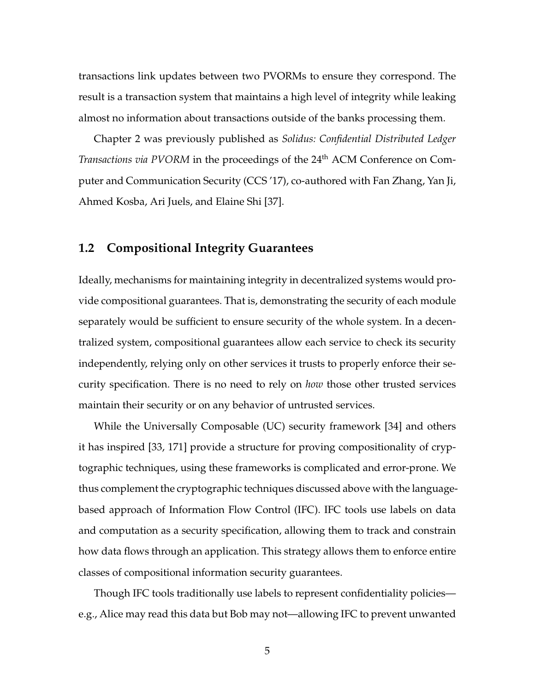transactions link updates between two PVORMs to ensure they correspond. The result is a transaction system that maintains a high level of integrity while leaking almost no information about transactions outside of the banks processing them.

Chapter [2](#page-26-0) was previously published as *Solidus: Confidential Distributed Ledger Transactions via PVORM* in the proceedings of the 24<sup>th</sup> ACM Conference on Computer and Communication Security (CCS '17), co-authored with Fan Zhang, Yan Ji, Ahmed Kosba, Ari Juels, and Elaine Shi [\[37\]](#page-263-1).

## <span id="page-19-0"></span>**1.2 Compositional Integrity Guarantees**

Ideally, mechanisms for maintaining integrity in decentralized systems would provide compositional guarantees. That is, demonstrating the security of each module separately would be sufficient to ensure security of the whole system. In a decentralized system, compositional guarantees allow each service to check its security independently, relying only on other services it trusts to properly enforce their security specification. There is no need to rely on *how* those other trusted services maintain their security or on any behavior of untrusted services.

While the Universally Composable (UC) security framework [\[34\]](#page-262-0) and others it has inspired [\[33,](#page-262-1) [171\]](#page-281-1) provide a structure for proving compositionality of cryptographic techniques, using these frameworks is complicated and error-prone. We thus complement the cryptographic techniques discussed above with the languagebased approach of Information Flow Control (IFC). IFC tools use labels on data and computation as a security specification, allowing them to track and constrain how data flows through an application. This strategy allows them to enforce entire classes of compositional information security guarantees.

Though IFC tools traditionally use labels to represent confidentiality policies e.g., Alice may read this data but Bob may not—allowing IFC to prevent unwanted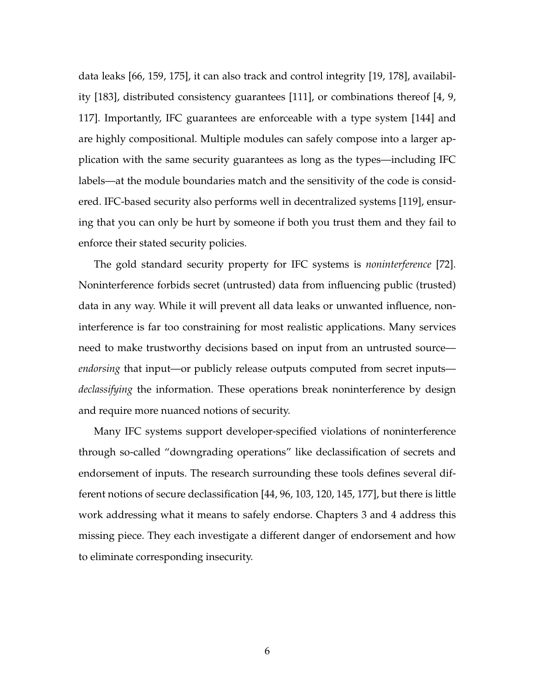data leaks [\[66,](#page-267-1) [159,](#page-279-1) [175\]](#page-281-2), it can also track and control integrity [\[19,](#page-260-1) [178\]](#page-282-1), availability [\[183\]](#page-283-0), distributed consistency guarantees [\[111\]](#page-273-4), or combinations thereof [\[4,](#page-258-0) [9,](#page-259-0) [117\]](#page-274-2). Importantly, IFC guarantees are enforceable with a type system [\[144\]](#page-277-1) and are highly compositional. Multiple modules can safely compose into a larger application with the same security guarantees as long as the types—including IFC labels—at the module boundaries match and the sensitivity of the code is considered. IFC-based security also performs well in decentralized systems [\[119\]](#page-274-3), ensuring that you can only be hurt by someone if both you trust them and they fail to enforce their stated security policies.

The gold standard security property for IFC systems is *noninterference* [\[72\]](#page-268-0). Noninterference forbids secret (untrusted) data from influencing public (trusted) data in any way. While it will prevent all data leaks or unwanted influence, noninterference is far too constraining for most realistic applications. Many services need to make trustworthy decisions based on input from an untrusted source *endorsing* that input—or publicly release outputs computed from secret inputs *declassifying* the information. These operations break noninterference by design and require more nuanced notions of security.

<span id="page-20-0"></span>Many IFC systems support developer-specified violations of noninterference through so-called "downgrading operations" like declassification of secrets and endorsement of inputs. The research surrounding these tools defines several different notions of secure declassification [\[44,](#page-264-0) [96,](#page-271-0) [103,](#page-272-0) [120,](#page-274-1) [145,](#page-278-0) [177\]](#page-282-0), but there is little work addressing what it means to safely endorse. Chapters [3](#page-96-0) and [4](#page-158-0) address this missing piece. They each investigate a different danger of endorsement and how to eliminate corresponding insecurity.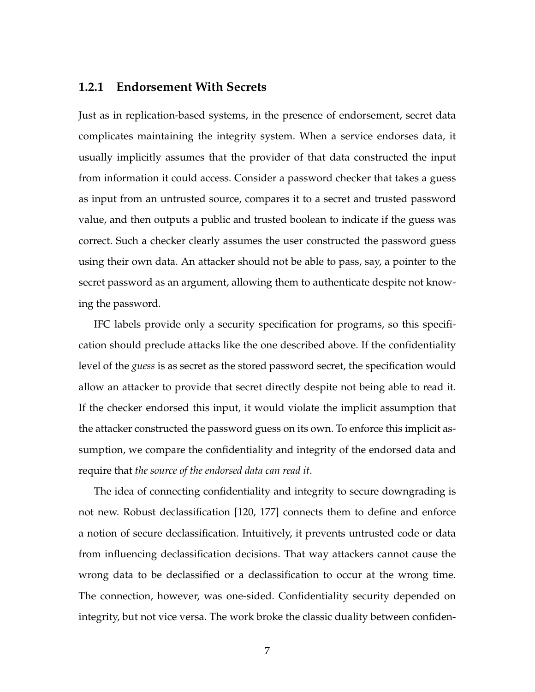#### **1.2.1 Endorsement With Secrets**

Just as in replication-based systems, in the presence of endorsement, secret data complicates maintaining the integrity system. When a service endorses data, it usually implicitly assumes that the provider of that data constructed the input from information it could access. Consider a password checker that takes a guess as input from an untrusted source, compares it to a secret and trusted password value, and then outputs a public and trusted boolean to indicate if the guess was correct. Such a checker clearly assumes the user constructed the password guess using their own data. An attacker should not be able to pass, say, a pointer to the secret password as an argument, allowing them to authenticate despite not knowing the password.

IFC labels provide only a security specification for programs, so this specification should preclude attacks like the one described above. If the confidentiality level of the *guess* is as secret as the stored password secret, the specification would allow an attacker to provide that secret directly despite not being able to read it. If the checker endorsed this input, it would violate the implicit assumption that the attacker constructed the password guess on its own. To enforce this implicit assumption, we compare the confidentiality and integrity of the endorsed data and require that *the source of the endorsed data can read it*.

The idea of connecting confidentiality and integrity to secure downgrading is not new. Robust declassification [\[120,](#page-274-1) [177\]](#page-282-0) connects them to define and enforce a notion of secure declassification. Intuitively, it prevents untrusted code or data from influencing declassification decisions. That way attackers cannot cause the wrong data to be declassified or a declassification to occur at the wrong time. The connection, however, was one-sided. Confidentiality security depended on integrity, but not vice versa. The work broke the classic duality between confiden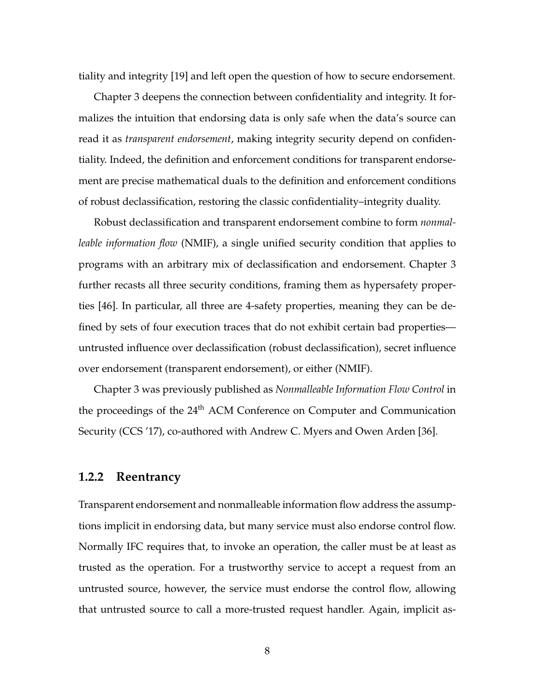tiality and integrity [\[19\]](#page-260-1) and left open the question of how to secure endorsement.

Chapter [3](#page-96-0) deepens the connection between confidentiality and integrity. It formalizes the intuition that endorsing data is only safe when the data's source can read it as *transparent endorsement*, making integrity security depend on confidentiality. Indeed, the definition and enforcement conditions for transparent endorsement are precise mathematical duals to the definition and enforcement conditions of robust declassification, restoring the classic confidentiality–integrity duality.

Robust declassification and transparent endorsement combine to form *nonmalleable information flow* (NMIF), a single unified security condition that applies to programs with an arbitrary mix of declassification and endorsement. Chapter [3](#page-96-0) further recasts all three security conditions, framing them as hypersafety properties [\[46\]](#page-264-1). In particular, all three are 4-safety properties, meaning they can be defined by sets of four execution traces that do not exhibit certain bad properties untrusted influence over declassification (robust declassification), secret influence over endorsement (transparent endorsement), or either (NMIF).

Chapter [3](#page-96-0) was previously published as *Nonmalleable Information Flow Control* in the proceedings of the 24<sup>th</sup> ACM Conference on Computer and Communication Security (CCS '17), co-authored with Andrew C. Myers and Owen Arden [\[36\]](#page-263-2).

#### <span id="page-22-0"></span>**1.2.2 Reentrancy**

Transparent endorsement and nonmalleable information flow address the assumptions implicit in endorsing data, but many service must also endorse control flow. Normally IFC requires that, to invoke an operation, the caller must be at least as trusted as the operation. For a trustworthy service to accept a request from an untrusted source, however, the service must endorse the control flow, allowing that untrusted source to call a more-trusted request handler. Again, implicit as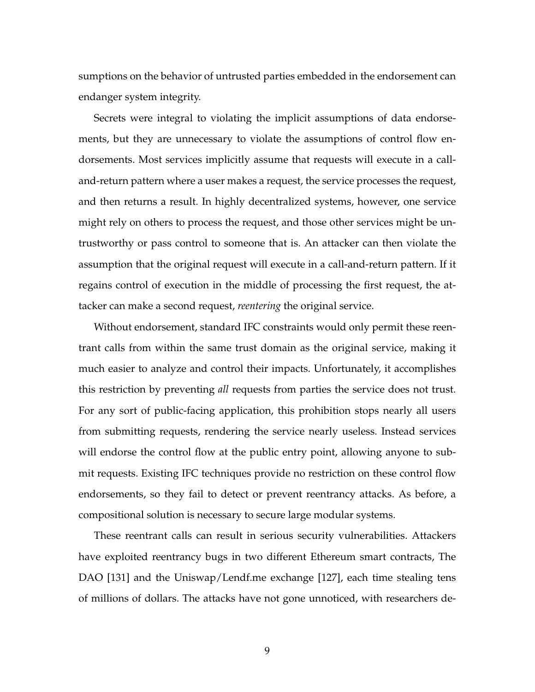sumptions on the behavior of untrusted parties embedded in the endorsement can endanger system integrity.

Secrets were integral to violating the implicit assumptions of data endorsements, but they are unnecessary to violate the assumptions of control flow endorsements. Most services implicitly assume that requests will execute in a calland-return pattern where a user makes a request, the service processes the request, and then returns a result. In highly decentralized systems, however, one service might rely on others to process the request, and those other services might be untrustworthy or pass control to someone that is. An attacker can then violate the assumption that the original request will execute in a call-and-return pattern. If it regains control of execution in the middle of processing the first request, the attacker can make a second request, *reentering* the original service.

Without endorsement, standard IFC constraints would only permit these reentrant calls from within the same trust domain as the original service, making it much easier to analyze and control their impacts. Unfortunately, it accomplishes this restriction by preventing *all* requests from parties the service does not trust. For any sort of public-facing application, this prohibition stops nearly all users from submitting requests, rendering the service nearly useless. Instead services will endorse the control flow at the public entry point, allowing anyone to submit requests. Existing IFC techniques provide no restriction on these control flow endorsements, so they fail to detect or prevent reentrancy attacks. As before, a compositional solution is necessary to secure large modular systems.

These reentrant calls can result in serious security vulnerabilities. Attackers have exploited reentrancy bugs in two different Ethereum smart contracts, The DAO [\[131\]](#page-276-2) and the Uniswap/Lendf.me exchange [\[127\]](#page-275-0), each time stealing tens of millions of dollars. The attacks have not gone unnoticed, with researchers de-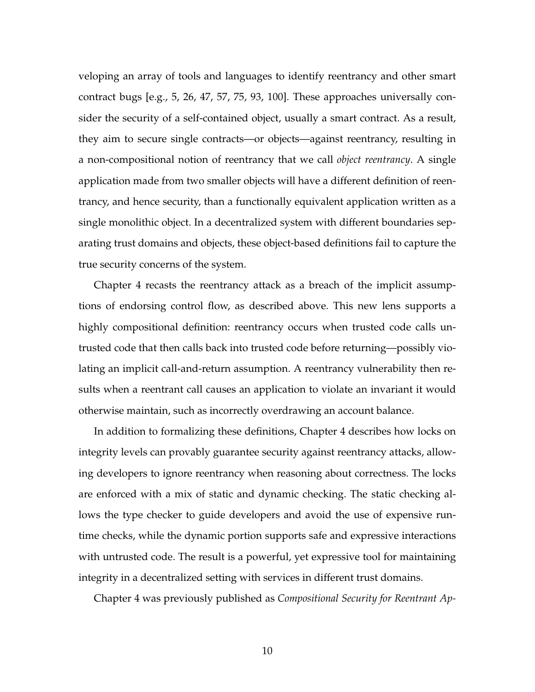veloping an array of tools and languages to identify reentrancy and other smart contract bugs [e.g., [5,](#page-258-1) [26,](#page-261-0) [47,](#page-264-2) [57,](#page-265-1) [75,](#page-268-2) [93,](#page-271-1) [100\]](#page-272-5). These approaches universally consider the security of a self-contained object, usually a smart contract. As a result, they aim to secure single contracts—or objects—against reentrancy, resulting in a non-compositional notion of reentrancy that we call *object reentrancy*. A single application made from two smaller objects will have a different definition of reentrancy, and hence security, than a functionally equivalent application written as a single monolithic object. In a decentralized system with different boundaries separating trust domains and objects, these object-based definitions fail to capture the true security concerns of the system.

Chapter [4](#page-158-0) recasts the reentrancy attack as a breach of the implicit assumptions of endorsing control flow, as described above. This new lens supports a highly compositional definition: reentrancy occurs when trusted code calls untrusted code that then calls back into trusted code before returning—possibly violating an implicit call-and-return assumption. A reentrancy vulnerability then results when a reentrant call causes an application to violate an invariant it would otherwise maintain, such as incorrectly overdrawing an account balance.

In addition to formalizing these definitions, Chapter [4](#page-158-0) describes how locks on integrity levels can provably guarantee security against reentrancy attacks, allowing developers to ignore reentrancy when reasoning about correctness. The locks are enforced with a mix of static and dynamic checking. The static checking allows the type checker to guide developers and avoid the use of expensive runtime checks, while the dynamic portion supports safe and expressive interactions with untrusted code. The result is a powerful, yet expressive tool for maintaining integrity in a decentralized setting with services in different trust domains.

Chapter [4](#page-158-0) was previously published as *Compositional Security for Reentrant Ap-*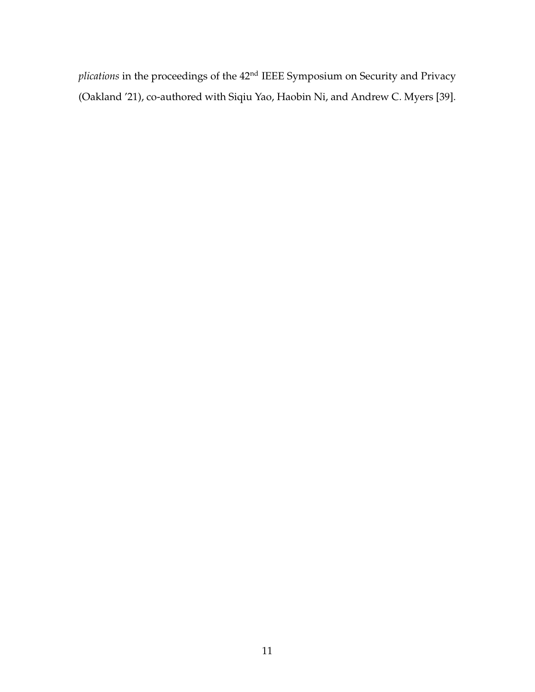*plications* in the proceedings of the 42nd IEEE Symposium on Security and Privacy (Oakland '21), co-authored with Siqiu Yao, Haobin Ni, and Andrew C. Myers [\[39\]](#page-263-3).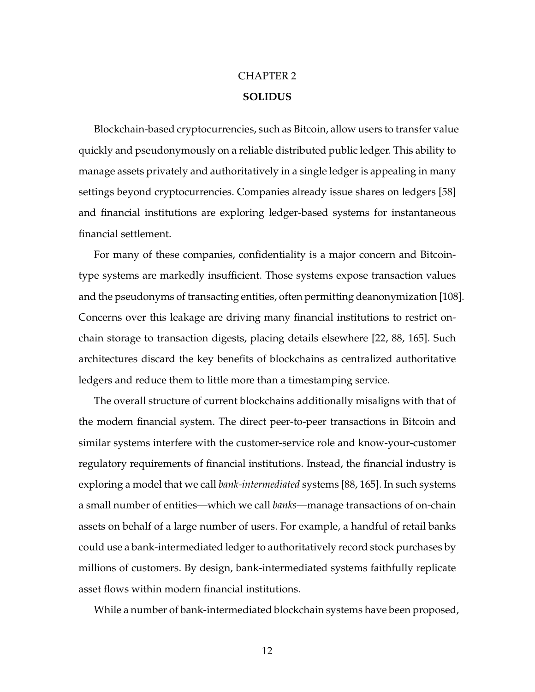# CHAPTER 2 **SOLIDUS**

<span id="page-26-0"></span>Blockchain-based cryptocurrencies, such as Bitcoin, allow users to transfer value quickly and pseudonymously on a reliable distributed public ledger. This ability to manage assets privately and authoritatively in a single ledger is appealing in many settings beyond cryptocurrencies. Companies already issue shares on ledgers [\[58\]](#page-266-1) and financial institutions are exploring ledger-based systems for instantaneous financial settlement.

For many of these companies, confidentiality is a major concern and Bitcointype systems are markedly insufficient. Those systems expose transaction values and the pseudonyms of transacting entities, often permitting deanonymization [\[108\]](#page-273-0). Concerns over this leakage are driving many financial institutions to restrict onchain storage to transaction digests, placing details elsewhere [\[22,](#page-261-1) [88,](#page-270-1) [165\]](#page-280-2). Such architectures discard the key benefits of blockchains as centralized authoritative ledgers and reduce them to little more than a timestamping service.

The overall structure of current blockchains additionally misaligns with that of the modern financial system. The direct peer-to-peer transactions in Bitcoin and similar systems interfere with the customer-service role and know-your-customer regulatory requirements of financial institutions. Instead, the financial industry is exploring a model that we call *bank-intermediated* systems [\[88,](#page-270-1) [165\]](#page-280-2). In such systems a small number of entities—which we call *banks*—manage transactions of on-chain assets on behalf of a large number of users. For example, a handful of retail banks could use a bank-intermediated ledger to authoritatively record stock purchases by millions of customers. By design, bank-intermediated systems faithfully replicate asset flows within modern financial institutions.

While a number of bank-intermediated blockchain systems have been proposed,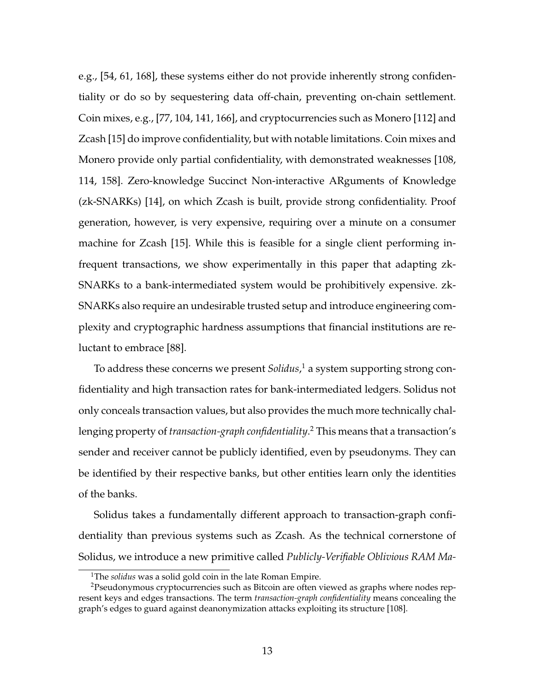e.g., [\[54,](#page-265-2) [61,](#page-266-2) [168\]](#page-281-3), these systems either do not provide inherently strong confidentiality or do so by sequestering data off-chain, preventing on-chain settlement. Coin mixes, e.g., [\[77,](#page-268-1) [104,](#page-272-4) [141,](#page-277-0) [166\]](#page-280-1), and cryptocurrencies such as Monero [\[112\]](#page-273-1) and Zcash [\[15\]](#page-260-0) do improve confidentiality, but with notable limitations. Coin mixes and Monero provide only partial confidentiality, with demonstrated weaknesses [\[108,](#page-273-0) [114,](#page-273-2) [158\]](#page-279-0). Zero-knowledge Succinct Non-interactive ARguments of Knowledge (zk-SNARKs) [\[14\]](#page-259-1), on which Zcash is built, provide strong confidentiality. Proof generation, however, is very expensive, requiring over a minute on a consumer machine for Zcash [\[15\]](#page-260-0). While this is feasible for a single client performing infrequent transactions, we show experimentally in this paper that adapting zk-SNARKs to a bank-intermediated system would be prohibitively expensive. zk-SNARKs also require an undesirable trusted setup and introduce engineering complexity and cryptographic hardness assumptions that financial institutions are reluctant to embrace [\[88\]](#page-270-1).

To address these concerns we present *Solidus*, [1](#page-27-0) a system supporting strong confidentiality and high transaction rates for bank-intermediated ledgers. Solidus not only conceals transaction values, but also provides the much more technically challenging property of *transaction-graph confidentiality*. [2](#page-27-1) This means that a transaction's sender and receiver cannot be publicly identified, even by pseudonyms. They can be identified by their respective banks, but other entities learn only the identities of the banks.

Solidus takes a fundamentally different approach to transaction-graph confidentiality than previous systems such as Zcash. As the technical cornerstone of Solidus, we introduce a new primitive called *Publicly-Verifiable Oblivious RAM Ma-*

<span id="page-27-1"></span><span id="page-27-0"></span><sup>&</sup>lt;sup>1</sup>The *solidus* was a solid gold coin in the late Roman Empire.

<sup>2</sup>Pseudonymous cryptocurrencies such as Bitcoin are often viewed as graphs where nodes represent keys and edges transactions. The term *transaction-graph confidentiality* means concealing the graph's edges to guard against deanonymization attacks exploiting its structure [\[108\]](#page-273-0).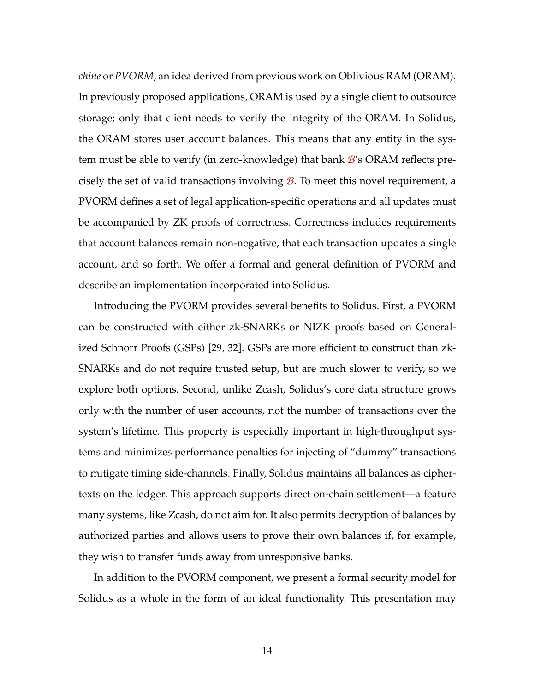*chine* or *PVORM*, an idea derived from previous work on Oblivious RAM (ORAM). In previously proposed applications, ORAM is used by a single client to outsource storage; only that client needs to verify the integrity of the ORAM. In Solidus, the ORAM stores user account balances. This means that any entity in the system must be able to verify (in zero-knowledge) that bank B's ORAM reflects precisely the set of valid transactions involving  $\mathcal{B}$ . To meet this novel requirement, a PVORM defines a set of legal application-specific operations and all updates must be accompanied by ZK proofs of correctness. Correctness includes requirements that account balances remain non-negative, that each transaction updates a single account, and so forth. We offer a formal and general definition of PVORM and describe an implementation incorporated into Solidus.

Introducing the PVORM provides several benefits to Solidus. First, a PVORM can be constructed with either zk-SNARKs or NIZK proofs based on Generalized Schnorr Proofs (GSPs) [\[29,](#page-262-2) [32\]](#page-262-3). GSPs are more efficient to construct than zk-SNARKs and do not require trusted setup, but are much slower to verify, so we explore both options. Second, unlike Zcash, Solidus's core data structure grows only with the number of user accounts, not the number of transactions over the system's lifetime. This property is especially important in high-throughput systems and minimizes performance penalties for injecting of "dummy" transactions to mitigate timing side-channels. Finally, Solidus maintains all balances as ciphertexts on the ledger. This approach supports direct on-chain settlement—a feature many systems, like Zcash, do not aim for. It also permits decryption of balances by authorized parties and allows users to prove their own balances if, for example, they wish to transfer funds away from unresponsive banks.

In addition to the PVORM component, we present a formal security model for Solidus as a whole in the form of an ideal functionality. This presentation may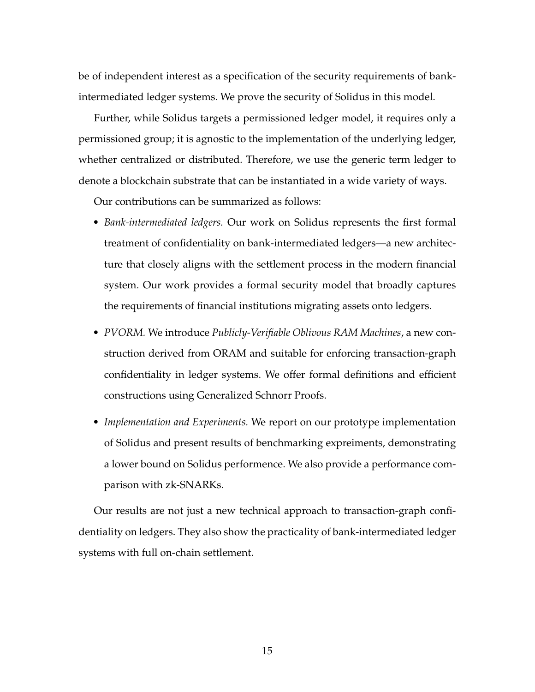be of independent interest as a specification of the security requirements of bankintermediated ledger systems. We prove the security of Solidus in this model.

Further, while Solidus targets a permissioned ledger model, it requires only a permissioned group; it is agnostic to the implementation of the underlying ledger, whether centralized or distributed. Therefore, we use the generic term ledger to denote a blockchain substrate that can be instantiated in a wide variety of ways.

Our contributions can be summarized as follows:

- *Bank-intermediated ledgers.* Our work on Solidus represents the first formal treatment of confidentiality on bank-intermediated ledgers—a new architecture that closely aligns with the settlement process in the modern financial system. Our work provides a formal security model that broadly captures the requirements of financial institutions migrating assets onto ledgers.
- *PVORM.* We introduce *Publicly-Verifiable Oblivous RAM Machines*, a new construction derived from ORAM and suitable for enforcing transaction-graph confidentiality in ledger systems. We offer formal definitions and efficient constructions using Generalized Schnorr Proofs.
- *Implementation and Experiments.* We report on our prototype implementation of Solidus and present results of benchmarking expreiments, demonstrating a lower bound on Solidus performence. We also provide a performance comparison with zk-SNARKs.

<span id="page-29-0"></span>Our results are not just a new technical approach to transaction-graph confidentiality on ledgers. They also show the practicality of bank-intermediated ledger systems with full on-chain settlement.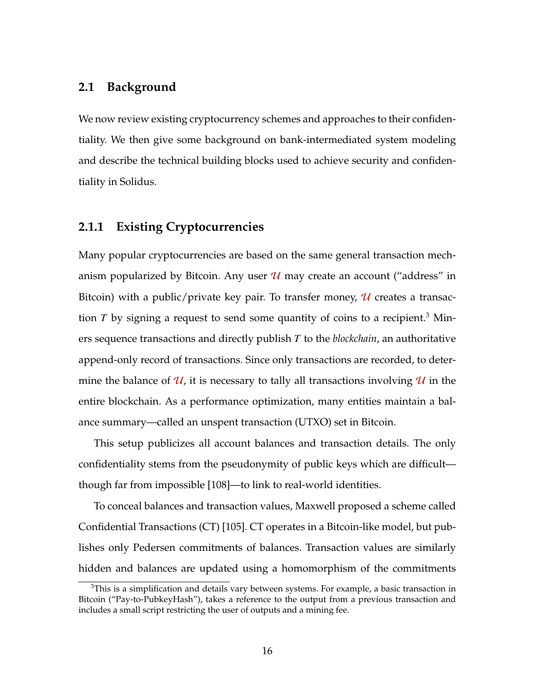# **2.1 Background**

We now review existing cryptocurrency schemes and approaches to their confidentiality. We then give some background on bank-intermediated system modeling and describe the technical building blocks used to achieve security and confidentiality in Solidus.

# <span id="page-30-0"></span>**2.1.1 Existing Cryptocurrencies**

Many popular cryptocurrencies are based on the same general transaction mechanism popularized by Bitcoin. Any user  $\mathcal U$  may create an account ("address" in Bitcoin) with a public/private key pair. To transfer money,  $\mathcal U$  creates a transaction *T* by signing a request to send some quantity of coins to a recipient.<sup>[3](#page-30-1)</sup> Miners sequence transactions and directly publish *T* to the *blockchain*, an authoritative append-only record of transactions. Since only transactions are recorded, to determine the balance of  $\mathcal{U}$ , it is necessary to tally all transactions involving  $\mathcal{U}$  in the entire blockchain. As a performance optimization, many entities maintain a balance summary—called an unspent transaction (UTXO) set in Bitcoin.

This setup publicizes all account balances and transaction details. The only confidentiality stems from the pseudonymity of public keys which are difficult though far from impossible [\[108\]](#page-273-0)—to link to real-world identities.

To conceal balances and transaction values, Maxwell proposed a scheme called Confidential Transactions (CT) [\[105\]](#page-272-2). CT operates in a Bitcoin-like model, but publishes only Pedersen commitments of balances. Transaction values are similarly hidden and balances are updated using a homomorphism of the commitments

<span id="page-30-1"></span> $3$ This is a simplification and details vary between systems. For example, a basic transaction in Bitcoin ("Pay-to-PubkeyHash"), takes a reference to the output from a previous transaction and includes a small script restricting the user of outputs and a mining fee.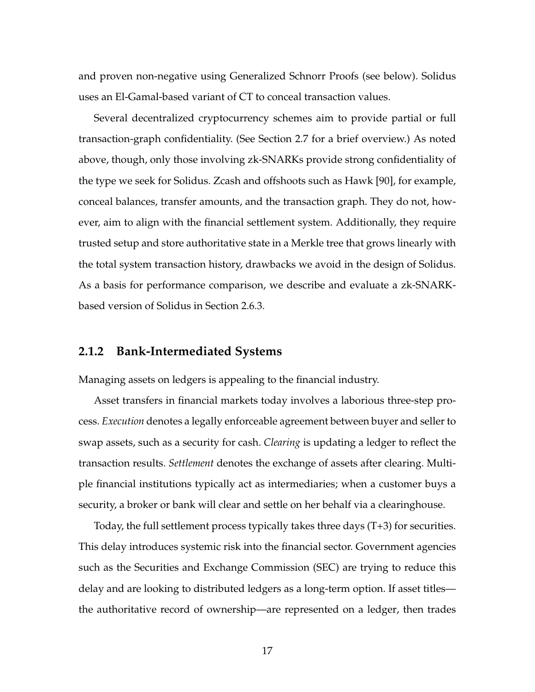and proven non-negative using Generalized Schnorr Proofs (see below). Solidus uses an El-Gamal-based variant of CT to conceal transaction values.

Several decentralized cryptocurrency schemes aim to provide partial or full transaction-graph confidentiality. (See Section [2.7](#page-64-0) for a brief overview.) As noted above, though, only those involving zk-SNARKs provide strong confidentiality of the type we seek for Solidus. Zcash and offshoots such as Hawk [\[90\]](#page-270-0), for example, conceal balances, transfer amounts, and the transaction graph. They do not, however, aim to align with the financial settlement system. Additionally, they require trusted setup and store authoritative state in a Merkle tree that grows linearly with the total system transaction history, drawbacks we avoid in the design of Solidus. As a basis for performance comparison, we describe and evaluate a zk-SNARKbased version of Solidus in Section [2.6.3.](#page-62-0)

#### <span id="page-31-0"></span>**2.1.2 Bank-Intermediated Systems**

Managing assets on ledgers is appealing to the financial industry.

Asset transfers in financial markets today involves a laborious three-step process. *Execution* denotes a legally enforceable agreement between buyer and seller to swap assets, such as a security for cash. *Clearing* is updating a ledger to reflect the transaction results. *Settlement* denotes the exchange of assets after clearing. Multiple financial institutions typically act as intermediaries; when a customer buys a security, a broker or bank will clear and settle on her behalf via a clearinghouse.

Today, the full settlement process typically takes three days (T+3) for securities. This delay introduces systemic risk into the financial sector. Government agencies such as the Securities and Exchange Commission (SEC) are trying to reduce this delay and are looking to distributed ledgers as a long-term option. If asset titles the authoritative record of ownership—are represented on a ledger, then trades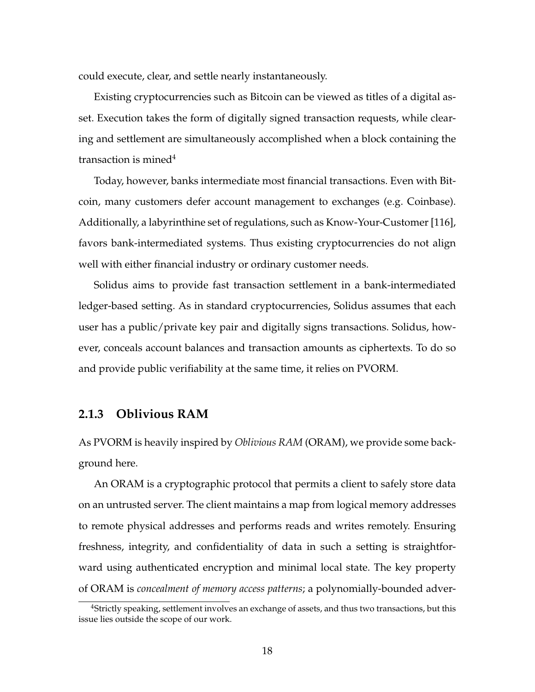could execute, clear, and settle nearly instantaneously.

Existing cryptocurrencies such as Bitcoin can be viewed as titles of a digital asset. Execution takes the form of digitally signed transaction requests, while clearing and settlement are simultaneously accomplished when a block containing the transaction is mined<sup>[4](#page-32-1)</sup>

Today, however, banks intermediate most financial transactions. Even with Bitcoin, many customers defer account management to exchanges (e.g. Coinbase). Additionally, a labyrinthine set of regulations, such as Know-Your-Customer [\[116\]](#page-274-4), favors bank-intermediated systems. Thus existing cryptocurrencies do not align well with either financial industry or ordinary customer needs.

Solidus aims to provide fast transaction settlement in a bank-intermediated ledger-based setting. As in standard cryptocurrencies, Solidus assumes that each user has a public/private key pair and digitally signs transactions. Solidus, however, conceals account balances and transaction amounts as ciphertexts. To do so and provide public verifiability at the same time, it relies on PVORM.

### <span id="page-32-0"></span>**2.1.3 Oblivious RAM**

As PVORM is heavily inspired by *Oblivious RAM* (ORAM), we provide some background here.

An ORAM is a cryptographic protocol that permits a client to safely store data on an untrusted server. The client maintains a map from logical memory addresses to remote physical addresses and performs reads and writes remotely. Ensuring freshness, integrity, and confidentiality of data in such a setting is straightforward using authenticated encryption and minimal local state. The key property of ORAM is *concealment of memory access patterns*; a polynomially-bounded adver-

<span id="page-32-1"></span><sup>4</sup>Strictly speaking, settlement involves an exchange of assets, and thus two transactions, but this issue lies outside the scope of our work.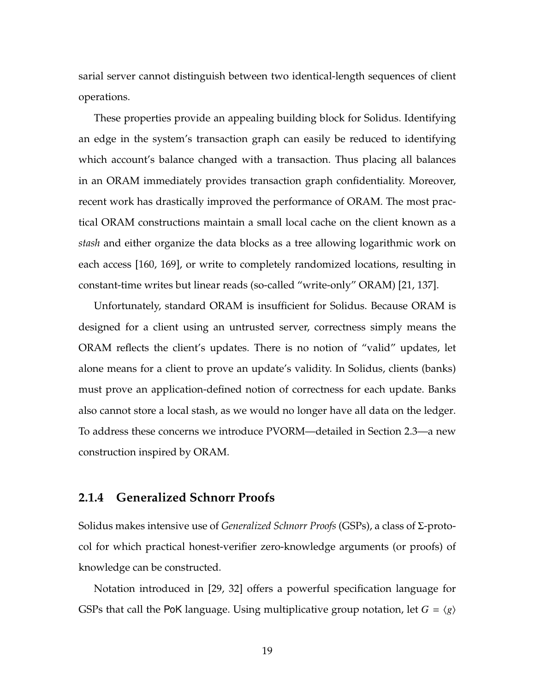sarial server cannot distinguish between two identical-length sequences of client operations.

These properties provide an appealing building block for Solidus. Identifying an edge in the system's transaction graph can easily be reduced to identifying which account's balance changed with a transaction. Thus placing all balances in an ORAM immediately provides transaction graph confidentiality. Moreover, recent work has drastically improved the performance of ORAM. The most practical ORAM constructions maintain a small local cache on the client known as a *stash* and either organize the data blocks as a tree allowing logarithmic work on each access [\[160,](#page-280-3) [169\]](#page-281-4), or write to completely randomized locations, resulting in constant-time writes but linear reads (so-called "write-only" ORAM) [\[21,](#page-261-2) [137\]](#page-276-3).

Unfortunately, standard ORAM is insufficient for Solidus. Because ORAM is designed for a client using an untrusted server, correctness simply means the ORAM reflects the client's updates. There is no notion of "valid" updates, let alone means for a client to prove an update's validity. In Solidus, clients (banks) must prove an application-defined notion of correctness for each update. Banks also cannot store a local stash, as we would no longer have all data on the ledger. To address these concerns we introduce PVORM—detailed in Section [2.3—](#page-41-0)a new construction inspired by ORAM.

#### <span id="page-33-0"></span>**2.1.4 Generalized Schnorr Proofs**

Solidus makes intensive use of *Generalized Schnorr Proofs* (GSPs), a class of Σ-protocol for which practical honest-verifier zero-knowledge arguments (or proofs) of knowledge can be constructed.

Notation introduced in [\[29,](#page-262-2) [32\]](#page-262-3) offers a powerful specification language for GSPs that call the PoK language. Using multiplicative group notation, let  $G = \langle g \rangle$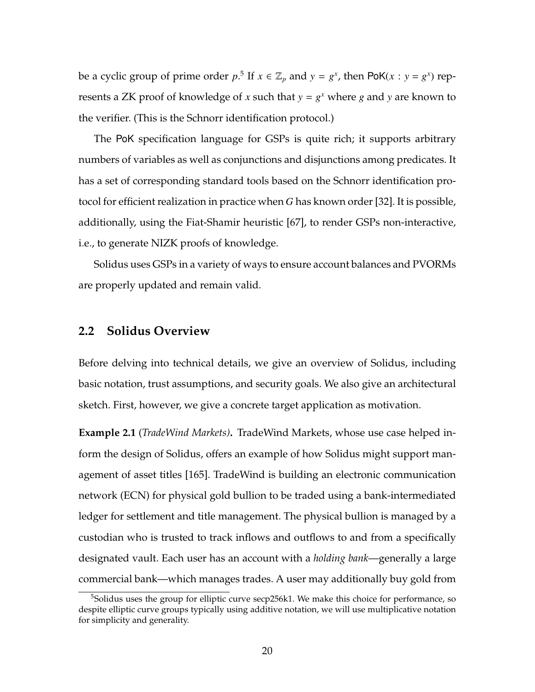be a cyclic group of prime order  $p$ <sup>[5](#page-34-1)</sup> If  $x \in \mathbb{Z}_p$  and  $y = g^x$ , then PoK( $x : y = g^x$ ) represents a ZK proof of knowledge of *x* such that  $y = g^x$  where *g* and *y* are known to the verifier. (This is the Schnorr identification protocol.)

The PoK specification language for GSPs is quite rich; it supports arbitrary numbers of variables as well as conjunctions and disjunctions among predicates. It has a set of corresponding standard tools based on the Schnorr identification protocol for efficient realization in practice when *G* has known order [\[32\]](#page-262-3). It is possible, additionally, using the Fiat-Shamir heuristic [\[67\]](#page-267-2), to render GSPs non-interactive, i.e., to generate NIZK proofs of knowledge.

<span id="page-34-0"></span>Solidus uses GSPs in a variety of ways to ensure account balances and PVORMs are properly updated and remain valid.

### **2.2 Solidus Overview**

Before delving into technical details, we give an overview of Solidus, including basic notation, trust assumptions, and security goals. We also give an architectural sketch. First, however, we give a concrete target application as motivation.

**Example 2.1** (*TradeWind Markets)***.** TradeWind Markets, whose use case helped inform the design of Solidus, offers an example of how Solidus might support management of asset titles [\[165\]](#page-280-2). TradeWind is building an electronic communication network (ECN) for physical gold bullion to be traded using a bank-intermediated ledger for settlement and title management. The physical bullion is managed by a custodian who is trusted to track inflows and outflows to and from a specifically designated vault. Each user has an account with a *holding bank*—generally a large commercial bank—which manages trades. A user may additionally buy gold from

<span id="page-34-1"></span> $5$ Solidus uses the group for elliptic curve secp256k1. We make this choice for performance, so despite elliptic curve groups typically using additive notation, we will use multiplicative notation for simplicity and generality.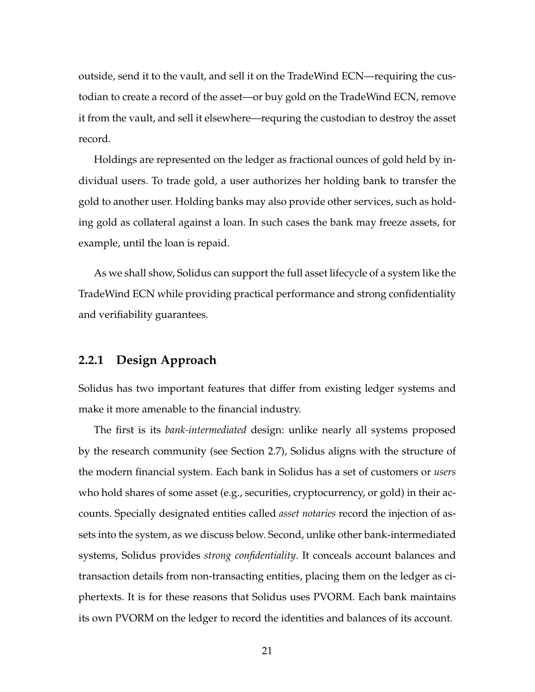outside, send it to the vault, and sell it on the TradeWind ECN—requiring the custodian to create a record of the asset—or buy gold on the TradeWind ECN, remove it from the vault, and sell it elsewhere—requring the custodian to destroy the asset record.

Holdings are represented on the ledger as fractional ounces of gold held by individual users. To trade gold, a user authorizes her holding bank to transfer the gold to another user. Holding banks may also provide other services, such as holding gold as collateral against a loan. In such cases the bank may freeze assets, for example, until the loan is repaid.

As we shall show, Solidus can support the full asset lifecycle of a system like the TradeWind ECN while providing practical performance and strong confidentiality and verifiability guarantees.

## <span id="page-35-0"></span>**2.2.1 Design Approach**

Solidus has two important features that differ from existing ledger systems and make it more amenable to the financial industry.

The first is its *bank-intermediated* design: unlike nearly all systems proposed by the research community (see Section [2.7\)](#page-64-0), Solidus aligns with the structure of the modern financial system. Each bank in Solidus has a set of customers or *users* who hold shares of some asset (e.g., securities, cryptocurrency, or gold) in their accounts. Specially designated entities called *asset notaries* record the injection of assets into the system, as we discuss below. Second, unlike other bank-intermediated systems, Solidus provides *strong confidentiality*. It conceals account balances and transaction details from non-transacting entities, placing them on the ledger as ciphertexts. It is for these reasons that Solidus uses PVORM. Each bank maintains its own PVORM on the ledger to record the identities and balances of its account.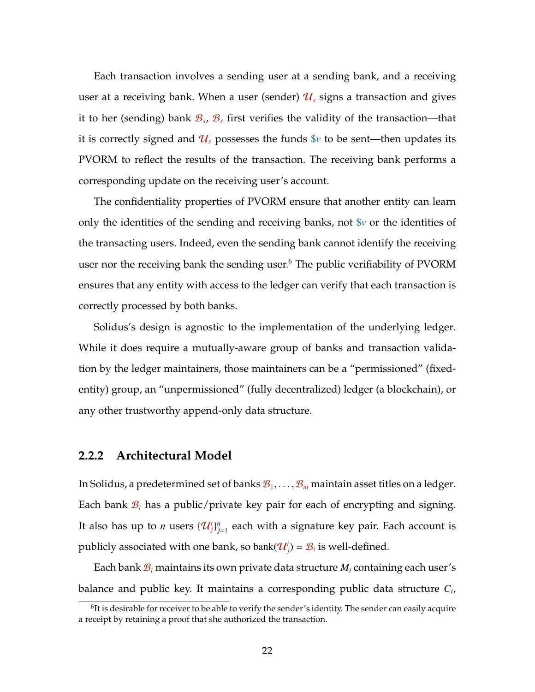Each transaction involves a sending user at a sending bank, and a receiving user at a receiving bank. When a user (sender)  $\mathcal{U}_s$  signs a transaction and gives it to her (sending) bank B*<sup>s</sup>* , B*<sup>s</sup>* first verifies the validity of the transaction—that it is correctly signed and  $\mathcal{U}_s$  possesses the funds  $\hat{v}$  to be sent—then updates its PVORM to reflect the results of the transaction. The receiving bank performs a corresponding update on the receiving user's account.

The confidentiality properties of PVORM ensure that another entity can learn only the identities of the sending and receiving banks, not \$*v* or the identities of the transacting users. Indeed, even the sending bank cannot identify the receiving user nor the receiving bank the sending user.<sup>[6](#page-36-0)</sup> The public verifiability of PVORM ensures that any entity with access to the ledger can verify that each transaction is correctly processed by both banks.

Solidus's design is agnostic to the implementation of the underlying ledger. While it does require a mutually-aware group of banks and transaction validation by the ledger maintainers, those maintainers can be a "permissioned" (fixedentity) group, an "unpermissioned" (fully decentralized) ledger (a blockchain), or any other trustworthy append-only data structure.

#### <span id="page-36-1"></span>**2.2.2 Architectural Model**

In Solidus, a predetermined set of banks  $\mathcal{B}_1, \ldots, \mathcal{B}_m$  maintain asset titles on a ledger. Each bank  $B_i$  has a public/private key pair for each of encrypting and signing. It also has up to *n* users  $\{\mathcal{U}_j^i\}_j^n$  $_{j=1}^n$  each with a signature key pair. Each account is publicly associated with one bank, so  $bank(\mathcal{U}_j) = \mathcal{B}_i$  is well-defined.

Each bank B*<sup>i</sup>* maintains its own private data structure *M<sup>i</sup>* containing each user's balance and public key. It maintains a corresponding public data structure *C<sup>i</sup>* ,

<span id="page-36-0"></span> ${}^{6}$ It is desirable for receiver to be able to verify the sender's identity. The sender can easily acquire a receipt by retaining a proof that she authorized the transaction.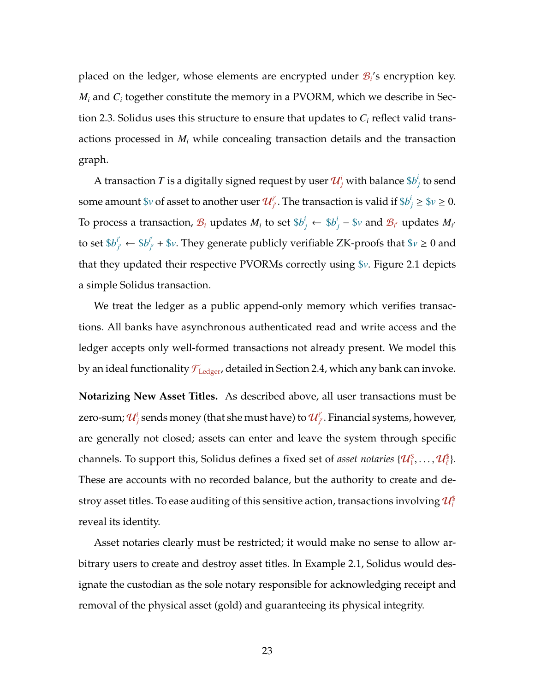placed on the ledger, whose elements are encrypted under B*<sup>i</sup>* 's encryption key.  $M_i$  and  $C_i$  together constitute the memory in a PVORM, which we describe in Section [2.3.](#page-41-0) Solidus uses this structure to ensure that updates to *C<sup>i</sup>* reflect valid transactions processed in *M<sup>i</sup>* while concealing transaction details and the transaction graph.

A transaction  $T$  is a digitally signed request by user  $\mathcal{U}^i_j$  with balance  $\$b^i_j$ *j* to send some amount  $v$  of asset to another user  $\mathcal{U}^{i'}_{j'}$ . The transaction is valid if  $v'_{j} \geq v \geq 0$ . To process a transaction,  $\mathcal{B}_i$  updates  $M_i$  to set  $\$b_j^i \leftarrow \$b_j^i - \$v$  and  $\mathcal{B}_{i'}$  updates  $M_{i'}$ to set  $\$b^{i'}_{i'}$  $j'_{j'} \leftarrow$  \$*b*<sup>*i'*</sup>  $J_{\vec{a}'}$  + \$*v*. They generate publicly verifiable ZK-proofs that \$*v*  $\geq$  0 and that they updated their respective PVORMs correctly using \$*v*. Figure [2.1](#page-38-0) depicts a simple Solidus transaction.

We treat the ledger as a public append-only memory which verifies transactions. All banks have asynchronous authenticated read and write access and the ledger accepts only well-formed transactions not already present. We model this by an ideal functionality  $\mathcal{F}_{\text{Ledgeer}}$ , detailed in Section [2.4,](#page-47-0) which any bank can invoke.

**Notarizing New Asset Titles.** As described above, all user transactions must be zero-sum;  $\mathcal{U}^i_j$  sends money (that she must have) to  $\mathcal{U}^{i'}_{j'}$ . Financial systems, however, are generally not closed; assets can enter and leave the system through specific channels. To support this, Solidus defines a fixed set of *asset notaries*  $\{\mathcal{U}_1^{\$}, \ldots, \mathcal{U}_\ell^{\$}\}$ . These are accounts with no recorded balance, but the authority to create and destroy asset titles. To ease auditing of this sensitive action, transactions involving  $\mathcal{U}_i^{\$}$ reveal its identity.

Asset notaries clearly must be restricted; it would make no sense to allow arbitrary users to create and destroy asset titles. In Example [2.1,](#page-34-0) Solidus would designate the custodian as the sole notary responsible for acknowledging receipt and removal of the physical asset (gold) and guaranteeing its physical integrity.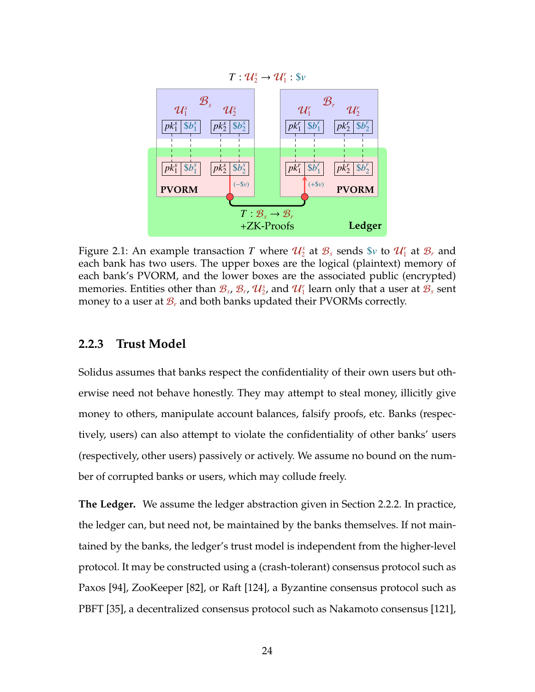<span id="page-38-0"></span>

Figure 2.1: An example transaction  $T$  where  $\mathcal{U}_2^s$  at  $\mathcal{B}_s$  sends  $\mathcal{S}_v$  to  $\mathcal{U}_1^r$  at  $\mathcal{B}_r$  and each bank has two users. The upper boxes are the logical (plaintext) memory of each bank's PVORM, and the lower boxes are the associated public (encrypted) memories. Entities other than  $\mathcal{B}_s$ ,  $\mathcal{B}_r$ ,  $\mathcal{U}_2^s$ , and  $\mathcal{U}_1^r$  learn only that a user at  $\mathcal{B}_s$  sent money to a user at  $\mathcal{B}_r$  and both banks updated their PVORMs correctly.

#### **2.2.3 Trust Model**

Solidus assumes that banks respect the confidentiality of their own users but otherwise need not behave honestly. They may attempt to steal money, illicitly give money to others, manipulate account balances, falsify proofs, etc. Banks (respectively, users) can also attempt to violate the confidentiality of other banks' users (respectively, other users) passively or actively. We assume no bound on the number of corrupted banks or users, which may collude freely.

**The Ledger.** We assume the ledger abstraction given in Section [2.2.2.](#page-36-1) In practice, the ledger can, but need not, be maintained by the banks themselves. If not maintained by the banks, the ledger's trust model is independent from the higher-level protocol. It may be constructed using a (crash-tolerant) consensus protocol such as Paxos [\[94\]](#page-271-0), ZooKeeper [\[82\]](#page-269-0), or Raft [\[124\]](#page-275-0), a Byzantine consensus protocol such as PBFT [\[35\]](#page-263-0), a decentralized consensus protocol such as Nakamoto consensus [\[121\]](#page-274-0),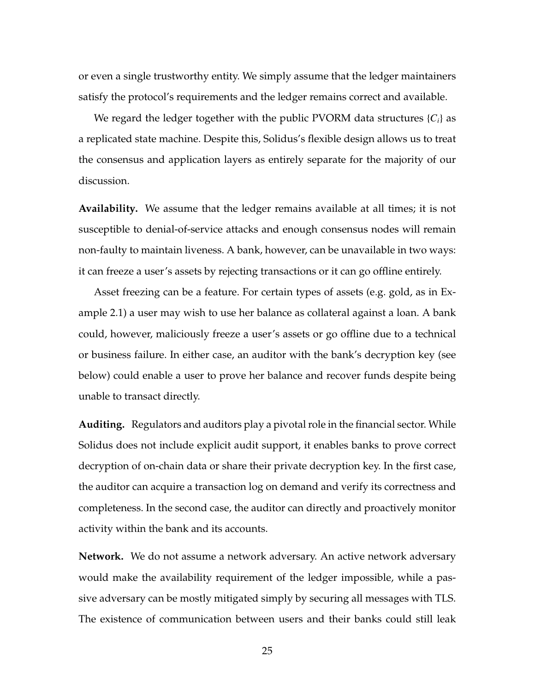or even a single trustworthy entity. We simply assume that the ledger maintainers satisfy the protocol's requirements and the ledger remains correct and available.

We regard the ledger together with the public PVORM data structures  $\{C_i\}$  as a replicated state machine. Despite this, Solidus's flexible design allows us to treat the consensus and application layers as entirely separate for the majority of our discussion.

**Availability.** We assume that the ledger remains available at all times; it is not susceptible to denial-of-service attacks and enough consensus nodes will remain non-faulty to maintain liveness. A bank, however, can be unavailable in two ways: it can freeze a user's assets by rejecting transactions or it can go offline entirely.

Asset freezing can be a feature. For certain types of assets (e.g. gold, as in Example [2.1\)](#page-34-0) a user may wish to use her balance as collateral against a loan. A bank could, however, maliciously freeze a user's assets or go offline due to a technical or business failure. In either case, an auditor with the bank's decryption key (see below) could enable a user to prove her balance and recover funds despite being unable to transact directly.

**Auditing.** Regulators and auditors play a pivotal role in the financial sector. While Solidus does not include explicit audit support, it enables banks to prove correct decryption of on-chain data or share their private decryption key. In the first case, the auditor can acquire a transaction log on demand and verify its correctness and completeness. In the second case, the auditor can directly and proactively monitor activity within the bank and its accounts.

**Network.** We do not assume a network adversary. An active network adversary would make the availability requirement of the ledger impossible, while a passive adversary can be mostly mitigated simply by securing all messages with TLS. The existence of communication between users and their banks could still leak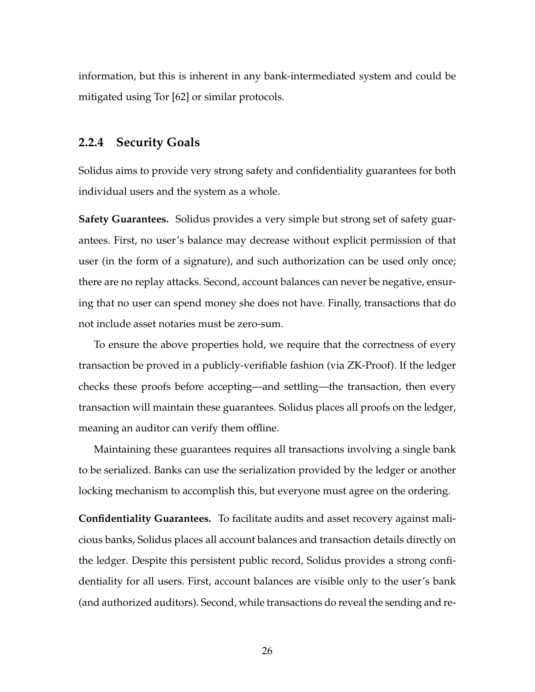information, but this is inherent in any bank-intermediated system and could be mitigated using Tor [\[62\]](#page-266-0) or similar protocols.

### **2.2.4 Security Goals**

Solidus aims to provide very strong safety and confidentiality guarantees for both individual users and the system as a whole.

**Safety Guarantees.** Solidus provides a very simple but strong set of safety guarantees. First, no user's balance may decrease without explicit permission of that user (in the form of a signature), and such authorization can be used only once; there are no replay attacks. Second, account balances can never be negative, ensuring that no user can spend money she does not have. Finally, transactions that do not include asset notaries must be zero-sum.

To ensure the above properties hold, we require that the correctness of every transaction be proved in a publicly-verifiable fashion (via ZK-Proof). If the ledger checks these proofs before accepting—and settling—the transaction, then every transaction will maintain these guarantees. Solidus places all proofs on the ledger, meaning an auditor can verify them offline.

Maintaining these guarantees requires all transactions involving a single bank to be serialized. Banks can use the serialization provided by the ledger or another locking mechanism to accomplish this, but everyone must agree on the ordering.

**Confidentiality Guarantees.** To facilitate audits and asset recovery against malicious banks, Solidus places all account balances and transaction details directly on the ledger. Despite this persistent public record, Solidus provides a strong confidentiality for all users. First, account balances are visible only to the user's bank (and authorized auditors). Second, while transactions do reveal the sending and re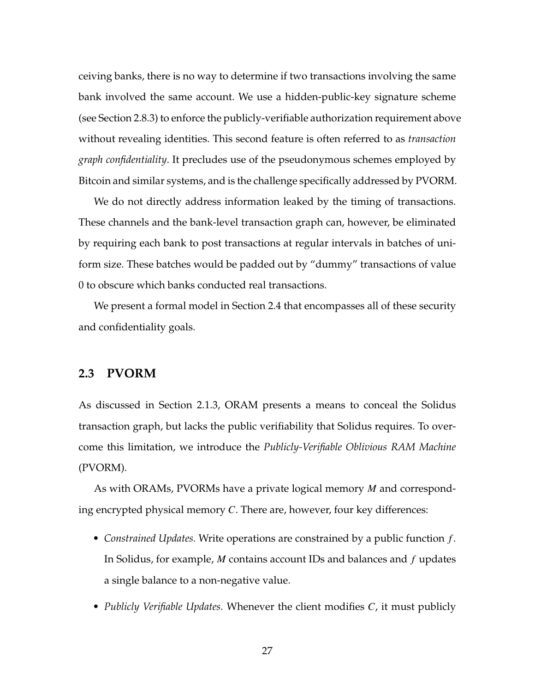ceiving banks, there is no way to determine if two transactions involving the same bank involved the same account. We use a hidden-public-key signature scheme (see Section [2.8.3\)](#page-69-0) to enforce the publicly-verifiable authorization requirement above without revealing identities. This second feature is often referred to as *transaction graph confidentiality*. It precludes use of the pseudonymous schemes employed by Bitcoin and similar systems, and is the challenge specifically addressed by PVORM.

We do not directly address information leaked by the timing of transactions. These channels and the bank-level transaction graph can, however, be eliminated by requiring each bank to post transactions at regular intervals in batches of uniform size. These batches would be padded out by "dummy" transactions of value 0 to obscure which banks conducted real transactions.

<span id="page-41-0"></span>We present a formal model in Section [2.4](#page-47-0) that encompasses all of these security and confidentiality goals.

# **2.3 PVORM**

As discussed in Section [2.1.3,](#page-32-0) ORAM presents a means to conceal the Solidus transaction graph, but lacks the public verifiability that Solidus requires. To overcome this limitation, we introduce the *Publicly-Verifiable Oblivious RAM Machine* (PVORM).

As with ORAMs, PVORMs have a private logical memory *M* and corresponding encrypted physical memory *C*. There are, however, four key differences:

- *Constrained Updates.* Write operations are constrained by a public function *f* . In Solidus, for example, *M* contains account IDs and balances and *f* updates a single balance to a non-negative value.
- *Publicly Verifiable Updates.* Whenever the client modifies *C*, it must publicly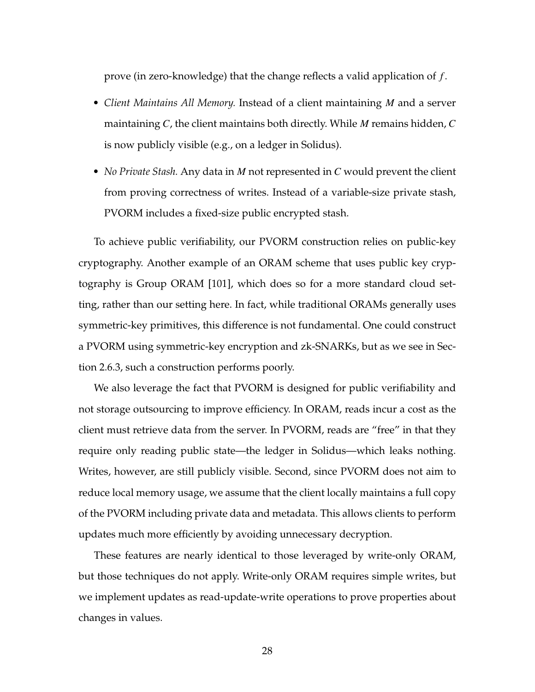prove (in zero-knowledge) that the change reflects a valid application of *f* .

- *Client Maintains All Memory.* Instead of a client maintaining *M* and a server maintaining *C*, the client maintains both directly. While *M* remains hidden, *C* is now publicly visible (e.g., on a ledger in Solidus).
- *No Private Stash.* Any data in *M* not represented in *C* would prevent the client from proving correctness of writes. Instead of a variable-size private stash, PVORM includes a fixed-size public encrypted stash.

To achieve public verifiability, our PVORM construction relies on public-key cryptography. Another example of an ORAM scheme that uses public key cryptography is Group ORAM [\[101\]](#page-272-0), which does so for a more standard cloud setting, rather than our setting here. In fact, while traditional ORAMs generally uses symmetric-key primitives, this difference is not fundamental. One could construct a PVORM using symmetric-key encryption and zk-SNARKs, but as we see in Section [2.6.3,](#page-62-0) such a construction performs poorly.

We also leverage the fact that PVORM is designed for public verifiability and not storage outsourcing to improve efficiency. In ORAM, reads incur a cost as the client must retrieve data from the server. In PVORM, reads are "free" in that they require only reading public state—the ledger in Solidus—which leaks nothing. Writes, however, are still publicly visible. Second, since PVORM does not aim to reduce local memory usage, we assume that the client locally maintains a full copy of the PVORM including private data and metadata. This allows clients to perform updates much more efficiently by avoiding unnecessary decryption.

These features are nearly identical to those leveraged by write-only ORAM, but those techniques do not apply. Write-only ORAM requires simple writes, but we implement updates as read-update-write operations to prove properties about changes in values.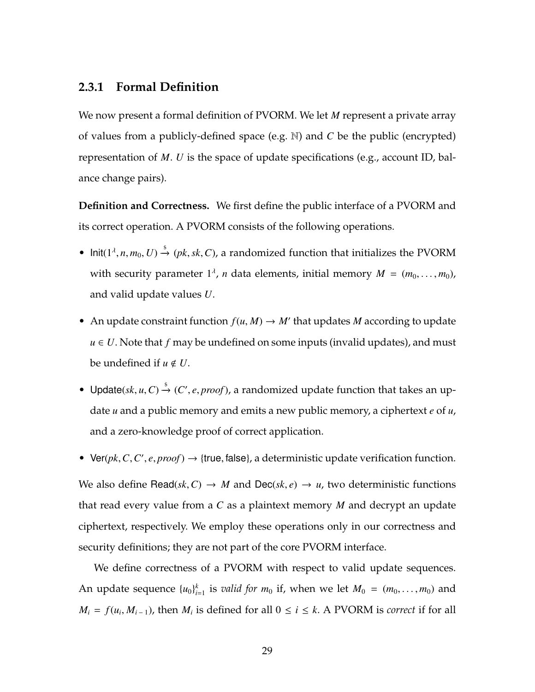### **2.3.1 Formal Definition**

We now present a formal definition of PVORM. We let *M* represent a private array of values from a publicly-defined space (e.g. N) and *C* be the public (encrypted) representation of *M*. *U* is the space of update specifications (e.g., account ID, balance change pairs).

**Definition and Correctness.** We first define the public interface of a PVORM and its correct operation. A PVORM consists of the following operations.

- Init( $1^{\lambda}, n, m_0, U$ )  $\stackrel{\$}{\rightarrow}$  (*pk*, *sk*, *C*), a randomized function that initializes the PVORM with security parameter  $1^{\lambda}$ , *n* data elements, initial memory  $M = (m_0, \ldots, m_0)$ , and valid update values *U*.
- An update constraint function  $f(u, M) \to M'$  that updates *M* according to update  $u \in U$ . Note that  $f$  may be undefined on some inputs (invalid updates), and must be undefined if  $u \notin U$ .
- Update( $sk$ ,  $u$ ,  $C$ )  $\stackrel{\$}{\rightarrow}$  ( $C'$ ,  $e$ ,  $proof$ ), a randomized update function that takes an update *u* and a public memory and emits a new public memory, a ciphertext *e* of *u*, and a zero-knowledge proof of correct application.
- Ver( $pk$ ,  $C$ ,  $C'$ ,  $e$ ,  $proof$ )  $\rightarrow$  {true, false}, a deterministic update verification function. We also define Read( $sk$ ,  $C$ )  $\rightarrow$  *M* and Dec( $sk$ ,  $e$ )  $\rightarrow$  *u*, two deterministic functions that read every value from a *C* as a plaintext memory *M* and decrypt an update ciphertext, respectively. We employ these operations only in our correctness and security definitions; they are not part of the core PVORM interface.

We define correctness of a PVORM with respect to valid update sequences. An update sequence  $\{u_0\}_{i=1}^k$  $\sum_{i=1}^k$  is *valid for*  $m_0$  if, when we let  $M_0 = (m_0, \ldots, m_0)$  and  $M_i = f(u_i, M_{i-1})$ , then  $M_i$  is defined for all  $0 \le i \le k$ . A PVORM is *correct* if for all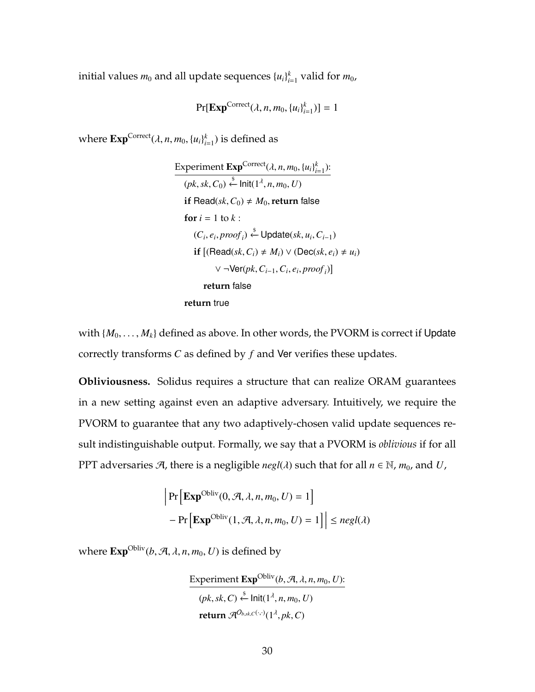initial values  $m_0$  and all update sequences  $\{u_i\}_{i}^k$  $_{i=1}^k$  valid for  $m_0$ ,

$$
\Pr[\mathbf{Exp}^{\mathrm{Correct}}(\lambda, n, m_0, \{u_i\}_{i=1}^k)] = 1
$$

where  $\text{Exp}^{\text{Correct}}(\lambda, n, m_0, \{u_i\}_{i:}^k)$  $_{i=1}^k$ ) is defined as

Experiment **Exp**<sup>Correct</sup>(
$$
\lambda, n, m_0, \{u_i\}_{i=1}^k
$$
):  
\n( $pk, sk, C_0$ )  $\stackrel{\$}{\leftarrow}$ Init( $1^{\lambda}, n, m_0, U$ )  
\nif Read( $sk, C_0$ )  $\neq M_0$ , return false  
\nfor  $i = 1$  to  $k$ :  
\n( $C_i, e_i, proof_i$ )  $\stackrel{\$}{\leftarrow}$  Update( $sk, u_i, C_{i-1}$ )  
\nif [(Read( $sk, C_i$ )  $\neq M_i$ )  $\vee$  (Dec( $sk, e_i$ )  $\neq u_i$ )  
\n $\vee \neg$ Ver( $pk, C_{i-1}, C_i, e_i, proof_i$ )]  
\nreturn false  
\nreturn true

with  $\{M_0, \ldots, M_k\}$  defined as above. In other words, the PVORM is correct if Update correctly transforms *C* as defined by *f* and Ver verifies these updates.

**Obliviousness.** Solidus requires a structure that can realize ORAM guarantees in a new setting against even an adaptive adversary. Intuitively, we require the PVORM to guarantee that any two adaptively-chosen valid update sequences result indistinguishable output. Formally, we say that a PVORM is *oblivious* if for all PPT adversaries  $\mathcal{A}$ , there is a negligible *negl*( $\lambda$ ) such that for all  $n \in \mathbb{N}$ ,  $m_0$ , and  $U$ ,

$$
\left| \Pr \left[ \mathbf{Exp}^{\mathrm{Obliv}}(0, \mathcal{A}, \lambda, n, m_0, U) = 1 \right] \right|
$$
  
- 
$$
\left| \Pr \left[ \mathbf{Exp}^{\mathrm{Obliv}}(1, \mathcal{A}, \lambda, n, m_0, U) = 1 \right] \right| \leq negl(\lambda)
$$

where  $\text{Exp}^{\text{Obliv}}(b, \mathcal{A}, \lambda, n, m_0, U)$  is defined by

Experiment  $\text{Exp}^{\text{Obliv}}(b, \mathcal{A}, \lambda, n, m_0, U)$ :  $(pk, sk, C) \stackrel{\$}{\leftarrow}$  Init $(1^{\lambda}, n, m_0, U)$  $\mathcal{R}^{O_{b, sk, C}(\cdot, \cdot)}(1^{\lambda}, pk, C)$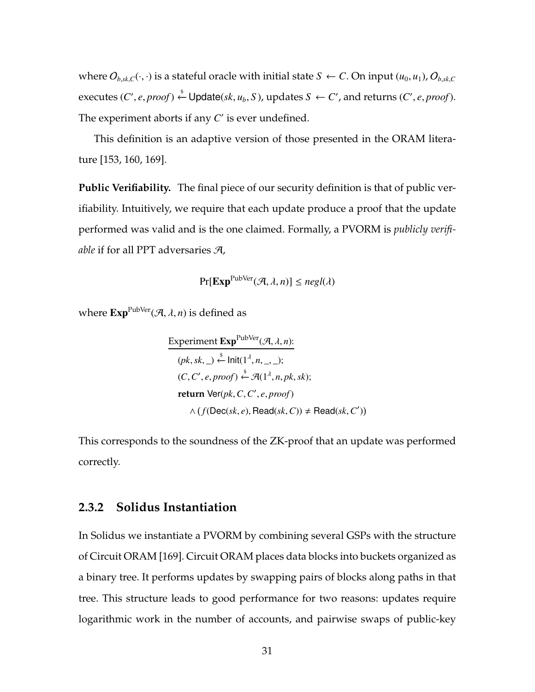where  $O_{b, sk, C}(\cdot, \cdot)$  is a stateful oracle with initial state  $S \leftarrow C$ . On input  $(u_0, u_1)$ ,  $O_{b, sk, C}$  $\downarrow$  executes  $(C', e, proof) \stackrel{\$}{\leftarrow}$  Update $(\mathit{sk}, u_b, S)$ , updates  $S \leftarrow C'$ , and returns  $(C', e, proof)$ . The experiment aborts if any  $C'$  is ever undefined.

This definition is an adaptive version of those presented in the ORAM literature [\[153,](#page-279-0) [160,](#page-280-0) [169\]](#page-281-0).

**Public Verifiability.** The final piece of our security definition is that of public verifiability. Intuitively, we require that each update produce a proof that the update performed was valid and is the one claimed. Formally, a PVORM is *publicly verifiable* if for all PPT adversaries A,

$$
\Pr[\mathbf{Exp}^{\text{PubVer}}(\mathcal{A}, \lambda, n)] \leq negl(\lambda)
$$

where  $\text{Exp}^{\text{PubVer}}(\mathcal{A}, \lambda, n)$  is defined as

Experiment 
$$
\text{Exp}^{\text{PubVer}}(\mathcal{A}, \lambda, n)
$$
:  
\n $(pk, sk, \_) \stackrel{\$}{\leftarrow} \text{Init}(1^{\lambda}, n, \_, \_)$ ;  
\n $(C, C', e, proof) \stackrel{\$}{\leftarrow} \mathcal{A}(1^{\lambda}, n, pk, sk)$ ;  
\nreturn  $\text{Ver}(pk, C, C', e, proof)$   
\n $\land (f(\text{Dec}(sk, e), \text{Read}(sk, C)) \neq \text{Read}(sk, C'))$ 

<span id="page-45-0"></span>This corresponds to the soundness of the ZK-proof that an update was performed correctly.

#### **2.3.2 Solidus Instantiation**

In Solidus we instantiate a PVORM by combining several GSPs with the structure of Circuit ORAM [\[169\]](#page-281-0). Circuit ORAM places data blocks into buckets organized as a binary tree. It performs updates by swapping pairs of blocks along paths in that tree. This structure leads to good performance for two reasons: updates require logarithmic work in the number of accounts, and pairwise swaps of public-key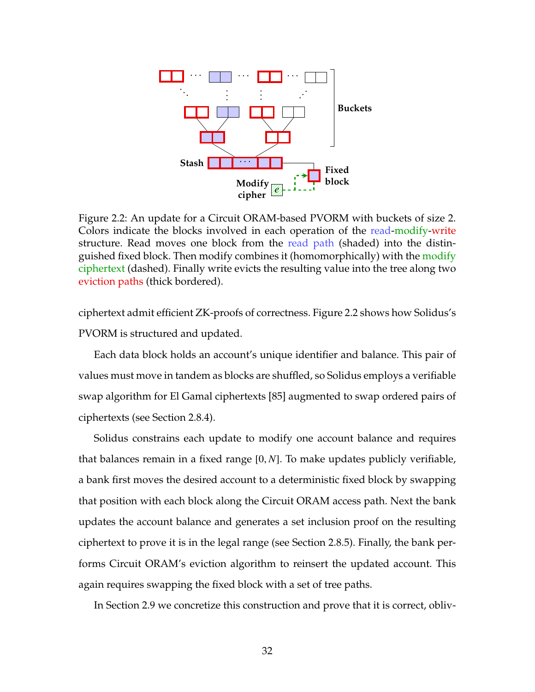<span id="page-46-0"></span>

Figure 2.2: An update for a Circuit ORAM-based PVORM with buckets of size 2. Colors indicate the blocks involved in each operation of the read-modify-write structure. Read moves one block from the read path (shaded) into the distinguished fixed block. Then modify combines it (homomorphically) with the modify ciphertext (dashed). Finally write evicts the resulting value into the tree along two eviction paths (thick bordered).

ciphertext admit efficient ZK-proofs of correctness. Figure [2.2](#page-46-0) shows how Solidus's PVORM is structured and updated.

Each data block holds an account's unique identifier and balance. This pair of values must move in tandem as blocks are shuffled, so Solidus employs a verifiable swap algorithm for El Gamal ciphertexts [\[85\]](#page-270-0) augmented to swap ordered pairs of ciphertexts (see Section [2.8.4\)](#page-69-1).

Solidus constrains each update to modify one account balance and requires that balances remain in a fixed range [0, *N*]. To make updates publicly verifiable, a bank first moves the desired account to a deterministic fixed block by swapping that position with each block along the Circuit ORAM access path. Next the bank updates the account balance and generates a set inclusion proof on the resulting ciphertext to prove it is in the legal range (see Section [2.8.5\)](#page-70-0). Finally, the bank performs Circuit ORAM's eviction algorithm to reinsert the updated account. This again requires swapping the fixed block with a set of tree paths.

In Section [2.9](#page-74-0) we concretize this construction and prove that it is correct, obliv-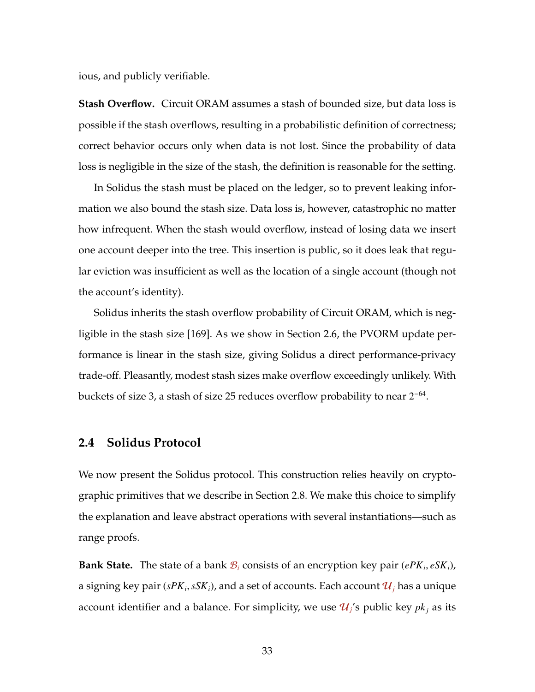ious, and publicly verifiable.

**Stash Overflow.** Circuit ORAM assumes a stash of bounded size, but data loss is possible if the stash overflows, resulting in a probabilistic definition of correctness; correct behavior occurs only when data is not lost. Since the probability of data loss is negligible in the size of the stash, the definition is reasonable for the setting.

In Solidus the stash must be placed on the ledger, so to prevent leaking information we also bound the stash size. Data loss is, however, catastrophic no matter how infrequent. When the stash would overflow, instead of losing data we insert one account deeper into the tree. This insertion is public, so it does leak that regular eviction was insufficient as well as the location of a single account (though not the account's identity).

Solidus inherits the stash overflow probability of Circuit ORAM, which is negligible in the stash size [\[169\]](#page-281-0). As we show in Section [2.6,](#page-59-0) the PVORM update performance is linear in the stash size, giving Solidus a direct performance-privacy trade-off. Pleasantly, modest stash sizes make overflow exceedingly unlikely. With buckets of size 3, a stash of size 25 reduces overflow probability to near  $2^{-64}$ .

#### <span id="page-47-0"></span>**2.4 Solidus Protocol**

We now present the Solidus protocol. This construction relies heavily on cryptographic primitives that we describe in Section [2.8.](#page-66-0) We make this choice to simplify the explanation and leave abstract operations with several instantiations—such as range proofs.

**Bank State.** The state of a bank  $B_i$  consists of an encryption key pair  $(ePK_i, eSK_i)$ , a signing key pair ( $sPK_i, sSK_i$ ), and a set of accounts. Each account  $\mathcal{U}_j$  has a unique account identifier and a balance. For simplicity, we use  $\mathcal{U}_j$ 's public key  $pk_j$  as its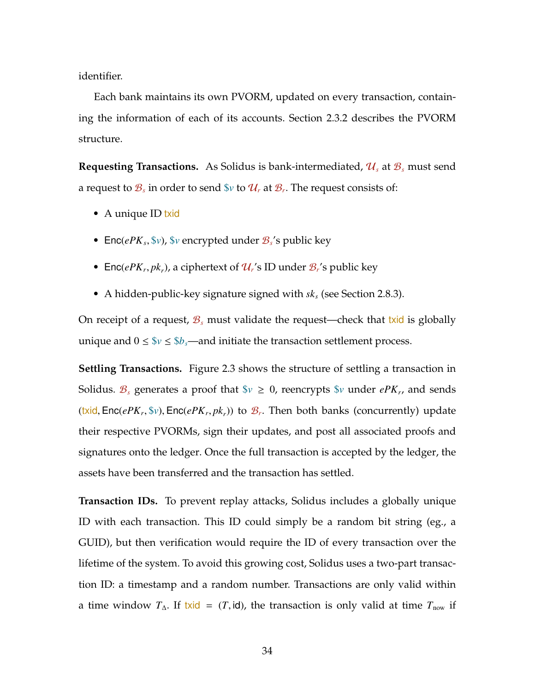identifier.

Each bank maintains its own PVORM, updated on every transaction, containing the information of each of its accounts. Section [2.3.2](#page-45-0) describes the PVORM structure.

**Requesting Transactions.** As Solidus is bank-intermediated, U*<sup>s</sup>* at B*<sup>s</sup>* must send a request to  $\mathcal{B}_s$  in order to send  $\mathbb{S}v$  to  $\mathcal{U}_r$  at  $\mathcal{B}_r.$  The request consists of:

- A unique ID txid
- Enc(*ePK<sup>s</sup>* , \$*v*), \$*v* encrypted under B*<sup>s</sup>* 's public key
- Enc(*ePK<sub>r</sub>*, *pk<sub>r</sub>*), a ciphertext of  $\mathcal{U}_r$ 's ID under  $\mathcal{B}_r$ 's public key
- A hidden-public-key signature signed with *sk<sup>s</sup>* (see Section [2.8.3\)](#page-69-0).

On receipt of a request,  $\mathcal{B}_s$  must validate the request—check that txid is globally unique and  $0 \leq \frac{6}{v} \leq \frac{6}{v}$  —and initiate the transaction settlement process.

**Settling Transactions.** Figure [2.3](#page-49-0) shows the structure of settling a transaction in Solidus.  $\mathcal{B}_s$  generates a proof that  $\$\nu\geq0$ , reencrypts  $\$ \nu$  under  $ePK_r$ , and sends (t<mark>xid</mark>,  $\mathsf{Enc}(ePK_r, \mathbb{S}v)$ ,  $\mathsf{Enc}(ePK_r, pk_r)$ ) to  $\mathcal{B}_r$ . Then both banks (concurrently) update their respective PVORMs, sign their updates, and post all associated proofs and signatures onto the ledger. Once the full transaction is accepted by the ledger, the assets have been transferred and the transaction has settled.

**Transaction IDs.** To prevent replay attacks, Solidus includes a globally unique ID with each transaction. This ID could simply be a random bit string (eg., a GUID), but then verification would require the ID of every transaction over the lifetime of the system. To avoid this growing cost, Solidus uses a two-part transaction ID: a timestamp and a random number. Transactions are only valid within a time window  $T_{\Delta}$ . If txid = (*T*, id), the transaction is only valid at time  $T_{\text{now}}$  if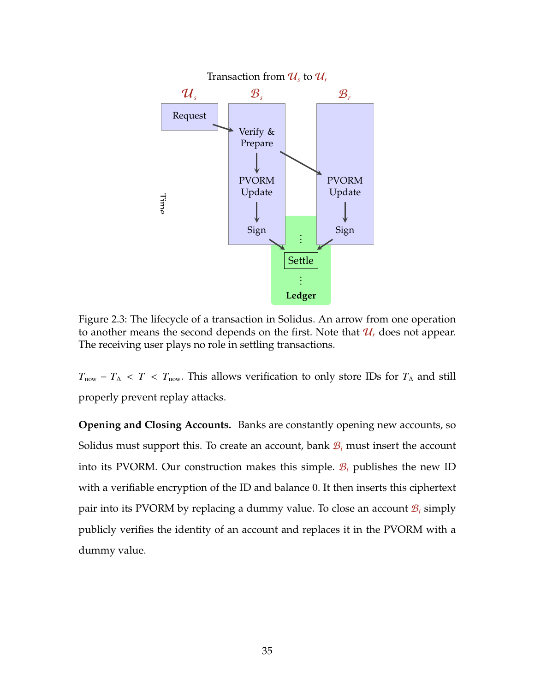<span id="page-49-0"></span>

Figure 2.3: The lifecycle of a transaction in Solidus. An arrow from one operation to another means the second depends on the first. Note that  $\mathcal{U}_r$  does not appear. The receiving user plays no role in settling transactions.

 $T_{\text{now}} - T_{\Delta} < T < T_{\text{now}}$ . This allows verification to only store IDs for  $T_{\Delta}$  and still properly prevent replay attacks.

**Opening and Closing Accounts.** Banks are constantly opening new accounts, so Solidus must support this. To create an account, bank  $B_i$  must insert the account into its PVORM. Our construction makes this simple.  $B_i$  publishes the new ID with a verifiable encryption of the ID and balance 0. It then inserts this ciphertext pair into its PVORM by replacing a dummy value. To close an account  $B_i$  simply publicly verifies the identity of an account and replaces it in the PVORM with a dummy value.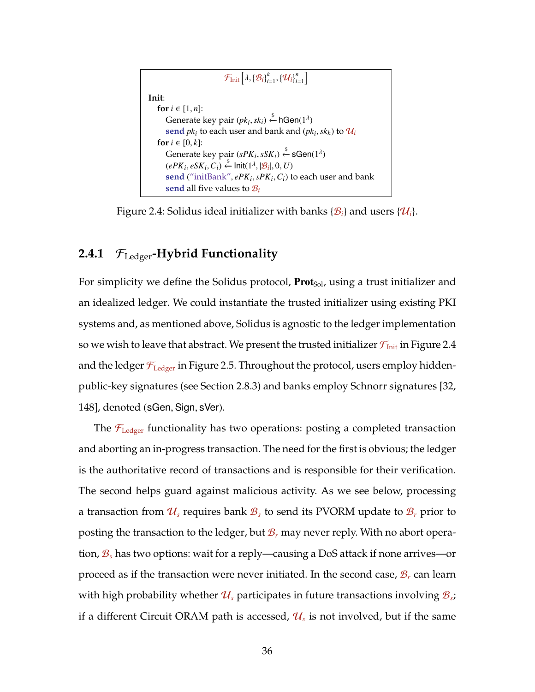```
\mathcal{F}_{\text{Init}}\left[\lambda, \left\{\mathcal{B}_i\right\}_{i=1}^k, \left\{\mathcal{U}_i\right\}_{i=1}^n\right]Init:
    for i ∈ [1, n]:
         Generate key pair (pk_i, sk_i) \overset{\$}{\leftarrow} \mathsf{hGen}(1^\lambda)\mathbf{send}\ pk_i to each user and bank and \left(\mathit{pk}_i,\mathit{sk}_k\right) to \mathcal{U}_ifor i \in [0, k]:
         Generate key pair (sPK_i, sSK_i) ← sGen(1<sup>\lambda</sup>)
         (ePK_i, eSK_i, C_i) \overset{\$}{\leftarrow} \text{Init}(1^{\lambda}, |\mathcal{B}_i|, 0, U)send ("initBank", ePKi
,sPKi
,Ci) to each user and bank
         send all five values to B_i
```
Figure 2.4: Solidus ideal initializer with banks  $\{\mathcal{B}_i\}$  and users  $\{\mathcal{U}_i\}$ .

# **2.4.1** FLedger**-Hybrid Functionality**

For simplicity we define the Solidus protocol,  $\text{Prot}_{\text{Sol}}$ , using a trust initializer and an idealized ledger. We could instantiate the trusted initializer using existing PKI systems and, as mentioned above, Solidus is agnostic to the ledger implementation so we wish to leave that abstract. We present the trusted initializer  $\mathcal{F}_{\text{Init}}$  in Figure [2.4](#page-50-0) and the ledger  $\mathcal{F}_{\text{Ledger}}$  in Figure [2.5.](#page-51-0) Throughout the protocol, users employ hiddenpublic-key signatures (see Section [2.8.3\)](#page-69-0) and banks employ Schnorr signatures [\[32,](#page-262-0) [148\]](#page-278-0), denoted (sGen, Sign, sVer).

The  $\mathcal{F}_{\text{Ledger}}$  functionality has two operations: posting a completed transaction and aborting an in-progress transaction. The need for the first is obvious; the ledger is the authoritative record of transactions and is responsible for their verification. The second helps guard against malicious activity. As we see below, processing a transaction from  $\mathcal{U}_s$  requires bank  $\mathcal{B}_s$  to send its PVORM update to  $\mathcal{B}_r$  prior to posting the transaction to the ledger, but  $B_r$  may never reply. With no abort operation, B*<sup>s</sup>* has two options: wait for a reply—causing a DoS attack if none arrives—or proceed as if the transaction were never initiated. In the second case, B*<sup>r</sup>* can learn with high probability whether  $\mathcal{U}_s$  participates in future transactions involving  $\mathcal{B}_{s\mathcal{V}}$ if a different Circuit ORAM path is accessed,  $\mathcal{U}_s$  is not involved, but if the same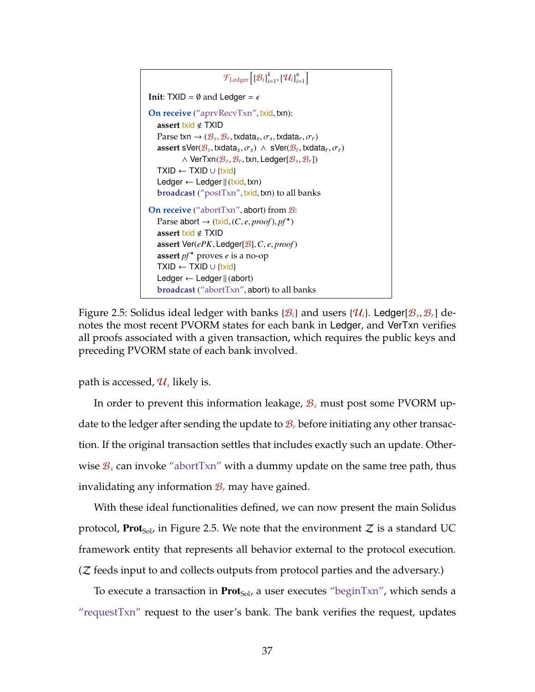```
\mathcal{F}_{\text{Ledgeer}}\Big[\{\mathcal{B}_i\}_{i=1}^k, \{\mathcal{U}_i\}_{i=1}^n\Big]Init: TXID = \emptyset and Ledger = \epsilonOn receive ("aprvRecvTxn", txid, txn):
   assert txid < TXID
   Parse txn \rightarrow (\mathcal{B}_s, \mathcal{B}_r, txdata<sub>s</sub>, \sigma_s, txdata<sub>r</sub>, \sigma_r)
   assert sVer(\mathcal{B}_s, txdata<sub>s</sub>, \sigma_s) \wedge sVer(\mathcal{B}_r, txdata<sub>r</sub>, \sigma_r)
             ∧ VerTxn(Bs, Br, txn, Ledger[Bs, Br])
   TXID \leftarrow TXID \cup \{txid\}Ledger \leftarrow Ledger \| (txid, txn)
   broadcast ("postTxn", txid, txn) to all banks
On receive ("abortTxn", abort) from \mathcal{B}:
   Parse abort \rightarrow (txid, (C, e, proof), pf^{\star})
   assert txid < TXID
   assert Ver(ePK, Ledger[B],C, e, proof)
   assert pf^* proves e is a no-op
   TXID \leftarrow TXID \cup \{txid\}Ledger \leftarrow Ledger \parallel (abort)
   broadcast ("abortTxn", abort) to all banks
```
Figure 2.5: Solidus ideal ledger with banks  $\{\mathcal{B}_i\}$  and users  $\{\mathcal{U}_i\}$ . Ledger $[\mathcal{B}_s, \mathcal{B}_r]$  denotes the most recent PVORM states for each bank in Ledger, and VerTxn verifies all proofs associated with a given transaction, which requires the public keys and preceding PVORM state of each bank involved.

path is accessed*,*  $\mathcal{U}_s$  likely is.

In order to prevent this information leakage, B*<sup>s</sup>* must post some PVORM update to the ledger after sending the update to  $\mathcal{B}_r$  before initiating any other transaction. If the original transaction settles that includes exactly such an update. Otherwise  $B_s$  can invoke "abortTxn" with a dummy update on the same tree path, thus invalidating any information  $\mathcal{B}_r$  may have gained.

With these ideal functionalities defined, we can now present the main Solidus protocol, **Prot**<sub>Sol</sub>, in Figure [2.5.](#page-53-0) We note that the environment  $Z$  is a standard UC framework entity that represents all behavior external to the protocol execution.  $(Z$  feeds input to and collects outputs from protocol parties and the adversary.)

To execute a transaction in **Prot**<sub>Sol</sub>, a user executes "beginTxn", which sends a "requestTxn" request to the user's bank. The bank verifies the request, updates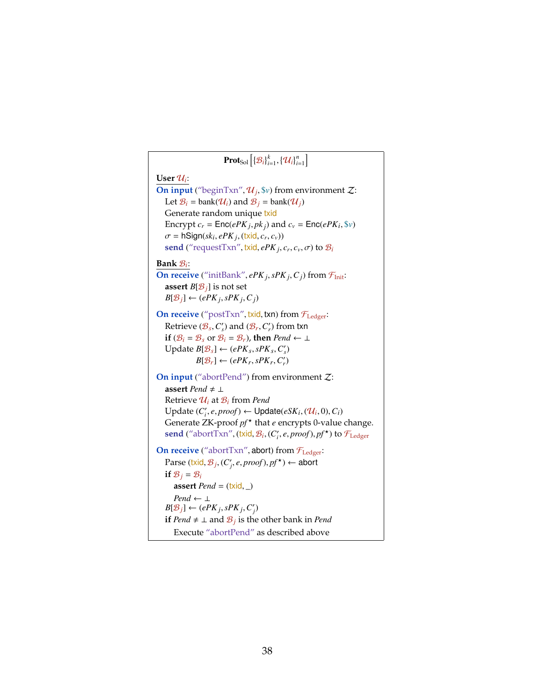$\mathbf{Prot}_{\rm Sol}\left[\left\{\mathcal{B}_i\right\}_{i=1}^k,\left\{\mathcal{U}_i\right\}_{i=1}^n\right]$  $\mathbf{User} \mathcal{U}_i$ : **On input** ("beginTxn",  $\mathcal{U}_j$ ,  $\hat{\mathbf{v}}$ ) from environment  $\mathcal{Z}$ : Let  $\mathcal{B}_i$  = bank( $\mathcal{U}_i$ ) and  $\mathcal{B}_j$  = bank( $\mathcal{U}_j$ ) Generate random unique txid Encrypt  $c_r = \textsf{Enc}(ePK_j, pk_j)$  and  $c_v = \textsf{Enc}(ePK_i, $v)$  $\sigma$  = hSign( $sk_i$ ,  $ePK_j$ , (txid,  $c_r$ ,  $c_v$ ))  ${\bf send}$  ("requestTxn", txid,  $ePK_j, c_r, c_v, \sigma$ ) to  ${\mathcal B}_i$ **Bank** B*<sup>i</sup>* : **On receive** ("initBank", *ePK j*, *sPK j*, *C j*) from  $\mathcal{F}_{Init}$ : **assert**  $B[\mathcal{B}_i]$  is not set  $B[\mathcal{B}_j] \leftarrow (ePK_j, sPK_j, C_j)$ **On receive** ("postTxn", txid, txn) from  $\mathcal{F}_{\text{Ledger}}$ : Retrieve  $(\mathcal{B}_s, C'_s)$  and  $(\mathcal{B}_r, C'_r)$  from txn **if** ( $\mathcal{B}_i = \mathcal{B}_s$  or  $\mathcal{B}_i = \mathcal{B}_r$ ), **then** *Pend* ← ⊥ Update  $B[\mathcal{B}_s] \leftarrow (ePK_s, sPK_s, C'_s)$  $B[\mathcal{B}_r] \leftarrow (ePK_r, sPK_r, C'_r)$ **On input** ("abortPend") from environment  $Z$ : **assert** *Pend*  $\neq \bot$ Retrieve  $\mathcal{U}_i$  at  $\mathcal{B}_i$  from *Pend*  $U$ pdate ( $C_i$ ', *e*, *proof*) ←  $U$ pdate( $eSK_i$ , ( $U_i$ , 0),  $C_i$ ) Generate ZK-proof  $pf^{\star}$  that *e* encrypts 0-value change.  $\mathbf{send}$  ("abort $\text{Txn}$ ",  $(\text{txid}, \mathcal{B}_i, (C'_i, e, proof), pf^\star)$  to  $\mathcal{F}_{\text{Ledger}}$ **On receive** ("abort $Txn$ ", abort) from  $\mathcal{F}_{\text{Ledger}}$ :  $\text{Parse } (\text{txi}, \mathcal{B}_j, (C'_j, e, proof), pf^{\star}) \leftarrow \text{abort}$ **if**  $B_i = B_i$ **assert**  $Pend = (\text{txid}, \_)$ *Pend*  $\leftarrow$  ⊥  $B[\mathcal{B}_j] \leftarrow (ePK_j, sPK_j, C'_j)$ **if** *Pend* ≠ ⊥ and  $B_j$  is the other bank in *Pend* Execute "abortPend" as described above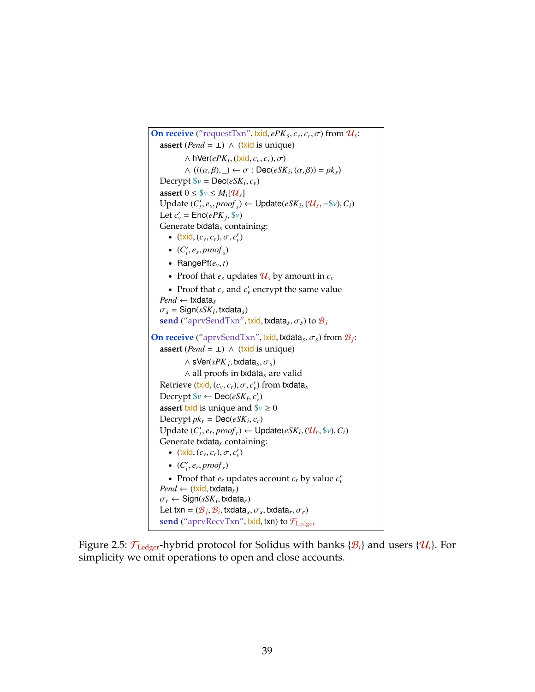<span id="page-53-0"></span>**On receive** ("requestTxn", txid,  $ePK_s$ ,  $c_v$ ,  $c_r$ ,  $\sigma$ ) from  $\mathcal{U}_s$ : **assert** (*Pend* = ⊥) ∧ (**txid** is unique)  $\wedge$  hVer( $ePK_i$ , (txid,  $c_v, c_r$ ),  $\sigma$ )  $\wedge$  ((( $\alpha, \beta$ ), \_)  $\leftarrow \sigma$ : Dec( $eSK_i$ ,  $(\alpha, \beta)$ ) =  $pk_s$ ) Decrypt  $\mathcal{F}v = \text{Dec}(eSK_i, c_v)$ **assert**  $0 \leq \frac{6}{V} \leq M_i[\mathcal{U}_s]$  $U$ pdate ( $C_i$ ,  $e_s$ ,  $\text{proof}_s$ ) ←  $U$ pdate( $eSK_i$ , ( $U_s$ ,  $-\$v$ ),  $C_i$ ) Let  $c'_{v}$  =  $\mathsf{Enc}(ePK_j, \$v)$ Generate txdata*s* containing: •  $(\text{txid}, (c_v, c_r), \sigma, c'_v)$ •  $(C_i', e_s, proof_s)$ • Range $Pf(e_v, t)$ • Proof that  $e_s$  updates  $\mathcal{U}_s$  by amount in  $c_v$ • Proof that  $c_v$  and  $c'_v$  encrypt the same value *Pend* ← txdata*<sup>s</sup>*  $\sigma_s = \text{Sign}(sSK_i, \text{txdata}_s)$ **send** ("aprvSendTxn", txid, txdata<sub>s</sub>,  $\sigma_s$ ) to  $\mathcal{B}_j$ **On receive** ("aprvSendTxn", txid, txdata*s*,σ*s*) from B*<sup>j</sup>* : **assert** (*Pend* = ⊥) ∧ (txid is unique)  $\wedge$  sVer( $sPK_j$ , txdata $_s$ ,  $\sigma_s$ ) ∧ all proofs in txdata*<sup>s</sup>* are valid  $\mathsf{Retrieve}\ (\mathsf{txid}, (c_v, c_r), \sigma, c'_v) \text{ from } \mathsf{txdata}_s$  $\text{Decrypt } \$v \leftarrow \text{Dec}(eSK_i, c'_v)$ **assert** txid is unique and  $\gamma \geq 0$ Decrypt  $pk_r = \text{Dec}(eSK_i, c_r)$  $U$ pdate ( $C'_{i}$ ,  $e_{r}$ ,  $\text{proof}_{r}$ )  $\leftarrow$   $U$ pdate( $eSK_{i}$ , ( $\mathcal{U}_{r}$ ,  $\mathcal{F}_{v}$ ),  $C_{i}$ ) Generate txdata*r* containing: •  $(\text{txi}, (c_v, c_r), \sigma, c'_v)$ •  $(C_i', e_r, proof_r)$ • Proof that  $e_r$  updates account  $c_r$  by value  $c'_v$  $Pend \leftarrow$  (txid, txdata<sub>r</sub>)  $\sigma_r \leftarrow$  Sign( $sSK_i$ , txdata<sub>*r*</sub>)</sub>  $\text{Let } \textsf{txn} = (\mathcal{B}_j, \mathcal{B}_i, \textsf{txdata}_s, \sigma_s, \textsf{txdata}_r, \sigma_r)$ **send** ("aprvRecvTxn", txid, txn) to  $\mathcal{F}_{\text{Ledger}}$ 

Figure 2.5:  $\mathcal{F}_{\text{Ledgeer}}$ -hybrid protocol for Solidus with banks { $\mathcal{B}_i$ } and users { $\mathcal{U}_i$ }. For simplicity we omit operations to open and close accounts.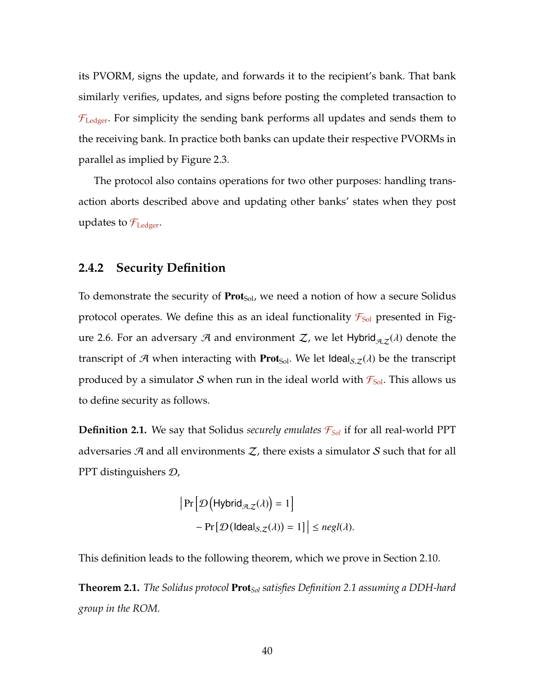its PVORM, signs the update, and forwards it to the recipient's bank. That bank similarly verifies, updates, and signs before posting the completed transaction to  $\mathcal{F}_{\text{Ledge}}$ . For simplicity the sending bank performs all updates and sends them to the receiving bank. In practice both banks can update their respective PVORMs in parallel as implied by Figure [2.3.](#page-49-0)

The protocol also contains operations for two other purposes: handling transaction aborts described above and updating other banks' states when they post updates to  $\mathcal{F}_{\text{Ledger}}$ .

### **2.4.2 Security Definition**

To demonstrate the security of  $Prot_{Sol}$ , we need a notion of how a secure Solidus protocol operates. We define this as an ideal functionality  $\mathcal{F}_{Sol}$  presented in Fig-ure [2.6.](#page-55-0) For an adversary A and environment Z, we let Hybrid $_{\mathcal{A},\mathcal{Z}}(\lambda)$  denote the transcript of A when interacting with **Prot**<sub>Sol</sub>. We let Ideal<sub>S, $z(\lambda)$ </sub> be the transcript produced by a simulator S when run in the ideal world with  $\mathcal{F}_{Sol}$ . This allows us to define security as follows.

<span id="page-54-0"></span>**Definition 2.1.** We say that Solidus *securely emulates*  $\mathcal{F}_{Sol}$  if for all real-world PPT adversaries  $\mathcal{A}$  and all environments  $\mathcal{Z}$ , there exists a simulator  $\mathcal{S}$  such that for all PPT distinguishers D,

$$
|\Pr[\mathcal{D}(\mathsf{Hybrid}_{\mathcal{A},\mathcal{Z}}(\lambda)) = 1] - \Pr[\mathcal{D}(\mathsf{Ideal}_{S,\mathcal{Z}}(\lambda)) = 1]| \le \mathit{negl}(\lambda).
$$

This definition leads to the following theorem, which we prove in Section [2.10.](#page-84-0)

<span id="page-54-1"></span>**Theorem 2.1.** *The Solidus protocol* Prot*Sol satisfies Definition [2.1](#page-54-0) assuming a DDH-hard group in the ROM.*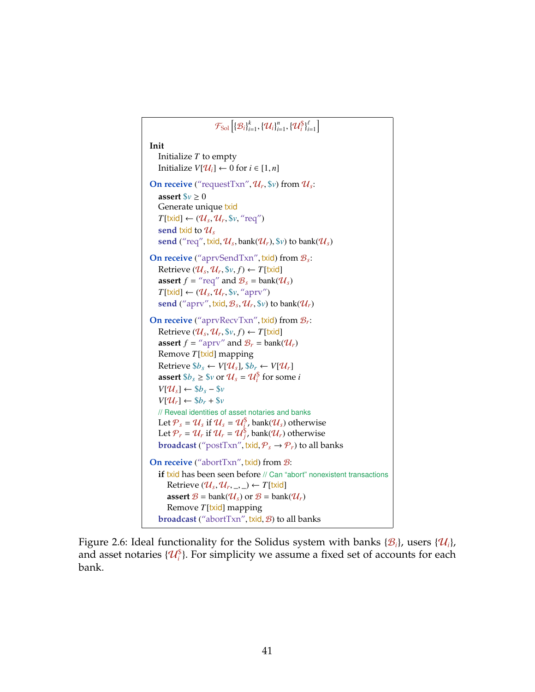```
\mathcal{F}_{\textrm{Sol}}\Big[\{\mathcal{B}_i\}_{i=1}^k, \{\mathcal{U}_i\}_{i=1}^n, \{\mathcal{U}_i^{\$}\}_{i=1}^\ell\Big]Init
    Initialize T to empty
    Initialize V[\mathcal{U}_i] ← 0 for i ∈ [1, n]
On receive ("requestTxn", \mathcal{U}_r, \mathcal{V}_v) from \mathcal{U}_s:
    assert \$\nu \geq 0Generate unique txid
    T[\text{txid}] \leftarrow (\mathcal{U}_s, \mathcal{U}_r, \mathbb{S}v, \text{``req''})send txid to Us
    send ("req", txid, \mathcal{U}_s, bank(\mathcal{U}_r), \mathcal{V}_v) to bank(\mathcal{U}_s)
On receive ("aprvSendTxn", txid) from B_s:
    Retrieve (\mathcal{U}_s, \mathcal{U}_r, \mathbb{S}v, f) \leftarrow T[\text{txid}]assert f = "req" and B_s = bank(U_s)
    T[\text{txid}] \leftarrow (\mathcal{U}_s, \mathcal{U}_r, \mathcal{V}_r, \mathcal{V}_r)send ("aprv", txid, B_s, \mathcal{U}_r, \mathcal{V}_v) to bank(\mathcal{U}_r)
On receive ("aprvRecvTxn", txid) from B_r:
    Retrieve (\mathcal{U}_s, \mathcal{U}_r, \mathcal{V}_v, f) \leftarrow T[\text{txid}]assert f = "aprv" and B_r = \text{bank}(\mathcal{U}_r)Remove T[txid] mapping
    Retrieve $b_s ← V[\mathcal{U}_s], $b_r ← V[\mathcal{U}_r]assert $b_s \geq $v$ or \mathcal{U}_s = \mathcal{U}_i^{\$} for some i
    V[\mathcal{U}_s] ← $b_s - $vV[\mathcal{U}_r] \leftarrow \$b_r + \$v// Reveal identities of asset notaries and banks
    Let \mathcal{P}_s = \mathcal{U}_s if \mathcal{U}_s = \mathcal{U}_i^{\$}, bank(\mathcal{U}_s) otherwise
    Let P_r = U_r if U_r = U_j^{\$}, bank(U_r) otherwise
    broadcast ("postTxn", txid, P_s \rightarrow P_r) to all banks
On receive ("abortTxn", txid) from \mathcal{B}:
    if txid has been seen before // Can "abort" nonexistent transactions
       Retrieve (\mathcal{U}_s, \mathcal{U}_r, \_, \_) \leftarrow T[\text{txid}]assert \mathcal{B} = \text{bank}(\mathcal{U}_s) or \mathcal{B} = \text{bank}(\mathcal{U}_r)Remove T[txid] mapping
    broadcast ("abortTxn", txid, B) to all banks
```
Figure 2.6: Ideal functionality for the Solidus system with banks  $\{\mathcal{B}_i\}$ , users  $\{\mathcal{U}_i\}$ , and asset notaries  $\{\mathcal{U}_i^{\$}\}$ . For simplicity we assume a fixed set of accounts for each bank.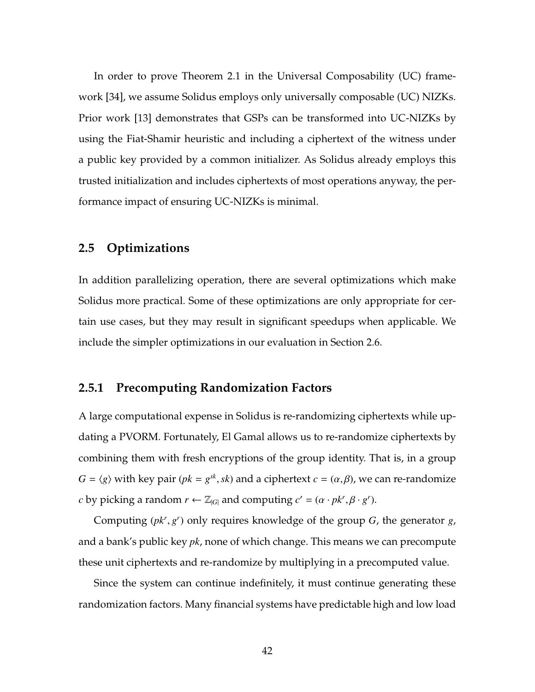In order to prove Theorem [2.1](#page-54-1) in the Universal Composability (UC) framework [\[34\]](#page-262-1), we assume Solidus employs only universally composable (UC) NIZKs. Prior work [\[13\]](#page-259-0) demonstrates that GSPs can be transformed into UC-NIZKs by using the Fiat-Shamir heuristic and including a ciphertext of the witness under a public key provided by a common initializer. As Solidus already employs this trusted initialization and includes ciphertexts of most operations anyway, the performance impact of ensuring UC-NIZKs is minimal.

# **2.5 Optimizations**

In addition parallelizing operation, there are several optimizations which make Solidus more practical. Some of these optimizations are only appropriate for certain use cases, but they may result in significant speedups when applicable. We include the simpler optimizations in our evaluation in Section [2.6.](#page-59-0)

## <span id="page-56-0"></span>**2.5.1 Precomputing Randomization Factors**

A large computational expense in Solidus is re-randomizing ciphertexts while updating a PVORM. Fortunately, El Gamal allows us to re-randomize ciphertexts by combining them with fresh encryptions of the group identity. That is, in a group *G* =  $\langle g \rangle$  with key pair ( $pk = g^{sk}$ ,  $sk$ ) and a ciphertext  $c = (\alpha, \beta)$ , we can re-randomize *c* by picking a random  $r \leftarrow \mathbb{Z}_{|G|}$  and computing  $c' = (\alpha \cdot pk^r, \beta \cdot g^r)$ .

Computing  $(pk^r, g^r)$  only requires knowledge of the group  $G$ , the generator  $g$ , and a bank's public key *pk*, none of which change. This means we can precompute these unit ciphertexts and re-randomize by multiplying in a precomputed value.

Since the system can continue indefinitely, it must continue generating these randomization factors. Many financial systems have predictable high and low load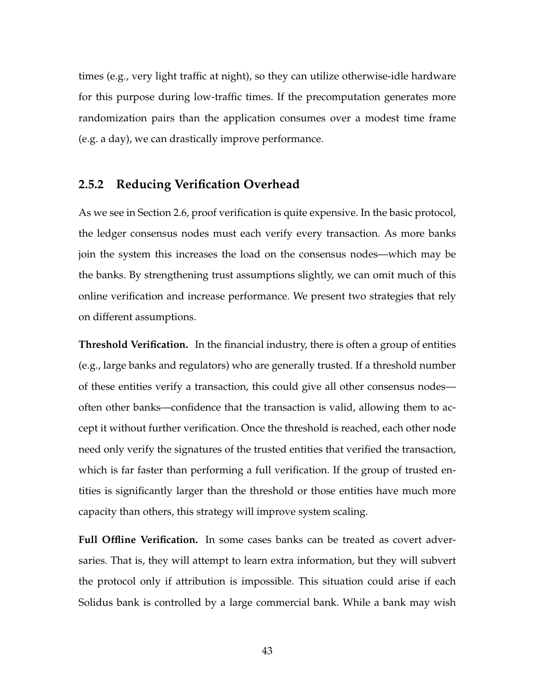times (e.g., very light traffic at night), so they can utilize otherwise-idle hardware for this purpose during low-traffic times. If the precomputation generates more randomization pairs than the application consumes over a modest time frame (e.g. a day), we can drastically improve performance.

# <span id="page-57-0"></span>**2.5.2 Reducing Verification Overhead**

As we see in Section [2.6,](#page-59-0) proof verification is quite expensive. In the basic protocol, the ledger consensus nodes must each verify every transaction. As more banks join the system this increases the load on the consensus nodes—which may be the banks. By strengthening trust assumptions slightly, we can omit much of this online verification and increase performance. We present two strategies that rely on different assumptions.

**Threshold Verification.** In the financial industry, there is often a group of entities (e.g., large banks and regulators) who are generally trusted. If a threshold number of these entities verify a transaction, this could give all other consensus nodes often other banks—confidence that the transaction is valid, allowing them to accept it without further verification. Once the threshold is reached, each other node need only verify the signatures of the trusted entities that verified the transaction, which is far faster than performing a full verification. If the group of trusted entities is significantly larger than the threshold or those entities have much more capacity than others, this strategy will improve system scaling.

**Full Offline Verification.** In some cases banks can be treated as covert adversaries. That is, they will attempt to learn extra information, but they will subvert the protocol only if attribution is impossible. This situation could arise if each Solidus bank is controlled by a large commercial bank. While a bank may wish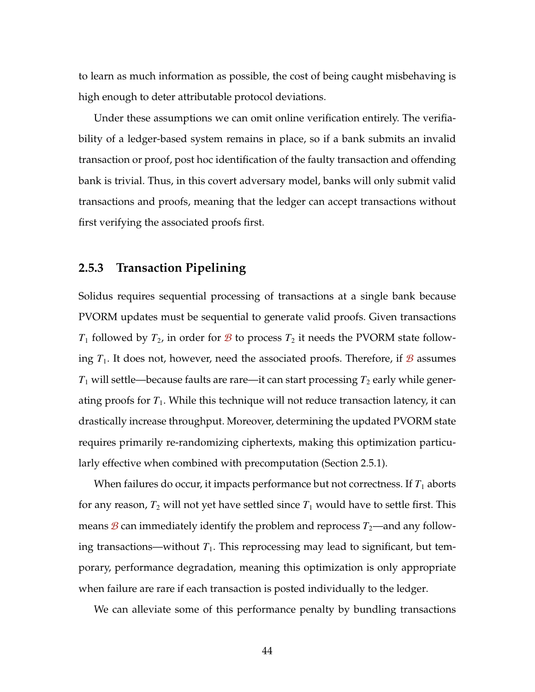to learn as much information as possible, the cost of being caught misbehaving is high enough to deter attributable protocol deviations.

Under these assumptions we can omit online verification entirely. The verifiability of a ledger-based system remains in place, so if a bank submits an invalid transaction or proof, post hoc identification of the faulty transaction and offending bank is trivial. Thus, in this covert adversary model, banks will only submit valid transactions and proofs, meaning that the ledger can accept transactions without first verifying the associated proofs first.

# <span id="page-58-0"></span>**2.5.3 Transaction Pipelining**

Solidus requires sequential processing of transactions at a single bank because PVORM updates must be sequential to generate valid proofs. Given transactions  $T_1$  followed by  $T_2$ , in order for  $\mathcal B$  to process  $T_2$  it needs the PVORM state following  $T_1$ . It does not, however, need the associated proofs. Therefore, if  $\mathcal{B}$  assumes  $T_1$  will settle—because faults are rare—it can start processing  $T_2$  early while generating proofs for  $T_1$ . While this technique will not reduce transaction latency, it can drastically increase throughput. Moreover, determining the updated PVORM state requires primarily re-randomizing ciphertexts, making this optimization particularly effective when combined with precomputation (Section [2.5.1\)](#page-56-0).

When failures do occur, it impacts performance but not correctness. If  $T_1$  aborts for any reason,  $T_2$  will not yet have settled since  $T_1$  would have to settle first. This means  $\mathcal B$  can immediately identify the problem and reprocess  $T_2$ —and any following transactions—without  $T_1$ . This reprocessing may lead to significant, but temporary, performance degradation, meaning this optimization is only appropriate when failure are rare if each transaction is posted individually to the ledger.

We can alleviate some of this performance penalty by bundling transactions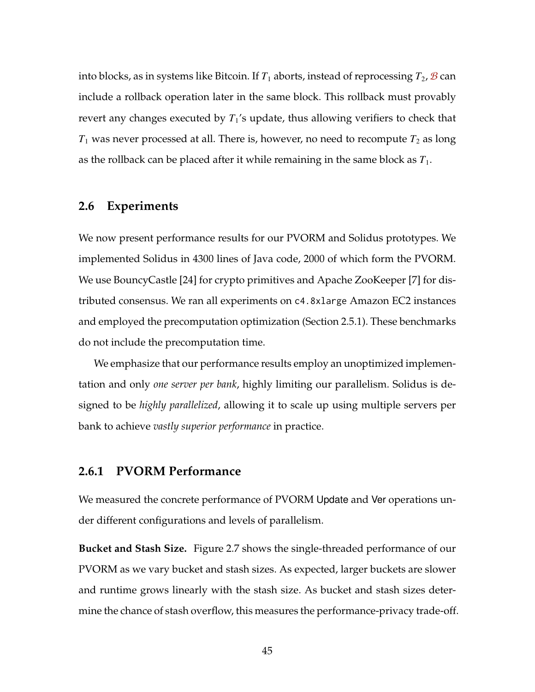into blocks, as in systems like Bitcoin. If  $T_1$  aborts, instead of reprocessing  $T_2$ ,  $\mathcal{B}$  can include a rollback operation later in the same block. This rollback must provably revert any changes executed by  $T_1$ 's update, thus allowing verifiers to check that  $T_1$  was never processed at all. There is, however, no need to recompute  $T_2$  as long as the rollback can be placed after it while remaining in the same block as  $T_1$ .

#### <span id="page-59-0"></span>**2.6 Experiments**

We now present performance results for our PVORM and Solidus prototypes. We implemented Solidus in 4300 lines of Java code, 2000 of which form the PVORM. We use BouncyCastle [\[24\]](#page-261-0) for crypto primitives and Apache ZooKeeper [\[7\]](#page-258-0) for distributed consensus. We ran all experiments on c4.8xlarge Amazon EC2 instances and employed the precomputation optimization (Section [2.5.1\)](#page-56-0). These benchmarks do not include the precomputation time.

We emphasize that our performance results employ an unoptimized implementation and only *one server per bank*, highly limiting our parallelism. Solidus is designed to be *highly parallelized*, allowing it to scale up using multiple servers per bank to achieve *vastly superior performance* in practice.

#### **2.6.1 PVORM Performance**

We measured the concrete performance of PVORM Update and Ver operations under different configurations and levels of parallelism.

**Bucket and Stash Size.** Figure [2.7](#page-60-0) shows the single-threaded performance of our PVORM as we vary bucket and stash sizes. As expected, larger buckets are slower and runtime grows linearly with the stash size. As bucket and stash sizes determine the chance of stash overflow, this measures the performance-privacy trade-off.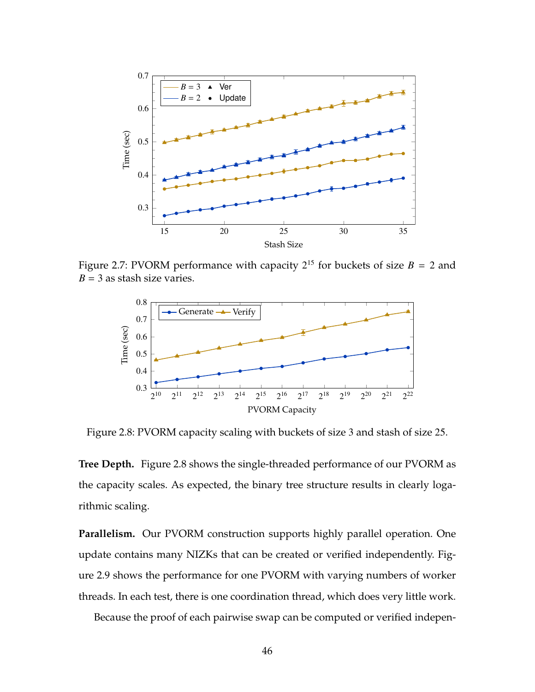<span id="page-60-0"></span>

Figure 2.7: PVORM performance with capacity  $2^{15}$  for buckets of size  $B = 2$  and  $B = 3$  as stash size varies.

<span id="page-60-1"></span>

Figure 2.8: PVORM capacity scaling with buckets of size 3 and stash of size 25.

**Tree Depth.** Figure [2.8](#page-60-1) shows the single-threaded performance of our PVORM as the capacity scales. As expected, the binary tree structure results in clearly logarithmic scaling.

**Parallelism.** Our PVORM construction supports highly parallel operation. One update contains many NIZKs that can be created or verified independently. Figure [2.9](#page-61-0) shows the performance for one PVORM with varying numbers of worker threads. In each test, there is one coordination thread, which does very little work.

Because the proof of each pairwise swap can be computed or verified indepen-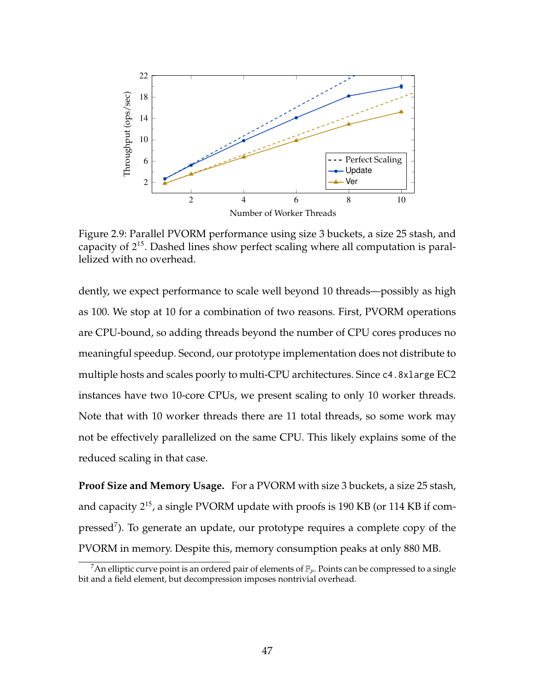<span id="page-61-0"></span>

Figure 2.9: Parallel PVORM performance using size 3 buckets, a size 25 stash, and capacity of 2 <sup>15</sup>. Dashed lines show perfect scaling where all computation is parallelized with no overhead.

dently, we expect performance to scale well beyond 10 threads—possibly as high as 100. We stop at 10 for a combination of two reasons. First, PVORM operations are CPU-bound, so adding threads beyond the number of CPU cores produces no meaningful speedup. Second, our prototype implementation does not distribute to multiple hosts and scales poorly to multi-CPU architectures. Since c4.8xlarge EC2 instances have two 10-core CPUs, we present scaling to only 10 worker threads. Note that with 10 worker threads there are 11 total threads, so some work may not be effectively parallelized on the same CPU. This likely explains some of the reduced scaling in that case.

**Proof Size and Memory Usage.** For a PVORM with size 3 buckets, a size 25 stash, and capacity  $2^{15}$ , a single PVORM update with proofs is 190 KB (or 114 KB if com-pressed<sup>[7](#page-61-1)</sup>). To generate an update, our prototype requires a complete copy of the PVORM in memory. Despite this, memory consumption peaks at only 880 MB.

<span id="page-61-1"></span><sup>&</sup>lt;sup>7</sup>An elliptic curve point is an ordered pair of elements of  $\mathbb{F}_p$ . Points can be compressed to a single bit and a field element, but decompression imposes nontrivial overhead.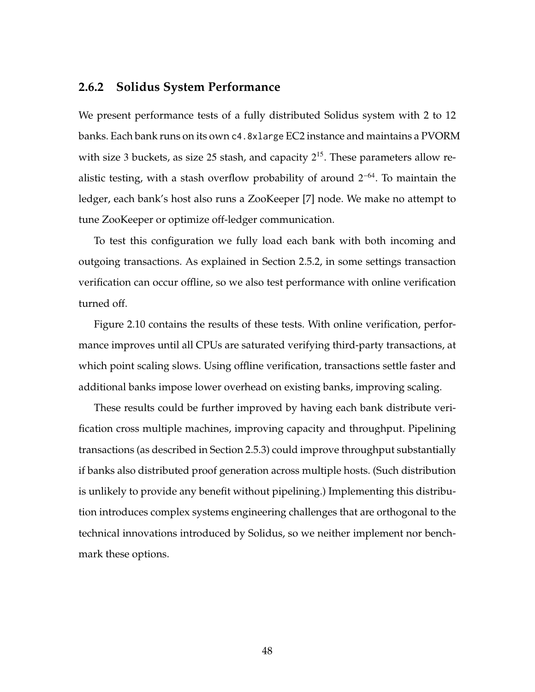#### **2.6.2 Solidus System Performance**

We present performance tests of a fully distributed Solidus system with 2 to 12 banks. Each bank runs on its own c4.8xlarge EC2 instance and maintains a PVORM with size 3 buckets, as size 25 stash, and capacity  $2^{15}$ . These parameters allow realistic testing, with a stash overflow probability of around  $2^{-64}$ . To maintain the ledger, each bank's host also runs a ZooKeeper [\[7\]](#page-258-0) node. We make no attempt to tune ZooKeeper or optimize off-ledger communication.

To test this configuration we fully load each bank with both incoming and outgoing transactions. As explained in Section [2.5.2,](#page-57-0) in some settings transaction verification can occur offline, so we also test performance with online verification turned off.

Figure [2.10](#page-63-0) contains the results of these tests. With online verification, performance improves until all CPUs are saturated verifying third-party transactions, at which point scaling slows. Using offline verification, transactions settle faster and additional banks impose lower overhead on existing banks, improving scaling.

<span id="page-62-0"></span>These results could be further improved by having each bank distribute verification cross multiple machines, improving capacity and throughput. Pipelining transactions (as described in Section [2.5.3\)](#page-58-0) could improve throughput substantially if banks also distributed proof generation across multiple hosts. (Such distribution is unlikely to provide any benefit without pipelining.) Implementing this distribution introduces complex systems engineering challenges that are orthogonal to the technical innovations introduced by Solidus, so we neither implement nor benchmark these options.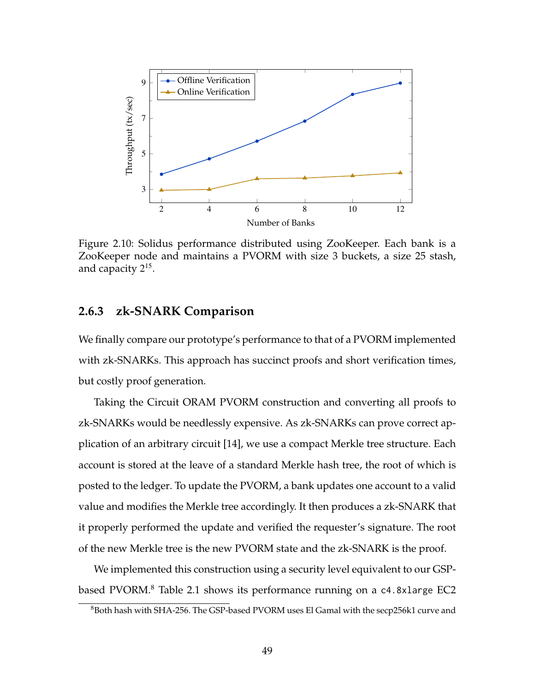<span id="page-63-0"></span>

Figure 2.10: Solidus performance distributed using ZooKeeper. Each bank is a ZooKeeper node and maintains a PVORM with size 3 buckets, a size 25 stash, and capacity  $2^{15}$ .

# **2.6.3 zk-SNARK Comparison**

We finally compare our prototype's performance to that of a PVORM implemented with zk-SNARKs. This approach has succinct proofs and short verification times, but costly proof generation.

Taking the Circuit ORAM PVORM construction and converting all proofs to zk-SNARKs would be needlessly expensive. As zk-SNARKs can prove correct application of an arbitrary circuit [\[14\]](#page-259-1), we use a compact Merkle tree structure. Each account is stored at the leave of a standard Merkle hash tree, the root of which is posted to the ledger. To update the PVORM, a bank updates one account to a valid value and modifies the Merkle tree accordingly. It then produces a zk-SNARK that it properly performed the update and verified the requester's signature. The root of the new Merkle tree is the new PVORM state and the zk-SNARK is the proof.

We implemented this construction using a security level equivalent to our GSP-based PVORM.<sup>[8](#page-63-1)</sup> Table [2.1](#page-64-0) shows its performance running on a c4.8xlarge EC2

<span id="page-63-1"></span><sup>&</sup>lt;sup>8</sup>Both hash with SHA-256. The GSP-based PVORM uses El Gamal with the secp256k1 curve and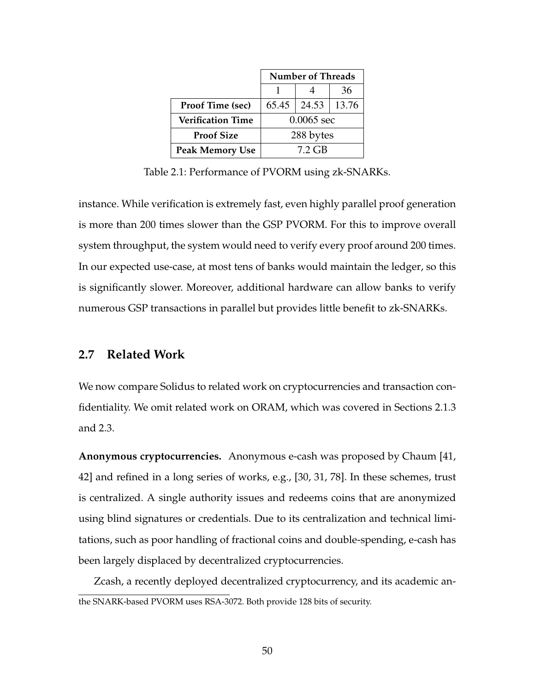<span id="page-64-0"></span>

|                          | <b>Number of Threads</b> |       |         |
|--------------------------|--------------------------|-------|---------|
|                          |                          |       | 36      |
| Proof Time (sec)         | 65.45                    | 24.53 | $13.76$ |
| <b>Verification Time</b> | $0.0065$ sec             |       |         |
| <b>Proof Size</b>        | 288 bytes                |       |         |
| <b>Peak Memory Use</b>   | 7.2 GB                   |       |         |

Table 2.1: Performance of PVORM using zk-SNARKs.

instance. While verification is extremely fast, even highly parallel proof generation is more than 200 times slower than the GSP PVORM. For this to improve overall system throughput, the system would need to verify every proof around 200 times. In our expected use-case, at most tens of banks would maintain the ledger, so this is significantly slower. Moreover, additional hardware can allow banks to verify numerous GSP transactions in parallel but provides little benefit to zk-SNARKs.

### **2.7 Related Work**

We now compare Solidus to related work on cryptocurrencies and transaction confidentiality. We omit related work on ORAM, which was covered in Sections [2.1.3](#page-32-0) and [2.3.](#page-41-0)

**Anonymous cryptocurrencies.** Anonymous e-cash was proposed by Chaum [\[41,](#page-263-1) [42\]](#page-264-0) and refined in a long series of works, e.g., [\[30,](#page-262-2) [31,](#page-262-3) [78\]](#page-269-1). In these schemes, trust is centralized. A single authority issues and redeems coins that are anonymized using blind signatures or credentials. Due to its centralization and technical limitations, such as poor handling of fractional coins and double-spending, e-cash has been largely displaced by decentralized cryptocurrencies.

Zcash, a recently deployed decentralized cryptocurrency, and its academic anthe SNARK-based PVORM uses RSA-3072. Both provide 128 bits of security.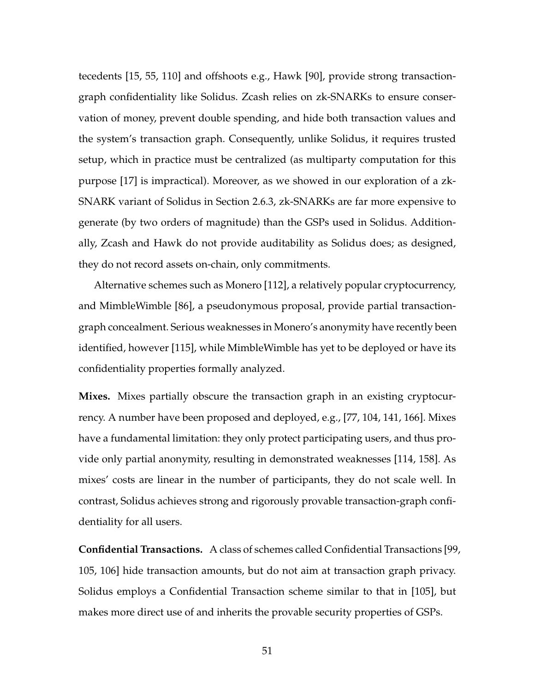tecedents [\[15,](#page-260-0) [55,](#page-265-0) [110\]](#page-273-0) and offshoots e.g., Hawk [\[90\]](#page-270-1), provide strong transactiongraph confidentiality like Solidus. Zcash relies on zk-SNARKs to ensure conservation of money, prevent double spending, and hide both transaction values and the system's transaction graph. Consequently, unlike Solidus, it requires trusted setup, which in practice must be centralized (as multiparty computation for this purpose [\[17\]](#page-260-1) is impractical). Moreover, as we showed in our exploration of a zk-SNARK variant of Solidus in Section [2.6.3,](#page-62-0) zk-SNARKs are far more expensive to generate (by two orders of magnitude) than the GSPs used in Solidus. Additionally, Zcash and Hawk do not provide auditability as Solidus does; as designed, they do not record assets on-chain, only commitments.

Alternative schemes such as Monero [\[112\]](#page-273-1), a relatively popular cryptocurrency, and MimbleWimble [\[86\]](#page-270-2), a pseudonymous proposal, provide partial transactiongraph concealment. Serious weaknesses in Monero's anonymity have recently been identified, however [\[115\]](#page-274-1), while MimbleWimble has yet to be deployed or have its confidentiality properties formally analyzed.

**Mixes.** Mixes partially obscure the transaction graph in an existing cryptocurrency. A number have been proposed and deployed, e.g., [\[77,](#page-268-0) [104,](#page-272-1) [141,](#page-277-0) [166\]](#page-280-1). Mixes have a fundamental limitation: they only protect participating users, and thus provide only partial anonymity, resulting in demonstrated weaknesses [\[114,](#page-273-2) [158\]](#page-279-1). As mixes' costs are linear in the number of participants, they do not scale well. In contrast, Solidus achieves strong and rigorously provable transaction-graph confidentiality for all users.

**Confidential Transactions.** A class of schemes called Confidential Transactions [\[99,](#page-272-2) [105,](#page-272-3) [106\]](#page-272-4) hide transaction amounts, but do not aim at transaction graph privacy. Solidus employs a Confidential Transaction scheme similar to that in [\[105\]](#page-272-3), but makes more direct use of and inherits the provable security properties of GSPs.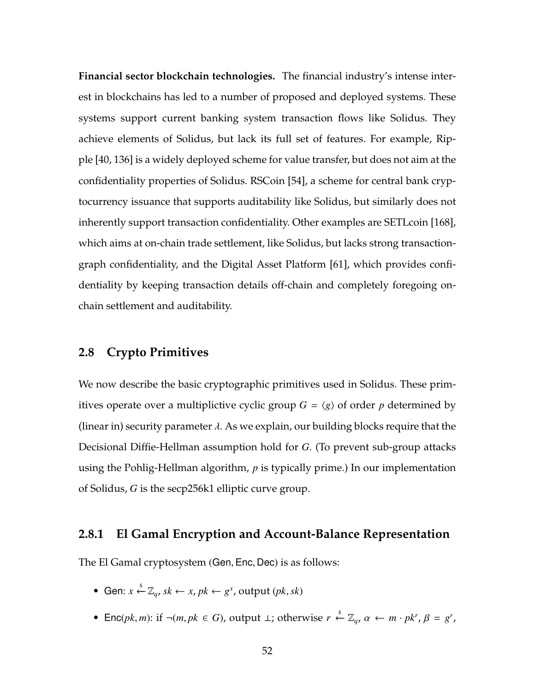**Financial sector blockchain technologies.** The financial industry's intense interest in blockchains has led to a number of proposed and deployed systems. These systems support current banking system transaction flows like Solidus. They achieve elements of Solidus, but lack its full set of features. For example, Ripple [\[40,](#page-263-2) [136\]](#page-276-0) is a widely deployed scheme for value transfer, but does not aim at the confidentiality properties of Solidus. RSCoin [\[54\]](#page-265-1), a scheme for central bank cryptocurrency issuance that supports auditability like Solidus, but similarly does not inherently support transaction confidentiality. Other examples are SETLcoin [\[168\]](#page-281-1), which aims at on-chain trade settlement, like Solidus, but lacks strong transactiongraph confidentiality, and the Digital Asset Platform [\[61\]](#page-266-1), which provides confidentiality by keeping transaction details off-chain and completely foregoing onchain settlement and auditability.

### <span id="page-66-0"></span>**2.8 Crypto Primitives**

We now describe the basic cryptographic primitives used in Solidus. These primitives operate over a multiplictive cyclic group  $G = \langle g \rangle$  of order *p* determined by (linear in) security parameter  $\lambda$ . As we explain, our building blocks require that the Decisional Diffie-Hellman assumption hold for *G*. (To prevent sub-group attacks using the Pohlig-Hellman algorithm, *p* is typically prime.) In our implementation of Solidus, *G* is the secp256k1 elliptic curve group.

### **2.8.1 El Gamal Encryption and Account-Balance Representation**

The El Gamal cryptosystem (Gen, Enc, Dec) is as follows:

- Gen:  $x \stackrel{\$}{\leftarrow} \mathbb{Z}_q$ ,  $sk \leftarrow x$ ,  $pk \leftarrow g^x$ , output ( $pk, sk$ )
- Enc(*pk*, *m*): if ¬(*m*, *pk* ∈ *G*), output ⊥; otherwise  $r \stackrel{\$}{\leftarrow} \mathbb{Z}_q$ ,  $\alpha \leftarrow m \cdot pk^r$ ,  $\beta = g^r$ ,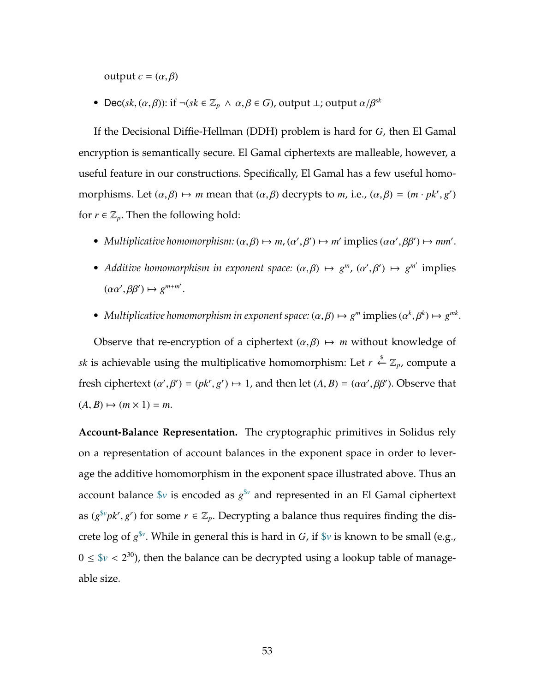output  $c = (α, β)$ 

• Dec( $sk$ ,  $(\alpha, \beta)$ ): if  $\neg (sk \in \mathbb{Z}_p \land \alpha, \beta \in G)$ , output  $\bot$ ; output  $\alpha/\beta^{sk}$ 

If the Decisional Diffie-Hellman (DDH) problem is hard for *G*, then El Gamal encryption is semantically secure. El Gamal ciphertexts are malleable, however, a useful feature in our constructions. Specifically, El Gamal has a few useful homomorphisms. Let  $(\alpha, \beta) \mapsto m$  mean that  $(\alpha, \beta)$  decrypts to *m*, i.e.,  $(\alpha, \beta) = (m \cdot pk^r, g^r)$ for  $r \in \mathbb{Z}_p$ . Then the following hold:

- *Multiplicative homomorphism:*  $(\alpha, \beta) \mapsto m$ ,  $(\alpha', \beta') \mapsto m'$  implies  $(\alpha \alpha', \beta \beta') \mapsto mm'$ .
- *Additive homomorphism in exponent space:*  $(\alpha, \beta) \mapsto g^m$ ,  $(\alpha', \beta') \mapsto g^{m'}$  implies  $(\alpha \alpha', \beta \beta') \mapsto g^{m+m'}$ .
- *Multiplicative homomorphism in exponent space:*  $(\alpha, \beta) \mapsto g^m$  implies  $(\alpha^k, \beta^k) \mapsto g^{mk}$ .

Observe that re-encryption of a ciphertext  $(\alpha, \beta) \mapsto m$  without knowledge of *sk* is achievable using the multiplicative homomorphism: Let  $r \stackrel{\$}{\leftarrow} \mathbb{Z}_p$ , compute a fresh ciphertext  $(\alpha', \beta') = (pk^r, g^r) \mapsto 1$ , and then let  $(A, B) = (\alpha \alpha', \beta \beta')$ . Observe that  $(A, B) \mapsto (m \times 1) = m.$ 

**Account-Balance Representation.** The cryptographic primitives in Solidus rely on a representation of account balances in the exponent space in order to leverage the additive homomorphism in the exponent space illustrated above. Thus an account balance \$*v* is encoded as *g* \$*<sup>v</sup>* and represented in an El Gamal ciphertext as  $(g^{\$v}pk^r, g^r)$  for some  $r \in \mathbb{Z}_p$ . Decrypting a balance thus requires finding the discrete log of  $g^{\$v}$ . While in general this is hard in *G*, if  $\$v$  is known to be small (e.g.,  $0 \leq \frac{6}{v} < 2^{30}$ , then the balance can be decrypted using a lookup table of manageable size.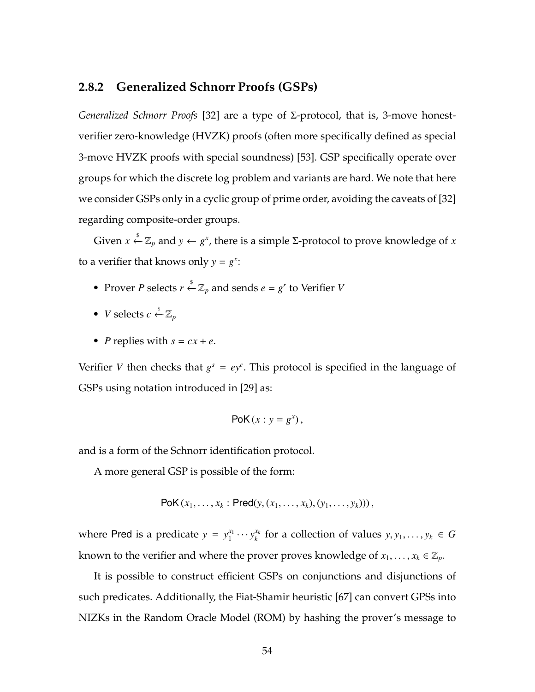### **2.8.2 Generalized Schnorr Proofs (GSPs)**

*Generalized Schnorr Proofs* [\[32\]](#page-262-0) are a type of Σ-protocol, that is, 3-move honestverifier zero-knowledge (HVZK) proofs (often more specifically defined as special 3-move HVZK proofs with special soundness) [\[53\]](#page-265-2). GSP specifically operate over groups for which the discrete log problem and variants are hard. We note that here we consider GSPs only in a cyclic group of prime order, avoiding the caveats of [\[32\]](#page-262-0) regarding composite-order groups.

Given *x*  $\stackrel{\$}{\leftarrow} \mathbb{Z}_p$  and *y* ← *g<sup>x</sup>*, there is a simple Σ-protocol to prove knowledge of *x* to a verifier that knows only  $y = g^x$ :

- Prover *P* selects  $r \stackrel{\text{s}}{\leftarrow} \mathbb{Z}_p$  and sends  $e = g^r$  to Verifier *V*
- *V* selects  $c \stackrel{\$}{\leftarrow} \mathbb{Z}_p$
- *P* replies with  $s = cx + e$ .

Verifier *V* then checks that  $g^s = ey^c$ . This protocol is specified in the language of GSPs using notation introduced in [\[29\]](#page-262-4) as:

$$
PoK(x : y = g^x),
$$

and is a form of the Schnorr identification protocol.

A more general GSP is possible of the form:

PoK 
$$
(x_1, ..., x_k : Pred(y, (x_1, ..., x_k), (y_1, ..., y_k)))
$$
,

where Pred is a predicate  $y = y_1^{x_1}$  $y_1^{x_1} \cdots y_k^{x_k}$ *k*<sup>*k*</sup> for a collection of values  $y, y_1, \ldots, y_k \in G$ known to the verifier and where the prover proves knowledge of  $x_1, \ldots, x_k \in \mathbb{Z}_p$ .

It is possible to construct efficient GSPs on conjunctions and disjunctions of such predicates. Additionally, the Fiat-Shamir heuristic [\[67\]](#page-267-0) can convert GPSs into NIZKs in the Random Oracle Model (ROM) by hashing the prover's message to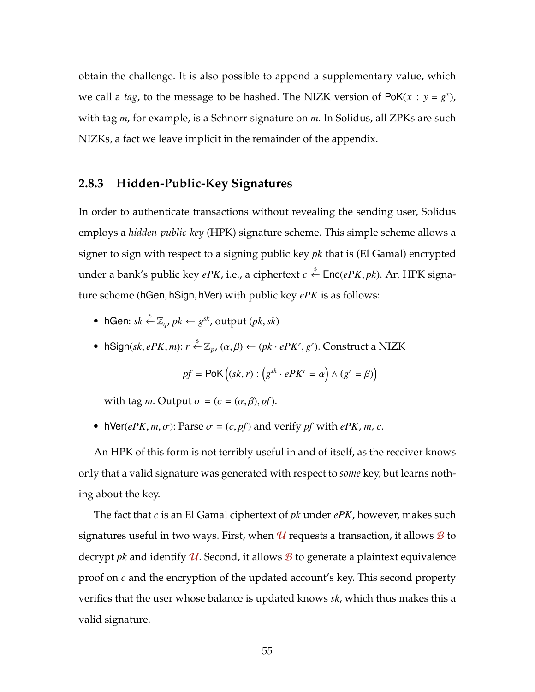obtain the challenge. It is also possible to append a supplementary value, which we call a *tag*, to the message to be hashed. The NIZK version of  $PoK(x : y = g^x)$ , with tag *m*, for example, is a Schnorr signature on *m*. In Solidus, all ZPKs are such NIZKs, a fact we leave implicit in the remainder of the appendix.

# <span id="page-69-0"></span>**2.8.3 Hidden-Public-Key Signatures**

In order to authenticate transactions without revealing the sending user, Solidus employs a *hidden-public-key* (HPK) signature scheme. This simple scheme allows a signer to sign with respect to a signing public key *pk* that is (El Gamal) encrypted under a bank's public key *ePK,* i.e., a ciphertext  $c \overset{\hspace{0.1em}\mathsf{\scriptscriptstyle\$}}{\leftarrow} \mathsf{Enc}(ePK, pk)$ . An HPK signature scheme (hGen, hSign, hVer) with public key *ePK* is as follows:

- hGen:  $sk \stackrel{\$}{\leftarrow} \mathbb{Z}_q$ ,  $pk \leftarrow g^{sk}$ , output  $(pk, sk)$
- hSign( $sk, ePK, m$ ):  $r \stackrel{\$}{\leftarrow} \mathbb{Z}_p$ ,  $(\alpha, \beta) \leftarrow (pk \cdot ePK^r, g^r)$ . Construct a NIZK

$$
pf = PoK((sk, r) : (g^{sk} \cdot ePK^r = \alpha) \wedge (g^r = \beta))
$$

with tag *m*. Output  $\sigma = (c = (\alpha, \beta), pf)$ .

• hVer( $ePK, m, \sigma$ ): Parse  $\sigma = (c, pf)$  and verify *pf* with  $ePK, m, c$ .

An HPK of this form is not terribly useful in and of itself, as the receiver knows only that a valid signature was generated with respect to *some* key, but learns nothing about the key.

<span id="page-69-1"></span>The fact that *c* is an El Gamal ciphertext of *pk* under *ePK*, however, makes such signatures useful in two ways. First, when  $\mathcal U$  requests a transaction, it allows  $\mathcal B$  to decrypt *pk* and identify  $U$ . Second, it allows  $B$  to generate a plaintext equivalence proof on *c* and the encryption of the updated account's key. This second property verifies that the user whose balance is updated knows *sk*, which thus makes this a valid signature.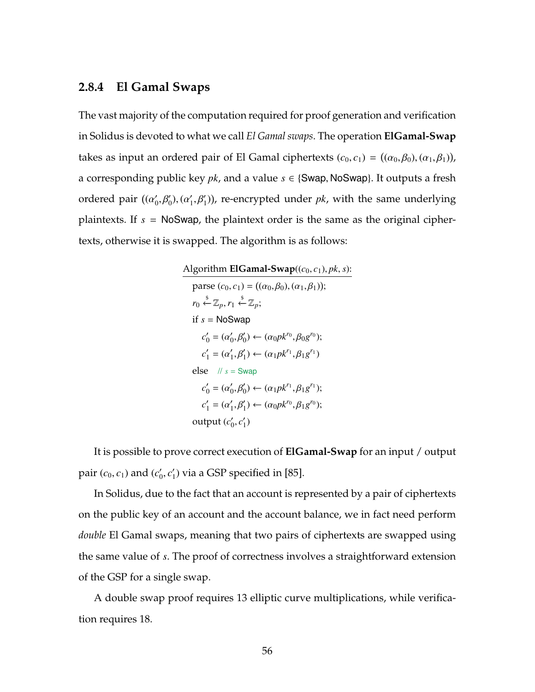#### **2.8.4 El Gamal Swaps**

The vast majority of the computation required for proof generation and verification in Solidus is devoted to what we call *El Gamal swaps*. The operation **ElGamal-Swap** takes as input an ordered pair of El Gamal ciphertexts  $(c_0, c_1) = ((\alpha_0, \beta_0), (\alpha_1, \beta_1))$ , a corresponding public key *pk*, and a value *s* ∈ {Swap, NoSwap}. It outputs a fresh ordered pair  $((\alpha'_0, \beta'_0), (\alpha'_1, \beta'_1))$ , re-encrypted under *pk*, with the same underlying plaintexts. If *s* = NoSwap, the plaintext order is the same as the original ciphertexts, otherwise it is swapped. The algorithm is as follows:

> Algorithm **ElGamal-Swap**((*c*0, *c*1), *pk*, *s*): parse  $(c_0, c_1) = ((\alpha_0, \beta_0), (\alpha_1, \beta_1));$  $r_0 \overset{\$}{\leftarrow} \mathbb{Z}_p, r_1 \overset{\$}{\leftarrow} \mathbb{Z}_p;$ if *s* = NoSwap  $c'_0 = (\alpha'_0, \beta'_0) \leftarrow (\alpha_0 p k^{r_0}, \beta_0 g^{r_0});$  $c'_{1} = (\alpha'_{1}, \beta'_{1}) \leftarrow (\alpha_{1} p k^{r_{1}}, \beta_{1} g^{r_{1}})$ else  $// s = Swap$  $c'_0 = (\alpha'_0, \beta'_0) \leftarrow (\alpha_1 p k^{r_1}, \beta_1 g^{r_1});$  $c'_{1} = (\alpha'_{1}, \beta'_{1}) \leftarrow (\alpha_{0} p k^{r_{0}}, \beta_{1} g^{r_{0}});$ output  $(c'_0, c'_1)$

It is possible to prove correct execution of **ElGamal-Swap** for an input / output pair  $(c_0, c_1)$  and  $(c'_0, c'_1)$  via a GSP specified in [\[85\]](#page-270-0).

In Solidus, due to the fact that an account is represented by a pair of ciphertexts on the public key of an account and the account balance, we in fact need perform *double* El Gamal swaps, meaning that two pairs of ciphertexts are swapped using the same value of *s*. The proof of correctness involves a straightforward extension of the GSP for a single swap.

<span id="page-70-0"></span>A double swap proof requires 13 elliptic curve multiplications, while verification requires 18.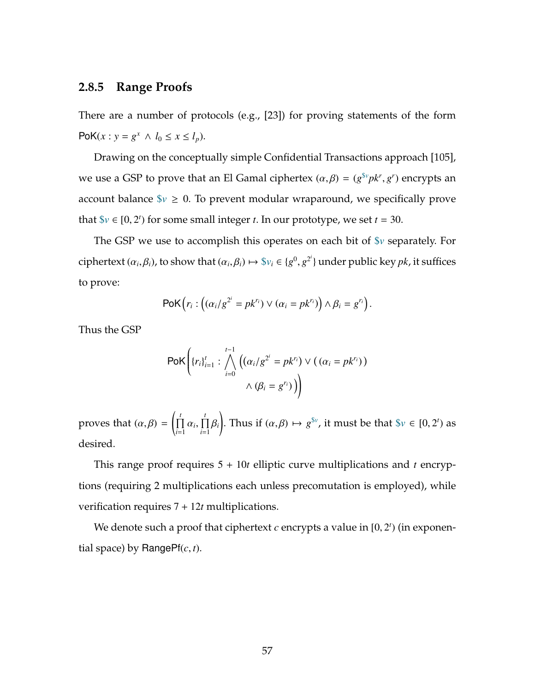# **2.8.5 Range Proofs**

There are a number of protocols (e.g., [\[23\]](#page-261-1)) for proving statements of the form PoK(*x* : *y* =  $g^x$  ∧ *l*<sub>0</sub> ≤ *x* ≤ *l*<sub>*p*</sub>).

Drawing on the conceptually simple Confidential Transactions approach [\[105\]](#page-272-3), we use a GSP to prove that an El Gamal ciphertex  $(\alpha, \beta) = (g^{\$v}pk^r, g^r)$  encrypts an account balance  $\gamma \geq 0$ . To prevent modular wraparound, we specifically prove that  $\forall v \in [0, 2^t)$  for some small integer *t*. In our prototype, we set *t* = 30.

The GSP we use to accomplish this operates on each bit of \$*v* separately. For ciphertext  $(\alpha_i, \beta_i)$ , to show that  $(\alpha_i, \beta_i) \mapsto \$\nu_i \in \{g^0, g^{2^i}\}\$ under public key *pk*, it suffices to prove:

$$
\mathsf{PoK}\left(r_i: \left((\alpha_i/g^{2^i}=pk^{r_i})\vee (\alpha_i=pk^{r_i})\right)\wedge \beta_i=g^{r_i}\right).
$$

Thus the GSP

$$
\mathsf{PoK}\bigg\{ \{r_i\}_{i=1}^t : \bigwedge_{i=0}^{t-1} \left( (\alpha_i/g^{2^i} = pk^{r_i}) \vee ((\alpha_i = pk^{r_i}) \right) \wedge (\beta_i = g^{r_i}) \bigg) \bigg\}
$$

proves that  $(\alpha, \beta)$  =  $\int_{\Pi}^{t}$  $\prod_{i=1}^t \alpha_i, \prod_{i=1}^t$  $\prod_{i=1}$  $\beta_i$ ! . Thus if  $(\alpha, \beta) \mapsto g^{\$v}$ , it must be that  $\$v \in [0, 2^t)$  as desired.

This range proof requires 5 + 10*t* elliptic curve multiplications and *t* encryptions (requiring 2 multiplications each unless precomutation is employed), while verification requires 7 + 12*t* multiplications.

We denote such a proof that ciphertext  $c$  encrypts a value in  $[0, 2^t)$  (in exponential space) by RangePf(*c*, *t*).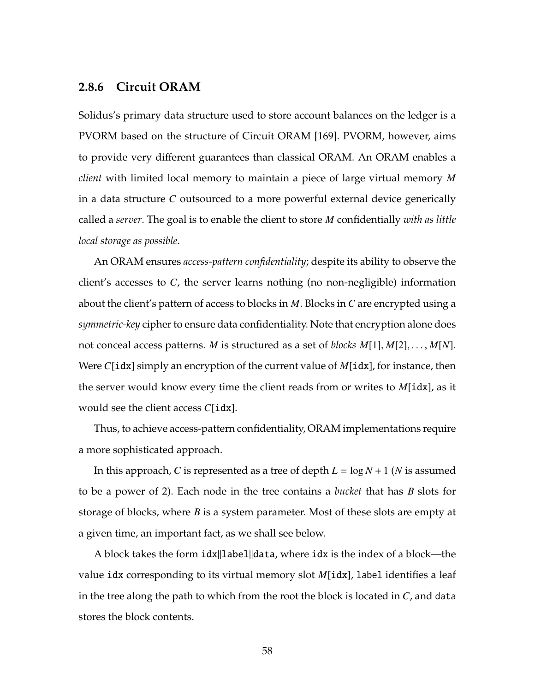# **2.8.6 Circuit ORAM**

Solidus's primary data structure used to store account balances on the ledger is a PVORM based on the structure of Circuit ORAM [\[169\]](#page-281-0). PVORM, however, aims to provide very different guarantees than classical ORAM. An ORAM enables a *client* with limited local memory to maintain a piece of large virtual memory *M* in a data structure *C* outsourced to a more powerful external device generically called a *server*. The goal is to enable the client to store *M* confidentially *with as little local storage as possible*.

An ORAM ensures *access-pattern confidentiality*; despite its ability to observe the client's accesses to *C*, the server learns nothing (no non-negligible) information about the client's pattern of access to blocks in *M*. Blocks in *C* are encrypted using a *symmetric-key* cipher to ensure data confidentiality. Note that encryption alone does not conceal access patterns. *M* is structured as a set of *blocks M*[1], *M*[2], . . . , *M*[*N*]. Were *C*[idx] simply an encryption of the current value of *M*[idx], for instance, then the server would know every time the client reads from or writes to *M*[idx], as it would see the client access *C*[idx].

Thus, to achieve access-pattern confidentiality, ORAM implementations require a more sophisticated approach.

In this approach, *C* is represented as a tree of depth *L* = log *N* + 1 (*N* is assumed to be a power of 2). Each node in the tree contains a *bucket* that has *B* slots for storage of blocks, where *B* is a system parameter. Most of these slots are empty at a given time, an important fact, as we shall see below.

A block takes the form  $idx||label|data$ , where idx is the index of a block—the value idx corresponding to its virtual memory slot *M*[idx], label identifies a leaf in the tree along the path to which from the root the block is located in *C*, and data stores the block contents.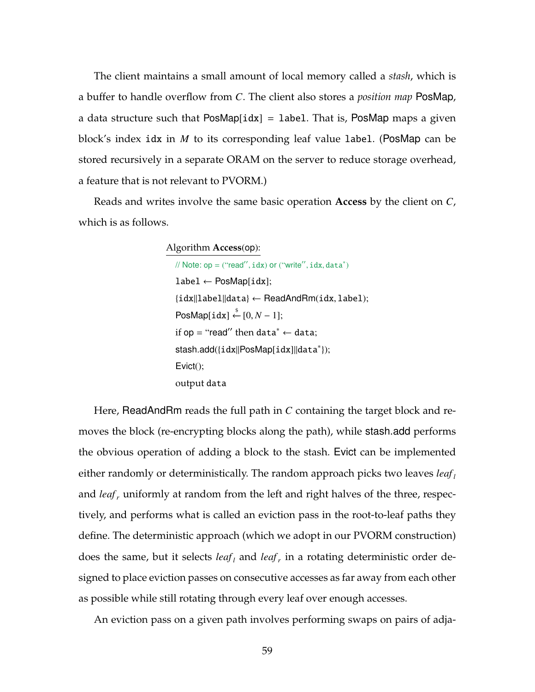The client maintains a small amount of local memory called a *stash*, which is a buffer to handle overflow from *C*. The client also stores a *position map* PosMap, a data structure such that  $PosMap[idx] = label$ . That is,  $PosMap$  maps a given block's index idx in *M* to its corresponding leaf value label. (PosMap can be stored recursively in a separate ORAM on the server to reduce storage overhead, a feature that is not relevant to PVORM.)

Reads and writes involve the same basic operation **Access** by the client on *C*, which is as follows.

> Algorithm **Access**(op): //  $Note: op = ("read", idx) or ("write", idx, data")$ label ← PosMap[idx]; {idx||label||data} ← ReadAndRm(idx, label);  $\mathsf{PosMap}[\mathtt{idx}] \overset{\$}{\leftarrow} [0,N-1];$ if op = "read" then data\*  $\leftarrow$  data; stash.add({idx||PosMap[idx]||data\*});  $Evict()$ : output data

Here, ReadAndRm reads the full path in *C* containing the target block and removes the block (re-encrypting blocks along the path), while stash.add performs the obvious operation of adding a block to the stash. Evict can be implemented either randomly or deterministically. The random approach picks two leaves *leaf <sup>l</sup>* and *leaf*, uniformly at random from the left and right halves of the three, respectively, and performs what is called an eviction pass in the root-to-leaf paths they define. The deterministic approach (which we adopt in our PVORM construction) does the same, but it selects *leaf<sub>l</sub>* and *leaf<sub>r</sub>* in a rotating deterministic order designed to place eviction passes on consecutive accesses as far away from each other as possible while still rotating through every leaf over enough accesses.

An eviction pass on a given path involves performing swaps on pairs of adja-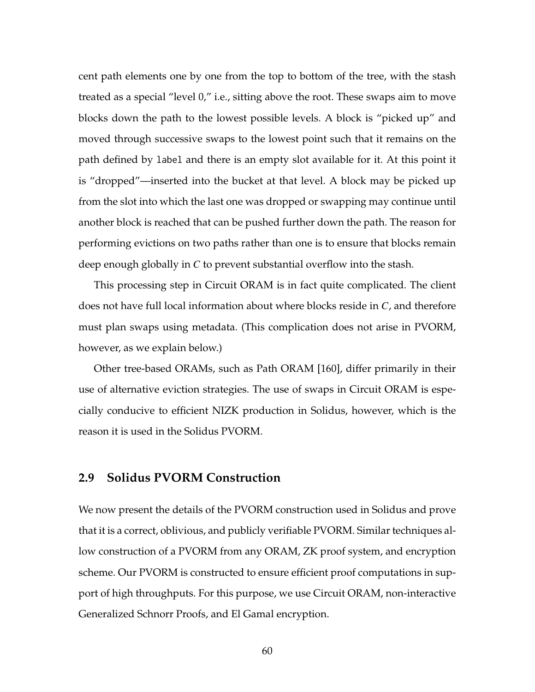cent path elements one by one from the top to bottom of the tree, with the stash treated as a special "level 0," i.e., sitting above the root. These swaps aim to move blocks down the path to the lowest possible levels. A block is "picked up" and moved through successive swaps to the lowest point such that it remains on the path defined by label and there is an empty slot available for it. At this point it is "dropped"—inserted into the bucket at that level. A block may be picked up from the slot into which the last one was dropped or swapping may continue until another block is reached that can be pushed further down the path. The reason for performing evictions on two paths rather than one is to ensure that blocks remain deep enough globally in *C* to prevent substantial overflow into the stash.

This processing step in Circuit ORAM is in fact quite complicated. The client does not have full local information about where blocks reside in *C*, and therefore must plan swaps using metadata. (This complication does not arise in PVORM, however, as we explain below.)

Other tree-based ORAMs, such as Path ORAM [\[160\]](#page-280-0), differ primarily in their use of alternative eviction strategies. The use of swaps in Circuit ORAM is especially conducive to efficient NIZK production in Solidus, however, which is the reason it is used in the Solidus PVORM.

### <span id="page-74-0"></span>**2.9 Solidus PVORM Construction**

We now present the details of the PVORM construction used in Solidus and prove that it is a correct, oblivious, and publicly verifiable PVORM. Similar techniques allow construction of a PVORM from any ORAM, ZK proof system, and encryption scheme. Our PVORM is constructed to ensure efficient proof computations in support of high throughputs. For this purpose, we use Circuit ORAM, non-interactive Generalized Schnorr Proofs, and El Gamal encryption.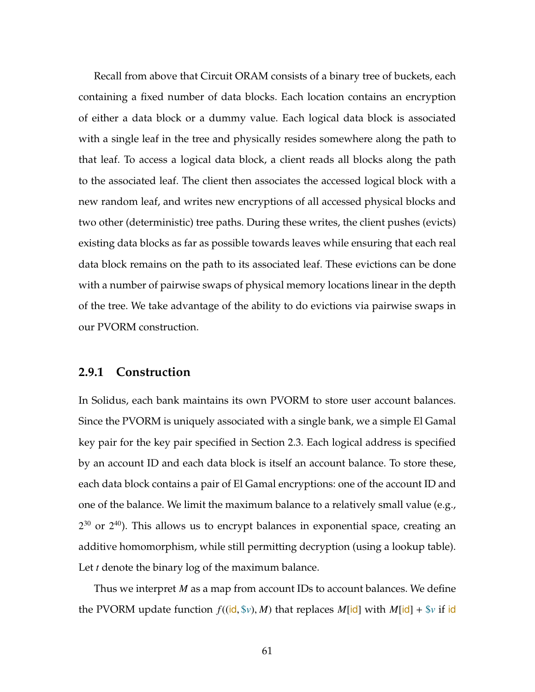Recall from above that Circuit ORAM consists of a binary tree of buckets, each containing a fixed number of data blocks. Each location contains an encryption of either a data block or a dummy value. Each logical data block is associated with a single leaf in the tree and physically resides somewhere along the path to that leaf. To access a logical data block, a client reads all blocks along the path to the associated leaf. The client then associates the accessed logical block with a new random leaf, and writes new encryptions of all accessed physical blocks and two other (deterministic) tree paths. During these writes, the client pushes (evicts) existing data blocks as far as possible towards leaves while ensuring that each real data block remains on the path to its associated leaf. These evictions can be done with a number of pairwise swaps of physical memory locations linear in the depth of the tree. We take advantage of the ability to do evictions via pairwise swaps in our PVORM construction.

### **2.9.1 Construction**

In Solidus, each bank maintains its own PVORM to store user account balances. Since the PVORM is uniquely associated with a single bank, we a simple El Gamal key pair for the key pair specified in Section [2.3.](#page-41-0) Each logical address is specified by an account ID and each data block is itself an account balance. To store these, each data block contains a pair of El Gamal encryptions: one of the account ID and one of the balance. We limit the maximum balance to a relatively small value (e.g.,  $2^{30}$  or  $2^{40}$ ). This allows us to encrypt balances in exponential space, creating an additive homomorphism, while still permitting decryption (using a lookup table). Let *t* denote the binary log of the maximum balance.

Thus we interpret *M* as a map from account IDs to account balances. We define the PVORM update function  $f((id, \S v), M)$  that replaces  $M[id]$  with  $M[id] + \S v$  if id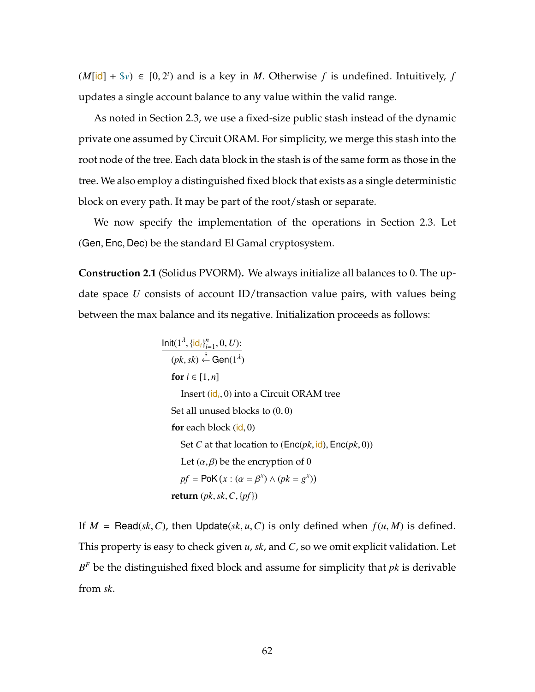$(M[i\mathbf{d}] + \mathbf{F}v) \in [0, 2^t)$  and is a key in *M*. Otherwise *f* is undefined. Intuitively, *f* updates a single account balance to any value within the valid range.

As noted in Section [2.3,](#page-41-0) we use a fixed-size public stash instead of the dynamic private one assumed by Circuit ORAM. For simplicity, we merge this stash into the root node of the tree. Each data block in the stash is of the same form as those in the tree. We also employ a distinguished fixed block that exists as a single deterministic block on every path. It may be part of the root/stash or separate.

We now specify the implementation of the operations in Section [2.3.](#page-41-0) Let (Gen, Enc, Dec) be the standard El Gamal cryptosystem.

<span id="page-76-0"></span>**Construction 2.1** (Solidus PVORM)**.** We always initialize all balances to 0. The update space *U* consists of account ID/transaction value pairs, with values being between the max balance and its negative. Initialization proceeds as follows:

$$
\frac{\text{Init}(1^{\lambda}, \{\text{id}_i\}_{i=1}^n, 0, U):}{(pk, sk) \stackrel{\$}{\leftarrow} \text{Gen}(1^{\lambda})}
$$
\n
$$
\text{for } i \in [1, n]
$$
\nInsert (id<sub>i</sub>, 0) into a Circuit ORAM tree

\n
$$
\text{Set all unused blocks to } (0, 0)
$$
\n
$$
\text{for each block (id, 0)}
$$
\n
$$
\text{Set } C \text{ at that location to } (\text{Enc}(pk, \text{id}), \text{Enc}(pk, 0))
$$
\n
$$
\text{Let } (\alpha, \beta) \text{ be the encryption of 0}
$$
\n
$$
pf = \text{PoK}(x : (\alpha = \beta^x) \land (pk = g^x))
$$
\n
$$
\text{return } (pk, sk, C, \{pf\})
$$

If  $M = \text{Read}(sk, C)$ , then  $\text{Update}(sk, u, C)$  is only defined when  $f(u, M)$  is defined. This property is easy to check given *u*, *sk*, and *C*, so we omit explicit validation. Let *B <sup>F</sup>* be the distinguished fixed block and assume for simplicity that *pk* is derivable from *sk*.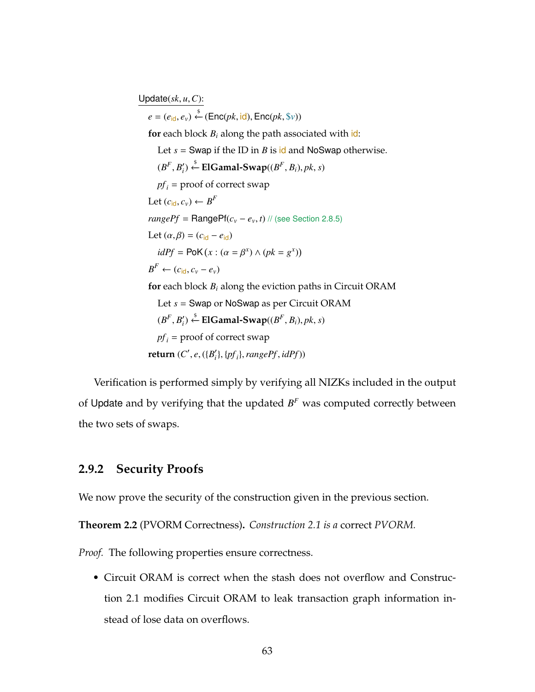Update(*sk*, *u*,*C*):  $e = (e_{\mathsf{id}}, e_{v}) \stackrel{\$}{\leftarrow} (\mathsf{Enc}(pk, \mathsf{id}), \mathsf{Enc}(pk, \$v))$ **for** each block  $B_i$  along the path associated with  $id$ : Let  $s =$  Swap if the ID in *B* is id and NoSwap otherwise.  $(B^F, B'_i) \stackrel{\$}{\leftarrow}$  **ElGamal-Swap**( $(B^F, B_i)$ , pk, s)  $pf<sub>i</sub>$  = proof of correct swap Let  $(c_{\mathsf{id}}, c_{\mathsf{v}}) \leftarrow B^F$  $rangePf = RangePf(c_v - e_v, t)$  // (see Section [2.8.5\)](#page-70-0) Let  $(\alpha, \beta) = (c_{\text{id}} - e_{\text{id}})$  $idPf = PoK(x : (\alpha = \beta^x) \land (pk = g^x))$  $B^F \leftarrow (c_{\mathsf{id}}, c_v - e_v)$ **for** each block  $B_i$  along the eviction paths in Circuit ORAM Let *s* = Swap or NoSwap as per Circuit ORAM  $(B^F, B'_i) \stackrel{\$}{\leftarrow}$  **ElGamal-Swap**( $(B^F, B_i)$ , pk, s)  $pf_i$  = proof of correct swap  $\mathbf{return} (C', e, (\{B'_i\}, \{pf_i\}, \{rangePf, idPf\}))$ 

Verification is performed simply by verifying all NIZKs included in the output of Update and by verifying that the updated  $B<sup>F</sup>$  was computed correctly between the two sets of swaps.

# **2.9.2 Security Proofs**

We now prove the security of the construction given in the previous section.

**Theorem 2.2** (PVORM Correctness)**.** *Construction [2.1](#page-76-0) is a* correct *PVORM.*

*Proof.* The following properties ensure correctness.

• Circuit ORAM is correct when the stash does not overflow and Construction [2.1](#page-76-0) modifies Circuit ORAM to leak transaction graph information instead of lose data on overflows.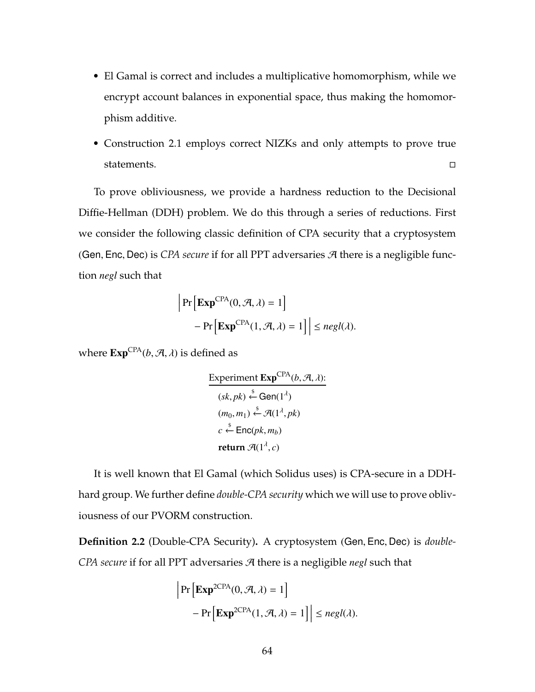- El Gamal is correct and includes a multiplicative homomorphism, while we encrypt account balances in exponential space, thus making the homomorphism additive.
- Construction [2.1](#page-76-0) employs correct NIZKs and only attempts to prove true statements.  $\Box$

To prove obliviousness, we provide a hardness reduction to the Decisional Diffie-Hellman (DDH) problem. We do this through a series of reductions. First we consider the following classic definition of CPA security that a cryptosystem (Gen, Enc, Dec) is *CPA secure* if for all PPT adversaries  $\mathcal{A}$  there is a negligible function *negl* such that

$$
\left| \Pr \left[ \mathbf{Exp}^{\mathsf{CPA}}(0, \mathcal{A}, \lambda) = 1 \right] - \Pr \left[ \mathbf{Exp}^{\mathsf{CPA}}(1, \mathcal{A}, \lambda) = 1 \right] \right| \leq negl(\lambda).
$$

where  $\text{Exp}^{\text{CPA}}(b, \mathcal{A}, \lambda)$  is defined as

Experiment **Exp<sup>CPA</sup>**(b, A, 
$$
\lambda
$$
):  
\n $(sk, pk) \stackrel{\$}{\leftarrow} Gen(1^{\lambda})$   
\n $(m_0, m_1) \stackrel{\$}{\leftarrow} A(1^{\lambda}, pk)$   
\n $c \stackrel{\$}{\leftarrow} Enc(pk, m_b)$   
\nreturn  $A(1^{\lambda}, c)$ 

It is well known that El Gamal (which Solidus uses) is CPA-secure in a DDHhard group. We further define *double-CPA security* which we will use to prove obliviousness of our PVORM construction.

**Definition 2.2** (Double-CPA Security)**.** A cryptosystem (Gen, Enc, Dec) is *double-CPA secure* if for all PPT adversaries A there is a negligible *negl* such that

$$
\left| \Pr \left[ \mathbf{Exp}^{2CPA}(0, \mathcal{A}, \lambda) = 1 \right] - \Pr \left[ \mathbf{Exp}^{2CPA}(1, \mathcal{A}, \lambda) = 1 \right] \right| \le negl(\lambda).
$$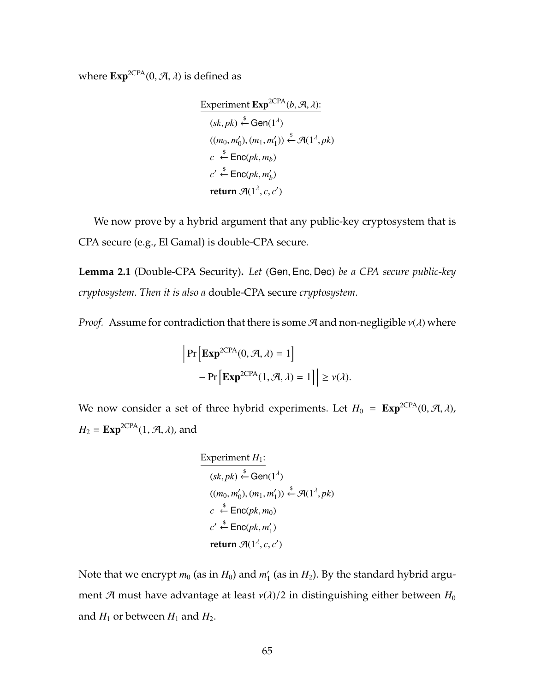where  $\text{Exp}^{\text{2CPA}}(0, \mathcal{A}, \lambda)$  is defined as

Experiment 
$$
\text{Exp}^{2\text{CPA}}(b, \mathcal{A}, \lambda)
$$
:  
\n $(sk, pk) \stackrel{\$}{\leftarrow} \text{Gen}(1^{\lambda})$   
\n $((m_0, m'_0), (m_1, m'_1)) \stackrel{\$}{\leftarrow} \mathcal{A}(1^{\lambda}, pk)$   
\n $c \stackrel{\$}{\leftarrow} \text{Enc}(pk, m_b)$   
\n $c' \stackrel{\$}{\leftarrow} \text{Enc}(pk, m'_b)$   
\nreturn  $\mathcal{A}(1^{\lambda}, c, c')$ 

We now prove by a hybrid argument that any public-key cryptosystem that is CPA secure (e.g., El Gamal) is double-CPA secure.

<span id="page-79-0"></span>**Lemma 2.1** (Double-CPA Security)**.** *Let* (Gen, Enc, Dec) *be a CPA secure public-key cryptosystem. Then it is also a* double-CPA secure *cryptosystem.*

*Proof.* Assume for contradiction that there is some  $\mathcal{A}$  and non-negligible  $v(\lambda)$  where

$$
\left| \Pr \left[ \mathbf{Exp}^{\mathsf{2CPA}}(0, \mathcal{A}, \lambda) = 1 \right] - \Pr \left[ \mathbf{Exp}^{\mathsf{2CPA}}(1, \mathcal{A}, \lambda) = 1 \right] \right| \ge \nu(\lambda).
$$

We now consider a set of three hybrid experiments. Let  $H_0 = \text{Exp}^{2CPA}(0, \mathcal{A}, \lambda)$ ,  $H_2 = \text{Exp}^{2CPA}(1, \mathcal{A}, \lambda)$ , and

Experiment 
$$
H_1
$$
:  
\n
$$
\frac{(sk, pk) \stackrel{\$}{\leftarrow} Gen(1^{\lambda})}{((m_0, m'_0), (m_1, m'_1))} \stackrel{\$}{\leftarrow} \mathcal{A}(1^{\lambda}, pk)
$$
\n
$$
c \stackrel{\$}{\leftarrow} Enc(pk, m_0)
$$
\n
$$
c' \stackrel{\$}{\leftarrow} Enc(pk, m'_1)
$$
\nreturn  $\mathcal{A}(1^{\lambda}, c, c')$ 

Note that we encrypt  $m_0$  (as in  $H_0$ ) and  $m'_1$  (as in  $H_2$ ). By the standard hybrid argument A must have advantage at least  $v(\lambda)/2$  in distinguishing either between  $H_0$ and  $H_1$  or between  $H_1$  and  $H_2$ .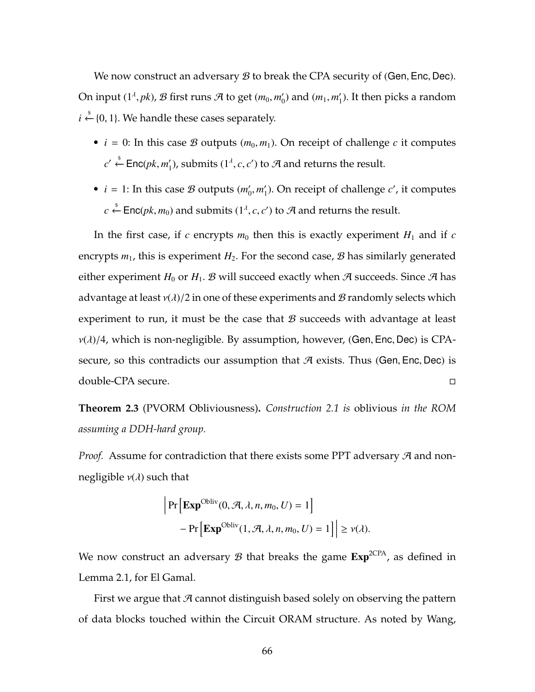We now construct an adversary  $\mathcal B$  to break the CPA security of (Gen, Enc, Dec). On input  $(1^{\lambda},pk)$ ,  $\mathcal{B}$  first runs  $\mathcal{A}$  to get  $(m_0, m'_0)$  and  $(m_1, m'_1)$ . It then picks a random *i*  $\xi$ <sup>5</sup> {0, 1}. We handle these cases separately.

- $i = 0$ : In this case *B* outputs  $(m_0, m_1)$ . On receipt of challenge *c* it computes *c*' ← Enc(*pk*, *m*<sup>'</sup><sub>1</sub>), submits (1<sup>*λ*</sup>, *c*, *c'*) to A and returns the result.
- $i = 1$ : In this case *B* outputs  $(m'_0, m'_1)$ . On receipt of challenge *c'*, it computes *c*  $\xi$  Enc(*pk*, *m*<sub>0</sub>) and submits (1<sup>λ</sup>, *c*, *c*') to  $\mathcal{A}$  and returns the result.

In the first case, if  $c$  encrypts  $m_0$  then this is exactly experiment  $H_1$  and if  $c$ encrypts  $m_1$ , this is experiment  $H_2$ . For the second case,  $\mathcal{B}$  has similarly generated either experiment  $H_0$  or  $H_1$ . B will succeed exactly when A succeeds. Since A has advantage at least  $v(\lambda)/2$  in one of these experiments and  $\mathcal{B}$  randomly selects which experiment to run, it must be the case that  $\mathcal B$  succeeds with advantage at least  $v(\lambda)/4$ , which is non-negligible. By assumption, however, (Gen, Enc, Dec) is CPAsecure, so this contradicts our assumption that  $A$  exists. Thus (Gen, Enc, Dec) is double-CPA secure.

**Theorem 2.3** (PVORM Obliviousness)**.** *Construction [2.1](#page-76-0) is* oblivious *in the ROM assuming a DDH-hard group.*

*Proof.* Assume for contradiction that there exists some PPT adversary  $\mathcal{A}$  and nonnegligible  $v(\lambda)$  such that

$$
\left| \Pr \left[ \mathbf{Exp}^{\mathrm{Obliv}}(0, \mathcal{A}, \lambda, n, m_0, U) = 1 \right] - \Pr \left[ \mathbf{Exp}^{\mathrm{Obliv}}(1, \mathcal{A}, \lambda, n, m_0, U) = 1 \right] \right| \ge \nu(\lambda).
$$

We now construct an adversary  $\mathcal B$  that breaks the game  $\text{Exp}^{\text{2CPA}}$ , as defined in Lemma [2.1,](#page-79-0) for El Gamal.

First we argue that  $A$  cannot distinguish based solely on observing the pattern of data blocks touched within the Circuit ORAM structure. As noted by Wang,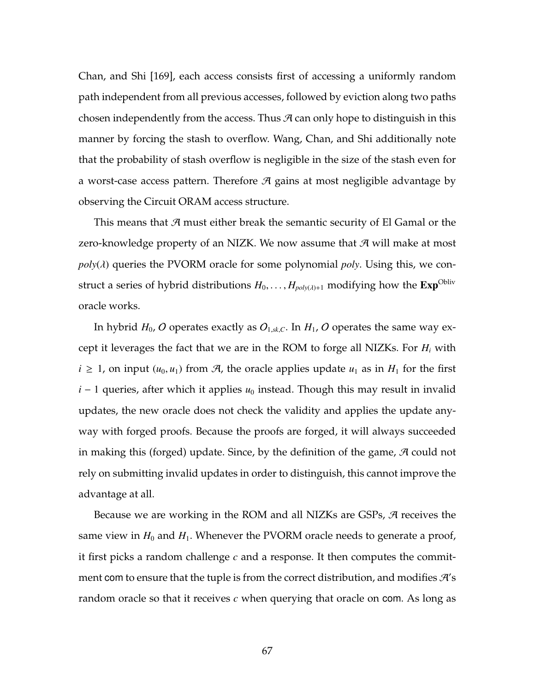Chan, and Shi [\[169\]](#page-281-0), each access consists first of accessing a uniformly random path independent from all previous accesses, followed by eviction along two paths chosen independently from the access. Thus  $\mathcal A$  can only hope to distinguish in this manner by forcing the stash to overflow. Wang, Chan, and Shi additionally note that the probability of stash overflow is negligible in the size of the stash even for a worst-case access pattern. Therefore  $\mathcal A$  gains at most negligible advantage by observing the Circuit ORAM access structure.

This means that  $A$  must either break the semantic security of El Gamal or the zero-knowledge property of an NIZK. We now assume that  $\mathcal A$  will make at most  $poly(\lambda)$  queries the PVORM oracle for some polynomial *poly*. Using this, we construct a series of hybrid distributions  $H_0, \ldots, H_{poly(\lambda)+1}$  modifying how the  $\text{Exp}^{\text{Obliv}}$ oracle works.

In hybrid  $H_0$ , O operates exactly as  $O_{1,sk,C}$ . In  $H_1$ , O operates the same way except it leverages the fact that we are in the ROM to forge all NIZKs. For *H<sup>i</sup>* with *i* ≥ 1, on input  $(u_0, u_1)$  from  $\mathcal{A}$ , the oracle applies update  $u_1$  as in  $H_1$  for the first *i* − 1 queries, after which it applies  $u_0$  instead. Though this may result in invalid updates, the new oracle does not check the validity and applies the update anyway with forged proofs. Because the proofs are forged, it will always succeeded in making this (forged) update. Since, by the definition of the game,  $\mathcal{A}$  could not rely on submitting invalid updates in order to distinguish, this cannot improve the advantage at all.

Because we are working in the ROM and all NIZKs are GSPs, A receives the same view in  $H_0$  and  $H_1$ . Whenever the PVORM oracle needs to generate a proof, it first picks a random challenge *c* and a response. It then computes the commitment com to ensure that the tuple is from the correct distribution, and modifies  $\mathcal{H}'s$ random oracle so that it receives *c* when querying that oracle on com. As long as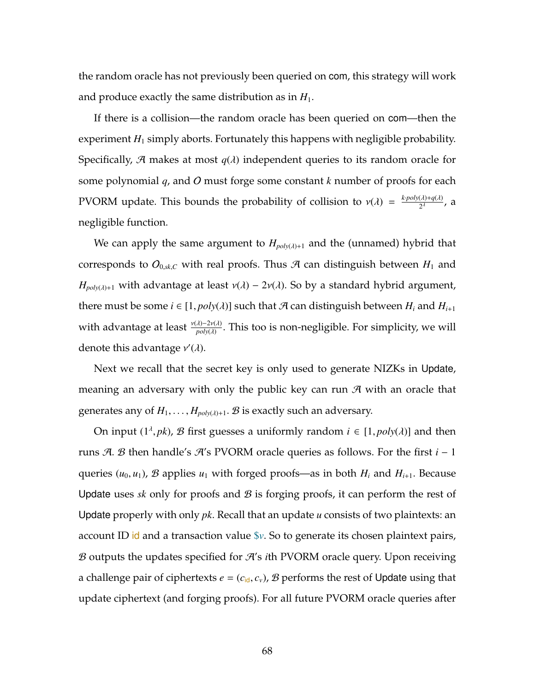the random oracle has not previously been queried on com, this strategy will work and produce exactly the same distribution as in  $H_1$ .

If there is a collision—the random oracle has been queried on com—then the experiment  $H_1$  simply aborts. Fortunately this happens with negligible probability. Specifically,  $A$  makes at most  $q(\lambda)$  independent queries to its random oracle for some polynomial *q*, and O must forge some constant *k* number of proofs for each PVORM update. This bounds the probability of collision to  $v(\lambda) = \frac{k \cdot poly(\lambda) + q(\lambda)}{2^{\lambda}}$ , a negligible function.

We can apply the same argument to  $H_{poly(\lambda)+1}$  and the (unnamed) hybrid that corresponds to  $O_{0,sk,C}$  with real proofs. Thus  $A$  can distinguish between  $H_1$  and *H*<sub>poly</sub>( $\lambda$ )+1 with advantage at least  $v(\lambda)$  – 2 $v(\lambda)$ . So by a standard hybrid argument, there must be some  $i \in [1, poly(\lambda)]$  such that  $\mathcal{A}$  can distinguish between  $H_i$  and  $H_{i+1}$ with advantage at least  $\frac{v(\lambda)-2v(\lambda)}{poly(\lambda)}$ . This too is non-negligible. For simplicity, we will denote this advantage  $v'(\lambda)$ .

Next we recall that the secret key is only used to generate NIZKs in Update, meaning an adversary with only the public key can run  $\mathcal A$  with an oracle that generates any of  $H_1, \ldots, H_{poly(\lambda)+1}$ . B is exactly such an adversary.

On input  $(1^{\lambda}, pk)$ , *B* first guesses a uniformly random  $i \in [1, poly(\lambda)]$  and then runs A. B then handle's A's PVORM oracle queries as follows. For the first *i* − 1 queries  $(u_0, u_1)$ , B applies  $u_1$  with forged proofs—as in both  $H_i$  and  $H_{i+1}$ . Because Update uses  $sk$  only for proofs and  $\mathcal{B}$  is forging proofs, it can perform the rest of Update properly with only *pk*. Recall that an update *u* consists of two plaintexts: an account ID id and a transaction value \$*v*. So to generate its chosen plaintext pairs, B outputs the updates specified for A's *i*th PVORM oracle query. Upon receiving a challenge pair of ciphertexts  $e = (c_{\text{id}}, c_v)$ ,  $\mathcal{B}$  performs the rest of Update using that update ciphertext (and forging proofs). For all future PVORM oracle queries after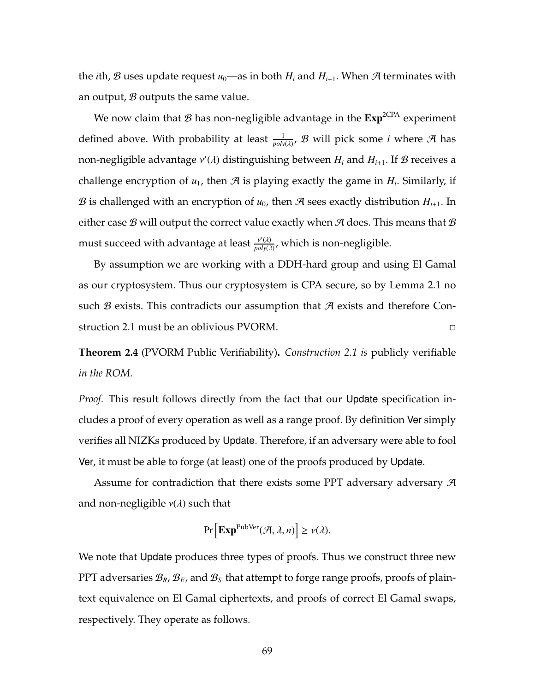the *i*th, B uses update request  $u_0$ —as in both  $H_i$  and  $H_{i+1}$ . When A terminates with an output,  $B$  outputs the same value.

We now claim that  $\mathcal{B}$  has non-negligible advantage in the  $Exp^{2CPA}$  experiment defined above. With probability at least  $\frac{1}{poly(\lambda)}$ ,  $\mathcal B$  will pick some *i* where  $\mathcal A$  has non-negligible advantage ν 0 (λ) distinguishing between *H<sup>i</sup>* and *H<sup>i</sup>*+<sup>1</sup>. If B receives a challenge encryption of  $u_1$ , then  $\mathcal A$  is playing exactly the game in  $H_i$ . Similarly, if B is challenged with an encryption of  $u_0$ , then A sees exactly distribution  $H_{i+1}$ . In either case B will output the correct value exactly when A does. This means that B must succeed with advantage at least  $\frac{v'( \lambda)}{n \omega \omega( \lambda)}$  $\frac{v(A)}{poly(\lambda)}$ , which is non-negligible.

By assumption we are working with a DDH-hard group and using El Gamal as our cryptosystem. Thus our cryptosystem is CPA secure, so by Lemma [2.1](#page-79-0) no such  $\mathcal B$  exists. This contradicts our assumption that  $\mathcal A$  exists and therefore Construction [2.1](#page-76-0) must be an oblivious PVORM.

**Theorem 2.4** (PVORM Public Verifiability)**.** *Construction [2.1](#page-76-0) is* publicly verifiable *in the ROM.*

*Proof.* This result follows directly from the fact that our Update specification includes a proof of every operation as well as a range proof. By definition Ver simply verifies all NIZKs produced by Update. Therefore, if an adversary were able to fool Ver, it must be able to forge (at least) one of the proofs produced by Update.

Assume for contradiction that there exists some PPT adversary adversary  $\mathcal{A}$ and non-negligible  $v(\lambda)$  such that

$$
\Pr\left[\mathbf{Exp}^{\text{PubVer}}(\mathcal{A}, \lambda, n)\right] \ge \nu(\lambda).
$$

We note that Update produces three types of proofs. Thus we construct three new PPT adversaries B*R*, B*E*, and B*<sup>S</sup>* that attempt to forge range proofs, proofs of plaintext equivalence on El Gamal ciphertexts, and proofs of correct El Gamal swaps, respectively. They operate as follows.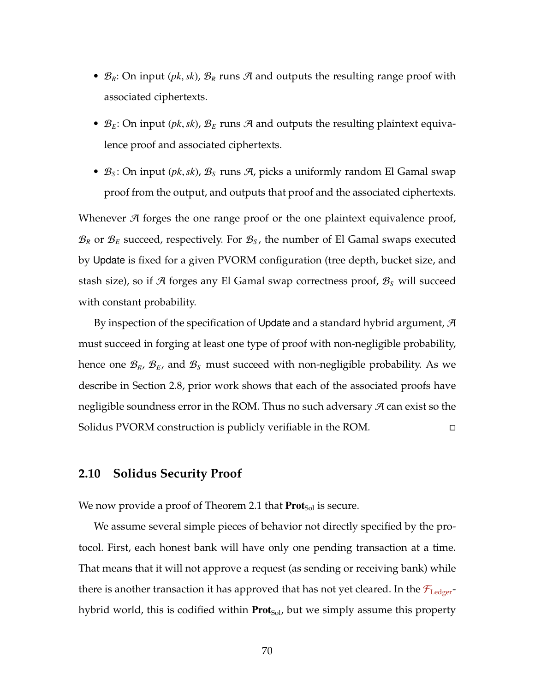- $\mathcal{B}_R$ : On input (*pk*, *sk*),  $\mathcal{B}_R$  runs  $\mathcal{A}$  and outputs the resulting range proof with associated ciphertexts.
- $\mathcal{B}_E$ : On input (*pk*, *sk*),  $\mathcal{B}_E$  runs  $\mathcal{A}$  and outputs the resulting plaintext equivalence proof and associated ciphertexts.
- B*<sup>S</sup>* : On input (*pk*,*sk*), B*<sup>S</sup>* runs A, picks a uniformly random El Gamal swap proof from the output, and outputs that proof and the associated ciphertexts.

Whenever  $\mathcal A$  forges the one range proof or the one plaintext equivalence proof,  $\mathcal{B}_R$  or  $\mathcal{B}_E$  succeed, respectively. For  $\mathcal{B}_S$ , the number of El Gamal swaps executed by Update is fixed for a given PVORM configuration (tree depth, bucket size, and stash size), so if A forges any El Gamal swap correctness proof, B*<sup>S</sup>* will succeed with constant probability.

By inspection of the specification of Update and a standard hybrid argument,  $\mathcal A$ must succeed in forging at least one type of proof with non-negligible probability, hence one B*R*, B*E*, and B*<sup>S</sup>* must succeed with non-negligible probability. As we describe in Section [2.8,](#page-66-0) prior work shows that each of the associated proofs have negligible soundness error in the ROM. Thus no such adversary  $\mathcal A$  can exist so the Solidus PVORM construction is publicly verifiable in the ROM.

### **2.10 Solidus Security Proof**

We now provide a proof of Theorem [2.1](#page-54-0) that  $\text{Prot}_{\text{Sol}}$  is secure.

We assume several simple pieces of behavior not directly specified by the protocol. First, each honest bank will have only one pending transaction at a time. That means that it will not approve a request (as sending or receiving bank) while there is another transaction it has approved that has not yet cleared. In the  $\mathcal{F}_{\text{Ledger}}$ hybrid world, this is codified within  $Prot_{Sol}$ , but we simply assume this property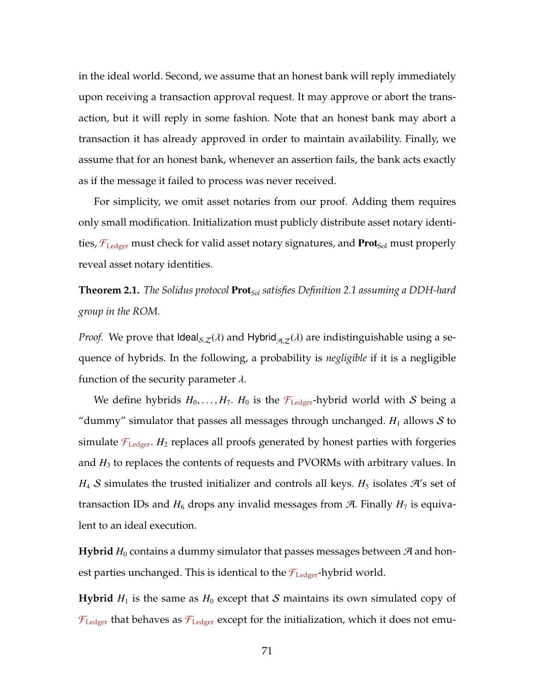in the ideal world. Second, we assume that an honest bank will reply immediately upon receiving a transaction approval request. It may approve or abort the transaction, but it will reply in some fashion. Note that an honest bank may abort a transaction it has already approved in order to maintain availability. Finally, we assume that for an honest bank, whenever an assertion fails, the bank acts exactly as if the message it failed to process was never received.

For simplicity, we omit asset notaries from our proof. Adding them requires only small modification. Initialization must publicly distribute asset notary identities,  $\mathcal{F}_{\text{Ledge}}$  must check for valid asset notary signatures, and **Prot**<sub>Sol</sub> must properly reveal asset notary identities.

# **Theorem [2.1.](#page-54-0)** *The Solidus protocol* Prot*Sol satisfies Definition [2.1](#page-54-1) assuming a DDH-hard group in the ROM.*

*Proof.* We prove that Ideal<sub>S,Z</sub>( $\lambda$ ) and Hybrid<sub> $\mathcal{A},\mathcal{Z}(\lambda)$  are indistinguishable using a se-</sub> quence of hybrids. In the following, a probability is *negligible* if it is a negligible function of the security parameter  $\lambda$ .

We define hybrids  $H_0, \ldots, H_7$ .  $H_0$  is the  $\mathcal{F}_{\text{Ledger}}$ -hybrid world with S being a "dummy" simulator that passes all messages through unchanged.  $H_1$  allows  $S$  to simulate  $\mathcal{F}_{\text{Ledge}}$ . *H*<sub>2</sub> replaces all proofs generated by honest parties with forgeries and *H*<sup>3</sup> to replaces the contents of requests and PVORMs with arbitrary values. In  $H_4$  S simulates the trusted initializer and controls all keys.  $H_5$  isolates  $\mathcal{H}'$ s set of transaction IDs and  $H_6$  drops any invalid messages from  $A$ . Finally  $H_7$  is equivalent to an ideal execution.

**Hybrid**  $H_0$  contains a dummy simulator that passes messages between  $\mathcal{A}$  and honest parties unchanged. This is identical to the  $\mathcal{F}_{\text{Ledge}}$ -hybrid world.

**Hybrid**  $H_1$  is the same as  $H_0$  except that S maintains its own simulated copy of  $\mathcal{F}_{\text{Ledge}}$  that behaves as  $\mathcal{F}_{\text{Ledge}}$  except for the initialization, which it does not emu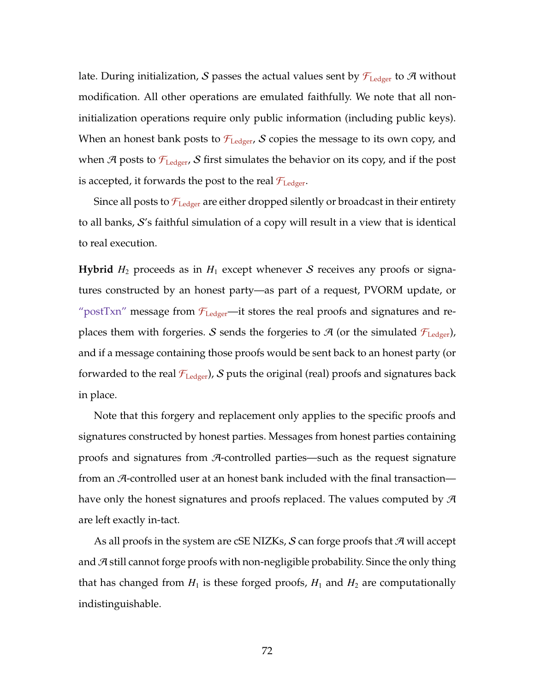late. During initialization, S passes the actual values sent by  $\mathcal{F}_{\text{Ledger}}$  to A without modification. All other operations are emulated faithfully. We note that all noninitialization operations require only public information (including public keys). When an honest bank posts to  $\mathcal{F}_{\text{Ledgeer}}$ , S copies the message to its own copy, and when A posts to  $\mathcal{F}_{\text{Ledger}}$ , S first simulates the behavior on its copy, and if the post is accepted, it forwards the post to the real  $\mathcal{F}_{\text{Ledgeer}}$ .

Since all posts to  $\mathcal{F}_{\text{Ledgeer}}$  are either dropped silently or broadcast in their entirety to all banks, S's faithful simulation of a copy will result in a view that is identical to real execution.

**Hybrid**  $H_2$  proceeds as in  $H_1$  except whenever S receives any proofs or signatures constructed by an honest party—as part of a request, PVORM update, or "postTxn" message from  $\mathcal{F}_{\text{Ledger}}$ —it stores the real proofs and signatures and replaces them with forgeries. S sends the forgeries to  $\mathcal{A}$  (or the simulated  $\mathcal{F}_{\text{Ledger}}$ ), and if a message containing those proofs would be sent back to an honest party (or forwarded to the real  $\mathcal{F}_{\text{Ledgeer}}$ ), S puts the original (real) proofs and signatures back in place.

Note that this forgery and replacement only applies to the specific proofs and signatures constructed by honest parties. Messages from honest parties containing proofs and signatures from A-controlled parties—such as the request signature from an A-controlled user at an honest bank included with the final transaction have only the honest signatures and proofs replaced. The values computed by  $\mathcal{A}$ are left exactly in-tact.

As all proofs in the system are cSE NIZKs, S can forge proofs that  $\mathcal{A}$  will accept and  $A$  still cannot forge proofs with non-negligible probability. Since the only thing that has changed from  $H_1$  is these forged proofs,  $H_1$  and  $H_2$  are computationally indistinguishable.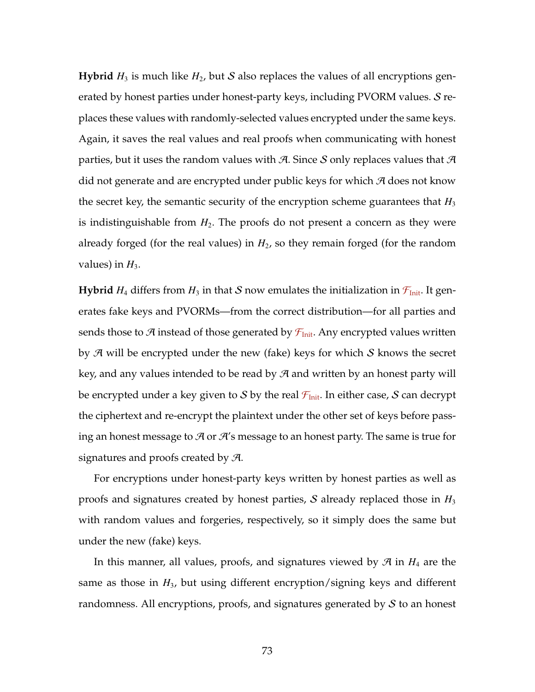**Hybrid**  $H_3$  is much like  $H_2$ , but S also replaces the values of all encryptions generated by honest parties under honest-party keys, including PVORM values. S replaces these values with randomly-selected values encrypted under the same keys. Again, it saves the real values and real proofs when communicating with honest parties, but it uses the random values with A. Since S only replaces values that  $A$ did not generate and are encrypted under public keys for which  $\mathcal A$  does not know the secret key, the semantic security of the encryption scheme guarantees that  $H_3$ is indistinguishable from  $H_2$ . The proofs do not present a concern as they were already forged (for the real values) in  $H_2$ , so they remain forged (for the random values) in  $H_3$ .

**Hybrid**  $H_4$  differs from  $H_3$  in that S now emulates the initialization in  $\mathcal{F}_{Init}$ . It generates fake keys and PVORMs—from the correct distribution—for all parties and sends those to A instead of those generated by  $\mathcal{F}_{Init}$ . Any encrypted values written by  $\mathcal A$  will be encrypted under the new (fake) keys for which  $\mathcal S$  knows the secret key, and any values intended to be read by  $\mathcal A$  and written by an honest party will be encrypted under a key given to S by the real  $\mathcal{F}_{Init}$ . In either case, S can decrypt the ciphertext and re-encrypt the plaintext under the other set of keys before passing an honest message to  $\mathcal A$  or  $\mathcal A$ 's message to an honest party. The same is true for signatures and proofs created by  $\mathcal{A}$ .

For encryptions under honest-party keys written by honest parties as well as proofs and signatures created by honest parties,  $S$  already replaced those in  $H_3$ with random values and forgeries, respectively, so it simply does the same but under the new (fake) keys.

In this manner, all values, proofs, and signatures viewed by  $\mathcal{A}$  in  $H_4$  are the same as those in *H*3, but using different encryption/signing keys and different randomness. All encryptions, proofs, and signatures generated by  $S$  to an honest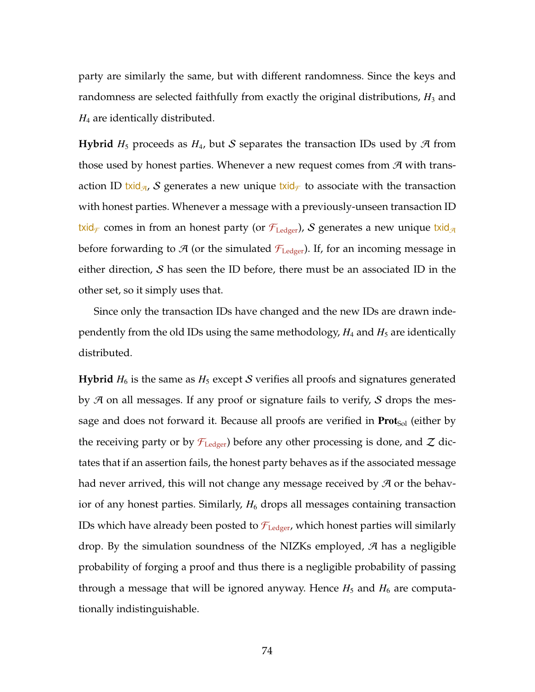party are similarly the same, but with different randomness. Since the keys and randomness are selected faithfully from exactly the original distributions,  $H_3$  and *H*<sup>4</sup> are identically distributed.

**Hybrid**  $H_5$  proceeds as  $H_4$ , but S separates the transaction IDs used by  $\mathcal{A}$  from those used by honest parties. Whenever a new request comes from  $\mathcal{A}$  with transaction ID txid<sub> $\mathcal{A}$ </sub>, S generates a new unique txid<sub> $\mathcal{F}$ </sub> to associate with the transaction with honest parties. Whenever a message with a previously-unseen transaction ID txid<sub> $\tau$ </sub> comes in from an honest party (or  $\mathcal{F}_{\text{Ledger}}$ ), S generates a new unique txid<sub> $\mathcal{A}$ </sub> before forwarding to  $\mathcal{A}$  (or the simulated  $\mathcal{F}_{\text{Ledgeer}}$ ). If, for an incoming message in either direction,  $S$  has seen the ID before, there must be an associated ID in the other set, so it simply uses that.

Since only the transaction IDs have changed and the new IDs are drawn independently from the old IDs using the same methodology,  $H_4$  and  $H_5$  are identically distributed.

**Hybrid**  $H_6$  is the same as  $H_5$  except S verifies all proofs and signatures generated by  $\mathcal A$  on all messages. If any proof or signature fails to verify,  $\mathcal S$  drops the message and does not forward it. Because all proofs are verified in  $\text{Prot}_{Sol}$  (either by the receiving party or by  $\mathcal{F}_{\text{Ledge}}$  before any other processing is done, and Z dictates that if an assertion fails, the honest party behaves as if the associated message had never arrived, this will not change any message received by  $\mathcal A$  or the behavior of any honest parties. Similarly,  $H_6$  drops all messages containing transaction IDs which have already been posted to  $\mathcal{F}_{\text{Ledger}}$ , which honest parties will similarly drop. By the simulation soundness of the NIZKs employed,  $\mathcal A$  has a negligible probability of forging a proof and thus there is a negligible probability of passing through a message that will be ignored anyway. Hence  $H_5$  and  $H_6$  are computationally indistinguishable.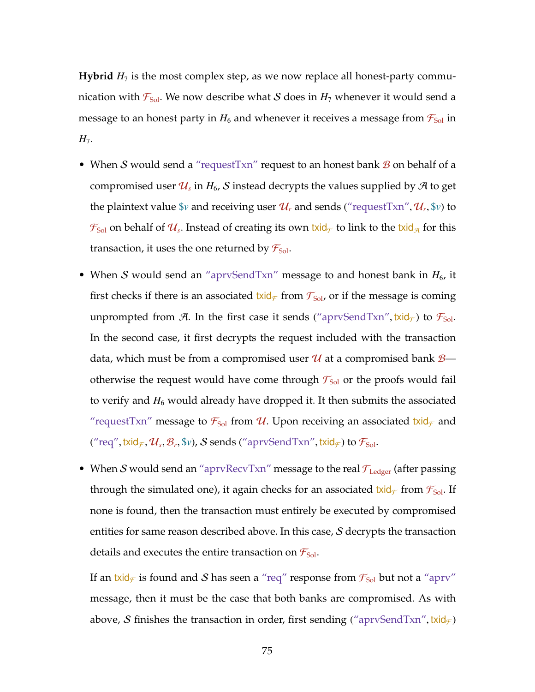**Hybrid**  $H_7$  is the most complex step, as we now replace all honest-party communication with  $\mathcal{F}_{Sol}$ . We now describe what S does in  $H_7$  whenever it would send a message to an honest party in  $H_6$  and whenever it receives a message from  $\mathcal{F}_{Sol}$  in *H*<sub>7</sub>.

- When S would send a "request Txn" request to an honest bank  $\mathcal B$  on behalf of a compromised user  $\mathcal{U}_s$  in  $H_6$ ,  $\mathcal S$  instead decrypts the values supplied by  $\mathcal A$  to get the plaintext value  $v$  and receiving user  $\mathcal{U}_r$  and sends ("requestTxn",  $\mathcal{U}_r$ ,  $v$ ) to  $\mathcal{F}_{\rm Sol}$  on behalf of  $\mathcal{U}_s$ . Instead of creating its own txid $_\mathcal{F}$  to link to the txid<sub>A</sub> for this transaction, it uses the one returned by  $\mathcal{F}_{Sol}$ .
- When S would send an "aprvSendTxn" message to and honest bank in  $H_6$ , it first checks if there is an associated txid<sub> $\mathcal{F}$ </sub> from  $\mathcal{F}_{Sol}$ , or if the message is coming unprompted from A. In the first case it sends ("aprvSendTxn", txid $_{\mathcal{F}}$ ) to  $\mathcal{F}_{Sol}$ . In the second case, it first decrypts the request included with the transaction data, which must be from a compromised user  $\mathcal U$  at a compromised bank  $\mathcal B$  otherwise the request would have come through  $\mathcal{F}_{Sol}$  or the proofs would fail to verify and  $H_6$  would already have dropped it. It then submits the associated "requestTxn" message to  $\mathcal{F}_{Sol}$  from  $\mathcal{U}$ . Upon receiving an associated txid<sub> $\mathcal{F}$ </sub> and  $("req", \textsf{t} \textsf{x} \textsf{i} \textsf{d}_\mathcal{F}, \mathcal{U}_s, \mathcal{B}_r, \mathbb{S} v)$ ,  $\mathcal S$  sends  $("aprvSendTxn", \textsf{t} \textsf{x} \textsf{i} \textsf{d}_\mathcal{F})$  to  $\mathcal F_{\textsf{Sol}}.$
- When S would send an "aprvRecvTxn" message to the real  $\mathcal{F}_{\text{Ledger}}$  (after passing through the simulated one), it again checks for an associated txid<sub> $\mathcal{F}$ </sub> from  $\mathcal{F}_{\text{Sol}}$ . If none is found, then the transaction must entirely be executed by compromised entities for same reason described above. In this case, S decrypts the transaction details and executes the entire transaction on  $\mathcal{F}_{Sol}$ .

If an txid<sub> $\mathcal{F}$ </sub> is found and S has seen a "req" response from  $\mathcal{F}_{Sol}$  but not a "aprv" message, then it must be the case that both banks are compromised. As with above, S finishes the transaction in order, first sending ("aprvSendTxn", txid $_f$ )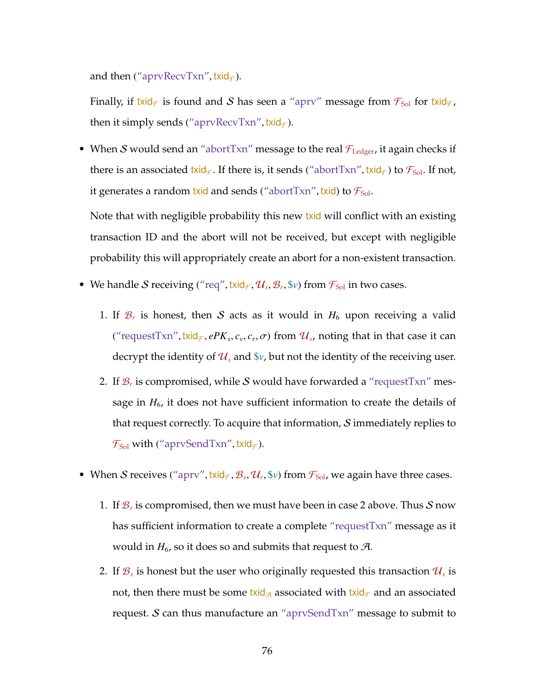and then ("aprvRecvTxn", txid $\epsilon$ ).

Finally, if txid<sub> $\mathcal{F}$ </sub> is found and S has seen a "aprv" message from  $\mathcal{F}_{Sol}$  for txid $\mathcal{F}_{I}$ , then it simply sends ("aprvRecvTxn", txid $\epsilon$ ).

• When S would send an "abortTxn" message to the real  $\mathcal{F}_{\text{Ledger}}$ , it again checks if there is an associated txid<sub> $\tau$ </sub>. If there is, it sends ("abortTxn", txid<sub> $\tau$ </sub>) to  $\mathcal{F}_{sol}$ . If not, it generates a random txid and sends ("abortTxn", txid) to  $\mathcal{F}_{Sol}$ .

Note that with negligible probability this new txid will conflict with an existing transaction ID and the abort will not be received, but except with negligible probability this will appropriately create an abort for a non-existent transaction.

- <span id="page-90-0"></span>• We handle S receiving ("req", txid<sub> $\mathcal{F}$ </sub>,  $\mathcal{U}_s$ ,  $\mathcal{B}_r$ ,  $\mathcal{S}_v$ ) from  $\mathcal{F}_{Sol}$  in two cases.
	- 1. If  $\mathcal{B}_r$  is honest, then  $S$  acts as it would in  $H_6$  upon receiving a valid ("requestTxn", txid<sub> $\mathcal{F}$ </sub>,  $ePK_s$ ,  $c_v$ ,  $c_r$ ,  $\sigma$ ) from  $\mathcal{U}_s$ , noting that in that case it can decrypt the identity of  $\mathcal{U}_s$  and  $\mathcal{V}_v$ , but not the identity of the receiving user.
	- 2. If  $\mathcal{B}_r$  is compromised, while  $\mathcal S$  would have forwarded a "requestTxn" message in  $H_6$ , it does not have sufficient information to create the details of that request correctly. To acquire that information,  $S$  immediately replies to  $\mathcal{F}_{\text{Sol}}$  with ("aprvSendTxn", txid $_{\mathcal{F}}$ ).
- When S receives ("aprv", txid<sub> $\mathcal{F}$ </sub>,  $\mathcal{B}_s$ ,  $\mathcal{U}_r$ ,  $\mathcal{V}$ ) from  $\mathcal{F}_{Sol}$ , we again have three cases.
	- 1. If  $\mathcal{B}_s$  is compromised, then we must have been in case [2](#page-90-0) above. Thus  $\mathcal S$  now has sufficient information to create a complete "requestTxn" message as it would in  $H_6$ , so it does so and submits that request to  $\mathcal{A}$ .
	- 2. If  $\mathcal{B}_s$  is honest but the user who originally requested this transaction  $\mathcal{U}_s$  is not, then there must be some txid<sub> $\alpha$ </sub> associated with txid<sub> $\tau$ </sub> and an associated request.  $S$  can thus manufacture an "aprvSendTxn" message to submit to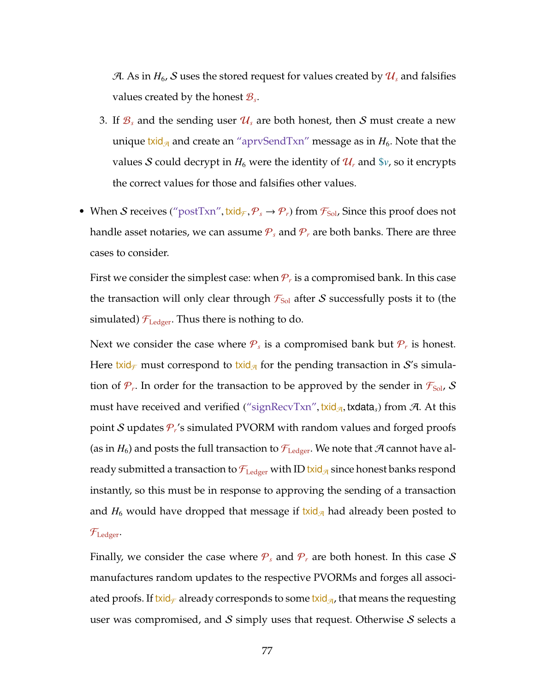A. As in  $H_6$ , S uses the stored request for values created by  $\mathcal{U}_s$  and falsifies values created by the honest  $\mathcal{B}_s$ .

- 3. If  $\mathcal{B}_s$  and the sending user  $\mathcal{U}_s$  are both honest, then S must create a new unique txid<sub> $\mathcal{A}$ </sub> and create an "aprvSendTxn" message as in  $H_6$ . Note that the values S could decrypt in  $H_6$  were the identity of  $\mathcal{U}_r$  and  $\gamma$ , so it encrypts the correct values for those and falsifies other values.
- When S receives ("postTxn", txid<sub> $\mathcal{F}, \mathcal{P}_s \to \mathcal{P}_r$ ) from  $\mathcal{F}_{sol}$ , Since this proof does not</sub> handle asset notaries, we can assume  $P_s$  and  $P_r$  are both banks. There are three cases to consider.

First we consider the simplest case: when  $\mathcal{P}_r$  is a compromised bank. In this case the transaction will only clear through  $\mathcal{F}_{Sol}$  after S successfully posts it to (the simulated)  $\mathcal{F}_{\text{Ledger}}$ . Thus there is nothing to do.

Next we consider the case where  $P_s$  is a compromised bank but  $P_r$  is honest. Here txid<sub> $\tau$ </sub> must correspond to txid<sub> $\alpha$ </sub> for the pending transaction in S's simulation of  $\mathcal{P}_r$ . In order for the transaction to be approved by the sender in  $\mathcal{F}_{Sol}$ ,  $\mathcal S$ must have received and verified ("signRecvTxn", txid<sub> $\pi$ </sub>, txdata<sub>*s*</sub>) from  $\pi$ . At this point S updates P*<sup>r</sup>* 's simulated PVORM with random values and forged proofs (as in  $H_6$ ) and posts the full transaction to  $\mathcal{F}_{\text{Ledge}}$ . We note that A cannot have already submitted a transaction to  $\mathcal{F}_{\text{Ledgeer}}$  with ID txid<sub> $\mathcal{A}$ </sub> since honest banks respond instantly, so this must be in response to approving the sending of a transaction and  $H_6$  would have dropped that message if txid<sub> $\alpha$ </sub> had already been posted to  $\mathcal{F}_{\text{Ledger}}$ .

Finally, we consider the case where  $P_s$  and  $P_r$  are both honest. In this case S manufactures random updates to the respective PVORMs and forges all associated proofs. If txid<sub> $\tau$ </sub> already corresponds to some txid<sub> $\alpha$ </sub>, that means the requesting user was compromised, and  $S$  simply uses that request. Otherwise  $S$  selects a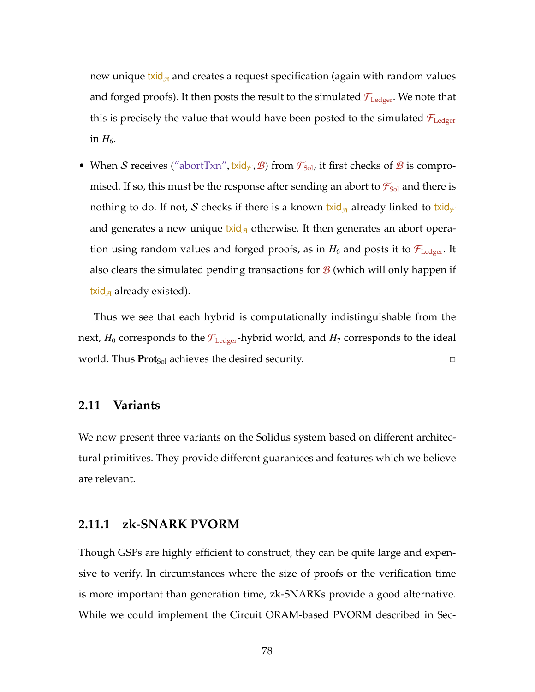new unique txid<sub> $\alpha$ </sub> and creates a request specification (again with random values and forged proofs). It then posts the result to the simulated  $\mathcal{F}_{\text{Ledger}}$ . We note that this is precisely the value that would have been posted to the simulated  $\mathcal{F}_{\text{Ledger}}$ in  $H_6$ .

• When S receives ("abortTxn", txid<sub> $\mathcal{F}$ </sub>,  $\mathcal{B}$ ) from  $\mathcal{F}_{Sol}$ , it first checks of  $\mathcal{B}$  is compromised. If so, this must be the response after sending an abort to  $\mathcal{F}_{Sol}$  and there is nothing to do. If not, S checks if there is a known txid<sub> $\sigma$ </sub> already linked to txid $\tau$ and generates a new unique txid<sub> $\alpha$ </sub> otherwise. It then generates an abort operation using random values and forged proofs, as in  $H_6$  and posts it to  $\mathcal{F}_{\text{Leder}}$ . It also clears the simulated pending transactions for  $\mathcal{B}$  (which will only happen if txid<sub> $\pi$ </sub> already existed).

Thus we see that each hybrid is computationally indistinguishable from the next,  $H_0$  corresponds to the  $\mathcal{F}_{\text{Ledger}}$ -hybrid world, and  $H_7$  corresponds to the ideal world. Thus  $\text{Prot}_{\text{Sol}}$  achieves the desired security.

### **2.11 Variants**

We now present three variants on the Solidus system based on different architectural primitives. They provide different guarantees and features which we believe are relevant.

### **2.11.1 zk-SNARK PVORM**

Though GSPs are highly efficient to construct, they can be quite large and expensive to verify. In circumstances where the size of proofs or the verification time is more important than generation time, zk-SNARKs provide a good alternative. While we could implement the Circuit ORAM-based PVORM described in Sec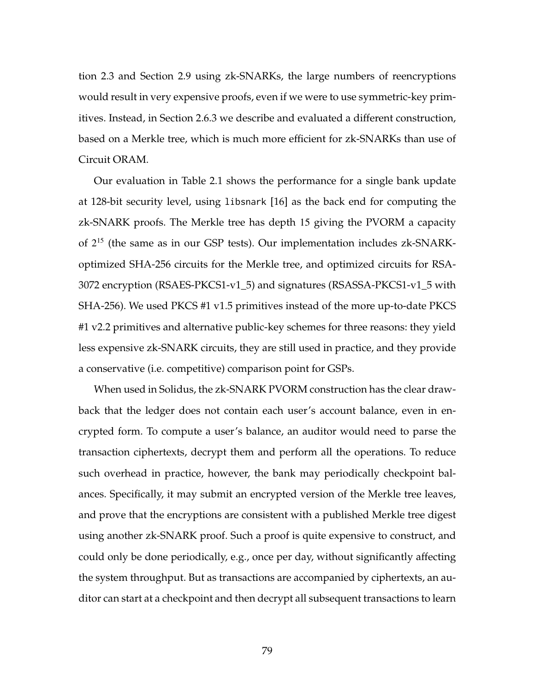tion [2.3](#page-41-0) and Section [2.9](#page-74-0) using zk-SNARKs, the large numbers of reencryptions would result in very expensive proofs, even if we were to use symmetric-key primitives. Instead, in Section [2.6.3](#page-62-0) we describe and evaluated a different construction, based on a Merkle tree, which is much more efficient for zk-SNARKs than use of Circuit ORAM.

Our evaluation in Table [2.1](#page-64-0) shows the performance for a single bank update at 128-bit security level, using libsnark [\[16\]](#page-260-0) as the back end for computing the zk-SNARK proofs. The Merkle tree has depth 15 giving the PVORM a capacity of 2 <sup>15</sup> (the same as in our GSP tests). Our implementation includes zk-SNARKoptimized SHA-256 circuits for the Merkle tree, and optimized circuits for RSA-3072 encryption (RSAES-PKCS1-v1\_5) and signatures (RSASSA-PKCS1-v1\_5 with SHA-256). We used PKCS #1 v1.5 primitives instead of the more up-to-date PKCS #1 v2.2 primitives and alternative public-key schemes for three reasons: they yield less expensive zk-SNARK circuits, they are still used in practice, and they provide a conservative (i.e. competitive) comparison point for GSPs.

When used in Solidus, the zk-SNARK PVORM construction has the clear drawback that the ledger does not contain each user's account balance, even in encrypted form. To compute a user's balance, an auditor would need to parse the transaction ciphertexts, decrypt them and perform all the operations. To reduce such overhead in practice, however, the bank may periodically checkpoint balances. Specifically, it may submit an encrypted version of the Merkle tree leaves, and prove that the encryptions are consistent with a published Merkle tree digest using another zk-SNARK proof. Such a proof is quite expensive to construct, and could only be done periodically, e.g., once per day, without significantly affecting the system throughput. But as transactions are accompanied by ciphertexts, an auditor can start at a checkpoint and then decrypt all subsequent transactions to learn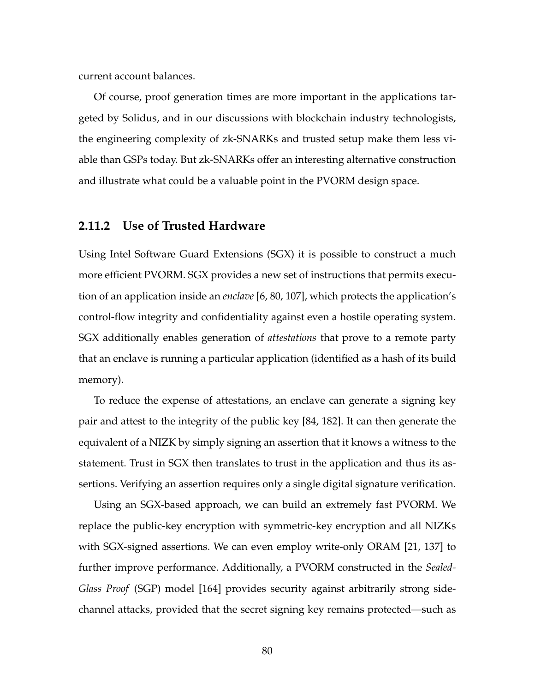current account balances.

Of course, proof generation times are more important in the applications targeted by Solidus, and in our discussions with blockchain industry technologists, the engineering complexity of zk-SNARKs and trusted setup make them less viable than GSPs today. But zk-SNARKs offer an interesting alternative construction and illustrate what could be a valuable point in the PVORM design space.

### **2.11.2 Use of Trusted Hardware**

Using Intel Software Guard Extensions (SGX) it is possible to construct a much more efficient PVORM. SGX provides a new set of instructions that permits execution of an application inside an *enclave* [\[6,](#page-258-0) [80,](#page-269-0) [107\]](#page-272-0), which protects the application's control-flow integrity and confidentiality against even a hostile operating system. SGX additionally enables generation of *attestations* that prove to a remote party that an enclave is running a particular application (identified as a hash of its build memory).

To reduce the expense of attestations, an enclave can generate a signing key pair and attest to the integrity of the public key [\[84,](#page-270-0) [182\]](#page-283-0). It can then generate the equivalent of a NIZK by simply signing an assertion that it knows a witness to the statement. Trust in SGX then translates to trust in the application and thus its assertions. Verifying an assertion requires only a single digital signature verification.

Using an SGX-based approach, we can build an extremely fast PVORM. We replace the public-key encryption with symmetric-key encryption and all NIZKs with SGX-signed assertions. We can even employ write-only ORAM [\[21,](#page-261-0) [137\]](#page-276-0) to further improve performance. Additionally, a PVORM constructed in the *Sealed-Glass Proof* (SGP) model [\[164\]](#page-280-1) provides security against arbitrarily strong sidechannel attacks, provided that the secret signing key remains protected—such as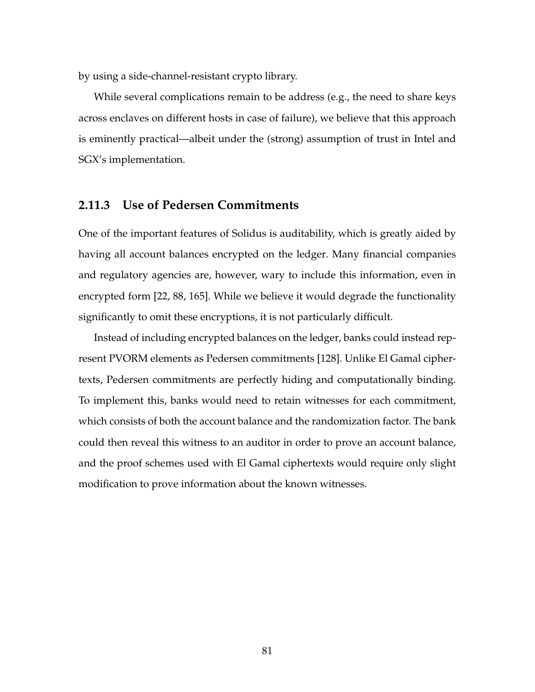by using a side-channel-resistant crypto library.

While several complications remain to be address (e.g., the need to share keys across enclaves on different hosts in case of failure), we believe that this approach is eminently practical—albeit under the (strong) assumption of trust in Intel and SGX's implementation.

### **2.11.3 Use of Pedersen Commitments**

One of the important features of Solidus is auditability, which is greatly aided by having all account balances encrypted on the ledger. Many financial companies and regulatory agencies are, however, wary to include this information, even in encrypted form [\[22,](#page-261-1) [88,](#page-270-1) [165\]](#page-280-2). While we believe it would degrade the functionality significantly to omit these encryptions, it is not particularly difficult.

Instead of including encrypted balances on the ledger, banks could instead represent PVORM elements as Pedersen commitments [\[128\]](#page-275-0). Unlike El Gamal ciphertexts, Pedersen commitments are perfectly hiding and computationally binding. To implement this, banks would need to retain witnesses for each commitment, which consists of both the account balance and the randomization factor. The bank could then reveal this witness to an auditor in order to prove an account balance, and the proof schemes used with El Gamal ciphertexts would require only slight modification to prove information about the known witnesses.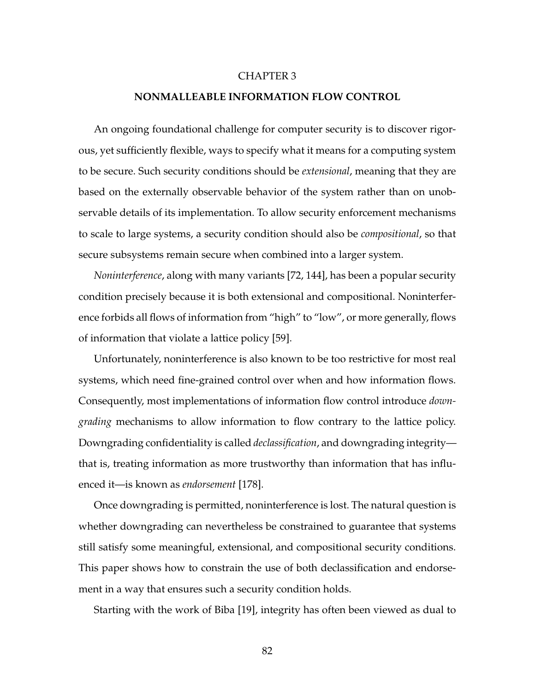#### CHAPTER 3

### **NONMALLEABLE INFORMATION FLOW CONTROL**

An ongoing foundational challenge for computer security is to discover rigorous, yet sufficiently flexible, ways to specify what it means for a computing system to be secure. Such security conditions should be *extensional*, meaning that they are based on the externally observable behavior of the system rather than on unobservable details of its implementation. To allow security enforcement mechanisms to scale to large systems, a security condition should also be *compositional*, so that secure subsystems remain secure when combined into a larger system.

*Noninterference*, along with many variants [\[72,](#page-268-0) [144\]](#page-277-0), has been a popular security condition precisely because it is both extensional and compositional. Noninterference forbids all flows of information from "high" to "low", or more generally, flows of information that violate a lattice policy [\[59\]](#page-266-0).

Unfortunately, noninterference is also known to be too restrictive for most real systems, which need fine-grained control over when and how information flows. Consequently, most implementations of information flow control introduce *downgrading* mechanisms to allow information to flow contrary to the lattice policy. Downgrading confidentiality is called *declassification*, and downgrading integrity that is, treating information as more trustworthy than information that has influenced it—is known as *endorsement* [\[178\]](#page-282-0).

Once downgrading is permitted, noninterference is lost. The natural question is whether downgrading can nevertheless be constrained to guarantee that systems still satisfy some meaningful, extensional, and compositional security conditions. This paper shows how to constrain the use of both declassification and endorsement in a way that ensures such a security condition holds.

Starting with the work of Biba [\[19\]](#page-260-1), integrity has often been viewed as dual to

82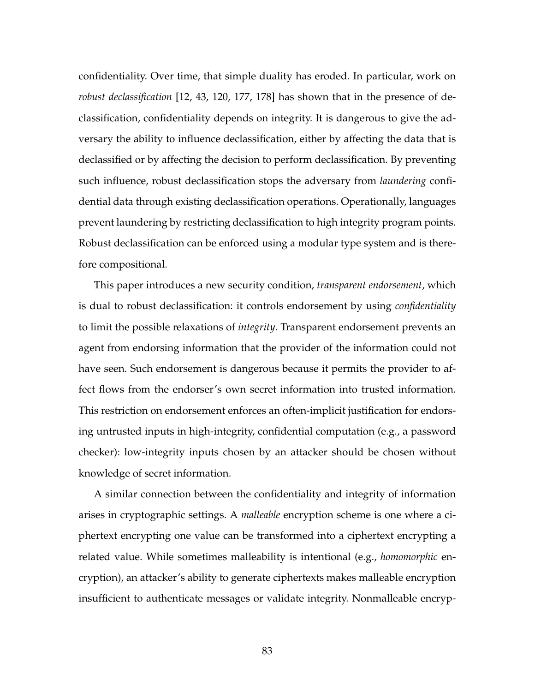confidentiality. Over time, that simple duality has eroded. In particular, work on *robust declassification* [\[12,](#page-259-0) [43,](#page-264-0) [120,](#page-274-0) [177,](#page-282-1) [178\]](#page-282-0) has shown that in the presence of declassification, confidentiality depends on integrity. It is dangerous to give the adversary the ability to influence declassification, either by affecting the data that is declassified or by affecting the decision to perform declassification. By preventing such influence, robust declassification stops the adversary from *laundering* confidential data through existing declassification operations. Operationally, languages prevent laundering by restricting declassification to high integrity program points. Robust declassification can be enforced using a modular type system and is therefore compositional.

This paper introduces a new security condition, *transparent endorsement*, which is dual to robust declassification: it controls endorsement by using *confidentiality* to limit the possible relaxations of *integrity*. Transparent endorsement prevents an agent from endorsing information that the provider of the information could not have seen. Such endorsement is dangerous because it permits the provider to affect flows from the endorser's own secret information into trusted information. This restriction on endorsement enforces an often-implicit justification for endorsing untrusted inputs in high-integrity, confidential computation (e.g., a password checker): low-integrity inputs chosen by an attacker should be chosen without knowledge of secret information.

A similar connection between the confidentiality and integrity of information arises in cryptographic settings. A *malleable* encryption scheme is one where a ciphertext encrypting one value can be transformed into a ciphertext encrypting a related value. While sometimes malleability is intentional (e.g., *homomorphic* encryption), an attacker's ability to generate ciphertexts makes malleable encryption insufficient to authenticate messages or validate integrity. Nonmalleable encryp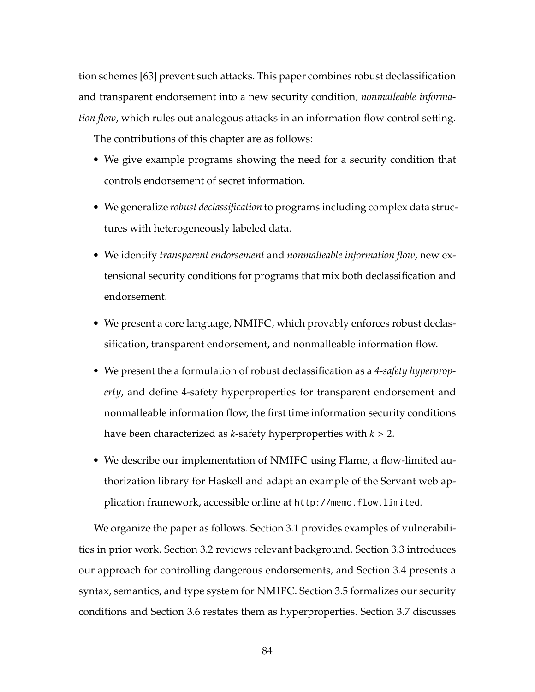tion schemes [\[63\]](#page-266-1) prevent such attacks. This paper combines robust declassification and transparent endorsement into a new security condition, *nonmalleable information flow*, which rules out analogous attacks in an information flow control setting.

The contributions of this chapter are as follows:

- We give example programs showing the need for a security condition that controls endorsement of secret information.
- We generalize *robust declassification* to programs including complex data structures with heterogeneously labeled data.
- We identify *transparent endorsement* and *nonmalleable information flow*, new extensional security conditions for programs that mix both declassification and endorsement.
- We present a core language, NMIFC, which provably enforces robust declassification, transparent endorsement, and nonmalleable information flow.
- We present the a formulation of robust declassification as a *4-safety hyperproperty*, and define 4-safety hyperproperties for transparent endorsement and nonmalleable information flow, the first time information security conditions have been characterized as *k*-safety hyperproperties with *k* > 2.
- We describe our implementation of NMIFC using Flame, a flow-limited authorization library for Haskell and adapt an example of the Servant web application framework, accessible online at <http://memo.flow.limited>.

We organize the paper as follows. Section [3.1](#page-99-0) provides examples of vulnerabilities in prior work. Section [3.2](#page-103-0) reviews relevant background. Section [3.3](#page-106-0) introduces our approach for controlling dangerous endorsements, and Section [3.4](#page-109-0) presents a syntax, semantics, and type system for NMIFC. Section [3.5](#page-117-0) formalizes our security conditions and Section [3.6](#page-129-0) restates them as hyperproperties. Section [3.7](#page-132-0) discusses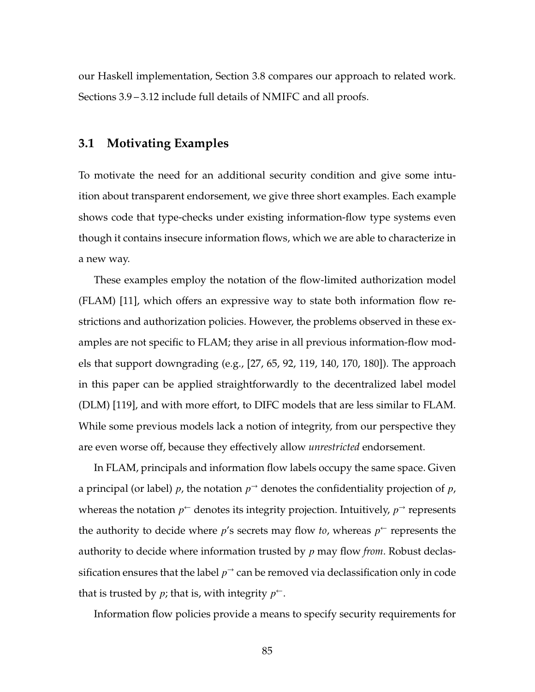<span id="page-99-0"></span>our Haskell implementation, Section [3.8](#page-135-0) compares our approach to related work. Sections [3.9](#page-138-0) – [3.12](#page-146-0) include full details of NMIFC and all proofs.

### **3.1 Motivating Examples**

To motivate the need for an additional security condition and give some intuition about transparent endorsement, we give three short examples. Each example shows code that type-checks under existing information-flow type systems even though it contains insecure information flows, which we are able to characterize in a new way.

These examples employ the notation of the flow-limited authorization model (FLAM) [\[11\]](#page-259-1), which offers an expressive way to state both information flow restrictions and authorization policies. However, the problems observed in these examples are not specific to FLAM; they arise in all previous information-flow models that support downgrading (e.g., [\[27,](#page-261-2) [65,](#page-266-2) [92,](#page-271-0) [119,](#page-274-1) [140,](#page-277-1) [170,](#page-281-1) [180\]](#page-282-2)). The approach in this paper can be applied straightforwardly to the decentralized label model (DLM) [\[119\]](#page-274-1), and with more effort, to DIFC models that are less similar to FLAM. While some previous models lack a notion of integrity, from our perspective they are even worse off, because they effectively allow *unrestricted* endorsement.

In FLAM, principals and information flow labels occupy the same space. Given a principal (or label) *p*, the notation *p* <sup>→</sup> denotes the confidentiality projection of *p*, whereas the notation  $p^{\leftarrow}$  denotes its integrity projection. Intuitively,  $p^{\rightarrow}$  represents the authority to decide where *p*'s secrets may flow *to*, whereas *p* <sup>←</sup> represents the authority to decide where information trusted by *p* may flow *from*. Robust declassification ensures that the label  $p^{\rightarrow}$  can be removed via declassification only in code that is trusted by  $p$ ; that is, with integrity  $p^{\leftarrow}$ .

Information flow policies provide a means to specify security requirements for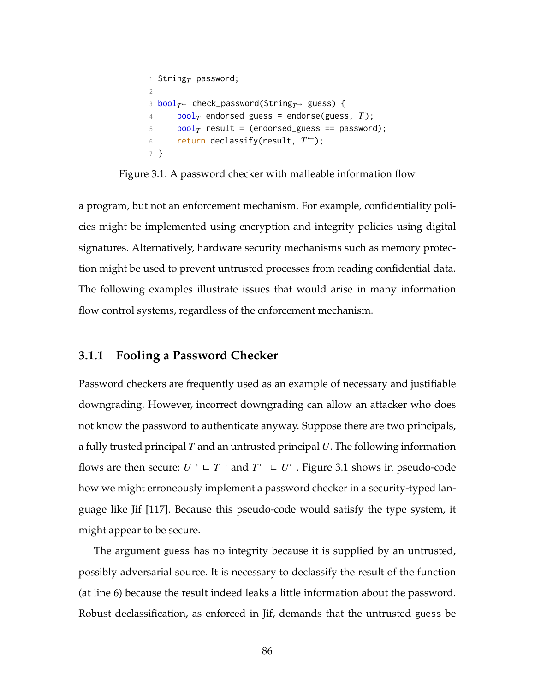```
1 StringT password;
2
3 boolT← check_password(StringT→ guess) {
4 boolT endorsed_guess = endorse(guess, T);
5 \qquad \text{bool}_T \text{ result} = (\text{endor} \text{sed}\underline{\ }g \text{uess} == \text{password});6 return declassify(result, T^{\leftarrow});
7 }
```
<span id="page-100-1"></span>Figure 3.1: A password checker with malleable information flow

a program, but not an enforcement mechanism. For example, confidentiality policies might be implemented using encryption and integrity policies using digital signatures. Alternatively, hardware security mechanisms such as memory protection might be used to prevent untrusted processes from reading confidential data. The following examples illustrate issues that would arise in many information flow control systems, regardless of the enforcement mechanism.

### **3.1.1 Fooling a Password Checker**

Password checkers are frequently used as an example of necessary and justifiable downgrading. However, incorrect downgrading can allow an attacker who does not know the password to authenticate anyway. Suppose there are two principals, a fully trusted principal *T* and an untrusted principal *U*. The following information flows are then secure:  $U^{\rightarrow} \sqsubseteq T^{\rightarrow}$  and  $T^{\leftarrow} \sqsubseteq U^{\leftarrow}$ . Figure [3.1](#page-100-0) shows in pseudo-code how we might erroneously implement a password checker in a security-typed language like Jif [\[117\]](#page-274-2). Because this pseudo-code would satisfy the type system, it might appear to be secure.

The argument guess has no integrity because it is supplied by an untrusted, possibly adversarial source. It is necessary to declassify the result of the function (at line [6\)](#page-100-1) because the result indeed leaks a little information about the password. Robust declassification, as enforced in Jif, demands that the untrusted guess be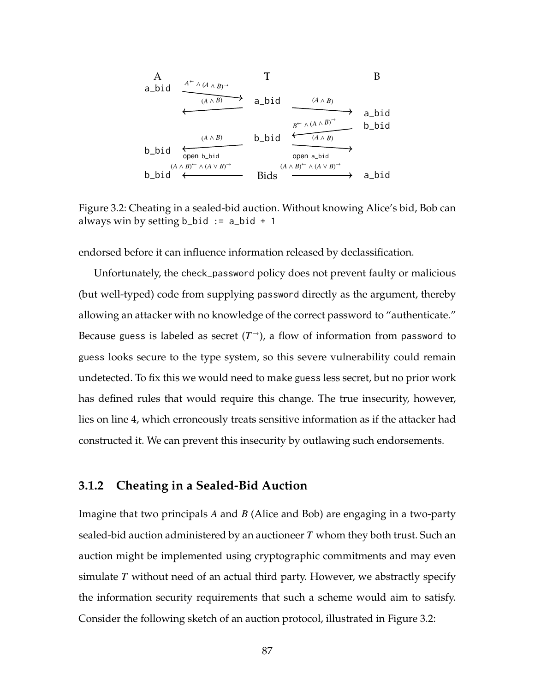<span id="page-101-0"></span>A  
\na\_bid  
\n
$$
\xrightarrow{(A \land B)^{-}}
$$
\na\_bid  
\n
$$
\xrightarrow{(A \land B)}
$$
\na\_bid  
\n
$$
\xrightarrow{(A \land B)}
$$
\nb\_bid  
\n
$$
\xrightarrow{(A \land B)}
$$
\n
$$
\xrightarrow{(A \land B)}
$$
\nb\_bid  
\n
$$
\xrightarrow{(A \land B)^{-}}
$$
\n
$$
\xrightarrow{(A \land B)^{-}}
$$
\n
$$
\xrightarrow{(A \land B)^{-}}
$$
\n
$$
\xrightarrow{(A \land B)^{-}}
$$
\n
$$
\xrightarrow{(A \land B)^{-}}
$$
\n
$$
\xrightarrow{(A \land B)^{-}}
$$
\n
$$
\xrightarrow{(A \land B)^{-}}
$$
\n
$$
\xrightarrow{(A \land B)^{-}}
$$
\n
$$
\xrightarrow{(A \land B)^{-}}
$$
\n
$$
\xrightarrow{(A \land B)^{-}}
$$
\n
$$
\xrightarrow{(A \land B)^{-}}
$$
\n
$$
\xrightarrow{(A \land B)^{-}}
$$
\n
$$
\xrightarrow{(A \land B)^{-}}
$$
\n
$$
\xrightarrow{(A \land B)^{-}}
$$
\n
$$
\xrightarrow{(A \land B)^{-}}
$$
\n
$$
\xrightarrow{(A \land B)^{-}}
$$
\n
$$
\xrightarrow{(A \land B)^{-}}
$$
\n
$$
\xrightarrow{(A \land B)^{-}}
$$
\n
$$
\xrightarrow{(A \land B)^{-}}
$$
\n
$$
\xrightarrow{(A \land B)^{-}}
$$
\n
$$
\xrightarrow{(A \land B)^{-}}
$$
\n
$$
\xrightarrow{(A \land B)^{-}}
$$
\n
$$
\xrightarrow{(A \land B)^{-}}
$$
\n
$$
\xrightarrow{(A \land B)^{-}}
$$
\n
$$
\xrightarrow{(A \land B)^{-}}
$$
\n
$$
\xrightarrow{(A \land B)^{-}}
$$
\n
$$
\xrightarrow{(A \land B)^{-}}
$$
\n
$$
\xrightarrow{(A \land B)^{-}}
$$
\n
$$
\xrightarrow{(A \land B)^{-}}
$$
\n
$$
\xrightarrow{(A \land B)^{-}}
$$
\n
$$
\xrightarrow{(A \land B)^{-}}
$$
\n
$$
\xrightarrow{(A \land B)^{-}}
$$
\n
$$
\xrightarrow
$$

Figure 3.2: Cheating in a sealed-bid auction. Without knowing Alice's bid, Bob can always win by setting  $b\_bid := a\_bid + 1$ 

endorsed before it can influence information released by declassification.

Unfortunately, the check\_password policy does not prevent faulty or malicious (but well-typed) code from supplying password directly as the argument, thereby allowing an attacker with no knowledge of the correct password to "authenticate." Because guess is labeled as secret  $(T^{\rightarrow})$ , a flow of information from password to guess looks secure to the type system, so this severe vulnerability could remain undetected. To fix this we would need to make guess less secret, but no prior work has defined rules that would require this change. The true insecurity, however, lies on line [4,](#page-100-2) which erroneously treats sensitive information as if the attacker had constructed it. We can prevent this insecurity by outlawing such endorsements.

# **3.1.2 Cheating in a Sealed-Bid Auction**

Imagine that two principals *A* and *B* (Alice and Bob) are engaging in a two-party sealed-bid auction administered by an auctioneer *T* whom they both trust. Such an auction might be implemented using cryptographic commitments and may even simulate *T* without need of an actual third party. However, we abstractly specify the information security requirements that such a scheme would aim to satisfy. Consider the following sketch of an auction protocol, illustrated in Figure [3.2:](#page-101-0)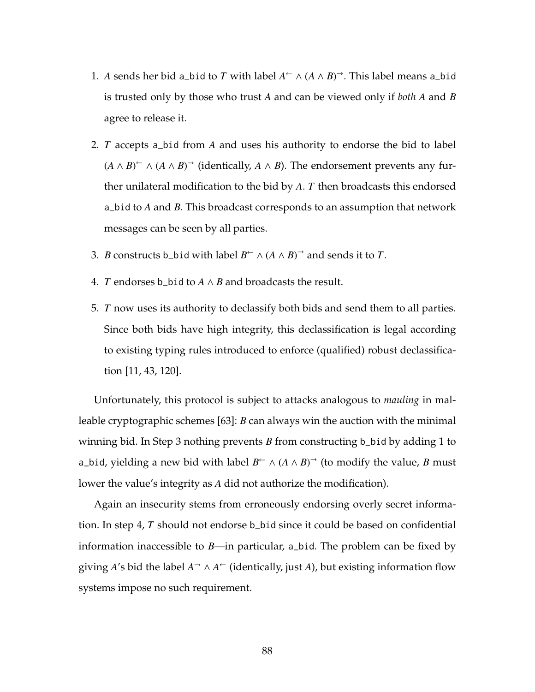- 1. *A* sends her bid a\_bid to *T* with label  $A^{\leftarrow} \wedge (A \wedge B)^{\rightarrow}$ . This label means a\_bid is trusted only by those who trust *A* and can be viewed only if *both A* and *B* agree to release it.
- 2. *T* accepts a\_bid from *A* and uses his authority to endorse the bid to label  $(A \land B)$ <sup>←</sup>  $\land$   $(A \land B)$ <sup>→</sup> (identically,  $A \land B$ ). The endorsement prevents any further unilateral modification to the bid by *A*. *T* then broadcasts this endorsed a\_bid to *A* and *B*. This broadcast corresponds to an assumption that network messages can be seen by all parties.
- <span id="page-102-1"></span><span id="page-102-0"></span>3. *B* constructs b\_bid with label  $B^{\leftarrow} \wedge (A \wedge B)^{\rightarrow}$  and sends it to *T*.
- 4. *T* endorses b\_bid to *A* ∧ *B* and broadcasts the result.
- 5. *T* now uses its authority to declassify both bids and send them to all parties. Since both bids have high integrity, this declassification is legal according to existing typing rules introduced to enforce (qualified) robust declassification [\[11,](#page-259-1) [43,](#page-264-0) [120\]](#page-274-0).

Unfortunately, this protocol is subject to attacks analogous to *mauling* in malleable cryptographic schemes [\[63\]](#page-266-1): *B* can always win the auction with the minimal winning bid. In Step [3](#page-102-0) nothing prevents *B* from constructing b\_bid by adding 1 to a\_bid, yielding a new bid with label  $B^{\leftarrow} \wedge (A \wedge B)^{\rightarrow}$  (to modify the value, *B* must lower the value's integrity as *A* did not authorize the modification).

Again an insecurity stems from erroneously endorsing overly secret information. In step [4,](#page-102-1) *T* should not endorse b\_bid since it could be based on confidential information inaccessible to *B*—in particular, a\_bid. The problem can be fixed by giving *A*'s bid the label  $A^{\rightarrow} \wedge A^{\leftarrow}$  (identically, just *A*), but existing information flow systems impose no such requirement.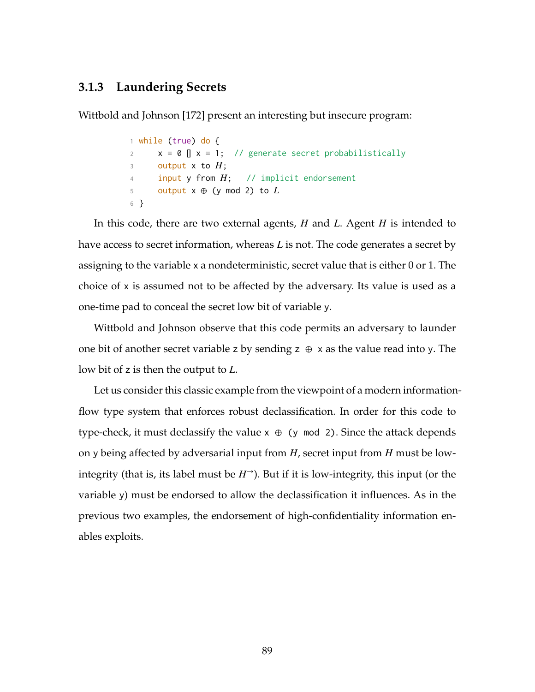# **3.1.3 Laundering Secrets**

Wittbold and Johnson [\[172\]](#page-281-2) present an interesting but insecure program:

```
1 while (true) do {
x = 0 | x = 1; // generate secret probabilistically
3 output x to H;
4 input y from H; // implicit endorsement
5 output x \oplus (y \mod 2) to L6 }
```
In this code, there are two external agents, *H* and *L*. Agent *H* is intended to have access to secret information, whereas *L* is not. The code generates a secret by assigning to the variable x a nondeterministic, secret value that is either 0 or 1. The choice of x is assumed not to be affected by the adversary. Its value is used as a one-time pad to conceal the secret low bit of variable y.

Wittbold and Johnson observe that this code permits an adversary to launder one bit of another secret variable z by sending  $z \oplus x$  as the value read into y. The low bit of z is then the output to *L*.

<span id="page-103-0"></span>Let us consider this classic example from the viewpoint of a modern informationflow type system that enforces robust declassification. In order for this code to type-check, it must declassify the value  $x \oplus (y \mod 2)$ . Since the attack depends on y being affected by adversarial input from *H*, secret input from *H* must be lowintegrity (that is, its label must be  $H^{\rightarrow}$ ). But if it is low-integrity, this input (or the variable y) must be endorsed to allow the declassification it influences. As in the previous two examples, the endorsement of high-confidentiality information enables exploits.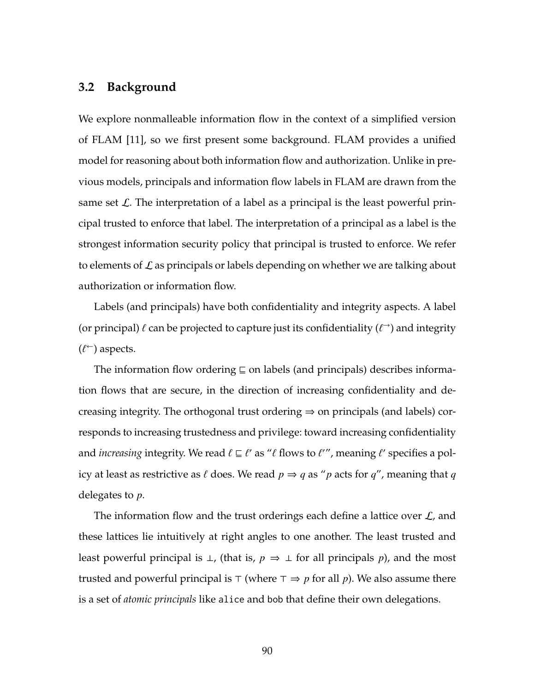# **3.2 Background**

We explore nonmalleable information flow in the context of a simplified version of FLAM [\[11\]](#page-259-1), so we first present some background. FLAM provides a unified model for reasoning about both information flow and authorization. Unlike in previous models, principals and information flow labels in FLAM are drawn from the same set  $\mathcal{L}$ . The interpretation of a label as a principal is the least powerful principal trusted to enforce that label. The interpretation of a principal as a label is the strongest information security policy that principal is trusted to enforce. We refer to elements of  $\mathcal L$  as principals or labels depending on whether we are talking about authorization or information flow.

Labels (and principals) have both confidentiality and integrity aspects. A label (or principal)  $\ell$  can be projected to capture just its confidentiality  $(\ell \rightarrow)$  and integrity  $(\ell^{\leftarrow})$  aspects.

The information flow ordering  $\subseteq$  on labels (and principals) describes information flows that are secure, in the direction of increasing confidentiality and decreasing integrity. The orthogonal trust ordering  $\Rightarrow$  on principals (and labels) corresponds to increasing trustedness and privilege: toward increasing confidentiality and *increasing* integrity. We read  $\ell \sqsubseteq \ell'$  as " $\ell$  flows to  $\ell''$ , meaning  $\ell'$  specifies a policy at least as restrictive as  $\ell$  does. We read  $p \Rightarrow q$  as "*p* acts for  $q$ ", meaning that *q* delegates to *p*.

The information flow and the trust orderings each define a lattice over  $\mathcal{L}$ , and these lattices lie intuitively at right angles to one another. The least trusted and least powerful principal is  $\bot$ , (that is,  $p \Rightarrow \bot$  for all principals p), and the most trusted and powerful principal is  $\top$  (where  $\top \Rightarrow p$  for all p). We also assume there is a set of *atomic principals* like alice and bob that define their own delegations.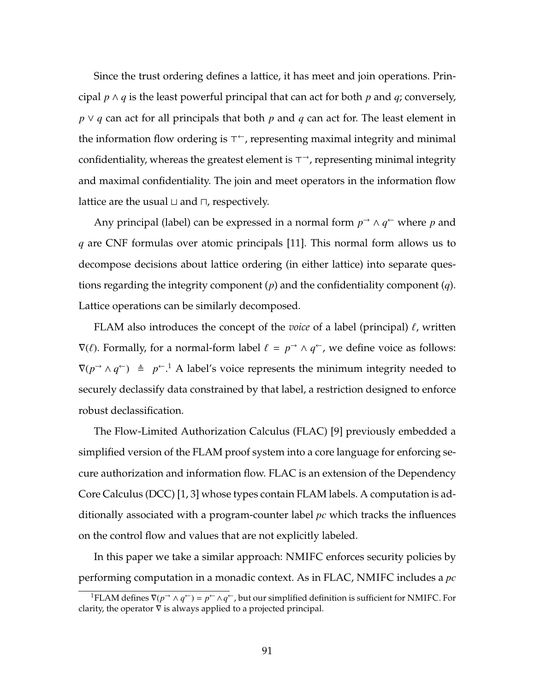Since the trust ordering defines a lattice, it has meet and join operations. Principal *p* ∧ *q* is the least powerful principal that can act for both *p* and *q*; conversely, *p* ∨ *q* can act for all principals that both *p* and *q* can act for. The least element in the information flow ordering is  $\tau\text{-}$ , representing maximal integrity and minimal confidentiality, whereas the greatest element is  $\tau{\rightarrow}$ , representing minimal integrity and maximal confidentiality. The join and meet operators in the information flow lattice are the usual  $\sqcup$  and  $\sqcap$ , respectively.

Any principal (label) can be expressed in a normal form  $p$ <sup>→</sup> ∧  $q$ <sup>←</sup> where  $p$  and *q* are CNF formulas over atomic principals [\[11\]](#page-259-1). This normal form allows us to decompose decisions about lattice ordering (in either lattice) into separate questions regarding the integrity component (*p*) and the confidentiality component (*q*). Lattice operations can be similarly decomposed.

FLAM also introduces the concept of the *voice* of a label (principal)  $\ell$ , written  $\nabla(\ell)$ . Formally, for a normal-form label  $\ell = p^{\rightarrow} \wedge q^{\leftarrow}$ , we define voice as follows:  $\nabla(p \to \wedge q^{\leftarrow}) \triangleq p^{\leftarrow}$ .<sup>[1](#page-105-0)</sup> A label's voice represents the minimum integrity needed to securely declassify data constrained by that label, a restriction designed to enforce robust declassification.

The Flow-Limited Authorization Calculus (FLAC) [\[9\]](#page-259-2) previously embedded a simplified version of the FLAM proof system into a core language for enforcing secure authorization and information flow. FLAC is an extension of the Dependency Core Calculus (DCC) [\[1,](#page-258-1) [3\]](#page-258-2) whose types contain FLAM labels. A computation is additionally associated with a program-counter label *pc* which tracks the influences on the control flow and values that are not explicitly labeled.

In this paper we take a similar approach: NMIFC enforces security policies by performing computation in a monadic context. As in FLAC, NMIFC includes a *pc*

<span id="page-105-0"></span><sup>&</sup>lt;sup>1</sup>FLAM defines  $\nabla(p \to \Delta q^+) = p^+ \Delta q^+$ , but our simplified definition is sufficient for NMIFC. For clarity, the operator  $\nabla$  is always applied to a projected principal.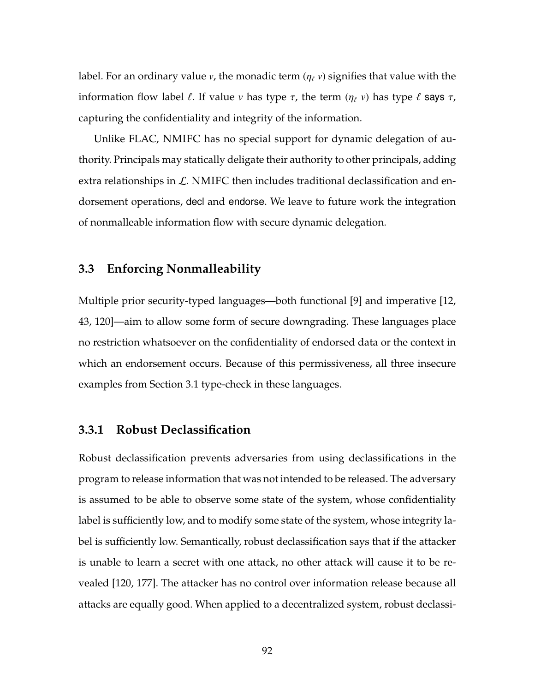label. For an ordinary value *v*, the monadic term  $(\eta_\ell v)$  signifies that value with the information flow label  $\ell$ . If value  $\nu$  has type  $\tau$ , the term  $(\eta_{\ell} \nu)$  has type  $\ell$  says  $\tau$ , capturing the confidentiality and integrity of the information.

Unlike FLAC, NMIFC has no special support for dynamic delegation of authority. Principals may statically deligate their authority to other principals, adding extra relationships in  $\mathcal{L}$ . NMIFC then includes traditional declassification and endorsement operations, decl and endorse. We leave to future work the integration of nonmalleable information flow with secure dynamic delegation.

# <span id="page-106-0"></span>**3.3 Enforcing Nonmalleability**

Multiple prior security-typed languages—both functional [\[9\]](#page-259-2) and imperative [\[12,](#page-259-0) [43,](#page-264-0) [120\]](#page-274-0)—aim to allow some form of secure downgrading. These languages place no restriction whatsoever on the confidentiality of endorsed data or the context in which an endorsement occurs. Because of this permissiveness, all three insecure examples from Section [3.1](#page-99-0) type-check in these languages.

### **3.3.1 Robust Declassification**

Robust declassification prevents adversaries from using declassifications in the program to release information that was not intended to be released. The adversary is assumed to be able to observe some state of the system, whose confidentiality label is sufficiently low, and to modify some state of the system, whose integrity label is sufficiently low. Semantically, robust declassification says that if the attacker is unable to learn a secret with one attack, no other attack will cause it to be revealed [\[120,](#page-274-0) [177\]](#page-282-1). The attacker has no control over information release because all attacks are equally good. When applied to a decentralized system, robust declassi-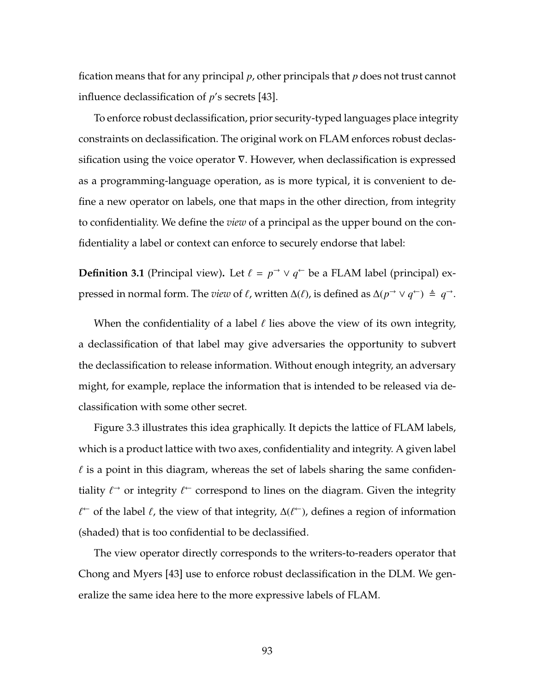fication means that for any principal *p*, other principals that *p* does not trust cannot influence declassification of *p*'s secrets [\[43\]](#page-264-0).

To enforce robust declassification, prior security-typed languages place integrity constraints on declassification. The original work on FLAM enforces robust declassification using the voice operator  $\nabla$ . However, when declassification is expressed as a programming-language operation, as is more typical, it is convenient to define a new operator on labels, one that maps in the other direction, from integrity to confidentiality. We define the *view* of a principal as the upper bound on the confidentiality a label or context can enforce to securely endorse that label:

**Definition 3.1** (Principal view). Let  $\ell = p \rightarrow \vee q \leftarrow$  be a FLAM label (principal) expressed in normal form. The *view* of `, written ∆(`), is defined as ∆(*p* <sup>→</sup> ∨ *q* <sup>←</sup>) , *q* →.

When the confidentiality of a label  $\ell$  lies above the view of its own integrity, a declassification of that label may give adversaries the opportunity to subvert the declassification to release information. Without enough integrity, an adversary might, for example, replace the information that is intended to be released via declassification with some other secret.

Figure [3.3](#page-108-0) illustrates this idea graphically. It depicts the lattice of FLAM labels, which is a product lattice with two axes, confidentiality and integrity. A given label  $\ell$  is a point in this diagram, whereas the set of labels sharing the same confidentiality  $\ell^{\rightarrow}$  or integrity  $\ell^{\leftarrow}$  correspond to lines on the diagram. Given the integrity  $\ell$ <sup>←</sup> of the label  $\ell$ , the view of that integrity,  $\Delta(\ell^{\leftarrow})$ , defines a region of information (shaded) that is too confidential to be declassified.

The view operator directly corresponds to the writers-to-readers operator that Chong and Myers [\[43\]](#page-264-0) use to enforce robust declassification in the DLM. We generalize the same idea here to the more expressive labels of FLAM.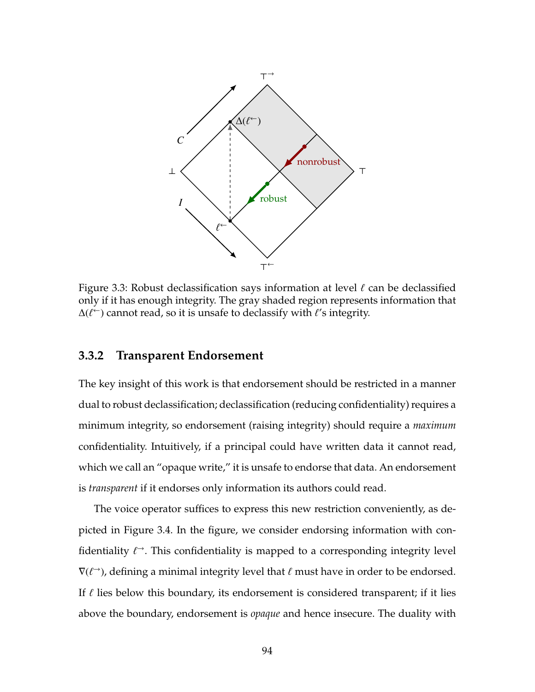

Figure 3.3: Robust declassification says information at level  $\ell$  can be declassified only if it has enough integrity. The gray shaded region represents information that ∆( $\ell$ <sup>←</sup>) cannot read, so it is unsafe to declassify with  $\ell$ 's integrity.

#### **3.3.2 Transparent Endorsement**

The key insight of this work is that endorsement should be restricted in a manner dual to robust declassification; declassification (reducing confidentiality) requires a minimum integrity, so endorsement (raising integrity) should require a *maximum* confidentiality. Intuitively, if a principal could have written data it cannot read, which we call an "opaque write," it is unsafe to endorse that data. An endorsement is *transparent* if it endorses only information its authors could read.

The voice operator suffices to express this new restriction conveniently, as depicted in Figure [3.4.](#page-109-0) In the figure, we consider endorsing information with confidentiality  $\ell$ <sup> $\rightarrow$ </sup>. This confidentiality is mapped to a corresponding integrity level  $\nabla(\ell^{\rightarrow})$ , defining a minimal integrity level that  $\ell$  must have in order to be endorsed. If  $\ell$  lies below this boundary, its endorsement is considered transparent; if it lies above the boundary, endorsement is *opaque* and hence insecure. The duality with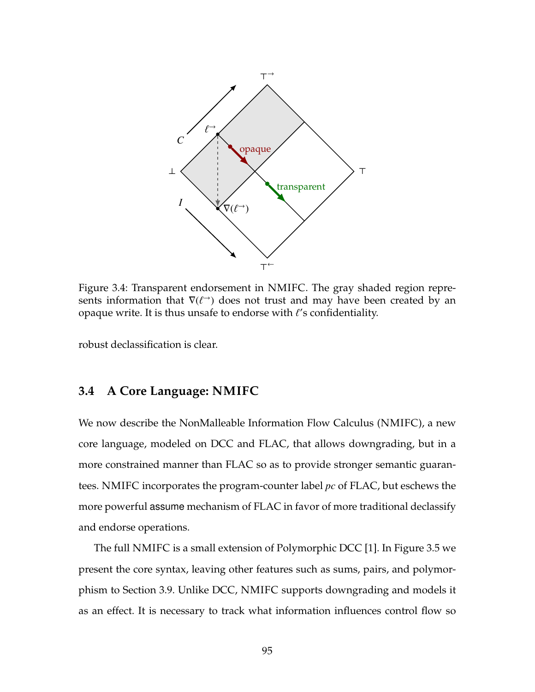<span id="page-109-0"></span>

Figure 3.4: Transparent endorsement in NMIFC. The gray shaded region represents information that  $\nabla(\ell^{\rightarrow})$  does not trust and may have been created by an opaque write. It is thus unsafe to endorse with  $\ell'$ s confidentiality.

<span id="page-109-1"></span>robust declassification is clear.

## **3.4 A Core Language: NMIFC**

We now describe the NonMalleable Information Flow Calculus (NMIFC), a new core language, modeled on DCC and FLAC, that allows downgrading, but in a more constrained manner than FLAC so as to provide stronger semantic guarantees. NMIFC incorporates the program-counter label *pc* of FLAC, but eschews the more powerful assume mechanism of FLAC in favor of more traditional declassify and endorse operations.

The full NMIFC is a small extension of Polymorphic DCC [\[1\]](#page-258-0). In Figure [3.5](#page-110-0) we present the core syntax, leaving other features such as sums, pairs, and polymorphism to Section [3.9.](#page-138-0) Unlike DCC, NMIFC supports downgrading and models it as an effect. It is necessary to track what information influences control flow so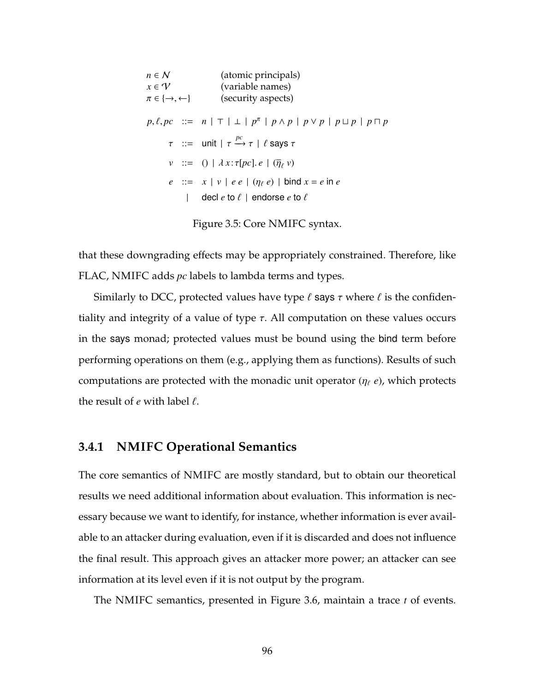<span id="page-110-0"></span>*n* ∈ *N* (atomic principals)<br>  $x \in \mathcal{V}$  (variable names) *x* ∈ *V* (variable names)<br>  $\pi \in \{\rightarrow, \leftarrow\}$  (security aspects) (security aspects)  $p, \ell, pc$  ::=  $n | \top | \bot | p^{\pi} | p \wedge p | p \vee p | p \sqcup p | p \sqcap p$  $\tau$  ::= unit |  $\tau \xrightarrow{pc} \tau$  |  $\ell$  says  $\tau$  $\nu$  ::= () |  $\lambda x : \tau[pc] \cdot e \mid (\overline{\eta}_e v)$ *e* ::=  $x | v | ee | (\eta_e e) | b \text{ind } x = e \text{ in } e$ | decl  $e$  to  $\ell$  | endorse  $e$  to  $\ell$ 

Figure 3.5: Core NMIFC syntax.

that these downgrading effects may be appropriately constrained. Therefore, like FLAC, NMIFC adds *pc* labels to lambda terms and types.

Similarly to DCC, protected values have type  $\ell$  says  $\tau$  where  $\ell$  is the confidentiality and integrity of a value of type  $\tau$ . All computation on these values occurs in the says monad; protected values must be bound using the bind term before performing operations on them (e.g., applying them as functions). Results of such computations are protected with the monadic unit operator  $(\eta_\ell \, e)$ , which protects the result of  $e$  with label  $\ell$ .

#### **3.4.1 NMIFC Operational Semantics**

The core semantics of NMIFC are mostly standard, but to obtain our theoretical results we need additional information about evaluation. This information is necessary because we want to identify, for instance, whether information is ever available to an attacker during evaluation, even if it is discarded and does not influence the final result. This approach gives an attacker more power; an attacker can see information at its level even if it is not output by the program.

The NMIFC semantics, presented in Figure [3.6,](#page-111-0) maintain a trace *t* of events.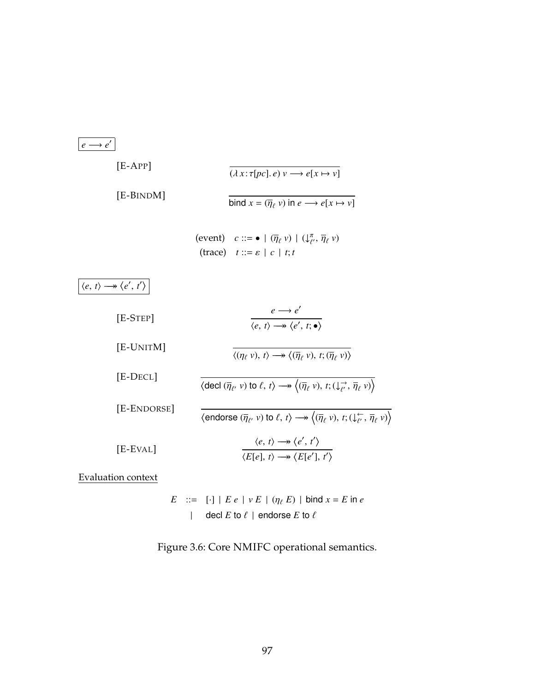<span id="page-111-0"></span>

| $e \rightarrow e'$                                            |                                                                                                                                                                                                            |
|---------------------------------------------------------------|------------------------------------------------------------------------------------------------------------------------------------------------------------------------------------------------------------|
| $[E-APP]$                                                     | $(\lambda x : \tau[pc], e) v \longrightarrow e[x \mapsto v]$                                                                                                                                               |
| [E-BINDM]                                                     | bind $x = (\overline{\eta}_{\ell} v)$ in $e \longrightarrow e[x \mapsto v]$                                                                                                                                |
|                                                               | (event) $c ::= \bullet   (\overline{\eta}_{\ell} v)   (\downarrow_{\ell'}^{\pi}, \overline{\eta}_{\ell} v)$<br>(trace) $t ::= \varepsilon \mid c \mid t; t$                                                |
| $\langle e, t \rangle \longrightarrow \langle e', t' \rangle$ |                                                                                                                                                                                                            |
| $[E-STEP]$                                                    | $e \rightarrow e'$<br>$\langle e, t \rangle \rightarrow \langle e', t; \bullet \rangle$                                                                                                                    |
| [E-UNITM]                                                     | $\langle (\eta_\ell v), t \rangle \longrightarrow \langle (\overline{\eta}_\ell v), t; (\overline{\eta}_\ell v) \rangle$                                                                                   |
| [E-DECL]                                                      | $\langle \text{ decl } (\overline{\eta}_{\ell}, v) \text{ to } \ell, t \rangle \longrightarrow \langle (\overline{\eta}_{\ell}, v), t; (\downarrow_{\ell'} \rightarrow \overline{\eta}_{\ell}, v) \rangle$ |
| [E-ENDORSE]                                                   | $\langle$ endorse $(\overline{\eta}_{\ell'}\ \nu)$ to $\ell, t\rangle \longrightarrow \langle (\overline{\eta}_{\ell}\ \nu), t; (\downarrow^{\leftarrow}_{\ell'}, \overline{\eta}_{\ell}\ \nu) \rangle$    |

[E-EVAL] 
$$
\frac{\langle e, t \rangle \longrightarrow \langle e', t' \rangle}{\langle E[e], t \rangle \longrightarrow \langle E[e'], t' \rangle}
$$

Evaluation context

*E* ::=  $[\cdot] | E e | v E | (\eta_{\ell} E) | \text{bind } x = E \text{ in } e$ | decl  $E$  to  $\ell$  | endorse  $E$  to  $\ell$ 

Figure 3.6: Core NMIFC operational semantics.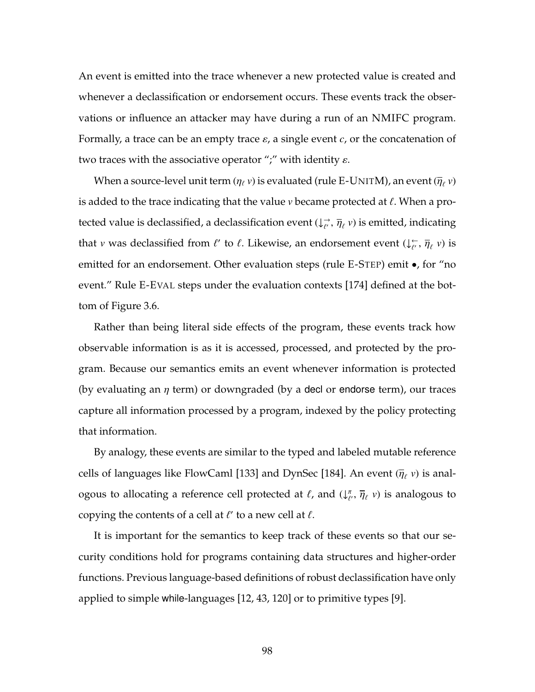An event is emitted into the trace whenever a new protected value is created and whenever a declassification or endorsement occurs. These events track the observations or influence an attacker may have during a run of an NMIFC program. Formally, a trace can be an empty trace  $\varepsilon$ , a single event  $c$ , or the concatenation of two traces with the associative operator ";" with identity  $\varepsilon$ .

When a source-level unit term ( $\eta_\ell$   $\nu$ ) is evaluated (rule [E-U](#page-111-0)NITM), an event ( $\overline{\eta}_\ell$   $\nu$ ) is added to the trace indicating that the value  $\nu$  became protected at  $\ell$ . When a protected value is declassified, a declassification event  $(\downarrow_{\ell'}\to\overline{\eta}_\ell$   $\nu)$  is emitted, indicating that *v* was declassified from  $\ell'$  to  $\ell$ . Likewise, an endorsement event  $(\downarrow_{\ell'}^{\leftarrow}, \overline{\eta}_{\ell}$  *v*) is emitted for an endorsement. Other evaluation steps (rule [E-S](#page-111-0)TEP) emit  $\bullet$ , for "no event." Rule [E-E](#page-111-0)VAL steps under the evaluation contexts [\[174\]](#page-281-0) defined at the bottom of Figure [3.6.](#page-111-0)

Rather than being literal side effects of the program, these events track how observable information is as it is accessed, processed, and protected by the program. Because our semantics emits an event whenever information is protected (by evaluating an  $\eta$  term) or downgraded (by a decl or endorse term), our traces capture all information processed by a program, indexed by the policy protecting that information.

By analogy, these events are similar to the typed and labeled mutable reference cells of languages like FlowCaml [\[133\]](#page-276-0) and DynSec [\[184\]](#page-283-0). An event  $(\overline{\eta}_{\ell} v)$  is analogous to allocating a reference cell protected at  $\ell$ , and  $\downarrow^{\pi}_{\ell}$  $\bar{\eta}_{\ell}$  ,  $\bar{\eta}_{\ell}$  v) is analogous to copying the contents of a cell at  $\ell'$  to a new cell at  $\ell$ .

It is important for the semantics to keep track of these events so that our security conditions hold for programs containing data structures and higher-order functions. Previous language-based definitions of robust declassification have only applied to simple while-languages [\[12,](#page-259-0) [43,](#page-264-0) [120\]](#page-274-0) or to primitive types [\[9\]](#page-259-1).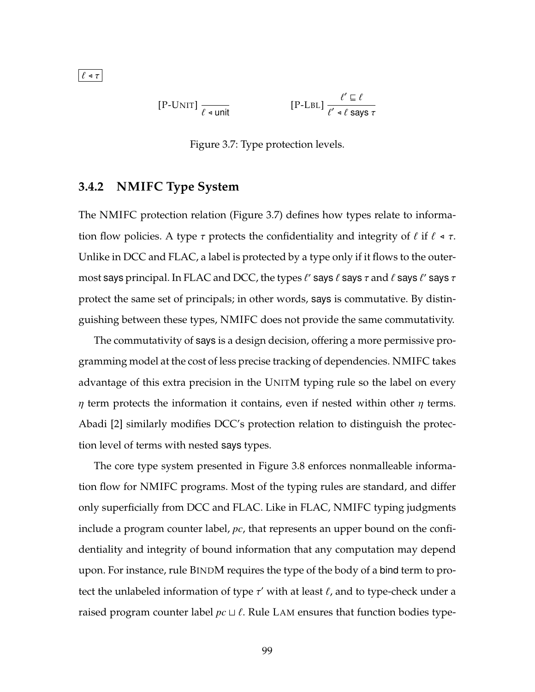<span id="page-113-0"></span>
$$
[P-LNIT] \frac{\ell' \sqsubseteq \ell}{\ell' \triangleleft \ell \text{ sumit}}
$$
\n
$$
[P-LBL] \frac{\ell' \sqsubseteq \ell}{\ell' \triangleleft \ell \text{ says } \tau}
$$

Figure 3.7: Type protection levels.

### **3.4.2 NMIFC Type System**

The NMIFC protection relation (Figure [3.7\)](#page-113-0) defines how types relate to information flow policies. A type  $\tau$  protects the confidentiality and integrity of  $\ell$  if  $\ell \triangleleft \tau$ . Unlike in DCC and FLAC, a label is protected by a type only if it flows to the outermost says principal. In FLAC and DCC, the types  $\ell'$  says  $\ell$  says  $\tau$  and  $\ell$  says  $\ell'$  says  $\tau$ protect the same set of principals; in other words, says is commutative. By distinguishing between these types, NMIFC does not provide the same commutativity.

The commutativity of says is a design decision, offering a more permissive programming model at the cost of less precise tracking of dependencies. NMIFC takes advantage of this extra precision in the U[NIT](#page-114-0)M typing rule so the label on every  $\eta$  term protects the information it contains, even if nested within other  $\eta$  terms. Abadi [\[2\]](#page-258-1) similarly modifies DCC's protection relation to distinguish the protection level of terms with nested says types.

The core type system presented in Figure [3.8](#page-114-0) enforces nonmalleable information flow for NMIFC programs. Most of the typing rules are standard, and differ only superficially from DCC and FLAC. Like in FLAC, NMIFC typing judgments include a program counter label, *pc*, that represents an upper bound on the confidentiality and integrity of bound information that any computation may depend upon. For instance, rule B[IND](#page-114-0)M requires the type of the body of a bind term to protect the unlabeled information of type  $\tau'$  with at least  $\ell$ , and to type-check under a raised program counter label  $pc \sqcup \ell$ . Rule L[AM](#page-114-0) ensures that function bodies type-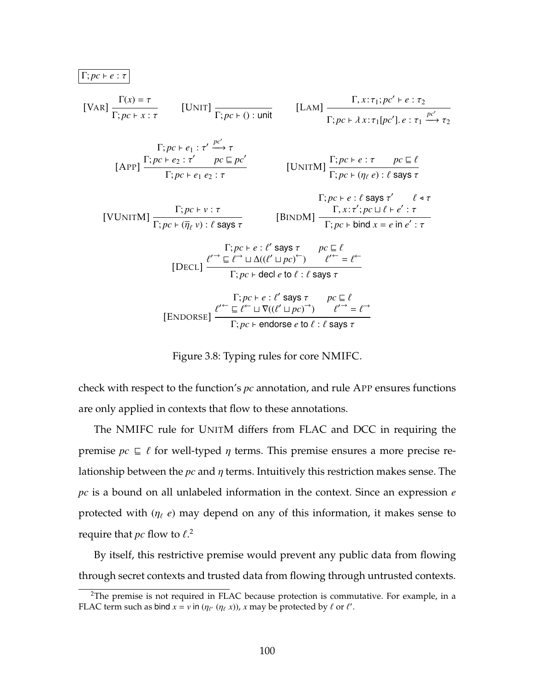<span id="page-114-0"></span>

| \n $\frac{\Gamma(p\epsilon + e : \tau)}{\Gamma; p\epsilon + x : \tau}$ \n                                                                                                                                                          | \n $[UNIT] \frac{\Gamma(x) = \tau}{\Gamma; p\epsilon + 0 : \text{unit}}$ \n                                                                              | \n $[LAM] \frac{\Gamma, x : \tau_1; p\epsilon' + e : \tau_2}{\Gamma; p\epsilon + \lambda x : \tau_1[p\epsilon'], e : \tau_1 \xrightarrow{p\epsilon'} \tau_2}$ \n |
|------------------------------------------------------------------------------------------------------------------------------------------------------------------------------------------------------------------------------------|----------------------------------------------------------------------------------------------------------------------------------------------------------|------------------------------------------------------------------------------------------------------------------------------------------------------------------|
| \n $[APP] \frac{\Gamma; p\epsilon + e_1 : \tau' \xrightarrow{p\epsilon'} \tau}{\Gamma; p\epsilon + e_1 e_2 : \tau}$ \n                                                                                                             | \n $[UNITM] \frac{\Gamma; p\epsilon + e : \tau \xrightarrow{p\epsilon \subseteq \ell}{\Gamma; p\epsilon + (\eta_{\ell} e) : \ell \text{ says } \tau}$ \n |                                                                                                                                                                  |
| \n $[VUNITM] \frac{\Gamma; p\epsilon + v : \tau}{\Gamma; p\epsilon + (\overline{\eta_{\ell}} v) : \ell \text{ says } \tau}$ \n                                                                                                     | \n $[BINDM] \frac{\Gamma, x : \tau'; p\epsilon \sqcup \ell + e' : \tau}{\Gamma; p\epsilon + \text{bind } x = e \text{ in } e' : \tau}$ \n                |                                                                                                                                                                  |
| \n $[DECL] \frac{\ell'^\frown \sqsubseteq \ell^\frown \sqcup \Delta((\ell' \sqcup p\epsilon)^\frown) \qquad \ell'^\Leftarrow \ell^\Leftarrow}{\Gamma; p\epsilon + \text{ded } e \text{ to } \ell : \ell \text{ says } \tau}$ \n    |                                                                                                                                                          |                                                                                                                                                                  |
| \n $[ENDORSE] \frac{\ell'^\frown \sqsubseteq \ell^\Leftarrow \sqcup \nabla((\ell' \sqcup p\epsilon)^\frown) \qquad \ell'^\Rightarrow e \tau}{\Gamma; p\epsilon + \text{endorse } e \text{ to } \ell : \ell \text{ says } \tau}$ \n |                                                                                                                                                          |                                                                                                                                                                  |

Figure 3.8: Typing rules for core NMIFC.

check with respect to the function's *pc* annotation, and rule [A](#page-114-0)PP ensures functions are only applied in contexts that flow to these annotations.

The NMIFC rule for U[NIT](#page-114-0)M differs from FLAC and DCC in requiring the premise  $pc \subseteq \ell$  for well-typed  $\eta$  terms. This premise ensures a more precise relationship between the *pc* and η terms. Intuitively this restriction makes sense. The *pc* is a bound on all unlabeled information in the context. Since an expression *e* protected with  $(\eta_\ell \, e)$  may depend on any of this information, it makes sense to require that  $pc$  flow to  $\ell$ .<sup>[2](#page-114-1)</sup>

By itself, this restrictive premise would prevent any public data from flowing through secret contexts and trusted data from flowing through untrusted contexts.

<span id="page-114-1"></span><sup>&</sup>lt;sup>2</sup>The premise is not required in FLAC because protection is commutative. For example, in a FLAC term such as bind  $x = v$  in  $(\eta_{\ell'} \ (\eta_{\ell} \ x))$ , *x* may be protected by  $\ell$  or  $\ell'$ .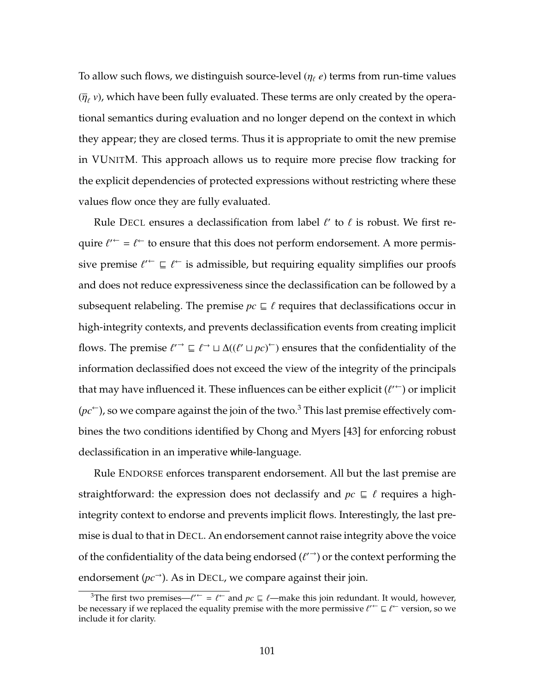To allow such flows, we distinguish source-level  $(\eta_\ell e)$  terms from run-time values  $(\overline{\eta}_\ell$  v), which have been fully evaluated. These terms are only created by the operational semantics during evaluation and no longer depend on the context in which they appear; they are closed terms. Thus it is appropriate to omit the new premise in [VU](#page-114-0)NITM. This approach allows us to require more precise flow tracking for the explicit dependencies of protected expressions without restricting where these values flow once they are fully evaluated.

Rule D[ECL](#page-114-0) ensures a declassification from label  $\ell'$  to  $\ell$  is robust. We first require  $\ell^{\prime}$  =  $\ell^{\leftarrow}$  to ensure that this does not perform endorsement. A more permissive premise  $\ell'^\leftarrow \sqsubseteq \ell^\leftarrow$  is admissible, but requiring equality simplifies our proofs and does not reduce expressiveness since the declassification can be followed by a subsequent relabeling. The premise  $pc \subseteq \ell$  requires that declassifications occur in high-integrity contexts, and prevents declassification events from creating implicit flows. The premise  $\ell \to \subseteq \ell \to \Delta((\ell' \sqcup pc)^\leftarrow)$  ensures that the confidentiality of the information declassified does not exceed the view of the integrity of the principals that may have influenced it. These influences can be either explicit  $(\ell'^\leftarrow)$  or implicit  $(pc<sup>\leftarrow</sup>)$ , so we compare against the join of the two.<sup>[3](#page-115-0)</sup> This last premise effectively combines the two conditions identified by Chong and Myers [\[43\]](#page-264-0) for enforcing robust declassification in an imperative while-language.

Rule E[NDORSE](#page-114-0) enforces transparent endorsement. All but the last premise are straightforward: the expression does not declassify and  $pc \subseteq \ell$  requires a highintegrity context to endorse and prevents implicit flows. Interestingly, the last premise is dual to that in D[ECL](#page-114-0). An endorsement cannot raise integrity above the voice of the confidentiality of the data being endorsed  $(\ell'')$  or the context performing the endorsement  $(pc^{\rightarrow})$ . As in D[ECL](#page-114-0), we compare against their join.

<span id="page-115-0"></span><sup>&</sup>lt;sup>3</sup>The first two premises— $\ell^{\prime -} = \ell^{\prime -}$  and  $pc \sqsubseteq \ell$ —make this join redundant. It would, however, be necessary if we replaced the equality premise with the more permissive  $\ell'^\leftarrow \sqsubseteq \ell^\leftarrow$  version, so we include it for clarity.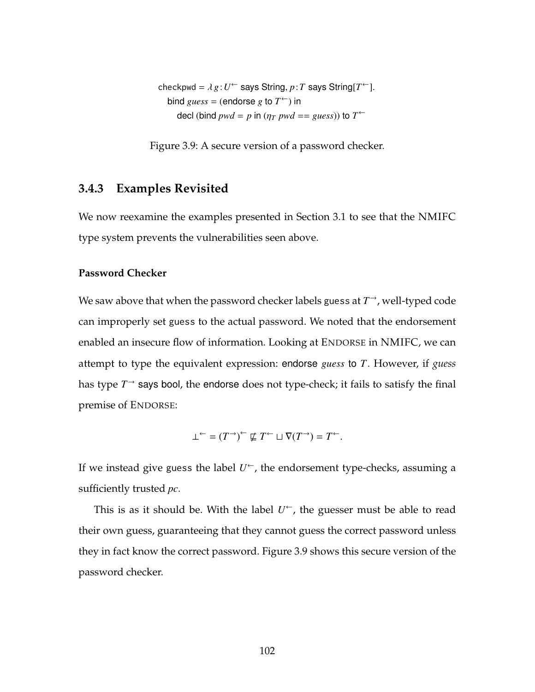<span id="page-116-0"></span>checkpwd =  $\lambda g: U^{\leftarrow}$  says String,  $p: T$  says String[ $T^{\leftarrow}$ ]. bind  $guess =$  (endorse  $g$  to  $T^{\leftarrow}$ ) in decl (bind  $pwd = p$  in ( $\eta_T$   $pwd == guess)$ ) to  $T^{\leftarrow}$ 

Figure 3.9: A secure version of a password checker.

### **3.4.3 Examples Revisited**

We now reexamine the examples presented in Section [3.1](#page-99-0) to see that the NMIFC type system prevents the vulnerabilities seen above.

#### **Password Checker**

We saw above that when the password checker labels guess at  $T^{\rightarrow}$ , well-typed code can improperly set guess to the actual password. We noted that the endorsement enabled an insecure flow of information. Looking at E[NDORSE](#page-114-0) in NMIFC, we can attempt to type the equivalent expression: endorse *guess* to *T*. However, if *guess* has type  $T^{\rightarrow}$  says bool, the endorse does not type-check; it fails to satisfy the final premise of E[NDORSE](#page-114-0):

$$
\bot^{\leftarrow} = (T^{\rightarrow})^{\leftarrow} \not\sqsubseteq T^{\leftarrow} \sqcup \nabla (T^{\rightarrow}) = T^{\leftarrow}.
$$

If we instead give guess the label *U* <sup>←</sup>, the endorsement type-checks, assuming a sufficiently trusted *pc*.

This is as it should be. With the label  $U^{\leftarrow}$ , the guesser must be able to read their own guess, guaranteeing that they cannot guess the correct password unless they in fact know the correct password. Figure [3.9](#page-116-0) shows this secure version of the password checker.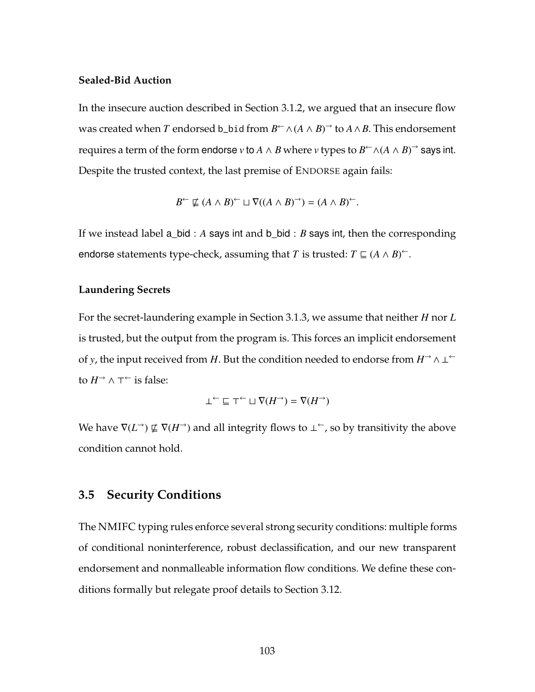#### **Sealed-Bid Auction**

In the insecure auction described in Section [3.1.2,](#page-101-0) we argued that an insecure flow was created when  $T$  endorsed b\_bid from  $B^{\leftarrow} \wedge (A \wedge B)^{\rightarrow}$  to  $A \wedge B$ . This endorsement requires a term of the form endorse *v* to *A* ∧ *B* where *v* types to  $B \subseteq \wedge (A \wedge B) \supseteq$  says int. Despite the trusted context, the last premise of E[NDORSE](#page-114-0) again fails:

$$
B^{\leftarrow} \nsubseteq (A \wedge B)^{\leftarrow} \sqcup \nabla ((A \wedge B)^{\rightarrow}) = (A \wedge B)^{\leftarrow}.
$$

If we instead label a\_bid : *A* says int and b\_bid : *B* says int, then the corresponding endorse statements type-check, assuming that *T* is trusted:  $T \sqsubseteq (A \wedge B)^{\leftarrow}$ .

#### **Laundering Secrets**

For the secret-laundering example in Section [3.1.3,](#page-102-0) we assume that neither *H* nor *L* is trusted, but the output from the program is. This forces an implicit endorsement of *y*, the input received from *H*. But the condition needed to endorse from  $H^{\rightarrow} \wedge \perp^{\leftarrow}$ to  $H^{\to} \wedge \top^{\leftarrow}$  is false:

$$
\bot \ulcorner \sqsubseteq \top \ulcorner \sqcup \nabla(H \urcorner) = \nabla(H \urcorner)
$$

We have  $\nabla(L^{\rightarrow}) \not\sqsubseteq \nabla(H^{\rightarrow})$  and all integrity flows to  $\perp^{\leftarrow}$ , so by transitivity the above condition cannot hold.

### **3.5 Security Conditions**

<span id="page-117-0"></span>The NMIFC typing rules enforce several strong security conditions: multiple forms of conditional noninterference, robust declassification, and our new transparent endorsement and nonmalleable information flow conditions. We define these conditions formally but relegate proof details to Section [3.12.](#page-146-0)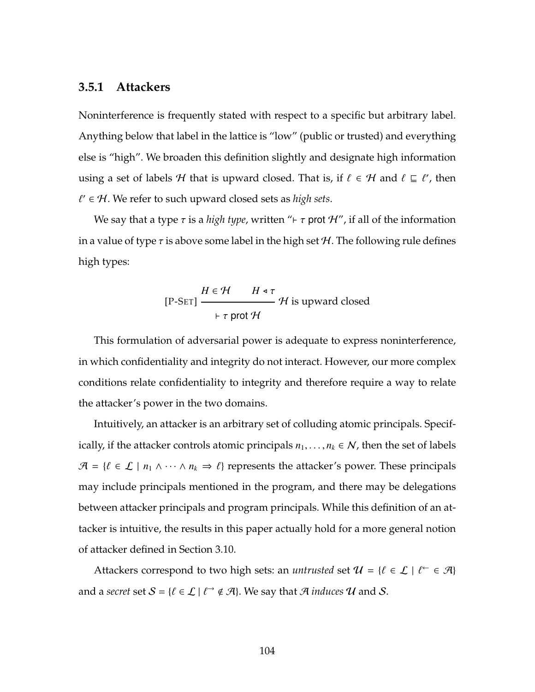#### **3.5.1 Attackers**

Noninterference is frequently stated with respect to a specific but arbitrary label. Anything below that label in the lattice is "low" (public or trusted) and everything else is "high". We broaden this definition slightly and designate high information using a set of labels  $\mathcal H$  that is upward closed. That is, if  $\ell \in \mathcal H$  and  $\ell \subseteq \ell'$ , then  $\ell' \in \mathcal{H}$ . We refer to such upward closed sets as *high sets*.

We say that a type  $\tau$  is a *high type*, written " $\vdash \tau$  prot H", if all of the information in a value of type  $\tau$  is above some label in the high set H. The following rule defines high types:

$$
[P-SET] \xrightarrow{H \in \mathcal{H} \qquad H \triangleleft \tau} \mathcal{H} \text{ is upward closed}
$$

$$
\vdash \tau \text{ prot } \mathcal{H}
$$

This formulation of adversarial power is adequate to express noninterference, in which confidentiality and integrity do not interact. However, our more complex conditions relate confidentiality to integrity and therefore require a way to relate the attacker's power in the two domains.

Intuitively, an attacker is an arbitrary set of colluding atomic principals. Specifically, if the attacker controls atomic principals  $n_1, \ldots, n_k \in \mathcal{N}$ , then the set of labels  $\mathcal{A} = \{ \ell \in \mathcal{L} \mid n_1 \wedge \cdots \wedge n_k \Rightarrow \ell \}$  represents the attacker's power. These principals may include principals mentioned in the program, and there may be delegations between attacker principals and program principals. While this definition of an attacker is intuitive, the results in this paper actually hold for a more general notion of attacker defined in Section [3.10.](#page-142-0)

Attackers correspond to two high sets: an *untrusted* set  $\mathcal{U} = \{ \ell \in \mathcal{L} \mid \ell \vdash \in \mathcal{A} \}$ and a *secret* set  $S = \{ \ell \in \mathcal{L} \mid \ell \rightarrow \ell \mathcal{A} \}$ . We say that  $\mathcal A$  *induces*  $\mathcal U$  and  $S$ .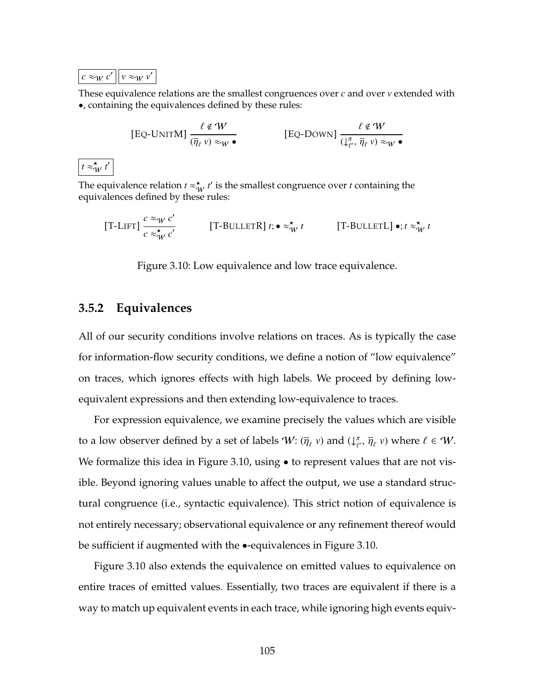<span id="page-119-0"></span>

| . <b>.</b> | $Z_{\mathcal{A}}$ |
|------------|-------------------|
|------------|-------------------|

 $t \approx_W^{\star} t$  $\overline{\phantom{a}}$ 

These equivalence relations are the smallest congruences over *c* and over *v* extended with •, containing the equivalences defined by these rules:

$$
\text{[Eq-UNITM]} \frac{\ell \notin W}{(\overline{\eta}_{\ell} v) \approx_{W} \bullet} \qquad \qquad \text{[Eq-Down]} \frac{\ell \notin W}{(\downarrow_{\ell'}^{\pi}, \overline{\eta}_{\ell} v) \approx_{W} \bullet}
$$

The equivalence relation  $t \approx_W^* t'$  is the smallest congruence over *t* containing the equivalences defined by these rules:

[T-LIFT] 
$$
\frac{c \approx_W c'}{c \approx_W^{\star} c'}
$$
 [T-BULLETR]  $t$ ;  $\bullet \approx_W^{\star} t$  [T-BULLETL]  $\bullet$ ;  $t \approx_W^{\star} t$ 

Figure 3.10: Low equivalence and low trace equivalence.

## **3.5.2 Equivalences**

All of our security conditions involve relations on traces. As is typically the case for information-flow security conditions, we define a notion of "low equivalence" on traces, which ignores effects with high labels. We proceed by defining lowequivalent expressions and then extending low-equivalence to traces.

For expression equivalence, we examine precisely the values which are visible to a low observer defined by a set of labels  $\mathcal{W}$ :  $(\overline{\eta}_{\ell} v)$  and  $\downarrow_{\ell}^{\pi}$  $\overline{\eta}_{\ell}$ ,  $\overline{\eta}_{\ell}$  v) where  $\ell \in W$ . We formalize this idea in Figure [3.10,](#page-119-0) using • to represent values that are not visible. Beyond ignoring values unable to affect the output, we use a standard structural congruence (i.e., syntactic equivalence). This strict notion of equivalence is not entirely necessary; observational equivalence or any refinement thereof would be sufficient if augmented with the •-equivalences in Figure [3.10.](#page-119-0)

Figure [3.10](#page-119-0) also extends the equivalence on emitted values to equivalence on entire traces of emitted values. Essentially, two traces are equivalent if there is a way to match up equivalent events in each trace, while ignoring high events equiv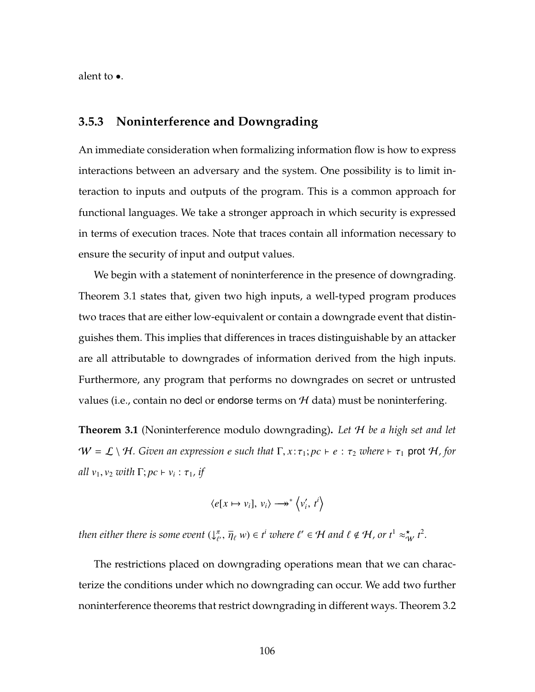<span id="page-120-1"></span>alent to •.

## **3.5.3 Noninterference and Downgrading**

An immediate consideration when formalizing information flow is how to express interactions between an adversary and the system. One possibility is to limit interaction to inputs and outputs of the program. This is a common approach for functional languages. We take a stronger approach in which security is expressed in terms of execution traces. Note that traces contain all information necessary to ensure the security of input and output values.

We begin with a statement of noninterference in the presence of downgrading. Theorem [3.1](#page-120-0) states that, given two high inputs, a well-typed program produces two traces that are either low-equivalent or contain a downgrade event that distinguishes them. This implies that differences in traces distinguishable by an attacker are all attributable to downgrades of information derived from the high inputs. Furthermore, any program that performs no downgrades on secret or untrusted values (i.e., contain no decl or endorse terms on  $H$  data) must be noninterfering.

<span id="page-120-0"></span>**Theorem 3.1** (Noninterference modulo downgrading)**.** *Let* H *be a high set and let*  $W = \mathcal{L} \setminus \mathcal{H}$ *. Given an expression e such that*  $\Gamma, x : \tau_1; pc \vdash e : \tau_2$  *where*  $\vdash \tau_1$  prot  $\mathcal{H}$ *, for all*  $v_1, v_2$  *with*  $\Gamma; pc \vdash v_i : \tau_1$ *, if* 

$$
\langle e[x \mapsto v_i], v_i \rangle \longrightarrow^* \langle v'_i, t^i \rangle
$$

then either there is some event  $(\downarrow^{\pi}_{\ell})$  $(\overline{\eta}_{\ell}, \overline{\eta}_{\ell}, w) \in t^{i}$  where  $\ell' \in \mathcal{H}$  and  $\ell \notin \mathcal{H}$ , or  $t^{1} \approx_{\mathcal{W}}^{\mathbf{x}} t^{2}$ .

The restrictions placed on downgrading operations mean that we can characterize the conditions under which no downgrading can occur. We add two further noninterference theorems that restrict downgrading in different ways. Theorem [3.2](#page-121-0)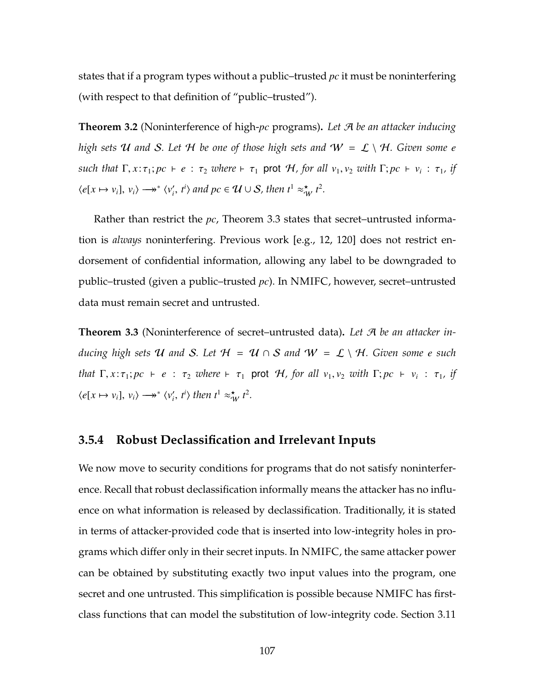states that if a program types without a public–trusted *pc* it must be noninterfering (with respect to that definition of "public–trusted").

<span id="page-121-0"></span>**Theorem 3.2** (Noninterference of high-*pc* programs)**.** *Let* A *be an attacker inducing high sets* U and S. Let H be one of those high sets and  $W = L \setminus H$ . Given some e *such that*  $\Gamma, x: \tau_1; pc \vdash e : \tau_2$  *where*  $\vdash \tau_1$  prot H, for all  $v_1, v_2$  *with*  $\Gamma; pc \vdash v_i : \tau_1$ , if  $\langle e[x \mapsto v_i], v_i \rangle \longrightarrow^* \langle v'_i, t^i \rangle$  and  $pc \in \mathcal{U} \cup \mathcal{S}$ , then  $t^1 \approx^*_{\mathcal{W}} t^2$ .

Rather than restrict the *pc*, Theorem [3.3](#page-121-1) states that secret–untrusted information is *always* noninterfering. Previous work [e.g., [12,](#page-259-0) [120\]](#page-274-0) does not restrict endorsement of confidential information, allowing any label to be downgraded to public–trusted (given a public–trusted *pc*). In NMIFC, however, secret–untrusted data must remain secret and untrusted.

<span id="page-121-1"></span>**Theorem 3.3** (Noninterference of secret–untrusted data)**.** *Let* A *be an attacker inducing high sets* U and S. Let  $H = U \cap S$  and  $W = L \setminus H$ . Given some e such *that*  $\Gamma$ ,  $x:\tau_1; pc \vdash e : \tau_2$  *where*  $\vdash \tau_1$  prot H, for all  $v_1, v_2$  *with*  $\Gamma; pc \vdash v_i : \tau_1$ , if  $\langle e[x \mapsto v_i], v_i \rangle \longrightarrow^* \langle v'_i, t^i \rangle$  then  $t^1 \approx^*_{\mathcal{W}} t^2$ .

### <span id="page-121-2"></span>**3.5.4 Robust Declassification and Irrelevant Inputs**

We now move to security conditions for programs that do not satisfy noninterference. Recall that robust declassification informally means the attacker has no influence on what information is released by declassification. Traditionally, it is stated in terms of attacker-provided code that is inserted into low-integrity holes in programs which differ only in their secret inputs. In NMIFC, the same attacker power can be obtained by substituting exactly two input values into the program, one secret and one untrusted. This simplification is possible because NMIFC has firstclass functions that can model the substitution of low-integrity code. Section [3.11](#page-144-0)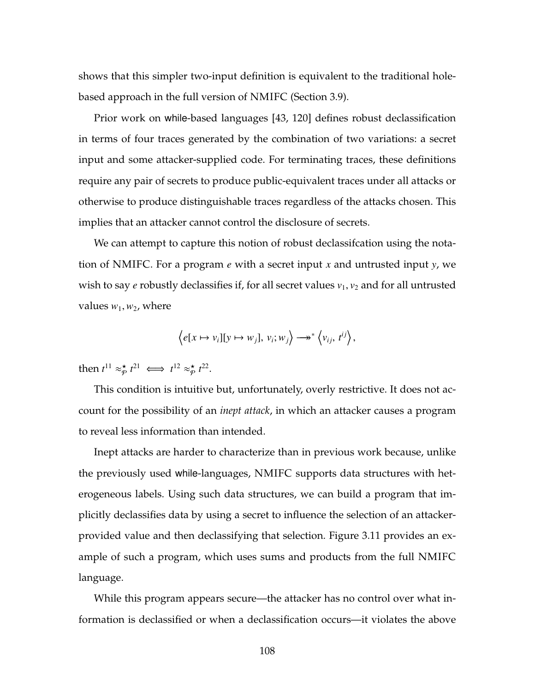shows that this simpler two-input definition is equivalent to the traditional holebased approach in the full version of NMIFC (Section [3.9\)](#page-138-0).

Prior work on while-based languages [\[43,](#page-264-0) [120\]](#page-274-0) defines robust declassification in terms of four traces generated by the combination of two variations: a secret input and some attacker-supplied code. For terminating traces, these definitions require any pair of secrets to produce public-equivalent traces under all attacks or otherwise to produce distinguishable traces regardless of the attacks chosen. This implies that an attacker cannot control the disclosure of secrets.

We can attempt to capture this notion of robust declassifcation using the notation of NMIFC. For a program *e* with a secret input *x* and untrusted input *y*, we wish to say *e* robustly declassifies if, for all secret values  $v_1$ ,  $v_2$  and for all untrusted values  $w_1$ ,  $w_2$ , where

$$
\left\langle e[x \mapsto v_i][y \mapsto w_j], v_i; w_j \right\rangle \longrightarrow^* \left\langle v_{ij}, t^{ij} \right\rangle,
$$

then  $t^{11} \approx p^{\star}$  $\underset{\mathcal{P}}{\star} t^{21} \iff t^{12} \approx_{\mathcal{P}}^{\star}$  $_{\mathcal{P}}^{\star}$   $t^{22}$ .

This condition is intuitive but, unfortunately, overly restrictive. It does not account for the possibility of an *inept attack*, in which an attacker causes a program to reveal less information than intended.

Inept attacks are harder to characterize than in previous work because, unlike the previously used while-languages, NMIFC supports data structures with heterogeneous labels. Using such data structures, we can build a program that implicitly declassifies data by using a secret to influence the selection of an attackerprovided value and then declassifying that selection. Figure [3.11](#page-123-0) provides an example of such a program, which uses sums and products from the full NMIFC language.

While this program appears secure—the attacker has no control over what information is declassified or when a declassification occurs—it violates the above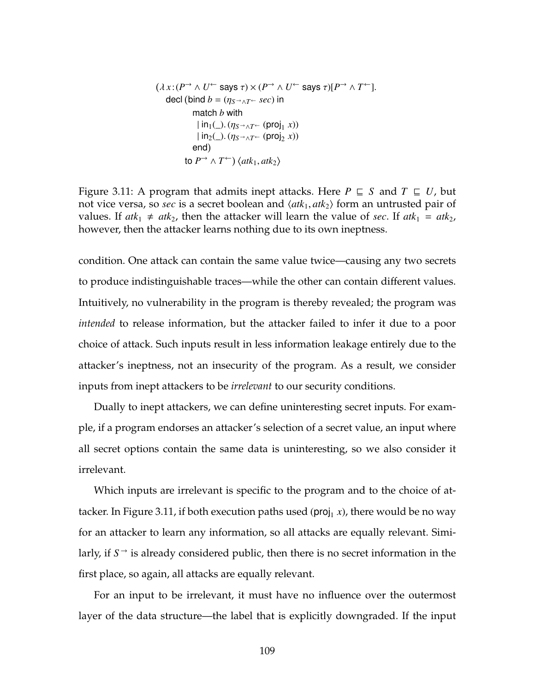<span id="page-123-0"></span>
$$
(\lambda x:(P^{\rightarrow} \land U^{\leftarrow} \text{ says } \tau) \times (P^{\rightarrow} \land U^{\leftarrow} \text{ says } \tau)[P^{\rightarrow} \land T^{\leftarrow}].
$$
  
decl (bind  $b = (\eta_{S^{\rightarrow} \land T^{\leftarrow}} \text{ sec})$  in  
match b with  
 $|\text{in}_{1}(\_)(\eta_{S^{\rightarrow} \land T^{\leftarrow}} \text{ (proj}_{1} x))$   
 $|\text{in}_{2}(\_)(\eta_{S^{\rightarrow} \land T^{\leftarrow}} \text{ (proj}_{2} x))$   
end)  
to  $P^{\rightarrow} \land T^{\leftarrow}$   $\langle$  *atk*<sub>1</sub>, *atk*<sub>2</sub>  $\rangle$ 

Figure 3.11: A program that admits inept attacks. Here  $P \subseteq S$  and  $T \subseteq U$ , but not vice versa, so *sec* is a secret boolean and  $\langle a t k_1, a t k_2 \rangle$  form an untrusted pair of values. If  $atk_1 \neq atk_2$ , then the attacker will learn the value of *sec*. If  $atk_1 = atk_2$ , however, then the attacker learns nothing due to its own ineptness.

condition. One attack can contain the same value twice—causing any two secrets to produce indistinguishable traces—while the other can contain different values. Intuitively, no vulnerability in the program is thereby revealed; the program was *intended* to release information, but the attacker failed to infer it due to a poor choice of attack. Such inputs result in less information leakage entirely due to the attacker's ineptness, not an insecurity of the program. As a result, we consider inputs from inept attackers to be *irrelevant* to our security conditions.

Dually to inept attackers, we can define uninteresting secret inputs. For example, if a program endorses an attacker's selection of a secret value, an input where all secret options contain the same data is uninteresting, so we also consider it irrelevant.

Which inputs are irrelevant is specific to the program and to the choice of at-tacker. In Figure [3.11,](#page-123-0) if both execution paths used (proj<sub>1</sub> *x*), there would be no way for an attacker to learn any information, so all attacks are equally relevant. Similarly, if *S*<sup>→</sup> is already considered public, then there is no secret information in the first place, so again, all attacks are equally relevant.

For an input to be irrelevant, it must have no influence over the outermost layer of the data structure—the label that is explicitly downgraded. If the input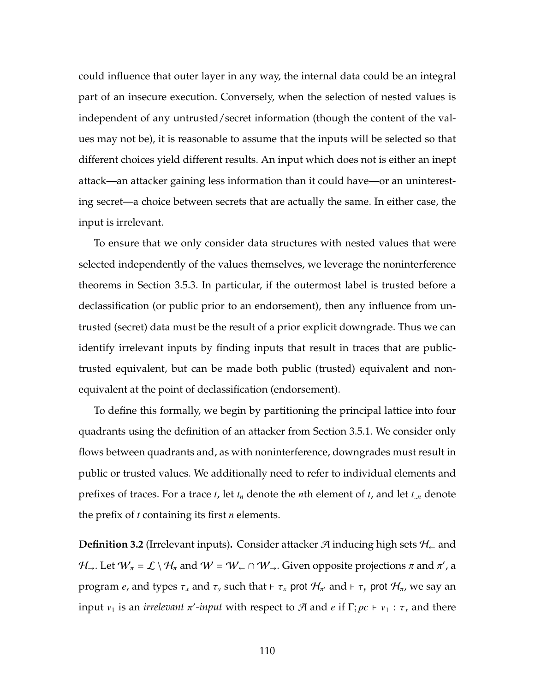could influence that outer layer in any way, the internal data could be an integral part of an insecure execution. Conversely, when the selection of nested values is independent of any untrusted/secret information (though the content of the values may not be), it is reasonable to assume that the inputs will be selected so that different choices yield different results. An input which does not is either an inept attack—an attacker gaining less information than it could have—or an uninteresting secret—a choice between secrets that are actually the same. In either case, the input is irrelevant.

To ensure that we only consider data structures with nested values that were selected independently of the values themselves, we leverage the noninterference theorems in Section [3.5.3.](#page-120-1) In particular, if the outermost label is trusted before a declassification (or public prior to an endorsement), then any influence from untrusted (secret) data must be the result of a prior explicit downgrade. Thus we can identify irrelevant inputs by finding inputs that result in traces that are publictrusted equivalent, but can be made both public (trusted) equivalent and nonequivalent at the point of declassification (endorsement).

To define this formally, we begin by partitioning the principal lattice into four quadrants using the definition of an attacker from Section [3.5.1.](#page-117-0) We consider only flows between quadrants and, as with noninterference, downgrades must result in public or trusted values. We additionally need to refer to individual elements and prefixes of traces. For a trace *t*, let *t<sup>n</sup>* denote the *n*th element of *t*, and let *t*..*<sup>n</sup>* denote the prefix of *t* containing its first *n* elements.

<span id="page-124-0"></span>**Definition 3.2** (Irrelevant inputs). Consider attacker  $\mathcal{A}$  inducing high sets  $\mathcal{H}_\leftarrow$  and  $\mathcal{H}_\rightarrow$ . Let  $W_\pi$  =  $\mathcal{L}\setminus\mathcal{H}_\pi$  and  $W$  =  $W_\leftarrow\cap$   $W_\rightarrow$ . Given opposite projections  $\pi$  and  $\pi'$ , a program *e*, and types  $\tau_x$  and  $\tau_y$  such that  $\vdash \tau_x$  prot  $\mathcal{H}_{\pi'}$  and  $\vdash \tau_y$  prot  $\mathcal{H}_{\pi}$ , we say an input *v*<sub>1</sub> is an *irrelevant*  $\pi'$ -*input* with respect to A and *e* if  $\Gamma$ ;  $pc \vdash v_1 : \tau_x$  and there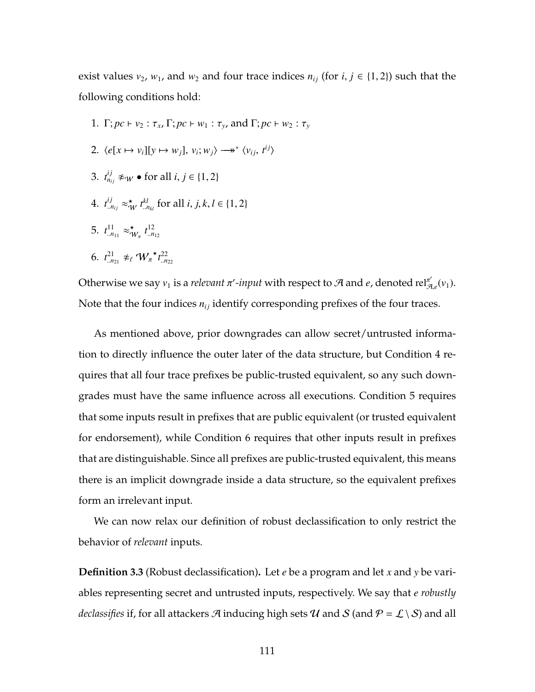exist values  $v_2$ ,  $w_1$ , and  $w_2$  and four trace indices  $n_{ij}$  (for  $i, j \in \{1, 2\}$ ) such that the following conditions hold:

- 1.  $\Gamma; pc \vdash v_2 : \tau_x, \Gamma; pc \vdash w_1 : \tau_y, \text{ and } \Gamma; pc \vdash w_2 : \tau_y$
- 2.  $\langle e[x \mapsto v_i][y \mapsto w_j], v_i; w_j \rangle \longrightarrow^* \langle v_{ij}, t^{ij} \rangle$
- 3.  $t_{n_{ij}}^{ij} \not\approx_W \bullet \text{ for all } i, j \in \{1, 2\}$
- <span id="page-125-0"></span>4.  $t^{ij}_{. \dots n_{ij}} \approx_{\mathcal{W}}^{\star} t^{kl}_{. \dots n_{kl}}$  for all *i*, *j*, *k*, *l*  $\in \{1, 2\}$
- <span id="page-125-1"></span>5.  $t^{11}_{.n_{11}} \approx \uparrow$  $W_{\pi}$   $t^{12}_{\ldots n_{12}}$
- <span id="page-125-2"></span>6.  $t^{21}_{n21} \not\approx_{\ell} W_{\pi} \star t^{22}_{n22}$

Otherwise we say  $v_1$  is a *relevant*  $\pi'$ -*input* with respect to A and *e*, denoted rel $\pi'_{\mathcal{A},e}(v_1)$ . Note that the four indices  $n_{ij}$  identify corresponding prefixes of the four traces.

As mentioned above, prior downgrades can allow secret/untrusted information to directly influence the outer later of the data structure, but Condition [4](#page-125-0) requires that all four trace prefixes be public-trusted equivalent, so any such downgrades must have the same influence across all executions. Condition [5](#page-125-1) requires that some inputs result in prefixes that are public equivalent (or trusted equivalent for endorsement), while Condition [6](#page-125-2) requires that other inputs result in prefixes that are distinguishable. Since all prefixes are public-trusted equivalent, this means there is an implicit downgrade inside a data structure, so the equivalent prefixes form an irrelevant input.

We can now relax our definition of robust declassification to only restrict the behavior of *relevant* inputs.

<span id="page-125-3"></span>**Definition 3.3** (Robust declassification)**.** Let *e* be a program and let *x* and *y* be variables representing secret and untrusted inputs, respectively. We say that *e robustly declassifies* if, for all attackers A inducing high sets U and S (and  $P = \mathcal{L} \setminus \mathcal{S}$ ) and all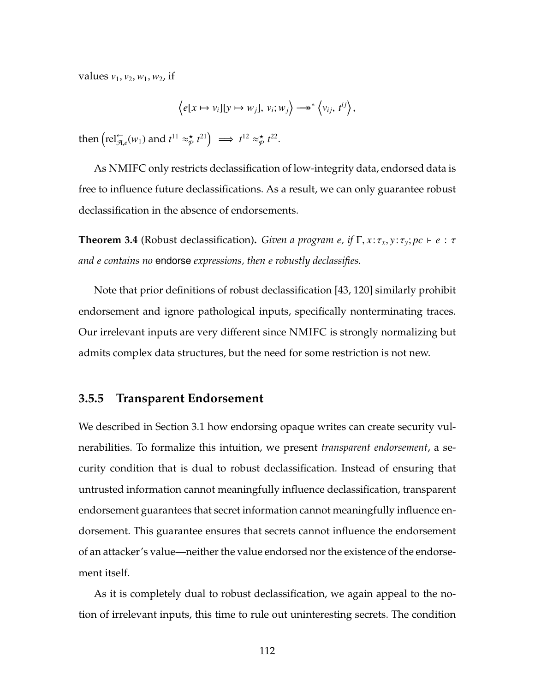*values*  $v_1$ ,  $v_2$ ,  $w_1$ ,  $w_2$ , if

$$
\left\langle e[x \mapsto v_i][y \mapsto w_j], v_i; w_j \right\rangle \longrightarrow^* \left\langle v_{ij}, t^{ij} \right\rangle,
$$

then  $\left(\text{rel}_{\mathcal{A},e}^{\leftarrow}(w_1) \text{ and } t^{11} \approx_{\mathcal{P}}^{\star} \right)$  $\left( \begin{array}{c} \star \\ \phi \end{array} t^{21} \right) \implies t^{12} \approx \stackrel{\star}{\varphi}$  $_{\mathcal{P}}^{\star}$   $t^{22}$ .

As NMIFC only restricts declassification of low-integrity data, endorsed data is free to influence future declassifications. As a result, we can only guarantee robust declassification in the absence of endorsements.

<span id="page-126-0"></span>**Theorem 3.4** (Robust declassification). *Given a program e, if*  $\Gamma$ ,  $x: \tau_x, y: \tau_y$ ;  $pc \vdash e : \tau$ *and e contains no* endorse *expressions, then e robustly declassifies.*

Note that prior definitions of robust declassification [\[43,](#page-264-0) [120\]](#page-274-0) similarly prohibit endorsement and ignore pathological inputs, specifically nonterminating traces. Our irrelevant inputs are very different since NMIFC is strongly normalizing but admits complex data structures, but the need for some restriction is not new.

#### **3.5.5 Transparent Endorsement**

We described in Section [3.1](#page-99-0) how endorsing opaque writes can create security vulnerabilities. To formalize this intuition, we present *transparent endorsement*, a security condition that is dual to robust declassification. Instead of ensuring that untrusted information cannot meaningfully influence declassification, transparent endorsement guarantees that secret information cannot meaningfully influence endorsement. This guarantee ensures that secrets cannot influence the endorsement of an attacker's value—neither the value endorsed nor the existence of the endorsement itself.

As it is completely dual to robust declassification, we again appeal to the notion of irrelevant inputs, this time to rule out uninteresting secrets. The condition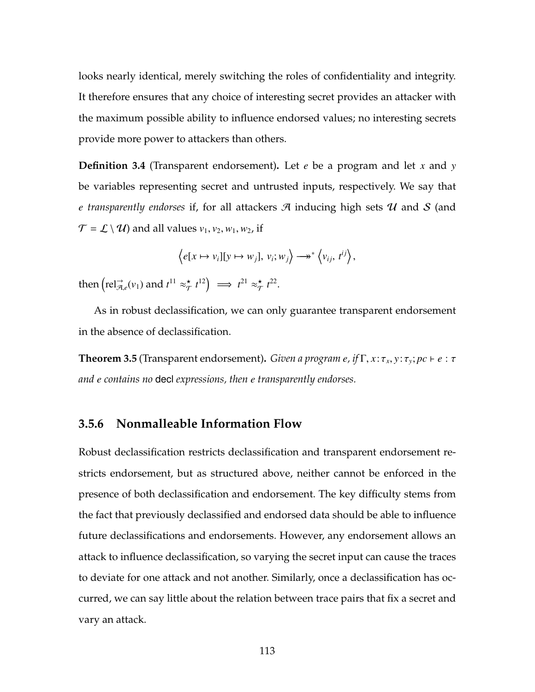looks nearly identical, merely switching the roles of confidentiality and integrity. It therefore ensures that any choice of interesting secret provides an attacker with the maximum possible ability to influence endorsed values; no interesting secrets provide more power to attackers than others.

**Definition 3.4** (Transparent endorsement)**.** Let *e* be a program and let *x* and *y* be variables representing secret and untrusted inputs, respectively. We say that *e transparently endorses* if, for all attackers A inducing high sets U and S (and  $\mathcal{T} = \mathcal{L} \setminus \mathcal{U}$  and all values  $v_1, v_2, w_1, w_2$ , if

$$
\left\langle e[x \mapsto v_i][y \mapsto w_j], v_i; w_j \right\rangle \longrightarrow^* \left\langle v_{ij}, t^{ij} \right\rangle,
$$

then  $\left(\text{rel}_{\mathcal{A},e}^{\rightarrow}(v_1) \text{ and } t^{11} \approx_{\mathcal{T}}^{\star}$  $\left( \frac{\star}{\tau} t^{12} \right) \implies t^{21} \approx \frac{\star}{\tau}$  $\star$ <sub>7</sub>  $t^{22}$ .

As in robust declassification, we can only guarantee transparent endorsement in the absence of declassification.

<span id="page-127-0"></span>**Theorem 3.5** (Transparent endorsement)**.** *Given a program e, if* Γ, *x* :τ*<sup>x</sup>* , *y* :τ*<sup>y</sup>* ; *pc* ` *e* : τ *and e contains no* decl *expressions, then e transparently endorses.*

## <span id="page-127-1"></span>**3.5.6 Nonmalleable Information Flow**

Robust declassification restricts declassification and transparent endorsement restricts endorsement, but as structured above, neither cannot be enforced in the presence of both declassification and endorsement. The key difficulty stems from the fact that previously declassified and endorsed data should be able to influence future declassifications and endorsements. However, any endorsement allows an attack to influence declassification, so varying the secret input can cause the traces to deviate for one attack and not another. Similarly, once a declassification has occurred, we can say little about the relation between trace pairs that fix a secret and vary an attack.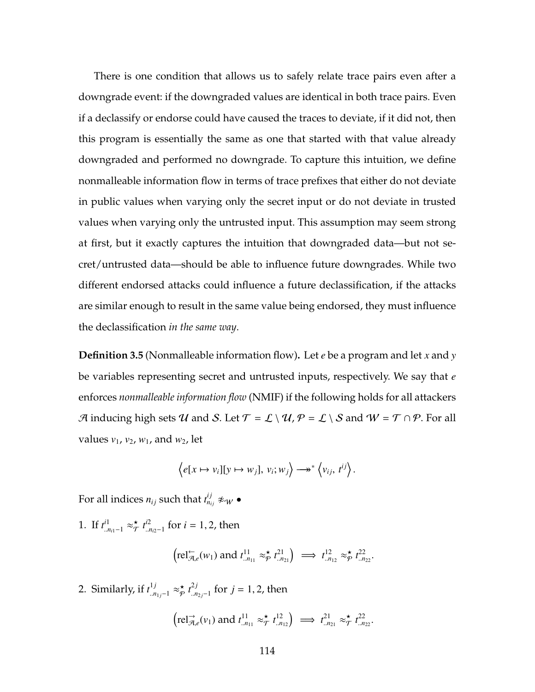There is one condition that allows us to safely relate trace pairs even after a downgrade event: if the downgraded values are identical in both trace pairs. Even if a declassify or endorse could have caused the traces to deviate, if it did not, then this program is essentially the same as one that started with that value already downgraded and performed no downgrade. To capture this intuition, we define nonmalleable information flow in terms of trace prefixes that either do not deviate in public values when varying only the secret input or do not deviate in trusted values when varying only the untrusted input. This assumption may seem strong at first, but it exactly captures the intuition that downgraded data—but not secret/untrusted data—should be able to influence future downgrades. While two different endorsed attacks could influence a future declassification, if the attacks are similar enough to result in the same value being endorsed, they must influence the declassification *in the same way*.

<span id="page-128-2"></span>**Definition 3.5** (Nonmalleable information flow)**.** Let *e* be a program and let *x* and *y* be variables representing secret and untrusted inputs, respectively. We say that *e* enforces *nonmalleable information flow* (NMIF) if the following holds for all attackers A inducing high sets U and S. Let  $\mathcal{T} = \mathcal{L} \setminus \mathcal{U}$ ,  $\mathcal{P} = \mathcal{L} \setminus \mathcal{S}$  and  $W = \mathcal{T} \cap \mathcal{P}$ . For all values *v*1, *v*2, *w*1, and *w*2, let

$$
\left\langle e[x \mapsto v_i][y \mapsto w_j], v_i; w_j \right\rangle \longrightarrow^* \left\langle v_{ij}, t^{ij} \right\rangle.
$$

For all indices  $n_{ij}$  such that  $t_{n_{ij}}^{ij} \not\approx_{\mathcal{W}} \bullet$ 

<span id="page-128-0"></span>1. If  $t^{i1}_{n_{i1}-1} \approx_{\mathcal{T}}^{\star}$  $\overset{\star}{\mathcal{T}}$   $\overset{t^{i2}}{\mathcal{I}}$ ..*ni*2−1 for *i* = 1, 2, then

$$
\left(\text{rel}_{\mathcal{A},e}^{\leftarrow}(w_1) \text{ and } t^{11}_{\ldots n_{11}} \approx_{\mathcal{P}}^{\star} t^{21}_{\ldots n_{21}}\right) \implies t^{12}_{\ldots n_{12}} \approx_{\mathcal{P}}^{\star} t^{22}_{\ldots n_{22}}.
$$

<span id="page-128-1"></span>2. Similarly, if  $t^{1j}_{.n_{1j}-1} \approx_{\mathcal{P}}^{\star}$  $\underset{p}{\star}$   $t^{2j}_{...n}$ <sup>2*J*</sup><sub>*m*<sub>2*j*</sub>−1</sub> for *j* = 1, 2, then

$$
\left(\text{rel}_{\mathcal{A},e}^{\rightarrow}(v_1) \text{ and } t_{.n_{11}}^{11} \approx_{\mathcal{T}}^{\star} t_{.n_{12}}^{12}\right) \implies t_{.n_{21}}^{21} \approx_{\mathcal{T}}^{\star} t_{.n_{22}}^{22}.
$$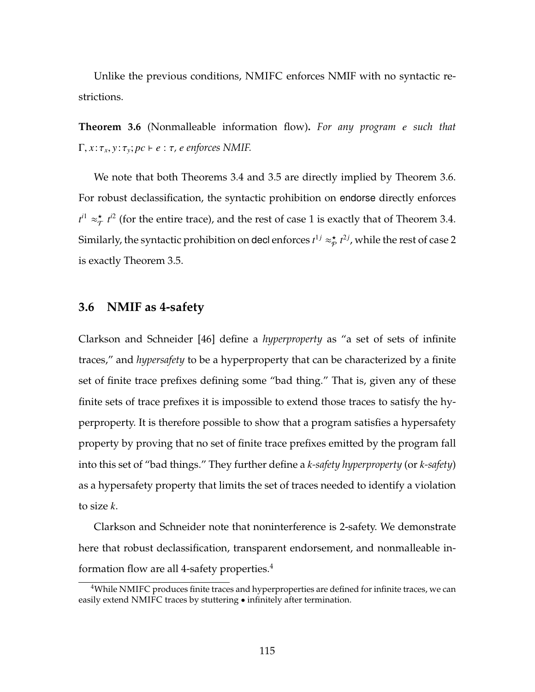Unlike the previous conditions, NMIFC enforces NMIF with no syntactic restrictions.

<span id="page-129-0"></span>**Theorem 3.6** (Nonmalleable information flow)**.** *For any program e such that*  $\Gamma, x: \tau_x, y: \tau_y; pc \vdash e: \tau$ , *e* enforces NMIF.

We note that both Theorems [3.4](#page-126-0) and [3.5](#page-127-0) are directly implied by Theorem [3.6.](#page-129-0) For robust declassification, the syntactic prohibition on endorse directly enforces  $t^{i1} \approx \frac{\star}{\tau}$  $\frac{\star}{\tau}$  *t*<sup>2</sup> (for the entire trace), and the rest of case [1](#page-128-0) is exactly that of Theorem [3.4.](#page-126-0) Similarly, the syntactic prohibition on decl enforces  $t^{1j}\approx_{\not\!\mathcal{P}}^{\star}$  $\sum_{\mathcal{P}}^{\star} t^{2j}$ , while the rest of case [2](#page-128-1) is exactly Theorem [3.5.](#page-127-0)

### **3.6 NMIF as 4-safety**

Clarkson and Schneider [\[46\]](#page-264-1) define a *hyperproperty* as "a set of sets of infinite traces," and *hypersafety* to be a hyperproperty that can be characterized by a finite set of finite trace prefixes defining some "bad thing." That is, given any of these finite sets of trace prefixes it is impossible to extend those traces to satisfy the hyperproperty. It is therefore possible to show that a program satisfies a hypersafety property by proving that no set of finite trace prefixes emitted by the program fall into this set of "bad things." They further define a *k-safety hyperproperty* (or *k-safety*) as a hypersafety property that limits the set of traces needed to identify a violation to size *k*.

[Clarkson and Schneider](#page-264-1) note that noninterference is 2-safety. We demonstrate here that robust declassification, transparent endorsement, and nonmalleable in-formation flow are all [4](#page-129-1)-safety properties. $4$ 

<span id="page-129-1"></span><sup>&</sup>lt;sup>4</sup>While NMIFC produces finite traces and hyperproperties are defined for infinite traces, we can easily extend NMIFC traces by stuttering • infinitely after termination.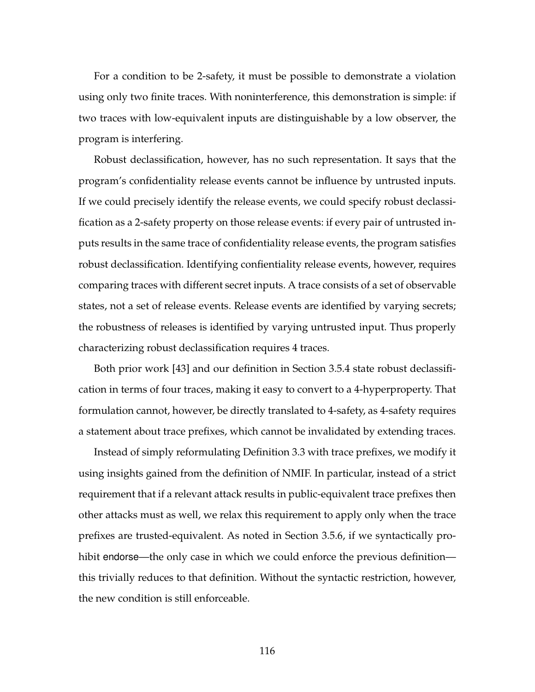For a condition to be 2-safety, it must be possible to demonstrate a violation using only two finite traces. With noninterference, this demonstration is simple: if two traces with low-equivalent inputs are distinguishable by a low observer, the program is interfering.

Robust declassification, however, has no such representation. It says that the program's confidentiality release events cannot be influence by untrusted inputs. If we could precisely identify the release events, we could specify robust declassification as a 2-safety property on those release events: if every pair of untrusted inputs results in the same trace of confidentiality release events, the program satisfies robust declassification. Identifying confientiality release events, however, requires comparing traces with different secret inputs. A trace consists of a set of observable states, not a set of release events. Release events are identified by varying secrets; the robustness of releases is identified by varying untrusted input. Thus properly characterizing robust declassification requires 4 traces.

Both prior work [\[43\]](#page-264-0) and our definition in Section [3.5.4](#page-121-2) state robust declassification in terms of four traces, making it easy to convert to a 4-hyperproperty. That formulation cannot, however, be directly translated to 4-safety, as 4-safety requires a statement about trace prefixes, which cannot be invalidated by extending traces.

Instead of simply reformulating Definition [3.3](#page-125-3) with trace prefixes, we modify it using insights gained from the definition of NMIF. In particular, instead of a strict requirement that if a relevant attack results in public-equivalent trace prefixes then other attacks must as well, we relax this requirement to apply only when the trace prefixes are trusted-equivalent. As noted in Section [3.5.6,](#page-127-1) if we syntactically prohibit endorse—the only case in which we could enforce the previous definition this trivially reduces to that definition. Without the syntactic restriction, however, the new condition is still enforceable.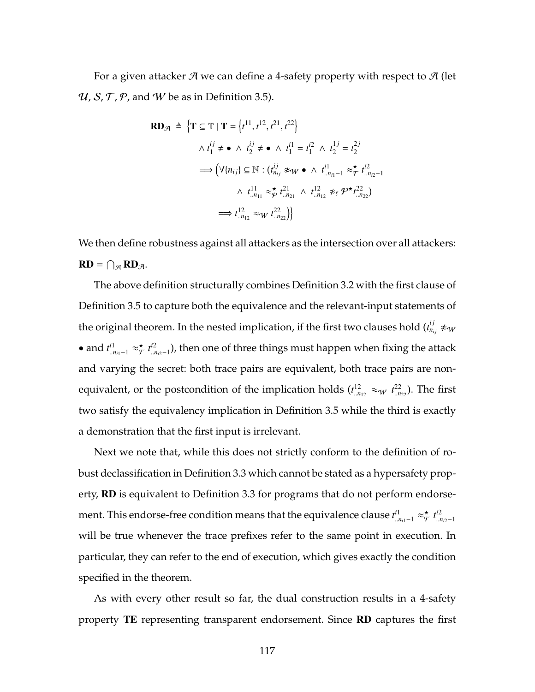For a given attacker  $\mathcal A$  we can define a 4-safety property with respect to  $\mathcal A$  (let  $U$ , S, T, P, and W be as in Definition [3.5\)](#page-128-2).

$$
\mathbf{RD}_{\mathcal{A}} \triangleq \left\{ \mathbf{T} \subseteq \mathbb{T} \mid \mathbf{T} = \left\{ t^{11}, t^{12}, t^{21}, t^{22} \right\} \right\}
$$
\n
$$
\wedge t_1^{ij} \neq \bullet \wedge t_2^{ij} \neq \bullet \wedge t_1^{i1} = t_1^{i2} \wedge t_2^{1j} = t_2^{2j}
$$
\n
$$
\implies \left( \forall \{ n_{ij} \} \subseteq \mathbb{N} : (t_{n_{ij}}^{ij} \not\approx_W \bullet \wedge t_{..n_{i1}-1}^{i1} \approx_{\mathcal{T}}^{\star} t_{..n_{i2}-1}^{i2} \right)
$$
\n
$$
\wedge t_{..n_{11}}^{11} \approx_{\mathcal{P}}^{\star} t_{..n_{21}}^{21} \wedge t_{..n_{12}}^{12} \not\approx_{\ell} \mathcal{P}^{\star} t_{..n_{22}}^{22}
$$
\n
$$
\implies t_{..n_{12}}^{12} \approx_{W} t_{..n_{22}}^{22} \right\}
$$

We then define robustness against all attackers as the intersection over all attackers:  $RD = \bigcap_{\mathcal{A}} RD_{\mathcal{A}}.$ 

The above definition structurally combines Definition [3.2](#page-124-0) with the first clause of Definition [3.5](#page-128-2) to capture both the equivalence and the relevant-input statements of the original theorem. In the nested implication, if the first two clauses hold  $(t^{ij}_{n_{ij}}\not\approx_W$ • and  $t^{i1}_{\ldots n_{i1}-1} \approx_{\mathcal{T}}^{\star}$  $\overset{\star}{\mathcal{T}}$   $\overset{t^{i2}}{\mathcal{I}}$ ..*ni*2−1 ), then one of three things must happen when fixing the attack and varying the secret: both trace pairs are equivalent, both trace pairs are nonequivalent, or the postcondition of the implication holds  $(t^{12}_{.n_{12}} \approx_W t^{22}_{.n_{22}})$ . The first two satisfy the equivalency implication in Definition [3.5](#page-128-2) while the third is exactly a demonstration that the first input is irrelevant.

Next we note that, while this does not strictly conform to the definition of robust declassification in Definition [3.3](#page-125-3) which cannot be stated as a hypersafety property, **RD** is equivalent to Definition [3.3](#page-125-3) for programs that do not perform endorsement. This endorse-free condition means that the equivalence clause  $t^{i1}_{..n_{i1}-1} \approx_{\mathcal{T}}^{\star}$  $\overset{\star}{\mathcal{T}}$   $\overset{i2}{\mathcal{L}}$ ..*ni*2−1 will be true whenever the trace prefixes refer to the same point in execution. In particular, they can refer to the end of execution, which gives exactly the condition specified in the theorem.

As with every other result so far, the dual construction results in a 4-safety property TE representing transparent endorsement. Since RD captures the first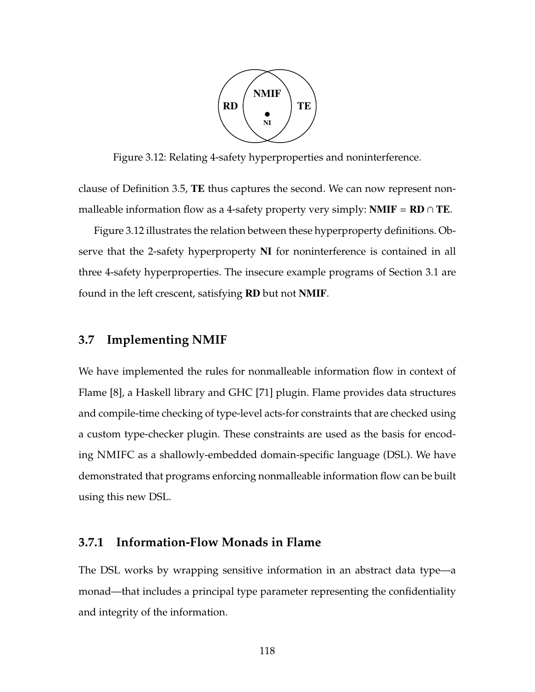

<span id="page-132-0"></span>Figure 3.12: Relating 4-safety hyperproperties and noninterference.

clause of Definition [3.5,](#page-128-2) TE thus captures the second. We can now represent nonmalleable information flow as a 4-safety property very simply: **NMIF** = **RD**  $\cap$  **TE**.

Figure [3.12](#page-132-0) illustrates the relation between these hyperproperty definitions. Observe that the 2-safety hyperproperty NI for noninterference is contained in all three 4-safety hyperproperties. The insecure example programs of Section [3.1](#page-99-0) are found in the left crescent, satisfying RD but not NMIF.

### **3.7 Implementing NMIF**

We have implemented the rules for nonmalleable information flow in context of Flame [\[8\]](#page-259-2), a Haskell library and GHC [\[71\]](#page-268-0) plugin. Flame provides data structures and compile-time checking of type-level acts-for constraints that are checked using a custom type-checker plugin. These constraints are used as the basis for encoding NMIFC as a shallowly-embedded domain-specific language (DSL). We have demonstrated that programs enforcing nonmalleable information flow can be built using this new DSL.

#### **3.7.1 Information-Flow Monads in Flame**

The DSL works by wrapping sensitive information in an abstract data type—a monad—that includes a principal type parameter representing the confidentiality and integrity of the information.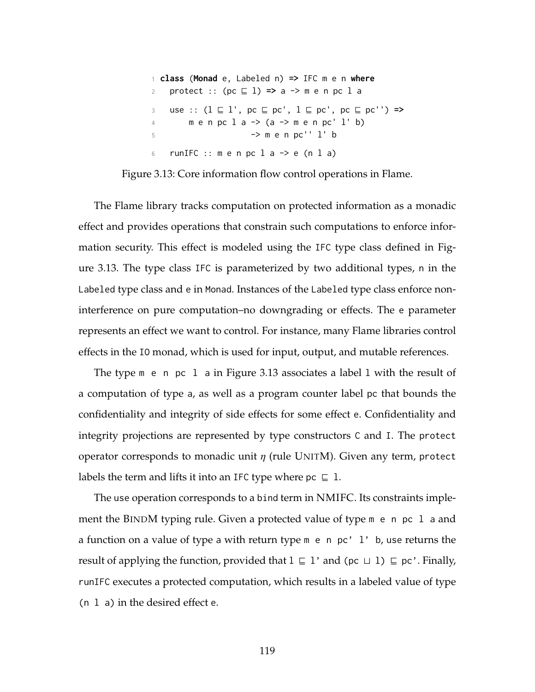```
1 class (Monad e, Labeled n) => IFC m e n where
2 protect :: (pc \sqsubseteq 1) \Rightarrow a \Rightarrow m \neq n \neq 1 a
3 use :: (1 \sqsubseteq 1', pc \sqsubseteq pc', 1 \sqsubseteq pc', pc \sqsubseteq pc'') \Rightarrow4 \text{ men pc 1 a } \rightarrow \text{ (a -> m en pc' 1' b)}5 -> m e n pc'' l' b
6 runIFC :: m e n p c 1 a \rightarrow e (n 1 a)
```
Figure 3.13: Core information flow control operations in Flame.

The Flame library tracks computation on protected information as a monadic effect and provides operations that constrain such computations to enforce information security. This effect is modeled using the IFC type class defined in Figure [3.13.](#page-133-0) The type class IFC is parameterized by two additional types, n in the Labeled type class and e in Monad. Instances of the Labeled type class enforce noninterference on pure computation–no downgrading or effects. The e parameter represents an effect we want to control. For instance, many Flame libraries control effects in the IO monad, which is used for input, output, and mutable references.

The type m e n pc l a in Figure [3.13](#page-133-0) associates a label l with the result of a computation of type a, as well as a program counter label pc that bounds the confidentiality and integrity of side effects for some effect e. Confidentiality and integrity projections are represented by type constructors C and I. The protect operator corresponds to monadic unit  $\eta$  (rule U[NIT](#page-114-0)M). Given any term, protect labels the term and lifts it into an IFC type where  $pc \subseteq 1$ .

The use operation corresponds to a bind term in NMIFC. Its constraints implement the B[IND](#page-114-0)M typing rule. Given a protected value of type m e n pc l a and a function on a value of type a with return type m e n pc' l' b, use returns the result of applying the function, provided that  $l \subseteq l'$  and (pc  $\sqcup l$ )  $\subseteq$  pc'. Finally, runIFC executes a protected computation, which results in a labeled value of type (n l a) in the desired effect e.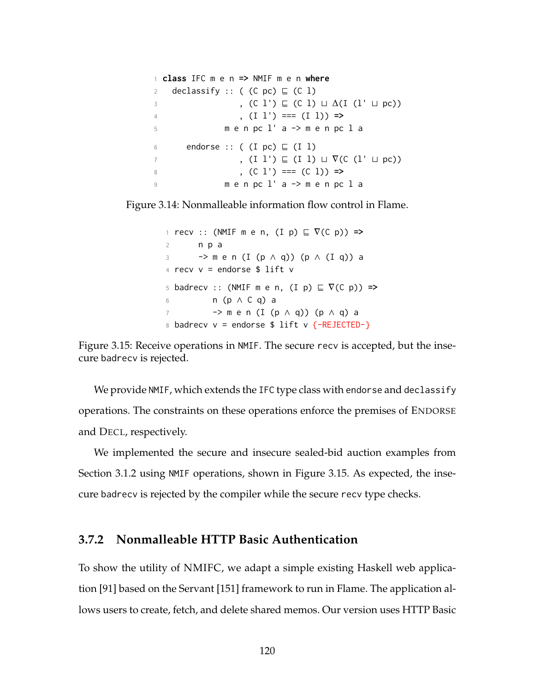```
1 class IFC m e n => NMIF m e n where
2 declassify :: ( (C \text{ pc}) \subseteq (C \text{ l})3 , (C l') \subseteq (C l) \sqcup \Delta(I (l' \sqcup pc))
4 , (I l') === (I l)) =>
5 m e n pc l' a -> m e n pc l a
6 endorse :: ( (I pc) \sqsubseteq (I l)
7 , (I \; l') \sqsubseteq (I \; l) \sqcup \nabla(C \; (l' \sqcup pc))8 , (C l') === (C l)) =>
9 m e n pc l' a -> m e n pc l a
```
<span id="page-134-0"></span>Figure 3.14: Nonmalleable information flow control in Flame.

1 recv :: (NMIF m e n, (I p)  $\subseteq \nabla(C \nho)$ ) =><br>2 n p a 2 n p a <sup>3</sup> -> m e n (I (p ∧ q)) (p ∧ (I q)) a  $4$  recv  $v =$  endorse \$ lift  $v$ 5 badrecv :: (NMIF m e n,  $(I p) \sqsubseteq \nabla(C p)$ ) => <sup>6</sup> n (p ∧ C q) a <sup>7</sup> -> m e n (I (p ∧ q)) (p ∧ q) a 8 badrecv  $v =$  endorse \$ lift  $v$  {-REJECTED-}

Figure 3.15: Receive operations in NMIF. The secure recv is accepted, but the insecure badrecv is rejected.

We provide NMIF, which extends the IFC type class with endorse and declassify operations. The constraints on these operations enforce the premises of E[NDORSE](#page-114-0) and D[ECL](#page-114-0), respectively.

We implemented the secure and insecure sealed-bid auction examples from Section [3.1.2](#page-101-0) using NMIF operations, shown in Figure [3.15.](#page-134-0) As expected, the insecure badrecv is rejected by the compiler while the secure recv type checks.

## **3.7.2 Nonmalleable HTTP Basic Authentication**

To show the utility of NMIFC, we adapt a simple existing Haskell web application [\[91\]](#page-270-0) based on the Servant [\[151\]](#page-278-0) framework to run in Flame. The application allows users to create, fetch, and delete shared memos. Our version uses HTTP Basic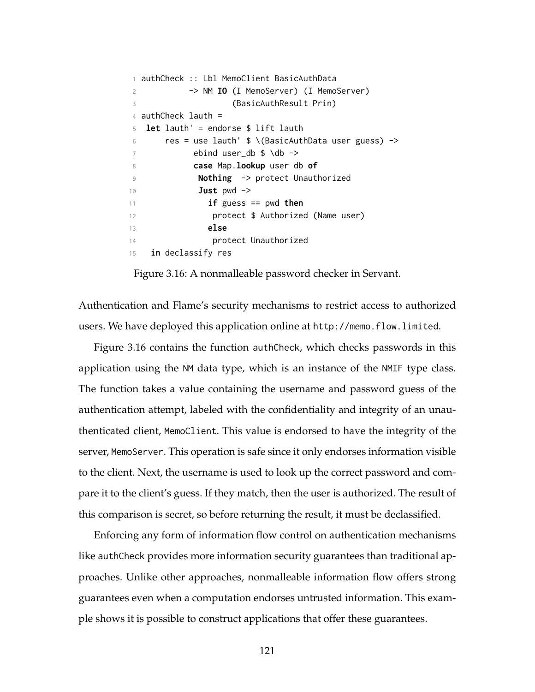```
1 authCheck :: Lbl MemoClient BasicAuthData
2 -> NM IO (I MemoServer) (I MemoServer)
3 (BasicAuthResult Prin)
4 authCheck lauth =
5 let lauth' = endorse $ lift lauth
6 res = use lauth' \frac{1}{2} \times \text{BasicAuthorData user guess)} ->
7 ebind user_db $ \db ->
8 case Map.lookup user db of
9 Nothing -> protect Unauthorized
10 Just pwd ->
11 if guess == pwd then
12 protect $ Authorized (Name user)
13 else
14 protect Unauthorized
15 in declassify res
```
Figure 3.16: A nonmalleable password checker in Servant.

Authentication and Flame's security mechanisms to restrict access to authorized users. We have deployed this application online at <http://memo.flow.limited>.

Figure [3.16](#page-135-0) contains the function authCheck, which checks passwords in this application using the NM data type, which is an instance of the NMIF type class. The function takes a value containing the username and password guess of the authentication attempt, labeled with the confidentiality and integrity of an unauthenticated client, MemoClient. This value is endorsed to have the integrity of the server, MemoServer. This operation is safe since it only endorses information visible to the client. Next, the username is used to look up the correct password and compare it to the client's guess. If they match, then the user is authorized. The result of this comparison is secret, so before returning the result, it must be declassified.

Enforcing any form of information flow control on authentication mechanisms like authCheck provides more information security guarantees than traditional approaches. Unlike other approaches, nonmalleable information flow offers strong guarantees even when a computation endorses untrusted information. This example shows it is possible to construct applications that offer these guarantees.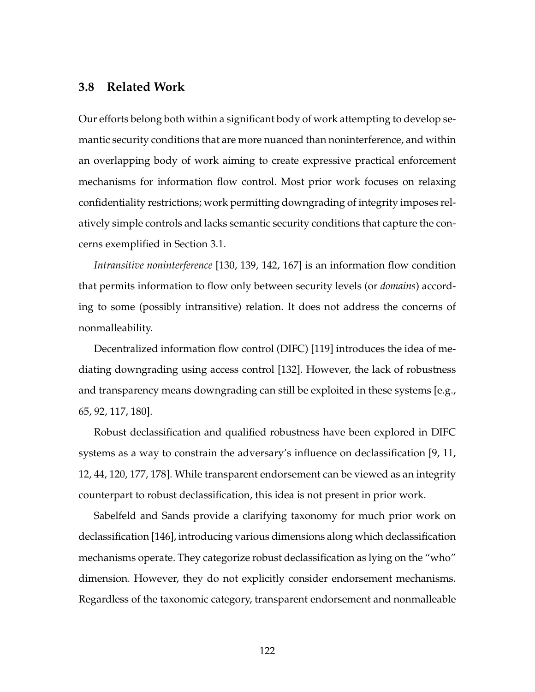### **3.8 Related Work**

Our efforts belong both within a significant body of work attempting to develop semantic security conditions that are more nuanced than noninterference, and within an overlapping body of work aiming to create expressive practical enforcement mechanisms for information flow control. Most prior work focuses on relaxing confidentiality restrictions; work permitting downgrading of integrity imposes relatively simple controls and lacks semantic security conditions that capture the concerns exemplified in Section [3.1.](#page-99-0)

*Intransitive noninterference* [\[130,](#page-276-1) [139,](#page-277-0) [142,](#page-277-1) [167\]](#page-280-0) is an information flow condition that permits information to flow only between security levels (or *domains*) according to some (possibly intransitive) relation. It does not address the concerns of nonmalleability.

Decentralized information flow control (DIFC) [\[119\]](#page-274-1) introduces the idea of mediating downgrading using access control [\[132\]](#page-276-2). However, the lack of robustness and transparency means downgrading can still be exploited in these systems [e.g., [65,](#page-266-0) [92,](#page-271-0) [117,](#page-274-2) [180\]](#page-282-0).

Robust declassification and qualified robustness have been explored in DIFC systems as a way to constrain the adversary's influence on declassification [\[9,](#page-259-1) [11,](#page-259-3) [12,](#page-259-0) [44,](#page-264-2) [120,](#page-274-0) [177,](#page-282-1) [178\]](#page-282-2). While transparent endorsement can be viewed as an integrity counterpart to robust declassification, this idea is not present in prior work.

Sabelfeld and Sands provide a clarifying taxonomy for much prior work on declassification [\[146\]](#page-278-1), introducing various dimensions along which declassification mechanisms operate. They categorize robust declassification as lying on the "who" dimension. However, they do not explicitly consider endorsement mechanisms. Regardless of the taxonomic category, transparent endorsement and nonmalleable

122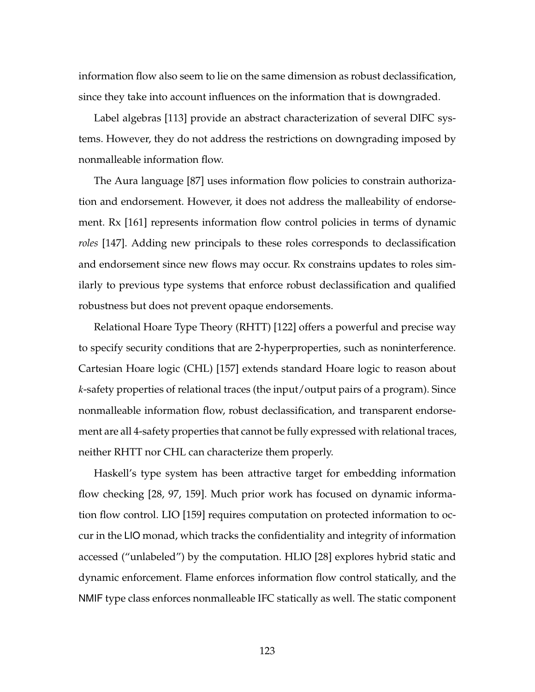information flow also seem to lie on the same dimension as robust declassification, since they take into account influences on the information that is downgraded.

Label algebras [\[113\]](#page-273-0) provide an abstract characterization of several DIFC systems. However, they do not address the restrictions on downgrading imposed by nonmalleable information flow.

The Aura language [\[87\]](#page-270-1) uses information flow policies to constrain authorization and endorsement. However, it does not address the malleability of endorsement. Rx [\[161\]](#page-280-1) represents information flow control policies in terms of dynamic *roles* [\[147\]](#page-278-2). Adding new principals to these roles corresponds to declassification and endorsement since new flows may occur. Rx constrains updates to roles similarly to previous type systems that enforce robust declassification and qualified robustness but does not prevent opaque endorsements.

Relational Hoare Type Theory (RHTT) [\[122\]](#page-274-3) offers a powerful and precise way to specify security conditions that are 2-hyperproperties, such as noninterference. Cartesian Hoare logic (CHL) [\[157\]](#page-279-0) extends standard Hoare logic to reason about *k*-safety properties of relational traces (the input/output pairs of a program). Since nonmalleable information flow, robust declassification, and transparent endorsement are all 4-safety properties that cannot be fully expressed with relational traces, neither RHTT nor CHL can characterize them properly.

Haskell's type system has been attractive target for embedding information flow checking [\[28,](#page-262-0) [97,](#page-271-1) [159\]](#page-279-1). Much prior work has focused on dynamic information flow control. LIO [\[159\]](#page-279-1) requires computation on protected information to occur in the LIO monad, which tracks the confidentiality and integrity of information accessed ("unlabeled") by the computation. HLIO [\[28\]](#page-262-0) explores hybrid static and dynamic enforcement. Flame enforces information flow control statically, and the NMIF type class enforces nonmalleable IFC statically as well. The static component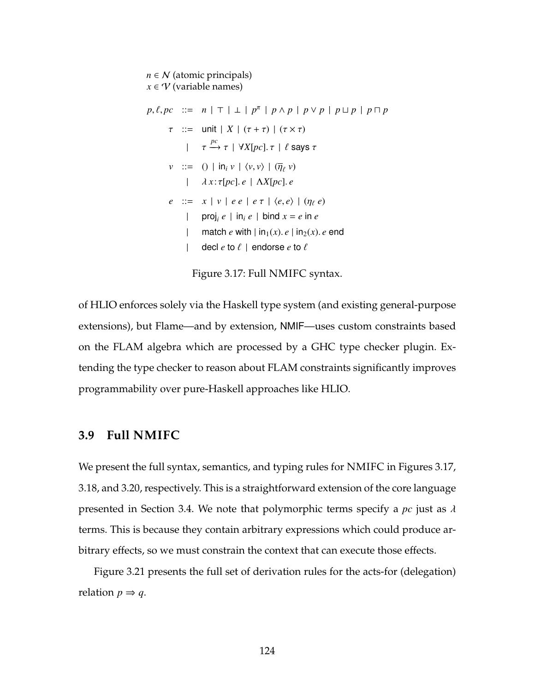<span id="page-138-1"></span> $n \in \mathcal{N}$  (atomic principals)  $x \in \mathcal{V}$  (variable names)  $p, \ell, pc$  ::=  $n | \top | \bot | p^{\pi} | p \wedge p | p \vee p | p \sqcup p | p \sqcap p$  $\tau$  ::= unit | *X* |  $(\tau + \tau)$  |  $(\tau \times \tau)$  $|$  *τ*  $\xrightarrow{pc}$  *τ* | ∀*X*[*pc*]. *τ* | *ℓ* says *τ v* ::= () | in<sub>i</sub> *v* |  $\langle v, v \rangle$  | ( $\overline{\eta}_{\ell}$  *v*) | λ *x* :τ[*pc*]. *e* | Λ*X*[*pc*]. *e e* ::=  $x | v | ee | e \tau | \langle e, e \rangle | (\eta_{\ell} e)$ | proj<sub>*i*</sub>  $e \mid \text{in}_i e \mid \text{bind } x = e \text{ in } e$ | match *e* with  $| \text{in}_1(x)$ .  $e | \text{in}_2(x)$ . *e* end | decl  $e$  to  $\ell$  | endorse  $e$  to  $\ell$ 

Figure 3.17: Full NMIFC syntax.

of HLIO enforces solely via the Haskell type system (and existing general-purpose extensions), but Flame—and by extension, NMIF—uses custom constraints based on the FLAM algebra which are processed by a GHC type checker plugin. Extending the type checker to reason about FLAM constraints significantly improves programmability over pure-Haskell approaches like HLIO.

### <span id="page-138-0"></span>**3.9 Full NMIFC**

We present the full syntax, semantics, and typing rules for NMIFC in Figures [3.17,](#page-138-1) [3.18,](#page-139-0) and [3.20,](#page-141-0) respectively. This is a straightforward extension of the core language presented in Section [3.4.](#page-109-1) We note that polymorphic terms specify a *pc* just as λ terms. This is because they contain arbitrary expressions which could produce arbitrary effects, so we must constrain the context that can execute those effects.

Figure [3.21](#page-142-1) presents the full set of derivation rules for the acts-for (delegation) relation  $p \Rightarrow q$ .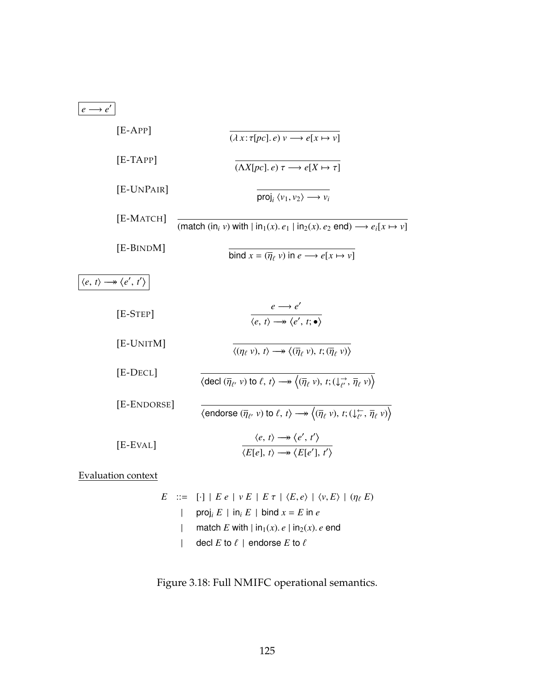<span id="page-139-0"></span>

| $e \rightarrow e'$ |                                                               |                                                                                                                                                                                                               |
|--------------------|---------------------------------------------------------------|---------------------------------------------------------------------------------------------------------------------------------------------------------------------------------------------------------------|
|                    | $[E-APP]$                                                     | $(\lambda x : \tau[pc], e) v \longrightarrow e[x \mapsto v]$                                                                                                                                                  |
|                    | $[E-TAPP]$                                                    | $(\Lambda X[pc], e) \tau \longrightarrow e[X \mapsto \tau]$                                                                                                                                                   |
|                    | [E-UNPAIR]                                                    | proj, $\langle v_1, v_2 \rangle \longrightarrow v_i$                                                                                                                                                          |
|                    | $[E-MATCH]$                                                   | (match (in <sub>i</sub> v) with $ \text{in}_1(x)$ . $e_1$ $ \text{in}_2(x)$ . $e_2$ end) $\longrightarrow e_i[x \mapsto v]$                                                                                   |
|                    | [E-BINDM]                                                     | bind $x = (\overline{\eta}_{\ell} v)$ in $e \longrightarrow e[x \mapsto v]$                                                                                                                                   |
|                    | $\langle e, t \rangle \longrightarrow \langle e', t' \rangle$ |                                                                                                                                                                                                               |
|                    | $[E-STEP]$                                                    | $e \rightarrow e'$<br>$\overline{\langle e, t \rangle \longrightarrow \langle e', t; \bullet \rangle}$                                                                                                        |
|                    | [E-UNITM]                                                     | $\langle (\eta_\ell v), t \rangle \longrightarrow \langle (\overline{\eta}_\ell v), t; (\overline{\eta}_\ell v) \rangle$                                                                                      |
|                    | $[E-DECL]$                                                    | $\langle \text{ decl } (\overline{\eta}_{\ell}, v) \text{ to } \ell, t \rangle \longrightarrow \langle (\overline{\eta}_{\ell}, v), t; (\downarrow_{\ell'}^{\rightarrow}, \overline{\eta}_{\ell}, v) \rangle$ |
|                    | [E-ENDORSE]                                                   | $\langle$ endorse $(\overline{\eta}_{\ell'} v)$ to $\ell, t \rangle \longrightarrow \langle (\overline{\eta}_{\ell} v), t; (\downarrow_{\ell'}^{\leftarrow}, \overline{\eta}_{\ell} v) \rangle$               |
|                    | [E-EVAL]                                                      | $\langle e, t \rangle \longrightarrow \langle e', t' \rangle$<br>$\langle E[e], t \rangle \longrightarrow \langle E[e'], t' \rangle$                                                                          |

Evaluation context

E ::= [-] | E e | v E | E 
$$
\tau
$$
 |  $\langle E, e \rangle$  |  $\langle v, E \rangle$  |  $(\eta_{\ell} E)$   
\n| proj<sub>i</sub> E | in<sub>i</sub> E | bind  $x = E$  in e  
\n| match E with | in<sub>1</sub>(x). e | in<sub>2</sub>(x). e end  
\n| decl E to  $\ell$  | endorse E to  $\ell$ 

Figure 3.18: Full NMIFC operational semantics.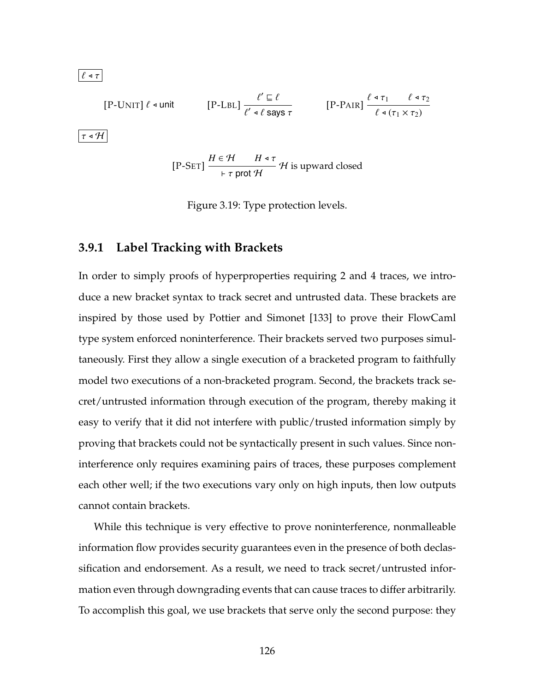$|\ell \triangleleft \tau|$ 

$$
\text{[P-UNIT] } \ell \text{ -unit} \qquad \text{[P-LBL]} \frac{\ell' \sqsubseteq \ell}{\ell' \text{ -} \ell \text{ says } \tau} \qquad \text{[P-PAIR]} \frac{\ell \text{ -} \tau_1 \qquad \ell \text{ -} \tau_2}{\ell \text{ -} (\tau_1 \times \tau_2)}
$$

 $|\tau \triangleleft H|$ 

$$
[P-SET] \frac{H \in \mathcal{H} \qquad H \triangleleft \tau}{\vdash \tau \text{ prot } \mathcal{H}} \mathcal{H} \text{ is upward closed}
$$

Figure 3.19: Type protection levels.

### **3.9.1 Label Tracking with Brackets**

In order to simply proofs of hyperproperties requiring 2 and 4 traces, we introduce a new bracket syntax to track secret and untrusted data. These brackets are inspired by those used by Pottier and Simonet [\[133\]](#page-276-0) to prove their FlowCaml type system enforced noninterference. Their brackets served two purposes simultaneously. First they allow a single execution of a bracketed program to faithfully model two executions of a non-bracketed program. Second, the brackets track secret/untrusted information through execution of the program, thereby making it easy to verify that it did not interfere with public/trusted information simply by proving that brackets could not be syntactically present in such values. Since noninterference only requires examining pairs of traces, these purposes complement each other well; if the two executions vary only on high inputs, then low outputs cannot contain brackets.

While this technique is very effective to prove noninterference, nonmalleable information flow provides security guarantees even in the presence of both declassification and endorsement. As a result, we need to track secret/untrusted information even through downgrading events that can cause traces to differ arbitrarily. To accomplish this goal, we use brackets that serve only the second purpose: they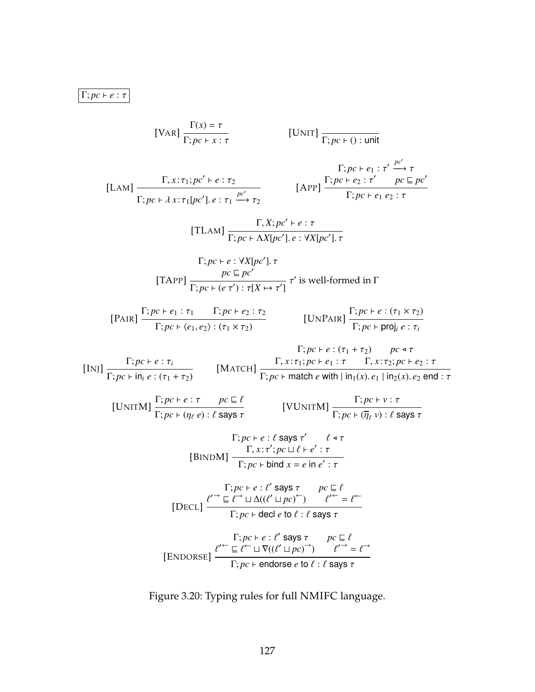# <span id="page-141-0"></span> $\boxed{\Gamma;pc \vdash e : \tau}$

[UMT]  
\n
$$
[\text{VAR}] \frac{\Gamma(x) = \tau}{\Gamma; pc + x : \tau} \qquad [\text{UNT}] \frac{\Gamma; pc + 0 : \text{unit}}{\Gamma; pc + 0 : \tau' \xrightarrow{pc'} \tau}
$$
\n[
$$
[\text{LAM}] \frac{\Gamma, x : \tau; p e^{c} + e : \tau_{2}}{\Gamma; pc + \lambda x : \tau; [pc'], e : \tau_{1} \xrightarrow{pc'} \tau_{2}} \qquad [\text{APP}] \frac{\Gamma; pc + e_{2} : \tau' \xrightarrow{pc \sqsubseteq pc'}}{\Gamma; pc + e_{1} e_{2} : \tau} \qquad [\text{TLAM}] \frac{\Gamma, X; pc' + e : \tau}{\Gamma; pc + \text{AV}[pc'], \tau} \qquad [\text{TRPI}] \frac{\Gamma; pc + e : \forall X [pc'], \tau}{\Gamma; pc + (e \tau') : \tau [X \mapsto \tau']} \tau' \text{ is well-formed in } \Gamma \qquad [\text{PATH}] \frac{\Gamma; pc + e : \tau_{1} \xrightarrow{rc} \tau_{2} \xrightarrow{rc \sqsubseteq \tau}}{\Gamma; pc + (e_{1}, e_{2}) : (\tau_{1} \times \tau_{2})} \qquad [\text{UNPAR}] \frac{\Gamma; pc + e : (\tau_{1} \times \tau_{2})}{\Gamma; pc + \text{proj}_{e} : \tau_{i}} \qquad [\text{Pr}(P) \text{TRI}] \frac{\Gamma; pc + e : (\tau_{1} \times \tau_{2})}{\Gamma; pc + \text{ind } \tau} \qquad [\text{MATCH}] \frac{\Gamma; pc + e : (\tau_{1} + \tau_{2})}{\Gamma; pc + \text{match } e \text{ with } |\text{in}_{1}(x), e_{1} | \text{ in}_{2}(x), e_{2} \text{ end} : \tau} \qquad [\text{UNITM}] \frac{\Gamma; pc + e : \tau \xrightarrow{pc \varsubseteq \ell}}{\Gamma; pc + (\eta_{\ell} e) : \ell \text{ says } \tau} \qquad [\text{VUNITM}] \frac{\Gamma; pc + \nu : \tau}{\Gamma; pc + (\eta_{\ell} e) : \ell \text{ says } \tau} \qquad [\text{VUNITM}] \frac{\Gamma; pc + \nu : \tau}{\Gamma; pc + e : (\ell \text{ says } \tau' \xrightarrow{c \varsubseteq \ell} \tau)} \qquad [\text{BINDM}] \frac{\Gamma; pc + e : \ell' \text{ says } \tau}{\Gamma; pc + \text{bi } \text{d}
$$

Figure 3.20: Typing rules for full NMIFC language.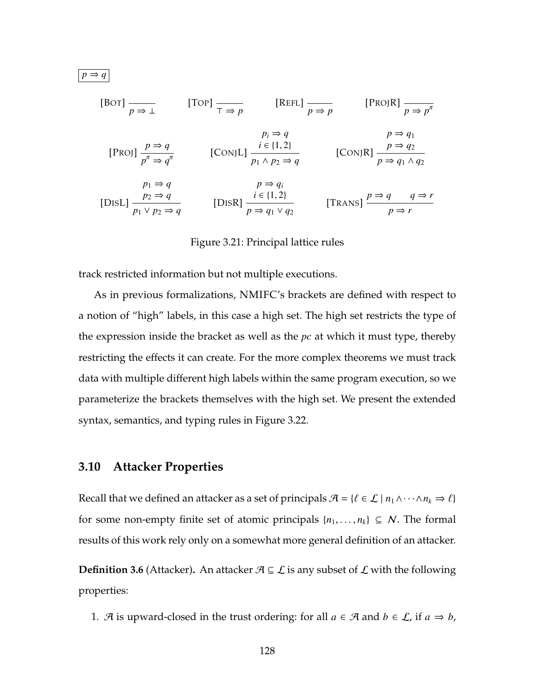[BOT] 
$$
\frac{p}{p \Rightarrow \bot}
$$
 [TOP]  $\frac{p}{p \Rightarrow p}$  [REFL]  $\frac{p}{p \Rightarrow p}$  [PROJR]  $\frac{p}{p \Rightarrow p^{\pi}}$   
\n[PROJ]  $\frac{p \Rightarrow q}{p^{\pi} \Rightarrow q^{\pi}}$  [CONJL]  $\frac{i \in \{1,2\}}{p_1 \land p_2 \Rightarrow q}$  [CONJR]  $\frac{p \Rightarrow q_1}{p \Rightarrow q_1 \land q_2}$   
\n[DISL]  $\frac{p_2 \Rightarrow q}{p_1 \lor p_2 \Rightarrow q}$  [DISR]  $\frac{i \in \{1,2\}}{p \Rightarrow q_1 \lor q_2}$  [TransS]  $\frac{p \Rightarrow q}{p \Rightarrow r}$ 

#### Figure 3.21: Principal lattice rules

track restricted information but not multiple executions.

As in previous formalizations, NMIFC's brackets are defined with respect to a notion of "high" labels, in this case a high set. The high set restricts the type of the expression inside the bracket as well as the *pc* at which it must type, thereby restricting the effects it can create. For the more complex theorems we must track data with multiple different high labels within the same program execution, so we parameterize the brackets themselves with the high set. We present the extended syntax, semantics, and typing rules in Figure [3.22.](#page-143-0)

### <span id="page-142-0"></span>**3.10 Attacker Properties**

<span id="page-142-1"></span> $p \Rightarrow q$ 

Recall that we defined an attacker as a set of principals  $\mathcal{A} = \{ \ell \in \mathcal{L} \mid n_1 \wedge \cdots \wedge n_k \Rightarrow \ell \}$ for some non-empty finite set of atomic principals  $\{n_1, \ldots, n_k\} \subseteq N$ . The formal results of this work rely only on a somewhat more general definition of an attacker.

**Definition 3.6** (Attacker). An attacker  $A \subseteq L$  is any subset of  $L$  with the following properties:

1. A is upward-closed in the trust ordering: for all  $a \in \mathcal{A}$  and  $b \in \mathcal{L}$ , if  $a \Rightarrow b$ ,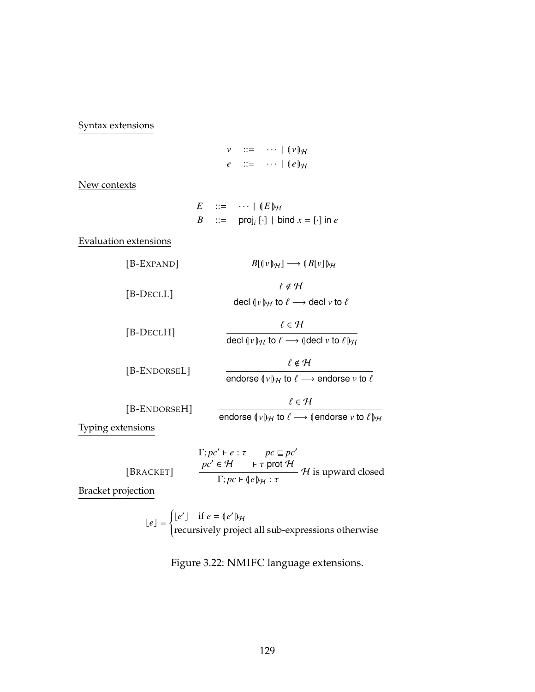<span id="page-143-0"></span>Syntax extensions

*v* ::= · · · | (| *v* |)<sup>H</sup> *e* ::= · · · | (| *e* |)<sup>H</sup>

New contexts

$$
E ::= \cdots | (E)_{\mathcal{H}}
$$
  

$$
B ::= \text{proj}_i [\cdot] | \text{ bind } x = [\cdot] \text{ in } e
$$

Evaluation extensions

| [B-EXPAND]                   | $B[\psi]_{\mathcal{H}}] \longrightarrow (B[\nu])_{\mathcal{H}}$                                                                 |
|------------------------------|---------------------------------------------------------------------------------------------------------------------------------|
| $[B-DECLL]$                  | $\ell \notin \mathcal{H}$<br>decl $(\nu)_{\mathcal{H}}$ to $\ell \longrightarrow$ decl $\nu$ to $\ell$                          |
| $ B\text{-}\text{DECLH} $    | $\ell \in H$<br>decl $\langle v \rangle_{\mathcal{H}}$ to $\ell \longrightarrow \langle$ decl v to $\ell \rangle_{\mathcal{H}}$ |
| [B-ENDORSEL]                 | $\ell \notin \mathcal{H}$<br>endorse $\langle v \rangle_{\mathcal{H}}$ to $\ell \longrightarrow$ endorse v to $\ell$            |
| [B-ENDORSEH]<br>g extensions | $\ell \in H$<br>endorse $(\nu)_{\mathcal{H}}$ to $\ell \longrightarrow$ (endorse $\nu$ to $\ell_{\mathcal{H}}$                  |

Typing

|                                              |  | $\Gamma; pc' \vdash e : \tau$ $pc \sqsubseteq pc'$<br>$pc' \in \mathcal{H}$ $\vdash \tau$ prot $\mathcal{H}$ | $H$ is upward closed |
|----------------------------------------------|--|--------------------------------------------------------------------------------------------------------------|----------------------|
| $\Gamma; pc \vdash (e)_{\mathcal{H}} : \tau$ |  |                                                                                                              |                      |

Bracket projection

[BRACKET]

 $\lfloor e \rfloor$  =  $\left\{ \right.$  $\overline{\mathcal{L}}$  $\lfloor e' \rfloor$  if  $e = (e')_{\mathcal{H}}$ recursively project all sub-expressions otherwise

Figure 3.22: NMIFC language extensions.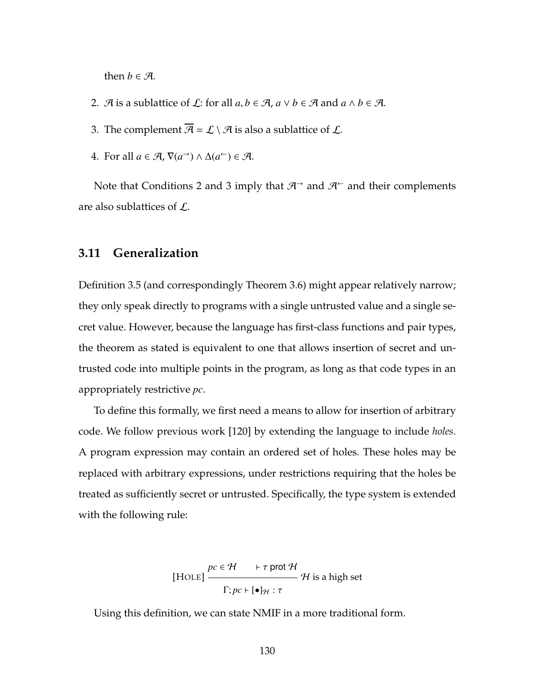then *b*  $\in \mathcal{A}$ .

- <span id="page-144-1"></span><span id="page-144-0"></span>2. A is a sublattice of  $\mathcal{L}$ : for all  $a, b \in \mathcal{A}$ ,  $a \vee b \in \mathcal{A}$  and  $a \wedge b \in \mathcal{A}$ .
- <span id="page-144-3"></span>3. The complement  $\overline{\mathcal{A}} = \mathcal{L} \setminus \mathcal{A}$  is also a sublattice of  $\mathcal{L}$ .
- 4. For all  $a \in \mathcal{A}$ ,  $\nabla(a^{-}) \wedge \Delta(a^{-}) \in \mathcal{A}$ .

<span id="page-144-2"></span>Note that Conditions [2](#page-144-0) and [3](#page-144-1) imply that  $\mathcal{H}^{\rightarrow}$  and  $\mathcal{H}^{\leftarrow}$  and their complements are also sublattices of L.

#### **3.11 Generalization**

Definition [3.5](#page-128-0) (and correspondingly Theorem [3.6\)](#page-129-0) might appear relatively narrow; they only speak directly to programs with a single untrusted value and a single secret value. However, because the language has first-class functions and pair types, the theorem as stated is equivalent to one that allows insertion of secret and untrusted code into multiple points in the program, as long as that code types in an appropriately restrictive *pc*.

To define this formally, we first need a means to allow for insertion of arbitrary code. We follow previous work [\[120\]](#page-274-0) by extending the language to include *holes*. A program expression may contain an ordered set of holes. These holes may be replaced with arbitrary expressions, under restrictions requiring that the holes be treated as sufficiently secret or untrusted. Specifically, the type system is extended with the following rule:

[HOLE] 
$$
\frac{pc \in \mathcal{H} \quad \text{F} \text{prot } \mathcal{H}}{\Gamma; pc \vdash [\bullet]_{\mathcal{H}} : \tau} \mathcal{H} \text{ is a high set}
$$

Using this definition, we can state NMIF in a more traditional form.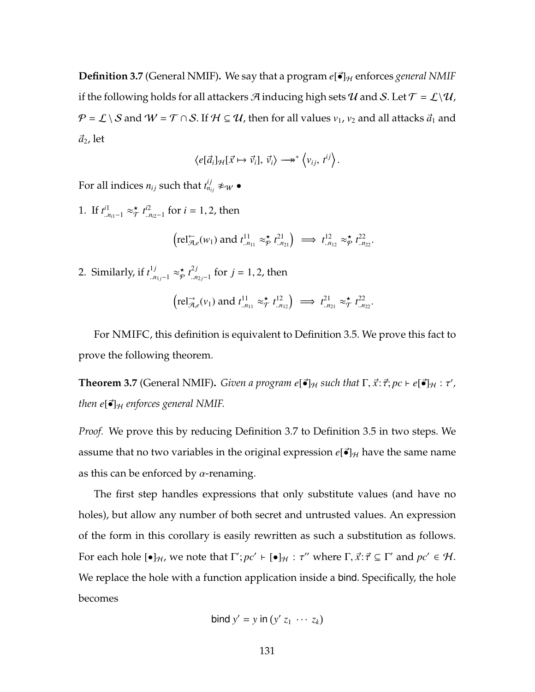<span id="page-145-0"></span>**Definition 3.7** (General NMIF). We say that a program  $e[\vec{\bullet}]_H$  enforces *general NMIF* if the following holds for all attackers A inducing high sets U and S. Let  $\mathcal{T} = \mathcal{L}\setminus\mathcal{U}$ ,  $P = L \setminus S$  and  $W = T \cap S$ . If  $H \subseteq U$ , then for all values  $v_1$ ,  $v_2$  and all attacks  $\vec{a}_1$  and  $\vec{a}_2$ , let

$$
\left\langle e[\vec{a}_i]_{\mathcal{H}}[\vec{x} \mapsto \vec{v}_i], \vec{v}_i \right\rangle \longrightarrow^* \left\langle v_{ij}, t^{ij} \right\rangle.
$$

For all indices  $n_{ij}$  such that  $t_{n_{ij}}^{ij} \not\approx_{\mathcal{W}} \bullet$ 

1. If  $t^{i1}_{n_{i1}-1} \approx_{\mathcal{T}}^{\star}$  $\overset{\star}{\mathcal{T}}$   $t^{i2}_{\ldots r}$ ..*ni*2−1 for *i* = 1, 2, then

$$
\left(\text{rel}_{\mathcal{A},e}^{\leftarrow}(w_1) \text{ and } t^{11}_{\ldots n_{11}} \approx_{\mathcal{P}}^{\star} t^{21}_{\ldots n_{21}}\right) \implies t^{12}_{\ldots n_{12}} \approx_{\mathcal{P}}^{\star} t^{22}_{\ldots n_{22}}.
$$

2. Similarly, if  $t^{1j}_{.n_{1j}-1} \approx_{\mathcal{P}}^{\star}$  $\underset{p}{\star}$   $t^{2j}_{...n}$ <sup>2*J*</sup><sub>*..n*<sub>2*j*</sub>−1</sub> for *j* = 1, 2, then

$$
\left(\text{rel}_{\mathcal{A},e}^{\rightarrow}(v_1) \text{ and } t_{.n_{11}}^{11} \approx_{\mathcal{T}}^{\star} t_{.n_{12}}^{12}\right) \implies t_{.n_{21}}^{21} \approx_{\mathcal{T}}^{\star} t_{.n_{22}}^{22}.
$$

For NMIFC, this definition is equivalent to Definition [3.5.](#page-128-0) We prove this fact to prove the following theorem.

**Theorem 3.7** (General NMIF). *Given a program e*[•]<sub>H</sub> such that  $\Gamma$ ,  $\vec{x}$ :  $\vec{\tau}$ ;  $pc \vdash e$ [•]<sub>H</sub> :  $\tau'$ , *then*  $e[\vec{\bullet}]_H$  *enforces general NMIF.* 

*Proof.* We prove this by reducing Definition [3.7](#page-145-0) to Definition [3.5](#page-128-0) in two steps. We assume that no two variables in the original expression  $e[\vec{\bullet}]_H$  have the same name as this can be enforced by  $\alpha$ -renaming.

The first step handles expressions that only substitute values (and have no holes), but allow any number of both secret and untrusted values. An expression of the form in this corollary is easily rewritten as such a substitution as follows. For each hole  $[\bullet]_H$ , we note that  $\Gamma'; pc' \vdash [\bullet]_H : \tau''$  where  $\Gamma, \vec{x} : \vec{\tau} \subseteq \Gamma'$  and  $pc' \in \mathcal{H}$ . We replace the hole with a function application inside a bind. Specifically, the hole becomes

$$
bind y' = y in (y' z_1 \cdots z_k)
$$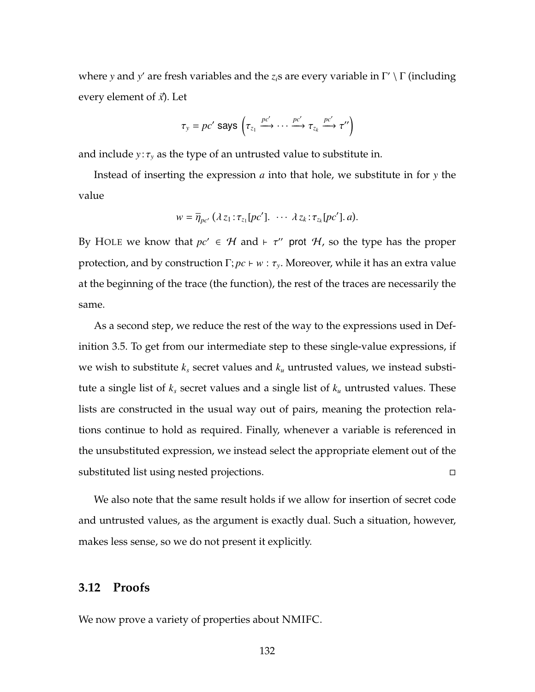where *y* and *y'* are fresh variables and the *z<sub>i</sub>s* are every variable in Γ' \ Γ (including every element of  $\vec{x}$ ). Let

$$
\tau_{y} = pc' \text{ says } \left(\tau_{z_1} \xrightarrow{pc'} \cdots \xrightarrow{pc'} \tau_{z_k} \xrightarrow{pc'} \tau''\right)
$$

and include  $y:\tau_y$  as the type of an untrusted value to substitute in.

Instead of inserting the expression *a* into that hole, we substitute in for *y* the value

$$
w = \overline{\eta}_{pc'} (\lambda z_1 : \tau_{z_1}[pc'] \ldots \lambda z_k : \tau_{z_k}[pc'] \ldotp a).
$$

By H[OLE](#page-144-2) we know that  $pc' \in \mathcal{H}$  and  $\vdash \tau''$  prot  $\mathcal{H}$ , so the type has the proper protection, and by construction  $\Gamma; pc \vdash w : \tau_y$ . Moreover, while it has an extra value at the beginning of the trace (the function), the rest of the traces are necessarily the same.

As a second step, we reduce the rest of the way to the expressions used in Definition [3.5.](#page-128-0) To get from our intermediate step to these single-value expressions, if we wish to substitute *k<sup>s</sup>* secret values and *k<sup>u</sup>* untrusted values, we instead substitute a single list of *k<sup>s</sup>* secret values and a single list of *k<sup>u</sup>* untrusted values. These lists are constructed in the usual way out of pairs, meaning the protection relations continue to hold as required. Finally, whenever a variable is referenced in the unsubstituted expression, we instead select the appropriate element out of the substituted list using nested projections.

We also note that the same result holds if we allow for insertion of secret code and untrusted values, as the argument is exactly dual. Such a situation, however, makes less sense, so we do not present it explicitly.

## **3.12 Proofs**

We now prove a variety of properties about NMIFC.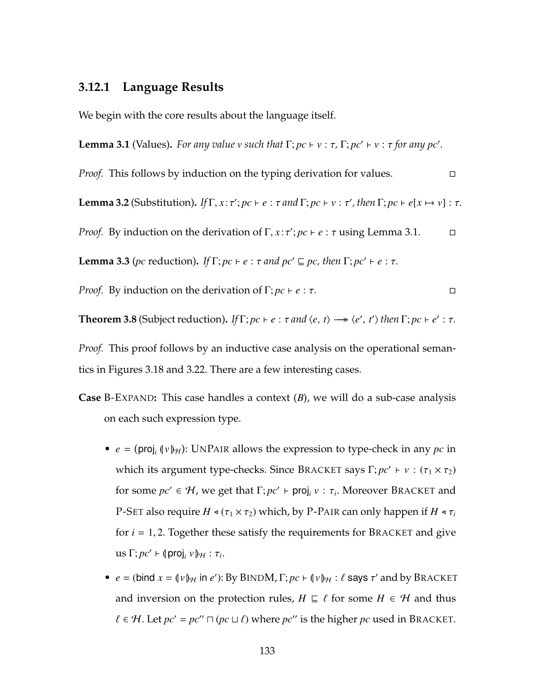# **3.12.1 Language Results**

We begin with the core results about the language itself.

<span id="page-147-0"></span>**Lemma 3.1** (Values). For any value  $v$  such that  $\Gamma$ ;  $pc \vdash v : \tau$ ,  $\Gamma$ ;  $pc' \vdash v : \tau$  for any  $pc'.$ 

*Proof.* This follows by induction on the typing derivation for values.

<span id="page-147-1"></span>**Lemma 3.2** (Substitution). *If*  $\Gamma$ *, x*: $\tau'$ ; *pc*  $\vdash e$  :  $\tau$  *and*  $\Gamma$ ; *pc*  $\vdash v$  :  $\tau'$ *, then*  $\Gamma$ ; *pc*  $\vdash e[x \mapsto v]$  :  $\tau$ *.* 

*Proof.* By induction on the derivation of  $\Gamma$ ,  $x : \tau'$ ;  $pc \vdash e : \tau$  using Lemma [3.1.](#page-147-0)  $\Box$ 

<span id="page-147-2"></span>**Lemma 3.3** (*pc* reduction). *If*  $\Gamma$ ; *pc*  $\vdash$  *e* :  $\tau$  *and*  $pc' \sqsubseteq pc$ , then  $\Gamma$ ;  $pc' \vdash$  *e* :  $\tau$ .

*Proof.* By induction on the derivation of 
$$
\Gamma
$$
;  $pc \vdash e : \tau$ .

<span id="page-147-3"></span>**Theorem 3.8** (Subject reduction). *If*  $\Gamma$ ;  $pc \vdash e : \tau$  and  $\langle e, t \rangle \rightarrow \langle e', t' \rangle$  then  $\Gamma$ ;  $pc \vdash e' : \tau$ .

*Proof.* This proof follows by an inductive case analysis on the operational semantics in Figures [3.18](#page-139-0) and [3.22.](#page-143-0) There are a few interesting cases.

- **Case** B-E[XPAND](#page-143-0)**:** This case handles a context (*B*), we will do a sub-case analysis on each such expression type.
	- $e = (\text{proj}_i(\{v\}_H))$ : UNP[AIR](#page-141-0) allows the expression to type-check in any  $pc$  in which its argument type-checks. Since B[RACKET](#page-143-0) says  $\Gamma; pc' \vdash v : (\tau_1 \times \tau_2)$ for some  $pc' \in H$ , we get that  $\Gamma; pc' \vdash \textsf{proj}_i v : \tau_i$ . Moreover B[RACKET](#page-143-0) and [P-S](#page-117-0)ET also require  $H \triangleleft (\tau_1 \times \tau_2)$  which, by [P-P](#page-140-0)AIR can only happen if  $H \triangleleft \tau_i$ for  $i = 1, 2$ . Together these satisfy the requirements for B[RACKET](#page-143-0) and give  $\text{us } \Gamma; pc' \vdash (\text{proj}_i v)_\mathcal{H} : \tau_i.$
	- $e = (\text{bind } x = (\nu)_{\mathcal{H}} \text{ in } e')$ : By B[IND](#page-114-0)M,  $\Gamma; pc \vdash (\nu)_{\mathcal{H}} : \ell$  says  $\tau'$  and by B[RACKET](#page-143-0) and inversion on the protection rules,  $H \subseteq \ell$  for some  $H \in \mathcal{H}$  and thus  $\ell \in \mathcal{H}$ . Let  $pc' = pc'' \sqcap (pc \sqcup \ell)$  where  $pc''$  is the higher  $pc$  used in B[RACKET](#page-143-0).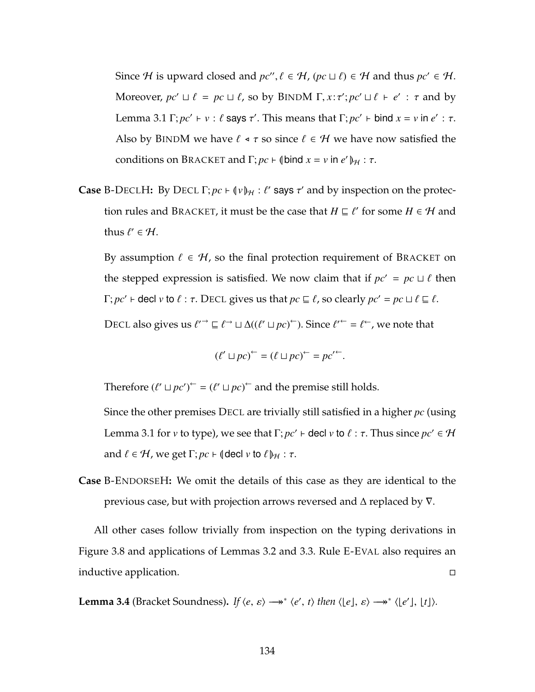Since *H* is upward closed and  $pc''$ ,  $\ell \in H$ ,  $(pc \sqcup \ell) \in H$  and thus  $pc' \in H$ . Moreover,  $pc' \sqcup \ell = pc \sqcup \ell$ , so by B[IND](#page-114-0)M  $\Gamma, x : \tau'; pc' \sqcup \ell + e' : \tau$  and by Lemma [3.1](#page-147-0)  $\Gamma$ ;  $pc' \vdash v : \ell$  says  $\tau'$ . This means that  $\Gamma$ ;  $pc' \vdash$  bind  $x = v$  in  $e' : \tau$ . Also by B[IND](#page-114-0)M we have  $\ell \triangleleft \tau$  so since  $\ell \in \mathcal{H}$  we have now satisfied the conditions on B[RACKET](#page-143-0) and  $\Gamma$ ;  $pc \vdash \phi$  (bind  $x = v$  in  $e' \phi_H : \tau$ .

**Case** [B-D](#page-143-0)[ECL](#page-114-0)H: By DECL  $\Gamma$ ;  $pc \vdash (\n \Psi)_{\mathcal{H}} : \ell'$  says  $\tau'$  and by inspection on the protec-tion rules and B[RACKET](#page-143-0), it must be the case that  $H \sqsubseteq \ell'$  for some  $H \in \mathcal{H}$  and thus  $\ell' \in \mathcal{H}$ .

By assumption  $\ell \in \mathcal{H}$ , so the final protection requirement of B[RACKET](#page-143-0) on the stepped expression is satisfied. We now claim that if  $pc' = pc \sqcup \ell$  then  $\Gamma; pc' \vdash$  decl  $v$  to  $\ell : \tau$ . D[ECL](#page-114-0) gives us that  $pc \sqsubseteq \ell$ , so clearly  $pc' = pc \sqcup \ell \sqsubseteq \ell$ .

D[ECL](#page-114-0) also gives us  $\ell^{\prime\rightarrow} \sqsubseteq \ell^{\rightarrow} \sqcup \Delta((\ell' \sqcup pc)^{\leftarrow})$ . Since  $\ell^{\prime\leftarrow} = \ell^{\leftarrow}$ , we note that

$$
(\ell' \sqcup pc)^{\leftarrow} = (\ell \sqcup pc)^{\leftarrow} = pc'^{\leftarrow}.
$$

Therefore  $(\ell' \sqcup pc')^{\leftarrow} = (\ell' \sqcup pc)^{\leftarrow}$  and the premise still holds.

Since the other premises D[ECL](#page-114-0) are trivially still satisfied in a higher *pc* (using Lemma [3.1](#page-147-0) for *v* to type), we see that  $\Gamma; pc' \vdash$  decl *v* to  $\ell : \tau.$  Thus since  $pc' \in \mathcal{H}$ and  $\ell \in \mathcal{H}$ , we get  $\Gamma$ ;  $pc \vdash$  (decl  $v$  to  $\ell$ )<sub>H</sub> :  $\tau$ .

**Case** B-E[NDORSE](#page-143-0)H**:** We omit the details of this case as they are identical to the previous case, but with projection arrows reversed and  $\Delta$  replaced by  $\nabla$ .

All other cases follow trivially from inspection on the typing derivations in Figure [3.8](#page-114-0) and applications of Lemmas [3.2](#page-147-1) and [3.3.](#page-147-2) Rule [E-E](#page-111-0)VAL also requires an inductive application.

<span id="page-148-0"></span>**Lemma 3.4** (Bracket Soundness). *If*  $\langle e, \varepsilon \rangle \longrightarrow^* \langle e', t \rangle$  then  $\langle e, \varepsilon \rangle \longrightarrow^* \langle e', \varepsilon \rangle$ .  $\langle e, \varepsilon \rangle$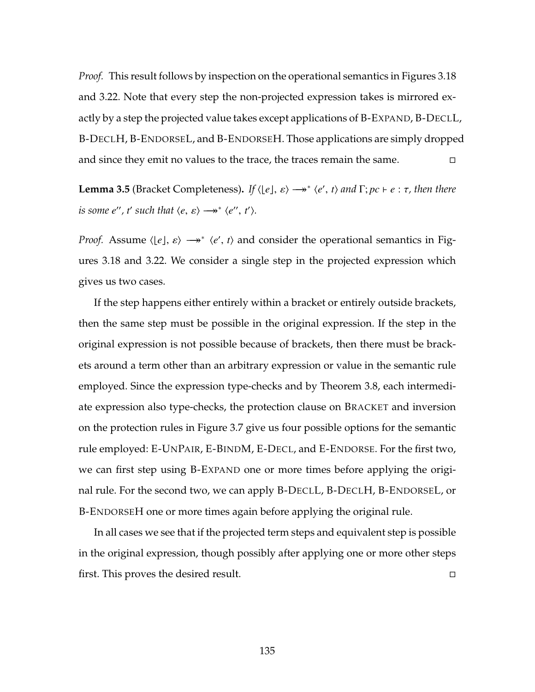*Proof.* This result follows by inspection on the operational semantics in Figures [3.18](#page-139-0) and [3.22.](#page-143-0) Note that every step the non-projected expression takes is mirrored exactly by a step the projected value takes except applications of B-E[XPAND](#page-143-0), [B-D](#page-143-0)ECLL, [B-D](#page-143-0)ECLH, B-E[NDORSE](#page-143-0)L, and B-E[NDORSE](#page-143-0)H. Those applications are simply dropped and since they emit no values to the trace, the traces remain the same.  $\Box$ 

<span id="page-149-0"></span>**Lemma 3.5** (Bracket Completeness). If  $\langle e, e \rangle \rightarrow^* \langle e', t \rangle$  and  $\Gamma; pc \vdash e : \tau$ , then there *is some e'', t' such that*  $\langle e, \varepsilon \rangle \longrightarrow^* \langle e'', t' \rangle$ *.* 

*Proof.* Assume  $\langle \lfloor e \rfloor, \varepsilon \rangle \rightarrow^* \langle e', t \rangle$  and consider the operational semantics in Figures [3.18](#page-139-0) and [3.22.](#page-143-0) We consider a single step in the projected expression which gives us two cases.

If the step happens either entirely within a bracket or entirely outside brackets, then the same step must be possible in the original expression. If the step in the original expression is not possible because of brackets, then there must be brackets around a term other than an arbitrary expression or value in the semantic rule employed. Since the expression type-checks and by Theorem [3.8,](#page-147-3) each intermediate expression also type-checks, the protection clause on B[RACKET](#page-143-0) and inversion on the protection rules in Figure [3.7](#page-113-0) give us four possible options for the semantic rule employed: [E-U](#page-139-0)NPAIR, [E-B](#page-111-0)INDM, [E-D](#page-111-0)ECL, and E-E[NDORSE](#page-111-0). For the first two, we can first step using B-E[XPAND](#page-143-0) one or more times before applying the original rule. For the second two, we can apply [B-D](#page-143-0)ECLL, [B-D](#page-143-0)ECLH, B-E[NDORSE](#page-143-0)L, or B-E[NDORSE](#page-143-0)H one or more times again before applying the original rule.

In all cases we see that if the projected term steps and equivalent step is possible in the original expression, though possibly after applying one or more other steps first. This proves the desired result.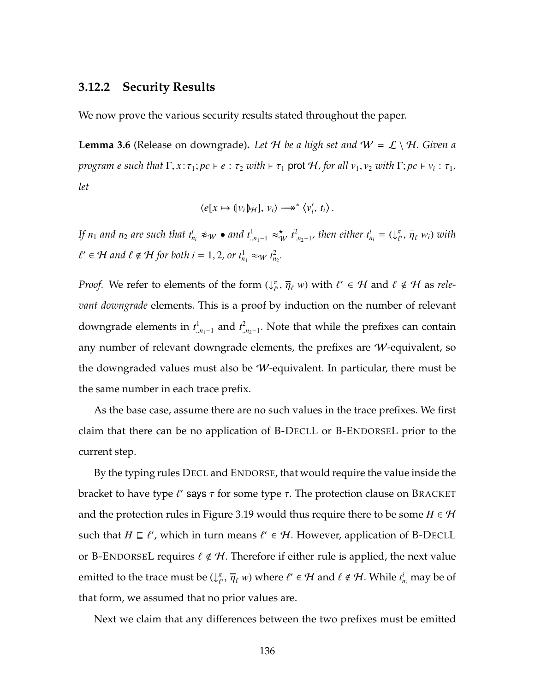### **3.12.2 Security Results**

We now prove the various security results stated throughout the paper.

<span id="page-150-0"></span>**Lemma 3.6** (Release on downgrade). Let H be a high set and  $W = \mathcal{L} \setminus \mathcal{H}$ . Given a *program e such that*  $\Gamma, x : \tau_1; pc \vdash e : \tau_2$  *with*  $\vdash \tau_1$  prot  $\mathcal{H}$ *, for all*  $v_1, v_2$  *with*  $\Gamma; pc \vdash v_i : \tau_1$ *, let*

$$
\langle e[x \mapsto (v_i)\mathcal{H}], v_i \rangle \longrightarrow^* \langle v'_i, t_i \rangle.
$$

If  $n_1$  and  $n_2$  are such that  $t^i_{n_i} \not\approx_W \bullet$  and  $t^1_{.n_1-1} \approx^{\star}_{W} t^2_{.n_2-1}$ , then either  $t^i_{n_i} = (\downarrow^{\pi}_{\ell})$  $\bar{\eta}_\ell^{\pi}, \, \overline{\eta}_\ell^{\pi}$  w<sub>i</sub>) with  $\ell' \in \mathcal{H}$  and  $\ell \notin \mathcal{H}$  for both  $i = 1, 2$ , or  $t_{n_1}^1 \approx_{\mathcal{W}} t_{n_2}^2$ .

*Proof.* We refer to elements of the form  $(\downarrow^{\pi}_{\ell})$  $(\overline{\eta}_{\ell}, \overline{\eta}_{\ell} w)$  with  $\ell' \in \mathcal{H}$  and  $\ell \notin \mathcal{H}$  as *relevant downgrade* elements. This is a proof by induction on the number of relevant downgrade elements in  $t^1_{..n_1-1}$  and  $t^2_{..n_2-1}$ . Note that while the prefixes can contain any number of relevant downgrade elements, the prefixes are W-equivalent, so the downgraded values must also be W-equivalent. In particular, there must be the same number in each trace prefix.

As the base case, assume there are no such values in the trace prefixes. We first claim that there can be no application of [B-D](#page-143-0)ECLL or B-E[NDORSE](#page-143-0)L prior to the current step.

By the typing rules D[ECL](#page-114-0) and E[NDORSE](#page-114-0), that would require the value inside the bracket to have type  $\ell'$  says  $\tau$  for some type  $\tau$ . The protection clause on B[RACKET](#page-143-0) and the protection rules in Figure [3.19](#page-140-0) would thus require there to be some  $H \in \mathcal{H}$ such that  $H \sqsubseteq \ell'$ , which in turn means  $\ell' \in {\mathcal H}$ . However, application of [B-D](#page-143-0)ECLL or B-E[NDORSE](#page-143-0)L requires  $\ell \notin \mathcal{H}$ . Therefore if either rule is applied, the next value emitted to the trace must be  $\mathcal{L}^{\pi}_{\ell}$  $\overline{\eta}_{\ell}$ ,  $\overline{\eta}_{\ell}$  *w*) where  $\ell' \in \mathcal{H}$  and  $\ell \notin \mathcal{H}$ . While  $t^i_{n_i}$  may be of that form, we assumed that no prior values are.

Next we claim that any differences between the two prefixes must be emitted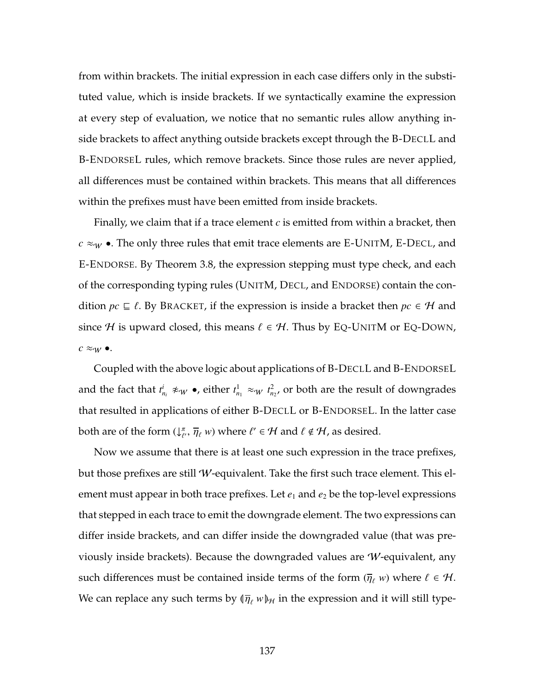from within brackets. The initial expression in each case differs only in the substituted value, which is inside brackets. If we syntactically examine the expression at every step of evaluation, we notice that no semantic rules allow anything inside brackets to affect anything outside brackets except through the [B-D](#page-143-0)ECLL and B-E[NDORSE](#page-143-0)L rules, which remove brackets. Since those rules are never applied, all differences must be contained within brackets. This means that all differences within the prefixes must have been emitted from inside brackets.

Finally, we claim that if a trace element *c* is emitted from within a bracket, then  $c \approx_W$  •. The only three rules that emit trace elements are [E-U](#page-111-0)NITM, [E-D](#page-111-0)ECL, and E-E[NDORSE](#page-111-0). By Theorem [3.8,](#page-147-3) the expression stepping must type check, and each of the corresponding typing rules (U[NIT](#page-114-0)M, D[ECL](#page-114-0), and E[NDORSE](#page-114-0)) contain the condition  $pc \subseteq \ell$ . By B[RACKET](#page-143-0), if the expression is inside a bracket then  $pc \in \mathcal{H}$  and since H is upward closed, this means  $\ell \in \mathcal{H}$ . Thus by EQ-U[NIT](#page-119-0)M or EQ-D[OWN](#page-119-0),  $c \approx_W \bullet$ .

Coupled with the above logic about applications of [B-D](#page-143-0)ECLL and B-E[NDORSE](#page-143-0)L and the fact that  $t_{n_i}^i \not\approx_W \bullet$ , either  $t_{n_1}^1 \approx_W t_{n_2}^2$ , or both are the result of downgrades that resulted in applications of either [B-D](#page-143-0)ECLL or B-E[NDORSE](#page-143-0)L. In the latter case both are of the form  $\mathcal{L}_{\ell}^{\pi}$  $\overline{\eta}_{\ell}$ ,  $\overline{\eta}_{\ell}$  *w*) where  $\ell' \in \mathcal{H}$  and  $\ell \notin \mathcal{H}$ , as desired.

Now we assume that there is at least one such expression in the trace prefixes, but those prefixes are still  $W$ -equivalent. Take the first such trace element. This element must appear in both trace prefixes. Let  $e_1$  and  $e_2$  be the top-level expressions that stepped in each trace to emit the downgrade element. The two expressions can differ inside brackets, and can differ inside the downgraded value (that was previously inside brackets). Because the downgraded values are W-equivalent, any such differences must be contained inside terms of the form  $(\overline{\eta}_{\ell} w)$  where  $\ell \in \mathcal{H}$ . We can replace any such terms by  $(\bar{\eta}_\ell w)_{\mathcal{H}}$  in the expression and it will still type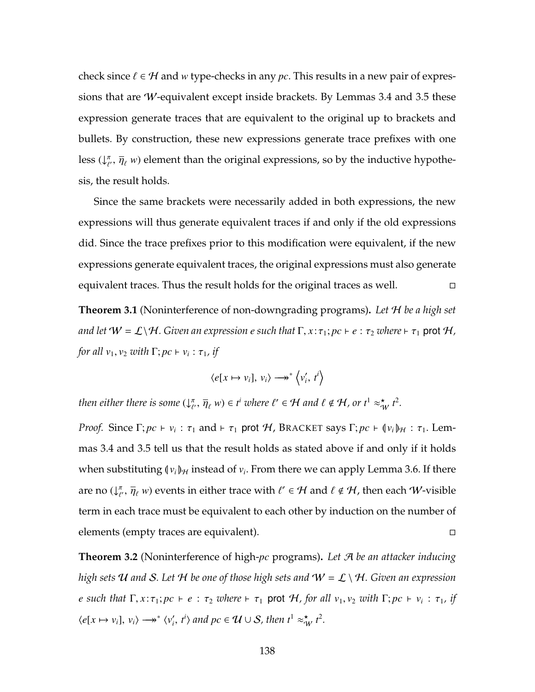check since  $\ell \in \mathcal{H}$  and *w* type-checks in any *pc*. This results in a new pair of expressions that are W-equivalent except inside brackets. By Lemmas [3.4](#page-148-0) and [3.5](#page-149-0) these expression generate traces that are equivalent to the original up to brackets and bullets. By construction, these new expressions generate trace prefixes with one less  $(\downarrow^{\pi}_{\ell})$  $\bar{\eta}_{\ell}$ ,  $\bar{\eta}_{\ell}$  *w*) element than the original expressions, so by the inductive hypothesis, the result holds.

Since the same brackets were necessarily added in both expressions, the new expressions will thus generate equivalent traces if and only if the old expressions did. Since the trace prefixes prior to this modification were equivalent, if the new expressions generate equivalent traces, the original expressions must also generate equivalent traces. Thus the result holds for the original traces as well.

**Theorem [3.1](#page-120-0)** (Noninterference of non-downgrading programs)**.** *Let* H *be a high set and let*  $W = \mathcal{L}\backslash \mathcal{H}$ . Given an expression *e* such that  $\Gamma, x : \tau_1; pc \vdash e : \tau_2$  where  $\vdash \tau_1$  prot  $\mathcal{H}$ , *for all*  $v_1, v_2$  *with*  $\Gamma; pc \vdash v_i : \tau_1$ *, if* 

$$
\langle e[x \mapsto v_i], v_i \rangle \longrightarrow^* \langle v'_i, t^i \rangle
$$

*then either there is some* (↓ π  $(\overline{\eta}_{\ell}, \overline{\eta}_{\ell}, w) \in t^{i}$  where  $\ell' \in \mathcal{H}$  and  $\ell \notin \mathcal{H}$ , or  $t^{1} \approx_{\mathcal{W}}^{\mathbf{x}} t^{2}$ .

*Proof.* Since  $\Gamma; pc \vdash v_i : \tau_1$  and  $\vdash \tau_1$  prot H, B[RACKET](#page-143-0) says  $\Gamma; pc \vdash (v_i)_{\mathcal{H}} : \tau_1$ . Lemmas [3.4](#page-148-0) and [3.5](#page-149-0) tell us that the result holds as stated above if and only if it holds when substituting  $(\nu_i)_{\mathcal{H}}$  instead of  $\nu_i$ . From there we can apply Lemma [3.6.](#page-150-0) If there are no  $(\downarrow^{\pi}_{\ell})$  $\overline{\eta}_\ell^{\pi}$ ,  $\overline{\eta}_\ell$  *w*) events in either trace with  $\ell' \in \mathcal{H}$  and  $\ell \notin \mathcal{H}$ , then each W-visible term in each trace must be equivalent to each other by induction on the number of elements (empty traces are equivalent).

**Theorem [3.2](#page-121-0)** (Noninterference of high-*pc* programs)**.** *Let* A *be an attacker inducing high sets* U *and* S*. Let* H *be one of those high sets and* W = L \ H*. Given an expression e* such that  $\Gamma, x : \tau_1$ ;  $pc \vdash e : \tau_2$  where  $\vdash \tau_1$  prot  $H$ , for all  $v_1, v_2$  with  $\Gamma; pc \vdash v_i : \tau_1$ , if  $\langle e[x \mapsto v_i], v_i \rangle \longrightarrow^* \langle v'_i, t^i \rangle$  and  $pc \in \mathcal{U} \cup \mathcal{S}$ , then  $t^1 \approx^*_{\mathcal{W}} t^2$ .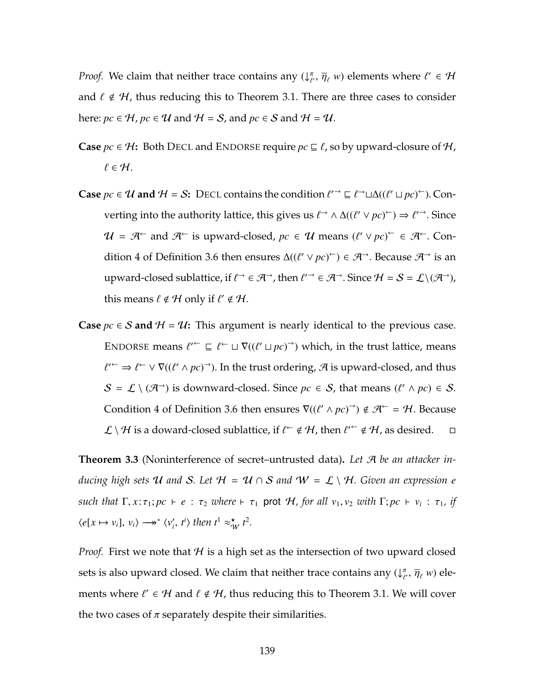*Proof.* We claim that neither trace contains any  $(\downarrow^{\pi}_{\ell})$  $\overline{\eta}_{\ell}$ ,  $\overline{\eta}_{\ell}$  *w*) elements where  $\ell' \in \mathcal{H}$ and  $\ell \notin H$ , thus reducing this to Theorem [3.1.](#page-120-0) There are three cases to consider here:  $pc \in \mathcal{H}$ ,  $pc \in \mathcal{U}$  and  $\mathcal{H} = \mathcal{S}$ , and  $pc \in \mathcal{S}$  and  $\mathcal{H} = \mathcal{U}$ .

- **Case**  $pc \in \mathcal{H}$ : Both D[ECL](#page-114-0) and E[NDORSE](#page-114-0) require  $pc \sqsubseteq \ell$ , so by upward-closure of  $\mathcal{H}$ ,  $\ell \in \mathcal{H}.$
- **Case**  $pc \in U$  and  $H = S$ : D[ECL](#page-114-0) contains the condition  $\ell^{\prime}$   $\supset \subseteq \ell^{\rightarrow} \sqcup \Delta((\ell' \sqcup pc)^{\leftarrow})$ . Converting into the authority lattice, this gives us  $\ell \rightarrow \Delta((\ell' \lor pc)^{\leftarrow}) \Rightarrow \ell'^{\rightarrow}$ . Since  $\mathcal{U} = \mathcal{A}^{\leftarrow}$  and  $\mathcal{A}^{\leftarrow}$  is upward-closed,  $pc \in \mathcal{U}$  means  $(\ell' \vee pc)^{\leftarrow} \in \mathcal{A}^{\leftarrow}$ . Con-dition [4](#page-144-3) of Definition [3.6](#page-142-0) then ensures  $\Delta((\ell' \lor pc)^\leftarrow) \in \mathcal{A}^\rightarrow$ . Because  $\mathcal{A}^\rightarrow$  is an upward-closed sublattice, if  $\ell \to \in \mathcal{A}^{\to}$ , then  $\ell'^{\to} \in \mathcal{A}^{\to}$ . Since  $\mathcal{H} = \mathcal{S} = \mathcal{L} \setminus (\mathcal{A}^{\to})$ , this means  $\ell \notin \mathcal{H}$  only if  $\ell' \notin \mathcal{H}$ .
- **Case**  $pc$  ∈ S and  $H = U$ : This argument is nearly identical to the previous case. E[NDORSE](#page-114-0) means  $\ell^{\prime} \subseteq \ell^{\leftarrow} \sqcup \nabla((\ell' \sqcup pc)^{\rightarrow})$  which, in the trust lattice, means  $\ell'^{\leftarrow} \Rightarrow \ell^{\leftarrow} \vee \nabla ((\ell' \wedge pc)^{\rightarrow})$ . In the trust ordering, A is upward-closed, and thus  $S = \mathcal{L} \setminus (\mathcal{A}^{\rightarrow})$  is downward-closed. Since  $pc \in S$ , that means  $(\ell' \land pc) \in S$ . Condition [4](#page-144-3) of Definition [3.6](#page-142-0) then ensures  $\nabla((\ell' \wedge pc)^{\rightarrow}) \notin \mathcal{A}^{\leftarrow} = \mathcal{H}$ . Because  $\mathcal{L} \setminus \mathcal{H}$  is a doward-closed sublattice, if  $\ell^{\leftarrow} \notin \mathcal{H}$ , then  $\ell^{\prime \leftarrow} \notin \mathcal{H}$ , as desired.  $\Box$

**Theorem [3.3](#page-121-1)** (Noninterference of secret–untrusted data)**.** *Let* A *be an attacker inducing high sets* U and S. Let  $H = U \cap S$  and  $W = L \setminus H$ . Given an expression e *such that*  $\Gamma, x: \tau_1; pc \vdash e : \tau_2$  *where*  $\vdash \tau_1$  prot H, for all  $v_1, v_2$  *with*  $\Gamma; pc \vdash v_i : \tau_1$ , if  $\langle e[x \mapsto v_i], v_i \rangle \longrightarrow^* \langle v'_i, t^i \rangle$  then  $t^1 \approx^*_{\mathcal{W}} t^2$ .

*Proof.* First we note that  $H$  is a high set as the intersection of two upward closed sets is also upward closed. We claim that neither trace contains any  $(\downarrow^{\pi}_{\ell}$  $\bar{\eta}_{\ell}$ ,  $\bar{\eta}_{\ell}$  w) elements where  $\ell' \in \mathcal{H}$  and  $\ell \notin \mathcal{H}$ , thus reducing this to Theorem [3.1.](#page-120-0) We will cover the two cases of  $\pi$  separately despite their similarities.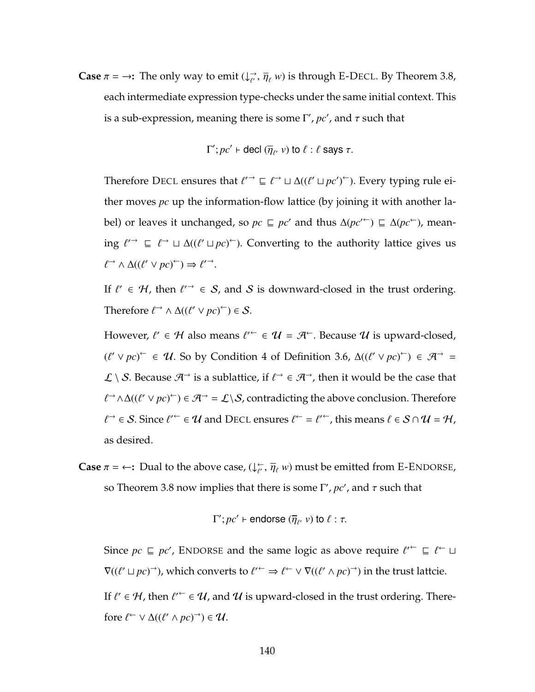**Case**  $\pi = \rightarrow$ : The only way to emit  $(\downarrow_{\ell'} \rightarrow \overline{\eta}_{\ell} w)$  is through [E-D](#page-111-0)ECL. By Theorem [3.8,](#page-147-3) each intermediate expression type-checks under the same initial context. This is a sub-expression, meaning there is some  $\Gamma'$ ,  $pc'$ , and  $\tau$  such that

$$
\Gamma'; pc' \vdash \text{decl } (\overline{\eta}_{\ell'} \ v) \text{ to } \ell : \ell \text{ says } \tau.
$$

Therefore D[ECL](#page-114-0) ensures that  $\ell \to \subseteq \ell \to \Delta((\ell' \sqcup pc')^{\leftarrow})$ . Every typing rule either moves *pc* up the information-flow lattice (by joining it with another label) or leaves it unchanged, so  $pc ⊆ pc'$  and thus  $\Delta (pc'^{\leftarrow}) ⊆ \Delta (pc^{\leftarrow})$ , meaning  $\ell^{\prime}$   $\supset$   $\ell^{\rightarrow}$   $\sqcup$  ∆(( $\ell^{\prime} \sqcup pc$ )<sup> $\leftarrow$ </sup>). Converting to the authority lattice gives us  $\ell \rightarrow \Delta((\ell' \lor pc)^{\leftarrow}) \Rightarrow \ell'^{\rightarrow}.$ 

If  $\ell' \in \mathcal{H}$ , then  $\ell'^{\rightarrow} \in \mathcal{S}$ , and  $\mathcal{S}$  is downward-closed in the trust ordering. Therefore  $\ell \rightarrow \Delta((\ell' \lor pc)^{\leftarrow}) \in S$ .

However,  $\ell' \in \mathcal{H}$  also means  $\ell'^{\leftarrow} \in \mathcal{U} = \mathcal{A}^{\leftarrow}$ . Because  $\mathcal{U}$  is upward-closed,  $(\ell' \lor pc)^{\leftarrow}$  ∈ U. So by Condition [4](#page-144-3) of Definition [3.6,](#page-142-0)  $\Delta((\ell' \lor pc)^{\leftarrow})$  ∈  $\mathcal{A}^{\rightarrow}$  =  $\mathcal{L} \setminus \mathcal{S}$ . Because  $\mathcal{A}^{\rightarrow}$  is a sublattice, if  $\ell^{\rightarrow} \in \mathcal{A}^{\rightarrow}$ , then it would be the case that  $\ell$ <sup>→</sup> ∧∆( $(\ell' \lor pc)$ <sup>←</sup>) ∈  $\mathcal{A}$ <sup>→</sup> =  $\mathcal{L} \setminus \mathcal{S}$ , contradicting the above conclusion. Therefore  $\ell \rightarrow \ell \in \mathcal{S}$ . Since  $\ell'^{\leftarrow} \in \mathcal{U}$  and D[ECL](#page-114-0) ensures  $\ell^{\leftarrow} = \ell'^{\leftarrow}$ , this means  $\ell \in \mathcal{S} \cap \mathcal{U} = \mathcal{H}$ , as desired.

**Case**  $\pi = \leftarrow$ : Dual to the above case,  $(\downarrow_{\ell'}^{\leftarrow}, \overline{\eta}_{\ell} w)$  must be emitted from E-E[NDORSE](#page-111-0), so Theorem [3.8](#page-147-3) now implies that there is some  $\Gamma'$ *, pc'*, and  $\tau$  such that

$$
\Gamma'; pc' \vdash \text{endorse} (\overline{\eta}_{\ell'} v) \text{ to } \ell : \tau.
$$

Since  $pc \subseteq pc'$ , E[NDORSE](#page-114-0) and the same logic as above require  $\ell'^{\leftarrow} \subseteq \ell^{\leftarrow} \sqcup$  $\nabla((\ell' \sqcup pc) \rightarrow)$ , which converts to  $\ell' \rightarrow \ell \rightarrow \ell \gamma \vee \nabla((\ell' \wedge pc) \rightarrow)$  in the trust lattcie. If  $\ell' \in \mathcal{H}$ , then  $\ell'^{\leftarrow} \in \mathcal{U}$ , and  $\mathcal{U}$  is upward-closed in the trust ordering. Therefore  $\ell \subset \vee \Delta((\ell' \wedge pc)^{\rightarrow}) \in \mathcal{U}$ .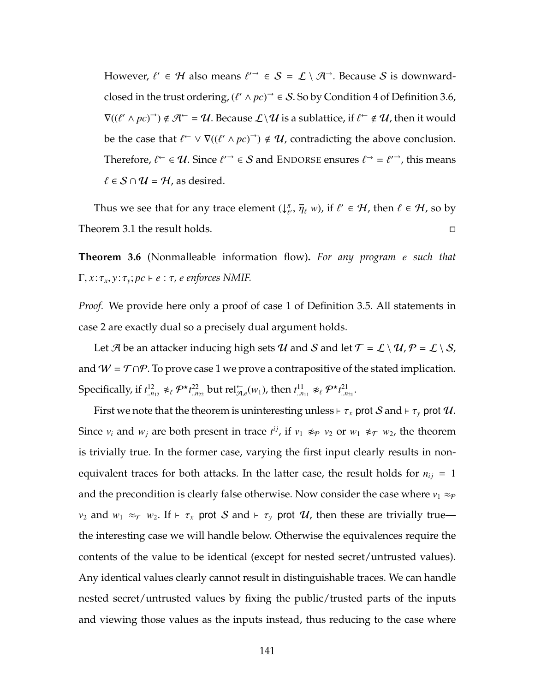However,  $\ell' \in \mathcal{H}$  also means  $\ell'^{\rightarrow} \in \mathcal{S} = \mathcal{L} \setminus \mathcal{A}^{\rightarrow}$ . Because  $\mathcal{S}$  is downwardclosed in the trust ordering,  $(\ell' \wedge pc)^{\rightarrow} \in S$ . So by Condition [4](#page-144-3) of Definition [3.6,](#page-142-0)  $\nabla((\ell'\wedge pc)^\rightarrow)\notin \mathcal{A}^\leftarrow=\mathcal{U}.$  Because  $\mathcal{L}\setminus\mathcal{U}$  is a sublattice, if  $\ell^\leftarrow\notin\mathcal{U}$ , then it would be the case that  $\ell \subset \nabla((\ell' \wedge pc)^{\rightarrow}) \notin \mathcal{U}$ , contradicting the above conclusion. Therefore,  $\ell^{\leftarrow} \in \mathcal{U}$ . Since  $\ell^{\prime \rightarrow} \in \mathcal{S}$  and E[NDORSE](#page-114-0) ensures  $\ell^{\rightarrow} = \ell^{\prime \rightarrow}$ , this means  $\ell \in S \cap \mathcal{U} = \mathcal{H}$ , as desired.

Thus we see that for any trace element  $\bigcup_{\ell=1}^{\infty}$  $(\overline{\eta}_{\ell}, \overline{\eta}_{\ell}, w)$ , if  $\ell' \in \mathcal{H}$ , then  $\ell \in \mathcal{H}$ , so by Theorem [3.1](#page-120-0) the result holds.

**Theorem [3.6](#page-129-0)** (Nonmalleable information flow)**.** *For any program e such that*  $\Gamma, x: \tau_x, y: \tau_y; pc \vdash e: \tau$ , *e* enforces NMIF.

*Proof.* We provide here only a proof of case [1](#page-128-1) of Definition [3.5.](#page-128-0) All statements in case [2](#page-128-2) are exactly dual so a precisely dual argument holds.

Let  $\mathcal A$  be an attacker inducing high sets  $\mathcal U$  and  $\mathcal S$  and let  $\mathcal T = \mathcal L \setminus \mathcal U, \mathcal P = \mathcal L \setminus \mathcal S,$ and  $W = T \cap P$ . To prove case [1](#page-128-1) we prove a contrapositive of the stated implication. Specifically, if  $t^{12}_{.n_{12}} \not\approx_{\ell} P^{\star} t^{22}_{.n_{22}}$  but rel $\zeta_{R,\ell}(w_1)$ , then  $t^{11}_{.n_{11}} \not\approx_{\ell} P^{\star} t^{21}_{.n_{21}}$ .

First we note that the theorem is uninteresting unless  $\vdash \tau_x$  prot  $S$  and  $\vdash \tau_y$  prot  $\mathcal{U}$ . Since  $v_i$  and  $w_j$  are both present in trace  $t^{ij}$ , if  $v_1 \nleftrightarrow_\mathcal{P} v_2$  or  $w_1 \nleftrightarrow_\mathcal{T} w_2$ , the theorem is trivially true. In the former case, varying the first input clearly results in nonequivalent traces for both attacks. In the latter case, the result holds for  $n_{ij} = 1$ and the precondition is clearly false otherwise. Now consider the case where  $v_1 \approx_{\mathcal{P}}$ *v*<sub>2</sub> and *w*<sub>1</sub>  $\approx$   $\tau$  *w*<sub>2</sub>. If  $\vdash \tau_x$  prot *S* and  $\vdash \tau_y$  prot *U*, then these are trivially true the interesting case we will handle below. Otherwise the equivalences require the contents of the value to be identical (except for nested secret/untrusted values). Any identical values clearly cannot result in distinguishable traces. We can handle nested secret/untrusted values by fixing the public/trusted parts of the inputs and viewing those values as the inputs instead, thus reducing to the case where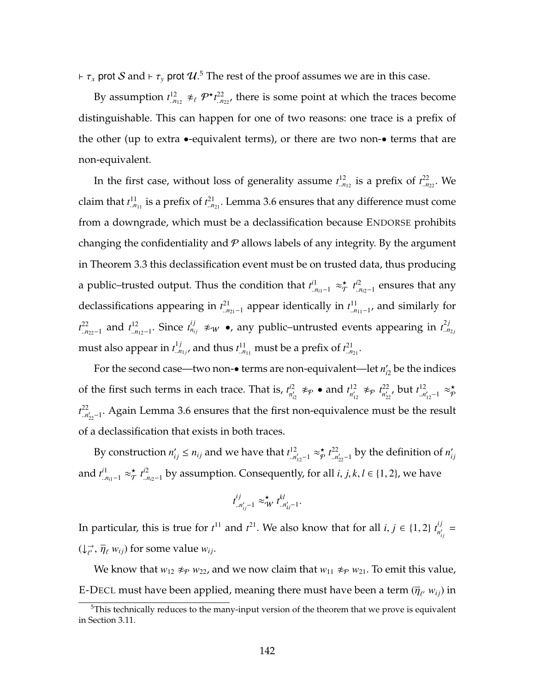$\vdash \tau_x$  prot  $\mathcal S$  and  $\vdash \tau_y$  prot  $\mathcal U$ .<sup>[5](#page-156-0)</sup> The rest of the proof assumes we are in this case.

By assumption  $t_{.n_{12}}^{12} \not\approx_{\ell} P^{\star} t_{.n_{22}}^{22}$ , there is some point at which the traces become distinguishable. This can happen for one of two reasons: one trace is a prefix of the other (up to extra •-equivalent terms), or there are two non-• terms that are non-equivalent.

In the first case, without loss of generality assume  $t^{12}_{.n_{12}}$  is a prefix of  $t^{22}_{.n_{22}}$ . We claim that  $t^{11}_{\ldots n_{11}}$  is a prefix of  $t^{21}_{\ldots n_{21}}$ . Lemma [3.6](#page-150-0) ensures that any difference must come from a downgrade, which must be a declassification because E[NDORSE](#page-114-0) prohibits changing the confidentiality and  $P$  allows labels of any integrity. By the argument in Theorem [3.3](#page-121-1) this declassification event must be on trusted data, thus producing a public–trusted output. Thus the condition that  $t^{i1}_{\ldots n_{i1}-1} \approx_{\mathcal{T}}^{\star}$  $\pi$   $t^{i2}$ ..*ni*2−1 ensures that any declassifications appearing in  $t^{21}_{..n_{21}-1}$  appear identically in  $t^{11}_{..n_{11}-1}$ , and similarly for *t*<sup>22</sup><sub>*n*<sub>22</sub>−1</sub> and *t*<sup>12</sup><sub>*n*<sub>12</sub>−1</sub>. Since *t*<sup>ij</sup><sub>*n*<sub>ij</sub></sup> ≉<sub>*w*</sub> •, any public–untrusted events appearing in *t*<sup>2*j*</sup><sub>*n*<sub>2*j*</sub></sub></sub> must also appear in  $t^{1j}_{.n_{1j}}$ , and thus  $t^{11}_{.n_{11}}$  must be a prefix of  $t^{21}_{.n_{21}}$ .

For the second case—two non- $\bullet$  terms are non-equivalent—let  $n_{i2}'$  be the indices of the first such terms in each trace. That is,  $t_{n'}^{2}$  $\frac{d^2}{n'_\text{12}}$   $\not\approx$   $\varphi$  • and  $t^{12}_\text{n'_1}$  $n'_{12}$   $\not\approx_{\mathcal{P}} t_{n'_{22}}^{22}$  $n'_{22}$ , but  $t^{12}_{...n}$ <sup>12</sup><sub>.*n'*<sub>12</sub>-1</sub> ≈ $\underset{\phi}{\star}$ <sup>★</sup> $\phi$ P  $t^{22}$ <sup>22</sup><sub>⊥n'<sub>22</sub>-1</sub>. Again Lemma [3.6](#page-150-0) ensures that the first non-equivalence must be the result of a declassification that exists in both traces.

By construction  $n'_{ij} \leq n_{ij}$  and we have that  $t^{12}_{i,n}$ <sup>12</sup><sub>.*n'*<sub>12</sub>-1</sub> ≈ $\underset{\phi}{\star}$ <sup>★</sup> $\underset{\phi}{\star}$  $\sum_{n=1}^{\infty} t_{n}^{22}$  $\sum_{n=1}^{22}$  by the definition of *n*<sup>'</sup><sub>ij</sub> and  $t^{i1}_{n_{i1}-1} \approx_{\mathcal{T}}^{\star}$  $\overset{\star}{\mathcal{T}}$   $t^{i2}_{\ldots r}$ ..*ni*2−1 by assumption. Consequently, for all *i*, *j*, *k*, *l* ∈ {1, 2}, we have

$$
t^{ij}_{..n'_{ij}-1} \approx^{\star}_{\mathcal{W}} t^{kl}_{..n'_{kl}-1}.
$$

In particular, this is true for  $t^{11}$  and  $t^{21}$ . We also know that for all  $i, j \in \{1, 2\}$   $t^{ij}_{n'_i}$  $\frac{i}{n'_{ij}} =$  $(\downarrow_{\ell'}^{\rightarrow}, \overline{\eta}_{\ell} w_{ij})$  for some value  $w_{ij}$ .

We know that  $w_{12} \not\approx_P w_{22}$ , and we now claim that  $w_{11} \not\approx_P w_{21}$ . To emit this value, [E-D](#page-111-0)ECL must have been applied, meaning there must have been a term  $(\overline{\eta}_{\ell'}|_{w_{ij}})$  in

<span id="page-156-0"></span> $5$ This technically reduces to the many-input version of the theorem that we prove is equivalent in Section [3.11.](#page-144-2)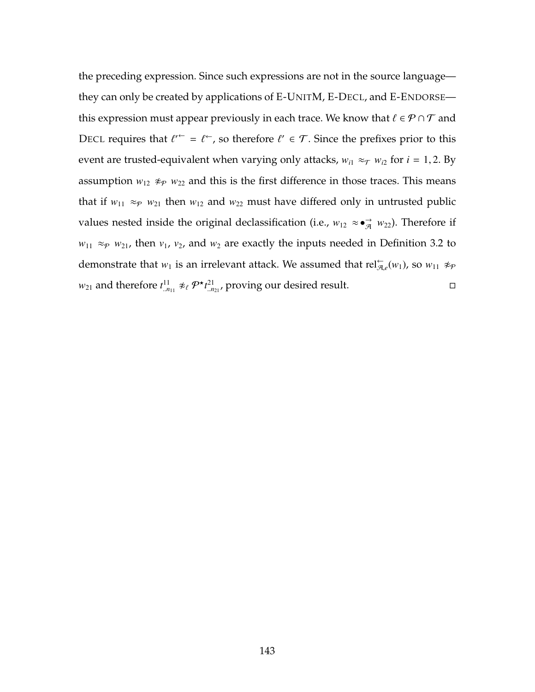the preceding expression. Since such expressions are not in the source language they can only be created by applications of [E-U](#page-111-0)NITM, [E-D](#page-111-0)ECL, and E-E[NDORSE](#page-111-0) this expression must appear previously in each trace. We know that  $\ell \in \mathcal{P} \cap \mathcal{T}$  and D[ECL](#page-114-0) requires that  $\ell^{\prime \leftarrow} = \ell^{\leftarrow}$ , so therefore  $\ell' \in \mathcal{T}$ . Since the prefixes prior to this event are trusted-equivalent when varying only attacks,  $w_{i1} \approx_{\mathcal{T}} w_{i2}$  for  $i = 1, 2$ . By assumption  $w_{12} \not\approx_{P} w_{22}$  and this is the first difference in those traces. This means that if  $w_{11} \approx_P w_{21}$  then  $w_{12}$  and  $w_{22}$  must have differed only in untrusted public values nested inside the original declassification (i.e.,  $w_{12} \approx \bullet_{\mathcal{A}} \rightarrow w_{22}$ ). Therefore if  $w_{11} \approx_{\mathcal{P}} w_{21}$ , then  $v_1$ ,  $v_2$ , and  $w_2$  are exactly the inputs needed in Definition [3.2](#page-124-0) to demonstrate that  $w_1$  is an irrelevant attack. We assumed that  $rel_{\mathcal{A},e}^{\leftarrow}(w_1)$ , so  $w_{11} \nleftrightarrow_{\mathcal{P}}$  $w_{21}$  and therefore  $t^{11}_{.n_{11}} \not\approx_{\ell} \mathcal{P}^{\star} t^{21}_{.n_{21}}$ , proving our desired result.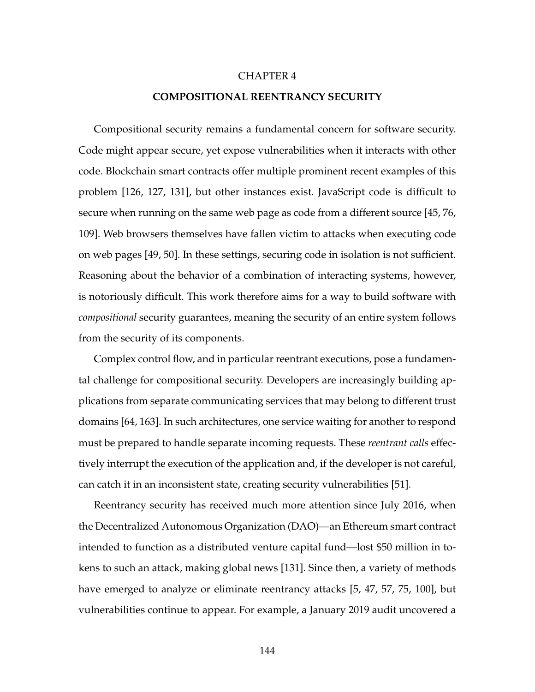#### CHAPTER 4

#### **COMPOSITIONAL REENTRANCY SECURITY**

Compositional security remains a fundamental concern for software security. Code might appear secure, yet expose vulnerabilities when it interacts with other code. Blockchain smart contracts offer multiple prominent recent examples of this problem [\[126,](#page-275-0) [127,](#page-275-1) [131\]](#page-276-0), but other instances exist. JavaScript code is difficult to secure when running on the same web page as code from a different source [\[45,](#page-264-0) [76,](#page-268-0) [109\]](#page-273-0). Web browsers themselves have fallen victim to attacks when executing code on web pages [\[49,](#page-265-0) [50\]](#page-265-1). In these settings, securing code in isolation is not sufficient. Reasoning about the behavior of a combination of interacting systems, however, is notoriously difficult. This work therefore aims for a way to build software with *compositional* security guarantees, meaning the security of an entire system follows from the security of its components.

Complex control flow, and in particular reentrant executions, pose a fundamental challenge for compositional security. Developers are increasingly building applications from separate communicating services that may belong to different trust domains [\[64,](#page-266-0) [163\]](#page-280-0). In such architectures, one service waiting for another to respond must be prepared to handle separate incoming requests. These *reentrant calls* effectively interrupt the execution of the application and, if the developer is not careful, can catch it in an inconsistent state, creating security vulnerabilities [\[51\]](#page-265-2).

Reentrancy security has received much more attention since July 2016, when the Decentralized Autonomous Organization (DAO)—an Ethereum smart contract intended to function as a distributed venture capital fund—lost \$50 million in tokens to such an attack, making global news [\[131\]](#page-276-0). Since then, a variety of methods have emerged to analyze or eliminate reentrancy attacks [\[5,](#page-258-0) [47,](#page-264-1) [57,](#page-265-3) [75,](#page-268-1) [100\]](#page-272-0), but vulnerabilities continue to appear. For example, a January 2019 audit uncovered a

144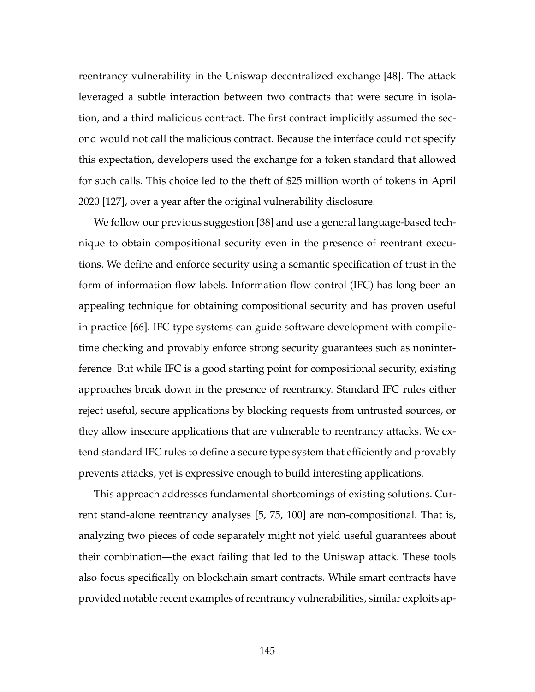reentrancy vulnerability in the Uniswap decentralized exchange [\[48\]](#page-264-2). The attack leveraged a subtle interaction between two contracts that were secure in isolation, and a third malicious contract. The first contract implicitly assumed the second would not call the malicious contract. Because the interface could not specify this expectation, developers used the exchange for a token standard that allowed for such calls. This choice led to the theft of \$25 million worth of tokens in April 2020 [\[127\]](#page-275-1), over a year after the original vulnerability disclosure.

We follow our previous suggestion [\[38\]](#page-263-0) and use a general language-based technique to obtain compositional security even in the presence of reentrant executions. We define and enforce security using a semantic specification of trust in the form of information flow labels. Information flow control (IFC) has long been an appealing technique for obtaining compositional security and has proven useful in practice [\[66\]](#page-267-0). IFC type systems can guide software development with compiletime checking and provably enforce strong security guarantees such as noninterference. But while IFC is a good starting point for compositional security, existing approaches break down in the presence of reentrancy. Standard IFC rules either reject useful, secure applications by blocking requests from untrusted sources, or they allow insecure applications that are vulnerable to reentrancy attacks. We extend standard IFC rules to define a secure type system that efficiently and provably prevents attacks, yet is expressive enough to build interesting applications.

This approach addresses fundamental shortcomings of existing solutions. Current stand-alone reentrancy analyses [\[5,](#page-258-0) [75,](#page-268-1) [100\]](#page-272-0) are non-compositional. That is, analyzing two pieces of code separately might not yield useful guarantees about their combination—the exact failing that led to the Uniswap attack. These tools also focus specifically on blockchain smart contracts. While smart contracts have provided notable recent examples of reentrancy vulnerabilities, similar exploits ap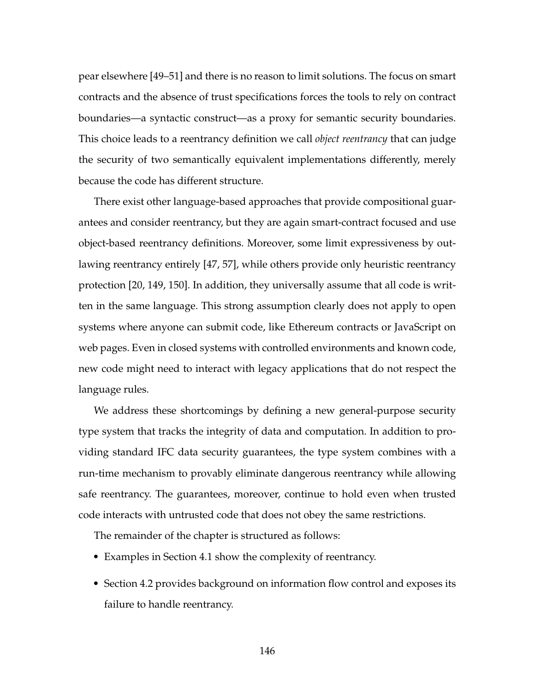pear elsewhere [\[49](#page-265-0)[–51\]](#page-265-2) and there is no reason to limit solutions. The focus on smart contracts and the absence of trust specifications forces the tools to rely on contract boundaries—a syntactic construct—as a proxy for semantic security boundaries. This choice leads to a reentrancy definition we call *object reentrancy* that can judge the security of two semantically equivalent implementations differently, merely because the code has different structure.

There exist other language-based approaches that provide compositional guarantees and consider reentrancy, but they are again smart-contract focused and use object-based reentrancy definitions. Moreover, some limit expressiveness by outlawing reentrancy entirely [\[47,](#page-264-1) [57\]](#page-265-3), while others provide only heuristic reentrancy protection [\[20,](#page-260-0) [149,](#page-278-0) [150\]](#page-278-1). In addition, they universally assume that all code is written in the same language. This strong assumption clearly does not apply to open systems where anyone can submit code, like Ethereum contracts or JavaScript on web pages. Even in closed systems with controlled environments and known code, new code might need to interact with legacy applications that do not respect the language rules.

We address these shortcomings by defining a new general-purpose security type system that tracks the integrity of data and computation. In addition to providing standard IFC data security guarantees, the type system combines with a run-time mechanism to provably eliminate dangerous reentrancy while allowing safe reentrancy. The guarantees, moreover, continue to hold even when trusted code interacts with untrusted code that does not obey the same restrictions.

The remainder of the chapter is structured as follows:

- Examples in Section [4.1](#page-161-0) show the complexity of reentrancy.
- Section [4.2](#page-167-0) provides background on information flow control and exposes its failure to handle reentrancy.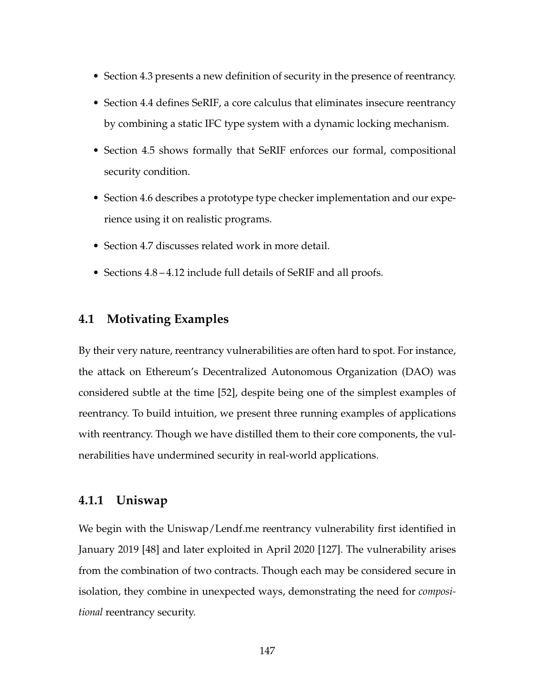- Section [4.3](#page-170-0) presents a new definition of security in the presence of reentrancy.
- Section [4.4](#page-175-0) defines SeRIF, a core calculus that eliminates insecure reentrancy by combining a static IFC type system with a dynamic locking mechanism.
- Section [4.5](#page-186-0) shows formally that SeRIF enforces our formal, compositional security condition.
- Section [4.6](#page-196-0) describes a prototype type checker implementation and our experience using it on realistic programs.
- Section [4.7](#page-198-0) discusses related work in more detail.
- <span id="page-161-0"></span>• Sections [4.8](#page-201-0) – [4.12](#page-232-0) include full details of SeRIF and all proofs.

### **4.1 Motivating Examples**

By their very nature, reentrancy vulnerabilities are often hard to spot. For instance, the attack on Ethereum's Decentralized Autonomous Organization (DAO) was considered subtle at the time [\[52\]](#page-265-4), despite being one of the simplest examples of reentrancy. To build intuition, we present three running examples of applications with reentrancy. Though we have distilled them to their core components, the vulnerabilities have undermined security in real-world applications.

### **4.1.1 Uniswap**

We begin with the Uniswap/Lendf.me reentrancy vulnerability first identified in January 2019 [\[48\]](#page-264-2) and later exploited in April 2020 [\[127\]](#page-275-1). The vulnerability arises from the combination of two contracts. Though each may be considered secure in isolation, they combine in unexpected ways, demonstrating the need for *compositional* reentrancy security.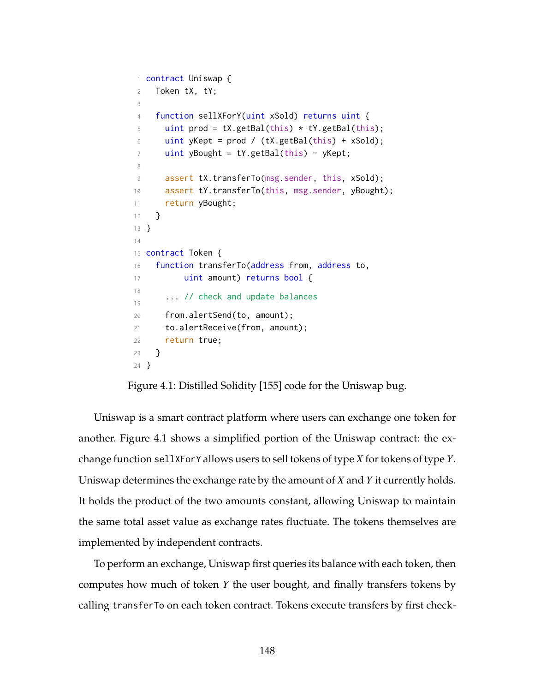```
1 contract Uniswap {
2 Token tX, tY;
3
4 function sellXForY(uint xSold) returns uint {
5 uint prod = tX.getBal(this) * tY.getBal(this);6 uint yKept = prod / (tX.getBal(this) + xSold);
7 uint yBought = tY.getBal(this) - yKept;
8
9 assert tX.transferTo(msg.sender, this, xSold);
10 assert tY.transferTo(this, msg.sender, yBought);
11 return yBought;
12 }
13 }
14
15 contract Token {
16 function transferTo(address from, address to,
17 uint amount) returns bool {
18
19
      ... // check and update balances
20 from.alertSend(to, amount);
21 to.alertReceive(from, amount);
22 return true;
23 }
24 }
```
Figure 4.1: Distilled Solidity [\[155\]](#page-279-0) code for the Uniswap bug.

Uniswap is a smart contract platform where users can exchange one token for another. Figure [4.1](#page-162-0) shows a simplified portion of the Uniswap contract: the exchange function sellXForY allows users to sell tokens of type *X* for tokens of type *Y*. Uniswap determines the exchange rate by the amount of *X* and *Y* it currently holds. It holds the product of the two amounts constant, allowing Uniswap to maintain the same total asset value as exchange rates fluctuate. The tokens themselves are implemented by independent contracts.

To perform an exchange, Uniswap first queries its balance with each token, then computes how much of token *Y* the user bought, and finally transfers tokens by calling transferTo on each token contract. Tokens execute transfers by first check-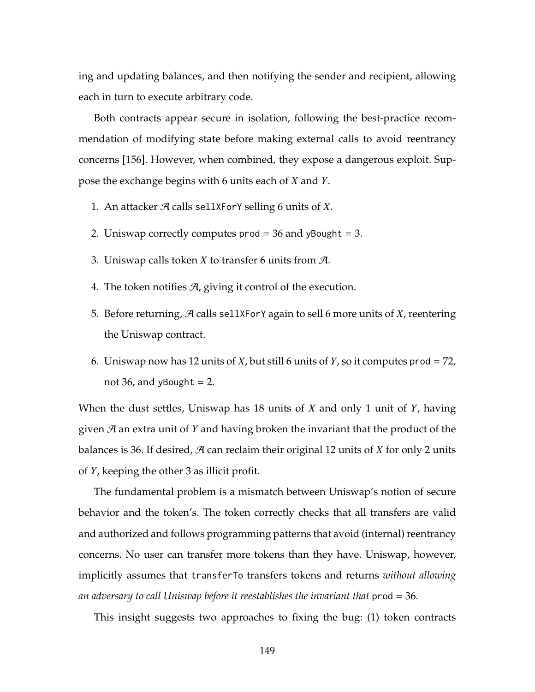ing and updating balances, and then notifying the sender and recipient, allowing each in turn to execute arbitrary code.

Both contracts appear secure in isolation, following the best-practice recommendation of modifying state before making external calls to avoid reentrancy concerns [\[156\]](#page-279-1). However, when combined, they expose a dangerous exploit. Suppose the exchange begins with 6 units each of *X* and *Y*.

- 1. An attacker A calls sellXForY selling 6 units of *X*.
- 2. Uniswap correctly computes prod = 36 and yBought = 3.
- 3. Uniswap calls token *X* to transfer 6 units from A.
- <span id="page-163-0"></span>4. The token notifies  $A$ , giving it control of the execution.
- 5. Before returning, A calls sellXForY again to sell 6 more units of *X*, reentering the Uniswap contract.
- 6. Uniswap now has 12 units of *X*, but still 6 units of *Y*, so it computes prod = 72, not 36, and yBought  $= 2$ .

When the dust settles, Uniswap has 18 units of *X* and only 1 unit of *Y*, having given A an extra unit of *Y* and having broken the invariant that the product of the balances is 36. If desired,  $\mathcal A$  can reclaim their original 12 units of  $X$  for only 2 units of *Y*, keeping the other 3 as illicit profit.

The fundamental problem is a mismatch between Uniswap's notion of secure behavior and the token's. The token correctly checks that all transfers are valid and authorized and follows programming patterns that avoid (internal) reentrancy concerns. No user can transfer more tokens than they have. Uniswap, however, implicitly assumes that transferTo transfers tokens and returns *without allowing an adversary to call Uniswap before it reestablishes the invariant that* prod = 36*.*

This insight suggests two approaches to fixing the bug: (1) token contracts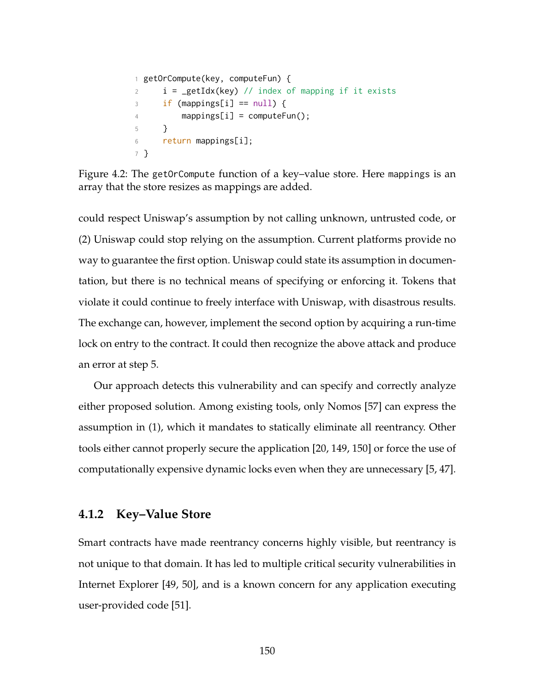```
1 getOrCompute(key, computeFun) {
2 i = getIdx(key) // index of mapping if it exists
\text{if } \text{ (mapping[}i\text{]} == \text{null} \text{)}4 mappings[i] = computeFun();
5 }
6 return mappings[i];
7 }
```
Figure 4.2: The getOrCompute function of a key–value store. Here mappings is an array that the store resizes as mappings are added.

could respect Uniswap's assumption by not calling unknown, untrusted code, or (2) Uniswap could stop relying on the assumption. Current platforms provide no way to guarantee the first option. Uniswap could state its assumption in documentation, but there is no technical means of specifying or enforcing it. Tokens that violate it could continue to freely interface with Uniswap, with disastrous results. The exchange can, however, implement the second option by acquiring a run-time lock on entry to the contract. It could then recognize the above attack and produce an error at step [5.](#page-163-0)

Our approach detects this vulnerability and can specify and correctly analyze either proposed solution. Among existing tools, only Nomos [\[57\]](#page-265-3) can express the assumption in (1), which it mandates to statically eliminate all reentrancy. Other tools either cannot properly secure the application [\[20,](#page-260-0) [149,](#page-278-0) [150\]](#page-278-1) or force the use of computationally expensive dynamic locks even when they are unnecessary [\[5,](#page-258-0) [47\]](#page-264-1).

## **4.1.2 Key–Value Store**

Smart contracts have made reentrancy concerns highly visible, but reentrancy is not unique to that domain. It has led to multiple critical security vulnerabilities in Internet Explorer [\[49,](#page-265-0) [50\]](#page-265-1), and is a known concern for any application executing user-provided code [\[51\]](#page-265-2).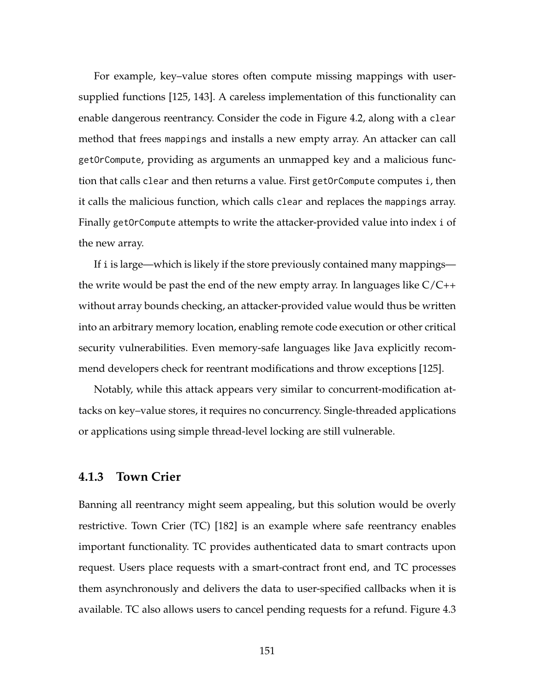For example, key–value stores often compute missing mappings with usersupplied functions [\[125,](#page-275-2) [143\]](#page-277-0). A careless implementation of this functionality can enable dangerous reentrancy. Consider the code in Figure [4.2,](#page-164-0) along with a clear method that frees mappings and installs a new empty array. An attacker can call getOrCompute, providing as arguments an unmapped key and a malicious function that calls clear and then returns a value. First getOrCompute computes i, then it calls the malicious function, which calls clear and replaces the mappings array. Finally getOrCompute attempts to write the attacker-provided value into index i of the new array.

If i is large—which is likely if the store previously contained many mappings the write would be past the end of the new empty array. In languages like C/C++ without array bounds checking, an attacker-provided value would thus be written into an arbitrary memory location, enabling remote code execution or other critical security vulnerabilities. Even memory-safe languages like Java explicitly recommend developers check for reentrant modifications and throw exceptions [\[125\]](#page-275-2).

Notably, while this attack appears very similar to concurrent-modification attacks on key–value stores, it requires no concurrency. Single-threaded applications or applications using simple thread-level locking are still vulnerable.

### **4.1.3 Town Crier**

Banning all reentrancy might seem appealing, but this solution would be overly restrictive. Town Crier (TC) [\[182\]](#page-283-0) is an example where safe reentrancy enables important functionality. TC provides authenticated data to smart contracts upon request. Users place requests with a smart-contract front end, and TC processes them asynchronously and delivers the data to user-specified callbacks when it is available. TC also allows users to cancel pending requests for a refund. Figure [4.3](#page-166-0)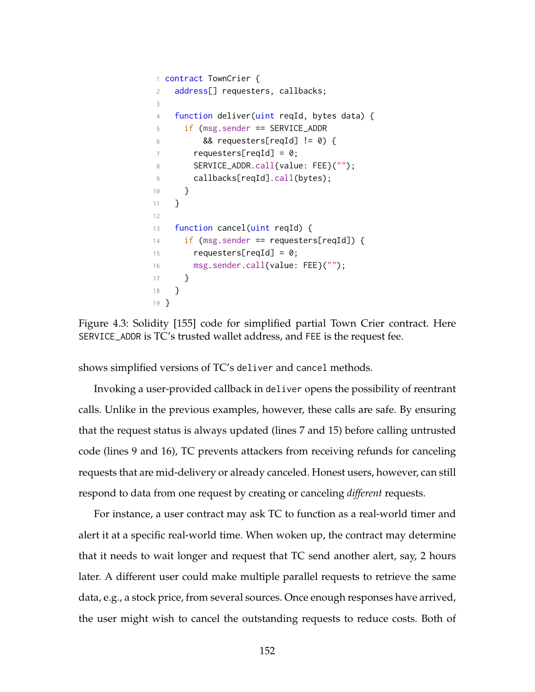```
1 contract TownCrier {
2 address[] requesters, callbacks;
3
4 function deliver(uint reqId, bytes data) {
5 if (msg.sender == SERVICE_ADDR
6 \qquad 88 \text{ requests}[\text{reqId}] := 0 {
7 requesters[reqId] = 0;
8 SERVICE_ADDR.call{value: FEE}("");
9 callbacks[reqId].call(bytes);
10 }
11 }
12
13 function cancel(uint reqId) {
14 if (msg.sender == requesters[reqId]) {
15 requesters[reqId] = 0;
16 msg.sender.call{value: FEE}("");
17 }
18 }
19 }
```
<span id="page-166-4"></span><span id="page-166-2"></span>Figure 4.3: Solidity [\[155\]](#page-279-0) code for simplified partial Town Crier contract. Here SERVICE\_ADDR is TC's trusted wallet address, and FEE is the request fee.

shows simplified versions of TC's deliver and cancel methods.

Invoking a user-provided callback in deliver opens the possibility of reentrant calls. Unlike in the previous examples, however, these calls are safe. By ensuring that the request status is always updated (lines [7](#page-166-1) and [15\)](#page-166-2) before calling untrusted code (lines [9](#page-166-3) and [16\)](#page-166-4), TC prevents attackers from receiving refunds for canceling requests that are mid-delivery or already canceled. Honest users, however, can still respond to data from one request by creating or canceling *different* requests.

For instance, a user contract may ask TC to function as a real-world timer and alert it at a specific real-world time. When woken up, the contract may determine that it needs to wait longer and request that TC send another alert, say, 2 hours later. A different user could make multiple parallel requests to retrieve the same data, e.g., a stock price, from several sources. Once enough responses have arrived, the user might wish to cancel the outstanding requests to reduce costs. Both of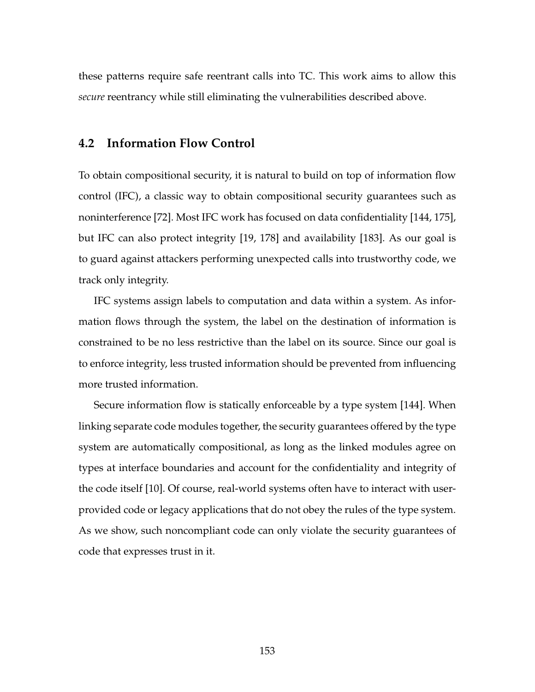<span id="page-167-0"></span>these patterns require safe reentrant calls into TC. This work aims to allow this *secure* reentrancy while still eliminating the vulnerabilities described above.

#### **4.2 Information Flow Control**

To obtain compositional security, it is natural to build on top of information flow control (IFC), a classic way to obtain compositional security guarantees such as noninterference [\[72\]](#page-268-2). Most IFC work has focused on data confidentiality [\[144,](#page-277-1) [175\]](#page-281-0), but IFC can also protect integrity [\[19,](#page-260-1) [178\]](#page-282-0) and availability [\[183\]](#page-283-1). As our goal is to guard against attackers performing unexpected calls into trustworthy code, we track only integrity.

IFC systems assign labels to computation and data within a system. As information flows through the system, the label on the destination of information is constrained to be no less restrictive than the label on its source. Since our goal is to enforce integrity, less trusted information should be prevented from influencing more trusted information.

<span id="page-167-1"></span>Secure information flow is statically enforceable by a type system [\[144\]](#page-277-1). When linking separate code modules together, the security guarantees offered by the type system are automatically compositional, as long as the linked modules agree on types at interface boundaries and account for the confidentiality and integrity of the code itself [\[10\]](#page-259-0). Of course, real-world systems often have to interact with userprovided code or legacy applications that do not obey the rules of the type system. As we show, such noncompliant code can only violate the security guarantees of code that expresses trust in it.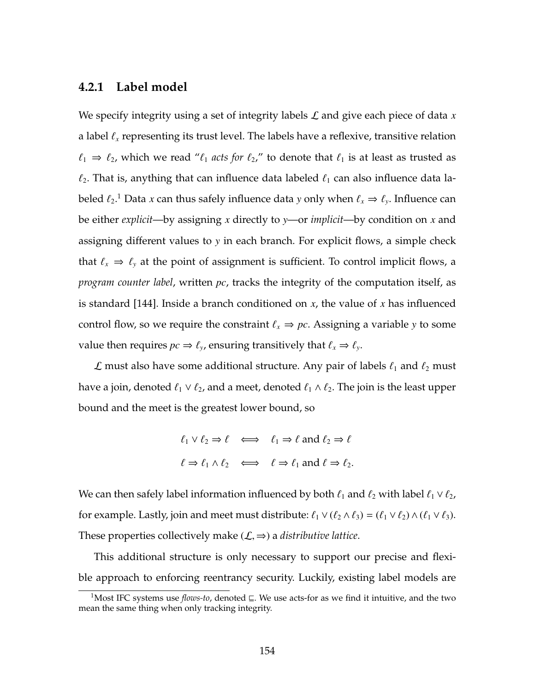### **4.2.1 Label model**

We specify integrity using a set of integrity labels L and give each piece of data *x* a label  $\ell_x$  representing its trust level. The labels have a reflexive, transitive relation  $\ell_1 \Rightarrow \ell_2$ , which we read " $\ell_1$  *acts for*  $\ell_2$ ," to denote that  $\ell_1$  is at least as trusted as  $\ell_2$ . That is, anything that can influence data labeled  $\ell_1$  can also influence data labeled  $\ell_2$ .<sup>[1](#page-168-0)</sup> Data *x* can thus safely influence data *y* only when  $\ell_x \Rightarrow \ell_y$ . Influence can be either *explicit*—by assigning *x* directly to *y*—or *implicit*—by condition on *x* and assigning different values to *y* in each branch. For explicit flows, a simple check that  $\ell_x \Rightarrow \ell_y$  at the point of assignment is sufficient. To control implicit flows, a *program counter label*, written *pc*, tracks the integrity of the computation itself, as is standard [\[144\]](#page-277-1). Inside a branch conditioned on *x*, the value of *x* has influenced control flow, so we require the constraint  $\ell_x \Rightarrow pc$ . Assigning a variable *y* to some value then requires  $pc \Rightarrow \ell_y$ , ensuring transitively that  $\ell_x \Rightarrow \ell_y$ .

 $\mathcal L$  must also have some additional structure. Any pair of labels  $\ell_1$  and  $\ell_2$  must have a join, denoted  $\ell_1 \vee \ell_2$ , and a meet, denoted  $\ell_1 \wedge \ell_2$ . The join is the least upper bound and the meet is the greatest lower bound, so

$$
\ell_1 \lor \ell_2 \Rightarrow \ell \iff \ell_1 \Rightarrow \ell \text{ and } \ell_2 \Rightarrow \ell
$$
  

$$
\ell \Rightarrow \ell_1 \land \ell_2 \iff \ell \Rightarrow \ell_1 \text{ and } \ell \Rightarrow \ell_2.
$$

We can then safely label information influenced by both  $\ell_1$  and  $\ell_2$  with label  $\ell_1 \vee \ell_2$ , for example. Lastly, join and meet must distribute:  $\ell_1 \vee (\ell_2 \wedge \ell_3) = (\ell_1 \vee \ell_2) \wedge (\ell_1 \vee \ell_3)$ . These properties collectively make  $(\mathcal{L}, \Rightarrow)$  a *distributive lattice*.

This additional structure is only necessary to support our precise and flexible approach to enforcing reentrancy security. Luckily, existing label models are

<span id="page-168-0"></span><sup>&</sup>lt;sup>1</sup>Most IFC systems use *flows-to*, denoted  $\subseteq$ . We use acts-for as we find it intuitive, and the two mean the same thing when only tracking integrity.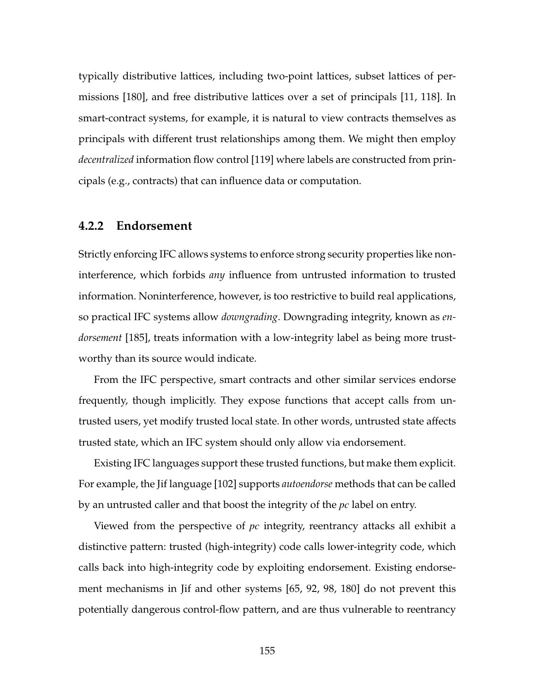typically distributive lattices, including two-point lattices, subset lattices of permissions [\[180\]](#page-282-1), and free distributive lattices over a set of principals [\[11,](#page-259-1) [118\]](#page-274-1). In smart-contract systems, for example, it is natural to view contracts themselves as principals with different trust relationships among them. We might then employ *decentralized* information flow control [\[119\]](#page-274-2) where labels are constructed from principals (e.g., contracts) that can influence data or computation.

#### <span id="page-169-0"></span>**4.2.2 Endorsement**

Strictly enforcing IFC allows systems to enforce strong security properties like noninterference, which forbids *any* influence from untrusted information to trusted information. Noninterference, however, is too restrictive to build real applications, so practical IFC systems allow *downgrading*. Downgrading integrity, known as *endorsement* [\[185\]](#page-283-2), treats information with a low-integrity label as being more trustworthy than its source would indicate.

From the IFC perspective, smart contracts and other similar services endorse frequently, though implicitly. They expose functions that accept calls from untrusted users, yet modify trusted local state. In other words, untrusted state affects trusted state, which an IFC system should only allow via endorsement.

Existing IFC languages support these trusted functions, but make them explicit. For example, the Jif language [\[102\]](#page-272-1) supports *autoendorse* methods that can be called by an untrusted caller and that boost the integrity of the *pc* label on entry.

Viewed from the perspective of *pc* integrity, reentrancy attacks all exhibit a distinctive pattern: trusted (high-integrity) code calls lower-integrity code, which calls back into high-integrity code by exploiting endorsement. Existing endorsement mechanisms in Jif and other systems [\[65,](#page-266-1) [92,](#page-271-0) [98,](#page-271-1) [180\]](#page-282-1) do not prevent this potentially dangerous control-flow pattern, and are thus vulnerable to reentrancy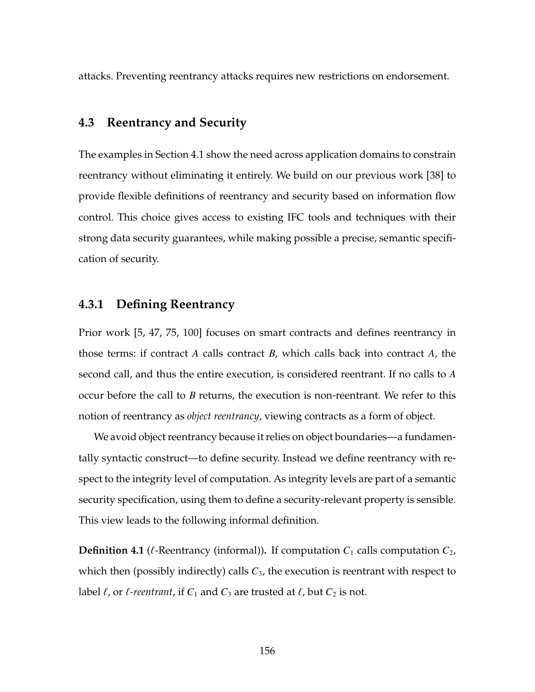<span id="page-170-0"></span>attacks. Preventing reentrancy attacks requires new restrictions on endorsement.

## **4.3 Reentrancy and Security**

The examples in Section [4.1](#page-161-0) show the need across application domains to constrain reentrancy without eliminating it entirely. We build on our previous work [\[38\]](#page-263-0) to provide flexible definitions of reentrancy and security based on information flow control. This choice gives access to existing IFC tools and techniques with their strong data security guarantees, while making possible a precise, semantic specification of security.

## **4.3.1 Defining Reentrancy**

Prior work [\[5,](#page-258-0) [47,](#page-264-1) [75,](#page-268-1) [100\]](#page-272-0) focuses on smart contracts and defines reentrancy in those terms: if contract *A* calls contract *B*, which calls back into contract *A*, the second call, and thus the entire execution, is considered reentrant. If no calls to *A* occur before the call to *B* returns, the execution is non-reentrant. We refer to this notion of reentrancy as *object reentrancy*, viewing contracts as a form of object.

We avoid object reentrancy because it relies on object boundaries—a fundamentally syntactic construct—to define security. Instead we define reentrancy with respect to the integrity level of computation. As integrity levels are part of a semantic security specification, using them to define a security-relevant property is sensible. This view leads to the following informal definition.

**Definition 4.1** ( $\ell$ -Reentrancy (informal)). If computation  $C_1$  calls computation  $C_2$ , which then (possibly indirectly) calls *C*3, the execution is reentrant with respect to label  $\ell$ , or  $\ell$ -reentrant, if  $C_1$  and  $C_3$  are trusted at  $\ell$ , but  $C_2$  is not.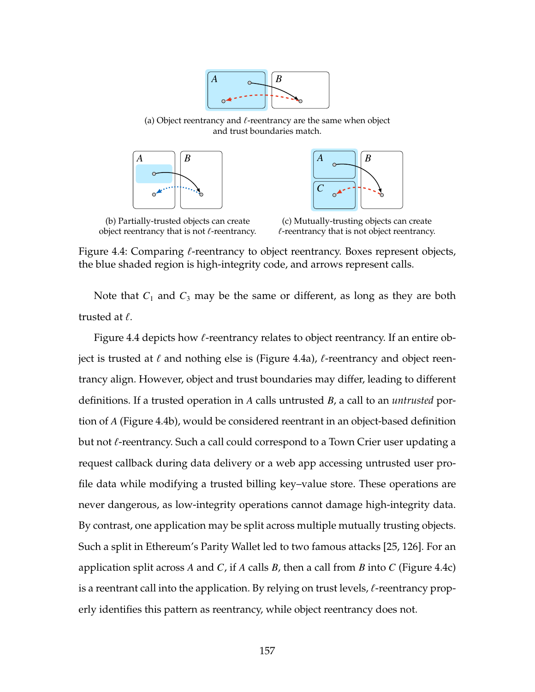

<span id="page-171-0"></span>(a) Object reentrancy and  $\ell$ -reentrancy are the same when object and trust boundaries match.





(b) Partially-trusted objects can create object reentrancy that is not  $\ell$ -reentrancy.

(c) Mutually-trusting objects can create  $\ell$ -reentrancy that is not object reentrancy.

Figure 4.4: Comparing  $\ell$ -reentrancy to object reentrancy. Boxes represent objects, the blue shaded region is high-integrity code, and arrows represent calls.

Note that  $C_1$  and  $C_3$  may be the same or different, as long as they are both trusted at  $\ell$ .

Figure [4.4](#page-171-0) depicts how  $\ell$ -reentrancy relates to object reentrancy. If an entire object is trusted at  $\ell$  and nothing else is (Figure [4.4a\)](#page-171-0),  $\ell$ -reentrancy and object reentrancy align. However, object and trust boundaries may differ, leading to different definitions. If a trusted operation in *A* calls untrusted *B*, a call to an *untrusted* portion of *A* (Figure [4.4b\)](#page-171-0), would be considered reentrant in an object-based definition but not  $\ell$ -reentrancy. Such a call could correspond to a Town Crier user updating a request callback during data delivery or a web app accessing untrusted user profile data while modifying a trusted billing key–value store. These operations are never dangerous, as low-integrity operations cannot damage high-integrity data. By contrast, one application may be split across multiple mutually trusting objects. Such a split in Ethereum's Parity Wallet led to two famous attacks [\[25,](#page-261-0) [126\]](#page-275-0). For an application split across *A* and *C*, if *A* calls *B*, then a call from *B* into *C* (Figure [4.4c\)](#page-171-0) is a reentrant call into the application. By relying on trust levels,  $\ell$ -reentrancy properly identifies this pattern as reentrancy, while object reentrancy does not.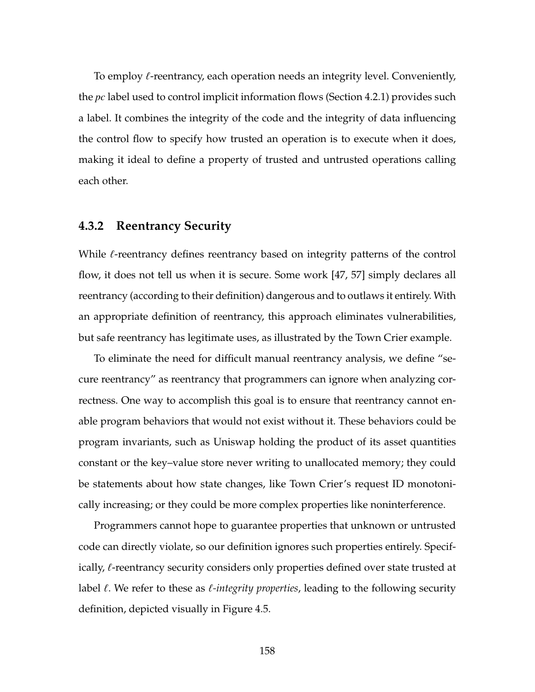To employ  $\ell$ -reentrancy, each operation needs an integrity level. Conveniently, the *pc* label used to control implicit information flows (Section [4.2.1\)](#page-167-1) provides such a label. It combines the integrity of the code and the integrity of data influencing the control flow to specify how trusted an operation is to execute when it does, making it ideal to define a property of trusted and untrusted operations calling each other.

#### **4.3.2 Reentrancy Security**

While  $\ell$ -reentrancy defines reentrancy based on integrity patterns of the control flow, it does not tell us when it is secure. Some work [\[47,](#page-264-1) [57\]](#page-265-3) simply declares all reentrancy (according to their definition) dangerous and to outlaws it entirely. With an appropriate definition of reentrancy, this approach eliminates vulnerabilities, but safe reentrancy has legitimate uses, as illustrated by the Town Crier example.

To eliminate the need for difficult manual reentrancy analysis, we define "secure reentrancy" as reentrancy that programmers can ignore when analyzing correctness. One way to accomplish this goal is to ensure that reentrancy cannot enable program behaviors that would not exist without it. These behaviors could be program invariants, such as Uniswap holding the product of its asset quantities constant or the key–value store never writing to unallocated memory; they could be statements about how state changes, like Town Crier's request ID monotonically increasing; or they could be more complex properties like noninterference.

Programmers cannot hope to guarantee properties that unknown or untrusted code can directly violate, so our definition ignores such properties entirely. Specifically,  $\ell$ -reentrancy security considers only properties defined over state trusted at label  $\ell$ . We refer to these as  $\ell$ -*integrity properties*, leading to the following security definition, depicted visually in Figure [4.5.](#page-173-0)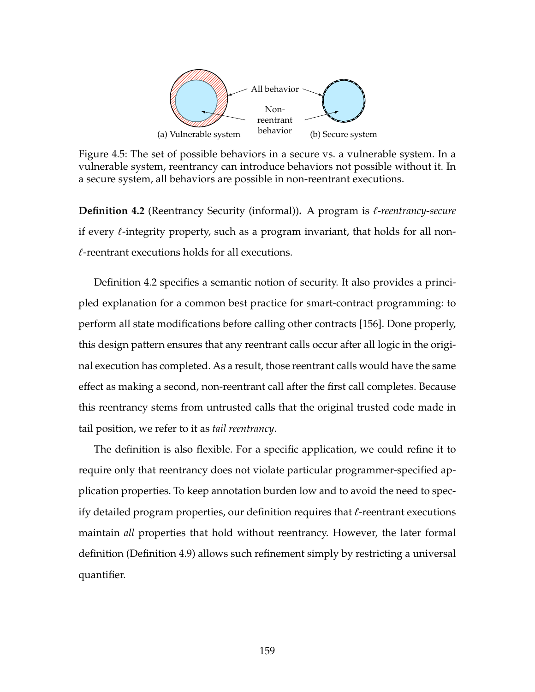<span id="page-173-0"></span>

Figure 4.5: The set of possible behaviors in a secure vs. a vulnerable system. In a vulnerable system, reentrancy can introduce behaviors not possible without it. In a secure system, all behaviors are possible in non-reentrant executions.

<span id="page-173-1"></span>**Definition 4.2** (Reentrancy Security (informal)). A program is *l*-reentrancy-secure if every  $\ell$ -integrity property, such as a program invariant, that holds for all non- $\ell$ -reentrant executions holds for all executions.

Definition [4.2](#page-173-1) specifies a semantic notion of security. It also provides a principled explanation for a common best practice for smart-contract programming: to perform all state modifications before calling other contracts [\[156\]](#page-279-1). Done properly, this design pattern ensures that any reentrant calls occur after all logic in the original execution has completed. As a result, those reentrant calls would have the same effect as making a second, non-reentrant call after the first call completes. Because this reentrancy stems from untrusted calls that the original trusted code made in tail position, we refer to it as *tail reentrancy*.

The definition is also flexible. For a specific application, we could refine it to require only that reentrancy does not violate particular programmer-specified application properties. To keep annotation burden low and to avoid the need to specify detailed program properties, our definition requires that  $\ell$ -reentrant executions maintain *all* properties that hold without reentrancy. However, the later formal definition (Definition [4.9\)](#page-194-0) allows such refinement simply by restricting a universal quantifier.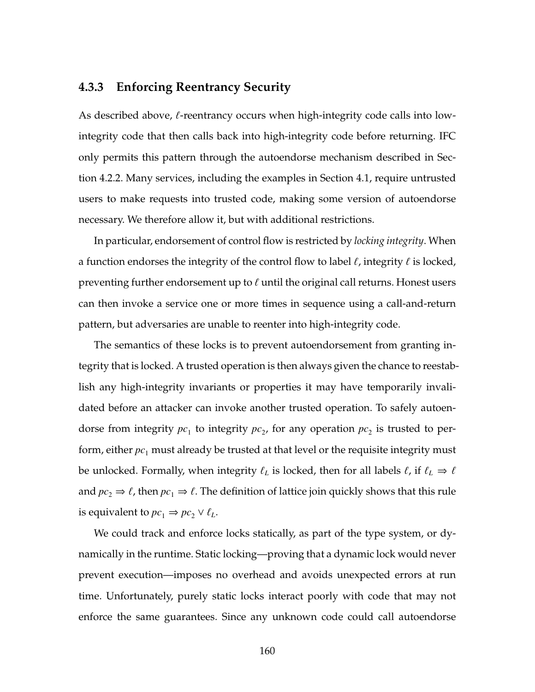# **4.3.3 Enforcing Reentrancy Security**

As described above,  $\ell$ -reentrancy occurs when high-integrity code calls into lowintegrity code that then calls back into high-integrity code before returning. IFC only permits this pattern through the autoendorse mechanism described in Section [4.2.2.](#page-169-0) Many services, including the examples in Section [4.1,](#page-161-0) require untrusted users to make requests into trusted code, making some version of autoendorse necessary. We therefore allow it, but with additional restrictions.

In particular, endorsement of control flow is restricted by *locking integrity*. When a function endorses the integrity of the control flow to label  $\ell$ , integrity  $\ell$  is locked, preventing further endorsement up to  $\ell$  until the original call returns. Honest users can then invoke a service one or more times in sequence using a call-and-return pattern, but adversaries are unable to reenter into high-integrity code.

The semantics of these locks is to prevent autoendorsement from granting integrity that is locked. A trusted operation is then always given the chance to reestablish any high-integrity invariants or properties it may have temporarily invalidated before an attacker can invoke another trusted operation. To safely autoendorse from integrity  $pc_1$  to integrity  $pc_2$ , for any operation  $pc_2$  is trusted to perform, either  $pc_1$  must already be trusted at that level or the requisite integrity must be unlocked. Formally, when integrity  $\ell_L$  is locked, then for all labels  $\ell$ , if  $\ell_L \Rightarrow \ell$ and  $pc_2 \Rightarrow \ell$ , then  $pc_1 \Rightarrow \ell$ . The definition of lattice join quickly shows that this rule is equivalent to  $pc_1 \Rightarrow pc_2 \vee \ell_L$ .

We could track and enforce locks statically, as part of the type system, or dynamically in the runtime. Static locking—proving that a dynamic lock would never prevent execution—imposes no overhead and avoids unexpected errors at run time. Unfortunately, purely static locks interact poorly with code that may not enforce the same guarantees. Since any unknown code could call autoendorse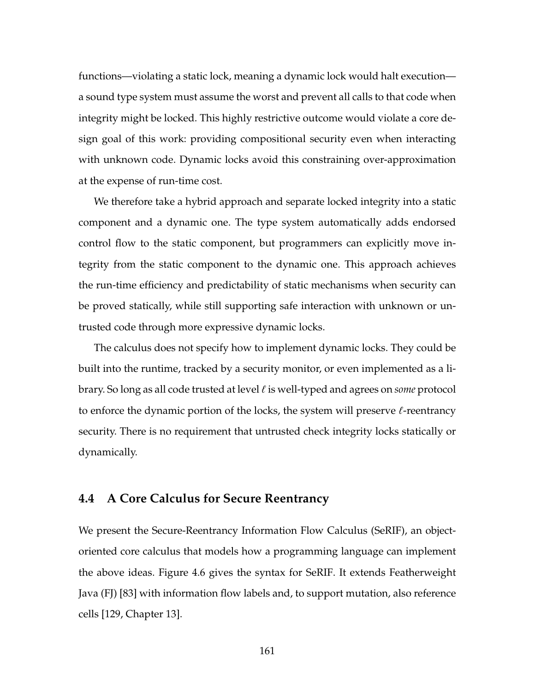functions—violating a static lock, meaning a dynamic lock would halt execution a sound type system must assume the worst and prevent all calls to that code when integrity might be locked. This highly restrictive outcome would violate a core design goal of this work: providing compositional security even when interacting with unknown code. Dynamic locks avoid this constraining over-approximation at the expense of run-time cost.

We therefore take a hybrid approach and separate locked integrity into a static component and a dynamic one. The type system automatically adds endorsed control flow to the static component, but programmers can explicitly move integrity from the static component to the dynamic one. This approach achieves the run-time efficiency and predictability of static mechanisms when security can be proved statically, while still supporting safe interaction with unknown or untrusted code through more expressive dynamic locks.

The calculus does not specify how to implement dynamic locks. They could be built into the runtime, tracked by a security monitor, or even implemented as a library. So long as all code trusted at level ` is well-typed and agrees on *some* protocol to enforce the dynamic portion of the locks, the system will preserve  $\ell$ -reentrancy security. There is no requirement that untrusted check integrity locks statically or dynamically.

#### <span id="page-175-0"></span>**4.4 A Core Calculus for Secure Reentrancy**

We present the Secure-Reentrancy Information Flow Calculus (SeRIF), an objectoriented core calculus that models how a programming language can implement the above ideas. Figure [4.6](#page-176-0) gives the syntax for SeRIF. It extends Featherweight Java (FJ) [\[83\]](#page-269-0) with information flow labels and, to support mutation, also reference cells [\[129,](#page-275-3) Chapter 13].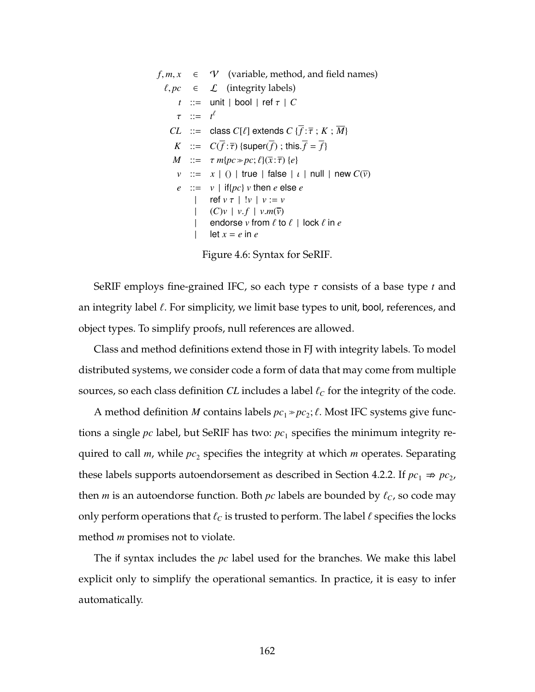<span id="page-176-0"></span> $f, m, x \in \mathcal{V}$  (variable, method, and field names)  $\ell, pc \in \mathcal{L}$  (integrity labels)  $t$  ::= unit | bool | ref  $\tau$  |  $C$  $\tau$  ::=  $t^{\ell}$ *CL* ::= class *C*[ $\ell$ ] extends *C* { $\overline{f}$  :  $\overline{\tau}$  ; *K* ;  $\overline{M}$ } *K* ::=  $C(\overline{f} : \overline{\tau})$  {super( $\overline{f}$ ); this.  $\overline{f} = \overline{f}$ } *M* ::=  $\tau m\{pc \gg pc; \ell\}(\overline{x} : \overline{\tau}) \{e\}$ *v* ::=  $x \mid ()$  | true | false |  $\iota$  | null | new  $C(\overline{v})$  $e$  ::=  $v$  | if{ $pc$ }  $v$  then  $e$  else  $e$ | ref  $v \tau$  |  $!v$  |  $v := v$ |  $(C)v$  |  $v.f$  |  $v.m(\overline{v})$ <br>| endorse  $v$  from  $\ell$  to endorse *v* from  $\ell$  to  $\ell$  | lock  $\ell$  in  $e$ | let  $x = e$  in  $e$ 

Figure 4.6: Syntax for SeRIF.

SeRIF employs fine-grained IFC, so each type τ consists of a base type *t* and an integrity label  $\ell$ . For simplicity, we limit base types to unit, bool, references, and object types. To simplify proofs, null references are allowed.

Class and method definitions extend those in FJ with integrity labels. To model distributed systems, we consider code a form of data that may come from multiple sources, so each class definition  $CL$  includes a label  $\ell_C$  for the integrity of the code.

A method definition *M* contains labels  $pc_1 \gg pc_2$ ;  $\ell$ . Most IFC systems give functions a single *pc* label, but SeRIF has two:  $pc<sub>1</sub>$  specifies the minimum integrity required to call *m*, while  $pc_2$  specifies the integrity at which *m* operates. Separating these labels supports autoendorsement as described in Section [4.2.2.](#page-169-0) If  $pc_1 \Rightarrow pc_2$ , then *m* is an autoendorse function. Both  $pc$  labels are bounded by  $\ell_c$ , so code may only perform operations that  $\ell_c$  is trusted to perform. The label  $\ell$  specifies the locks method *m* promises not to violate.

The if syntax includes the *pc* label used for the branches. We make this label explicit only to simplify the operational semantics. In practice, it is easy to infer automatically.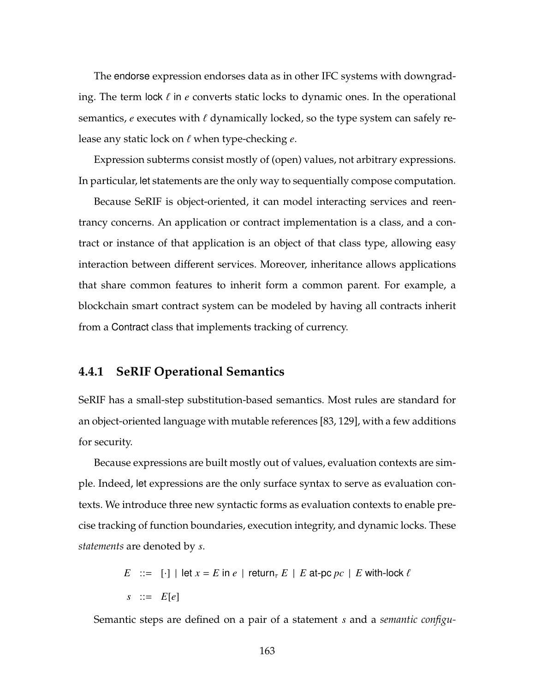The endorse expression endorses data as in other IFC systems with downgrading. The term lock  $\ell$  in  $e$  converts static locks to dynamic ones. In the operational semantics,  $e$  executes with  $\ell$  dynamically locked, so the type system can safely release any static lock on  $\ell$  when type-checking  $e$ .

Expression subterms consist mostly of (open) values, not arbitrary expressions. In particular, let statements are the only way to sequentially compose computation.

Because SeRIF is object-oriented, it can model interacting services and reentrancy concerns. An application or contract implementation is a class, and a contract or instance of that application is an object of that class type, allowing easy interaction between different services. Moreover, inheritance allows applications that share common features to inherit form a common parent. For example, a blockchain smart contract system can be modeled by having all contracts inherit from a Contract class that implements tracking of currency.

## **4.4.1 SeRIF Operational Semantics**

SeRIF has a small-step substitution-based semantics. Most rules are standard for an object-oriented language with mutable references [\[83,](#page-269-0) [129\]](#page-275-3), with a few additions for security.

Because expressions are built mostly out of values, evaluation contexts are simple. Indeed, let expressions are the only surface syntax to serve as evaluation contexts. We introduce three new syntactic forms as evaluation contexts to enable precise tracking of function boundaries, execution integrity, and dynamic locks. These *statements* are denoted by *s*.

> $E$  ::= [·] | let  $x = E$  in  $e$  | return<sub> $\tau$ </sub>  $E$  |  $E$  at-pc  $pc$  |  $E$  with-lock  $\ell$  $s$  ::=  $E[e]$

Semantic steps are defined on a pair of a statement *s* and a *semantic configu-*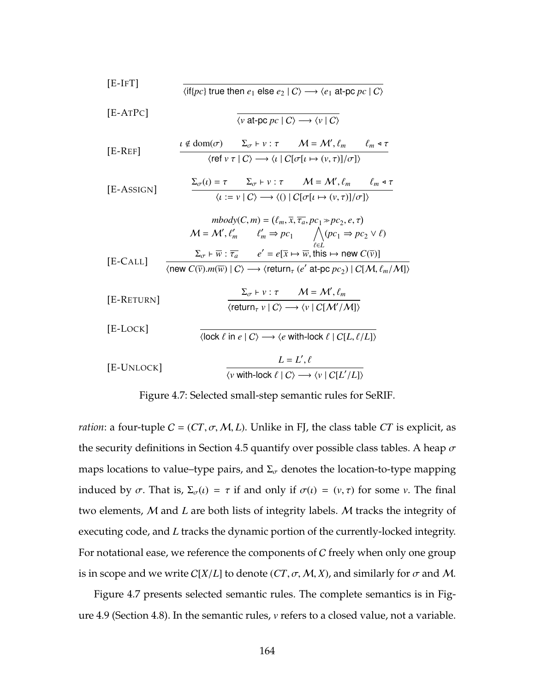<span id="page-178-0"></span>[**E-IFT**]   
\n(**if**
$$
[\rho c]
$$
 true then  $e_1$  else  $e_2 | C \rangle \rightarrow \langle e_1$  at  $\neg$   $\rho c | C \rangle$   
\n[**E-ATPC**]  
\n( $\nabla$  at  $\neg$   $\rho c | C \rightarrow \langle v | C \rangle$   
\n[**E-REF**]  
\n
$$
\frac{\iota \notin \text{dom}(\sigma) \quad \Sigma_{\sigma} + \nu : \tau \quad M = \mathcal{M}', \ell_m \quad \ell_m \triangleq \tau}{\langle \text{ref } \nu \tau | C \rangle \rightarrow \langle \iota | C[\sigma[\iota \mapsto (\nu, \tau)]/\sigma] \rangle}
$$
\n[**E-ASSIGN**]  
\n
$$
\frac{\Sigma_{\sigma}(\iota) = \tau \quad \Sigma_{\sigma} + \nu : \tau \quad M = \mathcal{M}', \ell_m \quad \ell_m \triangleq \tau}{\langle \iota := \nu | C \rangle \rightarrow \langle 0 | C[\sigma[\iota \mapsto (\nu, \tau)]/\sigma] \rangle}
$$
\n
$$
\frac{\text{mody}(C, m) = (\ell_m, \bar{x}, \overline{\tau}_a, pc_1 \gg pc_2, e, \tau)}{\mathcal{M} = \mathcal{M}', \ell'_m \quad \ell'_m \Rightarrow pc_1 \quad \bigwedge_{\tau \in \ell} (pc_1 \Rightarrow pc_2 \vee \ell)}
$$
\n[**E-CALL**]  
\n
$$
\frac{\Sigma_{\sigma} + \overline{w} : \overline{\tau}_a \quad e' = e[\overline{x} \mapsto \overline{w}, \text{this} \mapsto \text{new } C(\overline{v})]}
$$
\n[**E-RETLIN**]  
\n
$$
\frac{\Sigma_{\sigma} + \nu : \tau \quad M = \mathcal{M}', \ell_m}{\langle \text{return}_{\tau} \nu | C \rangle \rightarrow \langle \nu | C[\mathcal{M}', \mathcal{M}])}
$$
\n[**E-LocK**]  
\n
$$
\frac{\Sigma_{\sigma} + \nu : \tau \quad M = \mathcal{M}', \ell_m}{\langle \text{lock } \ell \text{ in } e | C \rangle \rightarrow \langle e \text{ with-lock } \ell | C[L, \ell/L] \rangle}
$$
\n[**E-UNCK**]  
\n
$$
\frac
$$

Figure 4.7: Selected small-step semantic rules for SeRIF.

*ration*: a four-tuple  $C = (CT, \sigma, M, L)$ . Unlike in FJ, the class table *CT* is explicit, as the security definitions in Section [4.5](#page-186-0) quantify over possible class tables. A heap  $\sigma$ maps locations to value–type pairs, and  $\Sigma_{\sigma}$  denotes the location-to-type mapping induced by  $\sigma$ . That is,  $\Sigma_{\sigma}(t) = \tau$  if and only if  $\sigma(t) = (v, \tau)$  for some *v*. The final two elements, M and *L* are both lists of integrity labels. M tracks the integrity of executing code, and *L* tracks the dynamic portion of the currently-locked integrity. For notational ease, we reference the components of  $C$  freely when only one group is in scope and we write  $C[X/L]$  to denote  $(CT, \sigma, M, X)$ , and similarly for  $\sigma$  and M.

Figure [4.7](#page-178-0) presents selected semantic rules. The complete semantics is in Figure [4.9](#page-203-0) (Section [4.8\)](#page-201-0). In the semantic rules, *v* refers to a closed value, not a variable.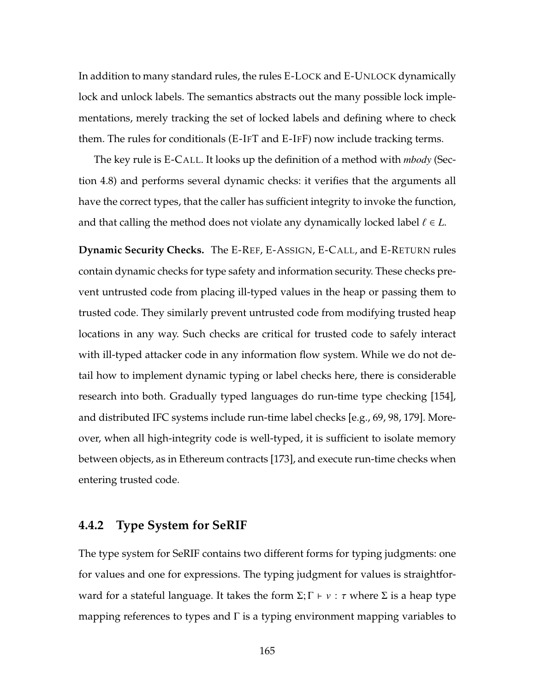In addition to many standard rules, the rules [E-L](#page-178-0)OCK and E-U[NLOCK](#page-178-0) dynamically lock and unlock labels. The semantics abstracts out the many possible lock implementations, merely tracking the set of locked labels and defining where to check them. The rules for conditionals [\(E-I](#page-178-0)FT and [E-I](#page-202-0)FF) now include tracking terms.

The key rule is [E-C](#page-178-0)ALL. It looks up the definition of a method with *mbody* (Section [4.8\)](#page-201-0) and performs several dynamic checks: it verifies that the arguments all have the correct types, that the caller has sufficient integrity to invoke the function, and that calling the method does not violate any dynamically locked label  $\ell \in L$ .

**Dynamic Security Checks.** The [E-R](#page-178-0)EF, E-A[SSIGN](#page-178-0), [E-C](#page-178-0)ALL, and E-R[ETURN](#page-178-0) rules contain dynamic checks for type safety and information security. These checks prevent untrusted code from placing ill-typed values in the heap or passing them to trusted code. They similarly prevent untrusted code from modifying trusted heap locations in any way. Such checks are critical for trusted code to safely interact with ill-typed attacker code in any information flow system. While we do not detail how to implement dynamic typing or label checks here, there is considerable research into both. Gradually typed languages do run-time type checking [\[154\]](#page-279-2), and distributed IFC systems include run-time label checks [e.g., [69,](#page-267-1) [98,](#page-271-1) [179\]](#page-282-2). Moreover, when all high-integrity code is well-typed, it is sufficient to isolate memory between objects, as in Ethereum contracts [\[173\]](#page-281-1), and execute run-time checks when entering trusted code.

# **4.4.2 Type System for SeRIF**

The type system for SeRIF contains two different forms for typing judgments: one for values and one for expressions. The typing judgment for values is straightforward for a stateful language. It takes the form  $\Sigma$ ;  $\Gamma \vdash \nu : \tau$  where  $\Sigma$  is a heap type mapping references to types and  $\Gamma$  is a typing environment mapping variables to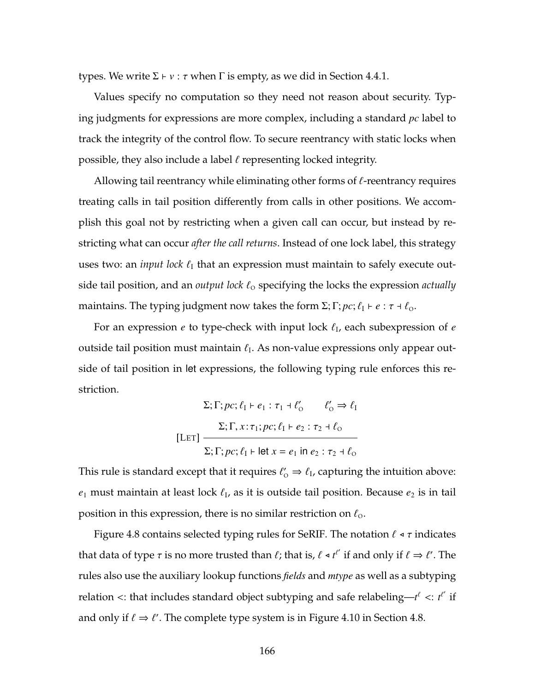types. We write  $\Sigma \vdash v : τ$  when Γ is empty, as we did in Section [4.4.1.](#page-177-0)

Values specify no computation so they need not reason about security. Typing judgments for expressions are more complex, including a standard *pc* label to track the integrity of the control flow. To secure reentrancy with static locks when possible, they also include a label  $\ell$  representing locked integrity.

Allowing tail reentrancy while eliminating other forms of  $\ell$ -reentrancy requires treating calls in tail position differently from calls in other positions. We accomplish this goal not by restricting when a given call can occur, but instead by restricting what can occur *after the call returns*. Instead of one lock label, this strategy uses two: an *input lock*  $\ell_1$  that an expression must maintain to safely execute outside tail position, and an *output lock*  $\ell_0$  specifying the locks the expression *actually* maintains. The typing judgment now takes the form  $\Sigma$ ;  $\Gamma$ ;  $pc$ ;  $\ell_1 \vdash e : \tau \dashv \ell_0$ .

For an expression *e* to type-check with input lock  $\ell_{\rm I}$ , each subexpression of *e* outside tail position must maintain  $\ell_I$ . As non-value expressions only appear outside of tail position in let expressions, the following typing rule enforces this restriction.

$$
\Sigma; \Gamma; pc; \ell_1 \vdash e_1 : \tau_1 \dashv \ell'_0 \qquad \ell'_0 \Rightarrow \ell_1
$$

$$
\Sigma; \Gamma, x : \tau_1; pc; \ell_1 \vdash e_2 : \tau_2 \dashv \ell_0
$$

$$
\Sigma; \Gamma; pc; \ell_1 \vdash \text{let } x = e_1 \text{ in } e_2 : \tau_2 \dashv \ell_0
$$

This rule is standard except that it requires  $\ell'_{\rm O} \Rightarrow \ell_{\rm I}$ , capturing the intuition above:  $e_1$  must maintain at least lock  $\ell_I$ , as it is outside tail position. Because  $e_2$  is in tail position in this expression, there is no similar restriction on  $\ell_{\rm o}$ .

Figure [4.8](#page-181-0) contains selected typing rules for SeRIF. The notation  $\ell \triangleleft \tau$  indicates that data of type  $\tau$  is no more trusted than  $\ell$ ; that is,  $\ell \prec t^{\ell'}$  if and only if  $\ell \Rightarrow \ell'.$  The rules also use the auxiliary lookup functions *fields* and *mtype* as well as a subtyping relation  $\lt$ : that includes standard object subtyping and safe relabeling— $t^{\ell}$   $\lt$ :  $t^{\ell'}$  if and only if  $\ell \Rightarrow \ell'.$  The complete type system is in Figure [4.10](#page-206-0) in Section [4.8.](#page-201-0)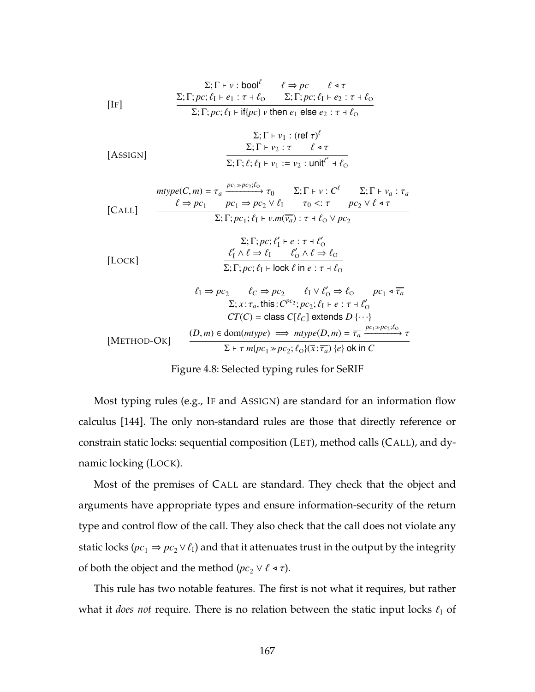<span id="page-181-0"></span>
$$
\Sigma; \Gamma \vdash v : \text{bool}^{\ell} \qquad \ell \Rightarrow pc \qquad \ell \triangleleft \tau
$$
\n
$$
\Sigma; \Gamma; pc; \ell_1 \vdash e_1 : \tau \dashv \ell_0 \qquad \Sigma; \Gamma; pc; \ell_1 \vdash e_2 : \tau \dashv \ell_0
$$
\n
$$
\Sigma; \Gamma; pc; \ell_1 \vdash \text{if} \{pc\} \ v \text{ then } e_1 \text{ else } e_2 : \tau \dashv \ell_0
$$

[ASSIGN]  

$$
\frac{\Sigma; \Gamma \vdash v_1 : (\text{ref } \tau)^{\ell}}{\Sigma; \Gamma \vdash v_2 : \tau \qquad \ell \triangleleft \tau}
$$

$$
\frac{\Sigma; \Gamma \vdash v_2 : \tau \qquad \ell \triangleleft \tau}{\Sigma; \Gamma; \ell; \ell_1 \vdash v_1 := v_2 : \text{unit}^{\ell'} \dashv \ell_0}
$$

$$
mype(C, m) = \frac{}{\tau_a} \xrightarrow{pc_1 \gg pc_2; \ell_0} \tau_0 \qquad \Sigma; \Gamma \vdash v : C^{\ell} \qquad \Sigma; \Gamma \vdash \overline{v_a} : \overline{\tau_a}
$$
\n[**CALL**] 
$$
\xrightarrow{\ell \Rightarrow pc_1} pc_1 \Rightarrow pc_2 \lor \ell_1 \qquad \tau_0 <: \tau \qquad pc_2 \lor \ell \triangleleft \tau
$$
\n
$$
\Sigma; \Gamma; pc_1; \ell_1 \vdash v.m(\overline{v_a}) : \tau \dashv \ell_0 \lor pc_2
$$

$$
\Sigma; \Gamma; pc; \ell'_1 \vdash e : \tau \dashv \ell'_0
$$
  
[Lock]  

$$
\frac{\ell'_1 \land \ell \Rightarrow \ell_1 \qquad \ell'_0 \land \ell \Rightarrow \ell_0}{\Sigma; \Gamma; pc; \ell_1 \vdash \text{lock } \ell \text{ in } e : \tau \dashv \ell_0}
$$

$$
\ell_1 \Rightarrow pc_2 \qquad \ell_C \Rightarrow pc_2 \qquad \ell_1 \vee \ell'_0 \Rightarrow \ell_0 \qquad pc_1 \triangleleft \overline{\tau_a}
$$
  

$$
\Sigma; \overline{x} : \overline{\tau_a}, \text{this}: C^{pc_2}; pc_2; \ell_1 \vdash e : \tau \dashv \ell'_0
$$
  

$$
CT(C) = \text{class } C[\ell_C] \text{ extends } D \{\cdots\}
$$
  

$$
[
$$
METHOD-OK] 
$$
\frac{(D, m) \in \text{dom}(mtype) \implies mtype(D, m) = \overline{\tau_a} \xrightarrow{pc_1 \gg pc_2; \ell_0} \tau}{\Sigma \vdash \tau m{pc_1 \gg pc_2; \ell_0}(\overline{x} : \overline{\tau_a}) \{e\} \text{ ok in } C}
$$

Figure 4.8: Selected typing rules for SeRIF

Most typing rules (e.g., [I](#page-181-0)F and A[SSIGN](#page-181-0)) are standard for an information flow calculus [\[144\]](#page-277-0). The only non-standard rules are those that directly reference or constrain static locks: sequential composition (L[ET](#page-179-0)), method calls (C[ALL](#page-181-0)), and dynamic locking (L[OCK](#page-181-0)).

Most of the premises of C[ALL](#page-181-0) are standard. They check that the object and arguments have appropriate types and ensure information-security of the return type and control flow of the call. They also check that the call does not violate any static locks ( $pc_1 \Rightarrow pc_2 \vee \ell_1$ ) and that it attenuates trust in the output by the integrity of both the object and the method ( $pc_2 \vee \ell \triangleleft \tau$ ).

This rule has two notable features. The first is not what it requires, but rather what it *does not* require. There is no relation between the static input locks  $\ell_1$  of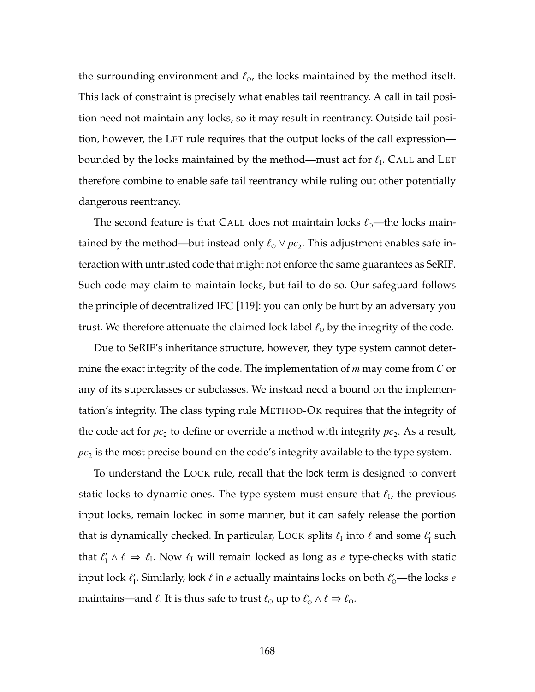the surrounding environment and  $\ell_{\text{o}}$ , the locks maintained by the method itself. This lack of constraint is precisely what enables tail reentrancy. A call in tail position need not maintain any locks, so it may result in reentrancy. Outside tail position, however, the L[ET](#page-179-0) rule requires that the output locks of the call expression bounded by the locks maintained by the method—must act for  $\ell_{\rm I}$ . C[ALL](#page-181-0) and L[ET](#page-179-0) therefore combine to enable safe tail reentrancy while ruling out other potentially dangerous reentrancy.

The second feature is that C[ALL](#page-181-0) does not maintain locks  $\ell_{\rm o}$ —the locks maintained by the method—but instead only  $\ell_{\text{o}} \vee pc_{2}$ . This adjustment enables safe interaction with untrusted code that might not enforce the same guarantees as SeRIF. Such code may claim to maintain locks, but fail to do so. Our safeguard follows the principle of decentralized IFC [\[119\]](#page-274-0): you can only be hurt by an adversary you trust. We therefore attenuate the claimed lock label  $\ell_{\rm o}$  by the integrity of the code.

Due to SeRIF's inheritance structure, however, they type system cannot determine the exact integrity of the code. The implementation of *m* may come from *C* or any of its superclasses or subclasses. We instead need a bound on the implementation's integrity. The class typing rule M[ETHOD](#page-181-0)-OK requires that the integrity of the code act for  $pc_2$  to define or override a method with integrity  $pc_2$ . As a result,  $pc<sub>2</sub>$  is the most precise bound on the code's integrity available to the type system.

To understand the L[OCK](#page-181-0) rule, recall that the lock term is designed to convert static locks to dynamic ones. The type system must ensure that  $\ell_{\rm I}$ , the previous input locks, remain locked in some manner, but it can safely release the portion that is dynamically checked. In particular, L[OCK](#page-181-0) splits  $\ell_{\rm I}$  into  $\ell$  and some  $\ell'_{\rm I}$  such that  $\ell'_I \wedge \ell \Rightarrow \ell_I$ . Now  $\ell_I$  will remain locked as long as *e* type-checks with static input lock  $\ell_{\rm I}'$ . Similarly, l**oc**k  $\ell$  in  $e$  actually maintains locks on both  $\ell_{\rm O}'$ —the locks  $e$ maintains—and  $\ell.$  It is thus safe to trust  $\ell_0$  up to  $\ell'_0 \wedge \ell \Rightarrow \ell_0.$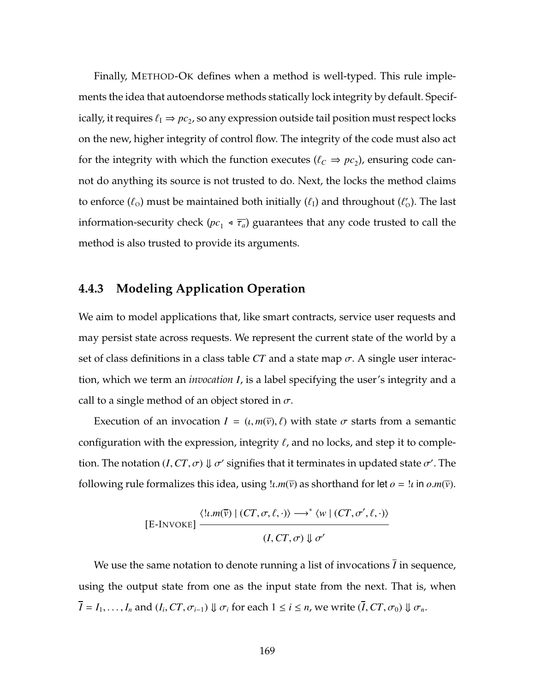Finally, M[ETHOD](#page-181-0)-OK defines when a method is well-typed. This rule implements the idea that autoendorse methods statically lock integrity by default. Specifically, it requires  $\ell_{\rm I} \Rightarrow pc_2$ , so any expression outside tail position must respect locks on the new, higher integrity of control flow. The integrity of the code must also act for the integrity with which the function executes ( $\ell_c \Rightarrow pc_2$ ), ensuring code cannot do anything its source is not trusted to do. Next, the locks the method claims to enforce  $(\ell_{\text{o}})$  must be maintained both initially  $(\ell_{\text{I}})$  and throughout  $(\ell'_{\text{o}})$ . The last information-security check ( $pc_1 \triangleleft \overline{\tau_a}$ ) guarantees that any code trusted to call the method is also trusted to provide its arguments.

## **4.4.3 Modeling Application Operation**

We aim to model applications that, like smart contracts, service user requests and may persist state across requests. We represent the current state of the world by a set of class definitions in a class table *CT* and a state map  $\sigma$ . A single user interaction, which we term an *invocation I*, is a label specifying the user's integrity and a call to a single method of an object stored in  $\sigma$ .

Execution of an invocation  $I = (i, m(\bar{v}), \ell)$  with state  $\sigma$  starts from a semantic configuration with the expression, integrity  $\ell$ , and no locks, and step it to completion. The notation  $(I,CT,\sigma)\Downarrow \sigma'$  signifies that it terminates in updated state  $\sigma'.$  The following rule formalizes this idea, using  $\mu \cdot m(\bar{v})$  as shorthand for let  $o = \mu$  in  $o.m(\bar{v})$ .

$$
[E\text{-INVOKE}] \xrightarrow{\langle !\iota.m(\overline{v}) \mid (CT,\sigma,\ell,\cdot) \rangle \longrightarrow^* \langle w \mid (CT,\sigma',\ell,\cdot) \rangle} (I,CT,\sigma) \Downarrow \sigma'
$$

We use the same notation to denote running a list of invocations *I* in sequence, using the output state from one as the input state from the next. That is, when  $I = I_1, \ldots, I_n$  and  $(I_i, CT, \sigma_{i-1}) \Downarrow \sigma_i$  for each  $1 \leq i \leq n$ , we write  $(I, CT, \sigma_0) \Downarrow \sigma_n$ .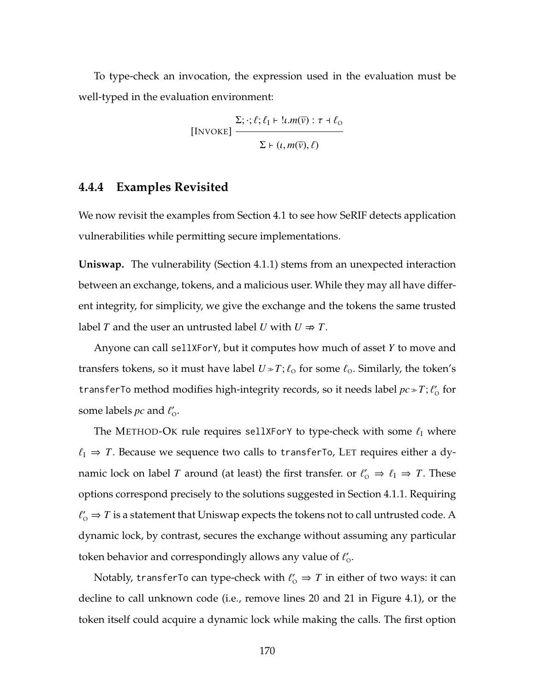To type-check an invocation, the expression used in the evaluation must be well-typed in the evaluation environment:

$$
\text{[INVORE]} \frac{\Sigma; \cdot; \ell; \ell_1 \vdash \cdot \ell \cdot m(\overline{v}) : \tau + \ell_0}{\Sigma \vdash (\ell, m(\overline{v}), \ell)}
$$

## <span id="page-184-0"></span>**4.4.4 Examples Revisited**

We now revisit the examples from Section [4.1](#page-161-0) to see how SeRIF detects application vulnerabilities while permitting secure implementations.

**Uniswap.** The vulnerability (Section [4.1.1\)](#page-161-1) stems from an unexpected interaction between an exchange, tokens, and a malicious user. While they may all have different integrity, for simplicity, we give the exchange and the tokens the same trusted label *T* and the user an untrusted label *U* with  $U \Rightarrow T$ .

Anyone can call sellXForY, but it computes how much of asset *Y* to move and transfers tokens, so it must have label  $U \gg T$ ;  $\ell_0$  for some  $\ell_0$ . Similarly, the token's transferTo method modifies high-integrity records, so it needs label  $pc \gg T$ ;  $\ell_0$  for some labels  $pc$  and  $\ell'_{\rm O}$ .

The M[ETHOD](#page-181-0)-OK rule requires sellXForY to type-check with some  $\ell_I$  where  $\ell_I \Rightarrow T$ . Because we sequence two calls to transferTo, L[ET](#page-179-0) requires either a dynamic lock on label *T* around (at least) the first transfer. or  $\ell'_{\text{o}} \Rightarrow \ell_{\text{I}} \Rightarrow T$ . These options correspond precisely to the solutions suggested in Section [4.1.1.](#page-161-1) Requiring  $\ell'_\mathrm{o} \Rightarrow T$  is a statement that Uniswap expects the tokens not to call untrusted code. A dynamic lock, by contrast, secures the exchange without assuming any particular token behavior and correspondingly allows any value of  $\ell'_{\rm o}$ .

Notably, transferTo can type-check with  $\ell'_0 \Rightarrow T$  in either of two ways: it can decline to call unknown code (i.e., remove lines [20](#page-162-0) and [21](#page-162-1) in Figure [4.1\)](#page-162-2), or the token itself could acquire a dynamic lock while making the calls. The first option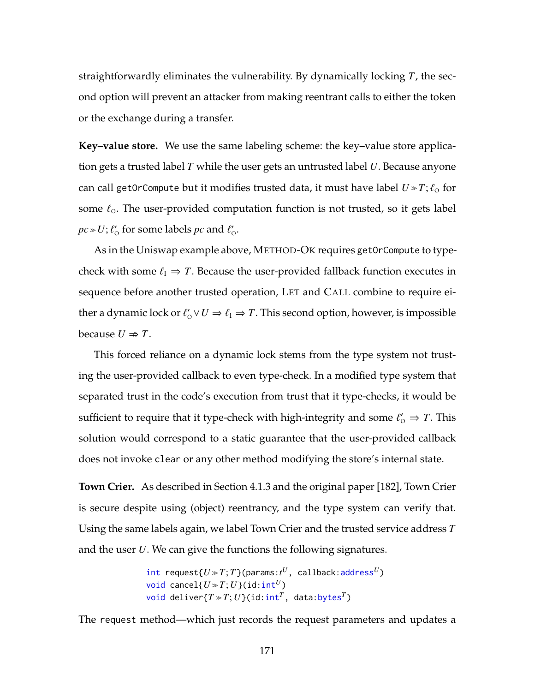straightforwardly eliminates the vulnerability. By dynamically locking *T*, the second option will prevent an attacker from making reentrant calls to either the token or the exchange during a transfer.

**Key–value store.** We use the same labeling scheme: the key–value store application gets a trusted label *T* while the user gets an untrusted label *U*. Because anyone can call getOrCompute but it modifies trusted data, it must have label  $U \gg T$ ;  $\ell_{\rm O}$  for some  $\ell_{\rm o}$ . The user-provided computation function is not trusted, so it gets label  $pc$   $\gg$   $U$ ;  $\ell_{\rm O}^{\prime}$  for some labels  $pc$  and  $\ell_{\rm O}^{\prime}$ .

As in the Uniswap example above, M[ETHOD](#page-181-0)-OK requires getOrCompute to typecheck with some  $\ell_I \Rightarrow T$ . Because the user-provided fallback function executes in sequence before another trusted operation, L[ET](#page-179-0) and C[ALL](#page-181-0) combine to require either a dynamic lock or  $\ell'_0 \vee U \Rightarrow \ell_1 \Rightarrow T$ . This second option, however, is impossible because  $U \Rightarrow T$ .

This forced reliance on a dynamic lock stems from the type system not trusting the user-provided callback to even type-check. In a modified type system that separated trust in the code's execution from trust that it type-checks, it would be sufficient to require that it type-check with high-integrity and some  $\ell'_{\text{o}} \Rightarrow T$ . This solution would correspond to a static guarantee that the user-provided callback does not invoke clear or any other method modifying the store's internal state.

**Town Crier.** As described in Section [4.1.3](#page-165-0) and the original paper [\[182\]](#page-283-0), Town Crier is secure despite using (object) reentrancy, and the type system can verify that. Using the same labels again, we label Town Crier and the trusted service address *T* and the user *U*. We can give the functions the following signatures.

```
\textsf{int} request\{U\!\gg\!T;T\}(params:t^U, callback:address^U)
void cancel{U \gg T; U}(id:int<sup>U</sup>)
void deliver\{T \gg T; U\}(id:int<sup>T</sup>, data:bytes<sup>T</sup>)
```
The request method—which just records the request parameters and updates a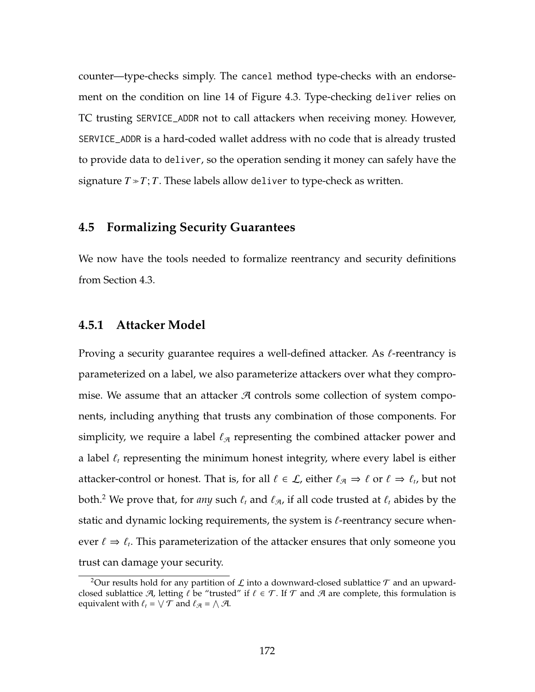counter—type-checks simply. The cancel method type-checks with an endorsement on the condition on line [14](#page-166-0) of Figure [4.3.](#page-166-1) Type-checking deliver relies on TC trusting SERVICE\_ADDR not to call attackers when receiving money. However, SERVICE\_ADDR is a hard-coded wallet address with no code that is already trusted to provide data to deliver, so the operation sending it money can safely have the signature  $T \gg T$ ; *T*. These labels allow deliver to type-check as written.

## **4.5 Formalizing Security Guarantees**

We now have the tools needed to formalize reentrancy and security definitions from Section [4.3.](#page-170-0)

#### **4.5.1 Attacker Model**

Proving a security guarantee requires a well-defined attacker. As  $\ell$ -reentrancy is parameterized on a label, we also parameterize attackers over what they compromise. We assume that an attacker  $A$  controls some collection of system components, including anything that trusts any combination of those components. For simplicity, we require a label  $\ell_{\mathcal{A}}$  representing the combined attacker power and a label  $\ell_t$  representing the minimum honest integrity, where every label is either attacker-control or honest. That is, for all  $\ell \in \mathcal{L}$ , either  $\ell_{\mathcal{A}} \Rightarrow \ell$  or  $\ell \Rightarrow \ell_t$ , but not both.<sup>[2](#page-186-0)</sup> We prove that, for *any* such  $\ell_t$  and  $\ell_{\mathcal{A}}$ , if all code trusted at  $\ell_t$  abides by the static and dynamic locking requirements, the system is  $\ell$ -reentrancy secure whenever  $\ell \Rightarrow \ell_t$ . This parameterization of the attacker ensures that only someone you trust can damage your security.

<span id="page-186-0"></span><sup>&</sup>lt;sup>2</sup>Our results hold for any partition of L into a downward-closed sublattice  $\tau$  and an upwardclosed sublattice  $\mathcal{A}$ , letting  $\ell$  be "trusted" if  $\ell \in \mathcal{T}$ . If  $\mathcal{T}$  and  $\mathcal{A}$  are complete, this formulation is equivalent with  $\ell_t = \bigvee \mathcal{T}$  and  $\ell_{\mathcal{A}} = \bigwedge \mathcal{A}$ .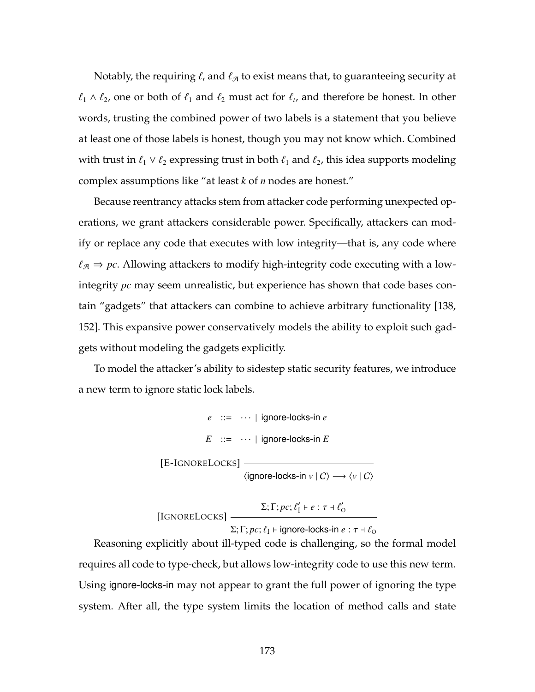Notably, the requiring  $\ell_t$  and  $\ell_{\mathcal{A}}$  to exist means that, to guaranteeing security at  $\ell_1 \wedge \ell_2$ , one or both of  $\ell_1$  and  $\ell_2$  must act for  $\ell_t$ , and therefore be honest. In other words, trusting the combined power of two labels is a statement that you believe at least one of those labels is honest, though you may not know which. Combined with trust in  $\ell_1 \vee \ell_2$  expressing trust in both  $\ell_1$  and  $\ell_2$ , this idea supports modeling complex assumptions like "at least *k* of *n* nodes are honest."

Because reentrancy attacks stem from attacker code performing unexpected operations, we grant attackers considerable power. Specifically, attackers can modify or replace any code that executes with low integrity—that is, any code where  $\ell_{\mathcal{A}} \Rightarrow pc$ . Allowing attackers to modify high-integrity code executing with a lowintegrity *pc* may seem unrealistic, but experience has shown that code bases contain "gadgets" that attackers can combine to achieve arbitrary functionality [\[138,](#page-276-0) [152\]](#page-278-0). This expansive power conservatively models the ability to exploit such gadgets without modeling the gadgets explicitly.

To model the attacker's ability to sidestep static security features, we introduce a new term to ignore static lock labels.

> *e* ::= · · · | ignore-locks-in *e*  $E$  ::=  $\cdots$  | ignore-locks-in *E* [E-IGNORELOCKS]  $\langle$ ignore-locks-in *v* | C $\rangle$  →  $\langle$ *v* | C $\rangle$

[IGNORELOCKS]  $\Sigma; \Gamma; pc; \ell'_I \vdash e : \tau \dashv \ell'_O$ 

 $Σ; Γ; pc; ℓ<sub>I</sub> ⊢ ignore-locks-in e : τ + ℓ<sub>O</sub>$ 

Reasoning explicitly about ill-typed code is challenging, so the formal model requires all code to type-check, but allows low-integrity code to use this new term. Using ignore-locks-in may not appear to grant the full power of ignoring the type system. After all, the type system limits the location of method calls and state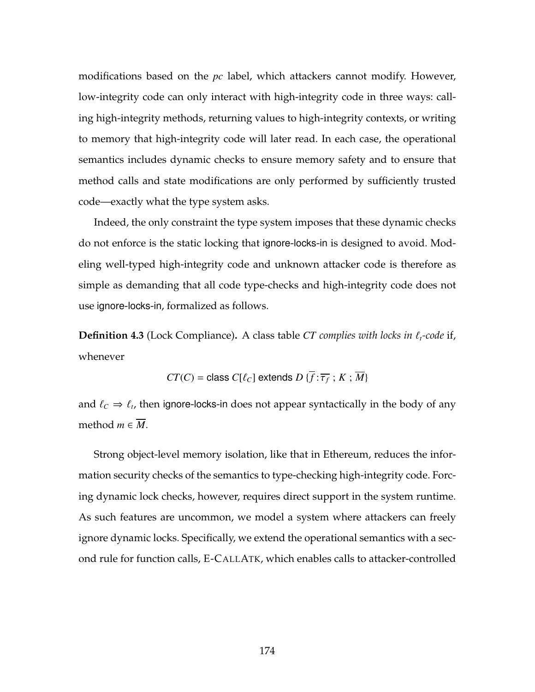modifications based on the *pc* label, which attackers cannot modify. However, low-integrity code can only interact with high-integrity code in three ways: calling high-integrity methods, returning values to high-integrity contexts, or writing to memory that high-integrity code will later read. In each case, the operational semantics includes dynamic checks to ensure memory safety and to ensure that method calls and state modifications are only performed by sufficiently trusted code—exactly what the type system asks.

Indeed, the only constraint the type system imposes that these dynamic checks do not enforce is the static locking that ignore-locks-in is designed to avoid. Modeling well-typed high-integrity code and unknown attacker code is therefore as simple as demanding that all code type-checks and high-integrity code does not use ignore-locks-in, formalized as follows.

<span id="page-188-0"></span>**Definition 4.3** (Lock Compliance). A class table *CT complies with locks in*  $\ell_t$ -code if, whenever

$$
CT(C) = \text{class } C[\ell_C] \text{ extends } D\{\overline{f} : \overline{\tau_f} \,;\, K \,;\, \overline{M}\}
$$

and  $\ell_C \Rightarrow \ell_t$ , then ignore-locks-in does not appear syntactically in the body of any method  $m \in \overline{M}$ .

Strong object-level memory isolation, like that in Ethereum, reduces the information security checks of the semantics to type-checking high-integrity code. Forcing dynamic lock checks, however, requires direct support in the system runtime. As such features are uncommon, we model a system where attackers can freely ignore dynamic locks. Specifically, we extend the operational semantics with a second rule for function calls, [E-C](#page-188-0)ALLATK, which enables calls to attacker-controlled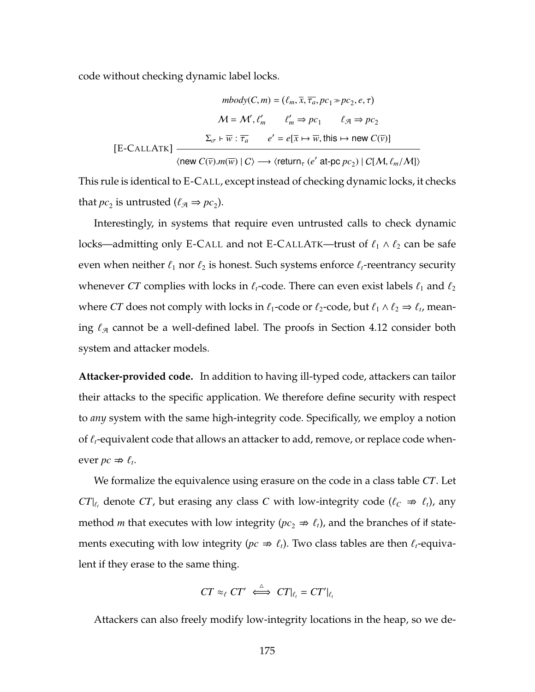code without checking dynamic label locks.

$$
mbody(C, m) = (\ell_m, \overline{x}, \overline{\tau_a}, pc_1 \gg pc_2, e, \tau)
$$

$$
M = \mathcal{M}', \ell'_m \qquad \ell'_m \Rightarrow pc_1 \qquad \ell_{\mathcal{A}} \Rightarrow pc_2
$$

$$
\Sigma_{\sigma} \vdash \overline{w} : \overline{\tau_a} \qquad e' = e[\overline{x} \mapsto \overline{w}, \text{this} \mapsto \text{new } C(\overline{v})]
$$

$$
\langle \text{new } C(\overline{v}).m(\overline{w}) \mid C \rangle \longrightarrow \langle \text{return}_{\tau} (e' \text{ at-pc } pc_2) \mid C[\mathcal{M}, \ell_m/\mathcal{M}] \rangle
$$

This rule is identical to [E-C](#page-178-0)ALL, except instead of checking dynamic locks, it checks that  $pc_2$  is untrusted  $(\ell_{\mathcal{A}} \Rightarrow pc_2)$ .

Interestingly, in systems that require even untrusted calls to check dynamic locks—admitting only [E-C](#page-188-0)ALL and not E-CALLATK—trust of  $\ell_1 \wedge \ell_2$  can be safe even when neither  $\ell_1$  nor  $\ell_2$  is honest. Such systems enforce  $\ell_t$ -reentrancy security whenever *CT* complies with locks in  $\ell_t$ -code. There can even exist labels  $\ell_1$  and  $\ell_2$ where *CT* does not comply with locks in  $\ell_1$ -code or  $\ell_2$ -code, but  $\ell_1 \wedge \ell_2 \Rightarrow \ell_t$ , meaning  $\ell_{\mathcal{A}}$  cannot be a well-defined label. The proofs in Section [4.12](#page-232-0) consider both system and attacker models.

**Attacker-provided code.** In addition to having ill-typed code, attackers can tailor their attacks to the specific application. We therefore define security with respect to *any* system with the same high-integrity code. Specifically, we employ a notion of  $\ell_t$ -equivalent code that allows an attacker to add, remove, or replace code whenever  $pc \nRightarrow \ell_t$ .

We formalize the equivalence using erasure on the code in a class table *CT*. Let *CT*| $\ell$ <sup>*t*</sup> denote *CT*, but erasing any class *C* with low-integrity code ( $\ell$ <sup>*c*</sup>  $\Rightarrow$   $\ell$ <sup>*t*</sup></sup>), any method *m* that executes with low integrity ( $pc_2 \Rightarrow \ell_t$ ), and the branches of if statements executing with low integrity ( $pc \Rightarrow \ell_t$ ). Two class tables are then  $\ell_t$ -equivalent if they erase to the same thing.

$$
CT \approx_{\ell} CT' \iff CT|_{\ell_t} = CT'|_{\ell_t}
$$

Attackers can also freely modify low-integrity locations in the heap, so we de-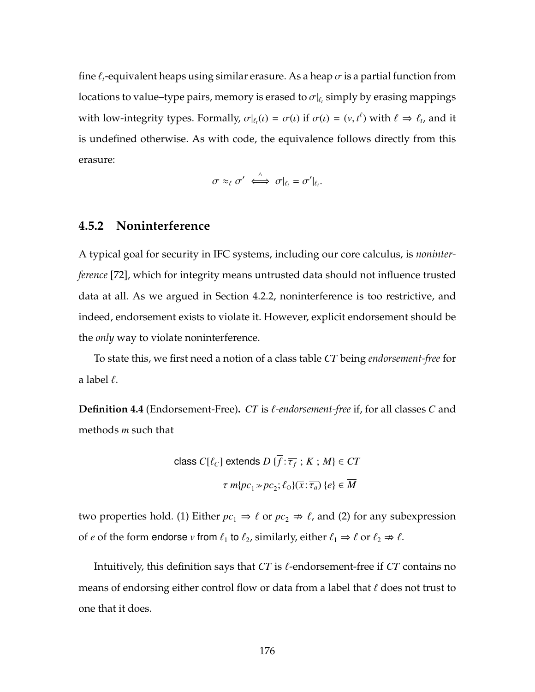fine  $\ell_t$ -equivalent heaps using similar erasure. As a heap  $\sigma$  is a partial function from locations to value–type pairs, memory is erased to  $\sigma|_{\ell_t}$  simply by erasing mappings with low-integrity types. Formally,  $\sigma|_{\ell_t}(t) = \sigma(t)$  if  $\sigma(t) = (v, t^{\ell})$  with  $\ell \Rightarrow \ell_t$ , and it is undefined otherwise. As with code, the equivalence follows directly from this erasure:

$$
\sigma \approx_{\ell} \sigma' \iff \sigma|_{\ell_t} = \sigma'|_{\ell_t}.
$$

#### **4.5.2 Noninterference**

A typical goal for security in IFC systems, including our core calculus, is *noninterference* [\[72\]](#page-268-0), which for integrity means untrusted data should not influence trusted data at all. As we argued in Section [4.2.2,](#page-169-0) noninterference is too restrictive, and indeed, endorsement exists to violate it. However, explicit endorsement should be the *only* way to violate noninterference.

To state this, we first need a notion of a class table *CT* being *endorsement-free* for a label  $\ell$ .

**Definition 4.4** (Endorsement-Free). *CT* is *f*-endorsement-free if, for all classes *C* and methods *m* such that

class 
$$
C[\ell_C]
$$
 extends  $D\{\overline{f} : \overline{\tau_f} : K : \overline{M}\}\in CT$   
 $\tau m\{pc_1 \gg pc_2; \ell_O\}(\overline{x} : \overline{\tau_a}) \{e\} \in \overline{M}$ 

two properties hold. (1) Either  $pc_1 \Rightarrow \ell$  or  $pc_2 \Rightarrow \ell$ , and (2) for any subexpression of *e* of the form endorse *v* from  $\ell_1$  to  $\ell_2$ , similarly, either  $\ell_1 \Rightarrow \ell$  or  $\ell_2 \Rightarrow \ell$ .

Intuitively, this definition says that  $CT$  is  $\ell$ -endorsement-free if  $CT$  contains no means of endorsing either control flow or data from a label that  $\ell$  does not trust to one that it does.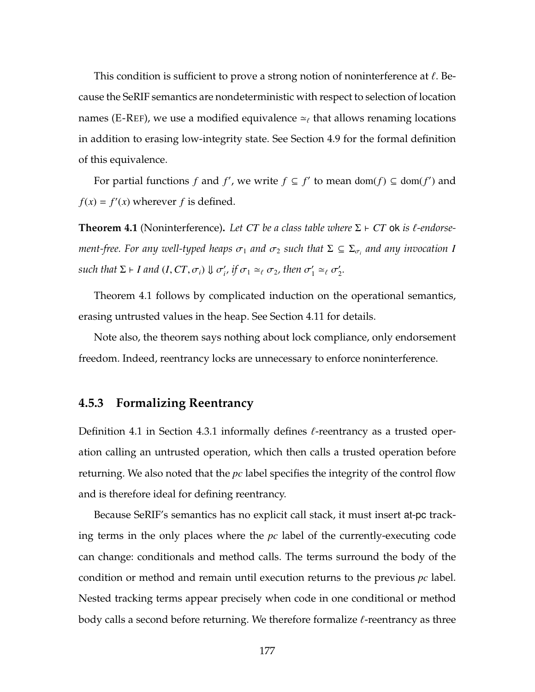This condition is sufficient to prove a strong notion of noninterference at  $\ell$ . Because the SeRIF semantics are nondeterministic with respect to selection of location names [\(E-R](#page-178-0)EF), we use a modified equivalence  $\simeq_\ell$  that allows renaming locations in addition to erasing low-integrity state. See Section [4.9](#page-201-1) for the formal definition of this equivalence.

For partial functions *f* and *f'*, we write  $f \subseteq f'$  to mean dom(*f*)  $\subseteq$  dom(*f'*) and  $f(x) = f'(x)$  wherever *f* is defined.

<span id="page-191-0"></span>**Theorem 4.1** (Noninterference). Let CT be a class table where  $\Sigma \vdash CT$  ok is  $\ell$ -endorse $m$ ent-free. For any well-typed heaps  $\sigma_1$  and  $\sigma_2$  such that  $\Sigma \subseteq \Sigma_{\sigma_i}$  and any invocation  $I$  $\mathsf{such that} \ \Sigma \vdash I \ \mathsf{and} \ (I,CT,\sigma_i) \Downarrow \sigma'_i, \ \mathit{if} \ \sigma_1 \simeq_\ell \sigma_2, \ \mathit{then} \ \sigma'_1 \simeq_\ell \sigma'_2.$ 

Theorem [4.1](#page-191-0) follows by complicated induction on the operational semantics, erasing untrusted values in the heap. See Section [4.11](#page-217-0) for details.

Note also, the theorem says nothing about lock compliance, only endorsement freedom. Indeed, reentrancy locks are unnecessary to enforce noninterference.

# **4.5.3 Formalizing Reentrancy**

Definition [4.1](#page-170-1) in Section [4.3.1](#page-170-2) informally defines  $\ell$ -reentrancy as a trusted operation calling an untrusted operation, which then calls a trusted operation before returning. We also noted that the *pc* label specifies the integrity of the control flow and is therefore ideal for defining reentrancy.

Because SeRIF's semantics has no explicit call stack, it must insert at-pc tracking terms in the only places where the *pc* label of the currently-executing code can change: conditionals and method calls. The terms surround the body of the condition or method and remain until execution returns to the previous *pc* label. Nested tracking terms appear precisely when code in one conditional or method body calls a second before returning. We therefore formalize  $\ell$ -reentrancy as three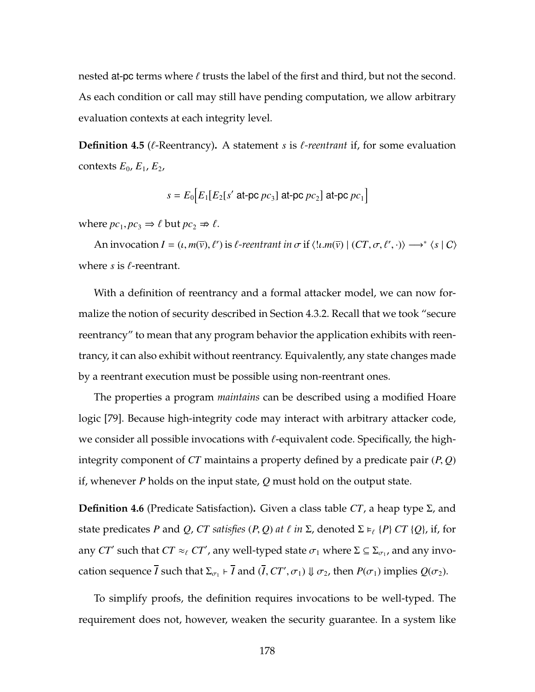nested at-pc terms where  $\ell$  trusts the label of the first and third, but not the second. As each condition or call may still have pending computation, we allow arbitrary evaluation contexts at each integrity level.

<span id="page-192-1"></span>**Definition 4.5** ( $\ell$ -Reentrancy). A statement *s* is  $\ell$ -reentrant if, for some evaluation contexts  $E_0$ ,  $E_1$ ,  $E_2$ ,

$$
s = E_0 \Big[ E_1 \big[ E_2 \big[ s' \text{ at-pc } pc_3 \big] \text{ at-pc } pc_2 \Big] \text{ at-pc } pc_1 \Big]
$$

where  $pc_1$ ,  $pc_3 \Rightarrow \ell$  but  $pc_2 \Rightarrow \ell$ .

An invocation  $I = (t, m(\bar{v}), \ell')$  is  $\ell$ -reentrant in  $\sigma$  if  $\langle l \cdot m(\bar{v}) \mid (CT, \sigma, \ell', \cdot) \rangle \longrightarrow^* \langle s \mid C \rangle$ where  $s$  is  $\ell$ -reentrant.

With a definition of reentrancy and a formal attacker model, we can now formalize the notion of security described in Section [4.3.2.](#page-172-0) Recall that we took "secure reentrancy" to mean that any program behavior the application exhibits with reentrancy, it can also exhibit without reentrancy. Equivalently, any state changes made by a reentrant execution must be possible using non-reentrant ones.

The properties a program *maintains* can be described using a modified Hoare logic [\[79\]](#page-269-0). Because high-integrity code may interact with arbitrary attacker code, we consider all possible invocations with  $\ell$ -equivalent code. Specifically, the highintegrity component of *CT* maintains a property defined by a predicate pair (*P*, *Q*) if, whenever *P* holds on the input state, *Q* must hold on the output state.

<span id="page-192-0"></span>**Definition 4.6** (Predicate Satisfaction)**.** Given a class table *CT*, a heap type Σ, and state predicates *P* and *Q*, *CT satisfies*  $(P, Q)$  *at*  $\ell$  *in*  $\Sigma$ , denoted  $\Sigma \models_{\ell} {P}$   $CT$   $\{Q\}$ , if, for any  $CT'$  such that  $CT \approx_{\ell} CT'$ , any well-typed state  $\sigma_1$  where  $\Sigma \subseteq \Sigma_{\sigma_1}$ , and any invocation sequence *I* such that  $\Sigma_{\sigma_1} \vdash I$  and  $(I, CT', \sigma_1) \Downarrow \sigma_2$ , then  $P(\sigma_1)$  implies  $Q(\sigma_2)$ .

To simplify proofs, the definition requires invocations to be well-typed. The requirement does not, however, weaken the security guarantee. In a system like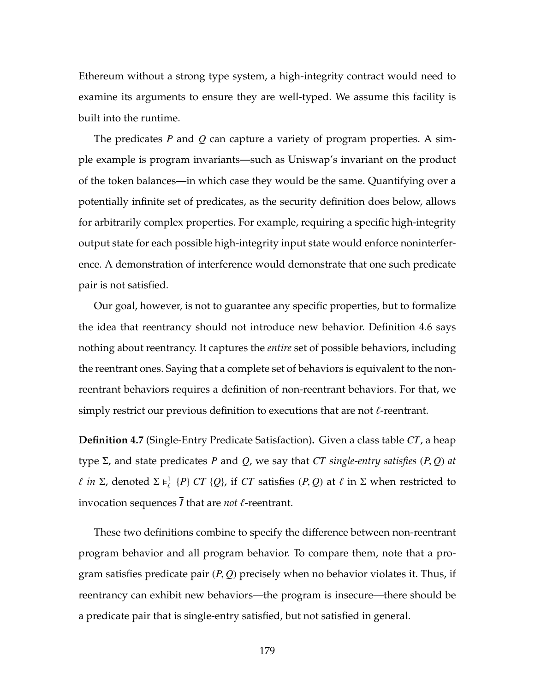Ethereum without a strong type system, a high-integrity contract would need to examine its arguments to ensure they are well-typed. We assume this facility is built into the runtime.

The predicates *P* and *Q* can capture a variety of program properties. A simple example is program invariants—such as Uniswap's invariant on the product of the token balances—in which case they would be the same. Quantifying over a potentially infinite set of predicates, as the security definition does below, allows for arbitrarily complex properties. For example, requiring a specific high-integrity output state for each possible high-integrity input state would enforce noninterference. A demonstration of interference would demonstrate that one such predicate pair is not satisfied.

Our goal, however, is not to guarantee any specific properties, but to formalize the idea that reentrancy should not introduce new behavior. Definition [4.6](#page-192-0) says nothing about reentrancy. It captures the *entire* set of possible behaviors, including the reentrant ones. Saying that a complete set of behaviors is equivalent to the nonreentrant behaviors requires a definition of non-reentrant behaviors. For that, we simply restrict our previous definition to executions that are not  $\ell$ -reentrant.

**Definition 4.7** (Single-Entry Predicate Satisfaction)**.** Given a class table *CT*, a heap type Σ, and state predicates *P* and *Q*, we say that *CT single-entry satisfies* (*P*, *Q*) *at l in* Σ, denoted Σ  $\models^1_\ell$  {*P*} *CT* {*Q*}, if *CT* satisfies (*P*, *Q*) at  $\ell$  in Σ when restricted to invocation sequences  $\overline{I}$  that are *not*  $\ell$ -reentrant.

These two definitions combine to specify the difference between non-reentrant program behavior and all program behavior. To compare them, note that a program satisfies predicate pair (*P*, *Q*) precisely when no behavior violates it. Thus, if reentrancy can exhibit new behaviors—the program is insecure—there should be a predicate pair that is single-entry satisfied, but not satisfied in general.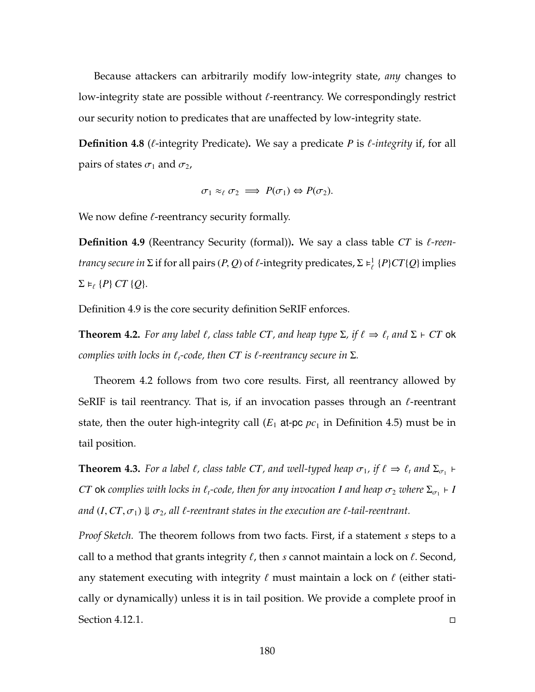Because attackers can arbitrarily modify low-integrity state, *any* changes to low-integrity state are possible without  $\ell$ -reentrancy. We correspondingly restrict our security notion to predicates that are unaffected by low-integrity state.

**Definition 4.8** ( $\ell$ -integrity Predicate). We say a predicate *P* is  $\ell$ -integrity if, for all pairs of states  $\sigma_1$  and  $\sigma_2$ ,

$$
\sigma_1 \approx_{\ell} \sigma_2 \implies P(\sigma_1) \Leftrightarrow P(\sigma_2).
$$

<span id="page-194-0"></span>We now define  $\ell$ -reentrancy security formally.

**Definition 4.9** (Reentrancy Security (formal)). We say a class table *CT* is  $\ell$ -reen*trancy secure in*  $\Sigma$  if for all pairs  $(P, Q)$  of  $\ell$ -integrity predicates,  $\Sigma \models^1_{\ell} \{P\} C T\{Q\}$  implies  $\Sigma \models_{\ell} \{P\} CT \{Q\}.$ 

<span id="page-194-1"></span>Definition [4.9](#page-194-0) is the core security definition SeRIF enforces.

**Theorem 4.2.** For any label  $\ell$ , class table CT, and heap type  $\Sigma$ , if  $\ell \Rightarrow \ell_t$  and  $\Sigma \vdash C\Gamma$  ok *complies with locks in*  $\ell_t$ *-code, then CT is*  $\ell$ *-reentrancy secure in*  $\Sigma$ *.* 

Theorem [4.2](#page-194-1) follows from two core results. First, all reentrancy allowed by SeRIF is tail reentrancy. That is, if an invocation passes through an  $\ell$ -reentrant state, then the outer high-integrity call ( $E_1$  at-pc  $pc_1$  in Definition [4.5\)](#page-192-1) must be in tail position.

<span id="page-194-2"></span>**Theorem 4.3.** For a label  $\ell$ , class table CT, and well-typed heap  $\sigma_1$ , if  $\ell \Rightarrow \ell_t$  and  $\Sigma_{\sigma_1}$   $\vdash$  $CT$  ok complies with locks in  $\ell_t$ -code, then for any invocation *I and heap*  $\sigma_2$  *where*  $\Sigma_{\sigma_1}$   $\vdash$  *I and*  $(I, CT, \sigma_1) \Downarrow \sigma_2$ , all  $\ell$ -reentrant states in the execution are  $\ell$ -tail-reentrant.

*Proof Sketch.* The theorem follows from two facts. First, if a statement *s* steps to a call to a method that grants integrity  $\ell$ , then  $s$  cannot maintain a lock on  $\ell$ . Second, any statement executing with integrity  $\ell$  must maintain a lock on  $\ell$  (either statically or dynamically) unless it is in tail position. We provide a complete proof in Section [4.12.1.](#page-232-1)  $\Box$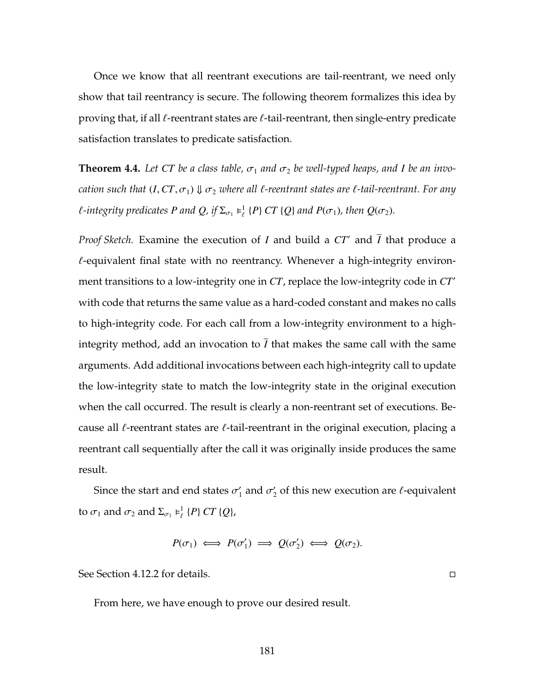Once we know that all reentrant executions are tail-reentrant, we need only show that tail reentrancy is secure. The following theorem formalizes this idea by proving that, if all  $\ell$ -reentrant states are  $\ell$ -tail-reentrant, then single-entry predicate satisfaction translates to predicate satisfaction.

<span id="page-195-0"></span>**Theorem 4.4.** Let CT be a class table,  $\sigma_1$  and  $\sigma_2$  be well-typed heaps, and I be an invo*cation such that*  $(I, CT, \sigma_1) \Downarrow \sigma_2$  *where all*  $\ell$ *-reentrant states are*  $\ell$ *-tail-reentrant. For any l*-integrity predicates P and Q, if  $\Sigma_{\sigma_1} \models^1_{\ell} \{P\} C T \{Q\}$  and  $P(\sigma_1)$ , then  $Q(\sigma_2)$ .

*Proof Sketch.* Examine the execution of *I* and build a CT' and *I* that produce a  $\ell$ -equivalent final state with no reentrancy. Whenever a high-integrity environment transitions to a low-integrity one in *CT*, replace the low-integrity code in *CT'* with code that returns the same value as a hard-coded constant and makes no calls to high-integrity code. For each call from a low-integrity environment to a highintegrity method, add an invocation to  $\overline{I}$  that makes the same call with the same arguments. Add additional invocations between each high-integrity call to update the low-integrity state to match the low-integrity state in the original execution when the call occurred. The result is clearly a non-reentrant set of executions. Because all  $\ell$ -reentrant states are  $\ell$ -tail-reentrant in the original execution, placing a reentrant call sequentially after the call it was originally inside produces the same result.

Since the start and end states  $\sigma'_1$  and  $\sigma'_2$  of this new execution are  $\ell$ -equivalent to  $\sigma_1$  and  $\sigma_2$  and  $\Sigma_{\sigma_1} \models^1_{\ell} \{P\} C T \{Q\},\$ 

$$
P(\sigma_1) \iff P(\sigma'_1) \implies Q(\sigma'_2) \iff Q(\sigma_2).
$$

See Section [4.12.2](#page-247-0) for details.

From here, we have enough to prove our desired result.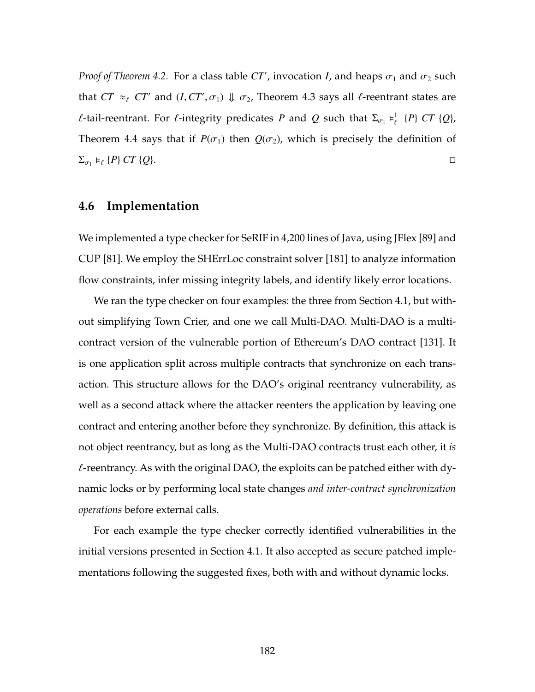*Proof of Theorem* [4.2.](#page-194-1) For a class table  $CT'$ , invocation *I*, and heaps  $\sigma_1$  and  $\sigma_2$  such that  $CT \approx_{\ell} CT'$  and  $(I, CT', \sigma_1) \Downarrow \sigma_2$ , Theorem [4.3](#page-194-2) says all  $\ell$ -reentrant states are *f*-tail-reentrant. For *f*-integrity predicates *P* and *Q* such that  $\Sigma_{\sigma_1} \models^1_{\ell} \{P\} CT \{Q\}$ , Theorem [4.4](#page-195-0) says that if  $P(\sigma_1)$  then  $Q(\sigma_2)$ , which is precisely the definition of  $\Sigma_{\sigma_1} \models_{\ell} \{P\} \, CT \, \{Q\}.$ 

#### **4.6 Implementation**

We implemented a type checker for SeRIF in 4,200 lines of Java, using JFlex [\[89\]](#page-270-0) and CUP [\[81\]](#page-269-1). We employ the SHErrLoc constraint solver [\[181\]](#page-282-0) to analyze information flow constraints, infer missing integrity labels, and identify likely error locations.

We ran the type checker on four examples: the three from Section [4.1,](#page-161-0) but without simplifying Town Crier, and one we call Multi-DAO. Multi-DAO is a multicontract version of the vulnerable portion of Ethereum's DAO contract [\[131\]](#page-276-1). It is one application split across multiple contracts that synchronize on each transaction. This structure allows for the DAO's original reentrancy vulnerability, as well as a second attack where the attacker reenters the application by leaving one contract and entering another before they synchronize. By definition, this attack is not object reentrancy, but as long as the Multi-DAO contracts trust each other, it *is*  $\ell$ -reentrancy. As with the original DAO, the exploits can be patched either with dynamic locks or by performing local state changes *and inter-contract synchronization operations* before external calls.

For each example the type checker correctly identified vulnerabilities in the initial versions presented in Section [4.1.](#page-161-0) It also accepted as secure patched implementations following the suggested fixes, both with and without dynamic locks.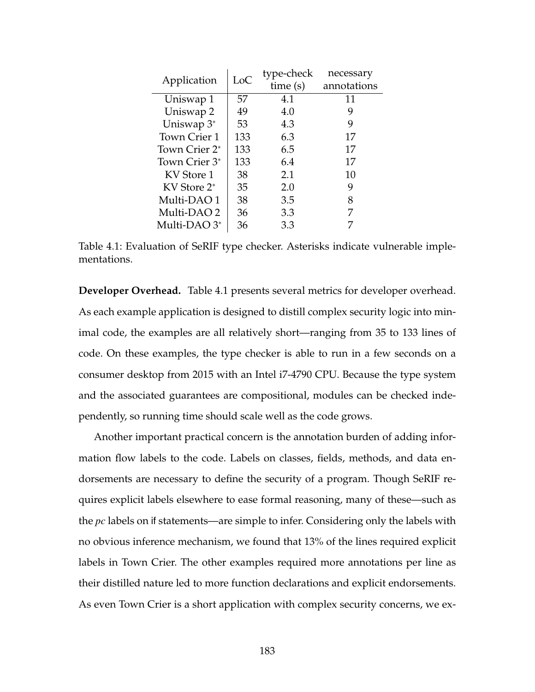<span id="page-197-0"></span>

| Application               | LoC | type-check | necessary   |
|---------------------------|-----|------------|-------------|
|                           |     | time(s)    | annotations |
| Uniswap 1                 | 57  | 4.1        | 11          |
| Uniswap 2                 | 49  | 4.0        | 9           |
| Uniswap $3^*$             | 53  | 4.3        | 9           |
| Town Crier 1              | 133 | 6.3        | 17          |
| Town Crier 2 <sup>*</sup> | 133 | 6.5        | 17          |
| Town Crier 3*             | 133 | 6.4        | 17          |
| KV Store 1                | 38  | 2.1        | 10          |
| KV Store 2 <sup>*</sup>   | 35  | 2.0        | 9           |
| Multi-DAO1                | 38  | 3.5        | 8           |
| Multi-DAO 2               | 36  | 3.3        | 7           |
| Multi-DAO 3 <sup>*</sup>  | 36  | 3.3        |             |

Table 4.1: Evaluation of SeRIF type checker. Asterisks indicate vulnerable implementations.

**Developer Overhead.** Table [4.1](#page-197-0) presents several metrics for developer overhead. As each example application is designed to distill complex security logic into minimal code, the examples are all relatively short—ranging from 35 to 133 lines of code. On these examples, the type checker is able to run in a few seconds on a consumer desktop from 2015 with an Intel i7-4790 CPU. Because the type system and the associated guarantees are compositional, modules can be checked independently, so running time should scale well as the code grows.

Another important practical concern is the annotation burden of adding information flow labels to the code. Labels on classes, fields, methods, and data endorsements are necessary to define the security of a program. Though SeRIF requires explicit labels elsewhere to ease formal reasoning, many of these—such as the *pc* labels on if statements—are simple to infer. Considering only the labels with no obvious inference mechanism, we found that 13% of the lines required explicit labels in Town Crier. The other examples required more annotations per line as their distilled nature led to more function declarations and explicit endorsements. As even Town Crier is a short application with complex security concerns, we ex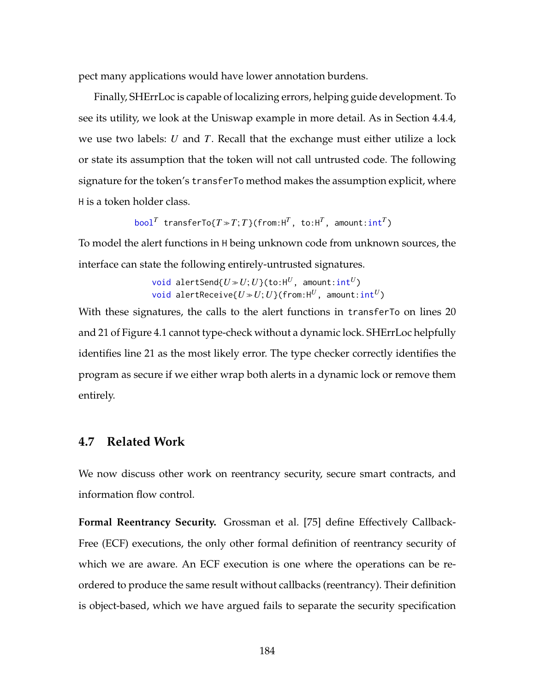pect many applications would have lower annotation burdens.

Finally, SHErrLoc is capable of localizing errors, helping guide development. To see its utility, we look at the Uniswap example in more detail. As in Section [4.4.4,](#page-184-0) we use two labels: *U* and *T*. Recall that the exchange must either utilize a lock or state its assumption that the token will not call untrusted code. The following signature for the token's transferTo method makes the assumption explicit, where H is a token holder class.

 $b$ ool<sup>*T*</sup> transferTo{*T*  $\gg$  *T*; *T*}(from:H<sup>*T*</sup>, to:H<sup>*T*</sup>, amount:int<sup>*T*</sup>)

To model the alert functions in H being unknown code from unknown sources, the interface can state the following entirely-untrusted signatures.

> void alertSend{ $U \gg U$ ;  $U$ }(to:H<sup>U</sup>, amount:int<sup>U</sup>)  $void$  alertReceive{ $U \gg U$ ;  $U$ }(from: $H^U$ , amount:int<sup>*U*</sup>)</sup>

With these signatures, the calls to the alert functions in transferTo on lines [20](#page-162-0) and [21](#page-162-1) of Figure [4.1](#page-162-2) cannot type-check without a dynamic lock. SHErrLoc helpfully identifies line [21](#page-162-1) as the most likely error. The type checker correctly identifies the program as secure if we either wrap both alerts in a dynamic lock or remove them entirely.

#### **4.7 Related Work**

We now discuss other work on reentrancy security, secure smart contracts, and information flow control.

**Formal Reentrancy Security.** Grossman et al. [\[75\]](#page-268-1) define Effectively Callback-Free (ECF) executions, the only other formal definition of reentrancy security of which we are aware. An ECF execution is one where the operations can be reordered to produce the same result without callbacks (reentrancy). Their definition is object-based, which we have argued fails to separate the security specification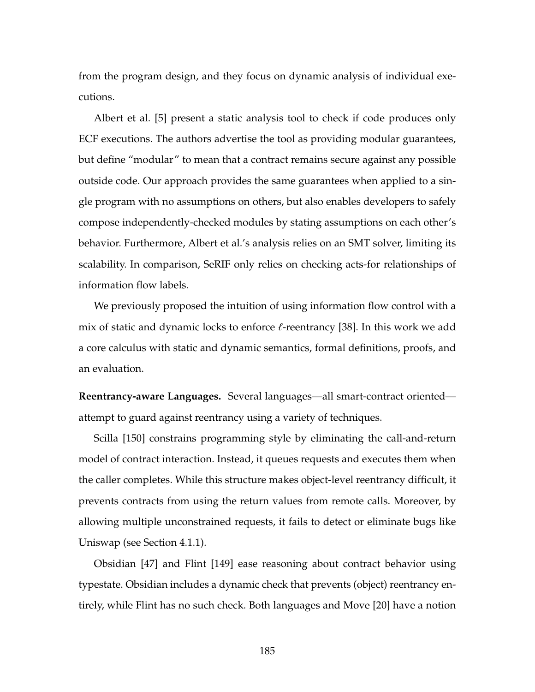from the program design, and they focus on dynamic analysis of individual executions.

Albert et al. [\[5\]](#page-258-0) present a static analysis tool to check if code produces only ECF executions. The authors advertise the tool as providing modular guarantees, but define "modular" to mean that a contract remains secure against any possible outside code. Our approach provides the same guarantees when applied to a single program with no assumptions on others, but also enables developers to safely compose independently-checked modules by stating assumptions on each other's behavior. Furthermore, [Albert et al.'](#page-258-0)s analysis relies on an SMT solver, limiting its scalability. In comparison, SeRIF only relies on checking acts-for relationships of information flow labels.

We previously proposed the intuition of using information flow control with a mix of static and dynamic locks to enforce  $\ell$ -reentrancy [\[38\]](#page-263-0). In this work we add a core calculus with static and dynamic semantics, formal definitions, proofs, and an evaluation.

**Reentrancy-aware Languages.** Several languages—all smart-contract oriented attempt to guard against reentrancy using a variety of techniques.

Scilla [\[150\]](#page-278-1) constrains programming style by eliminating the call-and-return model of contract interaction. Instead, it queues requests and executes them when the caller completes. While this structure makes object-level reentrancy difficult, it prevents contracts from using the return values from remote calls. Moreover, by allowing multiple unconstrained requests, it fails to detect or eliminate bugs like Uniswap (see Section [4.1.1\)](#page-161-1).

Obsidian [\[47\]](#page-264-0) and Flint [\[149\]](#page-278-2) ease reasoning about contract behavior using typestate. Obsidian includes a dynamic check that prevents (object) reentrancy entirely, while Flint has no such check. Both languages and Move [\[20\]](#page-260-0) have a notion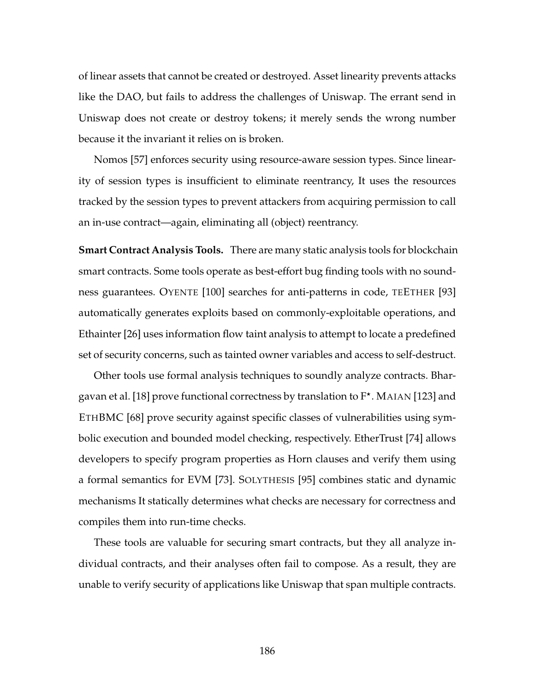of linear assets that cannot be created or destroyed. Asset linearity prevents attacks like the DAO, but fails to address the challenges of Uniswap. The errant send in Uniswap does not create or destroy tokens; it merely sends the wrong number because it the invariant it relies on is broken.

Nomos [\[57\]](#page-265-0) enforces security using resource-aware session types. Since linearity of session types is insufficient to eliminate reentrancy, It uses the resources tracked by the session types to prevent attackers from acquiring permission to call an in-use contract—again, eliminating all (object) reentrancy.

**Smart Contract Analysis Tools.** There are many static analysis tools for blockchain smart contracts. Some tools operate as best-effort bug finding tools with no soundness guarantees. OYENTE [\[100\]](#page-272-0) searches for anti-patterns in code, TEETHER [\[93\]](#page-271-0) automatically generates exploits based on commonly-exploitable operations, and Ethainter [\[26\]](#page-261-0) uses information flow taint analysis to attempt to locate a predefined set of security concerns, such as tainted owner variables and access to self-destruct.

Other tools use formal analysis techniques to soundly analyze contracts. Bhar-gavan et al. [\[18\]](#page-260-1) prove functional correctness by translation to F<sup>\*</sup>. MAIAN [\[123\]](#page-275-0) and ETHBMC [\[68\]](#page-267-0) prove security against specific classes of vulnerabilities using symbolic execution and bounded model checking, respectively. EtherTrust [\[74\]](#page-268-2) allows developers to specify program properties as Horn clauses and verify them using a formal semantics for EVM [\[73\]](#page-268-3). SOLYTHESIS [\[95\]](#page-271-1) combines static and dynamic mechanisms It statically determines what checks are necessary for correctness and compiles them into run-time checks.

These tools are valuable for securing smart contracts, but they all analyze individual contracts, and their analyses often fail to compose. As a result, they are unable to verify security of applications like Uniswap that span multiple contracts.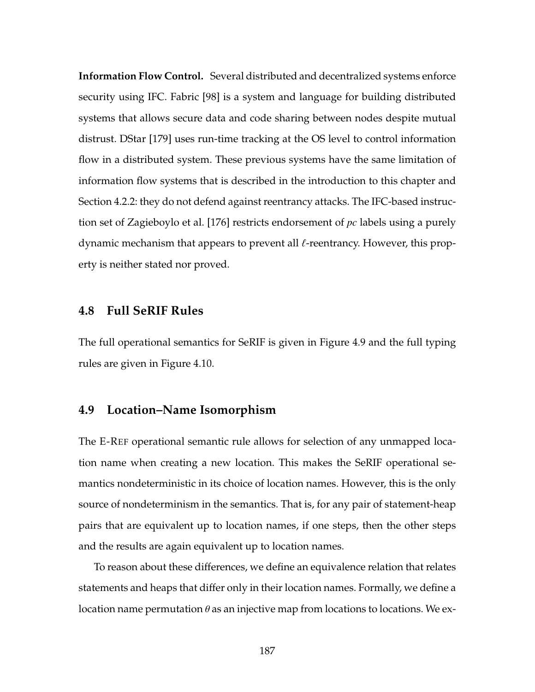**Information Flow Control.** Several distributed and decentralized systems enforce security using IFC. Fabric [\[98\]](#page-271-2) is a system and language for building distributed systems that allows secure data and code sharing between nodes despite mutual distrust. DStar [\[179\]](#page-282-1) uses run-time tracking at the OS level to control information flow in a distributed system. These previous systems have the same limitation of information flow systems that is described in the introduction to this chapter and Section [4.2.2:](#page-169-0) they do not defend against reentrancy attacks. The IFC-based instruction set of Zagieboylo et al. [\[176\]](#page-282-2) restricts endorsement of *pc* labels using a purely dynamic mechanism that appears to prevent all  $\ell$ -reentrancy. However, this property is neither stated nor proved.

## <span id="page-201-0"></span>**4.8 Full SeRIF Rules**

<span id="page-201-1"></span>The full operational semantics for SeRIF is given in Figure [4.9](#page-203-0) and the full typing rules are given in Figure [4.10.](#page-206-0)

#### **4.9 Location–Name Isomorphism**

The [E-R](#page-178-0)EF operational semantic rule allows for selection of any unmapped location name when creating a new location. This makes the SeRIF operational semantics nondeterministic in its choice of location names. However, this is the only source of nondeterminism in the semantics. That is, for any pair of statement-heap pairs that are equivalent up to location names, if one steps, then the other steps and the results are again equivalent up to location names.

To reason about these differences, we define an equivalence relation that relates statements and heaps that differ only in their location names. Formally, we define a location name permutation  $\theta$  as an injective map from locations to locations. We ex-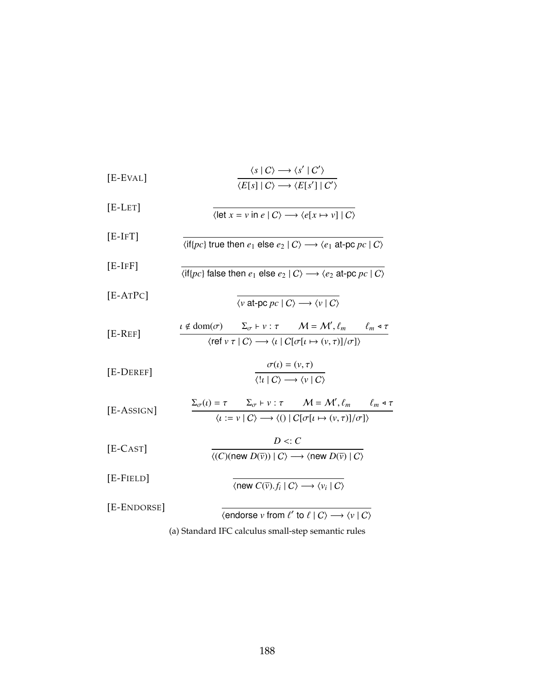<span id="page-202-0"></span>

| $[E$ -EVAL] | $\langle s   C \rangle \longrightarrow \langle s'   C' \rangle$<br>$\overline{\langle E[s]   C \rangle \longrightarrow \langle E[s']   C' \rangle}$                                                                                           |
|-------------|-----------------------------------------------------------------------------------------------------------------------------------------------------------------------------------------------------------------------------------------------|
| $[E-LET]$   | $\langle \text{let } x = v \text{ in } e \mid C \rangle \longrightarrow \langle e[x \mapsto v] \mid C \rangle$                                                                                                                                |
| $[E-IFT]$   | $\langle \text{if} \{pc\} \text{ true} \text{ then } e_1 \text{ else } e_2 \mid C \rangle \longrightarrow \langle e_1 \text{ at-pc } pc \mid C \rangle$                                                                                       |
| $[E-IFF]$   | $\langle \text{if} \{pc\} \text{ false} \text{ then } e_1 \text{ else } e_2 \mid C \rangle \longrightarrow \langle e_2 \text{ at-pc } pc \mid C \rangle$                                                                                      |
| $[E-ATPC]$  | $\langle v \text{ at-pc } pc \mid C \rangle \longrightarrow \langle v \mid C \rangle$                                                                                                                                                         |
| $[E-REF]$   | $\iota \notin \text{dom}(\sigma)$ $\Sigma_{\sigma} \vdash v : \tau$ $M = M', \ell_m$ $\ell_m \triangleleft \tau$<br>$\langle \text{ref } v \tau   C \rangle \longrightarrow \langle \iota   C[\sigma[\iota \mapsto (v,\tau)]/\sigma] \rangle$ |
| [E-DEREF]   | $\sigma(\iota) = (\nu, \tau)$<br>$\overline{\langle  u C\rangle \longrightarrow \langle v C\rangle}$                                                                                                                                          |
| [E-ASSIGN]  | $\Sigma_{\sigma}(\iota) = \tau$ $\Sigma_{\sigma} \vdash v : \tau$ $M = M', \ell_m$ $\ell_m \triangleleft \tau$<br>$\langle \iota := \nu \mid C \rangle \longrightarrow \langle ( ) \mid C[\sigma[\iota \mapsto (\nu, \tau)]/\sigma] \rangle$  |
| $[E-CAST]$  | $D \leq C$<br>$\langle (C)(\text{new } D(\overline{v}))   C \rangle \longrightarrow \langle \text{new } D(\overline{v})   C \rangle$                                                                                                          |
| $[E-FIELD]$ | $\langle$ new $C(\overline{v})$ , $f_i   C \rangle \longrightarrow \langle v_i   C \rangle$                                                                                                                                                   |
| [E-ENDORSE] | $\langle$ endorse v from $\ell'$ to $\ell \mid C \rangle \longrightarrow \langle v \mid C \rangle$                                                                                                                                            |
|             | (a) Standard IFC calculus small-step semantic rules                                                                                                                                                                                           |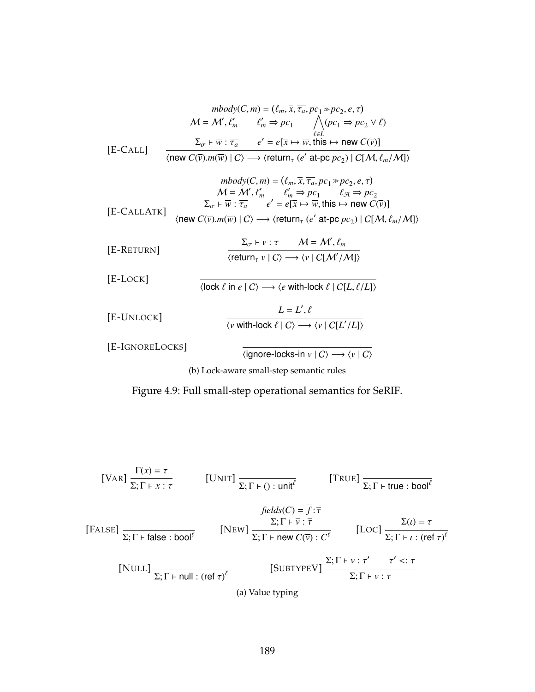<span id="page-203-0"></span>
$$
mbody(C, m) = (\ell_m, \overline{x}, \overline{\tau_a}, pc_1 \gg pc_2, e, \tau)
$$

$$
\mathcal{M} = \mathcal{M}', \ell'_m \qquad \ell'_m \Rightarrow pc_1 \bigwedge_{\ell \in L} (pc_1 \Rightarrow pc_2 \vee \ell)
$$

$$
\Sigma_{\sigma} \vdash \overline{w} : \overline{\tau_a} \qquad e' = e[\overline{x} \mapsto \overline{w}, \text{this} \mapsto \text{new } C(\overline{v})]
$$

$$
\text{new } C(\overline{v}).m(\overline{w}) \mid C \rangle \longrightarrow \langle \text{return}_{\tau} (e' \text{ at } pc \mid pc_2) \mid C[\mathcal{M}, \ell_m/\mathcal{M}] \rangle
$$

$$
mbody(C, m) = (\ell_m, \overline{x}, \overline{\tau_a}, pc_1 \Rightarrow pc_2, e, \tau)
$$

$$
M = \mathcal{M}', \ell'_m \qquad \ell'_m \Rightarrow pc_1 \qquad \ell_{\mathcal{A}} \Rightarrow pc_2
$$

$$
\Sigma_{\sigma} \vdash \overline{w} : \overline{\tau_a} \qquad e' = e[\overline{x} \mapsto \overline{w}, \text{this} \mapsto \text{new } C(\overline{v})]
$$

$$
\langle \text{new } C(\overline{v}).m(\overline{w}) \mid C \rangle \longrightarrow \langle \text{return}_{\tau} (e' \text{ at-pc } pc_2) \mid C[\mathcal{M}, \ell_m/\mathcal{M}] \rangle
$$

$$
[E\text{-}\text{RETURN}] \qquad \qquad \frac{\Sigma_{\sigma} \vdash v : \tau \qquad \mathcal{M} = \mathcal{M}', \ell_m}{\langle \text{return}_{\tau} v \mid C \rangle \longrightarrow \langle v \mid C[\mathcal{M}'/\mathcal{M}]\rangle}
$$

[E-LOCK]

 $\overline{\langle \text{lock }\ell \text{ in } e \mid C \rangle \longrightarrow \langle e \text{ with-lock } \ell \mid C[L, \ell/L] \rangle}$ 

$$
L = L', \ell
$$
  
[E-UNLOCK]  

$$
\frac{L = L', \ell}{\langle v \text{ with-lock } \ell \mid C \rangle \longrightarrow \langle v \mid C[L'/L] \rangle}
$$

[E-IGNORELOCKS]

 $\overline{\langle$ ignore-locks-in *v* | C →  $\langle$ *v* | C →

(b) Lock-aware small-step semantic rules

Figure 4.9: Full small-step operational semantics for SeRIF.

<span id="page-203-1"></span>[VALU2] 
$$
\frac{\Gamma(x) = \tau}{\Sigma; \Gamma + x : \tau}
$$
 [UNIT] 
$$
\frac{\Gamma(x) = \tau}{\Sigma; \Gamma + 0 : \text{unit}^{\ell}}
$$
 [TRUE] 
$$
\frac{\text{[TRUE]}}{\Sigma; \Gamma + \text{true : bool}^{\ell}}
$$
 
$$
\frac{\text{[Hello]} \sum; \Gamma + \text{true : bool}^{\ell}}{\Sigma; \Gamma + \text{false : bool}^{\ell}}
$$
 
$$
[\text{NEW}] \frac{\Sigma; \Gamma + \overline{\nu} : \overline{\tau}}{\Sigma; \Gamma + \text{new } C(\overline{\nu}) : C^{\ell}}
$$
 [LOC] 
$$
\frac{\Sigma(0) = \tau}{\Sigma; \Gamma + \iota : (\text{ref } \tau)^{\ell}}
$$
 
$$
[\text{SUBTYPEV}] \frac{\Sigma; \Gamma + \nu : \tau' \tau' <: \tau}{\Sigma; \Gamma + \nu : \tau}
$$

(a) Value typing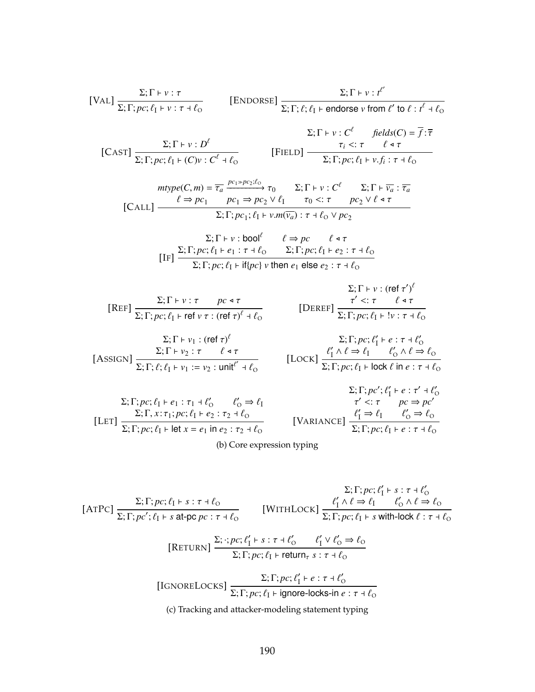<span id="page-204-0"></span>[VAL] 
$$
\frac{\Sigma; \Gamma \vdash \nu : \tau}{\Sigma; \Gamma; pc; \ell_1 \vdash \nu : \tau + \ell_0}
$$
 [ENDORSE]  $\frac{\Sigma; \Gamma \vdash \nu : t^{\ell'}}{\Sigma; \Gamma; \ell; \ell_1 \vdash \text{endorse } \nu \text{ from } \ell' \text{ to } \ell : t^{\ell} + \ell_0}$   
\n[CAST]  $\frac{\Sigma; \Gamma \vdash \nu : D^{\ell}}{\Sigma; \Gamma; pc; \ell_1 \vdash (C)\nu : C^{\ell} + \ell_0}$  [FIEL]  $\frac{\tau_i <: \tau \quad \ell \text{ at } \tau}{\Sigma; \Gamma; pc; \ell_1 \vdash \nu \cdot f_i : \tau + \ell_0}$   
\n $mtype(C, m) = \frac{\tau_a}{\tau_a} \frac{pc_1 \not > pc_2 : \ell_0}{\tau_0} \tau_0 \quad \Sigma; \Gamma \vdash \nu : C^{\ell} \quad \Sigma; \Gamma \vdash \overline{v_a} : \overline{\tau_a}$   
\n[CALL]  $\frac{\ell \Rightarrow pc_1 \quad pc_1 \Rightarrow pc_2 \lor \ell_1 \quad \tau_0 <: \tau \quad pc_2 \lor \ell \text{ at } \tau}{\Sigma; \Gamma; pc; \ell_1 \vdash \nu \cdot m(\overline{v_a}) : \tau + \ell_0 \lor pc_2}$   
\n $\Sigma; \Gamma \vdash \nu : \text{bool}^{\ell} \quad \ell \Rightarrow pc \quad \ell \text{ at } \tau$   
\n[IF]  $\frac{\Sigma; \Gamma; pc; \ell_1 \vdash e_1 : \tau + \ell_0 \quad \Sigma; \Gamma; pc; \ell_1 \vdash e_2 : \tau + \ell_0}{\Sigma; \Gamma; pc; \ell_1 \vdash \ell_1 \vdash r + \ell_1 \vdash \Gamma; \tau + \ell_0 \quad \Sigma; \Gamma; pc; \ell_1 \vdash e_2 : \tau + \ell_0}$   
\n $\Sigma; \Gamma \vdash \nu : (\text{ref } \tau')^{\ell}$ 

$$
\text{[REF]} \frac{\Sigma; \Gamma \vdash \nu : \tau \qquad pc \triangleleft \tau}{\Sigma; \Gamma; pc; \ell_1 \vdash \text{ref } \nu \tau : (\text{ref } \tau)^{\ell} + \ell_0} \qquad \qquad [\text{DEREF}] \frac{\tau' <: \tau \qquad \ell \triangleleft \tau}{\Sigma; \Gamma; pc; \ell_1 \vdash ! \nu : \tau + \ell_0}
$$

$$
\Sigma; \Gamma \vdash v_1 : (\text{ref } \tau)^{\ell}
$$
\n
$$
\Sigma; \Gamma \vdash v_2 : \tau \qquad \ell \triangleleft \tau
$$
\n[ASSIGN] 
$$
\frac{\Sigma; \Gamma \vdash v_2 : \tau \qquad \ell \triangleleft \tau}{\Sigma; \Gamma; \ell; \ell_1 \vdash v_1 := v_2 : \text{unit}^{\ell'} \dashv \ell_0}
$$

$$
[DEREF] \frac{\tau' < \tau \quad \ell \leq \tau}{\Sigma; \Gamma; pc; \ell_1 \vdash !v : \tau \vdash \ell_0}
$$

$$
\Sigma; \Gamma; pc; \ell'_1 \vdash e : \tau \dashv \ell'_0
$$
  
[Lock] 
$$
\frac{\ell'_1 \land \ell \Rightarrow \ell_1 \qquad \ell'_0 \land \ell \Rightarrow \ell_0}{\Sigma; \Gamma; pc; \ell_1 \vdash \text{lock } \ell \text{ in } e : \tau \dashv \ell_0}
$$

$$
\Sigma; \Gamma; pc; \ell_1 \vdash e_1 : \tau_1 \dashv \ell'_0 \qquad \ell'_0 \Rightarrow \ell_1
$$
  
\n
$$
\Sigma; \Gamma; pc'; \ell'_1 \vdash e : \tau' \dashv \ell'_0
$$
  
\n
$$
\Sigma; \Gamma; pc; \ell_1 \vdash e_1 : \tau_1 \dashv \ell'_0 \qquad \ell'_0 \Rightarrow \ell_1
$$
  
\n
$$
\Sigma; \Gamma; pc; \ell_1 \vdash e_2 : \tau_2 \dashv \ell_0
$$
  
\n[VARIANCE] 
$$
\frac{\ell'_1 \Rightarrow \ell_1 \qquad \ell'_0 \Rightarrow \ell_0}{\Sigma; \Gamma; pc; \ell_1 \vdash e : \tau \dashv \ell_0}
$$

(b) Core expression typing

<span id="page-204-1"></span>
$$
\Sigma; \Gamma; pc; \ell'_1 \vdash s : \tau \dashv \ell'_0
$$
\n[ATPC] 
$$
\frac{\Sigma; \Gamma; pc; \ell_1 \vdash s : \tau \dashv \ell'_0}{\Sigma; \Gamma; pc'; \ell_1 \vdash s \text{ at-pc } pc : \tau \dashv \ell'_0}
$$
 [WITHLock] 
$$
\frac{\ell'_1 \land \ell \Rightarrow \ell_1 \qquad \ell'_0 \land \ell \Rightarrow \ell_0}{\Sigma; \Gamma; pc; \ell_1 \vdash s \text{ with-lock } \ell : \tau \dashv \ell'_0}
$$
\n[RETLNN] 
$$
\frac{\Sigma; \cdot; pc; \ell'_1 \vdash s : \tau \dashv \ell'_0 \qquad \ell'_1 \lor \ell'_0 \Rightarrow \ell_0}{\Sigma; \Gamma; pc; \ell_1 \vdash \text{return}_\tau s : \tau \dashv \ell'_0}
$$
\n[IGNORELOCKS] 
$$
\frac{\Sigma; \Gamma; pc; \ell'_1 \vdash e : \tau \dashv \ell'_0}{\Sigma; \Gamma; pc; \ell_1 \vdash \text{ignore-locks-in } e : \tau \dashv \ell_0}
$$
\n(c) Tracking and attacker-modeling statement typing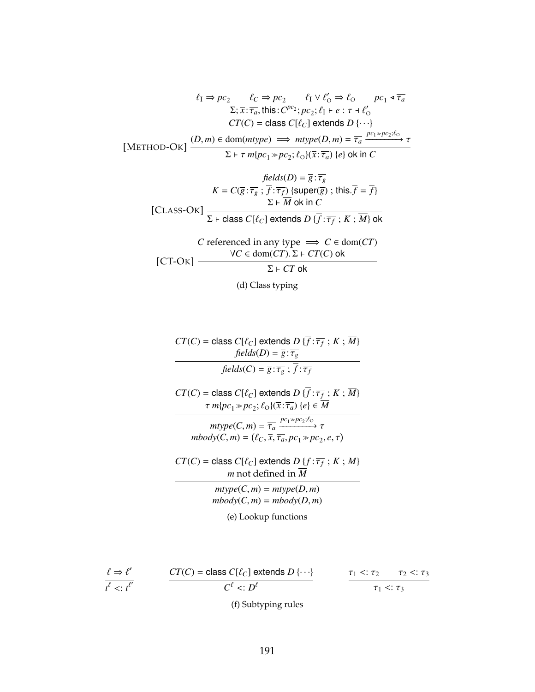$$
\ell_{I} \Rightarrow pc_{2} \qquad \ell_{C} \Rightarrow pc_{2} \qquad \ell_{I} \lor \ell'_{O} \Rightarrow \ell_{O} \qquad pc_{1} \triangleleft \overline{\tau_{a}}
$$

$$
\Sigma; \overline{x} : \overline{\tau_{a}}, \text{this} : C^{pc_{2}}; pc_{2}; \ell_{I} \vdash e : \tau \dashv \ell'_{O}
$$

$$
CT(C) = \text{class } C[\ell_{C}] \text{ extends } D\{\cdots\}
$$

$$
[METHOD-OK] \xrightarrow{(D,m) \in dom(mtype) \implies mtype(D,m) = \overline{\tau_{a}} \xrightarrow{pc_{1} \gg pc_{2}; \ell_{O}}
$$

$$
\Sigma \vdash \tau m\{pc_{1} \gg pc_{2}; \ell_{O}\}(\overline{x} : \overline{\tau_{a}}) \{e\} \text{ ok in } C
$$

$$
\frac{\text{fields}(D) = \overline{g} : \overline{\tau_g}}{\text{E} \times \overline{\tau_g} \times \overline{f} : \overline{\tau_f}} \times \text{[super}(\overline{g}) : \text{this.} \overline{f} = \overline{f}}\n \text{[CLASS-OK]} \quad \frac{\Sigma \vdash \overline{M} \text{ ok in } C}{\Sigma \vdash \text{class } C[\ell_C] \text{ extends } D \{ \overline{f} : \overline{\tau_f} : K : \overline{M} \} \text{ ok}}\n \text{C referenced in any type} \implies C \in \text{dom}(CT)\n \text{[CT-OK]} \quad \frac{\forall C \in \text{dom}(CT) \cdot \Sigma \vdash CT(C) \text{ ok}}{\Sigma \vdash CT \text{ ok}}
$$

(d) Class typing

$$
CT(C) = \text{class } C[\ell_C] \text{ extends } D\{\overline{f} : \overline{\tau_f} ; K ; \overline{M}\}
$$
\n
$$
\text{fields}(D) = \overline{g} : \overline{\tau_g}
$$
\n
$$
\text{fields}(C) = \overline{g} : \overline{\tau_g} ; \overline{f} : \overline{\tau_f}
$$
\n
$$
CT(C) = \text{class } C[\ell_C] \text{ extends } D\{\overline{f} : \overline{\tau_f} ; K ; \overline{M}\}
$$
\n
$$
\tau m\{pc_1 \gg pc_2; \ell_O\} (\overline{x} : \overline{\tau_a}) \{e\} \in \overline{M}
$$
\n
$$
\text{mtype}(C, m) = \overline{\tau_a} \xrightarrow{pc_1 \gg pc_2; \ell_O} \tau
$$
\n
$$
\text{mbody}(C, m) = (\ell_C, \overline{x}, \overline{\tau_a}, pc_1 \gg pc_2, e, \tau)
$$
\n
$$
CT(C) = \text{class } C[\ell_C] \text{ extends } D\{\overline{f} : \overline{\tau_f} ; K ; \overline{M}\}
$$
\n
$$
\text{m not defined in } \overline{M}
$$
\n
$$
\text{mtype}(C, m) = m\{body}(D, m)
$$
\n
$$
\text{mbody}(C, m) = m\{body}(D, m)
$$
\n
$$
\text{(e) Looking functions}
$$

$$
\frac{\ell \Rightarrow \ell'}{t^{\ell} < t^{\ell'}} \qquad \qquad \frac{CT(C) = \text{class } C[\ell_C] \text{ extends } D\{\cdots\}}{C^{\ell} <: D^{\ell}} \qquad \qquad \frac{\tau_1 <: \tau_2 \quad \tau_2 <: \tau_3}{\tau_1 <: \tau_3}
$$

(f) Subtyping rules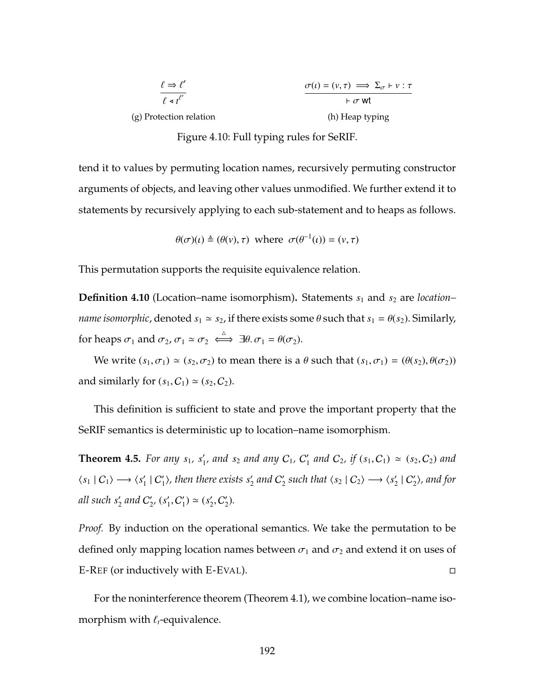<span id="page-206-0"></span>

| $\ell \Rightarrow \ell'$    | $\sigma(\iota) = (\nu, \tau) \implies \Sigma_{\sigma} \vdash \nu : \tau$ |  |  |
|-----------------------------|--------------------------------------------------------------------------|--|--|
| $\ell \triangleleft t^{l'}$ | $\vdash \sigma$ wt                                                       |  |  |
| (g) Protection relation     | (h) Heap typing                                                          |  |  |

Figure 4.10: Full typing rules for SeRIF.

tend it to values by permuting location names, recursively permuting constructor arguments of objects, and leaving other values unmodified. We further extend it to statements by recursively applying to each sub-statement and to heaps as follows.

$$
\theta(\sigma)(\iota) \triangleq (\theta(\nu), \tau)
$$
 where  $\sigma(\theta^{-1}(\iota)) = (\nu, \tau)$ 

This permutation supports the requisite equivalence relation.

**Definition 4.10** (Location–name isomorphism). Statements  $s_1$  and  $s_2$  are *location*– *name isomorphic,* denoted  $s_1 \approx s_2$ , if there exists some  $\theta$  such that  $s_1 = \theta(s_2)$ . Similarly, for heaps  $\sigma_1$  and  $\sigma_2$ ,  $\sigma_1 \simeq \sigma_2 \iff \exists \theta, \sigma_1 = \theta(\sigma_2)$ .

We write  $(s_1, \sigma_1) \simeq (s_2, \sigma_2)$  to mean there is a  $\theta$  such that  $(s_1, \sigma_1) = (\theta(s_2), \theta(\sigma_2))$ and similarly for  $(s_1, C_1) \simeq (s_2, C_2)$ .

This definition is sufficient to state and prove the important property that the SeRIF semantics is deterministic up to location–name isomorphism.

**Theorem 4.5.** For any  $s_1$ ,  $s'_1$ , and  $s_2$  and any  $C_1$ ,  $C'_1$  and  $C_2$ , if  $(s_1, C_1) \simeq (s_2, C_2)$  and  $\langle s_1 | C_1 \rangle \longrightarrow \langle s'_1 | C'_1 \rangle$ , then there exists  $s'_2$  and  $C'_2$  such that  $\langle s_2 | C_2 \rangle \longrightarrow \langle s'_2 | C'_2 \rangle$ , and for *all such s'<sub>2</sub> and*  $C'_{2'}$ *, (s'<sub>1</sub>,*  $C'_{1}$ *)*  $\simeq$  *(s'<sub>2</sub>,*  $C'_{2}$ *).* 

*Proof.* By induction on the operational semantics. We take the permutation to be defined only mapping location names between  $\sigma_1$  and  $\sigma_2$  and extend it on uses of [E-R](#page-178-0)EF (or inductively with [E-E](#page-202-0)VAL).

For the noninterference theorem (Theorem [4.1\)](#page-191-0), we combine location–name isomorphism with  $\ell_t$ -equivalence.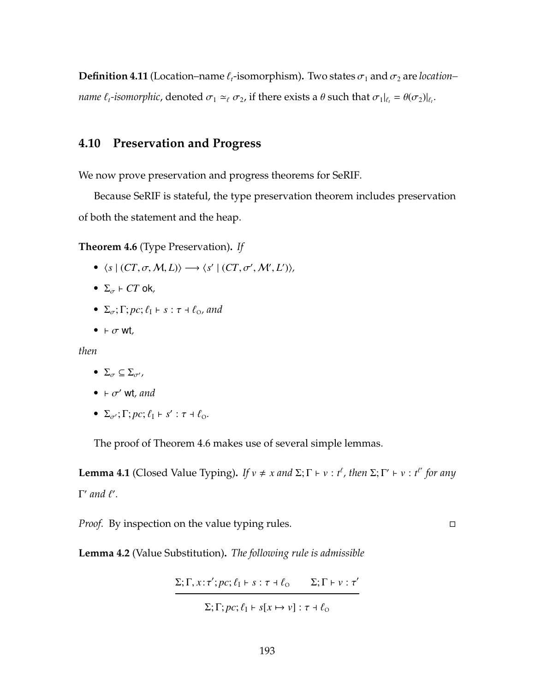**Definition 4.11** (Location–name  $\ell_t$ -isomorphism). Two states  $\sigma_1$  and  $\sigma_2$  are *location– name*  $\ell_t$ -isomorphic, denoted  $\sigma_1 \simeq_\ell \sigma_2$ , if there exists a  $\theta$  such that  $\sigma_1|_{\ell_t} = \theta(\sigma_2)|_{\ell_t}$ .

## **4.10 Preservation and Progress**

We now prove preservation and progress theorems for SeRIF.

Because SeRIF is stateful, the type preservation theorem includes preservation of both the statement and the heap.

<span id="page-207-0"></span>**Theorem 4.6** (Type Preservation)**.** *If*

- $\langle s | (CT, \sigma, M, L) \rangle \longrightarrow \langle s' | (CT, \sigma', M', L') \rangle$
- $\Sigma_{\sigma}$  *F CT* ok,
- $\Sigma_{\sigma}$ ;  $\Gamma$ ;  $pc$ ;  $\ell_1$   $\vdash$  s :  $\tau$   $\vdash$   $\ell_{\Omega}$ , and
- $\bullet$   $\vdash \sigma$  wt<sub>,</sub>

*then*

- $\Sigma_{\sigma} \subseteq \Sigma_{\sigma'}$ ,
- $\bullet$   $\vdash \sigma'$  wt*, and*
- $\Sigma_{\sigma'}$ ;  $\Gamma$ ;  $pc$ ;  $\ell_1$   $\vdash$   $s'$  :  $\tau$   $\vdash$   $\ell_0$ .

The proof of Theorem [4.6](#page-207-0) makes use of several simple lemmas.

**Lemma 4.1** (Closed Value Typing). *If*  $v \neq x$  *and*  $\Sigma; \Gamma \vdash v : t^{\ell}$ , *then*  $\Sigma; \Gamma' \vdash v : t^{\ell'}$  *for any* **Γ'** and  $\ell'$ .

*Proof.* By inspection on the value typing rules.

<span id="page-207-1"></span>**Lemma 4.2** (Value Substitution)**.** *The following rule is admissible*

$$
\Sigma; \Gamma, x; \tau'; pc; \ell_{\rm I} \vdash s; \tau + \ell_{\rm O} \qquad \Sigma; \Gamma \vdash v; \tau'
$$

 $\Sigma; \Gamma; pc; \ell_1 \vdash s[x \mapsto v] : \tau \dashv \ell_0$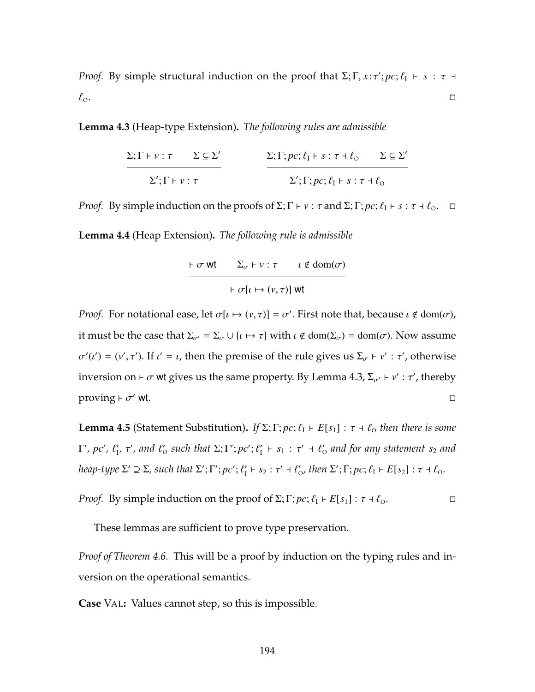*Proof.* By simple structural induction on the proof that  $\Sigma$ ;  $\Gamma$ ,  $x$ :  $\tau'$ ;  $pc$ ;  $\ell_1 \vdash s : \tau \dashv s$  $\ell_{\rm o}$ .

<span id="page-208-0"></span>**Lemma 4.3** (Heap-type Extension)**.** *The following rules are admissible*

$$
\frac{\Sigma; \Gamma \vdash \nu : \tau \qquad \Sigma \subseteq \Sigma'}{\Sigma'; \Gamma \vdash \nu : \tau} \qquad \frac{\Sigma; \Gamma; pc; \ell_{\rm I} \vdash s : \tau \dashv \ell_{\rm o} \qquad \Sigma \subseteq \Sigma'}{\Sigma'; \Gamma; pc; \ell_{\rm I} \vdash s : \tau \dashv \ell_{\rm o}}
$$

*Proof.* By simple induction on the proofs of  $\Sigma$ ;  $\Gamma \vdash v : \tau$  and  $\Sigma$ ;  $\Gamma$ ;  $\mathit{pc}$ ;  $\ell_1 \vdash s : \tau \dashv \ell_0$ .  $\Box$ 

<span id="page-208-1"></span>**Lemma 4.4** (Heap Extension)**.** *The following rule is admissible*

$$
\vdash \sigma \text{ wt } \quad \Sigma_{\sigma} \vdash v : \tau \quad \iota \notin \text{dom}(\sigma)
$$

$$
\vdash \sigma[\iota \mapsto (v, \tau)] \text{ wt }
$$

*Proof.* For notational ease, let  $\sigma[\iota \mapsto (v, \tau)] = \sigma'$ . First note that, because  $\iota \notin \text{dom}(\sigma)$ , it must be the case that  $\Sigma_{\sigma'} = \Sigma_{\sigma} \cup \{ \iota \mapsto \tau \}$  with  $\iota \notin \text{dom}(\Sigma_{\sigma}) = \text{dom}(\sigma)$ . Now assume  $\sigma'(t') = (v', \tau')$ . If  $t' = t$ , then the premise of the rule gives us Σ<sub>σ</sub> ⊦ v' : τ', otherwise inversion on  $\vdash \sigma$  wt gives us the same property. By Lemma [4.3,](#page-208-0)  $\Sigma_{\sigma'} \vdash v' : \tau'$ , thereby proving  $\vdash \sigma'$  wt.  $\sim$  wt.

**Lemma 4.5** (Statement Substitution). *If*  $\Sigma$ ;  $\Gamma$ ;  $pc$ ;  $\ell_1$  +  $E[s_1]$  :  $\tau$  +  $\ell_0$  then there is some **Γ'**, pc',  $\ell'_1$ , τ', and  $\ell'_0$  such that  $\Sigma$ ;  $\Gamma'$ ; pc';  $\ell'_1 \vdash s_1 : \tau' \dashv \ell'_0$  and for any statement  $s_2$  and  $h$ eap-type  $\Sigma' \supseteq \Sigma$ , such that  $\Sigma'; \Gamma'; pc'; \ell'_1 \vdash s_2 : \tau' \dashv \ell'_0$ , then  $\Sigma'; \Gamma; pc; \ell_1 \vdash E[s_2] : \tau \dashv \ell_0$ .

*Proof.* By simple induction on the proof of  $\Sigma$ ;  $\Gamma$ ;  $pc$ ;  $\ell_1 \vdash E[s_1]$  :  $\tau \dashv \ell_0$ .

These lemmas are sufficient to prove type preservation.

*Proof of Theorem [4.6.](#page-207-0)* This will be a proof by induction on the typing rules and inversion on the operational semantics.

**Case** V[AL](#page-204-0)**:** Values cannot step, so this is impossible.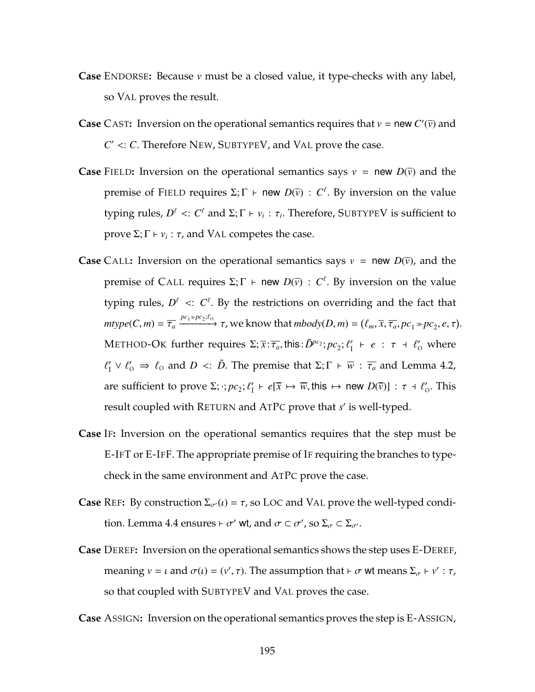- **Case** E[NDORSE](#page-204-0)**:** Because *v* must be a closed value, it type-checks with any label, so V[AL](#page-204-0) proves the result.
- **Case** C[AST](#page-204-0): Inversion on the operational semantics requires that  $v =$  new  $C'(\bar{v})$  and  $C' \lt: C$ . Therefore N[EW](#page-203-1), S[UBTYPE](#page-203-1)V, and V[AL](#page-204-0) prove the case.
- **Case** F[IELD](#page-204-0): Inversion on the operational semantics says  $v = new D(\overline{v})$  and the premise of F[IELD](#page-204-0) requires  $\Sigma; \Gamma \vdash$  new  $D(\overline{v}) : C^{\ell}$ . By inversion on the value typing rules,  $D^{\ell} <: C^{\ell}$  and  $\Sigma; \Gamma \vdash v_i : \tau_i$ . Therefore, S[UBTYPE](#page-203-1)V is sufficient to prove Σ;  $\Gamma \vdash v_i : \tau$ , and V[AL](#page-204-0) competes the case.
- **Case** C[ALL](#page-181-0): Inversion on the operational semantics says  $v = new D(\bar{v})$ , and the premise of C[ALL](#page-181-0) requires  $\Sigma; \Gamma \vdash$  new  $D(\bar{v}) : C^{\ell}$ . By inversion on the value typing rules,  $D^{\ell}$  <:  $C^{\ell}$ . By the restrictions on overriding and the fact that  $mtype(C, m) = \overline{\tau_a} \xrightarrow{pc_1 \gg pc_2; \ell_0} \tau$ , we know that  $mbody(D, m) = (\ell_m, \overline{x}, \overline{\tau_a}, pc_1 \gg pc_2, e, \tau)$ . M[ETHOD](#page-181-0)-OK further requires  $\Sigma; \overline{x} : \overline{\tau_a}$ , this:  $\tilde{D}^{pc_2}; pc_2; \ell'_1 \vdash e : \tau \dashv \ell'_0$  where  $\ell'_I \vee \ell'_O \Rightarrow \ell_O$  and *D* <: *D*̃. The premise that  $\Sigma; \Gamma \vdash \overline{w} : \overline{\tau_a}$  and Lemma [4.2,](#page-207-1) are sufficient to prove  $\Sigma$ ;  $\cdot$ ;  $pc_2$ ;  $\ell'_1 \vdash e[\overline{x} \mapsto \overline{w}$ , this  $\mapsto$  new  $D(\overline{v})$ ] :  $\tau \dashv \ell'_0$ . This result coupled with R[ETURN](#page-204-1) and [A](#page-204-1)TPC prove that *s'* is well-typed.
- **Case** I[F](#page-181-0)**:** Inversion on the operational semantics requires that the step must be [E-I](#page-178-0)FT or [E-I](#page-202-0)FF. The appropriate premise of [I](#page-181-0)F requiring the branches to typecheck in the same environment and [A](#page-204-1)TPC prove the case.
- **Case** R[EF](#page-204-0): By construction  $\Sigma_{\sigma}(t) = \tau$ , so L[OC](#page-203-1) and V[AL](#page-204-0) prove the well-typed condi-tion. Lemma [4.4](#page-208-1) ensures  $\vdash \sigma'$  wt, and  $\sigma \subset \sigma'$ , so  $\Sigma_{\sigma} \subset \Sigma_{\sigma'}$ .
- **Case** D[EREF](#page-204-0)**:** Inversion on the operational semantics shows the step uses [E-D](#page-202-0)EREF, meaning  $v = \iota$  and  $\sigma(\iota) = (v', \tau)$ . The assumption that  $\vdash \sigma$  wt means  $\Sigma_{\sigma} \vdash v' : \tau$ , so that coupled with S[UBTYPE](#page-203-1)V and V[AL](#page-204-0) proves the case.

**Case** A[SSIGN](#page-181-0)**:** Inversion on the operational semantics proves the step is E-A[SSIGN](#page-178-0),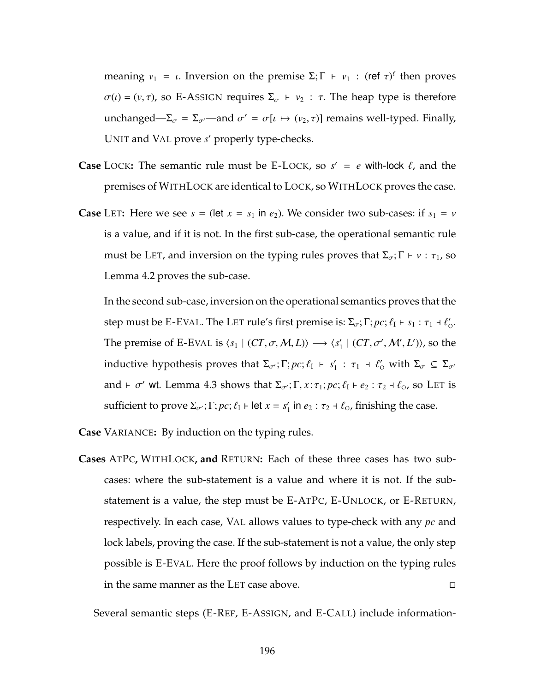meaning  $v_1 = \iota$ . Inversion on the premise  $\Sigma; \Gamma \vdash v_1 : (\text{ref } \tau)^{\ell}$  then proves  $\sigma(\iota) = (v, \tau)$ , so E-A[SSIGN](#page-178-0) requires  $\Sigma_{\sigma} + v_2 : \tau$ . The heap type is therefore unchanged— $\Sigma_{\sigma} = \Sigma_{\sigma'}$ —and  $\sigma' = \sigma[\iota \mapsto (\nu_2, \tau)]$  remains well-typed. Finally, U[NIT](#page-203-1) and V[AL](#page-204-0) prove *s'* properly type-checks.

- **Case** L[OCK](#page-181-0): The semantic rule must be [E-L](#page-178-0)OCK, so  $s' = e$  with-lock  $\ell$ , and the premises of WITHL[OCK](#page-204-1) are identical to L[OCK](#page-181-0), so WITHL[OCK](#page-204-1) proves the case.
- **Case** L[ET](#page-179-0): Here we see  $s = (\text{let } x = s_1 \text{ in } e_2)$ . We consider two sub-cases: if  $s_1 = v$ is a value, and if it is not. In the first sub-case, the operational semantic rule must be L[ET](#page-179-0), and inversion on the typing rules proves that  $\Sigma_{\sigma}$ ;  $\Gamma \vdash v : \tau_1$ , so Lemma [4.2](#page-207-1) proves the sub-case.

In the second sub-case, inversion on the operational semantics proves that the step must be [E-E](#page-202-0)VAL. The L[ET](#page-179-0) rule's first premise is:  $\Sigma_{\sigma}$ ;  $\Gamma$ ;  $pc$ ;  $\ell_1 \vdash s_1 : \tau_1 \dashv \ell'_0$ . The premise of [E-E](#page-202-0)VAL is  $\langle s_1 | (CT, \sigma, M, L) \rangle \longrightarrow \langle s'_1 | (CT, \sigma', M', L') \rangle$ , so the inductive hypothesis proves that  $\Sigma_{\sigma'}$ ;  $\Gamma$ ;  $pc$ ;  $\ell_1$   $\vdash$   $s'_1$  :  $\tau_1$   $\vdash$   $\ell'_0$  with  $\Sigma_{\sigma} \subseteq \Sigma_{\sigma'}$ and  $\vdash \sigma'$  wt. Lemma [4.3](#page-208-0) shows that  $\Sigma_{\sigma'}$ ;  $\Gamma$ ,  $x: \tau_1$ ;  $pc$ ;  $\ell_1 \vdash e_2 : \tau_2 \dashv \ell_0$ , so L[ET](#page-179-0) is sufficient to prove  $\Sigma_{\sigma'}$ ;  $\Gamma$ ;  $pc$ ;  $\ell_1$   $\vdash$  let  $x = s'_1$  in  $e_2 : \tau_2 \dashv \ell_0$ , finishing the case.

**Case** V[ARIANCE](#page-204-0)**:** By induction on the typing rules.

**Cases** [A](#page-204-1)TPC**,** WITHL[OCK](#page-204-1)**, and** R[ETURN](#page-204-1)**:** Each of these three cases has two subcases: where the sub-statement is a value and where it is not. If the substatement is a value, the step must be [E-A](#page-178-0)TPC, E-U[NLOCK](#page-178-0), or E-R[ETURN](#page-178-0), respectively. In each case, V[AL](#page-204-0) allows values to type-check with any *pc* and lock labels, proving the case. If the sub-statement is not a value, the only step possible is [E-E](#page-202-0)VAL. Here the proof follows by induction on the typing rules in the same manner as the L[ET](#page-179-0) case above.

Several semantic steps [\(E-R](#page-178-0)EF, E-A[SSIGN](#page-178-0), and [E-C](#page-178-0)ALL) include information-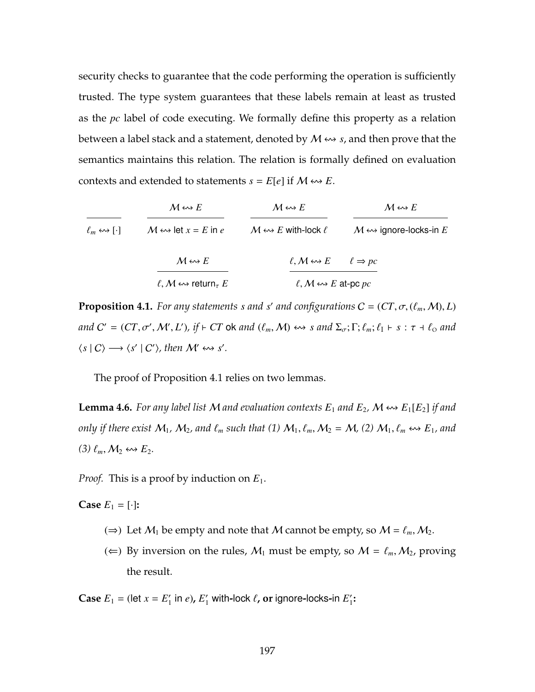security checks to guarantee that the code performing the operation is sufficiently trusted. The type system guarantees that these labels remain at least as trusted as the *pc* label of code executing. We formally define this property as a relation between a label stack and a statement, denoted by  $M \leftrightarrow s$ , and then prove that the semantics maintains this relation. The relation is formally defined on evaluation contexts and extended to statements  $s = E[e]$  if  $M \leftrightarrow B$ .

 $\ell_m \leftrightarrow \llbracket \cdot \rrbracket$  *M*  $\leftrightarrow$  let  $x = E$  in  $e$  *M*  $\leftrightarrow$  *E* with-lock  $\ell$  *M*  $\leftrightarrow$  ignore-locks-in *E*  $M \leftrightarrow E$   $M \leftrightarrow E$   $M \leftrightarrow E$  $M \leftrightarrow E$  $\ell, \mathcal{M} \leftrightarrow \mathsf{return}_{\tau} E$  $\ell, M \leftrightarrow E \qquad \ell \Rightarrow pc$  $\ell$ ,  $M \leftrightarrow E$  at-pc  $pc$ 

<span id="page-211-0"></span>**Proposition 4.1.** For any statements *s* and *s'* and configurations  $C = (CT, \sigma, (\ell_m, M), L)$  $and C' = (CT, \sigma', \mathcal{M}', L'), \text{ if } \vdash CT \text{ ok } and (\ell_m, \mathcal{M}) \leftrightarrow s \text{ and } \Sigma_{\sigma}; \Gamma; \ell_m; \ell_l \vdash s : \tau \dashv \ell_o \text{ and }$  $\langle s | C \rangle \longrightarrow \langle s' | C' \rangle$ , then  $\mathcal{M}' \leftrightarrow s'$ .

The proof of Proposition [4.1](#page-211-0) relies on two lemmas.

<span id="page-211-1"></span>**Lemma 4.6.** For any label list M and evaluation contexts  $E_1$  and  $E_2$ , M  $\leftrightarrow$   $E_1[E_2]$  if and *only if there exist*  $M_1$ ,  $M_2$ , and  $\ell_m$  such that (1)  $M_1$ ,  $\ell_m$ ,  $M_2 = M$ , (2)  $M_1$ ,  $\ell_m \leftrightarrow E_1$ , and  $(3)$   $\ell_m$ ,  $M_2 \leftrightarrow E_2$ .

*Proof.* This is a proof by induction on *E*1.

**Case**  $E_1 = [\cdot]$ **:** 

- (⇒) Let  $M_1$  be empty and note that M cannot be empty, so  $M = \ell_m, M_2$ .
- (∈) By inversion on the rules,  $M_1$  must be empty, so  $M = \ell_m, M_2$ , proving the result.

**Case**  $E_1$  = (let  $x = E'_1$  in *e*),  $E'_1$  with-lock  $\ell$ , or ignore-locks-in  $E'_1$ :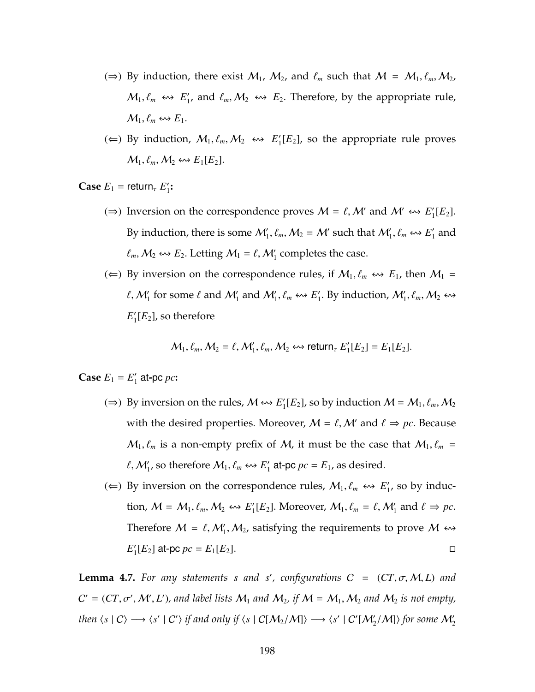- (⇒) By induction, there exist  $M_1$ ,  $M_2$ , and  $\ell_m$  such that  $M = M_1, \ell_m, M_2$ ,  $M_1, \ell_m \leftrightarrow E'_1$ , and  $\ell_m, M_2 \leftrightarrow E_2$ . Therefore, by the appropriate rule,  $M_1, \ell_m \leftrightarrow E_1.$
- (←) By induction,  $M_1, \ell_m, M_2 \leftrightarrow E'_1[E_2]$ , so the appropriate rule proves  $\mathcal{M}_1, \ell_m, \mathcal{M}_2 \leftrightarrow E_1[E_2].$

**Case**  $E_1$  = return<sub> $\tau$ </sub>  $E'_1$ :

- (⇒) Inversion on the correspondence proves  $M = \ell, M'$  and  $M' \leftrightarrow E'_1[E_2]$ . By induction, there is some  $\mathcal{M}'_1$ ,  $\ell_m$ ,  $\mathcal{M}_2 = \mathcal{M}'$  such that  $\mathcal{M}'_1$ ,  $\ell_m \leftrightarrow \mathcal{E}'_1$  and  $\ell_m$ ,  $M_2 \leftrightarrow E_2$ . Letting  $M_1 = \ell$ ,  $M'_1$  completes the case.
- (∈) By inversion on the correspondence rules, if  $M_1$ ,  $\ell_m \leftrightarrow E_1$ , then  $M_1$  =  $\ell, \mathcal{M}'_1$  for some  $\ell$  and  $\mathcal{M}'_1$  and  $\mathcal{M}'_1, \ell_m \leftrightarrow \mathcal{E}'_1$ . By induction,  $\mathcal{M}'_1, \ell_m, \mathcal{M}_2 \leftrightarrow \mathcal{E}'_2$  $E_1'[E_2]$ , so therefore

$$
\mathcal{M}_1, \ell_m, \mathcal{M}_2 = \ell, \mathcal{M}'_1, \ell_m, \mathcal{M}_2 \leftrightarrow \text{return}_{\tau} E'_1[E_2] = E_1[E_2].
$$

**Case**  $E_1 = E'_1$  at-pc *pc*:

- (⇒) By inversion on the rules,  $M \leftrightarrow E'_1[E_2]$ , so by induction  $M = M_1, \ell_m, M_2$ with the desired properties. Moreover,  $M = \ell, M'$  and  $\ell \Rightarrow pc$ . Because  $M_1, \ell_m$  is a non-empty prefix of M, it must be the case that  $M_1, \ell_m$  =  $\ell$ ,  $\mathcal{M}'_1$ , so therefore  $\mathcal{M}_1$ ,  $\ell_m \leftrightarrow E'_1$  at-pc  $pc = E_1$ , as desired.
- (←) By inversion on the correspondence rules,  $M_1, \ell_m \nleftrightarrow E'_1$ , so by induction,  $M = M_1, \ell_m, M_2 \leftrightarrow E'_1[E_2]$ . Moreover,  $M_1, \ell_m = \ell, M'_1$  and  $\ell \Rightarrow pc$ . Therefore  $M = \ell, M'_1, M_2$ , satisfying the requirements to prove  $M \leftrightarrow$  $E'_{1}[E_{2}]$  at-pc  $pc = E_{1}[E_{2}].$

<span id="page-212-0"></span>**Lemma 4.7.** *For any statements s and s', configurations*  $C = (CT, \sigma, M, L)$  *and*  $C' = (CT, \sigma', \mathcal{M}', L')$ , and label lists  $\mathcal{M}_1$  and  $\mathcal{M}_2$ , if  $\mathcal{M} = \mathcal{M}_1, \mathcal{M}_2$  and  $\mathcal{M}_2$  is not empty, *then*  $\langle s | C \rangle \longrightarrow \langle s' | C' \rangle$  *if and only if*  $\langle s | C[M_2/M] \rangle \longrightarrow \langle s' | C'[M'_2/M] \rangle$  *for some*  $M'_2$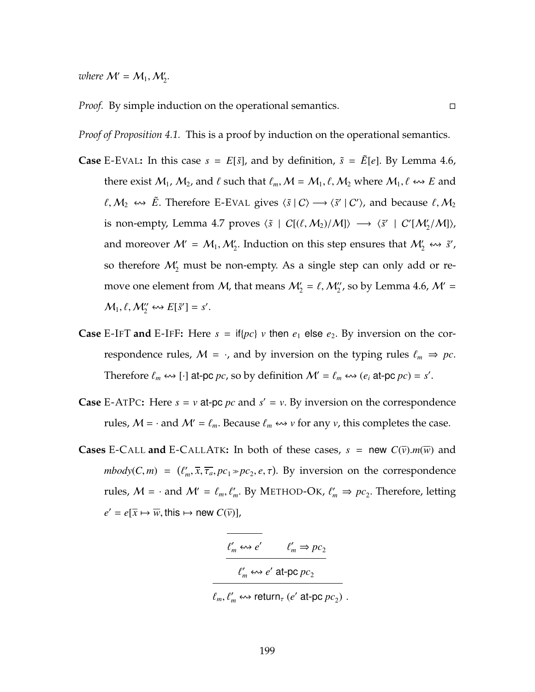*where*  $M' = M_1, M'_2$ .

*Proof.* By simple induction on the operational semantics.

*Proof of Proposition [4.1.](#page-211-0)* This is a proof by induction on the operational semantics.

- **Case** [E-E](#page-202-0)VAL: In this case  $s = E[\tilde{s}]$ , and by definition,  $\tilde{s} = \tilde{E}[e]$ . By Lemma [4.6,](#page-211-1) there exist  $M_1$ ,  $M_2$ , and  $\ell$  such that  $\ell_m, M = M_1, \ell, M_2$  where  $M_1, \ell \leftrightarrow E$  and *t*,  $M_2$  ↔  $\tilde{E}$ . Therefore [E-E](#page-202-0)VAL gives  $\langle \tilde{s} | C \rangle$  →  $\langle \tilde{s}' | C' \rangle$ , and because  $\ell$ ,  $M_2$ is non-empty, Lemma [4.7](#page-212-0) proves  $\langle \tilde{s} | C[(\ell, M_2)/M] \rangle \longrightarrow \langle \tilde{s}' | C[M_2'/M] \rangle$ , and moreover  $M' = M_1, M'_2$ . Induction on this step ensures that  $M'_2 \leftrightarrow \tilde{s}'$ , so therefore  $\mathcal{M}_2'$  must be non-empty. As a single step can only add or remove one element from M, that means  $\mathcal{M}_2' = \ell, \mathcal{M}_2''$ , so by Lemma [4.6,](#page-211-1)  $\mathcal{M}' =$  $M_1, \ell, M_2^{\prime\prime} \leftrightarrow E[\tilde{s}^{\prime}] = s^{\prime}.$
- **Case** [E-I](#page-202-0)FT and E-IFF: Here  $s = \text{if} \{pc\}$  *v* then  $e_1$  else  $e_2$ . By inversion on the correspondence rules,  $M = \cdot$ , and by inversion on the typing rules  $\ell_m \Rightarrow pc$ . Therefore  $\ell_m \leftrightarrow \lbrack \cdot \rbrack$  at-pc  $pc$ , so by definition  $\mathcal{M}' = \ell_m \leftrightarrow (\ell_i \text{ at-pc } pc) = s'.$
- **Case** [E-A](#page-178-0)TPC: Here  $s = v$  at-pc  $pc$  and  $s' = v$ . By inversion on the correspondence rules,  $M = \cdot$  and  $M' = \ell_m$ . Because  $\ell_m \leftrightarrow \nu$  for any  $\nu$ , this completes the case.
- **Cases** [E-C](#page-188-0)ALL **and** E-CALLATK: In both of these cases,  $s = new C(\overline{v})$ .*m*( $\overline{w}$ ) and  $mbody(C, m) = (\ell'_m, \overline{x}, \overline{\tau_a}, pc_1 \gg pc_2, e, \tau)$ . By inversion on the correspondence rules,  $M = \cdot$  and  $M' = \ell_m, \ell'_m$ . By M[ETHOD](#page-181-0)-OK,  $\ell'_m \Rightarrow pc_2$ . Therefore, letting  $e' = e[\overline{x} \mapsto \overline{w}, \text{this} \mapsto \text{new } C(\overline{v})],$

$$
\frac{\ell'_m \leftrightarrow e'}{\ell'_m \leftrightarrow e' \text{ at-pc}_2}
$$

$$
\ell'_m \leftrightarrow e' \text{ at-pc } pc_2
$$

 $\ell_m, \ell'_m \leftrightarrow$  return<sub>τ</sub> (*e'* at-pc  $pc_2$ ).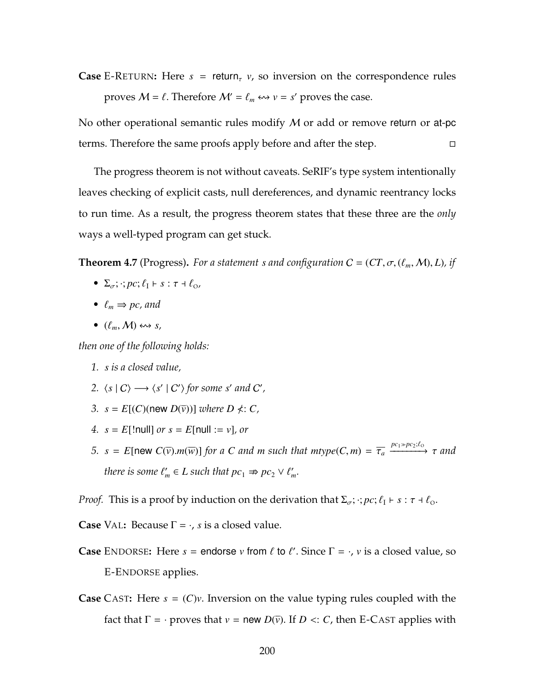**Case** E-R[ETURN](#page-178-0): Here  $s =$  return<sub> $\tau$ </sub>  $v$ , so inversion on the correspondence rules proves  $M = \ell$ . Therefore  $M' = \ell_m \leftrightarrow v = s'$  proves the case.

No other operational semantic rules modify  $M$  or add or remove return or at-pc terms. Therefore the same proofs apply before and after the step.

The progress theorem is not without caveats. SeRIF's type system intentionally leaves checking of explicit casts, null dereferences, and dynamic reentrancy locks to run time. As a result, the progress theorem states that these three are the *only* ways a well-typed program can get stuck.

**Theorem 4.7** (Progress). For a statement *s* and configuration  $C = (CT, \sigma, (\ell_m, M), L)$ , if

- $\Sigma_{\sigma}$ ; :;  $pc$ ;  $\ell_1$   $\vdash$   $s$  :  $\tau$   $\vdash$   $\ell_0$ ,
- $\ell_m \Rightarrow pc$ , and
- $(\ell_m, M) \leftrightarrow s$ ,

*then one of the following holds:*

- *1. s is a closed value,*
- 2.  $\langle s | C \rangle \longrightarrow \langle s' | C' \rangle$  for some *s'* and *C'*,
- *3.*  $s = E[(C)(new D(*v*))] where D  $\nless$ : *C*,$
- *4.*  $s = E[$ !null] *or*  $s = E[$ null := *v*]*, or*
- *5.*  $s = E[\text{new } C(\overline{v}) \cdot m(\overline{w})]$  *for a C and m such that*  $mtype(C, m) = \overline{\tau_a} \xrightarrow{pc_1 \gg pc_2; l_o} \tau$  *and there is some*  $\ell'_m \in L$  *such that*  $pc_1 \nRightarrow pc_2 \vee \ell'_m$ *.*

*Proof.* This is a proof by induction on the derivation that  $\Sigma_{\sigma}$ ;  $\cdot$ ;  $pc$ ;  $\ell_1 \vdash s : \tau \dashv \ell_0$ .

**Case** V[AL](#page-204-0): Because  $\Gamma = \cdot$ , *s* is a closed value.

- **Case** E[NDORSE](#page-204-0): Here  $s =$  endorse  $v$  from  $\ell$  to  $\ell'$ . Since  $\Gamma = \cdot$ ,  $v$  is a closed value, so E-E[NDORSE](#page-202-0) applies.
- **Case** C[AST](#page-204-0)**:** Here *s* = (*C*)*v*. Inversion on the value typing rules coupled with the fact that  $\Gamma = \cdot$  proves that  $v =$  new  $D(\bar{v})$ . If  $D \lt: C$ , then [E-C](#page-202-0)AST applies with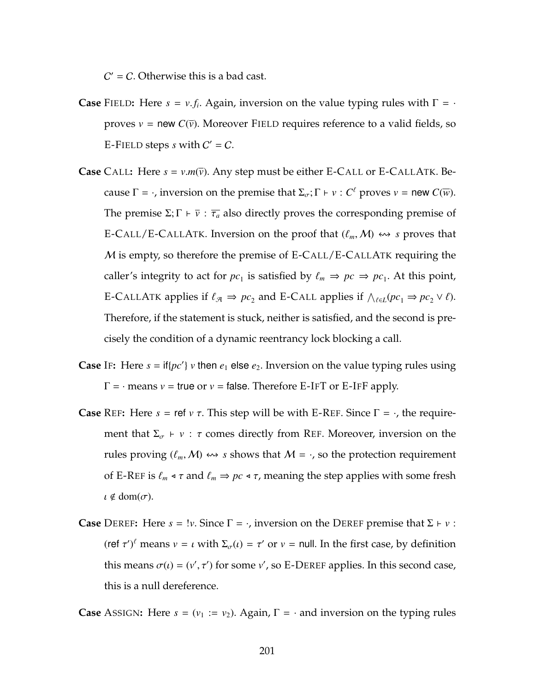$C'$  = C. Otherwise this is a bad cast.

- **Case** F[IELD](#page-204-0): Here  $s = v.f_i$ . Again, inversion on the value typing rules with  $\Gamma = \cdot$ proves  $v =$  new  $C(\bar{v})$ . Moreover F[IELD](#page-204-0) requires reference to a valid fields, so E-F[IELD](#page-202-0) steps  $s$  with  $C' = C$ .
- **Case** C[ALL](#page-181-0): Here  $s = v.m(\overline{v})$ . Any step must be either [E-C](#page-188-0)ALL or E-CALLATK. Because  $\Gamma = \cdot$ , inversion on the premise that  $\Sigma_{\sigma}$ ;  $\Gamma \vdash v : C^{\ell}$  proves  $v =$  new  $C(\overline{w})$ . The premise  $\Sigma$ ;  $\Gamma \vdash \overline{v}$  :  $\overline{\tau_a}$  also directly proves the corresponding premise of [E-C](#page-178-0)ALL[/E-C](#page-188-0)ALLATK. Inversion on the proof that  $(\ell_m, M) \leftrightarrow s$  proves that M is empty, so therefore the premise of [E-C](#page-178-0)ALL[/E-C](#page-188-0)ALLATK requiring the caller's integrity to act for  $pc_1$  is satisfied by  $\ell_m \Rightarrow pc \Rightarrow pc_1$ . At this point, [E-C](#page-188-0)ALLATK applies if  $\ell_{\mathcal{A}} \Rightarrow pc_2$  and [E-C](#page-178-0)ALL applies if  $\wedge_{\ell \in L} (pc_1 \Rightarrow pc_2 \vee \ell)$ . Therefore, if the statement is stuck, neither is satisfied, and the second is precisely the condition of a dynamic reentrancy lock blocking a call.
- **Case** I[F](#page-181-0): Here  $s = \text{if} \{pc'\}$   $v$  then  $e_1$  else  $e_2$ . Inversion on the value typing rules using  $\Gamma$  =  $\cdot$  means  $v$  = true or  $v$  = false. Therefore [E-I](#page-202-0)FT or E-IFF apply.
- **Case** R[EF](#page-204-0): Here  $s = \text{ref } v \tau$ . This step will be with [E-R](#page-178-0)EF. Since  $\Gamma = \cdot$ , the requirement that  $\Sigma_{\sigma}$   $\vdash$  *v* :  $\tau$  comes directly from [R](#page-204-0)EF. Moreover, inversion on the rules proving  $(\ell_m, M) \leftrightarrow s$  shows that  $M = \cdot$ , so the protection requirement of [E-R](#page-178-0)EF is  $\ell_m \triangleleft \tau$  and  $\ell_m \Rightarrow pc \triangleleft \tau$ , meaning the step applies with some fresh  $\iota \notin \text{dom}(\sigma)$ .
- **Case** D[EREF](#page-204-0): Here  $s = 1v$ . Since  $\Gamma = \cdot$ , inversion on the DEREF premise that  $\Sigma + v$ : (ref  $\tau'$ )<sup> $\ell$ </sup> means  $v = \iota$  with  $\Sigma_{\sigma}(\iota) = \tau'$  or  $v =$  null. In the first case, by definition this means  $\sigma(\iota) = (v', \tau')$  for some *v'*, so [E-D](#page-202-0)EREF applies. In this second case, this is a null dereference.

**Case** A[SSIGN](#page-181-0): Here  $s = (v_1 := v_2)$ . Again,  $\Gamma = \cdot$  and inversion on the typing rules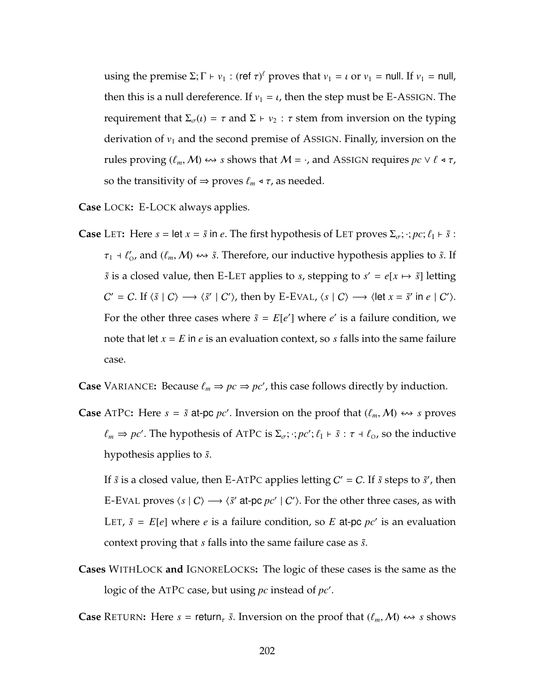using the premise  $\Sigma$ ;  $\Gamma \vdash v_1$  : (ref  $\tau$ )<sup> $\ell$ </sup> proves that  $v_1 = \iota$  or  $v_1 = \nu$  null. If  $v_1 = \nu$ ull, then this is a null dereference. If  $v_1 = \iota$ , then the step must be E-A[SSIGN](#page-178-0). The requirement that  $\Sigma_{\sigma}(i) = \tau$  and  $\Sigma \vdash v_2 : \tau$  stem from inversion on the typing derivation of  $v_1$  and the second premise of A[SSIGN](#page-181-0). Finally, inversion on the rules proving  $(\ell_m, M) \leftrightarrow s$  shows that  $M = \cdot$ , and A[SSIGN](#page-181-0) requires  $pc \vee \ell \triangleleft \tau$ , so the transitivity of  $\Rightarrow$  proves  $\ell_m \triangleleft \tau$ , as needed.

**Case** L[OCK](#page-181-0)**:** [E-L](#page-178-0)OCK always applies.

**Case** L[ET](#page-179-0): Here  $s = \text{let } x = \tilde{s}$  in  $e$ . The first hypothesis of LET proves  $\Sigma_{\sigma}$ ;  $\cdot$ ;  $pc$ ;  $\ell_1 \vdash \tilde{s}$ :  $\tau_1$  +  $\ell'_0$ , and  $(\ell_m, M) \leftrightarrow \tilde{s}$ . Therefore, our inductive hypothesis applies to  $\tilde{s}$ . If  $\tilde{s}$  is a closed value, then [E-L](#page-202-0)ET applies to *s*, stepping to  $s' = e[x \mapsto \tilde{s}]$  letting  $C' = C$ . If  $\langle \tilde{s} | C \rangle \longrightarrow \langle \tilde{s}' | C' \rangle$ , then by [E-E](#page-202-0)VAL,  $\langle s | C \rangle \longrightarrow \langle \text{let } x = \tilde{s}' \text{ in } e | C' \rangle$ . For the other three cases where  $\tilde{s} = E[e']$  where  $e'$  is a failure condition, we note that let *x* = *E* in *e* is an evaluation context, so *s* falls into the same failure case.

**Case** V[ARIANCE](#page-204-0): Because  $\ell_m \Rightarrow pc \Rightarrow pc'$ , this case follows directly by induction.

**Case** [A](#page-204-1)TPC: Here  $s = \tilde{s}$  at-pc *pc'*. Inversion on the proof that  $(\ell_m, M) \leftrightarrow s$  proves  $\ell_m \Rightarrow pc'$ . The hypothesis of [A](#page-204-1)TPC is  $\Sigma_{\sigma}$ ;  $\cdot$ ;  $pc'$ ;  $\ell_I \vdash \tilde{s}$  :  $\tau \dashv \ell_0$ , so the inductive hypothesis applies to  $\tilde{s}$ .

If  $\tilde{s}$  is a closed value, then [E-A](#page-178-0)TPC applies letting  $C' = C$ . If  $\tilde{s}$  steps to  $\tilde{s}'$ , then [E-E](#page-202-0)VAL proves  $\langle s | C \rangle \longrightarrow \langle \tilde{s}' \text{ at-pc } pc' | C' \rangle$ . For the other three cases, as with L[ET](#page-179-0),  $\tilde{s}$  =  $E[e]$  where *e* is a failure condition, so *E* at-pc *pc'* is an evaluation context proving that *s* falls into the same failure case as  $\tilde{s}$ .

**Cases** WITHL[OCK](#page-204-1) **and** I[GNORE](#page-186-0)LOCKS**:** The logic of these cases is the same as the logic of the [A](#page-204-1)TPC case, but using *pc* instead of *pc'*.

**Case** R[ETURN](#page-204-1): Here  $s =$  return<sub>r</sub>  $\tilde{s}$ . Inversion on the proof that  $(\ell_m, M) \leftrightarrow s$  shows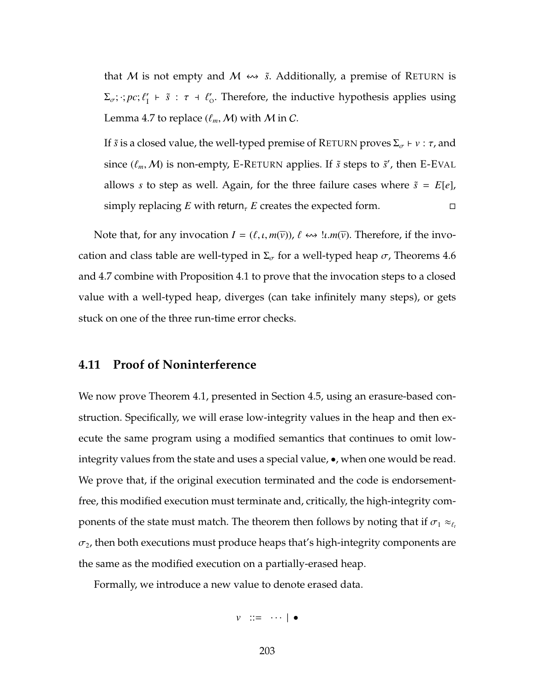that M is not empty and M  $\leftrightarrow$   $\tilde{s}$ . Additionally, a premise of R[ETURN](#page-204-1) is  $\Sigma_{\sigma}$ ;  $:$   $pc$ ;  $\ell'_1$   $\vdash$   $\tilde{s}$  :  $\tau$   $\vdash$   $\ell'_0$ . Therefore, the inductive hypothesis applies using Lemma [4.7](#page-212-0) to replace  $(\ell_m, M)$  with M in C.

If  $\tilde{s}$  is a closed value, the well-typed premise of R[ETURN](#page-204-1) proves  $\Sigma_{\sigma} \vdash v : \tau$ , and since  $(\ell_m, \mathcal{M})$  is non-empty, E-R[ETURN](#page-178-0) applies. If  $\tilde{s}$  steps to  $\tilde{s}'$ , then [E-E](#page-202-0)VAL allows *s* to step as well. Again, for the three failure cases where  $\tilde{s} = E[e]$ , simply replacing *E* with return<sub>*t*</sub> *E* creates the expected form.

Note that, for any invocation  $I = (\ell, \iota, m(\overline{v}))$ ,  $\ell \leftrightarrow \iota, m(\overline{v})$ . Therefore, if the invocation and class table are well-typed in  $\Sigma_{\sigma}$  for a well-typed heap  $\sigma$ , Theorems [4.6](#page-207-0) and [4.7](#page-214-0) combine with Proposition [4.1](#page-211-0) to prove that the invocation steps to a closed value with a well-typed heap, diverges (can take infinitely many steps), or gets stuck on one of the three run-time error checks.

## <span id="page-217-0"></span>**4.11 Proof of Noninterference**

We now prove Theorem [4.1,](#page-191-0) presented in Section [4.5,](#page-186-1) using an erasure-based construction. Specifically, we will erase low-integrity values in the heap and then execute the same program using a modified semantics that continues to omit lowintegrity values from the state and uses a special value, •, when one would be read. We prove that, if the original execution terminated and the code is endorsementfree, this modified execution must terminate and, critically, the high-integrity components of the state must match. The theorem then follows by noting that if  $\sigma_1 \approx_{\ell_t}$  $\sigma_2$ , then both executions must produce heaps that's high-integrity components are the same as the modified execution on a partially-erased heap.

Formally, we introduce a new value to denote erased data.

*v* ::= · · · | •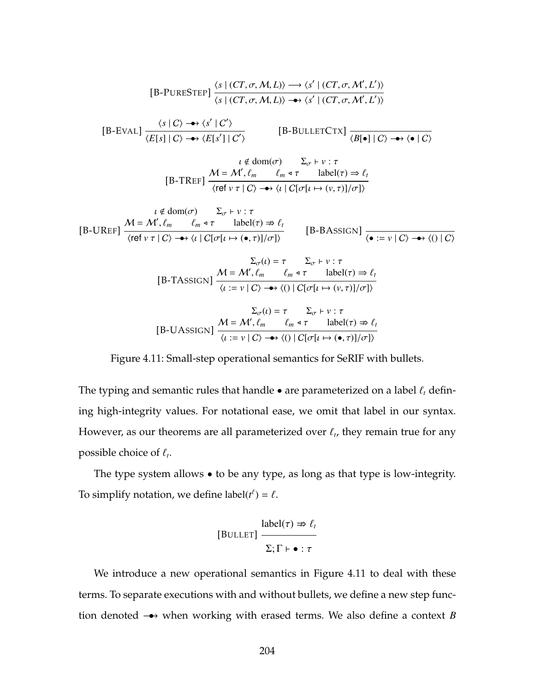<span id="page-218-0"></span>
$$
[B-PURESTEP] \frac{\langle s \mid (CT, \sigma, M, L) \rangle \longrightarrow \langle s' \mid (CT, \sigma, M', L') \rangle}{\langle s \mid (CT, \sigma, M, L) \rangle \longrightarrow \langle s' \mid (CT, \sigma, M', L') \rangle}
$$
\n
$$
[B-EVAL] \frac{\langle s \mid C \rangle \longrightarrow \langle s' \mid C' \rangle}{\langle E[s] \mid C \rangle \longrightarrow \langle E[s'] \mid C' \rangle} \qquad [B-BULLETCTX] \frac{\langle B[e] \mid C \rangle \longrightarrow \langle e \mid C \rangle}{\langle B[e] \mid C \rangle \longrightarrow \langle e \mid C \rangle}
$$
\n
$$
[B-TREF] \frac{M = M', \ell_m - \ell_m * \tau - \text{ label}(\tau) \Rightarrow \ell_I}{\langle \text{ref } v \mid T \mid C \rangle \longrightarrow \langle \iota \mid C[\sigma[\iota \mapsto (v, \tau)]/\sigma] \rangle}
$$
\n
$$
\iota \notin \text{dom}(\sigma) \qquad \Sigma_{\sigma} \vdash v : \tau
$$
\n
$$
[B-UREF] \frac{M = M', \ell_m - \ell_m * \tau - \text{ label}(\tau) \Rightarrow \ell_I}{\langle \text{ref } v \mid T \mid C \rangle \longrightarrow \langle \iota \mid C[\sigma[\iota \mapsto (e, \tau)]/\sigma] \rangle} \qquad [B-BASSIGN] \frac{\lambda}{\langle e := v \mid C \rangle \longrightarrow \langle 0 \mid C \rangle}
$$
\n
$$
\Sigma_{\sigma}(\iota) = \tau - \Sigma_{\sigma} \vdash v : \tau
$$
\n
$$
[B-TASSIGN] \frac{M = M', \ell_m - \ell_m * \tau - \text{ label}(\tau) \Rightarrow \ell_I}{\langle \iota := v \mid C \rangle \longrightarrow \langle 0 \mid C[\sigma[\iota \mapsto (v, \tau)]/\sigma] \rangle}
$$
\n
$$
\Sigma_{\sigma}(\iota) = \tau - \Sigma_{\sigma} \vdash v : \tau
$$
\n
$$
[B-UASSIGN] \frac{M = M', \ell_m - \ell_m * \tau - \text{ label}(\tau) \Rightarrow \ell_I}{\langle \iota := v \mid C \rangle \longrightarrow \langle 0 \mid C[\sigma[\iota \mapsto (e, \tau)]/\sigma] \rangle}
$$

Figure 4.11: Small-step operational semantics for SeRIF with bullets.

The typing and semantic rules that handle  $\bullet$  are parameterized on a label  $\ell_t$  defining high-integrity values. For notational ease, we omit that label in our syntax. However, as our theorems are all parameterized over  $\ell_t$ , they remain true for any possible choice of  $\ell_t$ .

The type system allows • to be any type, as long as that type is low-integrity. To simplify notation, we define  $label(t^{\ell}) = \ell$ .

$$
[BULLET] \frac{label(\tau) \nRightarrow \ell_t}{\Sigma; \Gamma \vdash \bullet : \tau}
$$

We introduce a new operational semantics in Figure [4.11](#page-218-0) to deal with these terms. To separate executions with and without bullets, we define a new step function denoted •−→ when working with erased terms. We also define a context *B*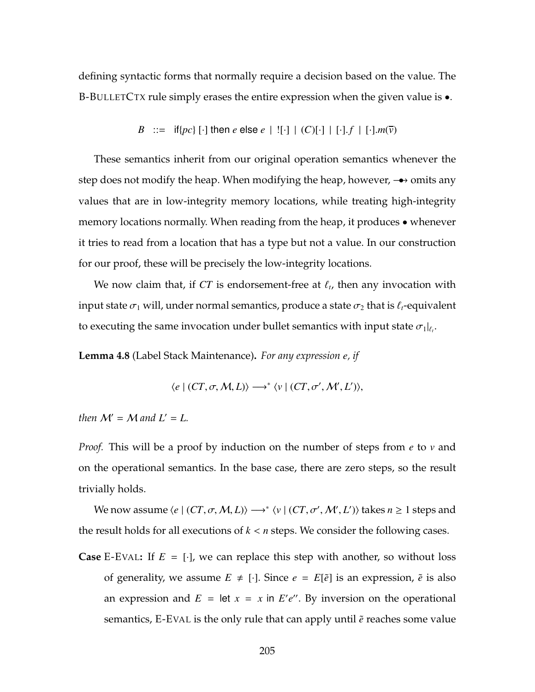defining syntactic forms that normally require a decision based on the value. The B-B[ULLET](#page-218-0)CTX rule simply erases the entire expression when the given value is •.

B ::= if{pc} [·] then e else e | ![·] | (C)[·] | [·] .f | [-].m(
$$
\overline{\nu}
$$
)

These semantics inherit from our original operation semantics whenever the step does not modify the heap. When modifying the heap, however, → omits any values that are in low-integrity memory locations, while treating high-integrity memory locations normally. When reading from the heap, it produces • whenever it tries to read from a location that has a type but not a value. In our construction for our proof, these will be precisely the low-integrity locations.

We now claim that, if  $CT$  is endorsement-free at  $\ell_t$ , then any invocation with input state  $\sigma_1$  will, under normal semantics, produce a state  $\sigma_2$  that is  $\ell_t$ -equivalent to executing the same invocation under bullet semantics with input state  $\sigma_1|_{\ell_t}$ .

<span id="page-219-0"></span>**Lemma 4.8** (Label Stack Maintenance)**.** *For any expression e, if*

$$
\langle e \mid (CT, \sigma, M, L) \rangle \longrightarrow^* \langle v \mid (CT, \sigma', M', L') \rangle,
$$

*then*  $M' = M$  *and*  $L' = L$ *.* 

*Proof.* This will be a proof by induction on the number of steps from *e* to *v* and on the operational semantics. In the base case, there are zero steps, so the result trivially holds.

We now assume  $\langle e | (CT, \sigma, M, L) \rangle \longrightarrow^* \langle v | (CT, \sigma', M', L') \rangle$  takes  $n \geq 1$  steps and the result holds for all executions of *k* < *n* steps. We consider the following cases.

**Case** [E-E](#page-202-0)VAL: If  $E = [\cdot]$ , we can replace this step with another, so without loss of generality, we assume  $E \neq [\cdot]$ . Since  $e = E[\tilde{e}]$  is an expression,  $\tilde{e}$  is also an expression and  $E = \text{let } x = x$  in  $E'e''$ . By inversion on the operational semantics, [E-E](#page-202-0)VAL is the only rule that can apply until  $\tilde{e}$  reaches some value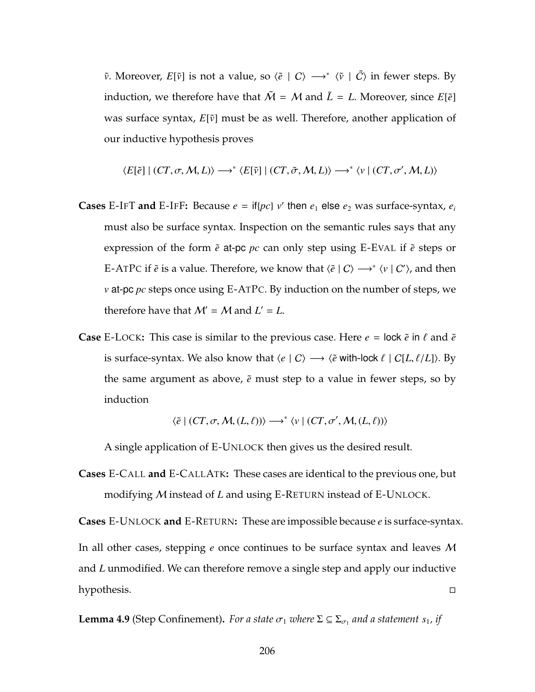$\tilde{v}$ . Moreover,  $E[\tilde{v}]$  is not a value, so  $\langle \tilde{e} | C \rangle \longrightarrow^* \langle \tilde{v} | \tilde{C} \rangle$  in fewer steps. By induction, we therefore have that  $\tilde{M} = M$  and  $\tilde{L} = L$ . Moreover, since  $E[\tilde{e}]$ was surface syntax,  $E[\tilde{v}]$  must be as well. Therefore, another application of our inductive hypothesis proves

$$
\langle E[\tilde{e}] \mid (CT, \sigma, M, L) \rangle \longrightarrow^* \langle E[\tilde{v}] \mid (CT, \tilde{\sigma}, M, L) \rangle \longrightarrow^* \langle v \mid (CT, \sigma', M, L) \rangle
$$

- **Cases** [E-I](#page-202-0)FT and E-IFF: Because  $e = \text{if} \{pc\}$   $v'$  then  $e_1$  else  $e_2$  was surface-syntax,  $e_i$ must also be surface syntax. Inspection on the semantic rules says that any expression of the form  $\tilde{e}$  at-pc  $pc$  can only step using [E-E](#page-202-0)VAL if  $\tilde{e}$  steps or [E-A](#page-178-0)TPC if  $\tilde{e}$  is a value. Therefore, we know that  $\langle \tilde{e} | C \rangle \longrightarrow^* \langle v | C' \rangle$ , and then *v* at-pc *pc* steps once using [E-A](#page-178-0)TPC. By induction on the number of steps, we therefore have that  $\mathcal{M}' = \mathcal{M}$  and  $L' = L$ .
- **Case** [E-L](#page-178-0)OCK: This case is similar to the previous case. Here  $e = \text{lock } \tilde{e}$  in  $\ell$  and  $\tilde{e}$ is surface-syntax. We also know that  $\langle e | C \rangle \longrightarrow \langle \tilde{e}$  with-lock  $\ell | C[L, \ell/L] \rangle$ . By the same argument as above,  $\tilde{e}$  must step to a value in fewer steps, so by induction

$$
\langle \tilde{e} \mid (CT, \sigma, \mathcal{M}, (L, \ell)) \rangle \longrightarrow^* \langle v \mid (CT, \sigma', \mathcal{M}, (L, \ell)) \rangle
$$

A single application of E-U[NLOCK](#page-178-0) then gives us the desired result.

**Cases** [E-C](#page-178-0)ALL **and** [E-C](#page-188-0)ALLATK**:** These cases are identical to the previous one, but modifying M instead of *L* and using E-R[ETURN](#page-178-0) instead of E-U[NLOCK](#page-178-0).

**Cases** E-U[NLOCK](#page-178-0) **and** E-R[ETURN](#page-178-0)**:** These are impossible because *e* is surface-syntax. In all other cases, stepping *e* once continues to be surface syntax and leaves M and *L* unmodified. We can therefore remove a single step and apply our inductive hypothesis.

<span id="page-220-0"></span>**Lemma 4.9** (Step Confinement). For a state  $\sigma_1$  where  $\Sigma \subseteq \Sigma_{\sigma_1}$  and a statement  $s_1$ , if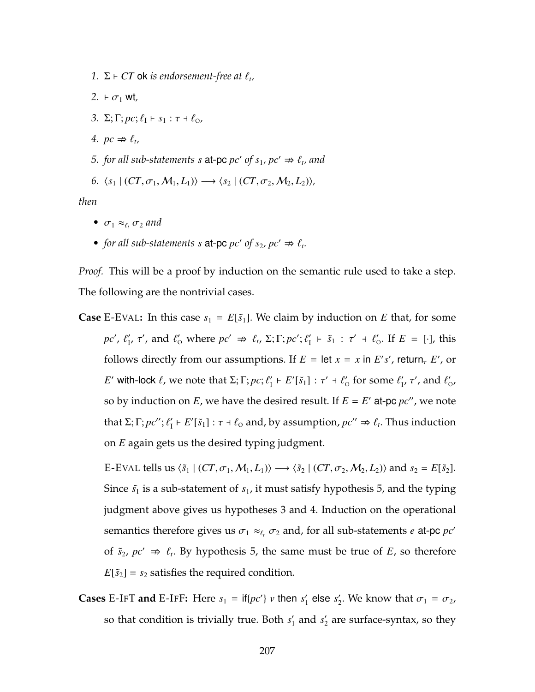- 1.  $\Sigma \vdash CT$  ok *is endorsement-free at*  $\ell_t$ ,
- <span id="page-221-1"></span>2.  $\vdash \sigma_1$  wt<sub>,</sub>
- *3.* Σ; Γ; *pc*;  $\ell_1$   $\vdash$  *s*<sub>1</sub> : *τ*  $\vdash$   $\ell_0$ *,*
- <span id="page-221-2"></span>*4.*  $pc \nRightarrow \ell_t$
- <span id="page-221-0"></span>*5. for all sub-statements s* at-pc  $pc'$  of  $s_1$ ,  $pc' \Rightarrow l_t$ , and
- *6.*  $\langle s_1 | (CT, σ_1, M_1, L_1) \rangle$  →  $\langle s_2 | (CT, σ_2, M_2, L_2) \rangle$ ,

*then*

- $\sigma_1 \approx_{\ell_t} \sigma_2$  *and*
- *for all sub-statements s* at-pc  $pc'$  of  $s_2$ ,  $pc' \Rightarrow l_1$ .

*Proof.* This will be a proof by induction on the semantic rule used to take a step. The following are the nontrivial cases.

**Case** [E-E](#page-202-0)VAL: In this case  $s_1 = E[\tilde{s}_1]$ . We claim by induction on *E* that, for some *pc'*,  $\ell'_1$ ,  $\tau'$ , and  $\ell'_0$  where  $pc' \Rightarrow \ell_t$ ,  $\Sigma; \Gamma; pc'; \ell'_1 \vdash \tilde{s}_1 : \tau' \dashv \ell'_0$ . If  $E = [\cdot]$ , this follows directly from our assumptions. If  $E = \text{let } x = x$  in  $E's'$ , return,  $E'$ , or *E*' with-lock  $\ell$ , we note that  $\Sigma; \Gamma; pc; \ell'_1 \vdash E'[\tilde{s}_1] : \tau' \dashv \ell'_0$  for some  $\ell'_1$ ,  $\tau'$ , and  $\ell'_0$ , so by induction on  $E$ , we have the desired result. If  $E = E'$  at-pc  $pc''$ , we note that  $\Sigma$ ;  $\Gamma$ ;  $pc''$ ;  $\ell'_1 \vdash E'[\tilde{s}_1] : \tau \vdash \ell_0$  and, by assumption,  $pc'' \nRightarrow \ell_t$ . Thus induction on *E* again gets us the desired typing judgment.

[E-E](#page-202-0)VAL tells us  $\langle \tilde{s}_1 | (CT, \sigma_1, M_1, L_1) \rangle \longrightarrow \langle \tilde{s}_2 | (CT, \sigma_2, M_2, L_2) \rangle$  and  $s_2 = E[\tilde{s}_2]$ . Since  $\tilde{s}_1$  is a sub-statement of  $s_1$ , it must satisfy hypothesis [5,](#page-221-0) and the typing judgment above gives us hypotheses [3](#page-221-1) and [4.](#page-221-2) Induction on the operational semantics therefore gives us  $\sigma_1 \approx_{\ell_t} \sigma_2$  and, for all sub-statements *e* at-pc *pc*<sup>*'*</sup> of  $\tilde{s}_2$ ,  $pc' \Rightarrow \ell_t$ . By hypothesis [5,](#page-221-0) the same must be true of *E*, so therefore  $E[\tilde{s}_2] = s_2$  satisfies the required condition.

**Cases** [E-I](#page-202-0)FT **and** E-IFF: Here  $s_1 = \text{if} \{pc'\}$  *v* then  $s'_1$  else  $s'_2$ . We know that  $\sigma_1 = \sigma_2$ , so that condition is trivially true. Both  $s_1'$  and  $s_2'$  are surface-syntax, so they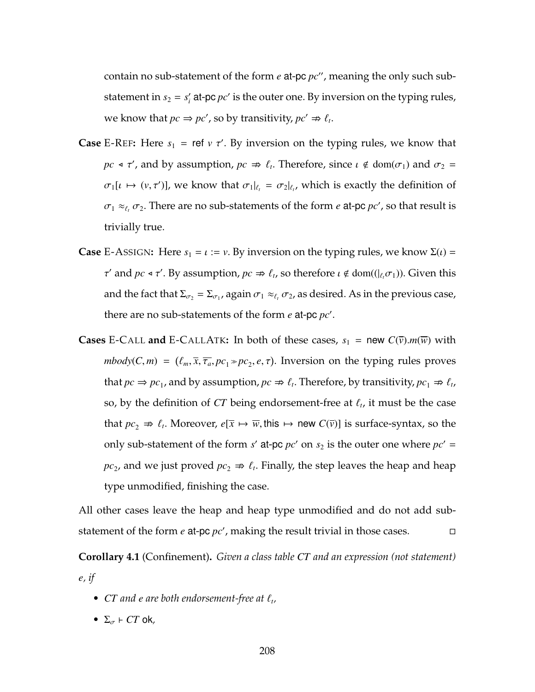contain no sub-statement of the form  $e$  at-pc  $pc$ ", meaning the only such substatement in  $s_2 = s_i'$  at-pc  $pc'$  is the outer one. By inversion on the typing rules, we know that  $pc \Rightarrow pc'$ , so by transitivity,  $pc' \Rightarrow \ell_t$ .

- **Case** [E-R](#page-178-0)EF: Here  $s_1$  = ref  $v \tau'$ . By inversion on the typing rules, we know that *pc*  $\triangleleft \tau'$ , and by assumption,  $pc \Rightarrow \ell_t$ . Therefore, since  $\iota \notin dom(\sigma_1)$  and  $\sigma_2 =$  $\sigma_1[\iota \mapsto (\nu, \tau')]$ , we know that  $\sigma_1|_{\ell_t} = \sigma_2|_{\ell_t}$ , which is exactly the definition of  $\sigma_1 \approx_{\ell_t} \sigma_2$ . There are no sub-statements of the form *e* at-pc  $pc'$ , so that result is trivially true.
- **Case** E-A[SSIGN](#page-178-0): Here  $s_1 = \iota := \nu$ . By inversion on the typing rules, we know  $\Sigma(\iota) =$  $τ'$  and *pc*  $\triangleleft τ'$ . By assumption, *pc*  $\Rightarrow \ell_t$ , so therefore *ι* ∉ dom((| $\ell_t$  $σ_1$ )). Given this and the fact that  $\Sigma_{\sigma_2} = \Sigma_{\sigma_1}$ , again  $\sigma_1 \approx_{\ell_t} \sigma_2$ , as desired. As in the previous case, there are no sub-statements of the form  $e$  at-pc  $pc'$ .
- **Cases** [E-C](#page-188-0)ALL **and** E-CALLATK: In both of these cases,  $s_1$  = new  $C(\bar{v})$ .*m*( $\bar{w}$ ) with  $mbody(C, m) = (\ell_m, \overline{x}, \overline{\tau_a}, pc_1 \gg pc_2, e, \tau)$ . Inversion on the typing rules proves that  $pc \Rightarrow pc_1$ , and by assumption,  $pc \Rightarrow \ell_t$ . Therefore, by transitivity,  $pc_1 \Rightarrow \ell_t$ , so, by the definition of  $CT$  being endorsement-free at  $\ell_t$ , it must be the case that  $pc_2 \nRightarrow \ell_t$ . Moreover,  $e[\bar{x} \mapsto \bar{w}, \text{this} \mapsto \text{new } C(\bar{v})]$  is surface-syntax, so the only sub-statement of the form  $s'$  at-pc  $pc'$  on  $s_2$  is the outer one where  $pc' =$  $pc_2$ , and we just proved  $pc_2 \Rightarrow \ell_t$ . Finally, the step leaves the heap and heap type unmodified, finishing the case.

All other cases leave the heap and heap type unmodified and do not add substatement of the form  $e$  at-pc  $pc'$ , making the result trivial in those cases.

<span id="page-222-0"></span>**Corollary 4.1** (Confinement)**.** *Given a class table CT and an expression (not statement) e, if*

- $CT$  and  $e$  are both endorsement-free at  $\ell_t$ ,
- $\Sigma_{\sigma}$  *F CT* ok,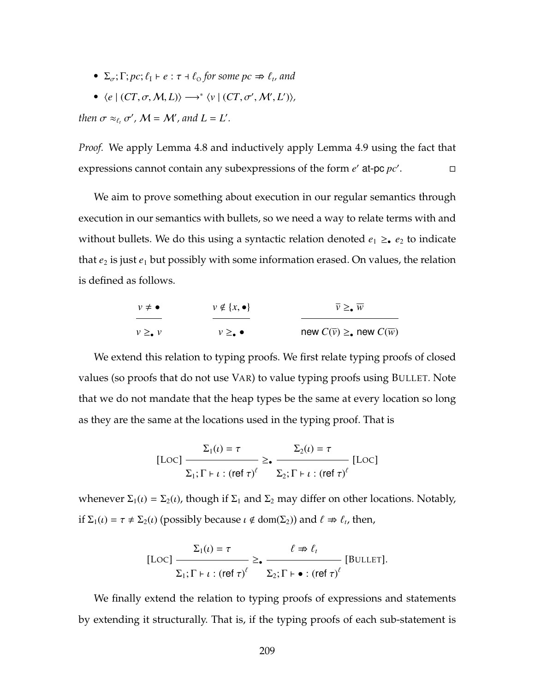- $\Sigma_{\sigma}$ ;  $\Gamma$ ;  $pc$ ;  $\ell_1$   $+ e : \tau + \ell_0$  for some  $pc \nRightarrow \ell_t$ , and
- $\langle e \mid (CT, \sigma, M, L) \rangle \longrightarrow^* \langle v \mid (CT, \sigma', M', L') \rangle,$

*then*  $\sigma \approx_{\ell_t} \sigma'$ ,  $\mathcal{M} = \mathcal{M}'$ , and  $L = L'$ .

*Proof.* We apply Lemma [4.8](#page-219-0) and inductively apply Lemma [4.9](#page-220-0) using the fact that expressions cannot contain any subexpressions of the form  $e'$  at-pc  $pc'$ .

We aim to prove something about execution in our regular semantics through execution in our semantics with bullets, so we need a way to relate terms with and without bullets. We do this using a syntactic relation denoted  $e_1 \geq_e e_2$  to indicate that  $e_2$  is just  $e_1$  but possibly with some information erased. On values, the relation is defined as follows.

| $v \neq \bullet$     | $v \notin \{x, \bullet\}$  | $\overline{v} \geq \sqrt{w}$                               |  |
|----------------------|----------------------------|------------------------------------------------------------|--|
| $v \geq_{\bullet} v$ | $v \geq_{\bullet} \bullet$ | new $C(\overline{v}) \geq_{\bullet}$ new $C(\overline{w})$ |  |

We extend this relation to typing proofs. We first relate typing proofs of closed values (so proofs that do not use V[AR](#page-203-0)) to value typing proofs using B[ULLET](#page-217-0). Note that we do not mandate that the heap types be the same at every location so long as they are the same at the locations used in the typing proof. That is

$$
[\text{Loc}] \frac{\Sigma_1(\iota) = \tau}{\Sigma_1; \Gamma \vdash \iota : (\text{ref } \tau)^\ell} \geq \frac{\Sigma_2(\iota) = \tau}{\Sigma_2; \Gamma \vdash \iota : (\text{ref } \tau)^\ell} [\text{Loc}]
$$

whenever  $\Sigma_1(\iota) = \Sigma_2(\iota)$ , though if  $\Sigma_1$  and  $\Sigma_2$  may differ on other locations. Notably, if  $\Sigma_1(\iota) = \tau \neq \Sigma_2(\iota)$  (possibly because  $\iota \notin \text{dom}(\Sigma_2)$ ) and  $\ell \nRightarrow \ell_t$ , then,

[LOC] 
$$
\frac{\Sigma_1(\iota) = \tau}{\Sigma_1; \Gamma \vdash \iota : (\text{ref } \tau)^\ell} \geq \frac{\ell \nRightarrow \ell_\iota}{\Sigma_2; \Gamma \vdash \bullet : (\text{ref } \tau)^\ell}
$$
 [BULLET].

We finally extend the relation to typing proofs of expressions and statements by extending it structurally. That is, if the typing proofs of each sub-statement is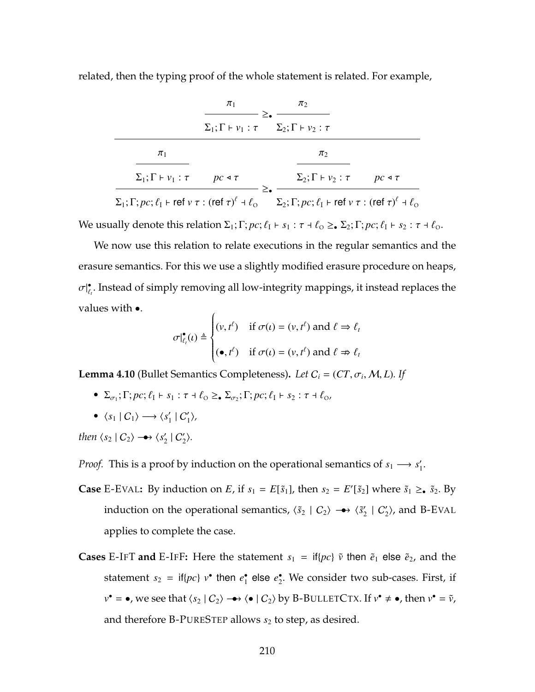related, then the typing proof of the whole statement is related. For example,

|                                                                   | $\pi_1$                                                                       | $\pi_2$                                                                                                                                                                                                 |  |
|-------------------------------------------------------------------|-------------------------------------------------------------------------------|---------------------------------------------------------------------------------------------------------------------------------------------------------------------------------------------------------|--|
|                                                                   | $\Sigma_1; \Gamma \vdash v_1 : \tau \quad \Sigma_2; \Gamma \vdash v_2 : \tau$ |                                                                                                                                                                                                         |  |
| $\pi_1$                                                           |                                                                               | $\pi$                                                                                                                                                                                                   |  |
| $\Sigma_1$ ; $\Gamma \vdash v_1$ : $\tau$ $pc \triangleleft \tau$ |                                                                               | $\Sigma_2$ ; $\Gamma \vdash v_2 : \tau$ $pc \triangleleft \tau$                                                                                                                                         |  |
|                                                                   |                                                                               | $\Sigma_1$ ; $\Gamma$ ; $pc$ ; $\ell_1$ $\vdash$ ref $v \tau$ : (ref $\tau)^{\ell}$ $\dashv \ell_0$ $\Sigma_2$ ; $\Gamma$ ; $pc$ ; $\ell_1$ $\vdash$ ref $v \tau$ : (ref $\tau)^{\ell}$ $\dashv \ell_0$ |  |

We usually denote this relation  $\Sigma_1$ ;  $\Gamma$ ;  $pc$ ;  $\ell_1 \vdash s_1 : \tau \dashv \ell_0 \geq_\bullet \Sigma_2$ ;  $\Gamma$ ;  $pc$ ;  $\ell_1 \vdash s_2 : \tau \dashv \ell_0$ .

We now use this relation to relate executions in the regular semantics and the erasure semantics. For this we use a slightly modified erasure procedure on heaps,  $\sigma|_{\ell_t}^{\bullet}$ . Instead of simply removing all low-integrity mappings, it instead replaces the values with •.  $\overline{1}$ 

$$
\sigma|_{\ell_t}^{\bullet}(t) \triangleq \begin{cases} (v, t^{\ell}) & \text{if } \sigma(t) = (v, t^{\ell}) \text{ and } \ell \Rightarrow \ell_t \\ (\bullet, t^{\ell}) & \text{if } \sigma(t) = (v, t^{\ell}) \text{ and } \ell \Rightarrow \ell_t \end{cases}
$$

<span id="page-224-0"></span>**Lemma 4.10** (Bullet Semantics Completeness). *Let*  $C_i = (CT, \sigma_i, M, L)$ . *If* 

- $\Sigma_{\sigma_1}$ ;  $\Gamma$ ;  $pc$ ;  $\ell_1 \vdash s_1 : \tau \dashv \ell_0 \geq_\bullet \Sigma_{\sigma_2}$ ;  $\Gamma$ ;  $pc$ ;  $\ell_1 \vdash s_2 : \tau \dashv \ell_0$ ,
- $\langle s_1 | C_1 \rangle \longrightarrow \langle s'_1 | C'_1 \rangle$

*then*  $\langle s_2 | C_2 \rangle \rightarrow \langle s'_2 | C'_2 \rangle$ .

*Proof.* This is a proof by induction on the operational semantics of  $s_1 \longrightarrow s'_1$ .

- **Case** [E-E](#page-202-0)VAL: By induction on *E*, if  $s_1 = E[\tilde{s}_1]$ , then  $s_2 = E'[\tilde{s}_2]$  where  $\tilde{s}_1 \geq \tilde{s}_2$ . By induction on the operational semantics,  $\langle \tilde{s}_2 | C_2 \rangle \rightarrow \langle \tilde{s}'_2 | C'_2 \rangle$ , and [B-E](#page-218-0)VAL applies to complete the case.
- **Cases** [E-I](#page-202-0)FT and E-IFF: Here the statement  $s_1 = \text{if} \{pc\}$   $\tilde{v}$  then  $\tilde{e}_1$  else  $\tilde{e}_2$ , and the statement  $s_2 = \text{if} \{pc\}$   $v^{\bullet}$  then  $e_1^{\bullet}$  else  $e_2^{\bullet}$ . We consider two sub-cases. First, if  $v^{\bullet} = \bullet$ , we see that  $\langle s_2 | C_2 \rangle \longrightarrow \langle \bullet | C_2 \rangle$  by B-B[ULLET](#page-218-0)CTX. If  $v^{\bullet} \neq \bullet$ , then  $v^{\bullet} = \tilde{v}$ , and therefore [B-P](#page-218-0)URESTEP allows  $s_2$  to step, as desired.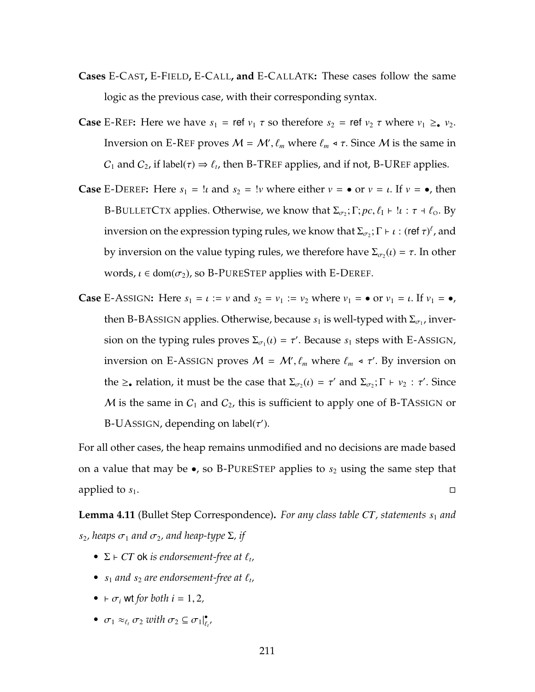- **Cases** [E-C](#page-202-0)AST**,** E-F[IELD](#page-202-0)**,** [E-C](#page-178-0)ALL**, and** [E-C](#page-188-0)ALLATK**:** These cases follow the same logic as the previous case, with their corresponding syntax.
- **Case** [E-R](#page-178-0)EF: Here we have  $s_1 = \text{ref } v_1 \tau$  so therefore  $s_2 = \text{ref } v_2 \tau$  where  $v_1 \geq v_2$ . Inversion on [E-R](#page-178-0)EF proves  $M = M', \ell_m$  where  $\ell_m \triangleleft \tau$ . Since  $M$  is the same in  $C_1$  and  $C_2$ , if label( $\tau$ )  $\Rightarrow \ell_t$ , then [B-TR](#page-218-0)EF applies, and if not, [B-UR](#page-218-0)EF applies.
- **Case** [E-D](#page-202-0)EREF: Here  $s_1 = \mu$  and  $s_2 = \mu$  where either  $v = \bullet$  or  $v = \mu$ . If  $v = \bullet$ , then B-B[ULLET](#page-218-0)CTX applies. Otherwise, we know that  $\Sigma_{\sigma_2}$ ;  $\Gamma$ ;  $pc$ ,  $\ell_1 \vdash \ell$  :  $\tau \dashv \ell_0$ . By inversion on the expression typing rules, we know that  $\Sigma_{\sigma_2}$ ;  $\Gamma \vdash \iota :$  (ref  $\tau)^{\ell}$ , and by inversion on the value typing rules, we therefore have  $\Sigma_{\sigma_2}(\iota) = \tau$ . In other words,  $\iota \in \text{dom}(\sigma_2)$ , so [B-P](#page-218-0)URESTEP applies with [E-D](#page-202-0)EREF.
- **Case** E-A[SSIGN](#page-178-0): Here  $s_1 = \iota := \nu$  and  $s_2 = \nu_1 := \nu_2$  where  $\nu_1 = \mathbf{0}$  or  $\nu_1 = \iota$ . If  $\nu_1 = \mathbf{0}$ , then [B-BA](#page-218-0)ssIGN applies. Otherwise, because  $s_1$  is well-typed with  $\Sigma_{\sigma_1}$ , inversion on the typing rules proves  $\Sigma_{\sigma_1}(\iota) = \tau'$ . Because  $s_1$  steps with E-A[SSIGN](#page-178-0), inversion on E-AssIGN proves  $M = M', \ell_m$  where  $\ell_m \triangleleft \tau'$ . By inversion on the  $\geq_{\bullet}$  relation, it must be the case that  $\Sigma_{\sigma_2}(t) = \tau'$  and  $\Sigma_{\sigma_2}$ ;  $\Gamma \vdash v_2 : \tau'$ . Since M is the same in  $C_1$  and  $C_2$ , this is sufficient to apply one of [B-TA](#page-218-0)SSIGN or [B-UA](#page-218-0)SSIGN, depending on label( $\tau'$ ).

For all other cases, the heap remains unmodified and no decisions are made based on a value that may be  $\bullet$ , so [B-P](#page-218-0)URESTEP applies to  $s_2$  using the same step that applied to  $s_1$ .

<span id="page-225-0"></span>**Lemma 4.11** (Bullet Step Correspondence)**.** *For any class table CT, statements s*<sup>1</sup> *and*  $s_2$ , heaps  $\sigma_1$  and  $\sigma_2$ , and heap-type  $\Sigma$ , if

- $\Sigma$   $\vdash$  *CT* ok *is endorsement-free at*  $\ell_t$ ,
- $s_1$  *and*  $s_2$  *are endorsement-free at*  $\ell_t$ ,
- $\vdash \sigma_i$  wt *for both*  $i = 1, 2$ ,
- $\sigma_1 \approx_{\ell_t} \sigma_2$  *with*  $\sigma_2 \subseteq \sigma_1|_{\ell_t}^{\bullet}$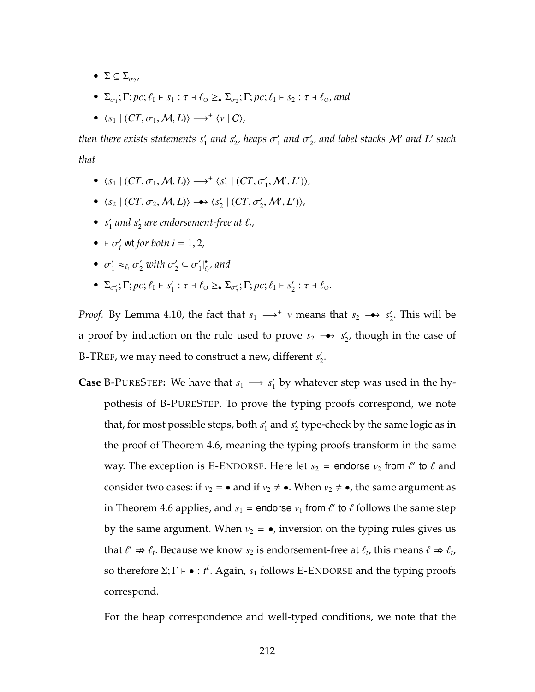- $\bullet$   $\Sigma \subseteq \Sigma_{\sigma_2},$
- $\Sigma_{\sigma_1}$ ;  $\Gamma$ ;  $pc$ ;  $\ell_1 \vdash s_1 : \tau \dashv \ell_0 \geq_\bullet \Sigma_{\sigma_2}$ ;  $\Gamma$ ;  $pc$ ;  $\ell_1 \vdash s_2 : \tau \dashv \ell_0$ , and
- $\langle s_1 | (CT, \sigma_1, M, L) \rangle \longrightarrow^+ \langle v | C \rangle$

*then there exists statements*  $s'_1$  *and*  $s'_2$ *, heaps*  $\sigma'_1$  *and*  $\sigma'_2$ *, and label stacks*  ${\cal M}'$  *and*  $L'$  *such that*

- $\langle s_1 | (CT, \sigma_1, M, L) \rangle \longrightarrow^+ \langle s_1' | (CT, \sigma_1', M', L') \rangle,$
- $\langle s_2 | (CT, \sigma_2, M, L) \rangle \rightarrow \langle s'_2 | (CT, \sigma'_2, M', L') \rangle$
- $s'_1$  and  $s'_2$  are endorsement-free at  $\ell_t$ ,
- $\vdash \sigma'_i$  wt *for both*  $i = 1, 2$ *,*
- $\sigma'_1 \approx_{\ell_t} \sigma'_2$  with  $\sigma'_2 \subseteq \sigma'_1 \vert_{\ell_t}^{\bullet}$ , and |
- $\Sigma_{\sigma'_1}$ ;  $\Gamma$ ;  $pc$ ;  $\ell_1$   $\vdash$   $s'_1$  :  $\tau$   $\dash$   $\ell_0 \geq_{\bullet} \Sigma_{\sigma'_2}$ ;  $\Gamma$ ;  $pc$ ;  $\ell_1$   $\vdash$   $s'_2$  :  $\tau$   $\dash$   $\ell_0$ .

*Proof.* By Lemma [4.10,](#page-224-0) the fact that  $s_1 \longrightarrow^* v$  means that  $s_2 \longrightarrow s'_2$ . This will be a proof by induction on the rule used to prove  $s_2 \rightarrow s'_2$ , though in the case of [B-TR](#page-218-0)EF, we may need to construct a new, different *s*<sub>2</sub>.

**Case** [B-P](#page-218-0)URESTEP: We have that  $s_1 \rightarrow s'_1$  by whatever step was used in the hypothesis of [B-P](#page-218-0)URESTEP. To prove the typing proofs correspond, we note that, for most possible steps, both  $s_1'$  and  $s_2'$  type-check by the same logic as in the proof of Theorem [4.6,](#page-207-0) meaning the typing proofs transform in the same way. The exception is E-E[NDORSE](#page-202-0). Here let  $s_2$  = endorse  $v_2$  from  $\ell'$  to  $\ell$  and consider two cases: if  $v_2 = \bullet$  and if  $v_2 \neq \bullet$ . When  $v_2 \neq \bullet$ , the same argument as in Theorem [4.6](#page-207-0) applies, and  $s_1$  = endorse  $v_1$  from  $\ell'$  to  $\ell$  follows the same step by the same argument. When  $v_2 = \bullet$ , inversion on the typing rules gives us that  $\ell' \Rightarrow \ell_t$ . Because we know  $s_2$  is endorsement-free at  $\ell_t$ , this means  $\ell \Rightarrow \ell_t$ , so therefore  $\Sigma; \Gamma \vdash \bullet : t^{\ell}$ . Again,  $s_1$  follows E-E[NDORSE](#page-202-0) and the typing proofs correspond.

For the heap correspondence and well-typed conditions, we note that the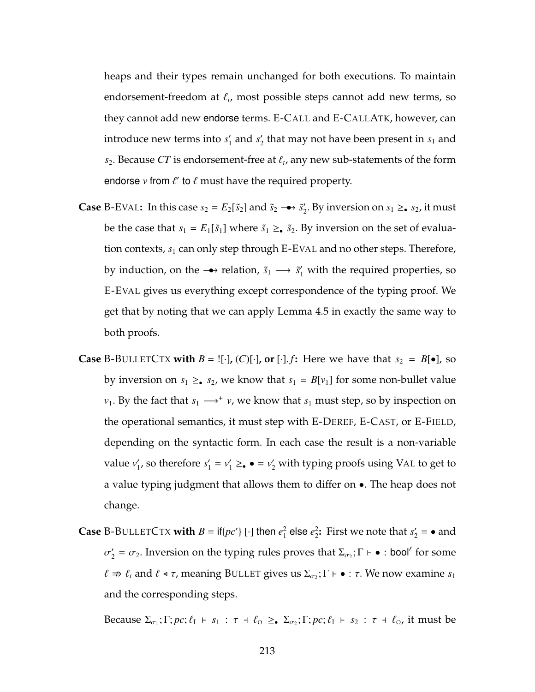heaps and their types remain unchanged for both executions. To maintain endorsement-freedom at  $\ell_t$ , most possible steps cannot add new terms, so they cannot add new endorse terms. [E-C](#page-178-0)ALL and [E-C](#page-188-0)ALLATK, however, can introduce new terms into  $s_1'$  and  $s_2'$  that may not have been present in  $s_1$  and  $s_2$ . Because *CT* is endorsement-free at  $\ell_t$ , any new sub-statements of the form endorse  $v$  from  $\ell'$  to  $\ell$  must have the required property.

- **Case** [B-E](#page-218-0)VAL: In this case  $s_2 = E_2[\tilde{s}_2]$  and  $\tilde{s}_2 \rightarrow \tilde{s}'_2$ . By inversion on  $s_1 \geq \tilde{s}_2$ , it must be the case that  $s_1 = E_1[\tilde{s}_1]$  where  $\tilde{s}_1 \geq \tilde{s}_2$ . By inversion on the set of evaluation contexts,  $s_1$  can only step through [E-E](#page-202-0)VAL and no other steps. Therefore, by induction, on the  $\rightarrow$  relation,  $\tilde{s}_1 \rightarrow \tilde{s}'_1$  with the required properties, so [E-E](#page-202-0)VAL gives us everything except correspondence of the typing proof. We get that by noting that we can apply Lemma [4.5](#page-208-0) in exactly the same way to both proofs.
- **Case** B-B[ULLET](#page-218-0)CTX with  $B = \{[\cdot]$ , (C) $[\cdot]$ , or  $[\cdot]$ . *f*: Here we have that  $s_2 = B[\bullet]$ , so by inversion on  $s_1 \geq s_2$ , we know that  $s_1 = B[v_1]$  for some non-bullet value *v*<sub>1</sub>. By the fact that  $s_1 \longrightarrow^+ v$ , we know that  $s_1$  must step, so by inspection on the operational semantics, it must step with [E-D](#page-202-0)EREF, [E-C](#page-202-0)AST, or [E-F](#page-202-0)IELD, depending on the syntactic form. In each case the result is a non-variable value  $v'_1$ , so therefore  $s'_1 = v'_1 \geq \bullet = v'_2$  with typing proofs using V[AL](#page-204-0) to get to a value typing judgment that allows them to differ on •. The heap does not change.
- **Case** B-B[ULLET](#page-218-0)CTX **with**  $B = \text{if} \{pc'\}$  [·] then  $e_1^2$  $\frac{2}{1}$ else  $e_2^2$ <sup>2</sup>: First we note that  $s'_2 = \bullet$  and  $\sigma'_2 = \sigma_2$ . Inversion on the typing rules proves that  $\Sigma_{\sigma_2}$ ;  $\Gamma \vdash \bullet :$  bool<sup> $\ell$ </sup> for some  $\ell \nRightarrow \ell_t$  and  $\ell \triangleleft \tau$ , meaning B[ULLET](#page-217-0) gives us  $\Sigma_{\sigma_2}$ ;  $\Gamma \vdash \bullet : \tau$ . We now examine  $s_1$ and the corresponding steps.

Because  $\Sigma_{\sigma_1}$ ;  $\Gamma$ ;  $pc$ ;  $\ell_1$   $\vdash$   $s_1$  :  $\tau$   $\vdash$   $\ell_0$   $\geq$ .  $\Sigma_{\sigma_2}$ ;  $\Gamma$ ;  $pc$ ;  $\ell_1$   $\vdash$   $s_2$  :  $\tau$   $\vdash$   $\ell_0$ , it must be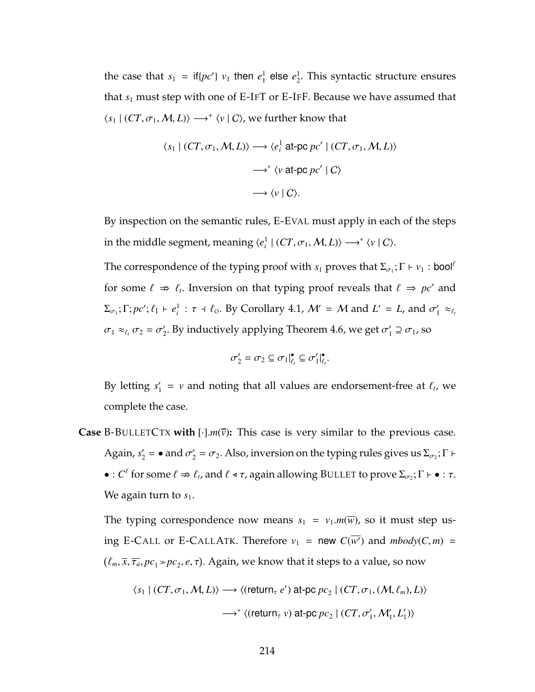the case that  $s_1 = \text{if} \{pc'\} \ v_1$  then  $e_1^1$  $\frac{1}{1}$  else  $e_2^1$  $\frac{1}{2}$ . This syntactic structure ensures that  $s_1$  must step with one of [E-I](#page-202-0)FT or E-IFF. Because we have assumed that  $\langle s_1 | (CT, \sigma_1, M, L) \rangle \longrightarrow^+ \langle v | C \rangle$ , we further know that

$$
\langle s_1 | (CT, \sigma_1, M, L) \rangle \longrightarrow \langle e_i^1 \text{ at-pc } pc' | (CT, \sigma_1, M, L) \rangle
$$

$$
\longrightarrow^* \langle v \text{ at-pc } pc' | C \rangle
$$

$$
\longrightarrow \langle v | C \rangle.
$$

By inspection on the semantic rules, [E-E](#page-202-0)VAL must apply in each of the steps in the middle segment, meaning  $\langle e_i^1 | (CT, \sigma_1, M, L) \rangle \longrightarrow^* \langle v | C \rangle$ .

The correspondence of the typing proof with  $s_1$  proves that  $\Sigma_{\sigma_1}$ ;  $\Gamma \vdash \nu_1$  : bool<sup> $\ell$ </sup> for some  $\ell \Rightarrow \ell_i$ . Inversion on that typing proof reveals that  $\ell \Rightarrow pc'$  and  $\Sigma_{\sigma_1}$ ;  $\Gamma; pc'; \ell_1 \vdash e_i^1 : \tau \dashv \ell_0$ . By Corollary [4.1,](#page-222-0)  $\mathcal{M}' = \mathcal{M}$  and  $L' = L$ , and  $\sigma'_1 \approx_{\ell_1} L$  $\sigma_1 \approx_{\ell_t} \sigma_2 = \sigma'_2$ . By inductively applying Theorem [4.6,](#page-207-0) we get  $\sigma'_1 \supseteq \sigma_1$ , so

$$
\sigma'_2 = \sigma_2 \subseteq \sigma_1|_{\ell_t}^{\bullet} \subseteq \sigma'_1|_{\ell_t}^{\bullet}.
$$

By letting  $s'_1 = v$  and noting that all values are endorsement-free at  $\ell_t$ , we complete the case.

**Case** B-B[ULLET](#page-218-0)CTX with  $[\cdot]$ .*m*( $\overline{v}$ ): This case is very similar to the previous case. Again,  $s_2' = \bullet$  and  $\sigma_2' = \sigma_2$ . Also, inversion on the typing rules gives us  $\Sigma_{\sigma_2}$ ;  $\Gamma \vdash$  $\bullet: C^{\ell}$  for some  $\ell \Rightarrow \ell_t$ , and  $\ell \triangleleft \tau$ , again allowing B[ULLET](#page-217-0) to prove  $\Sigma_{\sigma_2}$ ;  $\Gamma \vdash \bullet : \tau$ . We again turn to  $s_1$ .

The typing correspondence now means  $s_1 = v_1.m(\overline{w})$ , so it must step us-ing [E-C](#page-188-0)ALL or E-CALLATK. Therefore  $v_1$  = new  $C(\overline{w'})$  and  $mbody(C,m)$  =  $(\ell_m, \overline{x}, \overline{\tau_a}, pc_1 \ast pc_2, e, \tau)$ . Again, we know that it steps to a value, so now

$$
\langle s_1 | (CT, \sigma_1, M, L) \rangle \longrightarrow \langle (\text{return}_{\tau} e') \text{ at-pc } pc_2 | (CT, \sigma_1, (M, \ell_m), L) \rangle
$$

$$
\longrightarrow^* \langle (\text{return}_{\tau} v) \text{ at-pc } pc_2 | (CT, \sigma'_1, M'_1, L'_1) \rangle
$$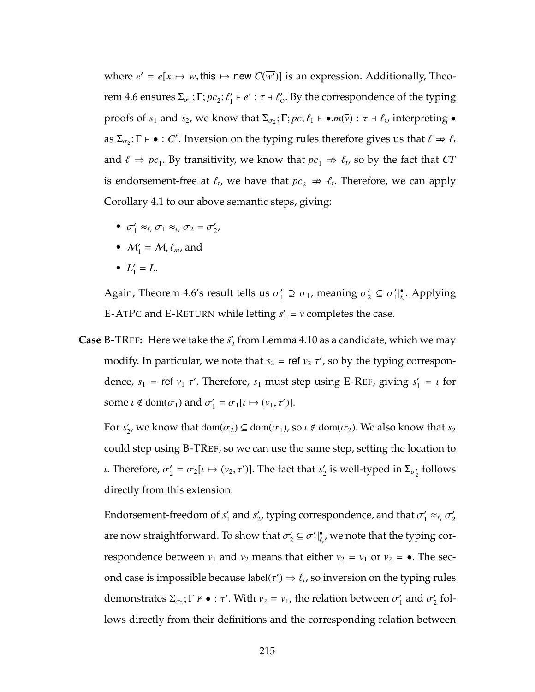where  $e' = e[\overline{x} \mapsto \overline{w}$ , this  $\mapsto$  new  $C(\overline{w'})$ ] is an expression. Additionally, Theo-rem [4.6](#page-207-0) ensures  $\Sigma_{\sigma_1}$ ;  $\Gamma$ ;  $pc_2$ ;  $\ell'_1 \vdash e' : \tau \dashv \ell'_0$ . By the correspondence of the typing proofs of  $s_1$  and  $s_2$ , we know that  $\Sigma_{\sigma_2}$ ;  $\Gamma; pc; \ell_1 \vdash \bullet.m(\overline{v}) : \tau \dashv \ell_0$  interpreting  $\bullet$ as  $\Sigma_{\sigma_2}$ ;  $\Gamma \vdash \bullet : C^{\ell}$ . Inversion on the typing rules therefore gives us that  $\ell \Rightarrow \ell_t$ and  $\ell \Rightarrow pc_1$ . By transitivity, we know that  $pc_1 \Rightarrow \ell_t$ , so by the fact that *CT* is endorsement-free at  $\ell_t$ , we have that  $pc_2 \nightharpoonup \ell_t$ . Therefore, we can apply Corollary [4.1](#page-222-0) to our above semantic steps, giving:

- $\sigma'_1 \approx_{\ell_t} \sigma_1 \approx_{\ell_t} \sigma_2 = \sigma'_2$
- $M'_1 = M$ ,  $\ell_m$ , and
- $L'_1 = L$ .

Again, Theorem [4.6'](#page-207-0)s result tells us  $\sigma'_1 \supseteq \sigma_1$ , meaning  $\sigma'_2 \subseteq \sigma'_1 |_{\ell_t}^{\bullet}$ . Applying [E-A](#page-178-0)TPC and E-R[ETURN](#page-178-0) while letting  $s'_1 = v$  completes the case.

**Case** [B-TR](#page-218-0)EF: Here we take the  $\tilde{s}'_2$  from Lemma [4.10](#page-224-0) as a candidate, which we may modify. In particular, we note that  $s_2$  = ref  $v_2$   $\tau'$ , so by the typing correspondence,  $s_1$  = ref  $v_1$   $\tau'$ . Therefore,  $s_1$  must step using [E-R](#page-178-0)EF, giving  $s'_1$  =  $\iota$  for some  $\iota \notin \text{dom}(\sigma_1)$  and  $\sigma'_1 = \sigma_1[\iota \mapsto (\nu_1, \tau')].$ 

For *s*<sub>2</sub>, we know that  $dom(\sigma_2) \subseteq dom(\sigma_1)$ , so  $\iota \notin dom(\sigma_2)$ . We also know that *s*<sub>2</sub> could step using [B-TR](#page-218-0)EF, so we can use the same step, setting the location to *ι*. Therefore,  $\sigma'_2 = \sigma_2[\iota \mapsto (v_2, \tau')]$ . The fact that  $s'_2$  is well-typed in  $\Sigma_{\sigma'_2}$  follows directly from this extension.

Endorsement-freedom of  $s'_1$  and  $s'_2$ , typing correspondence, and that  $\sigma'_1 \approx_{\ell_i} \sigma'_2$ are now straightforward. To show that  $\sigma'_2 \subseteq \sigma'_1|_{\ell_t}^\bullet$ , we note that the typing correspondence between  $v_1$  and  $v_2$  means that either  $v_2 = v_1$  or  $v_2 = \bullet$ . The second case is impossible because label $(\tau') \Rightarrow \ell_t$ , so inversion on the typing rules demonstrates  $\Sigma_{\sigma_2}$ ;  $\Gamma \nvdash \bullet : \tau'$ . With  $v_2 = v_1$ , the relation between  $\sigma'_1$  and  $\sigma'_2$  follows directly from their definitions and the corresponding relation between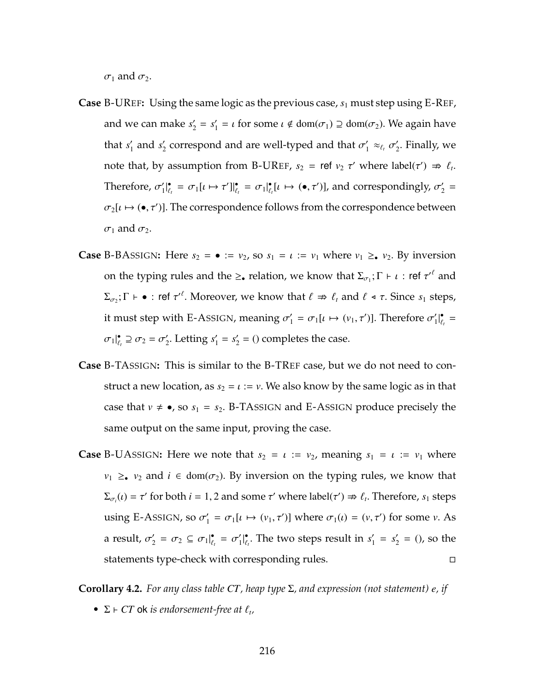$\sigma_1$  and  $\sigma_2$ .

- **Case** [B-UR](#page-218-0)EF**:** Using the same logic as the previous case, *s*<sup>1</sup> must step using [E-R](#page-178-0)EF, and we can make  $s'_2 = s'_1 = \iota$  for some  $\iota \notin \text{dom}(\sigma_1) \supseteq \text{dom}(\sigma_2)$ . We again have that  $s'_1$  and  $s'_2$  correspond and are well-typed and that  $\sigma'_1 \approx_{\ell_t} \sigma'_2$ . Finally, we note that, by assumption from [B-UR](#page-218-0)EF,  $s_2$  = ref  $v_2$   $\tau'$  where label( $\tau'$ )  $\Rightarrow \ell_t$ . Therefore,  $\sigma'_1|_{\ell_t}^{\bullet} = \sigma_1[\iota \mapsto \tau']|_{\ell_t}^{\bullet} = \sigma_1|_{\ell_t}^{\bullet}[\iota \mapsto (\bullet, \tau')]$ , and correspondingly,  $\sigma'_2 =$ |  $\sigma_2[\iota \mapsto (\bullet, \tau')]$ . The correspondence follows from the correspondence between  $\sigma_1$  and  $\sigma_2$ .
- **Case** [B-BA](#page-218-0)SSIGN: Here  $s_2 = \bullet := v_2$ , so  $s_1 = \iota := v_1$  where  $v_1 \geq \bullet v_2$ . By inversion on the typing rules and the  $\geq_{\bullet}$  relation, we know that  $\Sigma_{\sigma_1}$ ;  $\Gamma \vdash \iota$  : ref  $\tau'^{\ell}$  and  $\Sigma_{\sigma_2}$ ;  $\Gamma \vdash \bullet :$  ref  $\tau'^{\ell}$ . Moreover, we know that  $\ell \Rightarrow \ell_t$  and  $\ell \prec \tau$ . Since  $s_1$  steps, it must step with E-AssIGN, meaning  $\sigma'_1 = \sigma_1[\iota \mapsto (v_1, \tau')]$ . Therefore  $\sigma'_1|_{\ell_t}^{\bullet} =$  $\sigma_1|_{\ell_1}^{\bullet} \supseteq \sigma_2 = \sigma_2'.$  Letting  $s_1' = s_2' = ()$  completes the case.
- **Case** [B-TA](#page-218-0)SSIGN**:** This is similar to the [B-TR](#page-218-0)EF case, but we do not need to construct a new location, as  $s_2 = \iota := \nu$ . We also know by the same logic as in that case that  $v \neq \bullet$ , so  $s_1 = s_2$ . [B-TA](#page-218-0)[SSIGN](#page-178-0) and E-ASSIGN produce precisely the same output on the same input, proving the case.
- **Case** [B-UA](#page-218-0)SSIGN: Here we note that  $s_2 = \iota := v_2$ , meaning  $s_1 = \iota := v_1$  where *v*<sub>1</sub>  $\geq$  *v*<sub>2</sub> and *i*  $\in$  dom( $\sigma$ <sub>2</sub>). By inversion on the typing rules, we know that  $\Sigma_{\sigma_i}(t) = \tau'$  for both  $i = 1, 2$  and some  $\tau'$  where label( $\tau'$ )  $\Rightarrow \ell_t$ . Therefore, *s*<sub>1</sub> steps using E-AssIGN, so  $\sigma'_1 = \sigma_1[\iota \mapsto (\nu_1, \tau')]$  where  $\sigma_1(\iota) = (\nu, \tau')$  for some  $\nu$ . As a result,  $\sigma'_2 = \sigma_2 \subseteq \sigma_1|_{\ell_t}^{\bullet} = \sigma'_1|_{\ell_t}^{\bullet}$ . The two steps result in  $s'_1 = s'_2 = ()$ , so the statements type-check with corresponding rules.

<span id="page-230-0"></span>**Corollary 4.2.** *For any class table CT, heap type* Σ*, and expression (not statement) e, if*

•  $\Sigma$   $\vdash$  *CT* ok *is endorsement-free at*  $\ell_t$ ,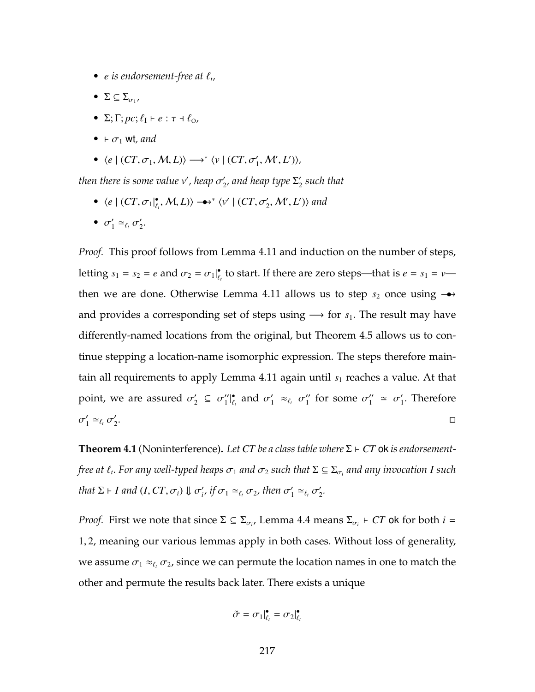- *e is endorsement-free at*  $\ell_t$ ,
- $\bullet$   $\Sigma \subseteq \Sigma_{\sigma_1},$
- $\Sigma; \Gamma; pc; \ell_{\rm I} \vdash e : \tau \dashv \ell_{\rm O}$
- $\bullet$   $\vdash \sigma_1$  wt*, and*
- $\langle e \mid (CT, \sigma_1, M, L) \rangle \longrightarrow^* \langle v \mid (CT, \sigma'_1, M', L') \rangle,$

 $\iota$  *then there is some value v', heap*  $\sigma'_2$ *, and heap type*  $\Sigma'_2$  *such that* 

•  $\langle e \mid (CT, \sigma_1|_{\ell_t}^{\bullet}, M, L) \rangle \rightarrow^* \langle v' \mid (CT, \sigma'_2, M', L') \rangle$  and

$$
\bullet \ \sigma'_1 \simeq_{\ell_t} \sigma'_2.
$$

*Proof.* This proof follows from Lemma [4.11](#page-225-0) and induction on the number of steps, letting  $s_1 = s_2 = e$  and  $\sigma_2 = \sigma_1 |_{\ell_i}^{\bullet}$  to start. If there are zero steps—that is  $e = s_1 = v$ — then we are done. Otherwise Lemma [4.11](#page-225-0) allows us to step  $s_2$  once using  $\rightarrow \rightarrow$ and provides a corresponding set of steps using  $\rightarrow$  for *s*<sub>1</sub>. The result may have differently-named locations from the original, but Theorem [4.5](#page-206-0) allows us to continue stepping a location-name isomorphic expression. The steps therefore maintain all requirements to apply Lemma  $4.11$  again until  $s<sub>1</sub>$  reaches a value. At that point, we are assured  $\sigma'_2 \subseteq \sigma''_1|_{\ell_t}^{\bullet}$  and  $\sigma'_1 \approx_{\ell_t} \sigma''_1$  for some  $\sigma''_1 \approx \sigma'_1$ . Therefore  $\sigma'_1 \simeq_{\ell_t} \sigma'_2$ . The contract of the contract of the contract of the contract of the contract of the contract of the contract<br>The contract of the contract of the contract of the contract of the contract of the contract of the contract o

**Theorem [4.1](#page-191-0)** (Noninterference). Let *CT* be a class table where  $\Sigma \vdash CT$  ok is endorsement*free at*  $\ell_t$ *. For any well-typed heaps*  $\sigma_1$  *and*  $\sigma_2$  *such that*  $\Sigma \subseteq \Sigma_{\sigma_i}$  *and any invocation I such that*  $\Sigma \vdash I$  *and*  $(I, CT, \sigma_i) \Downarrow \sigma'_i$ , if  $\sigma_1 \simeq_{\ell_i} \sigma_2$ , then  $\sigma'_1 \simeq_{\ell_i} \sigma'_2$ .

*Proof.* First we note that since  $\Sigma \subseteq \Sigma_{\sigma_i}$ , Lemma [4.4](#page-208-1) means  $\Sigma_{\sigma_i}$   $\vdash$  *CT* ok for both  $i =$ 1, 2, meaning our various lemmas apply in both cases. Without loss of generality, we assume  $\sigma_1 \approx_{\ell_t} \sigma_2$ , since we can permute the location names in one to match the other and permute the results back later. There exists a unique

$$
\tilde{\sigma} = \sigma_1|_{\ell_t}^{\bullet} = \sigma_2|_{\ell_t}^{\bullet}
$$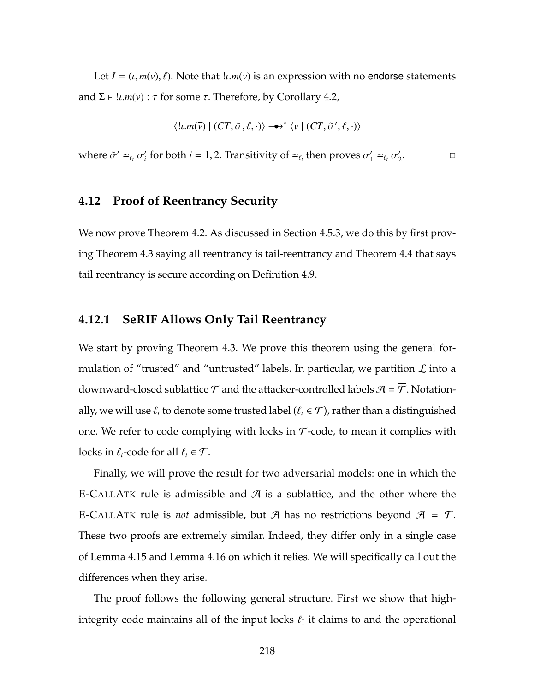Let  $I = (i, m(\overline{v}), \ell)$ . Note that  $\overline{u}, m(\overline{v})$  is an expression with no endorse statements and  $\Sigma \vdash !\iota.m(\overline{v}) : \tau$  for some  $\tau$ . Therefore, by Corollary [4.2,](#page-230-0)

$$
\langle u.m(\overline{v}) \mid (CT, \tilde{\sigma}, \ell, \cdot) \rangle \longrightarrow^* \langle v \mid (CT, \tilde{\sigma}', \ell, \cdot) \rangle
$$

where  $\tilde{\sigma}' \simeq_{\ell_t} \sigma'_i$  for both  $i = 1, 2$ . Transitivity of  $\simeq_{\ell_t}$  then proves  $\sigma'_1 \simeq_{\ell_t} \sigma'_2$ .

## **4.12 Proof of Reentrancy Security**

We now prove Theorem [4.2.](#page-194-0) As discussed in Section [4.5.3,](#page-191-1) we do this by first proving Theorem [4.3](#page-194-1) saying all reentrancy is tail-reentrancy and Theorem [4.4](#page-195-0) that says tail reentrancy is secure according on Definition [4.9.](#page-194-2)

## **4.12.1 SeRIF Allows Only Tail Reentrancy**

We start by proving Theorem [4.3.](#page-194-1) We prove this theorem using the general formulation of "trusted" and "untrusted" labels. In particular, we partition  $\mathcal L$  into a downward-closed sublattice  $\mathcal T$  and the attacker-controlled labels  $\mathcal A = \overline{\mathcal T}$ . Notationally, we will use  $\ell_t$  to denote some trusted label ( $\ell_t \in \mathcal{T}$ ), rather than a distinguished one. We refer to code complying with locks in  $\mathcal{T}$ -code, to mean it complies with locks in  $\ell_t$ -code for all  $\ell_t \in \mathcal{T}$ .

Finally, we will prove the result for two adversarial models: one in which the [E-C](#page-188-0)ALLATK rule is admissible and  $\mathcal A$  is a sublattice, and the other where the [E-C](#page-188-0)ALLATK rule is *not* admissible, but  $\mathcal{A}$  has no restrictions beyond  $\mathcal{A} = \overline{\mathcal{T}}$ . These two proofs are extremely similar. Indeed, they differ only in a single case of Lemma [4.15](#page-238-0) and Lemma [4.16](#page-241-0) on which it relies. We will specifically call out the differences when they arise.

The proof follows the following general structure. First we show that highintegrity code maintains all of the input locks  $\ell_I$  it claims to and the operational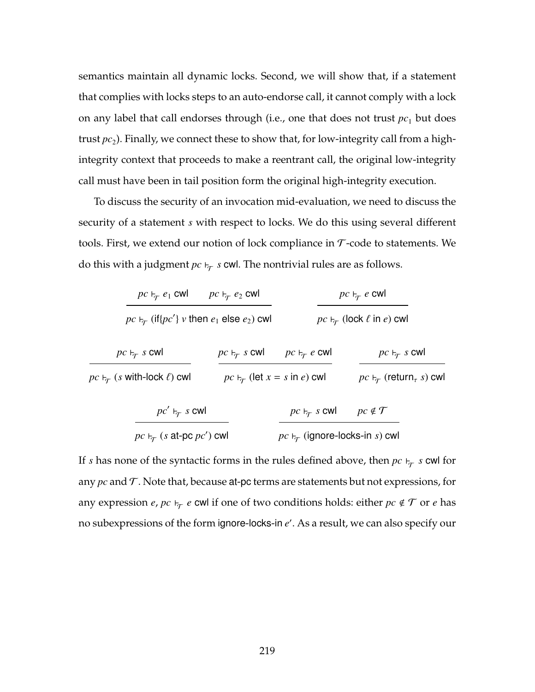semantics maintain all dynamic locks. Second, we will show that, if a statement that complies with locks steps to an auto-endorse call, it cannot comply with a lock on any label that call endorses through (i.e., one that does not trust  $pc<sub>1</sub>$  but does trust  $pc_2$ ). Finally, we connect these to show that, for low-integrity call from a highintegrity context that proceeds to make a reentrant call, the original low-integrity call must have been in tail position form the original high-integrity execution.

To discuss the security of an invocation mid-evaluation, we need to discuss the security of a statement *s* with respect to locks. We do this using several different tools. First, we extend our notion of lock compliance in  $\tau$ -code to statements. We do this with a judgment  $pc \vdash_\mathcal{T} s$  cwl. The nontrivial rules are as follows.

| $pc \nightharpoonup_{\tau} e_1$ cwl                            | $pc \nightharpoonup_{\tau} e_2$ cwl                | $pc \nvdash_{\tau} e$ cwl                         |                                                                     |  |
|----------------------------------------------------------------|----------------------------------------------------|---------------------------------------------------|---------------------------------------------------------------------|--|
| $pc \rightarrow_{\tau}$ (if{pc'} v then $e_1$ else $e_2$ ) cwl |                                                    | $pc \rightarrow_{\tau}$ (lock $\ell$ in $e$ ) cwl |                                                                     |  |
| $pc \rightarrow \tau$ s cwl                                    | $pc \rightarrow \tau$ s cwl                        | $pc \nightharpoonup_{\tau} e$ cwl                 | $pc \rightarrow \tau$ s cwl                                         |  |
| $pc \rightarrow_{\tau} (s$ with-lock $\ell$ ) cwl              | $pc \nightharpoonup_{\tau}$ (let $x = s$ in e) cwl |                                                   | $pc \rightarrow_{\tau}$ (return <sub><math>\tau</math></sub> s) cwl |  |
| $pc' \vdash_{\tau} s$ cwl                                      |                                                    | $pc \rightarrow \tau$ s cwl                       | $pc \notin \mathcal{T}$                                             |  |
| $pc \rightarrow_{\tau} (s \text{ at-pc } pc')$ cwl             |                                                    | $pc \rightarrow \tau$ (ignore-locks-in s) cwl     |                                                                     |  |

If *s* has none of the syntactic forms in the rules defined above, then  $pc \vdash_\mathcal{T} s$  cwl for any  $pc$  and  $\mathcal T$ . Note that, because at-pc terms are statements but not expressions, for any expression *e*,  $pc \vdash_T e$  cwl if one of two conditions holds: either  $pc \notin T$  or *e* has no subexpressions of the form ignore-locks-in *e'*. As a result, we can also specify our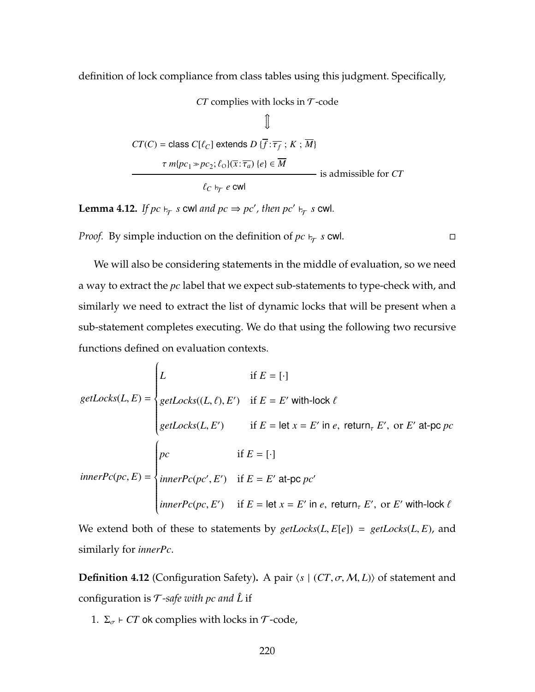definition of lock compliance from class tables using this judgment. Specifically,

 $CT$  complies with locks in  $T$ -code

$$
\mathbb{I}
$$
\n
$$
CT(C) = \text{class } C[\ell_C] \text{ extends } D\{\overline{f} : \overline{\tau_f} : K : \overline{M}\}
$$
\n
$$
\tau m\{pc_1 \gg pc_2; \ell_0\}(\overline{x} : \overline{\tau_a}) \{e\} \in \overline{M}
$$
\nis admissible for CT

\n
$$
\ell_C \vdash_{\overline{f}} e \text{ cw}
$$

<span id="page-234-1"></span>**Lemma 4.12.** If  $pc \vdash_{\mathcal{T}} s$  cwl and  $pc \Rightarrow pc'$ , then  $pc' \vdash_{\mathcal{T}} s$  cwl.

*Proof.* By simple induction on the definition of  $pc \vdash_T s$  cwl.

We will also be considering statements in the middle of evaluation, so we need a way to extract the *pc* label that we expect sub-statements to type-check with, and similarly we need to extract the list of dynamic locks that will be present when a sub-statement completes executing. We do that using the following two recursive functions defined on evaluation contexts.

$$
getLocks(L, E) = \begin{cases} L & \text{if } E = [\cdot] \\ getLocks((L, \ell), E') & \text{if } E = E' \text{ with-lock } \ell \\ getLocks(L, E') & \text{if } E = \text{let } x = E' \text{ in } e, \text{ return}_{\tau} E', \text{ or } E' \text{ at-pc } pc \end{cases}
$$

$$
innerPc(pc, E) = \begin{cases} pc & \text{if } E = [\cdot] \\ innerPc(pc', E') & \text{if } E = E' \text{ at-pc } pc' \\ innerPc(pc, E') & \text{if } E = \text{let } x = E' \text{ in } e, \text{ return}_{\tau} E', \text{ or } E' \text{ with-lock } \ell \end{cases}
$$

We extend both of these to statements by  $getLocks(L, E[e]) = getLocks(L, E)$ , and similarly for *innerPc*.

**Definition 4.12** (Configuration Safety). A pair  $\langle s | (CT, \sigma, M, L) \rangle$  of statement and configuration is  $\mathcal{T}$ -safe with pc and  $\hat{L}$  if

<span id="page-234-0"></span>1.  $\Sigma_{\sigma}$  *- CT* ok complies with locks in T-code,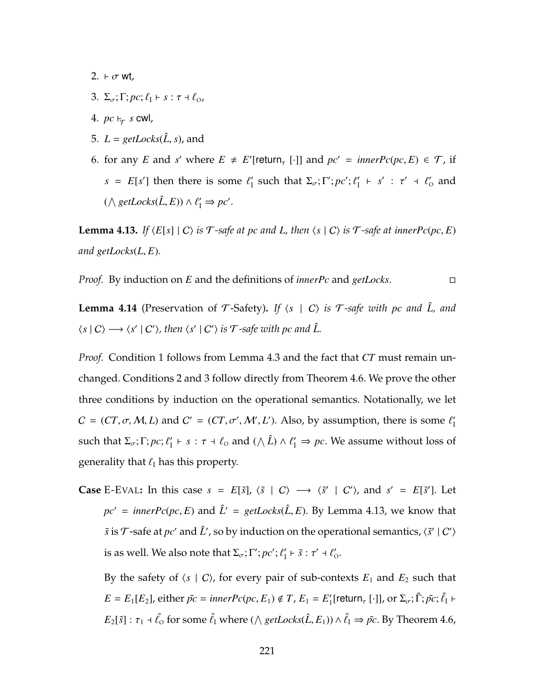- <span id="page-235-0"></span>2.  $\vdash \sigma$  wt,
- <span id="page-235-1"></span>3.  $\Sigma_{\sigma}$ ;  $\Gamma$ ;  $pc$ ;  $\ell_1$   $\vdash$  s :  $\tau$  +  $\ell_{0}$ ,
- <span id="page-235-3"></span> $4.~pc \vdash_{\mathcal{T}} s$  cwl,
- <span id="page-235-5"></span>5.  $L = getLocks(\hat{L}, s)$ , and
- <span id="page-235-4"></span>6. for any *E* and *s'* where  $E \neq E'$  [return<sub>*t*</sub> [·]] and  $pc' = innerPc(pc, E) \in \mathcal{T}$ , if *s* = *E*[*s'*] then there is some  $\ell'_I$  such that  $\Sigma_\sigma$ ;  $\Gamma'$ ;  $pc'$ ;  $\ell''_I$  + *s'* :  $\tau'$  +  $\ell'_0$  and  $(\wedge \text{getLocks}(\hat{L}, E)) \wedge \ell'_1 \Rightarrow pc'.$

<span id="page-235-2"></span>**Lemma 4.13.** If  $\langle E[s] | C \rangle$  *is*  $\mathcal{T}$ -safe at *pc* and *L*, then  $\langle s | C \rangle$  *is*  $\mathcal{T}$ -safe at *innerPc*(*pc*, *E*) *and getLocks*(*L*, *E*)*.*

*Proof.* By induction on *E* and the definitions of *innerPc* and *getLocks*.

<span id="page-235-6"></span>**Lemma 4.14** (Preservation of  $\mathcal{T}$ -Safety). If  $\langle s | C \rangle$  is  $\mathcal{T}$ -safe with pc and  $\hat{L}$ , and  $\langle s | C \rangle \longrightarrow \langle s' | C' \rangle$ , then  $\langle s' | C' \rangle$  is  $\mathcal{T}$ -safe with  $pc$  and  $\hat{L}$ .

*Proof.* Condition [1](#page-234-0) follows from Lemma [4.3](#page-208-2) and the fact that *CT* must remain unchanged. Conditions [2](#page-235-0) and [3](#page-235-1) follow directly from Theorem [4.6.](#page-207-0) We prove the other three conditions by induction on the operational semantics. Notationally, we let  $C = (CT, \sigma, M, L)$  and  $C' = (CT, \sigma', M', L')$ . Also, by assumption, there is some  $\ell'_{\text{I}}$ such that  $\Sigma_{\sigma}$ ;  $\Gamma$ ;  $pc$ ;  $\ell'_1 \vdash s : \tau \dashv \ell_0$  and  $(\wedge \hat{L}) \wedge \ell'_1 \Rightarrow pc$ . We assume without loss of generality that  $\ell_I$  has this property.

**Case** [E-E](#page-202-0)VAL: In this case  $s = E[\tilde{s}], \langle \tilde{s} | C \rangle \longrightarrow \langle \tilde{s}' | C' \rangle$ , and  $s' = E[\tilde{s}']$ . Let  $pc' = innerPc(pc, E)$  and  $\hat{L}' = getLocks(\hat{L}, E)$ . By Lemma [4.13,](#page-235-2) we know that  $\tilde{s}$  is  $\mathcal{T}$ -safe at  $pc'$  and  $\hat{L}'$ , so by induction on the operational semantics,  $\langle \tilde{s}' | C' \rangle$ is as well. We also note that  $\Sigma_{\sigma}$ ;  $\Gamma'$ ;  $pc'$ ;  $\ell'_1 \vdash \tilde{s}$  :  $\tau' \dashv \ell'_0$ .

By the safety of  $\langle s | C \rangle$ , for every pair of sub-contexts  $E_1$  and  $E_2$  such that  $E = E_1[E_2]$ , either  $\tilde{pc} = innerPc(pc, E_1) \notin T$ ,  $E_1 = E'_1[return_{\tau} [\cdot]]$ , or  $\Sigma_{\sigma}$ ;  $\tilde{\Gamma}$ ;  $\tilde{pc}$ ;  $\tilde{\ell}_1$  +  $E_2[\tilde{s}]$ :  $\tau_1$  +  $\tilde{\ell}_0$  for some  $\tilde{\ell}_I$  where ( $\wedge$  *getLocks*( $\hat{L}$ ,  $E_1$ ))  $\wedge$   $\tilde{\ell}_I \Rightarrow \tilde{pc}$ . By Theorem [4.6,](#page-207-0)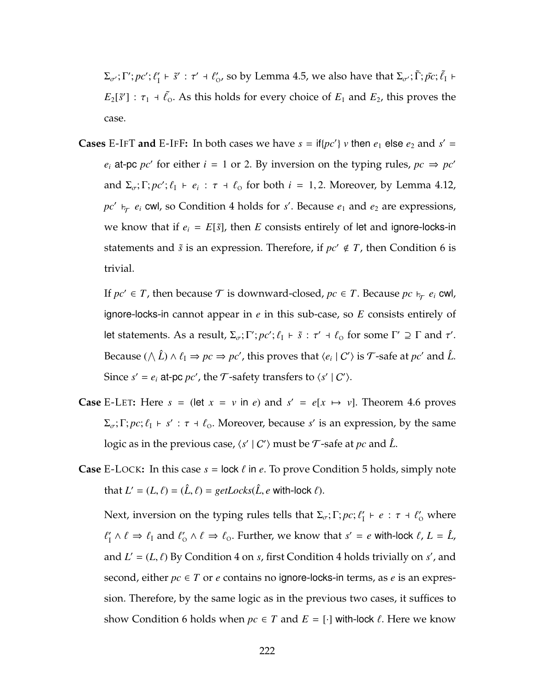$\Sigma_{\sigma'}$ ; Γ'; *pc'*;  $\ell'_1 \vdash \tilde{s}' : \tau' \dashv \ell'_0$ , so by Lemma [4.5,](#page-208-0) we also have that  $\Sigma_{\sigma'}$ ; Γ̃; *p̃c*;  $\tilde{\ell}_1 \vdash$  $E_2[\tilde{s}']$ :  $\tau_1$  +  $\tilde{\ell}_0$ . As this holds for every choice of  $E_1$  and  $E_2$ , this proves the case.

**Cases** [E-I](#page-202-0)FT **and** E-IFF: In both cases we have  $s = \text{if} \{pc'\}$  *v* then  $e_1$  else  $e_2$  and  $s' =$  $e_i$  at-pc *pc'* for either *i* = 1 or 2. By inversion on the typing rules,  $pc \Rightarrow pc'$ and  $\Sigma_{\sigma}$ ;  $\Gamma$ ;  $pc'$ ;  $\ell_1 \vdash e_i : \tau \dashv \ell_0$  for both  $i = 1, 2$ . Moreover, by Lemma [4.12,](#page-234-1)  $pc'$   $\vdash_{\mathcal{T}} e_i$  cwl, so Condition [4](#page-235-3) holds for *s'*. Because  $e_1$  and  $e_2$  are expressions, we know that if  $e_i = E[\tilde{s}]$ , then *E* consists entirely of let and ignore-locks-in statements and  $\tilde{s}$  is an expression. Therefore, if  $pc' \notin T$ , then Condition [6](#page-235-4) is trivial.

If  $pc' \in T$ , then because  $\mathcal T$  is downward-closed,  $pc \in T$ . Because  $pc \vdash_{\mathcal T} e_i$  cwl, ignore-locks-in cannot appear in *e* in this sub-case, so *E* consists entirely of let statements. As a result,  $\Sigma_{\sigma}$ ;  $\Gamma'$ ;  $pc'$ ;  $\ell_1 \vdash \tilde{s}$  :  $\tau' \dashv \ell_0$  for some  $\Gamma' \supseteq \Gamma$  and  $\tau'$ . Because  $(\wedge \hat{L}) \wedge \ell_1 \Rightarrow pc \Rightarrow pc'$ , this proves that  $\langle e_i | C' \rangle$  is  $\mathcal{T}$ -safe at  $pc'$  and  $\hat{L}$ . Since  $s' = e_i$  at-pc  $pc'$ , the  $\mathcal T$ -safety transfers to  $\langle s' | C' \rangle$ .

- **Case** [E-L](#page-202-0)ET: Here  $s = (\text{let } x = v \text{ in } e)$  and  $s' = e[x \mapsto v]$ . Theorem [4.6](#page-207-0) proves  $\Sigma_{\sigma}$ ; Γ; *pc*;  $\ell_1$  + *s'* :  $\tau$  +  $\ell_0$ . Moreover, because *s'* is an expression, by the same  $\log$ ic as in the previous case,  $\langle s' | C' \rangle$  must be  $\mathcal T$ -safe at  $pc$  and  $\hat L$ .
- **Case** [E-L](#page-178-0)OCK: In this case  $s = \text{lock } \ell$  in  $e$ . To prove Condition [5](#page-235-5) holds, simply note that  $L' = (L, \ell) = (\hat{L}, \ell) = getLocks(\hat{L}, e \text{ with-lock } \ell).$

Next, inversion on the typing rules tells that  $\Sigma_{\sigma}$ ;  $\Gamma$ ;  $pc$ ;  $\ell'_1 \vdash e : \tau \dashv \ell'_0$  where  $\ell'_I \wedge \ell \Rightarrow \ell_I$  and  $\ell'_0 \wedge \ell \Rightarrow \ell_0$ . Further, we know that  $s' = e$  with-lock  $\ell, L = \hat{L}$ , and  $L' = (L, \ell)$  By Condition [4](#page-235-3) on *s*, first Condition 4 holds trivially on *s'*, and second, either  $pc \in T$  or  $e$  contains no ignore-locks-in terms, as  $e$  is an expression. Therefore, by the same logic as in the previous two cases, it suffices to show Condition [6](#page-235-4) holds when  $pc \in T$  and  $E = [\cdot]$  with-lock  $\ell$ . Here we know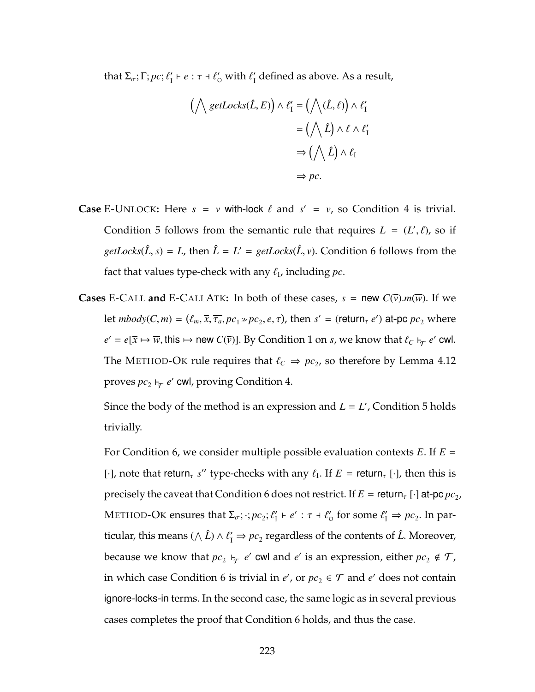that  $\Sigma_{\sigma}$ ;  $\Gamma$ ;  $pc$ ;  $\ell'_1 \vdash e : \tau \dashv \ell'_0$  with  $\ell'_1$  defined as above. As a result,

$$
(\bigwedge \text{getLocks}(\hat{L}, E)) \wedge \ell'_1 = (\bigwedge (\hat{L}, \ell)) \wedge \ell'_1
$$

$$
= (\bigwedge \hat{L}) \wedge \ell \wedge \ell'_1
$$

$$
\Rightarrow (\bigwedge \hat{L}) \wedge \ell_1
$$

$$
\Rightarrow pc.
$$

- **Case** E-U[NLOCK](#page-178-0): Here  $s = v$  with-lock  $\ell$  and  $s' = v$ , so Condition [4](#page-235-3) is trivial. Condition [5](#page-235-5) follows from the semantic rule that requires  $L = (L', \ell)$ , so if *getLocks*( $\hat{L}$ , *s*) = *L*, then  $\hat{L} = L' = getLocks(\hat{L}, v)$ . Condition [6](#page-235-4) follows from the fact that values type-check with any  $\ell_{\rm I}$ , including  $pc.$
- **Cases** [E-C](#page-188-0)ALL **and** E-CALLATK: In both of these cases,  $s = new C(\overline{v})$ .*m*( $\overline{w}$ ). If we let  $mbody(C, m) = (\ell_m, \overline{x}, \overline{\tau_a}, pc_1 \gg pc_2, e, \tau)$ , then  $s' = (return_\tau e')$  at-pc  $pc_2$  where  $e' = e[\overline{x} \mapsto \overline{w}, \text{this} \mapsto \text{new } C(\overline{v})]$ . By Condition [1](#page-234-0) on *s*, we know that  $\ell_C \vdash_\mathcal{T} e'$  cwl. The M[ETHOD](#page-181-0)-OK rule requires that  $\ell_C \Rightarrow pc_2$ , so therefore by Lemma [4.12](#page-234-1) proves  $pc_2 \vdash_\mathcal{T} e'$  cwl, proving Condition [4.](#page-235-3)

Since the body of the method is an expression and  $L = L'$ , Condition [5](#page-235-5) holds trivially.

For Condition [6,](#page-235-4) we consider multiple possible evaluation contexts *E*. If *E* = [ $\cdot$ ], note that return<sub>*t</sub>* s'' type-checks with any  $\ell_I$ . If  $E =$  return<sub>*t*</sub> [ $\cdot$ ], then this is</sub> precisely the caveat that Condition [6](#page-235-4) does not restrict. If  $E =$  return<sub>r</sub> [ $\cdot$ ] at-pc  $pc_2$ , M[ETHOD](#page-181-0)-OK ensures that  $\Sigma_{\sigma}$ ;  $\cdot$ ;  $pc_2$ ;  $\ell'_1 \vdash e'$  :  $\tau \dashv \ell'_0$  for some  $\ell'_1 \Rightarrow pc_2$ . In particular, this means ( $\wedge \hat{L}$ )  $\wedge \ell'_1 \Rightarrow pc_2$  regardless of the contents of  $\hat{L}$ . Moreover, because we know that  $pc_2$   $\vdash_{\mathcal{T}} e'$  cwl and  $e'$  is an expression, either  $pc_2 \notin \mathcal{T}$ , in which case Condition [6](#page-235-4) is trivial in  $e'$ , or  $pc_2 \in \mathcal{T}$  and  $e'$  does not contain ignore-locks-in terms. In the second case, the same logic as in several previous cases completes the proof that Condition [6](#page-235-4) holds, and thus the case.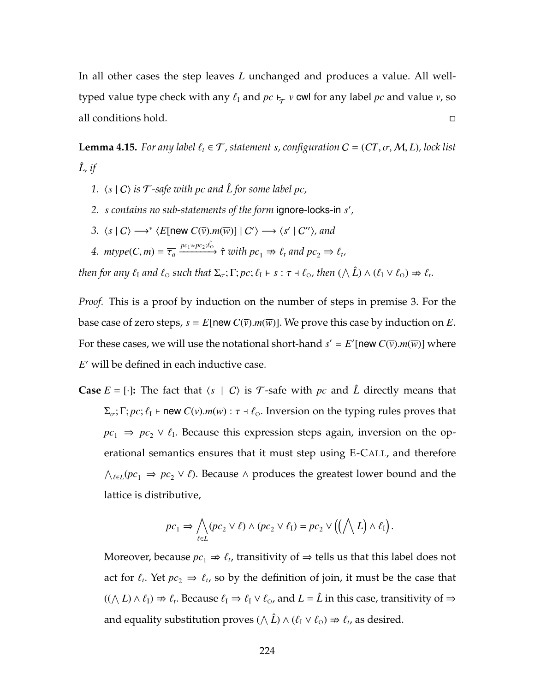In all other cases the step leaves *L* unchanged and produces a value. All welltyped value type check with any  $\ell_I$  and  $pc \vdash_\mathcal{T} v$  cwl for any label  $pc$  and value  $v$ , so all conditions hold.

<span id="page-238-0"></span>**Lemma 4.15.** *For any label*  $\ell_t \in \mathcal{T}$ , statement *s*, configuration  $C = (CT, \sigma, M, L)$ , lock list  $\hat{L}$ *, if* 

- <span id="page-238-2"></span>*1.*  $\langle s | C \rangle$  *is*  $\mathcal{T}$ *-safe with pc and*  $\hat{L}$  *for some label pc,*
- <span id="page-238-3"></span><span id="page-238-1"></span>*2. s contains no sub-statements of the form* ignore*-*locks*-*in *s* 0 *,*

3. 
$$
\langle s | C \rangle \longrightarrow^* \langle E[\text{new } C(\overline{v}).m(\overline{w})] | C' \rangle \longrightarrow \langle s' | C'' \rangle
$$
, and

<span id="page-238-4"></span>4. 
$$
\text{mtype}(C, m) = \overline{\tau}_a \xrightarrow{pc_1 \gg pc_2; \hat{t}_0} \hat{\tau} \text{ with } pc_1 \Rightarrow \ell_t \text{ and } pc_2 \Rightarrow \ell_t,
$$

*then for any*  $\ell_1$  *and*  $\ell_0$  *such that*  $\Sigma_\sigma$ ;  $\Gamma$ ;  $pc$ ;  $\ell_1 \vdash s : \tau \dashv \ell_0$ , then  $(\wedge \hat{L}) \wedge (\ell_1 \vee \ell_0) \nRightarrow \ell_t$ .

*Proof.* This is a proof by induction on the number of steps in premise [3.](#page-238-1) For the base case of zero steps,  $s = E$ [new  $C(\overline{v})$ .*m*( $\overline{w}$ )]. We prove this case by induction on *E*. For these cases, we will use the notational short-hand  $s' = E'$  [new  $C(\overline{v})$ .*m*( $\overline{w}$ )] where E' will be defined in each inductive case.

**Case**  $E = [\cdot]$ : The fact that  $\langle s | C \rangle$  is T-safe with *pc* and  $\hat{L}$  directly means that  $\Sigma_{\sigma}$ ;  $\Gamma$ ;  $pc$ ;  $\ell_1$   $\vdash$  new  $C(\bar{v})$ .*m*( $\overline{w}$ ) :  $\tau$  +  $\ell_0$ . Inversion on the typing rules proves that  $pc_1 \Rightarrow pc_2 \vee \ell_1$ . Because this expression steps again, inversion on the operational semantics ensures that it must step using [E-C](#page-178-0)ALL, and therefore  $\bigwedge_{\ell \in L} (pc_1 \Rightarrow pc_2 \vee \ell)$ . Because ∧ produces the greatest lower bound and the lattice is distributive,

$$
pc_1 \Rightarrow \bigwedge_{\ell \in L} (pc_2 \vee \ell) \wedge (pc_2 \vee \ell_1) = pc_2 \vee ((\bigwedge L) \wedge \ell_1).
$$

Moreover, because  $pc_1 \Rightarrow \ell_t$ , transitivity of  $\Rightarrow$  tells us that this label does not act for  $\ell_t$ . Yet  $pc_2 \Rightarrow \ell_t$ , so by the definition of join, it must be the case that  $((\bigwedge L) \wedge \ell_1) \nRightarrow \ell_t$ . Because  $\ell_1 \Rightarrow \ell_1 \vee \ell_0$ , and  $L = \hat{L}$  in this case, transitivity of  $\Rightarrow$ and equality substitution proves ( $\wedge \hat{L}$ )  $\wedge$  ( $\ell_1 \vee \ell_0$ )  $\Rightarrow \ell_t$ , as desired.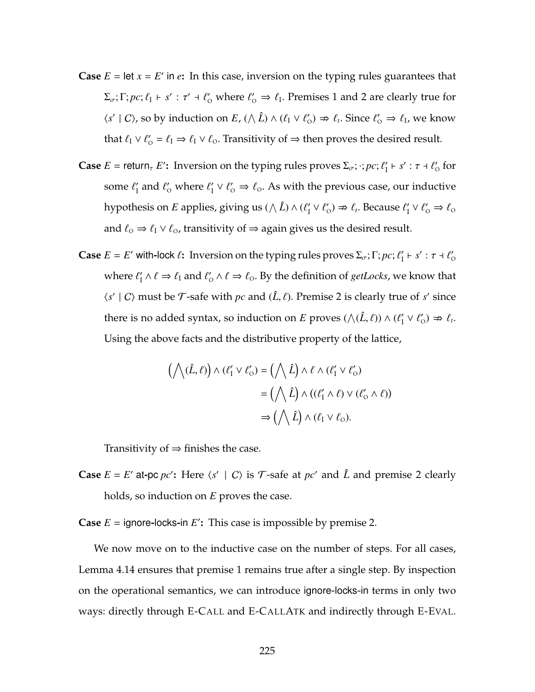- **Case**  $E = \text{let } x = E'$  in  $e$ : In this case, inversion on the typing rules guarantees that  $\Sigma_{\sigma}$ ;  $\Gamma$ ;  $pc$ ;  $\ell_1$   $\vdash$  s' :  $\tau'$   $\dashv$   $\ell'_0$  where  $\ell'_0 \Rightarrow \ell_1$ . Premises [1](#page-238-2) and [2](#page-238-3) are clearly true for  $\langle s' | C \rangle$ , so by induction on *E*,  $(\wedge \hat{L}) \wedge (\ell_1 \vee \ell_0') \nRightarrow \ell_i$ . Since  $\ell_0' \Rightarrow \ell_1$ , we know that  $\ell_I \vee \ell'_O = \ell_I \Rightarrow \ell_I \vee \ell_O$ . Transitivity of  $\Rightarrow$  then proves the desired result.
- **Case**  $E = \text{return}_{\tau} E'$ : Inversion on the typing rules proves  $\Sigma_{\sigma}$ ;  $\cdot$ ;  $pc$ ;  $\ell'_1 \vdash s' : \tau \dashv \ell'_0$  for some  $\ell'_I$  and  $\ell'_0$  where  $\ell'_I \vee \ell'_0 \Rightarrow \ell_0$ . As with the previous case, our inductive hypothesis on *E* applies, giving us ( $\wedge$   $\hat{L}$ )  $\wedge$  ( $\ell'_1 \vee \ell'_0$ )  $\Rightarrow$   $\ell_t$ . Because  $\ell'_1 \vee \ell'_0 \Rightarrow \ell_0$ and  $\ell_{\rm o} \Rightarrow \ell_{\rm I} \vee \ell_{\rm o}$ , transitivity of  $\Rightarrow$  again gives us the desired result.
- **Case**  $E = E'$  with-lock  $\ell$ : Inversion on the typing rules proves  $\Sigma_{\sigma}$ ;  $\Gamma$ ;  $pc$ ;  $\ell'_1 \vdash s' : \tau \dashv \ell'_0$ where  $\ell'_1 \wedge \ell \Rightarrow \ell_1$  and  $\ell'_0 \wedge \ell \Rightarrow \ell_0$ . By the definition of *getLocks*, we know that  $\langle s' | C \rangle$  must be  $\mathcal T$ -safe with *pc* and  $(\hat L, \ell)$ . Premise [2](#page-238-3) is clearly true of *s'* since there is no added syntax, so induction on *E* proves  $(\wedge(\hat{L}, \ell)) \wedge (\ell'_1 \vee \ell'_0) \Rightarrow \ell_t$ . Using the above facts and the distributive property of the lattice,

$$
(\bigwedge(\hat{L}, \ell)) \wedge (\ell'_1 \vee \ell'_0) = (\bigwedge \hat{L}) \wedge \ell \wedge (\ell'_1 \vee \ell'_0)
$$

$$
= (\bigwedge \hat{L}) \wedge ((\ell'_1 \wedge \ell) \vee (\ell'_0 \wedge \ell))
$$

$$
\Rightarrow (\bigwedge \hat{L}) \wedge (\ell_1 \vee \ell_0).
$$

Transitivity of  $\Rightarrow$  finishes the case.

**Case**  $E = E'$  at pc *pc*': Here  $\langle s' | C \rangle$  is  $\mathcal{T}$ -safe at *pc'* and  $\hat{L}$  and premise [2](#page-238-3) clearly holds, so induction on *E* proves the case.

**Case**  $E =$  ignore-locks-in  $E'$ : This case is impossible by premise [2.](#page-238-3)

We now move on to the inductive case on the number of steps. For all cases, Lemma [4.14](#page-235-6) ensures that premise [1](#page-238-2) remains true after a single step. By inspection on the operational semantics, we can introduce ignore-locks-in terms in only two ways: directly through [E-C](#page-178-0)ALL and [E-C](#page-188-0)ALLATK and indirectly through [E-E](#page-202-0)VAL.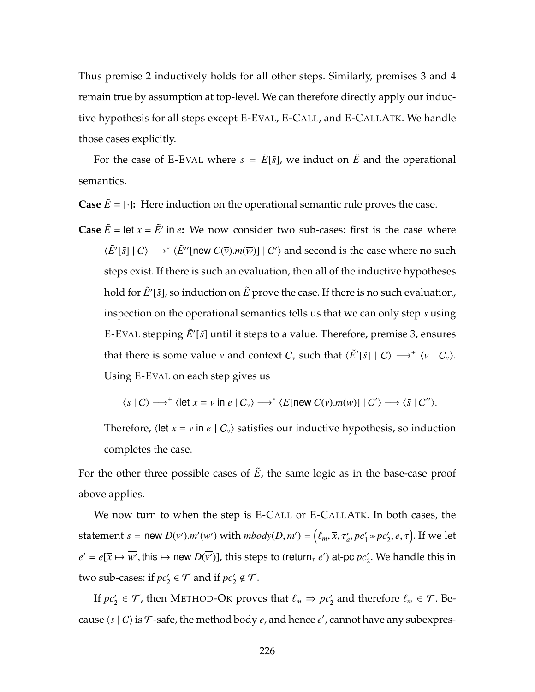Thus premise [2](#page-238-3) inductively holds for all other steps. Similarly, premises [3](#page-238-1) and [4](#page-238-4) remain true by assumption at top-level. We can therefore directly apply our inductive hypothesis for all steps except [E-E](#page-202-0)VAL, [E-C](#page-178-0)ALL, and [E-C](#page-188-0)ALLATK. We handle those cases explicitly.

For the case of [E-E](#page-202-0)VAL where  $s = \tilde{E}[\tilde{s}]$ , we induct on  $\tilde{E}$  and the operational semantics.

**Case**  $\tilde{E} = [\cdot]$ : Here induction on the operational semantic rule proves the case.

**Case**  $\tilde{E}$  = let  $x = \tilde{E}'$  in *e*: We now consider two sub-cases: first is the case where  $\langle \tilde{E}'[\tilde{s}] | C \rangle \longrightarrow^* \langle \tilde{E}''[{\sf new} C(\overline{v}).m(\overline{w})] | C' \rangle$  and second is the case where no such steps exist. If there is such an evaluation, then all of the inductive hypotheses hold for  $\tilde{E}'[\tilde{s}]$ , so induction on  $\tilde{E}$  prove the case. If there is no such evaluation, inspection on the operational semantics tells us that we can only step *s* using [E-E](#page-202-0)VAL stepping  $\tilde{E}'[\tilde{s}]$  until it steps to a value. Therefore, premise [3,](#page-238-1) ensures that there is some value *v* and context  $C_v$  such that  $\langle \tilde{E}^{\prime}[\tilde{s}] | C \rangle \longrightarrow^+ \langle v | C_v \rangle$ . Using [E-E](#page-202-0)VAL on each step gives us

$$
\langle s | C \rangle \longrightarrow^+ \langle \text{let } x = v \text{ in } e | C_v \rangle \longrightarrow^* \langle E[\text{new } C(\overline{v}).m(\overline{w})] | C' \rangle \longrightarrow \langle \tilde{s} | C'' \rangle.
$$

Therefore,  $\langle$  let *x* = *v* in *e*  $| C_v \rangle$  satisfies our inductive hypothesis, so induction completes the case.

For the other three possible cases of  $\tilde{E}$ , the same logic as in the base-case proof above applies.

We now turn to when the step is [E-C](#page-178-0)ALL or [E-C](#page-188-0)ALLATK. In both cases, the statement *s* = new  $D(\overline{v'})$ .*m'*( $\overline{w'}$ ) with  $mbody(D, m') = (\ell_m, \overline{x}, \overline{\tau'_a}, pc'_1 \ge pc'_2, e, \tau)$ . If we let  $e' = e[\overline{x} \mapsto \overline{w'}],$  this  $\mapsto$  new  $D(\overline{v'})]$ , this steps to (return<sub>*t</sub> e'*) at-pc  $pc'_2$ . We handle this in</sub> two sub-cases: if  $pc'_2 \in \mathcal{T}$  and if  $pc'_2 \notin \mathcal{T}$ .

If  $pc'_2 \in \mathcal{T}$ , then M[ETHOD](#page-181-0)-OK proves that  $\ell_m \Rightarrow pc'_2$  and therefore  $\ell_m \in \mathcal{T}$ . Because  $\langle s | C \rangle$  is  $\mathcal T$ -safe, the method body *e*, and hence *e'* , cannot have any subexpres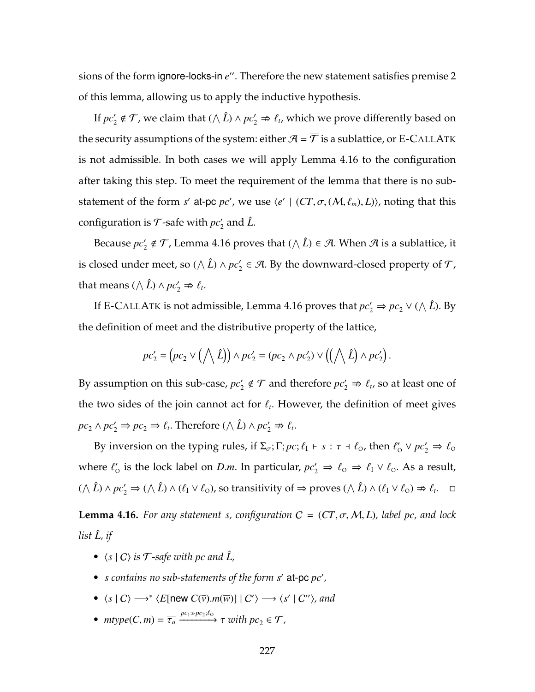sions of the form ignore-locks-in e''. Therefore the new statement satisfies premise [2](#page-238-3) of this lemma, allowing us to apply the inductive hypothesis.

If  $pc'_2 \notin \mathcal{T}$ , we claim that  $(\wedge \hat{L}) \wedge pc'_2 \Rightarrow \ell_t$ , which we prove differently based on the security assumptions of the system: either  $A = \overline{T}$  is a sublattice, or [E-C](#page-188-0)ALLATK is not admissible. In both cases we will apply Lemma [4.16](#page-241-0) to the configuration after taking this step. To meet the requirement of the lemma that there is no substatement of the form *s'* at-pc *pc'*, we use  $\langle e' | (CT, \sigma, (M, \ell_m), L) \rangle$ , noting that this configuration is  $\mathcal T$ -safe with  $pc'_2$  and  $\hat L$ .

Because  $\mathit{pc}'_2 \notin \mathcal{T}$ , Lemma [4.16](#page-241-0) proves that  $(\wedge \hat{L}) \in \mathcal{A}$ . When  $\mathcal{A}$  is a sublattice, it is closed under meet, so ( $\wedge$   $\hat{L}$ )  $\wedge$   $pc'_2 \in \mathcal{A}$ . By the downward-closed property of  $\mathcal{T}$ , that means  $(\wedge \hat{L}) \wedge pc'_2 \Rightarrow \ell_t$ .

If [E-C](#page-188-0)ALLATK is not admissible, Lemma [4.16](#page-241-0) proves that  $pc'_2 \Rightarrow pc_2 \vee (\wedge \hat{L})$ . By the definition of meet and the distributive property of the lattice,

$$
pc_2' = (pc_2 \vee (\bigwedge \hat{L})) \wedge pc_2' = (pc_2 \wedge pc_2') \vee ((\bigwedge \hat{L}) \wedge pc_2').
$$

By assumption on this sub-case,  $pc'_2 \notin \mathcal{T}$  and therefore  $pc'_2 \nRightarrow \ell_t$ , so at least one of the two sides of the join cannot act for  $\ell_t$ . However, the definition of meet gives  $pc_2 \wedge pc'_2 \Rightarrow pc_2 \Rightarrow \ell_t$ . Therefore  $(\wedge \hat{L}) \wedge pc'_2 \Rightarrow \ell_t$ .

By inversion on the typing rules, if  $\Sigma_{\sigma}$ ;  $\Gamma$ ;  $pc$ ;  $\ell_1 \vdash s : \tau \dashv \ell_0$ , then  $\ell'_0 \lor pc'_2 \Rightarrow \ell_0$ where  $\ell'_{0}$  is the lock label on *D.m.* In particular,  $pc'_{2} \Rightarrow \ell_{0} \Rightarrow \ell_{I} \vee \ell_{0}$ . As a result,  $(\wedge \hat{L}) \wedge pc'_2 \Rightarrow (\wedge \hat{L}) \wedge (\ell_1 \vee \ell_0)$ , so transitivity of  $\Rightarrow$  proves  $(\wedge \hat{L}) \wedge (\ell_1 \vee \ell_0) \nRightarrow \ell_t$ .  $\Box$ 

<span id="page-241-0"></span>**Lemma 4.16.** For any statement *s*, configuration  $C = (CT, \sigma, M, L)$ , label pc, and lock *list L*ˆ*, if*

- $\langle s | C \rangle$  *is*  $\mathcal{T}$ *-safe with pc and*  $\hat{L}$ ,
- *s contains no sub-statements of the form s'* at-pc  $pc'$ ,
- $\langle s | C \rangle \longrightarrow^* \langle E[\text{new } C(\overline{v}).m(\overline{w})] | C' \rangle \longrightarrow \langle s' | C'' \rangle$ , and
- $mtype(C, m) = \overline{\tau_a} \xrightarrow{pc_1 \gg pc_2; \ell_0} \tau$  *with*  $pc_2 \in \mathcal{T}$ *,*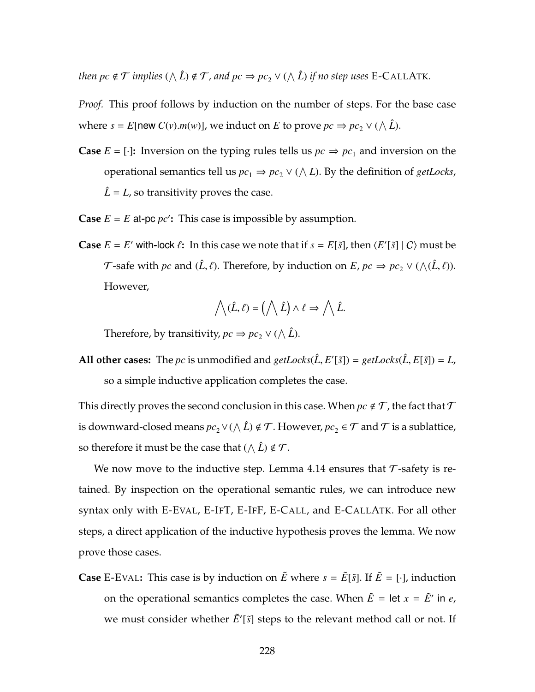*then*  $pc \notin \mathcal{T}$  *implies*  $(\wedge \hat{L}) \notin \mathcal{T}$ *, and*  $pc \Rightarrow pc_2 \vee (\wedge \hat{L})$  *if no step uses* [E-C](#page-188-0)ALLATK.

*Proof.* This proof follows by induction on the number of steps. For the base case where  $s = E$ [new  $C(\overline{v})$ .*m*( $\overline{w}$ )], we induct on *E* to prove  $pc \Rightarrow pc_2 \vee (\wedge \hat{L})$ .

- **Case**  $E = [\cdot]$ : Inversion on the typing rules tells us  $pc \Rightarrow pc_1$  and inversion on the operational semantics tell us  $pc_1 \Rightarrow pc_2 \vee (\wedge L)$ . By the definition of *getLocks*,  $\hat{L}$  = *L*, so transitivity proves the case.
- **Case**  $E = E$  at-pc  $pc'$ : This case is impossible by assumption.
- **Case**  $E = E'$  with-lock  $\ell$ : In this case we note that if  $s = E[\tilde{s}]$ , then  $\langle E'[\tilde{s}] | C \rangle$  must be *T*-safe with *pc* and  $(\hat{L}, \ell)$ . Therefore, by induction on *E*,  $pc \Rightarrow pc_2 \vee (\wedge(\hat{L}, \ell))$ . However,

$$
\bigwedge(\hat{L},\ell) = \left(\bigwedge \hat{L}\right) \wedge \ell \Rightarrow \bigwedge \hat{L}.
$$

Therefore, by transitivity,  $pc \Rightarrow pc_2 \vee (\wedge \hat{L})$ .

All other cases: The *pc* is unmodified and  $getLocks(\hat{L}, E'[\tilde{s}]) = getLocks(\hat{L}, E[\tilde{s}]) = L$ , so a simple inductive application completes the case.

This directly proves the second conclusion in this case. When  $pc \notin \mathcal{T}$ , the fact that  $\mathcal{T}$ is downward-closed means  $pc_2$ ∨( $\wedge$   $\hat{L}$ ) ∉  $\cal{T}$ . However,  $pc_2$  ∈  $\cal{T}$  and  $\cal{T}$  is a sublattice, so therefore it must be the case that  $(\wedge \hat{L}) \notin \mathcal{T}$ .

We now move to the inductive step. Lemma [4.14](#page-235-6) ensures that  $\tau$ -safety is retained. By inspection on the operational semantic rules, we can introduce new syntax only with [E-E](#page-202-0)VAL, [E-I](#page-178-0)FT, [E-I](#page-202-0)FF, [E-C](#page-178-0)ALL, and [E-C](#page-188-0)ALLATK. For all other steps, a direct application of the inductive hypothesis proves the lemma. We now prove those cases.

**Case** [E-E](#page-202-0)VAL: This case is by induction on  $\tilde{E}$  where  $s = \tilde{E}[\tilde{s}]$ . If  $\tilde{E} = [\cdot]$ , induction on the operational semantics completes the case. When  $\tilde{E} = \text{let } x = \tilde{E}'$  in *e*, we must consider whether  $\tilde{E}'[\tilde{s}]$  steps to the relevant method call or not. If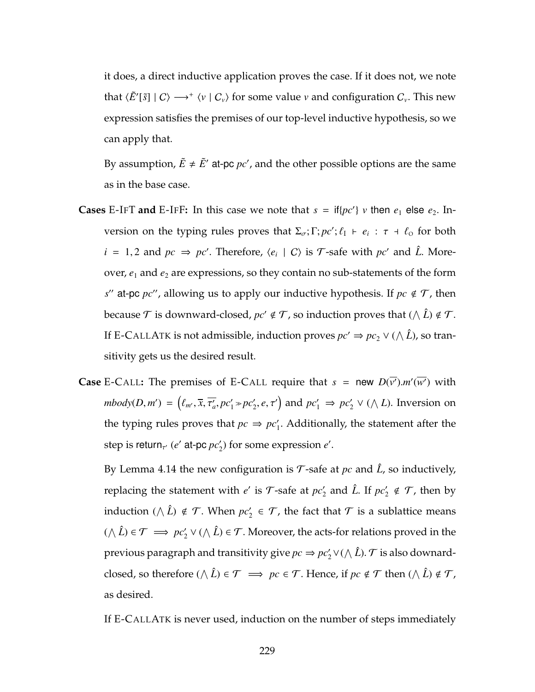it does, a direct inductive application proves the case. If it does not, we note that  $\langle \tilde{E}'[\tilde{s}] | C \rangle \longrightarrow^+ \langle v | C_v \rangle$  for some value *v* and configuration  $C_v$ . This new expression satisfies the premises of our top-level inductive hypothesis, so we can apply that.

By assumption,  $\tilde{E} \neq \tilde{E}'$  at-pc  $pc'$ , and the other possible options are the same as in the base case.

- **Cases** [E-I](#page-202-0)FT and E-IFF: In this case we note that  $s = \text{if} \{pc'\}\ v$  then  $e_1$  else  $e_2$ . Inversion on the typing rules proves that  $\Sigma_{\sigma}$ ;  $\Gamma$ ;  $pc'$ ;  $\ell_{I} \vdash e_{i} : \tau \dashv \ell_{0}$  for both  $i = 1, 2$  and  $pc \Rightarrow pc'$ . Therefore,  $\langle e_i | C \rangle$  is  $\mathcal{T}$ -safe with  $pc'$  and  $\hat{L}$ . Moreover,  $e_1$  and  $e_2$  are expressions, so they contain no sub-statements of the form  $s''$  at-pc *pc''*, allowing us to apply our inductive hypothesis. If  $pc \notin T$ , then because  $\mathcal T$  is downward-closed*,*  $pc' \notin \mathcal T$ *,* so induction proves that  $(\wedge \hat L) \notin \mathcal T$ . If [E-C](#page-188-0)ALLATK is not admissible, induction proves  $pc' \Rightarrow pc_2 \vee (\wedge \hat{L})$ , so transitivity gets us the desired result.
- **Case** [E-C](#page-178-0)ALL: The premises of [E-C](#page-178-0)ALL require that  $s = new D(\overline{v'})$ .*m'*( $\overline{w'}$ ) with  $mbody(D, m') = (\ell_{m'}, \overline{x}, \overline{\tau_a'}, pc_1' \gg pc_2', e, \tau')$  and  $pc_1' \Rightarrow pc_2' \vee (\wedge L)$ . Inversion on the typing rules proves that  $pc \Rightarrow pc'_1$ . Additionally, the statement after the step is return<sub>τ'</sub> (*e'* at-pc *pc*<sub>2</sub>) for some expression *e'*.

By Lemma [4.14](#page-235-6) the new configuration is  $\mathcal T$ -safe at  $pc$  and  $\hat L$ , so inductively, replacing the statement with  $e'$  is  $\mathcal{T}$ -safe at  $pc'_2$  and  $\hat{L}$ . If  $pc'_2 \notin \mathcal{T}$ , then by induction ( $\wedge$   $\hat{L}$ )  $\notin$   $\mathcal{T}$ . When  $pc'_2$   $\in$   $\mathcal{T}$ , the fact that  $\mathcal{T}$  is a sublattice means ( $\wedge$   $\hat{L}$ ) ∈  $\mathcal{T}$   $\implies$   $pc'_2 \vee (\wedge \hat{L})$  ∈  $\mathcal{T}$ . Moreover, the acts-for relations proved in the previous paragraph and transitivity give  $pc \Rightarrow pc_2' \vee (\wedge \hat{L})$ .  ${\cal T}$  is also downardclosed, so therefore  $(\wedge \hat{L}) \in \mathcal{T} \implies pc \in \mathcal{T}$ . Hence, if  $pc \notin \mathcal{T}$  then  $(\wedge \hat{L}) \notin \mathcal{T}$ , as desired.

If [E-C](#page-188-0)ALLATK is never used, induction on the number of steps immediately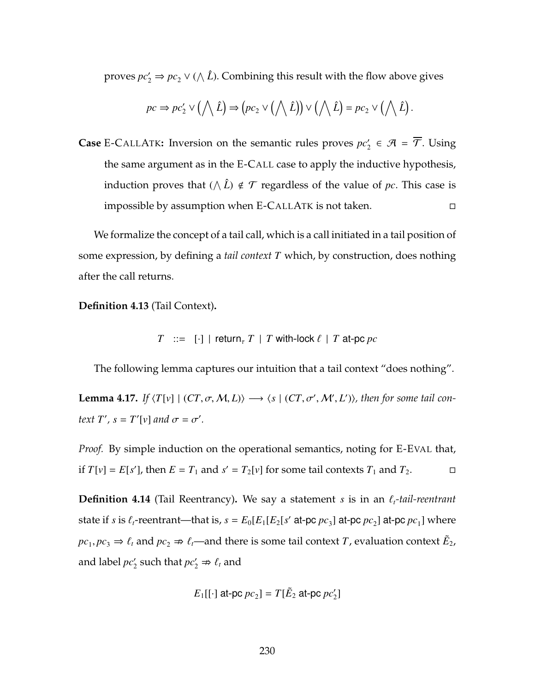proves  $pc_2 \Rightarrow pc_2 \vee (\wedge \hat{L})$ . Combining this result with the flow above gives

$$
pc \Rightarrow pc'_2 \vee (\bigwedge \hat{L}) \Rightarrow (pc_2 \vee (\bigwedge \hat{L})) \vee (\bigwedge \hat{L}) = pc_2 \vee (\bigwedge \hat{L}).
$$

**Case** [E-C](#page-188-0)ALLATK: Inversion on the semantic rules proves  $pc'_2 \in \mathcal{A} = \mathcal{T}$ . Using the same argument as in the [E-C](#page-178-0)ALL case to apply the inductive hypothesis, induction proves that  $(\wedge \hat{L}) \notin \mathcal{T}$  regardless of the value of *pc*. This case is impossible by assumption when [E-C](#page-188-0)ALLATK is not taken.

We formalize the concept of a tail call, which is a call initiated in a tail position of some expression, by defining a *tail context T* which, by construction, does nothing after the call returns.

**Definition 4.13** (Tail Context)**.**

 $T$  :=  $[\cdot]$  | return<sub>*t*</sub> *T* | *T* with-lock  $\ell$  | *T* at-pc *pc* 

The following lemma captures our intuition that a tail context "does nothing".

**Lemma 4.17.** *If*  $\langle T[v] \mid (CT, \sigma, M, L) \rangle \longrightarrow \langle s \mid (CT, \sigma', M', L') \rangle$ , then for some tail con*text T'*,  $s = T'[v]$  *and*  $\sigma = \sigma'$ .

*Proof.* By simple induction on the operational semantics, noting for [E-E](#page-202-0)VAL that, if  $T[v] = E[s']$ , then  $E = T_1$  and  $s' = T_2[v]$  for some tail contexts  $T_1$  and  $T_2$ .

<span id="page-244-0"></span>**Definition 4.14** (Tail Reentrancy). We say a statement *s* is in an  $\ell_t$ -tail-reentrant state if *s* is  $\ell_t$ -reentrant—that is,  $s = E_0[E_1[E_2[s']$  at-pc  $pc_3]$  at-pc  $pc_2$ ] at-pc  $pc_1$ ] where  $pc_1, pc_3 \Rightarrow \ell_t$  and  $pc_2 \Rightarrow \ell_t$ —and there is some tail context *T*, evaluation context  $\tilde{E}_2$ , and label  $pc'_2$  such that  $pc'_2 \nRightarrow \ell_t$  and

$$
E_1[[\cdot]\text{ at-pc }pc_2] = T[\tilde{E}_2\text{ at-pc }pc'_2]
$$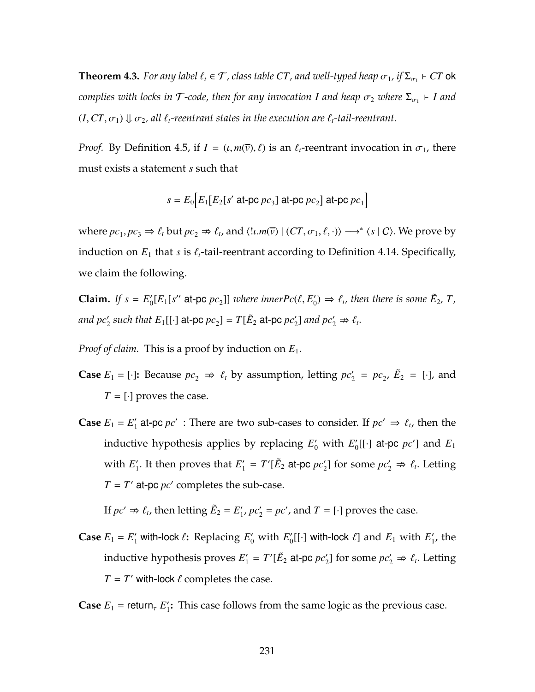$\bf{Theorem~4.3.}$  *For any label*  $\ell_t \in \mathcal{T}$  *, class table*  $CT$  *, and well-typed heap*  $\sigma_1$  *, if*  $\Sigma_{\sigma_1}$  $\vdash$  $CT$  $\bf{ok}$  $\alpha$  *complies with locks in*  $\mathcal{T}$ *-code, then for any invocation I and heap*  $\sigma_2$  *where*  $\Sigma_{\sigma_1}$  $\vdash$  *I and*  $(I, CT, \sigma_1) \Downarrow \sigma_2$ , all  $\ell_t$ -reentrant states in the execution are  $\ell_t$ -tail-reentrant.

*Proof.* By Definition [4.5,](#page-192-0) if  $I = (t, m(\bar{v}), \ell)$  is an  $\ell_t$ -reentrant invocation in  $\sigma_1$ , there must exists a statement *s* such that

$$
s = E_0 \Big[ E_1 \big[ E_2 \big[ s' \text{ at-pc } pc_3 \big] \text{ at-pc } pc_2 \Big] \text{ at-pc } pc_1 \Big]
$$

where  $pc_1, pc_3 \Rightarrow \ell_t$  but  $pc_2 \Rightarrow \ell_t$ , and  $\langle l \cdot m(\bar{v}) | (CT, \sigma_1, \ell, \cdot) \rangle \longrightarrow^* \langle s | C \rangle$ . We prove by induction on  $E_1$  that *s* is  $\ell_t$ -tail-reentrant according to Definition [4.14.](#page-244-0) Specifically, we claim the following.

**Claim.** If  $s = E'_0[E_1[s'']$  at-pc  $pc_2$ ] where *innerPc*( $\ell, E'_0$ )  $\Rightarrow \ell_t$ , then there is some  $\tilde{E}_2$ ,  $T$ , *and*  $pc'_2$  such that  $E_1[[\cdot]]$  at-pc  $pc_2] = T[\tilde{E}_2$  at-pc  $pc'_2]$  and  $pc'_2 \nRightarrow \ell_t$ .

*Proof of claim.* This is a proof by induction on *E*1.

- **Case**  $E_1 = [\cdot]$ : Because  $pc_2 \Rightarrow \ell_t$  by assumption, letting  $pc'_2 = pc_2$ ,  $\tilde{E}_2 = [\cdot]$ , and  $T = [\cdot]$  proves the case.
- **Case**  $E_1 = E'_1$  at pc  $pc'$  : There are two sub-cases to consider. If  $pc' \Rightarrow \ell_t$ , then the inductive hypothesis applies by replacing  $E'_0$  with  $E'_0[[\cdot]$  at-pc  $pc']$  and  $E_1$ with  $E'_1$ . It then proves that  $E'_1 = T'[\tilde{E}_2 \text{ at-pc } pc'_2]$  for some  $pc'_2 \Rightarrow \ell_i$ . Letting  $T = T'$  at-pc  $pc'$  completes the sub-case.

If  $pc' \Rightarrow \ell_t$ , then letting  $\tilde{E}_2 = E'_1$ ,  $pc'_2 = pc'$ , and  $T = [\cdot]$  proves the case.

**Case**  $E_1 = E'_1$  with-lock  $\ell$ : Replacing  $E'_0$  with  $E'_0$ [[·] with-lock  $\ell$ ] and  $E_1$  with  $E'_1$ , the inductive hypothesis proves  $E'_1 = T'[\tilde{E}_2 \text{ at-pc } \rho c'_2]$  for some  $\rho c'_2 \Rightarrow \ell_t$ . Letting  $T = T'$  with-lock  $\ell$  completes the case.

**Case**  $E_1$  = return,  $E'_1$ : This case follows from the same logic as the previous case.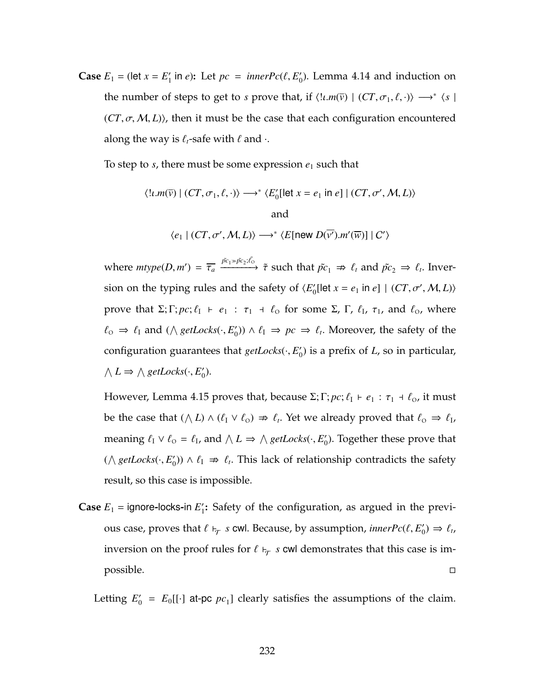**Case**  $E_1$  = (let  $x = E'_1$  in *e*): Let  $pc = innerPc(\ell, E'_0)$ . Lemma [4.14](#page-235-6) and induction on the number of steps to get to *s* prove that, if  $\langle l \cdot m(\bar{v}) | (CT, \sigma_1, \ell, \cdot) \rangle \longrightarrow^* \langle s |$  $(CT, \sigma, M, L)$ , then it must be the case that each configuration encountered along the way is  $\ell_t$ -safe with  $\ell$  and  $\cdot$ .

To step to  $s$ , there must be some expression  $e_1$  such that

$$
\langle !\iota.m(\overline{v}) \mid (CT, \sigma_1, \ell, \cdot) \rangle \longrightarrow^* \langle E'_0[\text{let } x = e_1 \text{ in } e] \mid (CT, \sigma', M, L) \rangle
$$
  
and  

$$
\langle e_1 \mid (CT, \sigma', M, L) \rangle \longrightarrow^* \langle E[\text{new } D(\overline{v'}). m'(\overline{w})] \mid C' \rangle
$$

where  $mtype(D, m') = \overline{\tau_a} \xrightarrow{\tilde{pc}_1 \gg \tilde{pc}_2; \tilde{\ell_0}} \tilde{\tau}$  such that  $\tilde{pc}_1 \Rightarrow \ell_t$  and  $\tilde{pc}_2 \Rightarrow \ell_t$ . Inversion on the typing rules and the safety of  $\langle E'_0$ [let  $x = e_1$  in  $e$ ]  $|$   $(CT, \sigma', M, L)\rangle$ prove that  $\Sigma; \Gamma; pc; \ell_1 \vdash e_1 : \tau_1 \dashv \ell_0$  for some  $\Sigma$ ,  $\Gamma$ ,  $\ell_1$ ,  $\tau_1$ , and  $\ell_0$ , where  $\ell_0$  ⇒  $\ell_1$  and ( $\wedge$  *getLocks*( $\cdot$ ,  $E'_0$ ))  $\wedge$   $\ell_1$  ⇒  $pc$  ⇒  $\ell_t$ . Moreover, the safety of the configuration guarantees that *getLocks*(·, *E* 0 0 ) is a prefix of *L*, so in particular,  $\wedge$  *L*  $\Rightarrow \wedge$  *getLocks*( $\cdot$ , *E*<sub>0</sub> $\cdot$ ).

However, Lemma [4.15](#page-238-0) proves that, because Σ; Γ;  $pc$ ;  $\ell_1$  +  $e_1$  :  $\tau_1$  +  $\ell_0$ , it must be the case that  $(\wedge L) \wedge (\ell_1 \vee \ell_0) \Rightarrow \ell_t$ . Yet we already proved that  $\ell_0 \Rightarrow \ell_1$ , meaning  $\ell_1 \vee \ell_0 = \ell_1$ , and  $\wedge L \Rightarrow \wedge getLocks(\cdot, E'_0)$ . Together these prove that ( $\land$  *getLocks*( $\cdot$ , *E*<sup>'</sup><sub>0</sub>)) ∧  $\ell_1$   $\Rightarrow$   $\ell_t$ . This lack of relationship contradicts the safety result, so this case is impossible.

**Case**  $E_1$  = ignore-locks-in  $E'_1$ : Safety of the configuration, as argued in the previous case, proves that  $\ell \vdash_\tau s$  cwl. Because, by assumption, *inner* $Pc(\ell, E'_0) \Rightarrow \ell_t$ , inversion on the proof rules for  $\ell \vdash_\mathcal{T} s$  cwl demonstrates that this case is impossible.

Letting  $E'_0 = E_0[[\cdot]]$  at-pc  $pc_1$ ] clearly satisfies the assumptions of the claim.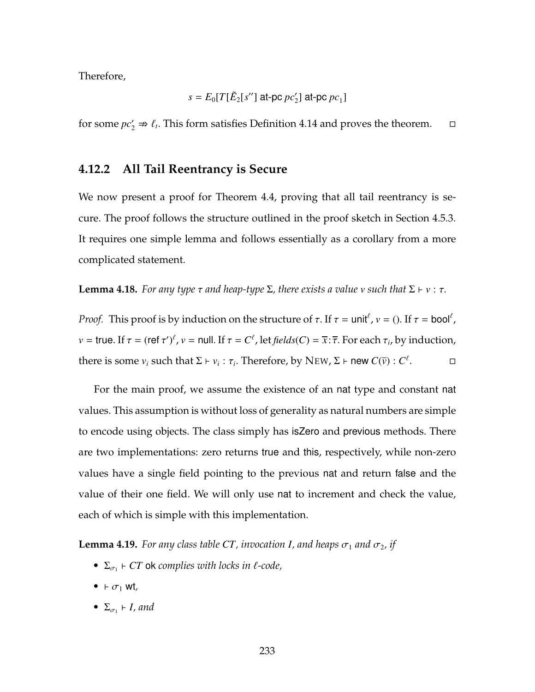Therefore,

$$
s = E_0[T[\tilde{E}_2[s''] \text{ at-pc } pc'_2] \text{ at-pc } pc_1]
$$

for some  $pc'_2 \Rightarrow \ell_t$ . This form satisfies Definition [4.14](#page-244-0) and proves the theorem.  $\Box$ 

## **4.12.2 All Tail Reentrancy is Secure**

We now present a proof for Theorem [4.4,](#page-195-0) proving that all tail reentrancy is secure. The proof follows the structure outlined in the proof sketch in Section [4.5.3.](#page-191-1) It requires one simple lemma and follows essentially as a corollary from a more complicated statement.

<span id="page-247-0"></span>**Lemma 4.18.** *For any type*  $\tau$  *and heap-type*  $\Sigma$ *, there exists a value v such that*  $\Sigma \vdash v : \tau$ *.* 

*Proof.* This proof is by induction on the structure of  $\tau$ . If  $\tau = \text{unit}^{\ell}$ ,  $v = ()$ . If  $\tau = \text{bool}^{\ell}$ ,  $v =$  true. If  $\tau = (ref \tau')^{\ell}$ ,  $v =$  null. If  $\tau = C^{\ell}$ , let *fields*(*C*) =  $\overline{x}$ :  $\overline{\tau}$ . For each  $\tau_i$ , by induction, there is some  $v_i$  such that  $\Sigma \vdash v_i : \tau_i$ . Therefore, by N[EW](#page-203-0),  $\Sigma \vdash$  new  $C(\overline{v}) : C^{\ell}$ . — П

For the main proof, we assume the existence of an nat type and constant nat values. This assumption is without loss of generality as natural numbers are simple to encode using objects. The class simply has isZero and previous methods. There are two implementations: zero returns true and this, respectively, while non-zero values have a single field pointing to the previous nat and return false and the value of their one field. We will only use nat to increment and check the value, each of which is simple with this implementation.

**Lemma 4.19.** *For any class table CT, invocation I, and heaps*  $\sigma_1$  *and*  $\sigma_2$ *, if* 

- $\Sigma_{\sigma_1}$   $\vdash$  *CT* ok *complies with locks in*  $\ell$ *-code*,
- $\vdash \sigma_1$  wt<sub>,</sub>
- $\Sigma_{\sigma_1} \vdash I$ *, and*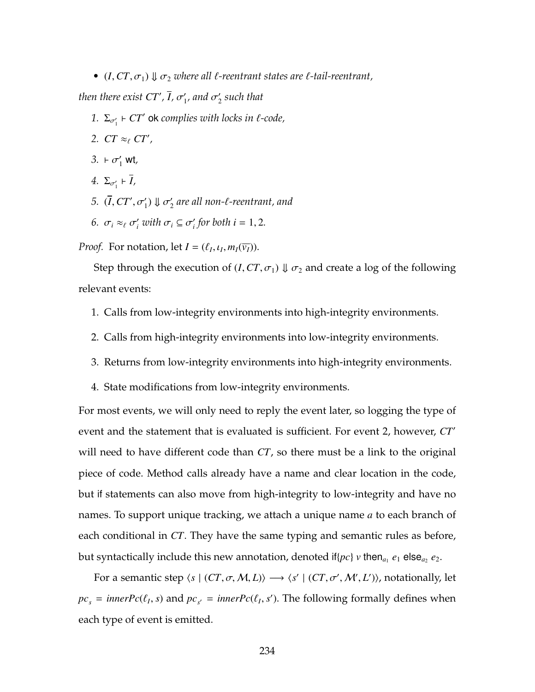•  $(I, CT, \sigma_1) \Downarrow \sigma_2$  *where all*  $\ell$ *-reentrant states are*  $\ell$ *-tail-reentrant,* 

*then there exist CT', I,*  $\sigma'_{1'}$ *, and*  $\sigma'_{2}$  *such that* 

- 1.  $\Sigma_{\sigma_1'}$   $\vdash$  *CT'* ok complies with locks in  $\ell$ -code,
- 2.  $CT \approx_{\ell} CT'$ ,
- $3. + \sigma'_1$  wt,
- $4. \ \Sigma_{\sigma'_1} \vdash I$ ,
- $5. (I, CT', \sigma'_1) \Downarrow \sigma'_2$  are all non- $\ell$ -reentrant, and
- <span id="page-248-1"></span>*6.*  $\sigma_i \approx_{\ell} \sigma'_i$  with  $\sigma_i \subseteq \sigma'_i$  for both  $i = 1, 2$ .

*Proof.* For notation, let  $I = (\ell_I, \iota_I, m_I(\overline{v_I})).$ 

Step through the execution of  $(I, CT, \sigma_1) \Downarrow \sigma_2$  and create a log of the following relevant events:

- <span id="page-248-0"></span>1. Calls from low-integrity environments into high-integrity environments.
- 2. Calls from high-integrity environments into low-integrity environments.
- 3. Returns from low-integrity environments into high-integrity environments.
- 4. State modifications from low-integrity environments.

For most events, we will only need to reply the event later, so logging the type of event and the statement that is evaluated is sufficient. For event [2,](#page-248-0) however,  $CT'$ will need to have different code than *CT*, so there must be a link to the original piece of code. Method calls already have a name and clear location in the code, but if statements can also move from high-integrity to low-integrity and have no names. To support unique tracking, we attach a unique name *a* to each branch of each conditional in *CT*. They have the same typing and semantic rules as before, but syntactically include this new annotation, denoted if{ $pc$ }  $v$  then<sub> $a_1$ </sub>  $e_1$  else $_{a_2}$   $e_2$ .

For a semantic step  $\langle s | (CT, \sigma, M, L) \rangle \longrightarrow \langle s' | (CT, \sigma', M', L') \rangle$ , notationally, let  $pc_s = innerPc(\ell_1, s)$  and  $pc_{s'} = innerPc(\ell_1, s')$ . The following formally defines when each type of event is emitted.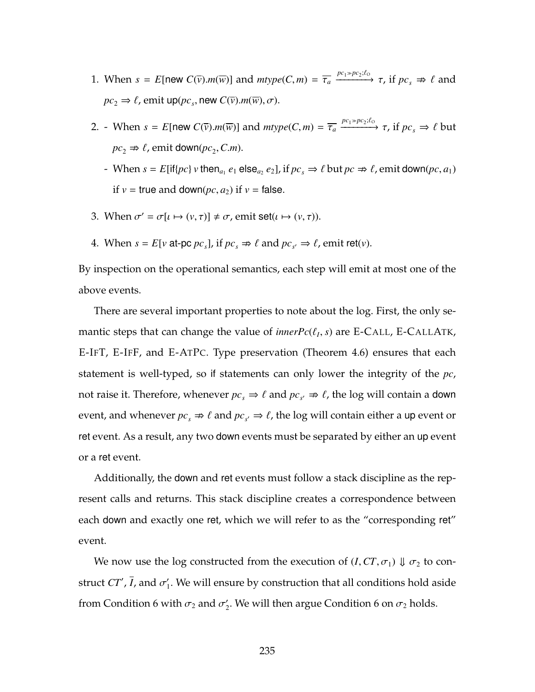- 1. When  $s = E$ [new  $C(\overline{v})$ .*m*( $\overline{w}$ )] and  $mtype(C, m) = \overline{\tau_a} \xrightarrow{pc_1 \gg pc_2; \ell_0} \tau$ , if  $pc_s \Rightarrow \ell$  and  $pc_2 \Rightarrow \ell$ , emit up( $pc_s$ , new  $C(\overline{v})$ .*m*( $\overline{w}$ ),  $\sigma$ ).
- 2. When  $s = E$ [new  $C(\overline{v})$ .*m*( $\overline{w}$ )] and  $mtype(C, m) = \overline{\tau_a} \xrightarrow{pc_1 \gg pc_2; \ell_o} \tau$ , if  $pc_s \Rightarrow \ell$  but  $pc_2 \Rightarrow \ell$ , emit down( $pc_2$ , *C.m*).
	- $P$  When  $s = E[if{pc} \mid v \text{ then}_{a_1} e_1 \text{ else}_{a_2} e_2], \text{ if } pc_s \Rightarrow \ell \text{ but } pc \Rightarrow \ell, \text{ emit down}(pc, a_1)$ if  $v =$  true and down( $pc$ ,  $a_2$ ) if  $v =$  false.
- 3. When  $\sigma' = \sigma[\iota \mapsto (\nu, \tau)] \neq \sigma$ , emit set( $\iota \mapsto (\nu, \tau)$ ).
- 4. When  $s = E[v \text{ at-pc } pc_s]$ , if  $pc_s \Rightarrow \ell \text{ and } pc_{s'} \Rightarrow \ell$ , emit ret(*v*).

By inspection on the operational semantics, each step will emit at most one of the above events.

There are several important properties to note about the log. First, the only semantic steps that can change the value of  $innerPr(\ell_I, s)$  are [E-C](#page-188-0)ALL, E-CALLATK, [E-I](#page-178-0)FT, [E-I](#page-202-0)FF, and [E-A](#page-178-0)TPC. Type preservation (Theorem [4.6\)](#page-207-0) ensures that each statement is well-typed, so if statements can only lower the integrity of the *pc*, not raise it. Therefore, whenever  $pc_s \Rightarrow \ell$  and  $pc_{s'} \Rightarrow \ell$ , the log will contain a down event, and whenever  $pc_s \Rightarrow \ell$  and  $pc_{s'} \Rightarrow \ell$ , the log will contain either a up event or ret event. As a result, any two down events must be separated by either an up event or a ret event.

Additionally, the down and ret events must follow a stack discipline as the represent calls and returns. This stack discipline creates a correspondence between each down and exactly one ret, which we will refer to as the "corresponding ret" event.

We now use the log constructed from the execution of  $(I, CT, \sigma_1) \Downarrow \sigma_2$  to construct  $CT'$ , *I*, and  $\sigma'_1$ . We will ensure by construction that all conditions hold aside from Condition [6](#page-248-1) with  $\sigma_2$  and  $\sigma_2'$ . We will then argue Condition 6 on  $\sigma_2$  holds.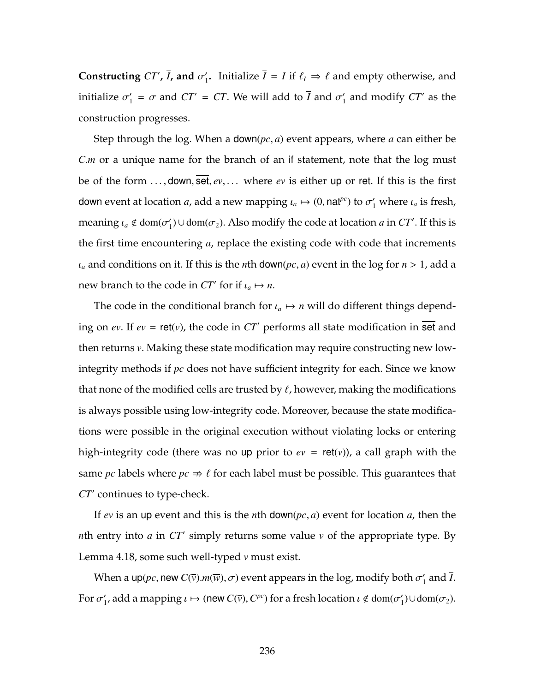**Constructing**  $CT'$ , *I***, and**  $\sigma'_1$ . Initialize  $I = I$  if  $\ell_I \Rightarrow \ell$  and empty otherwise, and initialize  $\sigma'_1 = \sigma$  and  $CT' = CT$ . We will add to *I* and  $\sigma'_1$  and modify  $CT'$  as the construction progresses.

Step through the log. When a down(*pc*, *a*) event appears, where *a* can either be *C.m* or a unique name for the branch of an if statement, note that the log must be of the form . . . , down, set, *ev*, . . . where *ev* is either up or ret. If this is the first down event at location *a*, add a new mapping  $\iota_a \mapsto (0, \text{nat}^{pc})$  to  $\sigma'_1$  where  $\iota_a$  is fresh, meaning  $\iota_a \notin \text{dom}(\sigma'_1) \cup \text{dom}(\sigma_2)$ . Also modify the code at location *a* in *CT'*. If this is the first time encountering *a*, replace the existing code with code that increments  $\iota_a$  and conditions on it. If this is the *n*th down( $pc$ , *a*) event in the log for  $n > 1$ , add a new branch to the code in  $CT'$  for if  $\iota_a \mapsto n$ .

The code in the conditional branch for  $\iota_a \mapsto n$  will do different things depending on *ev*. If  $ev = \text{ret}(v)$ , the code in  $CT'$  performs all state modification in set and then returns *v*. Making these state modification may require constructing new lowintegrity methods if *pc* does not have sufficient integrity for each. Since we know that none of the modified cells are trusted by  $\ell$ , however, making the modifications is always possible using low-integrity code. Moreover, because the state modifications were possible in the original execution without violating locks or entering high-integrity code (there was no up prior to  $ev = \text{ret}(v)$ ), a call graph with the same *pc* labels where  $pc \Rightarrow l$  for each label must be possible. This guarantees that *CT'* continues to type-check.

If *ev* is an up event and this is the *n*th down(*pc*, *a*) event for location *a*, then the *n*th entry into *a* in  $CT'$  simply returns some value *v* of the appropriate type. By Lemma [4.18,](#page-247-0) some such well-typed *v* must exist.

When a up( $pc$ , new  $C(\overline{v})$ . $m(\overline{w})$ ,  $\sigma$ ) event appears in the log, modify both  $\sigma'_{1}$  and *I*. For  $\sigma'_1$ , add a mapping  $\iota \mapsto (\text{new } C(\overline{\nu}), C^{pc})$  for a fresh location  $\iota \notin \text{dom}(\sigma'_1) \cup \text{dom}(\sigma_2)$ .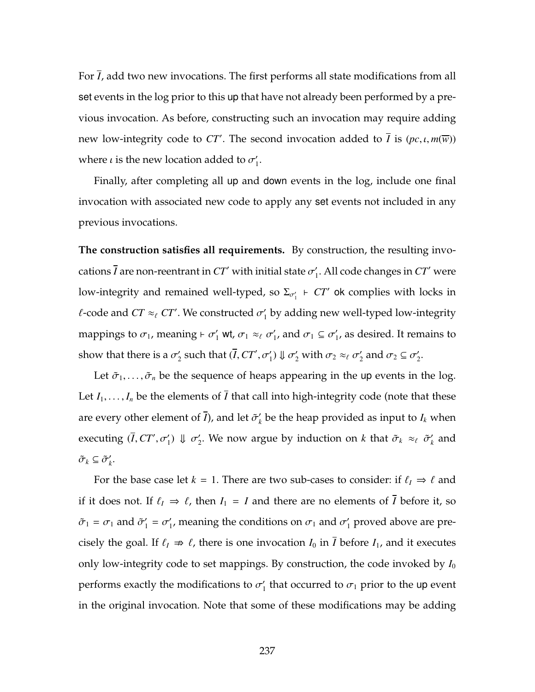For *I*, add two new invocations. The first performs all state modifications from all set events in the log prior to this up that have not already been performed by a previous invocation. As before, constructing such an invocation may require adding new low-integrity code to *CT'*. The second invocation added to *I* is  $(pc, \iota, m(\overline{w}))$ where  $\iota$  is the new location added to  $\sigma'_1$ .

Finally, after completing all up and down events in the log, include one final invocation with associated new code to apply any set events not included in any previous invocations.

**The construction satisfies all requirements.** By construction, the resulting invocations *I* are non-reentrant in  $CT'$  with initial state  $\sigma'_1$ . All code changes in  $CT'$  were low-integrity and remained well-typed, so  $\Sigma_{\sigma'_1}$   $\vdash$   $CT'$  ok complies with locks in *l*-code and  $CT \approx_{\ell} CT'$ . We constructed  $\sigma'_{1}$  by adding new well-typed low-integrity mappings to  $\sigma_1$ , meaning  $\vdash \sigma'_1$  wt,  $\sigma_1 \approx_\ell \sigma'_1$ , and  $\sigma_1 \subseteq \sigma'_1$ , as desired. It remains to show that there is a  $\sigma'_2$  such that  $(I,CT',\sigma'_1) \Downarrow \sigma'_2$  with  $\sigma_2 \approx_{\ell} \sigma'_2$  and  $\sigma_2 \subseteq \sigma'_2$ .

Let  $\tilde{\sigma}_1, \ldots, \tilde{\sigma}_n$  be the sequence of heaps appearing in the up events in the log. Let  $I_1, \ldots, I_n$  be the elements of  $\overline{I}$  that call into high-integrity code (note that these are every other element of *I*), and let  $\tilde{\sigma}'_k$  be the heap provided as input to  $I_k$  when executing  $(I,CT',\sigma'_1) \Downarrow \sigma'_2$ . We now argue by induction on *k* that  $\tilde{\sigma}_k \approx_{\ell} \tilde{\sigma}'_k$  and  $\tilde{\sigma}_k \subseteq \tilde{\sigma}'_k$ .

For the base case let *k* = 1. There are two sub-cases to consider: if  $\ell_I \Rightarrow \ell$  and if it does not. If  $\ell_I \Rightarrow \ell$ , then  $I_1 = I$  and there are no elements of  $\overline{I}$  before it, so  $\tilde{\sigma}_1 = \sigma_1$  and  $\tilde{\sigma}'_1 = \sigma'_1$ , meaning the conditions on  $\sigma_1$  and  $\sigma'_1$  proved above are precisely the goal. If  $\ell_I \Rightarrow \ell$ , there is one invocation  $I_0$  in  $\overline{I}$  before  $I_1$ , and it executes only low-integrity code to set mappings. By construction, the code invoked by  $I_0$ performs exactly the modifications to  $\sigma_1'$  that occurred to  $\sigma_1$  prior to the up event in the original invocation. Note that some of these modifications may be adding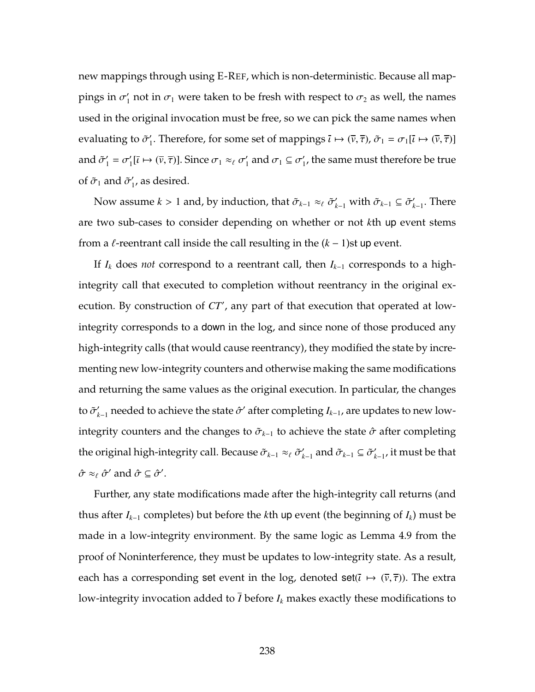new mappings through using [E-R](#page-178-0)EF, which is non-deterministic. Because all mappings in  $\sigma_1'$  not in  $\sigma_1$  were taken to be fresh with respect to  $\sigma_2$  as well, the names used in the original invocation must be free, so we can pick the same names when evaluating to  $\tilde{\sigma}'_1$ . Therefore, for some set of mappings  $\bar{\iota} \mapsto (\bar{\nu}, \bar{\tau})$ ,  $\tilde{\sigma}_1 = \sigma_1[\bar{\iota} \mapsto (\bar{\nu}, \bar{\tau})]$ and  $\tilde{\sigma}'_1 = \sigma'_1[\bar{\iota} \mapsto (\bar{\nu}, \bar{\tau})]$ . Since  $\sigma_1 \approx_{\ell} \sigma'_1$  and  $\sigma_1 \subseteq \sigma'_1$ , the same must therefore be true of  $\tilde{\sigma}_1$  and  $\tilde{\sigma}'_1$ , as desired.

Now assume  $k > 1$  and, by induction, that  $\tilde{\sigma}_{k-1} \approx_{\ell} \tilde{\sigma}'_{k-1}$  with  $\tilde{\sigma}_{k-1} \subseteq \tilde{\sigma}'_{k-1}$ . There are two sub-cases to consider depending on whether or not *k*th up event stems from a  $\ell$ -reentrant call inside the call resulting in the  $(k - 1)$ st up event.

If *I<sup>k</sup>* does *not* correspond to a reentrant call, then *I<sup>k</sup>*−<sup>1</sup> corresponds to a highintegrity call that executed to completion without reentrancy in the original execution. By construction of CT', any part of that execution that operated at lowintegrity corresponds to a down in the log, and since none of those produced any high-integrity calls (that would cause reentrancy), they modified the state by incrementing new low-integrity counters and otherwise making the same modifications and returning the same values as the original execution. In particular, the changes to  $\tilde{\sigma}'_{k-1}$  needed to achieve the state  $\hat{\sigma}'$  after completing  $I_{k-1}$ , are updates to new lowintegrity counters and the changes to  $\tilde{\sigma}_{k-1}$  to achieve the state  $\hat{\sigma}$  after completing the original high-integrity call. Because  $\tilde\sigma_{k-1}\approx_\ell\tilde\sigma'_{k-1}$  and  $\tilde\sigma_{k-1}\subseteq\tilde\sigma'_{k-1}$ , it must be that  $\hat{\sigma} \approx_{\ell} \hat{\sigma}'$  and  $\hat{\sigma} \subseteq \hat{\sigma}'$ .

Further, any state modifications made after the high-integrity call returns (and thus after  $I_{k-1}$  completes) but before the *k*th up event (the beginning of  $I_k$ ) must be made in a low-integrity environment. By the same logic as Lemma [4.9](#page-220-0) from the proof of Noninterference, they must be updates to low-integrity state. As a result, each has a corresponding set event in the log, denoted set( $\bar{\iota} \mapsto (\bar{\nu}, \bar{\tau})$ ). The extra low-integrity invocation added to  $\overline{I}$  before  $I_k$  makes exactly these modifications to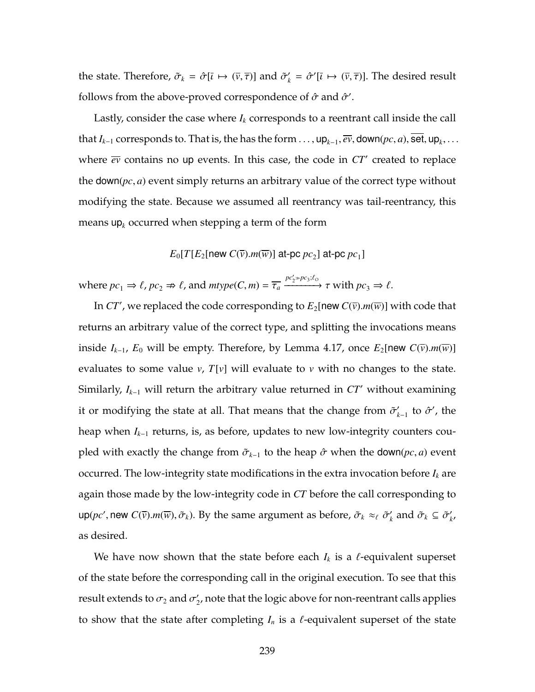the state. Therefore,  $\tilde{\sigma}_k = \hat{\sigma}[\bar{\iota} \mapsto (\bar{\nu}, \bar{\tau})]$  and  $\tilde{\sigma}'_k = \hat{\sigma}'[\bar{\iota} \mapsto (\bar{\nu}, \bar{\tau})]$ . The desired result follows from the above-proved correspondence of  $\hat{\sigma}$  and  $\hat{\sigma}'$ .

Lastly, consider the case where  $I_k$  corresponds to a reentrant call inside the call that  $I_{k-1}$  corresponds to. That is, the has the form  $\dots$ ,  $up_{k-1}$ ,  $\overline{ev}$ , down $(pc, a)$ , set,  $up_k$ ,  $\dots$ where  $\overline{ev}$  contains no up events. In this case, the code in  $CT'$  created to replace the down(*pc*, *a*) event simply returns an arbitrary value of the correct type without modifying the state. Because we assumed all reentrancy was tail-reentrancy, this means  $up_k$  occurred when stepping a term of the form

## $E_0[T[E_2[\mathsf{new}~C(\overline{v}).m(\overline{w})]$  at-pc  $pc_2$ ] at-pc  $pc_1$ ]

where  $pc_1 \Rightarrow \ell$ ,  $pc_2 \Rightarrow \ell$ , and  $mtype(C, m) = \overline{\tau_a} \xrightarrow{pc'_2 \Rightarrow pc_3:\ell_0} \tau$  with  $pc_3 \Rightarrow \ell$ .

In  $CT'$  , we replaced the code corresponding to  $E_2$ [new  $C(\overline{\nu})$ . $m(\overline{w})$ ] with code that returns an arbitrary value of the correct type, and splitting the invocations means inside *I*<sub>*k*−1</sub>, *E*<sub>0</sub> will be empty. Therefore, by Lemma [4.17,](#page-244-0) once *E*<sub>2</sub>[new *C*( $\bar{v}$ ).*m*( $\bar{w}$ )] evaluates to some value *v*, *T*[*v*] will evaluate to *v* with no changes to the state. Similarly,  $I_{k-1}$  will return the arbitrary value returned in  $CT'$  without examining it or modifying the state at all. That means that the change from  $\tilde{\sigma}'_{k-1}$  to  $\hat{\sigma}'$ , the heap when *I<sup>k</sup>*−<sup>1</sup> returns, is, as before, updates to new low-integrity counters coupled with exactly the change from  $\tilde{\sigma}_{k-1}$  to the heap  $\hat{\sigma}$  when the down(*pc*, *a*) event occurred. The low-integrity state modifications in the extra invocation before *I<sup>k</sup>* are again those made by the low-integrity code in *CT* before the call corresponding to  $\sup(p c', \text{new } C(\overline{v}). m(\overline{w}), \tilde{\sigma}_k)$ . By the same argument as before,  $\tilde{\sigma}_k \approx_\ell \tilde{\sigma}'_k$  and  $\tilde{\sigma}_k \subseteq \tilde{\sigma}'_{k'}$ as desired.

We have now shown that the state before each  $I_k$  is a  $\ell$ -equivalent superset of the state before the corresponding call in the original execution. To see that this result extends to  $\sigma_2$  and  $\sigma_2'$ , note that the logic above for non-reentrant calls applies to show that the state after completing  $I_n$  is a  $\ell$ -equivalent superset of the state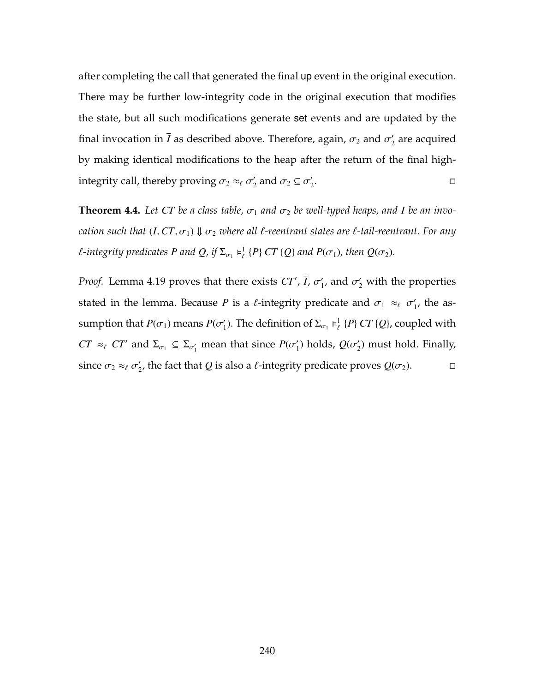after completing the call that generated the final up event in the original execution. There may be further low-integrity code in the original execution that modifies the state, but all such modifications generate set events and are updated by the final invocation in *I* as described above. Therefore, again,  $\sigma_2$  and  $\sigma_2^\prime$  are acquired by making identical modifications to the heap after the return of the final highintegrity call, thereby proving  $\sigma_2 \approx_\ell \sigma'_2$  and  $\sigma_2 \subseteq \sigma'_2$ . В последните последните и производство на применении с последните и производство на применении с последните <br>В последните последните последните последните последните последните последните последните последните последнит

**Theorem [4.4.](#page-195-0)** Let CT be a class table,  $\sigma_1$  and  $\sigma_2$  be well-typed heaps, and *I* be an invo*cation such that*  $(I, CT, \sigma_1) \Downarrow \sigma_2$  *where all*  $\ell$ *-reentrant states are*  $\ell$ *-tail-reentrant. For any f*-integrity predicates P and Q, if  $\Sigma_{\sigma_1} \models^1_{\ell} \{P\} C T \{Q\}$  and  $P(\sigma_1)$ , then  $Q(\sigma_2)$ .

*Proof.* Lemma [4.19](#page-247-0) proves that there exists  $CT'$ , *I*,  $\sigma'_{1}$ , and  $\sigma'_{2}$  with the properties stated in the lemma. Because *P* is a  $\ell$ -integrity predicate and  $\sigma_1 \approx_{\ell} \sigma'_1$ , the assumption that  $P(\sigma_1)$  means  $P(\sigma'_1)$ . The definition of  $\Sigma_{\sigma_1} \models^1_{\ell} \{P\} C T \{Q\}$ , coupled with *CT*  $\approx$  *cT'* and  $\Sigma_{\sigma_1} \subseteq \Sigma_{\sigma'_1}$  mean that since  $P(\sigma'_1)$  holds,  $Q(\sigma'_2)$  must hold. Finally, since  $\sigma_2 \approx_{\ell} \sigma'_2$ , the fact that *Q* is also a *l*-integrity predicate proves *Q*( $\sigma_2$ ).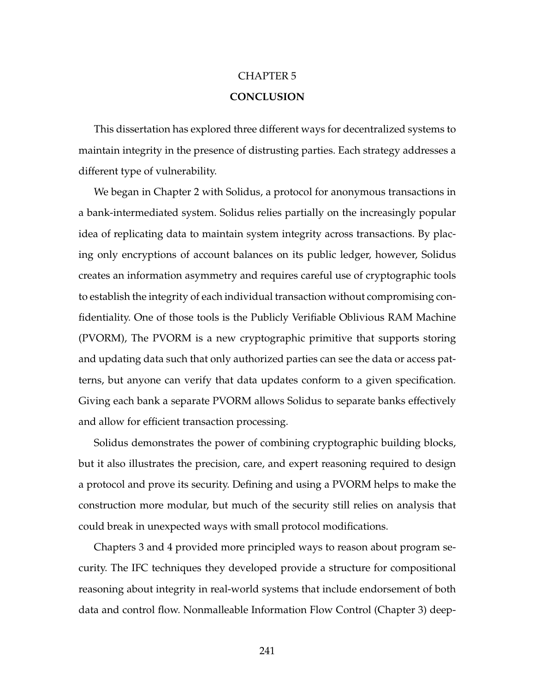## CHAPTER 5 **CONCLUSION**

This dissertation has explored three different ways for decentralized systems to maintain integrity in the presence of distrusting parties. Each strategy addresses a different type of vulnerability.

We began in Chapter [2](#page-26-0) with Solidus, a protocol for anonymous transactions in a bank-intermediated system. Solidus relies partially on the increasingly popular idea of replicating data to maintain system integrity across transactions. By placing only encryptions of account balances on its public ledger, however, Solidus creates an information asymmetry and requires careful use of cryptographic tools to establish the integrity of each individual transaction without compromising confidentiality. One of those tools is the Publicly Verifiable Oblivious RAM Machine (PVORM), The PVORM is a new cryptographic primitive that supports storing and updating data such that only authorized parties can see the data or access patterns, but anyone can verify that data updates conform to a given specification. Giving each bank a separate PVORM allows Solidus to separate banks effectively and allow for efficient transaction processing.

Solidus demonstrates the power of combining cryptographic building blocks, but it also illustrates the precision, care, and expert reasoning required to design a protocol and prove its security. Defining and using a PVORM helps to make the construction more modular, but much of the security still relies on analysis that could break in unexpected ways with small protocol modifications.

Chapters [3](#page-96-0) and [4](#page-158-0) provided more principled ways to reason about program security. The IFC techniques they developed provide a structure for compositional reasoning about integrity in real-world systems that include endorsement of both data and control flow. Nonmalleable Information Flow Control (Chapter [3\)](#page-96-0) deep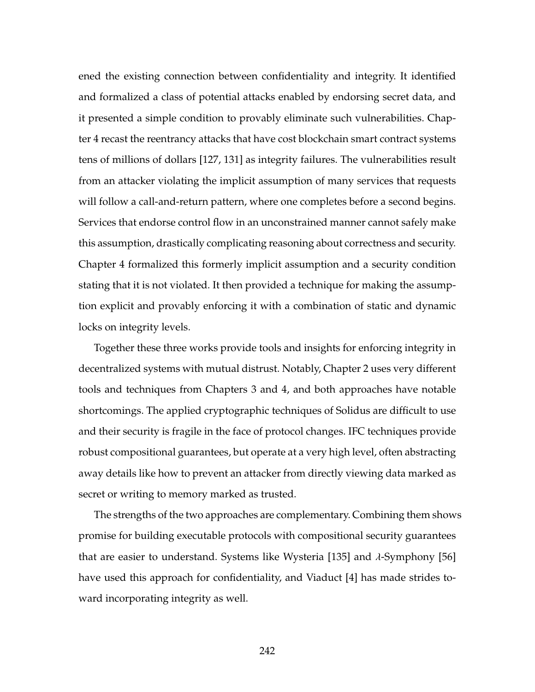ened the existing connection between confidentiality and integrity. It identified and formalized a class of potential attacks enabled by endorsing secret data, and it presented a simple condition to provably eliminate such vulnerabilities. Chapter [4](#page-158-0) recast the reentrancy attacks that have cost blockchain smart contract systems tens of millions of dollars [\[127,](#page-275-0) [131\]](#page-276-0) as integrity failures. The vulnerabilities result from an attacker violating the implicit assumption of many services that requests will follow a call-and-return pattern, where one completes before a second begins. Services that endorse control flow in an unconstrained manner cannot safely make this assumption, drastically complicating reasoning about correctness and security. Chapter [4](#page-158-0) formalized this formerly implicit assumption and a security condition stating that it is not violated. It then provided a technique for making the assumption explicit and provably enforcing it with a combination of static and dynamic locks on integrity levels.

Together these three works provide tools and insights for enforcing integrity in decentralized systems with mutual distrust. Notably, Chapter [2](#page-26-0) uses very different tools and techniques from Chapters [3](#page-96-0) and [4,](#page-158-0) and both approaches have notable shortcomings. The applied cryptographic techniques of Solidus are difficult to use and their security is fragile in the face of protocol changes. IFC techniques provide robust compositional guarantees, but operate at a very high level, often abstracting away details like how to prevent an attacker from directly viewing data marked as secret or writing to memory marked as trusted.

The strengths of the two approaches are complementary. Combining them shows promise for building executable protocols with compositional security guarantees that are easier to understand. Systems like Wysteria [\[135\]](#page-276-1) and  $\lambda$ -Symphony [\[56\]](#page-265-0) have used this approach for confidentiality, and Viaduct [\[4\]](#page-258-0) has made strides toward incorporating integrity as well.

242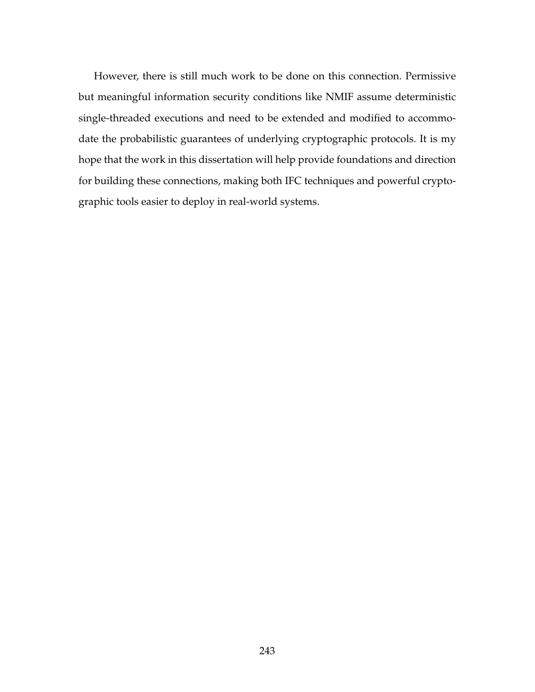However, there is still much work to be done on this connection. Permissive but meaningful information security conditions like NMIF assume deterministic single-threaded executions and need to be extended and modified to accommodate the probabilistic guarantees of underlying cryptographic protocols. It is my hope that the work in this dissertation will help provide foundations and direction for building these connections, making both IFC techniques and powerful cryptographic tools easier to deploy in real-world systems.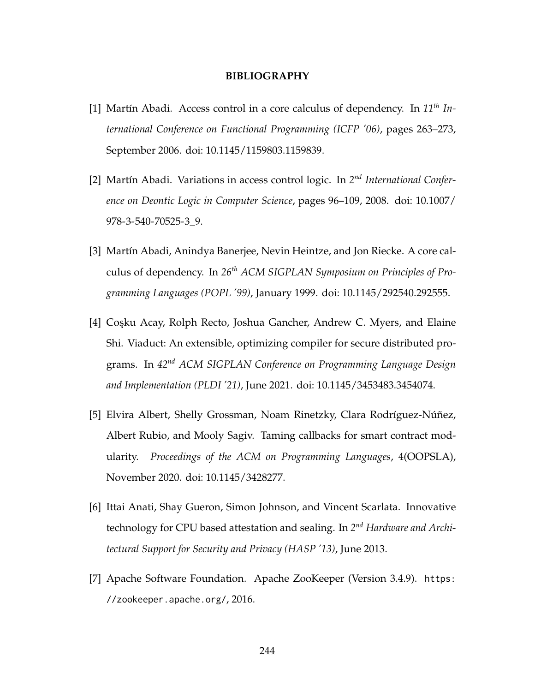## **BIBLIOGRAPHY**

- [1] Martín Abadi. Access control in a core calculus of dependency. In *11th International Conference on Functional Programming (ICFP '06)*, pages 263–273, September 2006. doi: [10.1145/1159803.1159839.](https://doi.org/10.1145/1159803.1159839)
- [2] Martín Abadi. Variations in access control logic. In 2<sup>nd</sup> International Confer*ence on Deontic Logic in Computer Science*, pages 96–109, 2008. doi: [10.1007/](https://doi.org/10.1007/978-3-540-70525-3_9) [978-3-540-70525-3\\_9.](https://doi.org/10.1007/978-3-540-70525-3_9)
- [3] Martín Abadi, Anindya Banerjee, Nevin Heintze, and Jon Riecke. A core calculus of dependency. In *26th ACM SIGPLAN Symposium on Principles of Programming Languages (POPL '99)*, January 1999. doi: [10.1145/292540.292555.](https://doi.org/10.1145/292540.292555)
- <span id="page-258-0"></span>[4] Coşku Acay, Rolph Recto, Joshua Gancher, Andrew C. Myers, and Elaine Shi. Viaduct: An extensible, optimizing compiler for secure distributed programs. In *42nd ACM SIGPLAN Conference on Programming Language Design and Implementation (PLDI '21)*, June 2021. doi: [10.1145/3453483.3454074.](https://doi.org/10.1145/3453483.3454074)
- [5] Elvira Albert, Shelly Grossman, Noam Rinetzky, Clara Rodríguez-Núñez, Albert Rubio, and Mooly Sagiv. Taming callbacks for smart contract modularity. *Proceedings of the ACM on Programming Languages*, 4(OOPSLA), November 2020. doi: [10.1145/3428277.](https://doi.org/10.1145/3428277)
- [6] Ittai Anati, Shay Gueron, Simon Johnson, and Vincent Scarlata. Innovative technology for CPU based attestation and sealing. In 2<sup>nd</sup> Hardware and Archi*tectural Support for Security and Privacy (HASP '13)*, June 2013.
- [7] Apache Software Foundation. Apache ZooKeeper (Version 3.4.9). [https:](https://zookeeper.apache.org/) [//zookeeper.apache.org/](https://zookeeper.apache.org/), 2016.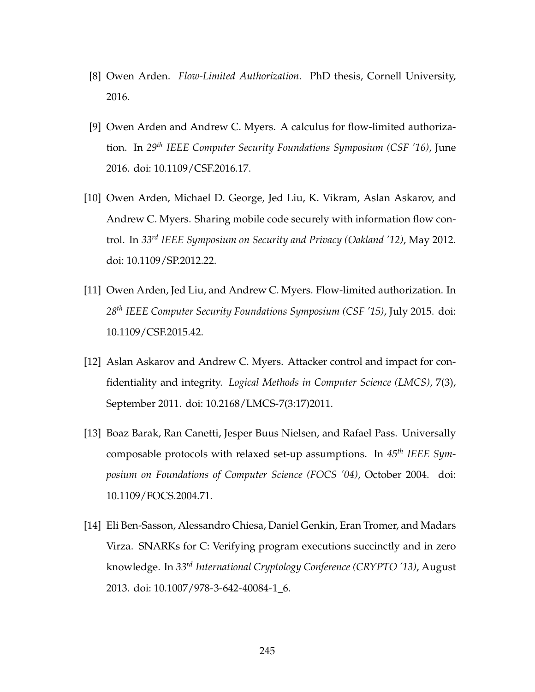- [8] Owen Arden. *Flow-Limited Authorization*. PhD thesis, Cornell University, 2016.
- [9] Owen Arden and Andrew C. Myers. A calculus for flow-limited authorization. In *29th IEEE Computer Security Foundations Symposium (CSF '16)*, June 2016. doi: [10.1109/CSF.2016.17.](https://doi.org/10.1109/CSF.2016.17)
- [10] Owen Arden, Michael D. George, Jed Liu, K. Vikram, Aslan Askarov, and Andrew C. Myers. Sharing mobile code securely with information flow control. In *33rd IEEE Symposium on Security and Privacy (Oakland '12)*, May 2012. doi: [10.1109/SP.2012.22.](https://doi.org/10.1109/SP.2012.22)
- [11] Owen Arden, Jed Liu, and Andrew C. Myers. Flow-limited authorization. In *28th IEEE Computer Security Foundations Symposium (CSF '15)*, July 2015. doi: [10.1109/CSF.2015.42.](https://doi.org/10.1109/CSF.2015.42)
- [12] Aslan Askarov and Andrew C. Myers. Attacker control and impact for confidentiality and integrity. *Logical Methods in Computer Science (LMCS)*, 7(3), September 2011. doi: [10.2168/LMCS-7\(3:17\)2011.](https://doi.org/10.2168/LMCS-7(3:17)2011)
- [13] Boaz Barak, Ran Canetti, Jesper Buus Nielsen, and Rafael Pass. Universally composable protocols with relaxed set-up assumptions. In *45th IEEE Symposium on Foundations of Computer Science (FOCS '04)*, October 2004. doi: [10.1109/FOCS.2004.71.](https://doi.org/10.1109/FOCS.2004.71)
- [14] Eli Ben-Sasson, Alessandro Chiesa, Daniel Genkin, Eran Tromer, and Madars Virza. SNARKs for C: Verifying program executions succinctly and in zero knowledge. In *33rd International Cryptology Conference (CRYPTO '13)*, August 2013. doi: [10.1007/978-3-642-40084-1\\_6.](https://doi.org/10.1007/978-3-642-40084-1_6)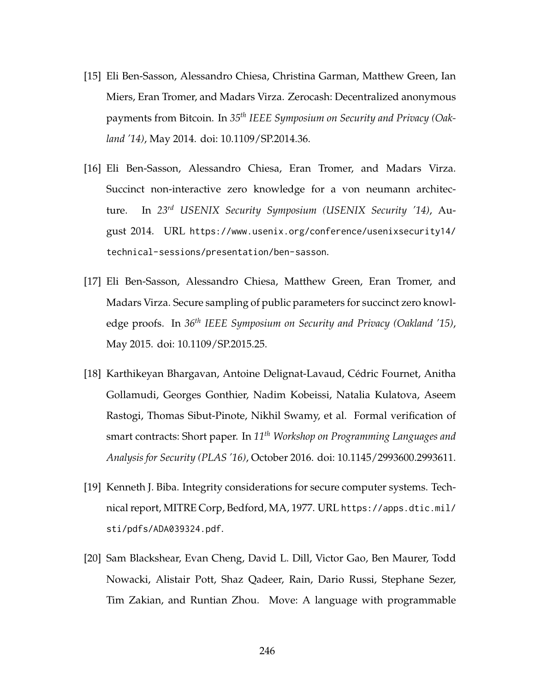- [15] Eli Ben-Sasson, Alessandro Chiesa, Christina Garman, Matthew Green, Ian Miers, Eran Tromer, and Madars Virza. Zerocash: Decentralized anonymous payments from Bitcoin. In *35th IEEE Symposium on Security and Privacy (Oakland '14)*, May 2014. doi: [10.1109/SP.2014.36.](https://doi.org/10.1109/SP.2014.36)
- [16] Eli Ben-Sasson, Alessandro Chiesa, Eran Tromer, and Madars Virza. Succinct non-interactive zero knowledge for a von neumann architecture. In *23rd USENIX Security Symposium (USENIX Security '14)*, August 2014. URL [https://www.usenix.org/conference/usenixsecurity14/](https://www.usenix.org/conference/usenixsecurity14/technical-sessions/presentation/ben-sasson) [technical-sessions/presentation/ben-sasson](https://www.usenix.org/conference/usenixsecurity14/technical-sessions/presentation/ben-sasson).
- [17] Eli Ben-Sasson, Alessandro Chiesa, Matthew Green, Eran Tromer, and Madars Virza. Secure sampling of public parameters for succinct zero knowledge proofs. In *36th IEEE Symposium on Security and Privacy (Oakland '15)*, May 2015. doi: [10.1109/SP.2015.25.](https://doi.org/10.1109/SP.2015.25)
- [18] Karthikeyan Bhargavan, Antoine Delignat-Lavaud, Cédric Fournet, Anitha Gollamudi, Georges Gonthier, Nadim Kobeissi, Natalia Kulatova, Aseem Rastogi, Thomas Sibut-Pinote, Nikhil Swamy, et al. Formal verification of smart contracts: Short paper. In *11th Workshop on Programming Languages and Analysis for Security (PLAS '16)*, October 2016. doi: [10.1145/2993600.2993611.](https://doi.org/10.1145/2993600.2993611)
- [19] Kenneth J. Biba. Integrity considerations for secure computer systems. Technical report, MITRE Corp, Bedford, MA, 1977. URL [https://apps.dtic.mil/](https://apps.dtic.mil/sti/pdfs/ADA039324.pdf) [sti/pdfs/ADA039324.pdf](https://apps.dtic.mil/sti/pdfs/ADA039324.pdf).
- [20] Sam Blackshear, Evan Cheng, David L. Dill, Victor Gao, Ben Maurer, Todd Nowacki, Alistair Pott, Shaz Qadeer, Rain, Dario Russi, Stephane Sezer, Tim Zakian, and Runtian Zhou. Move: A language with programmable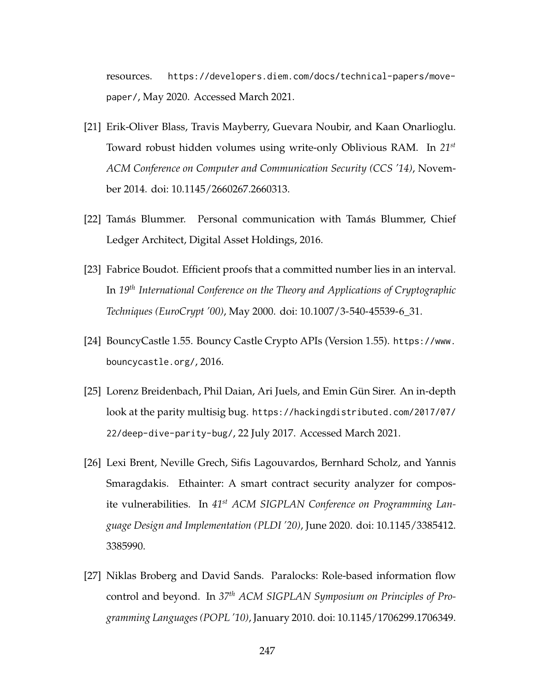resources. [https://developers.diem.com/docs/technical-papers/move](https://developers.diem.com/docs/technical-papers/move-paper/)[paper/](https://developers.diem.com/docs/technical-papers/move-paper/), May 2020. Accessed March 2021.

- [21] Erik-Oliver Blass, Travis Mayberry, Guevara Noubir, and Kaan Onarlioglu. Toward robust hidden volumes using write-only Oblivious RAM. In *21st ACM Conference on Computer and Communication Security (CCS '14)*, November 2014. doi: [10.1145/2660267.2660313.](https://doi.org/10.1145/2660267.2660313)
- [22] Tamás Blummer. Personal communication with Tamás Blummer, Chief Ledger Architect, Digital Asset Holdings, 2016.
- [23] Fabrice Boudot. Efficient proofs that a committed number lies in an interval. In *19th International Conference on the Theory and Applications of Cryptographic Techniques (EuroCrypt '00)*, May 2000. doi: [10.1007/3-540-45539-6\\_31.](https://doi.org/10.1007/3-540-45539-6_31)
- [24] BouncyCastle 1.55. Bouncy Castle Crypto APIs (Version 1.55). [https://www.](https://www.bouncycastle.org/) [bouncycastle.org/](https://www.bouncycastle.org/), 2016.
- [25] Lorenz Breidenbach, Phil Daian, Ari Juels, and Emin Gün Sirer. An in-depth look at the parity multisig bug. [https://hackingdistributed.com/2017/07/](https://hackingdistributed.com/2017/07/22/deep-dive-parity-bug/) [22/deep-dive-parity-bug/](https://hackingdistributed.com/2017/07/22/deep-dive-parity-bug/), 22 July 2017. Accessed March 2021.
- [26] Lexi Brent, Neville Grech, Sifis Lagouvardos, Bernhard Scholz, and Yannis Smaragdakis. Ethainter: A smart contract security analyzer for composite vulnerabilities. In *41st ACM SIGPLAN Conference on Programming Language Design and Implementation (PLDI '20)*, June 2020. doi: [10.1145/3385412.](https://doi.org/10.1145/3385412.3385990) [3385990.](https://doi.org/10.1145/3385412.3385990)
- [27] Niklas Broberg and David Sands. Paralocks: Role-based information flow control and beyond. In *37th ACM SIGPLAN Symposium on Principles of Programming Languages (POPL '10)*, January 2010. doi: [10.1145/1706299.1706349.](https://doi.org/10.1145/1706299.1706349)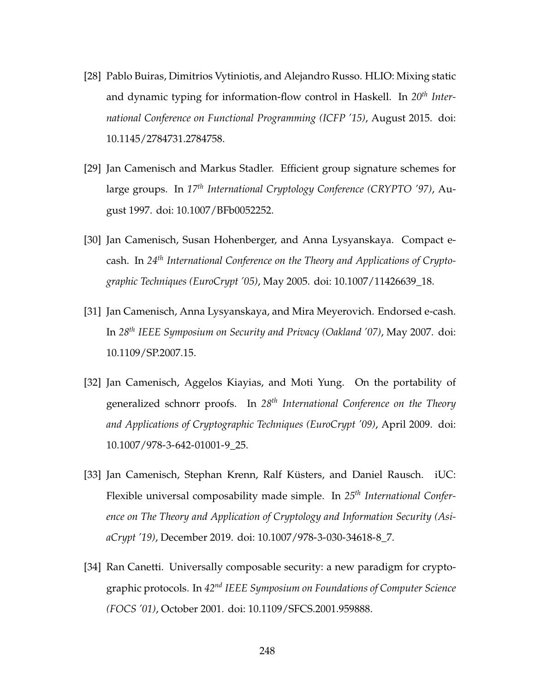- [28] Pablo Buiras, Dimitrios Vytiniotis, and Alejandro Russo. HLIO: Mixing static and dynamic typing for information-flow control in Haskell. In *20th International Conference on Functional Programming (ICFP '15)*, August 2015. doi: [10.1145/2784731.2784758.](https://doi.org/10.1145/2784731.2784758)
- [29] Jan Camenisch and Markus Stadler. Efficient group signature schemes for large groups. In *17th International Cryptology Conference (CRYPTO '97)*, August 1997. doi: [10.1007/BFb0052252.](https://doi.org/10.1007/BFb0052252)
- [30] Jan Camenisch, Susan Hohenberger, and Anna Lysyanskaya. Compact ecash. In *24th International Conference on the Theory and Applications of Cryptographic Techniques (EuroCrypt '05)*, May 2005. doi: [10.1007/11426639\\_18.](https://doi.org/10.1007/11426639_18)
- [31] Jan Camenisch, Anna Lysyanskaya, and Mira Meyerovich. Endorsed e-cash. In *28th IEEE Symposium on Security and Privacy (Oakland '07)*, May 2007. doi: [10.1109/SP.2007.15.](https://doi.org/10.1109/SP.2007.15)
- [32] Jan Camenisch, Aggelos Kiayias, and Moti Yung. On the portability of generalized schnorr proofs. In *28th International Conference on the Theory and Applications of Cryptographic Techniques (EuroCrypt '09)*, April 2009. doi: [10.1007/978-3-642-01001-9\\_25.](https://doi.org/10.1007/978-3-642-01001-9_25)
- [33] Jan Camenisch, Stephan Krenn, Ralf Küsters, and Daniel Rausch. iUC: Flexible universal composability made simple. In *25th International Conference on The Theory and Application of Cryptology and Information Security (AsiaCrypt '19)*, December 2019. doi: [10.1007/978-3-030-34618-8\\_7.](https://doi.org/10.1007/978-3-030-34618-8_7)
- [34] Ran Canetti. Universally composable security: a new paradigm for cryptographic protocols. In *42nd IEEE Symposium on Foundations of Computer Science (FOCS '01)*, October 2001. doi: [10.1109/SFCS.2001.959888.](https://doi.org/10.1109/SFCS.2001.959888)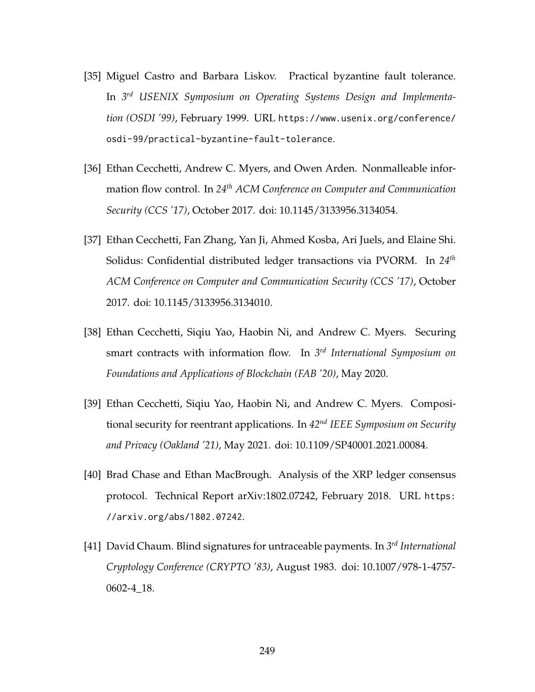- [35] Miguel Castro and Barbara Liskov. Practical byzantine fault tolerance. In *3 rd USENIX Symposium on Operating Systems Design and Implementation (OSDI '99)*, February 1999. URL [https://www.usenix.org/conference/](https://www.usenix.org/conference/osdi-99/practical-byzantine-fault-tolerance) [osdi-99/practical-byzantine-fault-tolerance](https://www.usenix.org/conference/osdi-99/practical-byzantine-fault-tolerance).
- [36] Ethan Cecchetti, Andrew C. Myers, and Owen Arden. Nonmalleable information flow control. In *24th ACM Conference on Computer and Communication Security (CCS '17)*, October 2017. doi: [10.1145/3133956.3134054.](https://doi.org/10.1145/3133956.3134054)
- [37] Ethan Cecchetti, Fan Zhang, Yan Ji, Ahmed Kosba, Ari Juels, and Elaine Shi. Solidus: Confidential distributed ledger transactions via PVORM. In *24th ACM Conference on Computer and Communication Security (CCS '17)*, October 2017. doi: [10.1145/3133956.3134010.](https://doi.org/10.1145/3133956.3134010)
- [38] Ethan Cecchetti, Siqiu Yao, Haobin Ni, and Andrew C. Myers. Securing smart contracts with information flow. In *3 rd International Symposium on Foundations and Applications of Blockchain (FAB '20)*, May 2020.
- [39] Ethan Cecchetti, Siqiu Yao, Haobin Ni, and Andrew C. Myers. Compositional security for reentrant applications. In *42nd IEEE Symposium on Security and Privacy (Oakland '21)*, May 2021. doi: [10.1109/SP40001.2021.00084.](https://doi.org/10.1109/SP40001.2021.00084)
- [40] Brad Chase and Ethan MacBrough. Analysis of the XRP ledger consensus protocol. Technical Report arXiv:1802.07242, February 2018. URL [https:](https://arxiv.org/abs/1802.07242) [//arxiv.org/abs/1802.07242](https://arxiv.org/abs/1802.07242).
- [41] David Chaum. Blind signatures for untraceable payments. In *3 rd International Cryptology Conference (CRYPTO '83)*, August 1983. doi: [10.1007/978-1-4757-](https://doi.org/10.1007/978-1-4757-0602-4_18) [0602-4\\_18.](https://doi.org/10.1007/978-1-4757-0602-4_18)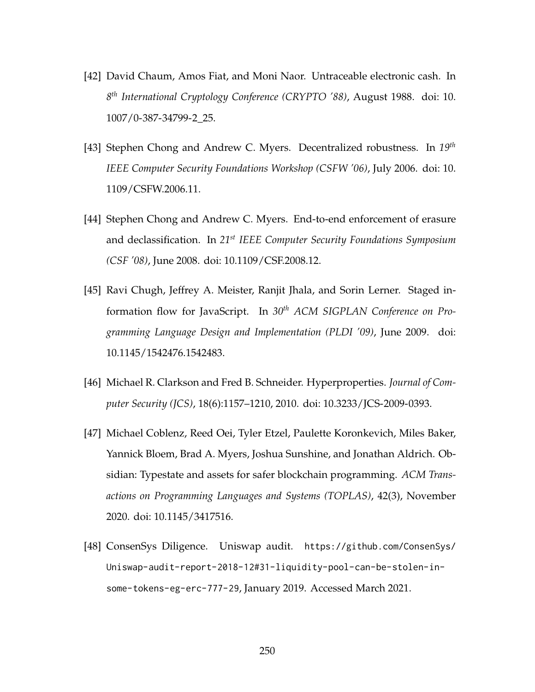- [42] David Chaum, Amos Fiat, and Moni Naor. Untraceable electronic cash. In *8 th International Cryptology Conference (CRYPTO '88)*, August 1988. doi: [10.](https://doi.org/10.1007/0-387-34799-2_25) [1007/0-387-34799-2\\_25.](https://doi.org/10.1007/0-387-34799-2_25)
- [43] Stephen Chong and Andrew C. Myers. Decentralized robustness. In *19th IEEE Computer Security Foundations Workshop (CSFW '06)*, July 2006. doi: [10.](https://doi.org/10.1109/CSFW.2006.11) [1109/CSFW.2006.11.](https://doi.org/10.1109/CSFW.2006.11)
- [44] Stephen Chong and Andrew C. Myers. End-to-end enforcement of erasure and declassification. In *21st IEEE Computer Security Foundations Symposium (CSF '08)*, June 2008. doi: [10.1109/CSF.2008.12.](https://doi.org/10.1109/CSF.2008.12)
- [45] Ravi Chugh, Jeffrey A. Meister, Ranjit Jhala, and Sorin Lerner. Staged information flow for JavaScript. In *30th ACM SIGPLAN Conference on Programming Language Design and Implementation (PLDI '09)*, June 2009. doi: [10.1145/1542476.1542483.](https://doi.org/10.1145/1542476.1542483)
- [46] Michael R. Clarkson and Fred B. Schneider. Hyperproperties. *Journal of Computer Security (JCS)*, 18(6):1157–1210, 2010. doi: [10.3233/JCS-2009-0393.](https://doi.org/10.3233/JCS-2009-0393)
- [47] Michael Coblenz, Reed Oei, Tyler Etzel, Paulette Koronkevich, Miles Baker, Yannick Bloem, Brad A. Myers, Joshua Sunshine, and Jonathan Aldrich. Obsidian: Typestate and assets for safer blockchain programming. *ACM Transactions on Programming Languages and Systems (TOPLAS)*, 42(3), November 2020. doi: [10.1145/3417516.](https://doi.org/10.1145/3417516)
- [48] ConsenSys Diligence. Uniswap audit. [https://github.com/ConsenSys/](https://github.com/ConsenSys/Uniswap-audit-report-2018-12#31-liquidity-pool-can-be-stolen-in-some-tokens-eg-erc-777-29) [Uniswap-audit-report-2018-12#31-liquidity-pool-can-be-stolen-in](https://github.com/ConsenSys/Uniswap-audit-report-2018-12#31-liquidity-pool-can-be-stolen-in-some-tokens-eg-erc-777-29)[some-tokens-eg-erc-777-29](https://github.com/ConsenSys/Uniswap-audit-report-2018-12#31-liquidity-pool-can-be-stolen-in-some-tokens-eg-erc-777-29), January 2019. Accessed March 2021.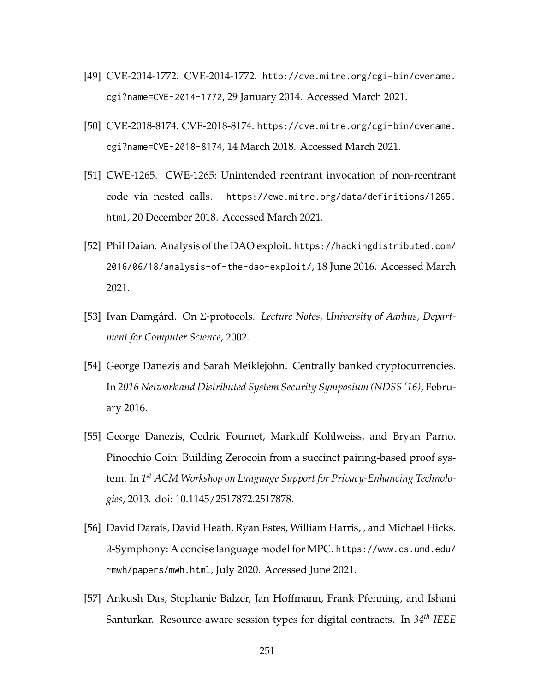- [49] CVE-2014-1772. CVE-2014-1772. [http://cve.mitre.org/cgi-bin/cvename.](http://cve.mitre.org/cgi-bin/cvename.cgi?name=CVE-2014-1772) [cgi?name=CVE-2014-1772](http://cve.mitre.org/cgi-bin/cvename.cgi?name=CVE-2014-1772), 29 January 2014. Accessed March 2021.
- [50] CVE-2018-8174. CVE-2018-8174. [https://cve.mitre.org/cgi-bin/cvename.](https://cve.mitre.org/cgi-bin/cvename.cgi?name=CVE-2018-8174) [cgi?name=CVE-2018-8174](https://cve.mitre.org/cgi-bin/cvename.cgi?name=CVE-2018-8174), 14 March 2018. Accessed March 2021.
- [51] CWE-1265. CWE-1265: Unintended reentrant invocation of non-reentrant code via nested calls. [https://cwe.mitre.org/data/definitions/1265.](https://cwe.mitre.org/data/definitions/1265.html) [html](https://cwe.mitre.org/data/definitions/1265.html), 20 December 2018. Accessed March 2021.
- [52] Phil Daian. Analysis of the DAO exploit. [https://hackingdistributed.com/](https://hackingdistributed.com/2016/06/18/analysis-of-the-dao-exploit/) [2016/06/18/analysis-of-the-dao-exploit/](https://hackingdistributed.com/2016/06/18/analysis-of-the-dao-exploit/), 18 June 2016. Accessed March 2021.
- [53] Ivan Damgård. On Σ-protocols. *Lecture Notes, University of Aarhus, Department for Computer Science*, 2002.
- [54] George Danezis and Sarah Meiklejohn. Centrally banked cryptocurrencies. In *2016 Network and Distributed System Security Symposium (NDSS '16)*, February 2016.
- [55] George Danezis, Cedric Fournet, Markulf Kohlweiss, and Bryan Parno. Pinocchio Coin: Building Zerocoin from a succinct pairing-based proof system. In *1 st ACM Workshop on Language Support for Privacy-Enhancing Technologies*, 2013. doi: [10.1145/2517872.2517878.](https://doi.org/10.1145/2517872.2517878)
- <span id="page-265-0"></span>[56] David Darais, David Heath, Ryan Estes, William Harris, , and Michael Hicks. λ-Symphony: A concise language model for MPC. [https://www.cs.umd.edu/](https://www.cs.umd.edu/~mwh/papers/mwh.html) [~mwh/papers/mwh.html](https://www.cs.umd.edu/~mwh/papers/mwh.html), July 2020. Accessed June 2021.
- [57] Ankush Das, Stephanie Balzer, Jan Hoffmann, Frank Pfenning, and Ishani Santurkar. Resource-aware session types for digital contracts. In *34th IEEE*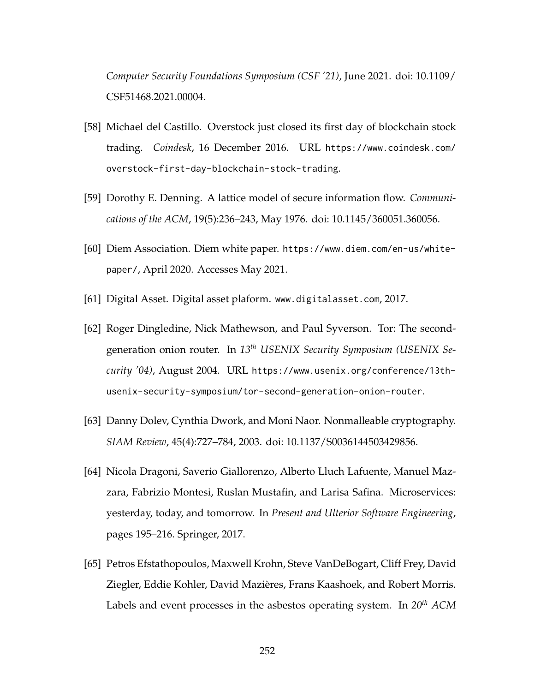*Computer Security Foundations Symposium (CSF '21)*, June 2021. doi: [10.1109/](https://doi.org/10.1109/CSF51468.2021.00004) [CSF51468.2021.00004.](https://doi.org/10.1109/CSF51468.2021.00004)

- [58] Michael del Castillo. Overstock just closed its first day of blockchain stock trading. *Coindesk*, 16 December 2016. URL [https://www.coindesk.com/](https://www.coindesk.com/overstock-first-day-blockchain-stock-trading) [overstock-first-day-blockchain-stock-trading](https://www.coindesk.com/overstock-first-day-blockchain-stock-trading).
- [59] Dorothy E. Denning. A lattice model of secure information flow. *Communications of the ACM*, 19(5):236–243, May 1976. doi: [10.1145/360051.360056.](https://doi.org/10.1145/360051.360056)
- [60] Diem Association. Diem white paper. [https://www.diem.com/en-us/white](https://www.diem.com/en-us/white-paper/)[paper/](https://www.diem.com/en-us/white-paper/), April 2020. Accesses May 2021.
- [61] Digital Asset. Digital asset plaform. <www.digitalasset.com>, 2017.
- [62] Roger Dingledine, Nick Mathewson, and Paul Syverson. Tor: The secondgeneration onion router. In *13th USENIX Security Symposium (USENIX Security '04)*, August 2004. URL [https://www.usenix.org/conference/13th](https://www.usenix.org/conference/13th-usenix-security-symposium/tor-second-generation-onion-router)[usenix-security-symposium/tor-second-generation-onion-router](https://www.usenix.org/conference/13th-usenix-security-symposium/tor-second-generation-onion-router).
- [63] Danny Dolev, Cynthia Dwork, and Moni Naor. Nonmalleable cryptography. *SIAM Review*, 45(4):727–784, 2003. doi: [10.1137/S0036144503429856.](https://doi.org/10.1137/S0036144503429856)
- [64] Nicola Dragoni, Saverio Giallorenzo, Alberto Lluch Lafuente, Manuel Mazzara, Fabrizio Montesi, Ruslan Mustafin, and Larisa Safina. Microservices: yesterday, today, and tomorrow. In *Present and Ulterior Software Engineering*, pages 195–216. Springer, 2017.
- [65] Petros Efstathopoulos, Maxwell Krohn, Steve VanDeBogart, Cliff Frey, David Ziegler, Eddie Kohler, David Mazières, Frans Kaashoek, and Robert Morris. Labels and event processes in the asbestos operating system. In *20th ACM*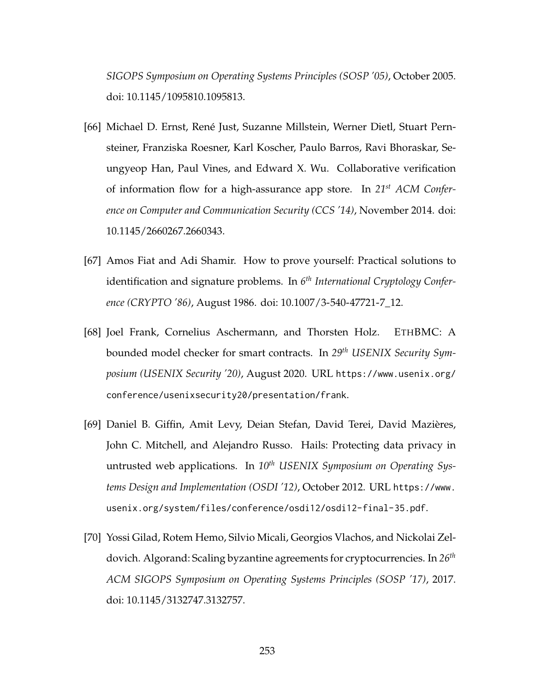*SIGOPS Symposium on Operating Systems Principles (SOSP '05)*, October 2005. doi: [10.1145/1095810.1095813.](https://doi.org/10.1145/1095810.1095813)

- [66] Michael D. Ernst, René Just, Suzanne Millstein, Werner Dietl, Stuart Pernsteiner, Franziska Roesner, Karl Koscher, Paulo Barros, Ravi Bhoraskar, Seungyeop Han, Paul Vines, and Edward X. Wu. Collaborative verification of information flow for a high-assurance app store. In *21st ACM Conference on Computer and Communication Security (CCS '14)*, November 2014. doi: [10.1145/2660267.2660343.](https://doi.org/10.1145/2660267.2660343)
- [67] Amos Fiat and Adi Shamir. How to prove yourself: Practical solutions to identification and signature problems. In *6 th International Cryptology Conference (CRYPTO '86)*, August 1986. doi: [10.1007/3-540-47721-7\\_12.](https://doi.org/10.1007/3-540-47721-7_12)
- [68] Joel Frank, Cornelius Aschermann, and Thorsten Holz. ETHBMC: A bounded model checker for smart contracts. In *29th USENIX Security Symposium (USENIX Security '20)*, August 2020. URL [https://www.usenix.org/](https://www.usenix.org/conference/usenixsecurity20/presentation/frank) [conference/usenixsecurity20/presentation/frank](https://www.usenix.org/conference/usenixsecurity20/presentation/frank).
- [69] Daniel B. Giffin, Amit Levy, Deian Stefan, David Terei, David Mazières, John C. Mitchell, and Alejandro Russo. Hails: Protecting data privacy in untrusted web applications. In *10th USENIX Symposium on Operating Systems Design and Implementation (OSDI '12)*, October 2012. URL [https://www.](https://www.usenix.org/system/files/conference/osdi12/osdi12-final-35.pdf) [usenix.org/system/files/conference/osdi12/osdi12-final-35.pdf](https://www.usenix.org/system/files/conference/osdi12/osdi12-final-35.pdf).
- [70] Yossi Gilad, Rotem Hemo, Silvio Micali, Georgios Vlachos, and Nickolai Zeldovich. Algorand: Scaling byzantine agreements for cryptocurrencies. In *26th ACM SIGOPS Symposium on Operating Systems Principles (SOSP '17)*, 2017. doi: [10.1145/3132747.3132757.](https://doi.org/10.1145/3132747.3132757)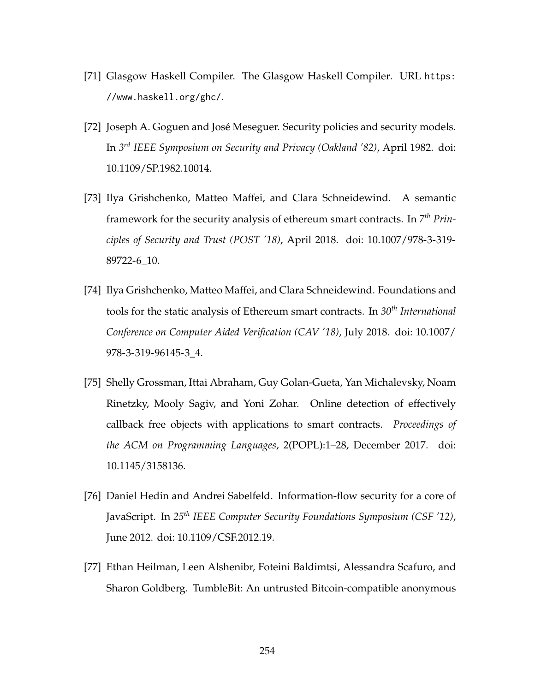- [71] Glasgow Haskell Compiler. The Glasgow Haskell Compiler. URL [https:](https://www.haskell.org/ghc/) [//www.haskell.org/ghc/](https://www.haskell.org/ghc/).
- [72] Joseph A. Goguen and José Meseguer. Security policies and security models. In *3 rd IEEE Symposium on Security and Privacy (Oakland '82)*, April 1982. doi: [10.1109/SP.1982.10014.](https://doi.org/10.1109/SP.1982.10014)
- [73] Ilya Grishchenko, Matteo Maffei, and Clara Schneidewind. A semantic framework for the security analysis of ethereum smart contracts. In *7 th Principles of Security and Trust (POST '18)*, April 2018. doi: [10.1007/978-3-319-](https://doi.org/10.1007/978-3-319-89722-6_10) [89722-6\\_10.](https://doi.org/10.1007/978-3-319-89722-6_10)
- [74] Ilya Grishchenko, Matteo Maffei, and Clara Schneidewind. Foundations and tools for the static analysis of Ethereum smart contracts. In *30th International Conference on Computer Aided Verification (CAV '18)*, July 2018. doi: [10.1007/](https://doi.org/10.1007/978-3-319-96145-3_4) [978-3-319-96145-3\\_4.](https://doi.org/10.1007/978-3-319-96145-3_4)
- [75] Shelly Grossman, Ittai Abraham, Guy Golan-Gueta, Yan Michalevsky, Noam Rinetzky, Mooly Sagiv, and Yoni Zohar. Online detection of effectively callback free objects with applications to smart contracts. *Proceedings of the ACM on Programming Languages*, 2(POPL):1–28, December 2017. doi: [10.1145/3158136.](https://doi.org/10.1145/3158136)
- [76] Daniel Hedin and Andrei Sabelfeld. Information-flow security for a core of JavaScript. In *25th IEEE Computer Security Foundations Symposium (CSF '12)*, June 2012. doi: [10.1109/CSF.2012.19.](https://doi.org/10.1109/CSF.2012.19)
- [77] Ethan Heilman, Leen Alshenibr, Foteini Baldimtsi, Alessandra Scafuro, and Sharon Goldberg. TumbleBit: An untrusted Bitcoin-compatible anonymous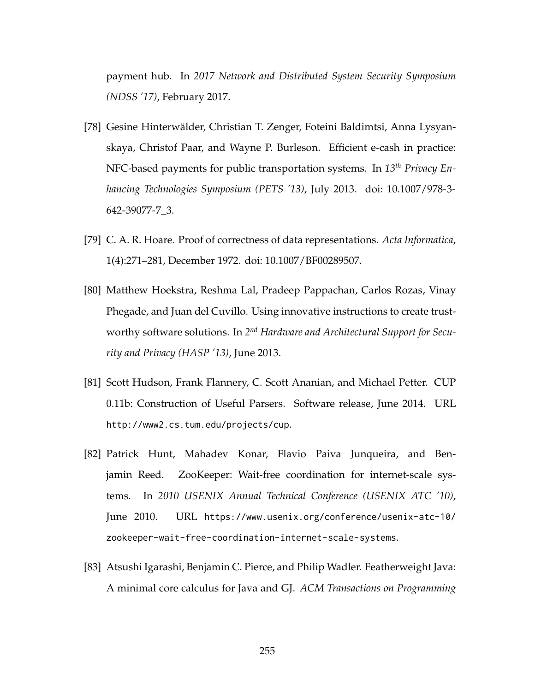payment hub. In *2017 Network and Distributed System Security Symposium (NDSS '17)*, February 2017.

- [78] Gesine Hinterwälder, Christian T. Zenger, Foteini Baldimtsi, Anna Lysyanskaya, Christof Paar, and Wayne P. Burleson. Efficient e-cash in practice: NFC-based payments for public transportation systems. In *13th Privacy Enhancing Technologies Symposium (PETS '13)*, July 2013. doi: [10.1007/978-3-](https://doi.org/10.1007/978-3-642-39077-7_3) [642-39077-7\\_3.](https://doi.org/10.1007/978-3-642-39077-7_3)
- [79] C. A. R. Hoare. Proof of correctness of data representations. *Acta Informatica*, 1(4):271–281, December 1972. doi: [10.1007/BF00289507.](https://doi.org/10.1007/BF00289507)
- [80] Matthew Hoekstra, Reshma Lal, Pradeep Pappachan, Carlos Rozas, Vinay Phegade, and Juan del Cuvillo. Using innovative instructions to create trustworthy software solutions. In 2<sup>nd</sup> Hardware and Architectural Support for Secu*rity and Privacy (HASP '13)*, June 2013.
- [81] Scott Hudson, Frank Flannery, C. Scott Ananian, and Michael Petter. CUP 0.11b: Construction of Useful Parsers. Software release, June 2014. URL <http://www2.cs.tum.edu/projects/cup>.
- [82] Patrick Hunt, Mahadev Konar, Flavio Paiva Junqueira, and Benjamin Reed. ZooKeeper: Wait-free coordination for internet-scale systems. In *2010 USENIX Annual Technical Conference (USENIX ATC '10)*, June 2010. URL [https://www.usenix.org/conference/usenix-atc-10/](https://www.usenix.org/conference/usenix-atc-10/zookeeper-wait-free-coordination-internet-scale-systems) [zookeeper-wait-free-coordination-internet-scale-systems](https://www.usenix.org/conference/usenix-atc-10/zookeeper-wait-free-coordination-internet-scale-systems).
- [83] Atsushi Igarashi, Benjamin C. Pierce, and Philip Wadler. Featherweight Java: A minimal core calculus for Java and GJ. *ACM Transactions on Programming*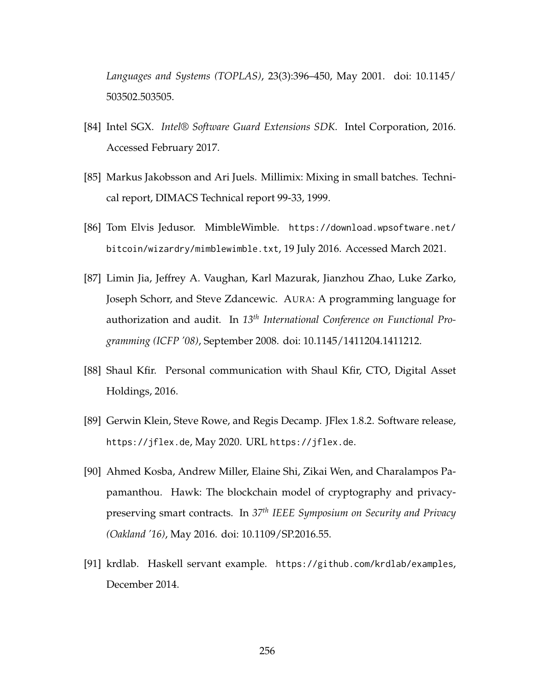*Languages and Systems (TOPLAS)*, 23(3):396–450, May 2001. doi: [10.1145/](https://doi.org/10.1145/503502.503505) [503502.503505.](https://doi.org/10.1145/503502.503505)

- [84] Intel SGX. *Intel® Software Guard Extensions SDK*. Intel Corporation, 2016. Accessed February 2017.
- [85] Markus Jakobsson and Ari Juels. Millimix: Mixing in small batches. Technical report, DIMACS Technical report 99-33, 1999.
- [86] Tom Elvis Jedusor. MimbleWimble. [https://download.wpsoftware.net/](https://download.wpsoftware.net/bitcoin/wizardry/mimblewimble.txt) [bitcoin/wizardry/mimblewimble.txt](https://download.wpsoftware.net/bitcoin/wizardry/mimblewimble.txt), 19 July 2016. Accessed March 2021.
- [87] Limin Jia, Jeffrey A. Vaughan, Karl Mazurak, Jianzhou Zhao, Luke Zarko, Joseph Schorr, and Steve Zdancewic. AURA: A programming language for authorization and audit. In *13th International Conference on Functional Programming (ICFP '08)*, September 2008. doi: [10.1145/1411204.1411212.](https://doi.org/10.1145/1411204.1411212)
- [88] Shaul Kfir. Personal communication with Shaul Kfir, CTO, Digital Asset Holdings, 2016.
- [89] Gerwin Klein, Steve Rowe, and Regis Decamp. JFlex 1.8.2. Software release, <https://jflex.de>, May 2020. URL <https://jflex.de>.
- [90] Ahmed Kosba, Andrew Miller, Elaine Shi, Zikai Wen, and Charalampos Papamanthou. Hawk: The blockchain model of cryptography and privacypreserving smart contracts. In *37th IEEE Symposium on Security and Privacy (Oakland '16)*, May 2016. doi: [10.1109/SP.2016.55.](https://doi.org/10.1109/SP.2016.55)
- [91] krdlab. Haskell servant example. <https://github.com/krdlab/examples>, December 2014.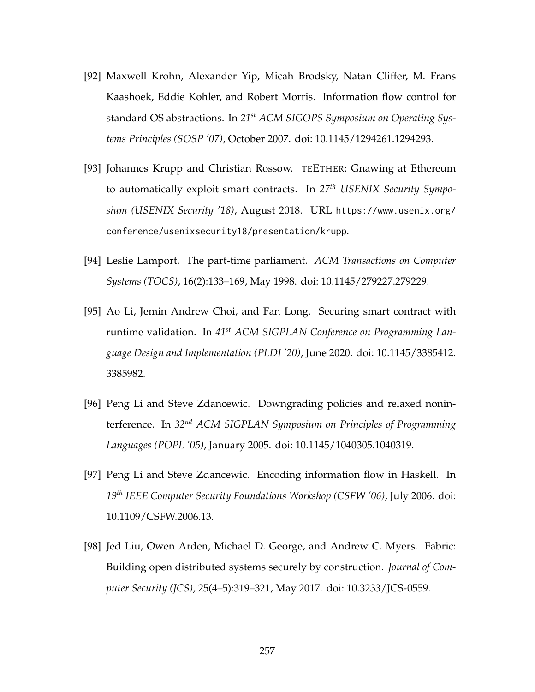- [92] Maxwell Krohn, Alexander Yip, Micah Brodsky, Natan Cliffer, M. Frans Kaashoek, Eddie Kohler, and Robert Morris. Information flow control for standard OS abstractions. In *21st ACM SIGOPS Symposium on Operating Systems Principles (SOSP '07)*, October 2007. doi: [10.1145/1294261.1294293.](https://doi.org/10.1145/1294261.1294293)
- [93] Johannes Krupp and Christian Rossow. TEETHER: Gnawing at Ethereum to automatically exploit smart contracts. In *27th USENIX Security Symposium (USENIX Security '18)*, August 2018. URL [https://www.usenix.org/](https://www.usenix.org/conference/usenixsecurity18/presentation/krupp) [conference/usenixsecurity18/presentation/krupp](https://www.usenix.org/conference/usenixsecurity18/presentation/krupp).
- [94] Leslie Lamport. The part-time parliament. *ACM Transactions on Computer Systems (TOCS)*, 16(2):133–169, May 1998. doi: [10.1145/279227.279229.](https://doi.org/10.1145/279227.279229)
- [95] Ao Li, Jemin Andrew Choi, and Fan Long. Securing smart contract with runtime validation. In *41st ACM SIGPLAN Conference on Programming Language Design and Implementation (PLDI '20)*, June 2020. doi: [10.1145/3385412.](https://doi.org/10.1145/3385412.3385982) [3385982.](https://doi.org/10.1145/3385412.3385982)
- [96] Peng Li and Steve Zdancewic. Downgrading policies and relaxed noninterference. In *32nd ACM SIGPLAN Symposium on Principles of Programming Languages (POPL '05)*, January 2005. doi: [10.1145/1040305.1040319.](https://doi.org/10.1145/1040305.1040319)
- [97] Peng Li and Steve Zdancewic. Encoding information flow in Haskell. In *19th IEEE Computer Security Foundations Workshop (CSFW '06)*, July 2006. doi: [10.1109/CSFW.2006.13.](https://doi.org/10.1109/CSFW.2006.13)
- [98] Jed Liu, Owen Arden, Michael D. George, and Andrew C. Myers. Fabric: Building open distributed systems securely by construction. *Journal of Computer Security (JCS)*, 25(4–5):319–321, May 2017. doi: [10.3233/JCS-0559.](https://doi.org/10.3233/JCS-0559)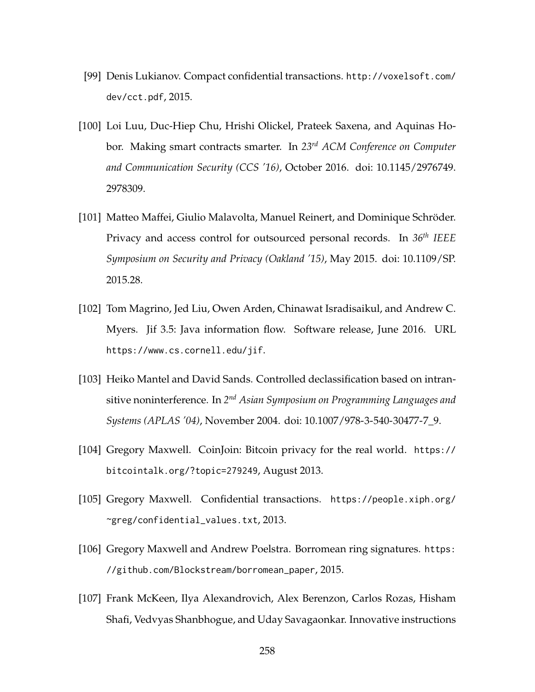- [99] Denis Lukianov. Compact confidential transactions. [http://voxelsoft.com/](http://voxelsoft.com/dev/cct.pdf) [dev/cct.pdf](http://voxelsoft.com/dev/cct.pdf), 2015.
- [100] Loi Luu, Duc-Hiep Chu, Hrishi Olickel, Prateek Saxena, and Aquinas Hobor. Making smart contracts smarter. In *23rd ACM Conference on Computer and Communication Security (CCS '16)*, October 2016. doi: [10.1145/2976749.](https://doi.org/10.1145/2976749.2978309) [2978309.](https://doi.org/10.1145/2976749.2978309)
- [101] Matteo Maffei, Giulio Malavolta, Manuel Reinert, and Dominique Schröder. Privacy and access control for outsourced personal records. In *36th IEEE Symposium on Security and Privacy (Oakland '15)*, May 2015. doi: [10.1109/SP.](https://doi.org/10.1109/SP.2015.28) [2015.28.](https://doi.org/10.1109/SP.2015.28)
- [102] Tom Magrino, Jed Liu, Owen Arden, Chinawat Isradisaikul, and Andrew C. Myers. Jif 3.5: Java information flow. Software release, June 2016. URL <https://www.cs.cornell.edu/jif>.
- [103] Heiko Mantel and David Sands. Controlled declassification based on intransitive noninterference. In *2 nd Asian Symposium on Programming Languages and Systems (APLAS '04)*, November 2004. doi: [10.1007/978-3-540-30477-7\\_9.](https://doi.org/10.1007/978-3-540-30477-7_9)
- [104] Gregory Maxwell. CoinJoin: Bitcoin privacy for the real world. [https://](https://bitcointalk.org/?topic=279249) [bitcointalk.org/?topic=279249](https://bitcointalk.org/?topic=279249), August 2013.
- [105] Gregory Maxwell. Confidential transactions. [https://people.xiph.org/](https://people.xiph.org/~greg/confidential_values.txt) [~greg/confidential\\_values.txt](https://people.xiph.org/~greg/confidential_values.txt), 2013.
- [106] Gregory Maxwell and Andrew Poelstra. Borromean ring signatures. [https:](https://github.com/Blockstream/borromean_paper) [//github.com/Blockstream/borromean\\_paper](https://github.com/Blockstream/borromean_paper), 2015.
- [107] Frank McKeen, Ilya Alexandrovich, Alex Berenzon, Carlos Rozas, Hisham Shafi, Vedvyas Shanbhogue, and Uday Savagaonkar. Innovative instructions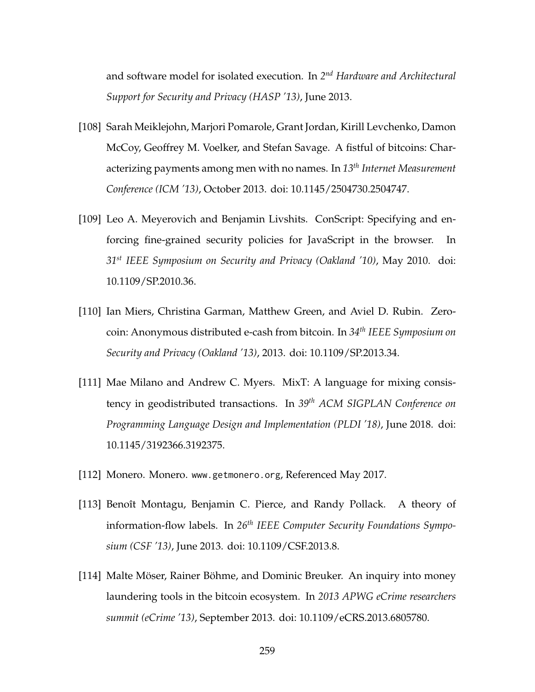and software model for isolated execution. In *2 nd Hardware and Architectural Support for Security and Privacy (HASP '13)*, June 2013.

- [108] Sarah Meiklejohn, Marjori Pomarole, Grant Jordan, Kirill Levchenko, Damon McCoy, Geoffrey M. Voelker, and Stefan Savage. A fistful of bitcoins: Characterizing payments among men with no names. In *13th Internet Measurement Conference (ICM '13)*, October 2013. doi: [10.1145/2504730.2504747.](https://doi.org/10.1145/2504730.2504747)
- [109] Leo A. Meyerovich and Benjamin Livshits. ConScript: Specifying and enforcing fine-grained security policies for JavaScript in the browser. In *31st IEEE Symposium on Security and Privacy (Oakland '10)*, May 2010. doi: [10.1109/SP.2010.36.](https://doi.org/10.1109/SP.2010.36)
- [110] Ian Miers, Christina Garman, Matthew Green, and Aviel D. Rubin. Zerocoin: Anonymous distributed e-cash from bitcoin. In *34th IEEE Symposium on Security and Privacy (Oakland '13)*, 2013. doi: [10.1109/SP.2013.34.](https://doi.org/10.1109/SP.2013.34)
- [111] Mae Milano and Andrew C. Myers. MixT: A language for mixing consistency in geodistributed transactions. In *39th ACM SIGPLAN Conference on Programming Language Design and Implementation (PLDI '18)*, June 2018. doi: [10.1145/3192366.3192375.](https://doi.org/10.1145/3192366.3192375)
- [112] Monero. Monero. <www.getmonero.org>, Referenced May 2017.
- [113] Benoît Montagu, Benjamin C. Pierce, and Randy Pollack. A theory of information-flow labels. In *26th IEEE Computer Security Foundations Symposium (CSF '13)*, June 2013. doi: [10.1109/CSF.2013.8.](https://doi.org/10.1109/CSF.2013.8)
- [114] Malte Möser, Rainer Böhme, and Dominic Breuker. An inquiry into money laundering tools in the bitcoin ecosystem. In *2013 APWG eCrime researchers summit (eCrime '13)*, September 2013. doi: [10.1109/eCRS.2013.6805780.](https://doi.org/10.1109/eCRS.2013.6805780)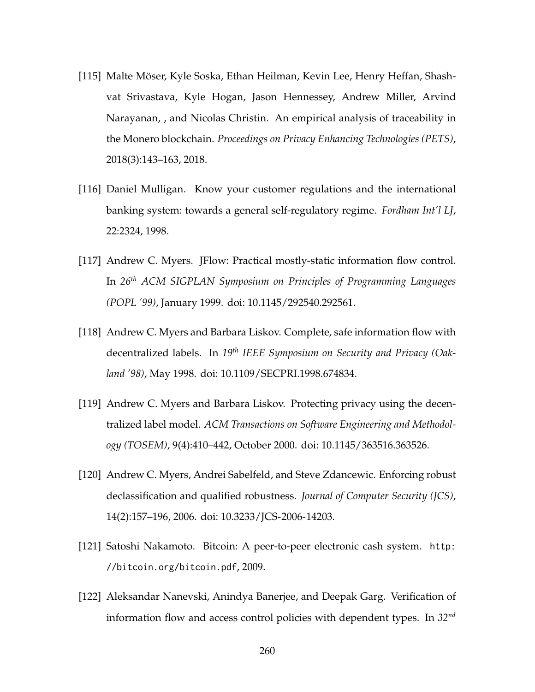- [115] Malte Möser, Kyle Soska, Ethan Heilman, Kevin Lee, Henry Heffan, Shashvat Srivastava, Kyle Hogan, Jason Hennessey, Andrew Miller, Arvind Narayanan, , and Nicolas Christin. An empirical analysis of traceability in the Monero blockchain. *Proceedings on Privacy Enhancing Technologies (PETS)*, 2018(3):143–163, 2018.
- [116] Daniel Mulligan. Know your customer regulations and the international banking system: towards a general self-regulatory regime. *Fordham Int'l LJ*, 22:2324, 1998.
- [117] Andrew C. Myers. JFlow: Practical mostly-static information flow control. In *26th ACM SIGPLAN Symposium on Principles of Programming Languages (POPL '99)*, January 1999. doi: [10.1145/292540.292561.](https://doi.org/10.1145/292540.292561)
- [118] Andrew C. Myers and Barbara Liskov. Complete, safe information flow with decentralized labels. In *19th IEEE Symposium on Security and Privacy (Oakland '98)*, May 1998. doi: [10.1109/SECPRI.1998.674834.](https://doi.org/10.1109/SECPRI.1998.674834)
- [119] Andrew C. Myers and Barbara Liskov. Protecting privacy using the decentralized label model. *ACM Transactions on Software Engineering and Methodology (TOSEM)*, 9(4):410–442, October 2000. doi: [10.1145/363516.363526.](https://doi.org/10.1145/363516.363526)
- [120] Andrew C. Myers, Andrei Sabelfeld, and Steve Zdancewic. Enforcing robust declassification and qualified robustness. *Journal of Computer Security (JCS)*, 14(2):157–196, 2006. doi: [10.3233/JCS-2006-14203.](https://doi.org/10.3233/JCS-2006-14203)
- [121] Satoshi Nakamoto. Bitcoin: A peer-to-peer electronic cash system. [http:](http://bitcoin.org/bitcoin.pdf) [//bitcoin.org/bitcoin.pdf](http://bitcoin.org/bitcoin.pdf), 2009.
- [122] Aleksandar Nanevski, Anindya Banerjee, and Deepak Garg. Verification of information flow and access control policies with dependent types. In *32nd*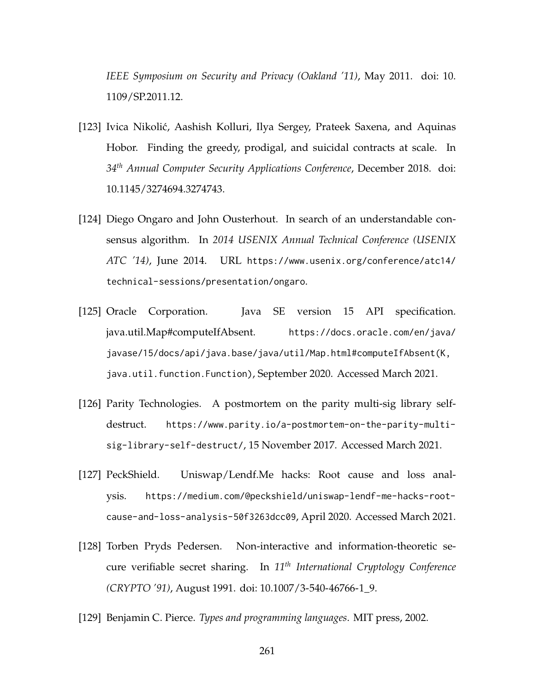*IEEE Symposium on Security and Privacy (Oakland '11)*, May 2011. doi: [10.](https://doi.org/10.1109/SP.2011.12) [1109/SP.2011.12.](https://doi.org/10.1109/SP.2011.12)

- [123] Ivica Nikolić, Aashish Kolluri, Ilya Sergey, Prateek Saxena, and Aquinas Hobor. Finding the greedy, prodigal, and suicidal contracts at scale. In *34th Annual Computer Security Applications Conference*, December 2018. doi: [10.1145/3274694.3274743.](https://doi.org/10.1145/3274694.3274743)
- [124] Diego Ongaro and John Ousterhout. In search of an understandable consensus algorithm. In *2014 USENIX Annual Technical Conference (USENIX ATC '14)*, June 2014. URL [https://www.usenix.org/conference/atc14/](https://www.usenix.org/conference/atc14/technical-sessions/presentation/ongaro) [technical-sessions/presentation/ongaro](https://www.usenix.org/conference/atc14/technical-sessions/presentation/ongaro).
- [125] Oracle Corporation. Java SE version 15 API specification. java.util.Map#computeIfAbsent. [https://docs.oracle.com/en/java/](https://docs.oracle.com/en/java/javase/15/docs/api/java.base/java/util/Map.html#computeIfAbsent(K,java.util.function.Function)) [javase/15/docs/api/java.base/java/util/Map.html#computeIfAbsent\(K,](https://docs.oracle.com/en/java/javase/15/docs/api/java.base/java/util/Map.html#computeIfAbsent(K,java.util.function.Function)) [java.util.function.Function\)](https://docs.oracle.com/en/java/javase/15/docs/api/java.base/java/util/Map.html#computeIfAbsent(K,java.util.function.Function)), September 2020. Accessed March 2021.
- [126] Parity Technologies. A postmortem on the parity multi-sig library selfdestruct. [https://www.parity.io/a-postmortem-on-the-parity-multi](https://www.parity.io/a-postmortem-on-the-parity-multi-sig-library-self-destruct/)[sig-library-self-destruct/](https://www.parity.io/a-postmortem-on-the-parity-multi-sig-library-self-destruct/), 15 November 2017. Accessed March 2021.
- <span id="page-275-0"></span>[127] PeckShield. Uniswap/Lendf.Me hacks: Root cause and loss analysis. [https://medium.com/@peckshield/uniswap-lendf-me-hacks-root](https://medium.com/@peckshield/uniswap-lendf-me-hacks-root-cause-and-loss-analysis-50f3263dcc09)[cause-and-loss-analysis-50f3263dcc09](https://medium.com/@peckshield/uniswap-lendf-me-hacks-root-cause-and-loss-analysis-50f3263dcc09), April 2020. Accessed March 2021.
- [128] Torben Pryds Pedersen. Non-interactive and information-theoretic secure verifiable secret sharing. In *11th International Cryptology Conference (CRYPTO '91)*, August 1991. doi: [10.1007/3-540-46766-1\\_9.](https://doi.org/10.1007/3-540-46766-1_9)
- [129] Benjamin C. Pierce. *Types and programming languages*. MIT press, 2002.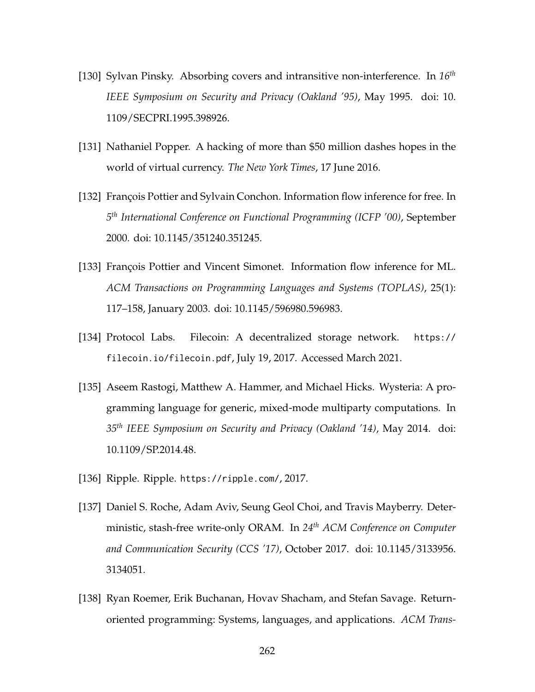- [130] Sylvan Pinsky. Absorbing covers and intransitive non-interference. In *16th IEEE Symposium on Security and Privacy (Oakland '95)*, May 1995. doi: [10.](https://doi.org/10.1109/SECPRI.1995.398926) [1109/SECPRI.1995.398926.](https://doi.org/10.1109/SECPRI.1995.398926)
- <span id="page-276-0"></span>[131] Nathaniel Popper. A hacking of more than \$50 million dashes hopes in the world of virtual currency. *The New York Times*, 17 June 2016.
- [132] François Pottier and Sylvain Conchon. Information flow inference for free. In *5 th International Conference on Functional Programming (ICFP '00)*, September 2000. doi: [10.1145/351240.351245.](https://doi.org/10.1145/351240.351245)
- [133] François Pottier and Vincent Simonet. Information flow inference for ML. *ACM Transactions on Programming Languages and Systems (TOPLAS)*, 25(1): 117–158, January 2003. doi: [10.1145/596980.596983.](https://doi.org/10.1145/596980.596983)
- [134] Protocol Labs. Filecoin: A decentralized storage network. [https://](https://filecoin.io/filecoin.pdf) [filecoin.io/filecoin.pdf](https://filecoin.io/filecoin.pdf), July 19, 2017. Accessed March 2021.
- <span id="page-276-1"></span>[135] Aseem Rastogi, Matthew A. Hammer, and Michael Hicks. Wysteria: A programming language for generic, mixed-mode multiparty computations. In *35th IEEE Symposium on Security and Privacy (Oakland '14)*, May 2014. doi: [10.1109/SP.2014.48.](https://doi.org/10.1109/SP.2014.48)
- [136] Ripple. Ripple. <https://ripple.com/>, 2017.
- [137] Daniel S. Roche, Adam Aviv, Seung Geol Choi, and Travis Mayberry. Deterministic, stash-free write-only ORAM. In *24th ACM Conference on Computer and Communication Security (CCS '17)*, October 2017. doi: [10.1145/3133956.](https://doi.org/10.1145/3133956.3134051) [3134051.](https://doi.org/10.1145/3133956.3134051)
- [138] Ryan Roemer, Erik Buchanan, Hovav Shacham, and Stefan Savage. Returnoriented programming: Systems, languages, and applications. *ACM Trans-*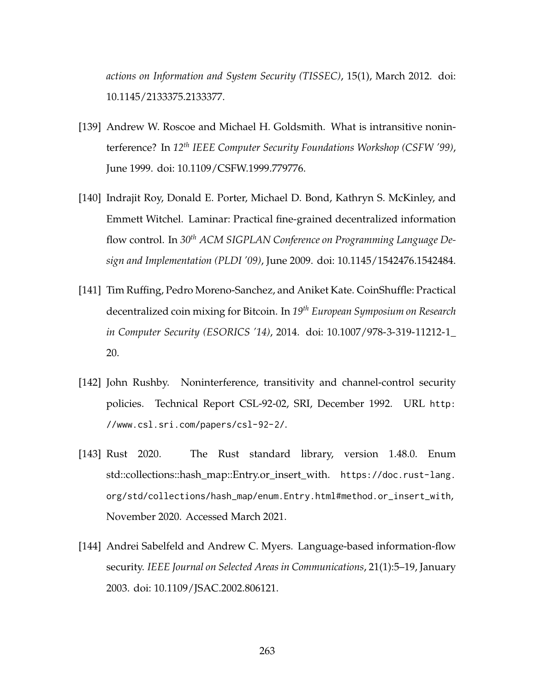*actions on Information and System Security (TISSEC)*, 15(1), March 2012. doi: [10.1145/2133375.2133377.](https://doi.org/10.1145/2133375.2133377)

- [139] Andrew W. Roscoe and Michael H. Goldsmith. What is intransitive noninterference? In *12th IEEE Computer Security Foundations Workshop (CSFW '99)*, June 1999. doi: [10.1109/CSFW.1999.779776.](https://doi.org/10.1109/CSFW.1999.779776)
- [140] Indrajit Roy, Donald E. Porter, Michael D. Bond, Kathryn S. McKinley, and Emmett Witchel. Laminar: Practical fine-grained decentralized information flow control. In *30th ACM SIGPLAN Conference on Programming Language Design and Implementation (PLDI '09)*, June 2009. doi: [10.1145/1542476.1542484.](https://doi.org/10.1145/1542476.1542484)
- [141] Tim Ruffing, Pedro Moreno-Sanchez, and Aniket Kate. CoinShuffle: Practical decentralized coin mixing for Bitcoin. In *19th European Symposium on Research in Computer Security (ESORICS '14)*, 2014. doi: [10.1007/978-3-319-11212-1\\_](https://doi.org/10.1007/978-3-319-11212-1_20) [20.](https://doi.org/10.1007/978-3-319-11212-1_20)
- [142] John Rushby. Noninterference, transitivity and channel-control security policies. Technical Report CSL-92-02, SRI, December 1992. URL [http:](http://www.csl.sri.com/papers/csl-92-2/) [//www.csl.sri.com/papers/csl-92-2/](http://www.csl.sri.com/papers/csl-92-2/).
- [143] Rust 2020. The Rust standard library, version 1.48.0. Enum std::collections::hash\_map::Entry.or\_insert\_with. [https://doc.rust-lang.](https://doc.rust-lang.org/std/collections/hash_map/enum.Entry.html#method.or_insert_with) [org/std/collections/hash\\_map/enum.Entry.html#method.or\\_insert\\_with](https://doc.rust-lang.org/std/collections/hash_map/enum.Entry.html#method.or_insert_with), November 2020. Accessed March 2021.
- [144] Andrei Sabelfeld and Andrew C. Myers. Language-based information-flow security. *IEEE Journal on Selected Areas in Communications*, 21(1):5–19, January 2003. doi: [10.1109/JSAC.2002.806121.](https://doi.org/10.1109/JSAC.2002.806121)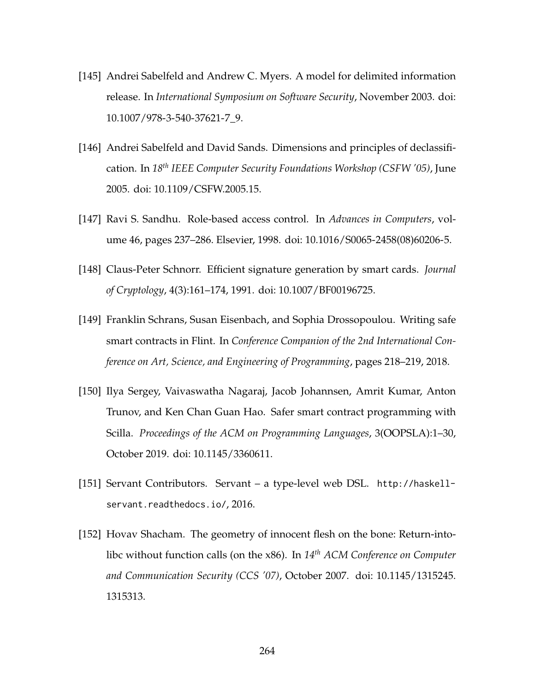- [145] Andrei Sabelfeld and Andrew C. Myers. A model for delimited information release. In *International Symposium on Software Security*, November 2003. doi: [10.1007/978-3-540-37621-7\\_9.](https://doi.org/10.1007/978-3-540-37621-7_9)
- [146] Andrei Sabelfeld and David Sands. Dimensions and principles of declassification. In *18th IEEE Computer Security Foundations Workshop (CSFW '05)*, June 2005. doi: [10.1109/CSFW.2005.15.](https://doi.org/10.1109/CSFW.2005.15)
- [147] Ravi S. Sandhu. Role-based access control. In *Advances in Computers*, volume 46, pages 237–286. Elsevier, 1998. doi: [10.1016/S0065-2458\(08\)60206-5.](https://doi.org/10.1016/S0065-2458(08)60206-5)
- [148] Claus-Peter Schnorr. Efficient signature generation by smart cards. *Journal of Cryptology*, 4(3):161–174, 1991. doi: [10.1007/BF00196725.](https://doi.org/10.1007/BF00196725)
- [149] Franklin Schrans, Susan Eisenbach, and Sophia Drossopoulou. Writing safe smart contracts in Flint. In *Conference Companion of the 2nd International Conference on Art, Science, and Engineering of Programming*, pages 218–219, 2018.
- [150] Ilya Sergey, Vaivaswatha Nagaraj, Jacob Johannsen, Amrit Kumar, Anton Trunov, and Ken Chan Guan Hao. Safer smart contract programming with Scilla. *Proceedings of the ACM on Programming Languages*, 3(OOPSLA):1–30, October 2019. doi: [10.1145/3360611.](https://doi.org/10.1145/3360611)
- [151] Servant Contributors. Servant a type-level web DSL. [http://haskell](http://haskell-servant.readthedocs.io/)[servant.readthedocs.io/](http://haskell-servant.readthedocs.io/), 2016.
- [152] Hovav Shacham. The geometry of innocent flesh on the bone: Return-intolibc without function calls (on the x86). In *14th ACM Conference on Computer and Communication Security (CCS '07)*, October 2007. doi: [10.1145/1315245.](https://doi.org/10.1145/1315245.1315313) [1315313.](https://doi.org/10.1145/1315245.1315313)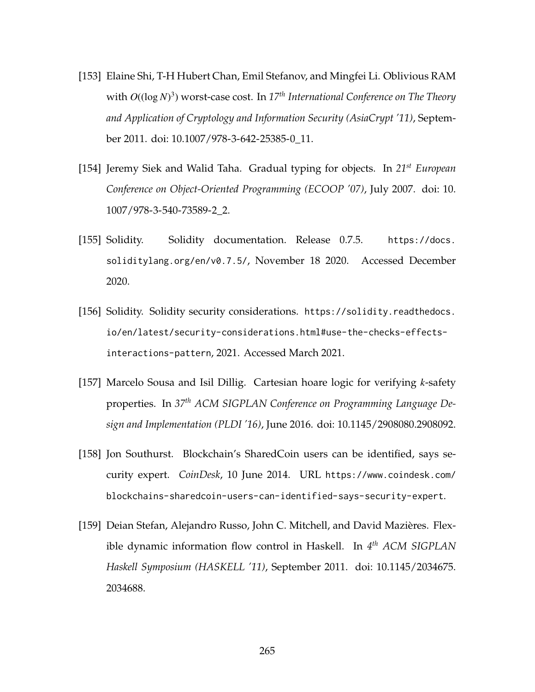- [153] Elaine Shi, T-H Hubert Chan, Emil Stefanov, and Mingfei Li. Oblivious RAM with *O*((log *N*) 3 ) worst-case cost. In *17th International Conference on The Theory and Application of Cryptology and Information Security (AsiaCrypt '11)*, September 2011. doi: [10.1007/978-3-642-25385-0\\_11.](https://doi.org/10.1007/978-3-642-25385-0_11)
- [154] Jeremy Siek and Walid Taha. Gradual typing for objects. In *21st European Conference on Object-Oriented Programming (ECOOP '07)*, July 2007. doi: [10.](https://doi.org/10.1007/978-3-540-73589-2_2) [1007/978-3-540-73589-2\\_2.](https://doi.org/10.1007/978-3-540-73589-2_2)
- [155] Solidity. Solidity documentation. Release 0.7.5. [https://docs.](https://docs.soliditylang.org/en/v0.7.5/) [soliditylang.org/en/v0.7.5/](https://docs.soliditylang.org/en/v0.7.5/), November 18 2020. Accessed December 2020.
- [156] Solidity. Solidity security considerations. [https://solidity.readthedocs.](https://solidity.readthedocs.io/en/latest/security-considerations.html#use-the-checks-effects-interactions-pattern) [io/en/latest/security-considerations.html#use-the-checks-effects](https://solidity.readthedocs.io/en/latest/security-considerations.html#use-the-checks-effects-interactions-pattern)[interactions-pattern](https://solidity.readthedocs.io/en/latest/security-considerations.html#use-the-checks-effects-interactions-pattern), 2021. Accessed March 2021.
- [157] Marcelo Sousa and Isil Dillig. Cartesian hoare logic for verifying *k*-safety properties. In *37th ACM SIGPLAN Conference on Programming Language Design and Implementation (PLDI '16)*, June 2016. doi: [10.1145/2908080.2908092.](https://doi.org/10.1145/2908080.2908092)
- [158] Jon Southurst. Blockchain's SharedCoin users can be identified, says security expert. *CoinDesk*, 10 June 2014. URL [https://www.coindesk.com/](https://www.coindesk.com/blockchains-sharedcoin-users-can-identified-says-security-expert) [blockchains-sharedcoin-users-can-identified-says-security-expert](https://www.coindesk.com/blockchains-sharedcoin-users-can-identified-says-security-expert).
- [159] Deian Stefan, Alejandro Russo, John C. Mitchell, and David Mazières. Flexible dynamic information flow control in Haskell. In *4 th ACM SIGPLAN Haskell Symposium (HASKELL '11)*, September 2011. doi: [10.1145/2034675.](https://doi.org/10.1145/2034675.2034688) [2034688.](https://doi.org/10.1145/2034675.2034688)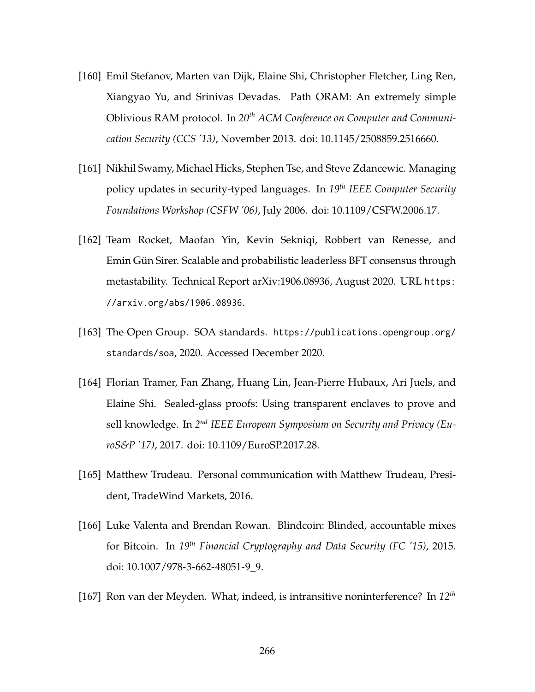- [160] Emil Stefanov, Marten van Dijk, Elaine Shi, Christopher Fletcher, Ling Ren, Xiangyao Yu, and Srinivas Devadas. Path ORAM: An extremely simple Oblivious RAM protocol. In *20th ACM Conference on Computer and Communication Security (CCS '13)*, November 2013. doi: [10.1145/2508859.2516660.](https://doi.org/10.1145/2508859.2516660)
- [161] Nikhil Swamy, Michael Hicks, Stephen Tse, and Steve Zdancewic. Managing policy updates in security-typed languages. In *19th IEEE Computer Security Foundations Workshop (CSFW '06)*, July 2006. doi: [10.1109/CSFW.2006.17.](https://doi.org/10.1109/CSFW.2006.17)
- [162] Team Rocket, Maofan Yin, Kevin Sekniqi, Robbert van Renesse, and Emin Gün Sirer. Scalable and probabilistic leaderless BFT consensus through metastability. Technical Report arXiv:1906.08936, August 2020. URL [https:](https://arxiv.org/abs/1906.08936) [//arxiv.org/abs/1906.08936](https://arxiv.org/abs/1906.08936).
- [163] The Open Group. SOA standards. [https://publications.opengroup.org/](https://publications.opengroup.org/standards/soa) [standards/soa](https://publications.opengroup.org/standards/soa), 2020. Accessed December 2020.
- [164] Florian Tramer, Fan Zhang, Huang Lin, Jean-Pierre Hubaux, Ari Juels, and Elaine Shi. Sealed-glass proofs: Using transparent enclaves to prove and sell knowledge. In 2<sup>nd</sup> IEEE European Symposium on Security and Privacy (Eu*roS&P '17)*, 2017. doi: [10.1109/EuroSP.2017.28.](https://doi.org/10.1109/EuroSP.2017.28)
- [165] Matthew Trudeau. Personal communication with Matthew Trudeau, President, TradeWind Markets, 2016.
- [166] Luke Valenta and Brendan Rowan. Blindcoin: Blinded, accountable mixes for Bitcoin. In *19th Financial Cryptography and Data Security (FC '15)*, 2015. doi: [10.1007/978-3-662-48051-9\\_9.](https://doi.org/10.1007/978-3-662-48051-9_9)
- [167] Ron van der Meyden. What, indeed, is intransitive noninterference? In *12th*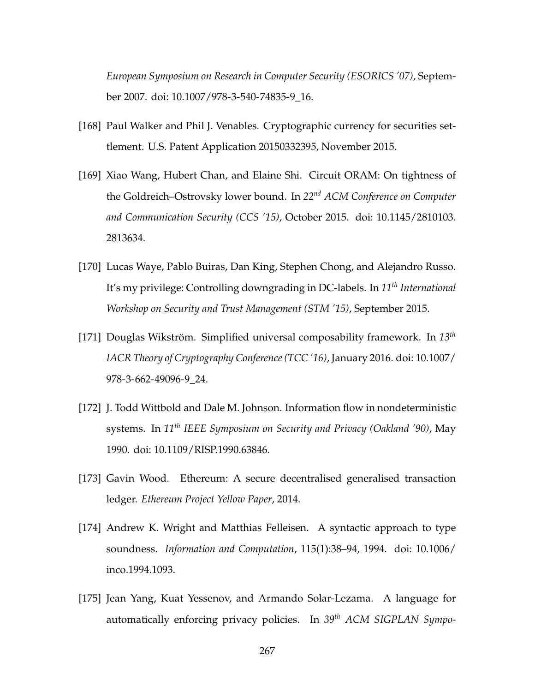*European Symposium on Research in Computer Security (ESORICS '07)*, September 2007. doi: [10.1007/978-3-540-74835-9\\_16.](https://doi.org/10.1007/978-3-540-74835-9_16)

- [168] Paul Walker and Phil J. Venables. Cryptographic currency for securities settlement. U.S. Patent Application 20150332395, November 2015.
- [169] Xiao Wang, Hubert Chan, and Elaine Shi. Circuit ORAM: On tightness of the Goldreich–Ostrovsky lower bound. In *22nd ACM Conference on Computer and Communication Security (CCS '15)*, October 2015. doi: [10.1145/2810103.](https://doi.org/10.1145/2810103.2813634) [2813634.](https://doi.org/10.1145/2810103.2813634)
- [170] Lucas Waye, Pablo Buiras, Dan King, Stephen Chong, and Alejandro Russo. It's my privilege: Controlling downgrading in DC-labels. In *11th International Workshop on Security and Trust Management (STM '15)*, September 2015.
- [171] Douglas Wikström. Simplified universal composability framework. In *13th IACR Theory of Cryptography Conference (TCC '16)*, January 2016. doi: [10.1007/](https://doi.org/10.1007/978-3-662-49096-9_24) [978-3-662-49096-9\\_24.](https://doi.org/10.1007/978-3-662-49096-9_24)
- [172] J. Todd Wittbold and Dale M. Johnson. Information flow in nondeterministic systems. In *11th IEEE Symposium on Security and Privacy (Oakland '90)*, May 1990. doi: [10.1109/RISP.1990.63846.](https://doi.org/10.1109/RISP.1990.63846)
- [173] Gavin Wood. Ethereum: A secure decentralised generalised transaction ledger. *Ethereum Project Yellow Paper*, 2014.
- [174] Andrew K. Wright and Matthias Felleisen. A syntactic approach to type soundness. *Information and Computation*, 115(1):38–94, 1994. doi: [10.1006/](https://doi.org/10.1006/inco.1994.1093) [inco.1994.1093.](https://doi.org/10.1006/inco.1994.1093)
- [175] Jean Yang, Kuat Yessenov, and Armando Solar-Lezama. A language for automatically enforcing privacy policies. In *39th ACM SIGPLAN Sympo-*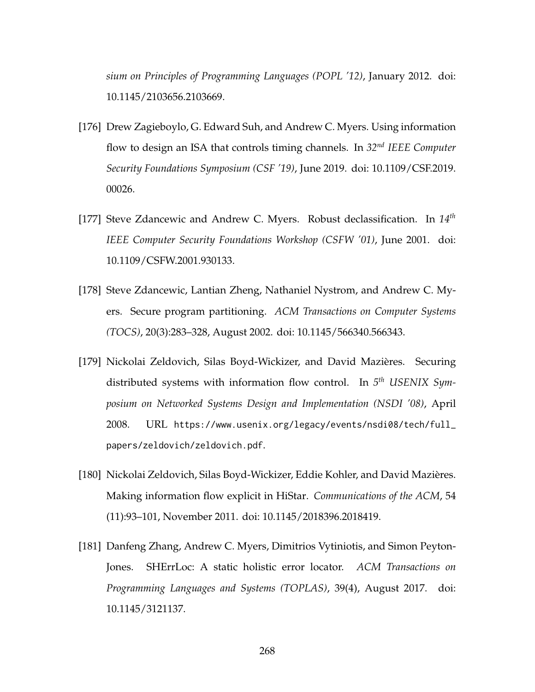*sium on Principles of Programming Languages (POPL '12)*, January 2012. doi: [10.1145/2103656.2103669.](https://doi.org/10.1145/2103656.2103669)

- [176] Drew Zagieboylo, G. Edward Suh, and Andrew C. Myers. Using information flow to design an ISA that controls timing channels. In *32nd IEEE Computer Security Foundations Symposium (CSF '19)*, June 2019. doi: [10.1109/CSF.2019.](https://doi.org/10.1109/CSF.2019.00026) [00026.](https://doi.org/10.1109/CSF.2019.00026)
- [177] Steve Zdancewic and Andrew C. Myers. Robust declassification. In *14th IEEE Computer Security Foundations Workshop (CSFW '01)*, June 2001. doi: [10.1109/CSFW.2001.930133.](https://doi.org/10.1109/CSFW.2001.930133)
- [178] Steve Zdancewic, Lantian Zheng, Nathaniel Nystrom, and Andrew C. Myers. Secure program partitioning. *ACM Transactions on Computer Systems (TOCS)*, 20(3):283–328, August 2002. doi: [10.1145/566340.566343.](https://doi.org/10.1145/566340.566343)
- [179] Nickolai Zeldovich, Silas Boyd-Wickizer, and David Mazières. Securing distributed systems with information flow control. In *5 th USENIX Symposium on Networked Systems Design and Implementation (NSDI '08)*, April 2008. URL [https://www.usenix.org/legacy/events/nsdi08/tech/full\\_](https://www.usenix.org/legacy/events/nsdi08/tech/full_papers/zeldovich/zeldovich.pdf) [papers/zeldovich/zeldovich.pdf](https://www.usenix.org/legacy/events/nsdi08/tech/full_papers/zeldovich/zeldovich.pdf).
- [180] Nickolai Zeldovich, Silas Boyd-Wickizer, Eddie Kohler, and David Mazières. Making information flow explicit in HiStar. *Communications of the ACM*, 54 (11):93–101, November 2011. doi: [10.1145/2018396.2018419.](https://doi.org/10.1145/2018396.2018419)
- [181] Danfeng Zhang, Andrew C. Myers, Dimitrios Vytiniotis, and Simon Peyton-Jones. SHErrLoc: A static holistic error locator. *ACM Transactions on Programming Languages and Systems (TOPLAS)*, 39(4), August 2017. doi: [10.1145/3121137.](https://doi.org/10.1145/3121137)